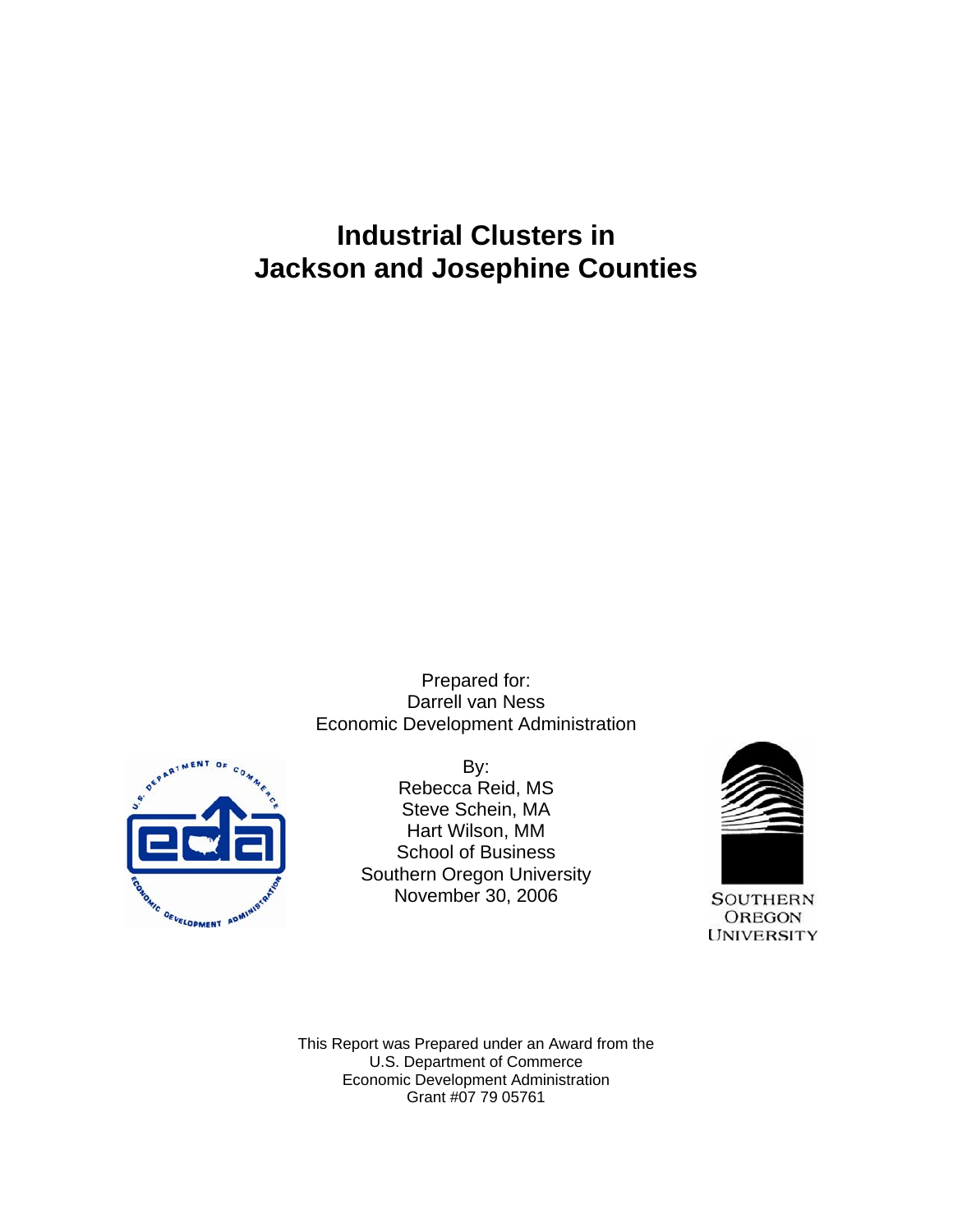# **Industrial Clusters in Jackson and Josephine Counties**

Prepared for: Darrell van Ness Economic Development Administration



By: Rebecca Reid, MS Steve Schein, MA Hart Wilson, MM School of Business Southern Oregon University November 30, 2006



**SOUTHERN OREGON UNIVERSITY** 

This Report was Prepared under an Award from the U.S. Department of Commerce Economic Development Administration Grant #07 79 05761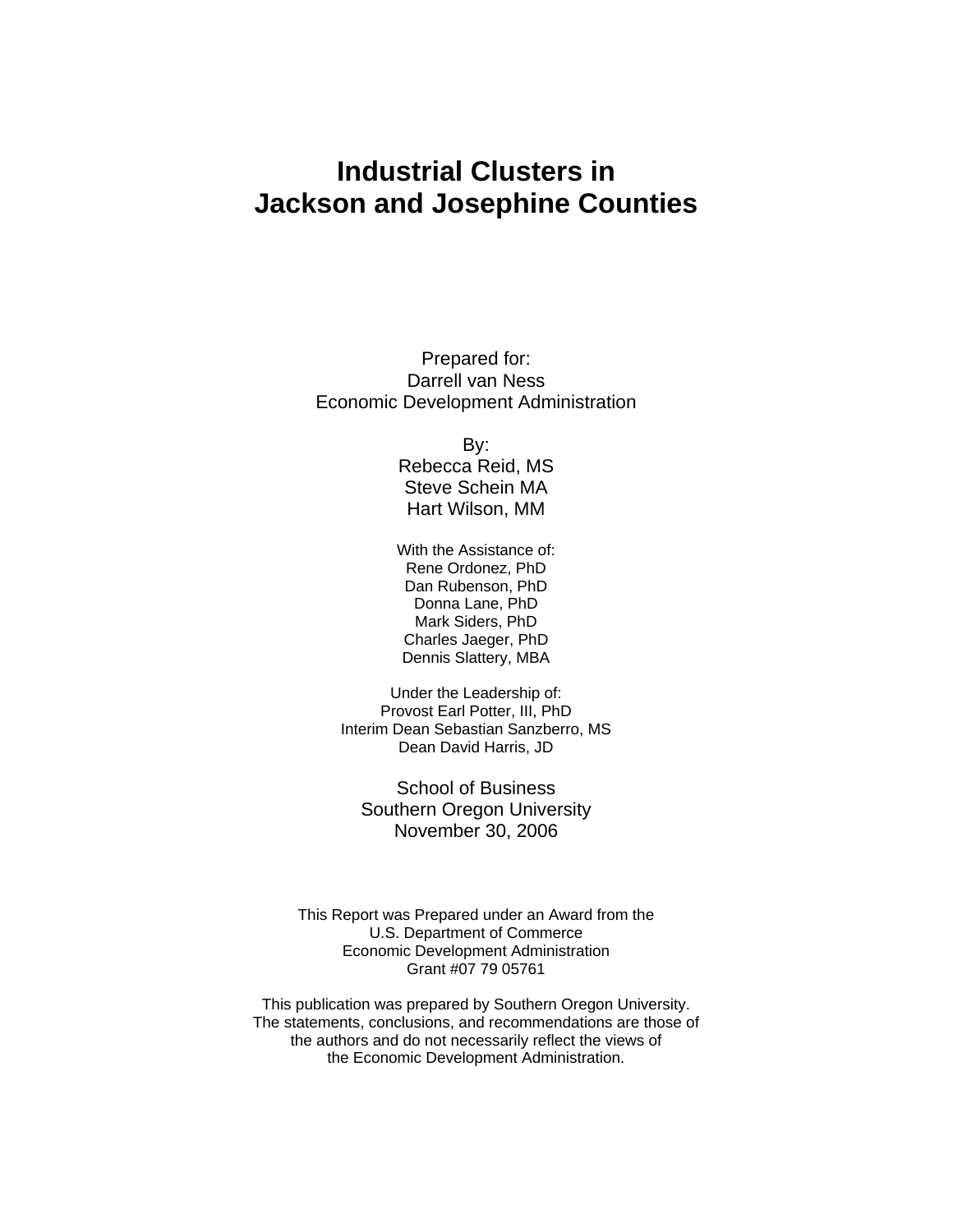# **Industrial Clusters in Jackson and Josephine Counties**

Prepared for: Darrell van Ness Economic Development Administration

By:

Rebecca Reid, MS Steve Schein MA Hart Wilson, MM

With the Assistance of: Rene Ordonez, PhD Dan Rubenson, PhD Donna Lane, PhD Mark Siders, PhD Charles Jaeger, PhD Dennis Slattery, MBA

Under the Leadership of: Provost Earl Potter, III, PhD Interim Dean Sebastian Sanzberro, MS Dean David Harris, JD

School of Business Southern Oregon University November 30, 2006

This Report was Prepared under an Award from the U.S. Department of Commerce Economic Development Administration Grant #07 79 05761

This publication was prepared by Southern Oregon University. The statements, conclusions, and recommendations are those of the authors and do not necessarily reflect the views of the Economic Development Administration.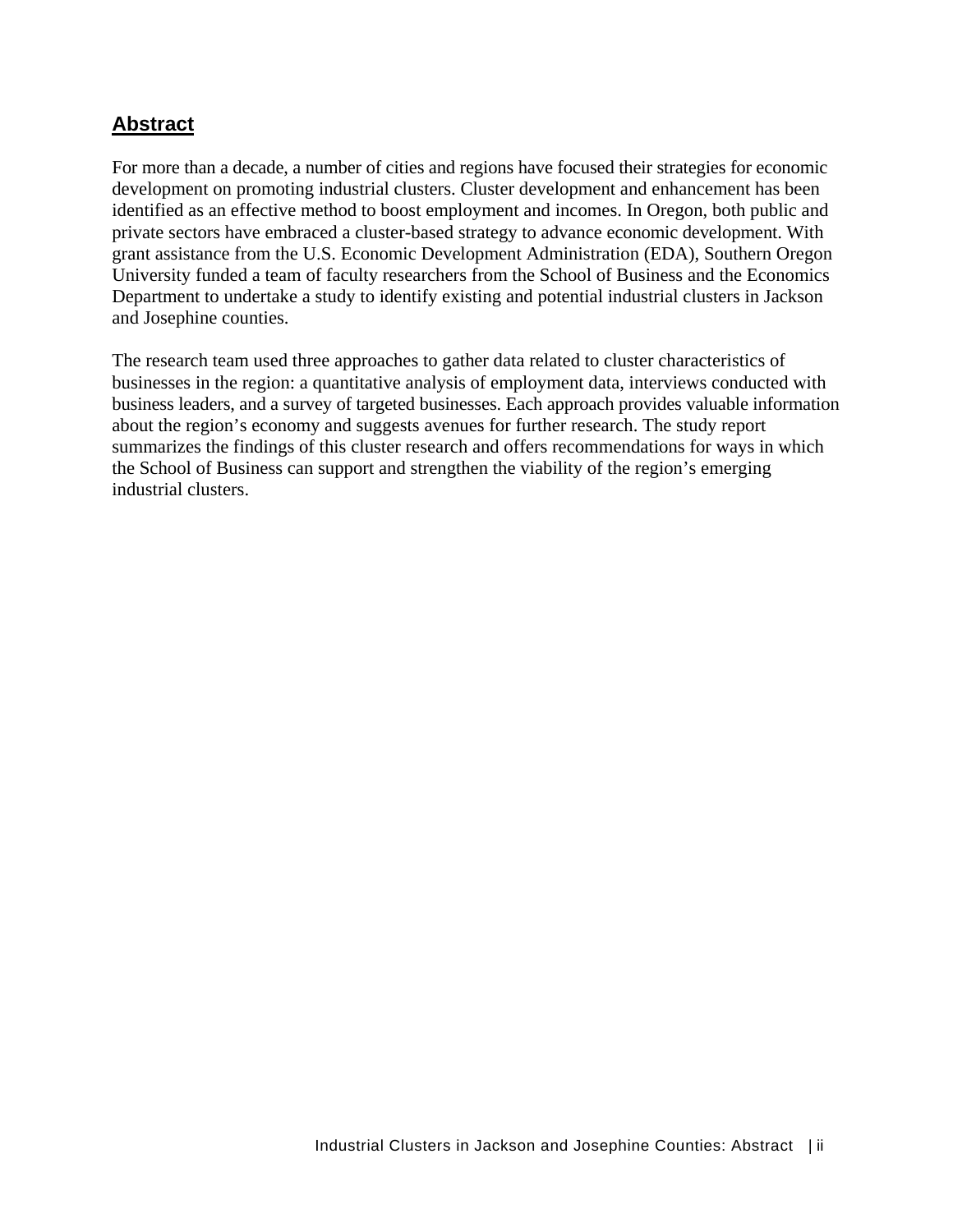### **Abstract**

For more than a decade, a number of cities and regions have focused their strategies for economic development on promoting industrial clusters. Cluster development and enhancement has been identified as an effective method to boost employment and incomes. In Oregon, both public and private sectors have embraced a cluster-based strategy to advance economic development. With grant assistance from the U.S. Economic Development Administration (EDA), Southern Oregon University funded a team of faculty researchers from the School of Business and the Economics Department to undertake a study to identify existing and potential industrial clusters in Jackson and Josephine counties.

The research team used three approaches to gather data related to cluster characteristics of businesses in the region: a quantitative analysis of employment data, interviews conducted with business leaders, and a survey of targeted businesses. Each approach provides valuable information about the region's economy and suggests avenues for further research. The study report summarizes the findings of this cluster research and offers recommendations for ways in which the School of Business can support and strengthen the viability of the region's emerging industrial clusters.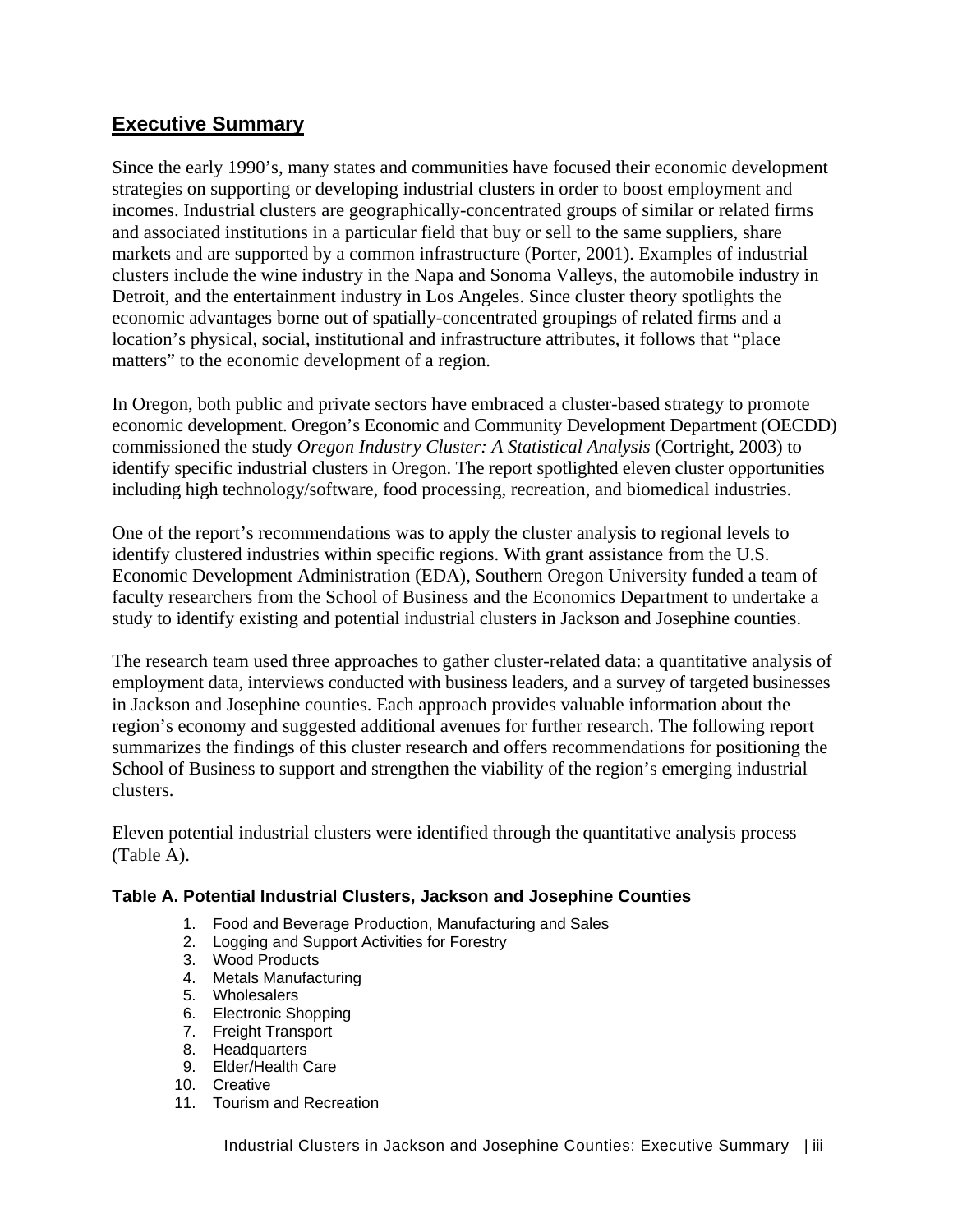## **Executive Summary**

Since the early 1990's, many states and communities have focused their economic development strategies on supporting or developing industrial clusters in order to boost employment and incomes. Industrial clusters are geographically-concentrated groups of similar or related firms and associated institutions in a particular field that buy or sell to the same suppliers, share markets and are supported by a common infrastructure (Porter, 2001). Examples of industrial clusters include the wine industry in the Napa and Sonoma Valleys, the automobile industry in Detroit, and the entertainment industry in Los Angeles. Since cluster theory spotlights the economic advantages borne out of spatially-concentrated groupings of related firms and a location's physical, social, institutional and infrastructure attributes, it follows that "place matters" to the economic development of a region.

In Oregon, both public and private sectors have embraced a cluster-based strategy to promote economic development. Oregon's Economic and Community Development Department (OECDD) commissioned the study *Oregon Industry Cluster: A Statistical Analysis* (Cortright, 2003) to identify specific industrial clusters in Oregon. The report spotlighted eleven cluster opportunities including high technology/software, food processing, recreation, and biomedical industries.

One of the report's recommendations was to apply the cluster analysis to regional levels to identify clustered industries within specific regions. With grant assistance from the U.S. Economic Development Administration (EDA), Southern Oregon University funded a team of faculty researchers from the School of Business and the Economics Department to undertake a study to identify existing and potential industrial clusters in Jackson and Josephine counties.

The research team used three approaches to gather cluster-related data: a quantitative analysis of employment data, interviews conducted with business leaders, and a survey of targeted businesses in Jackson and Josephine counties. Each approach provides valuable information about the region's economy and suggested additional avenues for further research. The following report summarizes the findings of this cluster research and offers recommendations for positioning the School of Business to support and strengthen the viability of the region's emerging industrial clusters.

Eleven potential industrial clusters were identified through the quantitative analysis process (Table A).

#### **Table A. Potential Industrial Clusters, Jackson and Josephine Counties**

- 1. Food and Beverage Production, Manufacturing and Sales
- 2. Logging and Support Activities for Forestry
- 3. Wood Products
- 4. Metals Manufacturing
- 5. Wholesalers
- 6. Electronic Shopping
- 7. Freight Transport
- 8. Headquarters
- 9. Elder/Health Care
- 10. Creative
- 11. Tourism and Recreation

Industrial Clusters in Jackson and Josephine Counties: Executive Summary | iii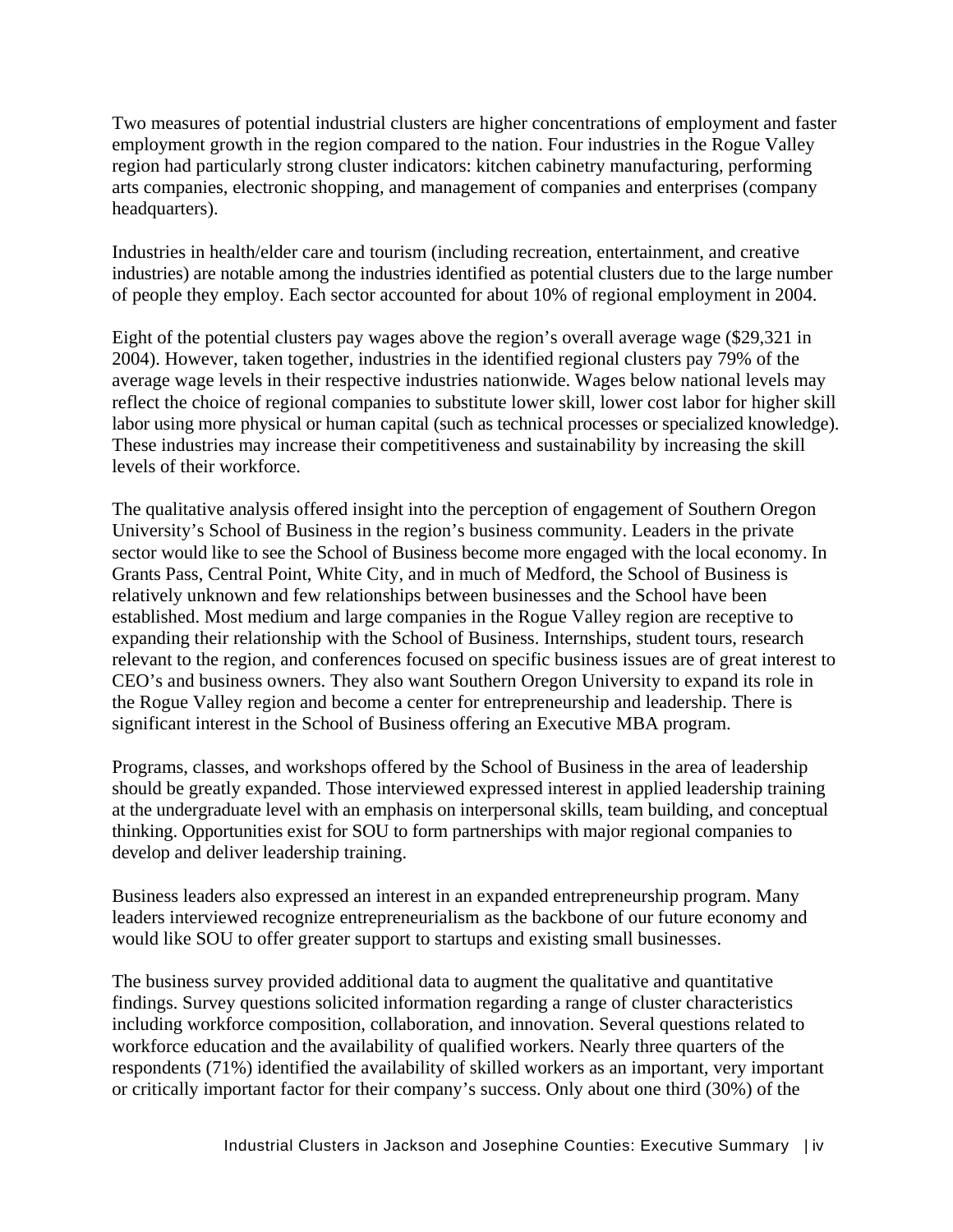Two measures of potential industrial clusters are higher concentrations of employment and faster employment growth in the region compared to the nation. Four industries in the Rogue Valley region had particularly strong cluster indicators: kitchen cabinetry manufacturing, performing arts companies, electronic shopping, and management of companies and enterprises (company headquarters).

Industries in health/elder care and tourism (including recreation, entertainment, and creative industries) are notable among the industries identified as potential clusters due to the large number of people they employ. Each sector accounted for about 10% of regional employment in 2004.

Eight of the potential clusters pay wages above the region's overall average wage (\$29,321 in 2004). However, taken together, industries in the identified regional clusters pay 79% of the average wage levels in their respective industries nationwide. Wages below national levels may reflect the choice of regional companies to substitute lower skill, lower cost labor for higher skill labor using more physical or human capital (such as technical processes or specialized knowledge). These industries may increase their competitiveness and sustainability by increasing the skill levels of their workforce.

The qualitative analysis offered insight into the perception of engagement of Southern Oregon University's School of Business in the region's business community. Leaders in the private sector would like to see the School of Business become more engaged with the local economy. In Grants Pass, Central Point, White City, and in much of Medford, the School of Business is relatively unknown and few relationships between businesses and the School have been established. Most medium and large companies in the Rogue Valley region are receptive to expanding their relationship with the School of Business. Internships, student tours, research relevant to the region, and conferences focused on specific business issues are of great interest to CEO's and business owners. They also want Southern Oregon University to expand its role in the Rogue Valley region and become a center for entrepreneurship and leadership. There is significant interest in the School of Business offering an Executive MBA program.

Programs, classes, and workshops offered by the School of Business in the area of leadership should be greatly expanded. Those interviewed expressed interest in applied leadership training at the undergraduate level with an emphasis on interpersonal skills, team building, and conceptual thinking. Opportunities exist for SOU to form partnerships with major regional companies to develop and deliver leadership training.

Business leaders also expressed an interest in an expanded entrepreneurship program. Many leaders interviewed recognize entrepreneurialism as the backbone of our future economy and would like SOU to offer greater support to startups and existing small businesses.

The business survey provided additional data to augment the qualitative and quantitative findings. Survey questions solicited information regarding a range of cluster characteristics including workforce composition, collaboration, and innovation. Several questions related to workforce education and the availability of qualified workers. Nearly three quarters of the respondents (71%) identified the availability of skilled workers as an important, very important or critically important factor for their company's success. Only about one third (30%) of the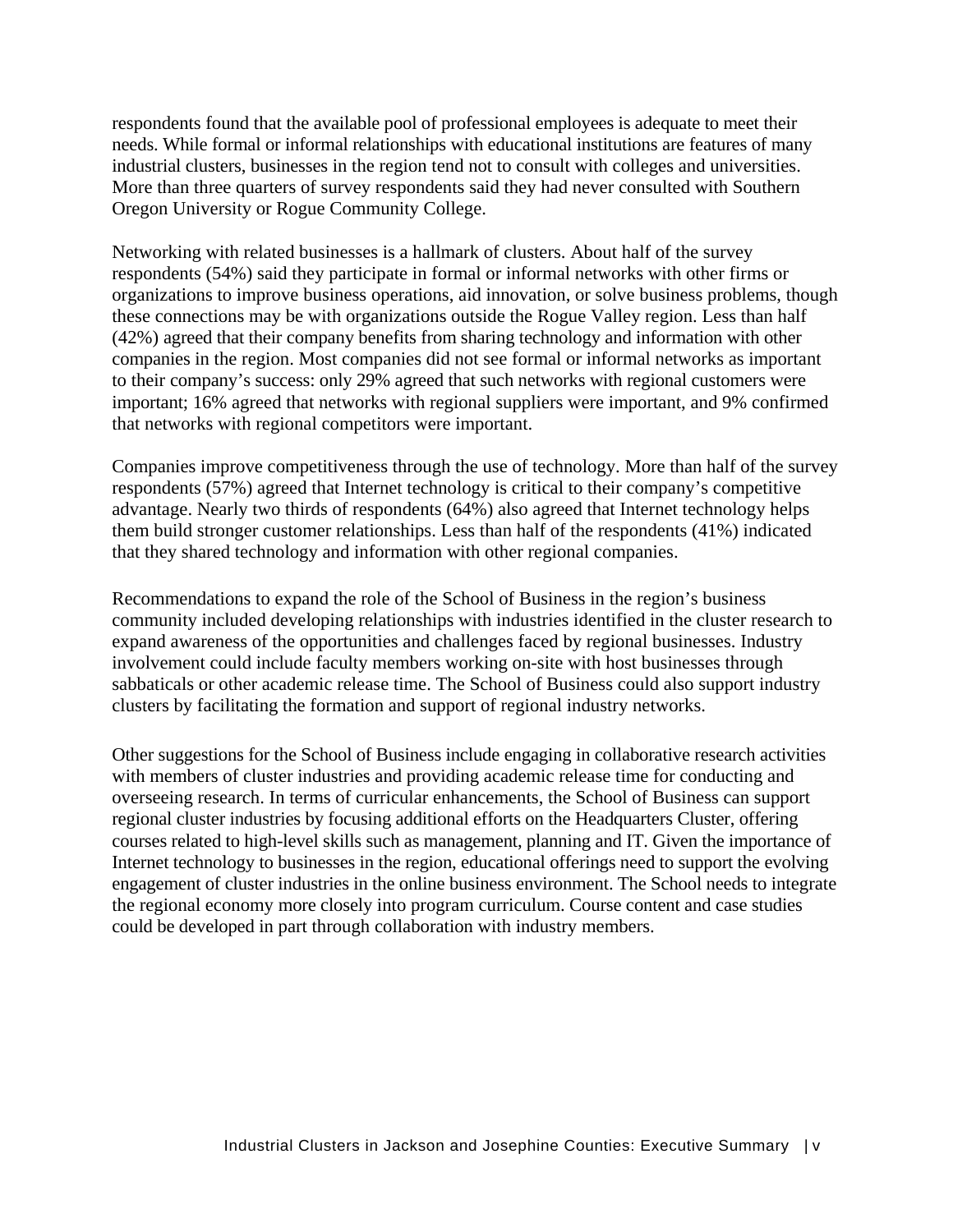respondents found that the available pool of professional employees is adequate to meet their needs. While formal or informal relationships with educational institutions are features of many industrial clusters, businesses in the region tend not to consult with colleges and universities. More than three quarters of survey respondents said they had never consulted with Southern Oregon University or Rogue Community College.

Networking with related businesses is a hallmark of clusters. About half of the survey respondents (54%) said they participate in formal or informal networks with other firms or organizations to improve business operations, aid innovation, or solve business problems, though these connections may be with organizations outside the Rogue Valley region. Less than half (42%) agreed that their company benefits from sharing technology and information with other companies in the region. Most companies did not see formal or informal networks as important to their company's success: only 29% agreed that such networks with regional customers were important; 16% agreed that networks with regional suppliers were important, and 9% confirmed that networks with regional competitors were important.

Companies improve competitiveness through the use of technology. More than half of the survey respondents (57%) agreed that Internet technology is critical to their company's competitive advantage. Nearly two thirds of respondents (64%) also agreed that Internet technology helps them build stronger customer relationships. Less than half of the respondents (41%) indicated that they shared technology and information with other regional companies.

Recommendations to expand the role of the School of Business in the region's business community included developing relationships with industries identified in the cluster research to expand awareness of the opportunities and challenges faced by regional businesses. Industry involvement could include faculty members working on-site with host businesses through sabbaticals or other academic release time. The School of Business could also support industry clusters by facilitating the formation and support of regional industry networks.

Other suggestions for the School of Business include engaging in collaborative research activities with members of cluster industries and providing academic release time for conducting and overseeing research. In terms of curricular enhancements, the School of Business can support regional cluster industries by focusing additional efforts on the Headquarters Cluster, offering courses related to high-level skills such as management, planning and IT. Given the importance of Internet technology to businesses in the region, educational offerings need to support the evolving engagement of cluster industries in the online business environment. The School needs to integrate the regional economy more closely into program curriculum. Course content and case studies could be developed in part through collaboration with industry members.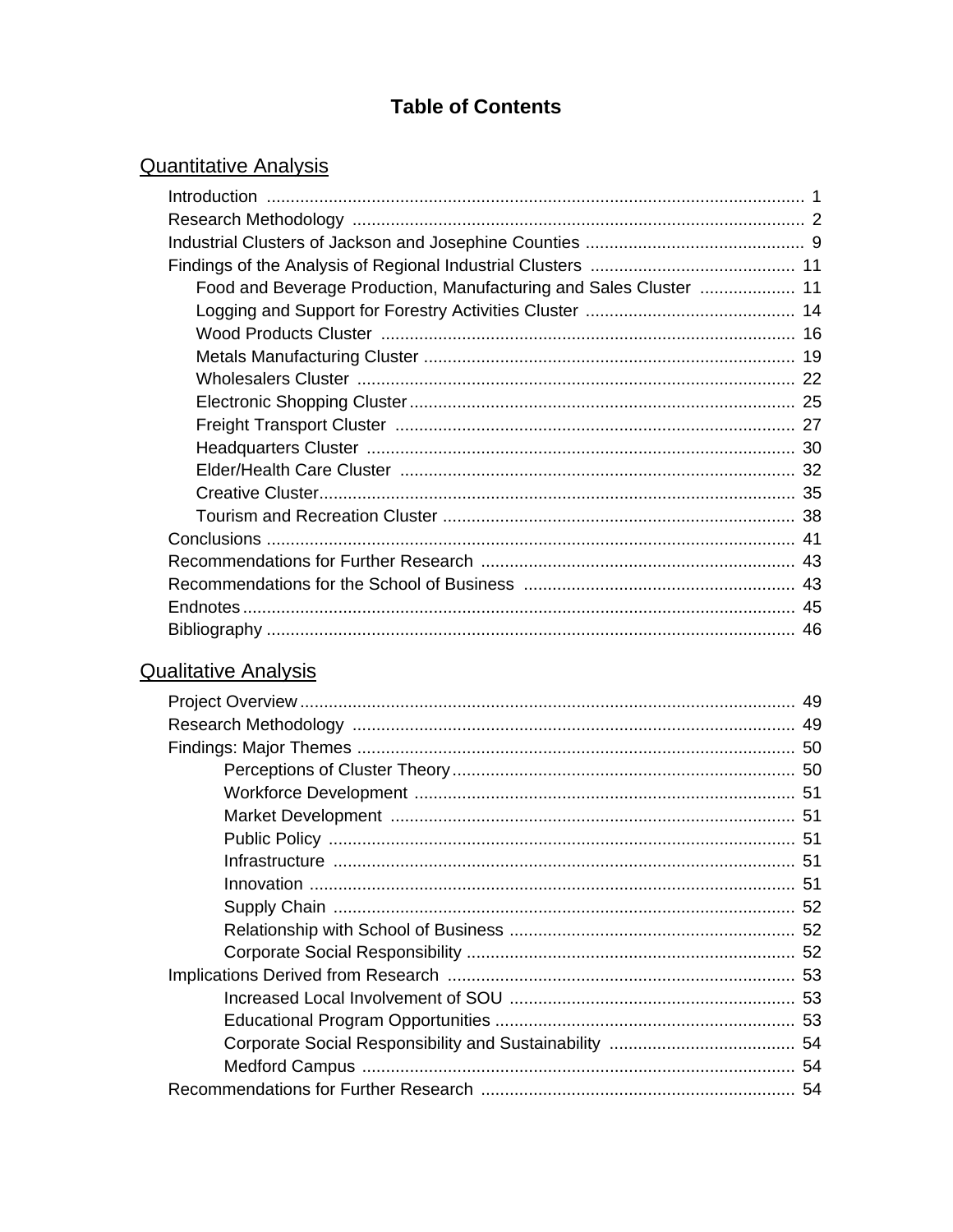## **Table of Contents**

## **Quantitative Analysis**

## **Qualitative Analysis**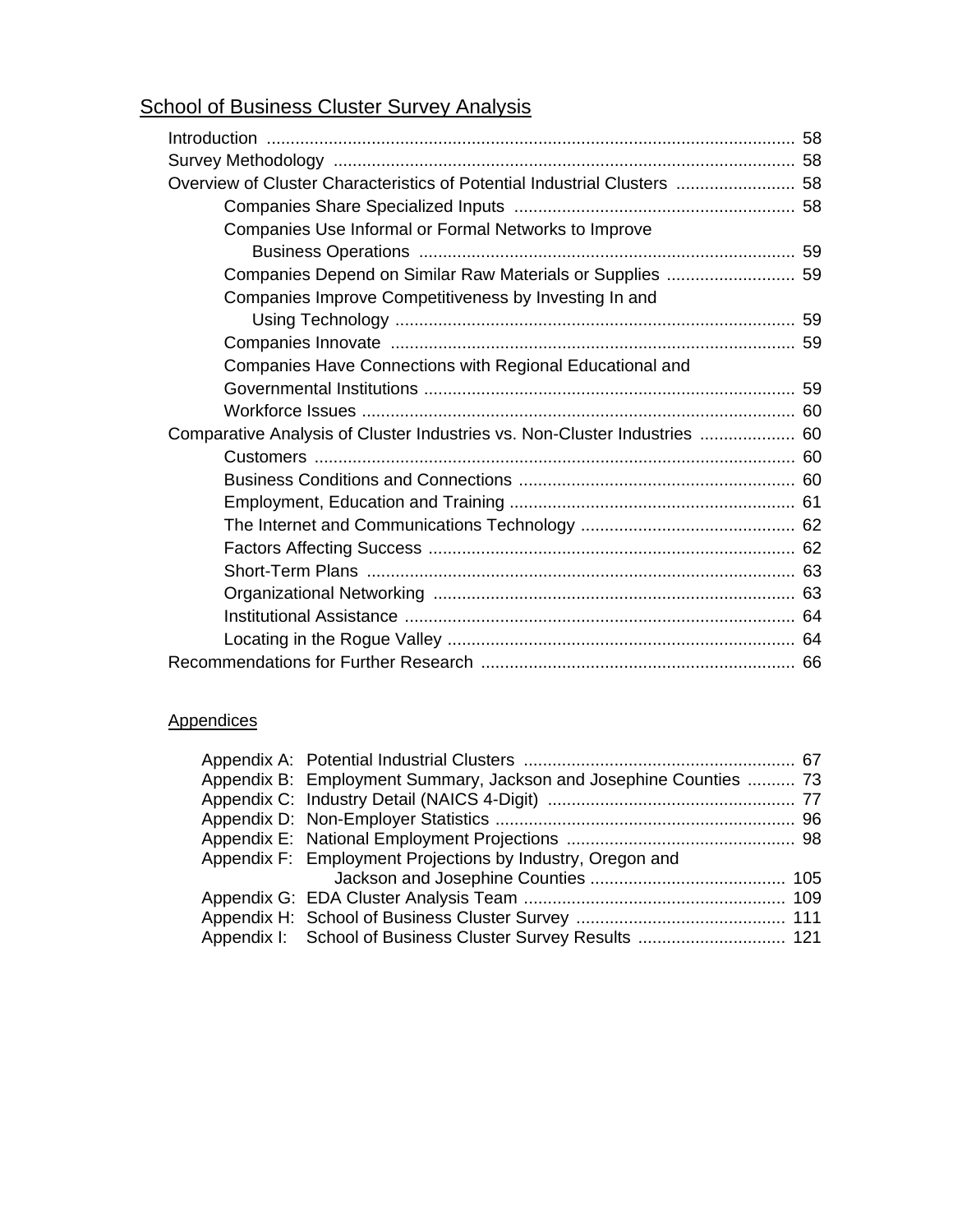## **School of Business Cluster Survey Analysis**

| Overview of Cluster Characteristics of Potential Industrial Clusters  58  |  |
|---------------------------------------------------------------------------|--|
|                                                                           |  |
| Companies Use Informal or Formal Networks to Improve                      |  |
|                                                                           |  |
| Companies Depend on Similar Raw Materials or Supplies  59                 |  |
| Companies Improve Competitiveness by Investing In and                     |  |
|                                                                           |  |
|                                                                           |  |
| Companies Have Connections with Regional Educational and                  |  |
|                                                                           |  |
|                                                                           |  |
| Comparative Analysis of Cluster Industries vs. Non-Cluster Industries  60 |  |
|                                                                           |  |
|                                                                           |  |
|                                                                           |  |
|                                                                           |  |
|                                                                           |  |
|                                                                           |  |
|                                                                           |  |
|                                                                           |  |
|                                                                           |  |
|                                                                           |  |

### **Appendices**

| Appendix B: Employment Summary, Jackson and Josephine Counties  73 |  |
|--------------------------------------------------------------------|--|
|                                                                    |  |
|                                                                    |  |
|                                                                    |  |
| Appendix F: Employment Projections by Industry, Oregon and         |  |
|                                                                    |  |
|                                                                    |  |
|                                                                    |  |
|                                                                    |  |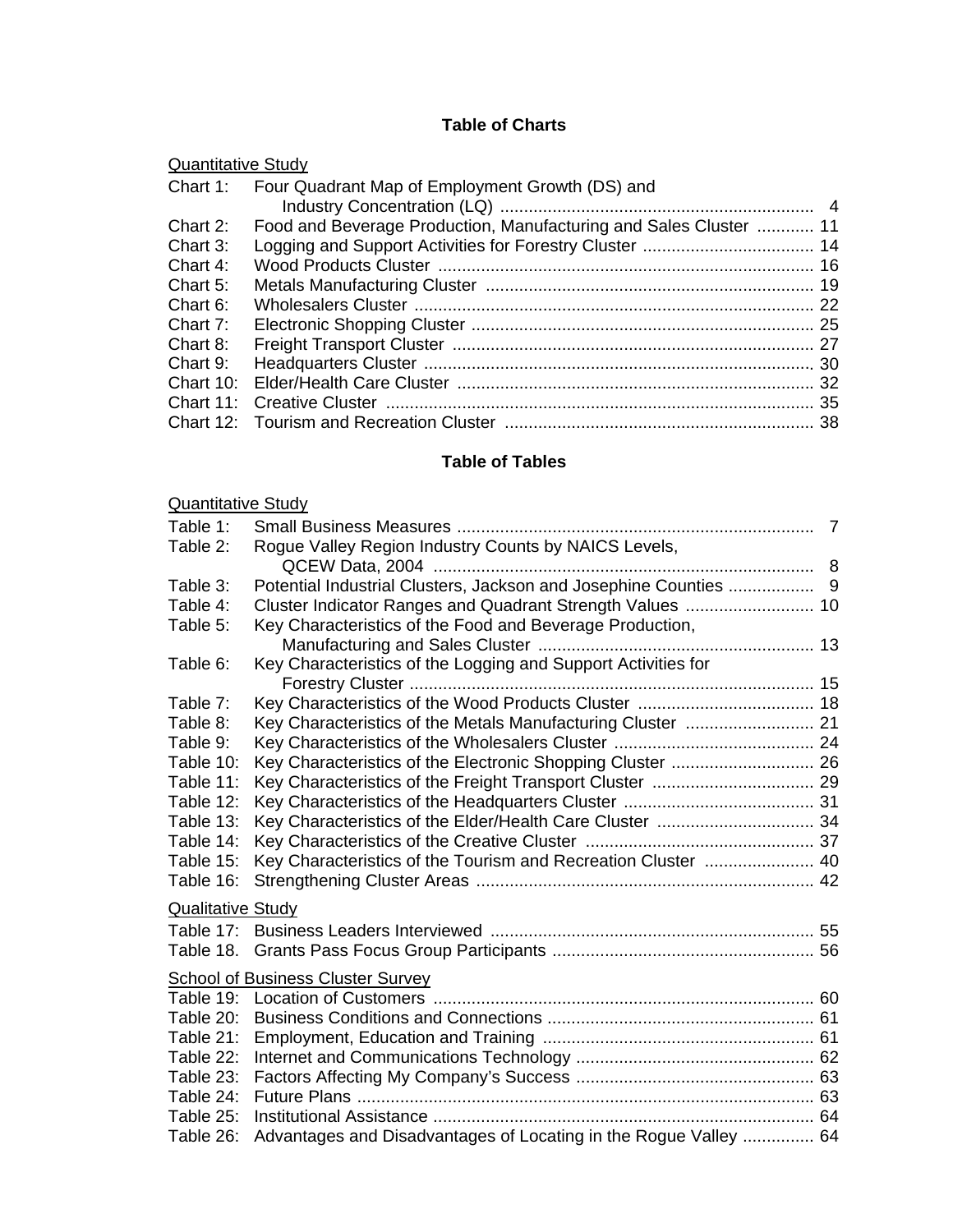### **Table of Charts**

| <b>Quantitative Study</b> |
|---------------------------|
|---------------------------|

| Four Quadrant Map of Employment Growth (DS) and |                                                                               |
|-------------------------------------------------|-------------------------------------------------------------------------------|
|                                                 |                                                                               |
|                                                 |                                                                               |
|                                                 |                                                                               |
|                                                 |                                                                               |
|                                                 |                                                                               |
|                                                 |                                                                               |
|                                                 |                                                                               |
|                                                 |                                                                               |
|                                                 |                                                                               |
|                                                 |                                                                               |
|                                                 |                                                                               |
|                                                 | Chart 1:<br>Food and Beverage Production, Manufacturing and Sales Cluster  11 |

### **Table of Tables**

| <b>Quantitative Study</b> |                                                                  |  |
|---------------------------|------------------------------------------------------------------|--|
| Table 1:                  |                                                                  |  |
| Table 2:                  | Rogue Valley Region Industry Counts by NAICS Levels,             |  |
|                           |                                                                  |  |
| Table 3:                  | Potential Industrial Clusters, Jackson and Josephine Counties  9 |  |
| Table 4:                  |                                                                  |  |
| Table 5:                  | Key Characteristics of the Food and Beverage Production,         |  |
|                           |                                                                  |  |
| Table 6:                  | Key Characteristics of the Logging and Support Activities for    |  |
|                           |                                                                  |  |
| Table 7:                  |                                                                  |  |
| Table 8:                  | Key Characteristics of the Metals Manufacturing Cluster  21      |  |
| Table 9:                  |                                                                  |  |
| Table 10:                 |                                                                  |  |
| Table 11:                 |                                                                  |  |
| Table 12:                 |                                                                  |  |
| Table 13:                 | Key Characteristics of the Elder/Health Care Cluster  34         |  |
| Table 14:                 |                                                                  |  |
| Table 15:                 | Key Characteristics of the Tourism and Recreation Cluster  40    |  |
| Table 16:                 |                                                                  |  |
| <b>Qualitative Study</b>  |                                                                  |  |
| Table $17:$               |                                                                  |  |
| Table 18.                 |                                                                  |  |
|                           | <b>School of Business Cluster Survey</b>                         |  |
| Table 19:                 |                                                                  |  |
| Table 20:                 |                                                                  |  |
| Table 21:                 |                                                                  |  |
| Table 22:                 |                                                                  |  |
| Table 23:                 |                                                                  |  |
| Table 24:                 |                                                                  |  |
| Table 25:                 |                                                                  |  |
| Table 26:                 | Advantages and Disadvantages of Locating in the Rogue Valley  64 |  |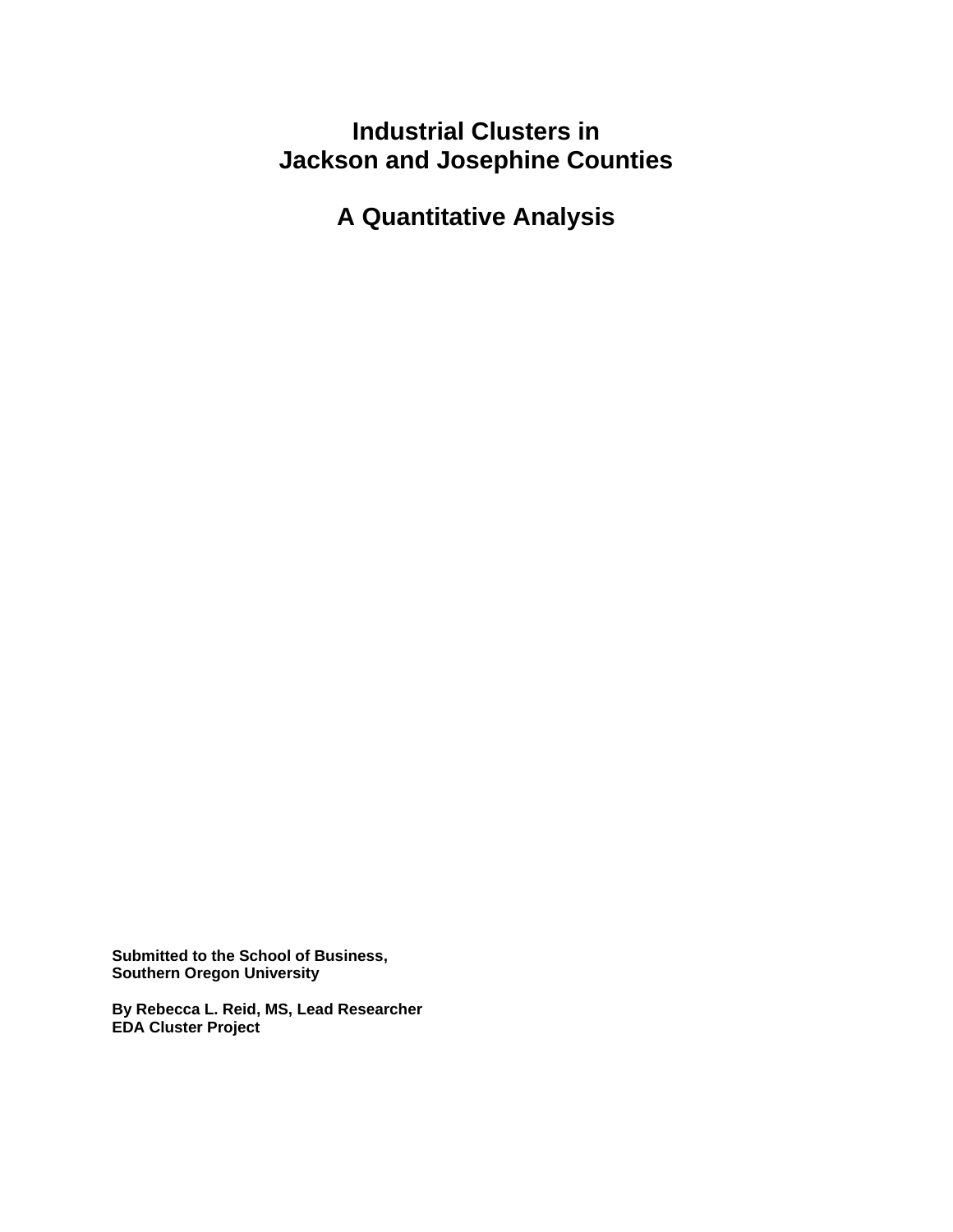## **Industrial Clusters in Jackson and Josephine Counties**

**A Quantitative Analysis** 

**Submitted to the School of Business, Southern Oregon University** 

**By Rebecca L. Reid, MS, Lead Researcher EDA Cluster Project**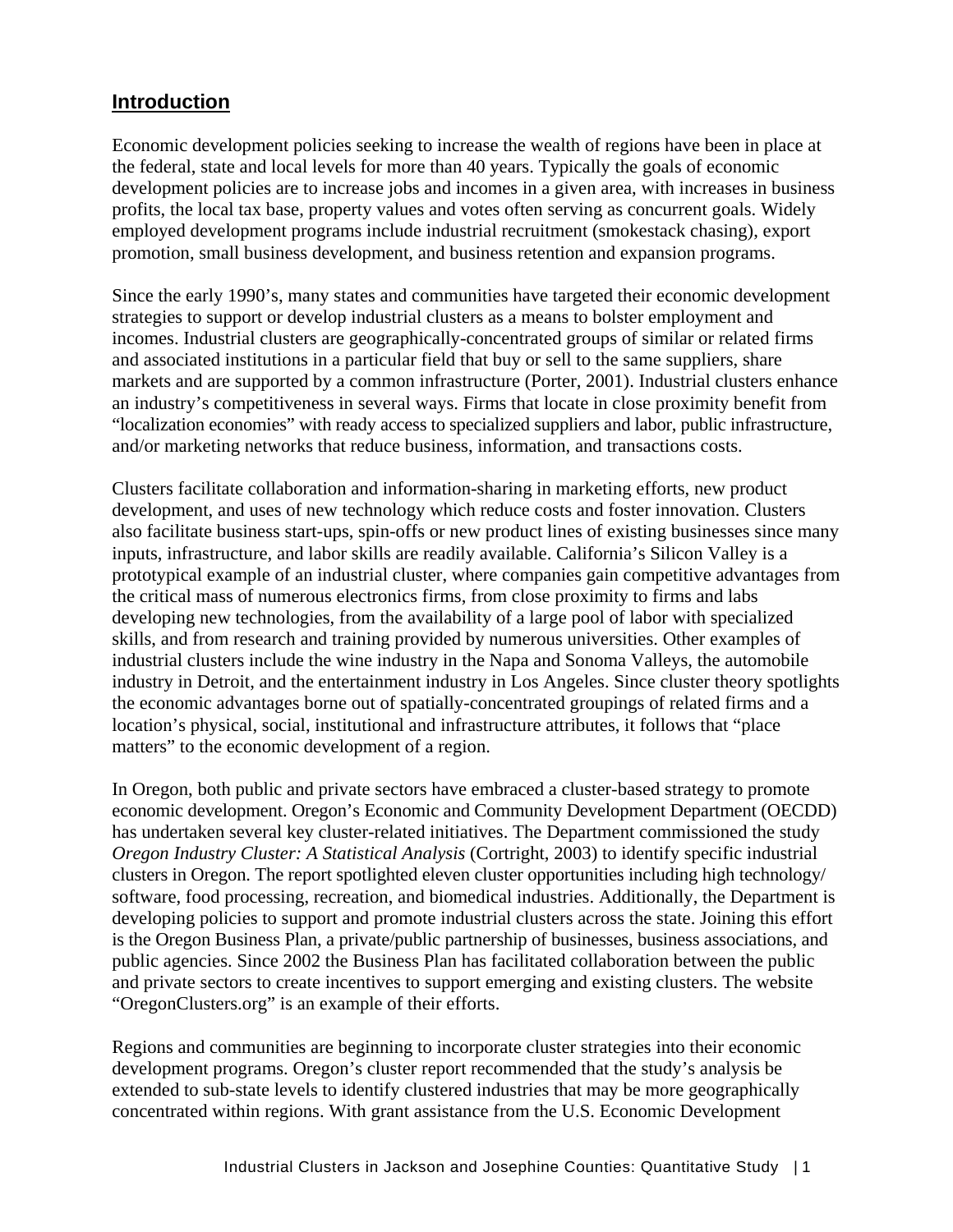## **Introduction**

Economic development policies seeking to increase the wealth of regions have been in place at the federal, state and local levels for more than 40 years. Typically the goals of economic development policies are to increase jobs and incomes in a given area, with increases in business profits, the local tax base, property values and votes often serving as concurrent goals. Widely employed development programs include industrial recruitment (smokestack chasing), export promotion, small business development, and business retention and expansion programs.

Since the early 1990's, many states and communities have targeted their economic development strategies to support or develop industrial clusters as a means to bolster employment and incomes. Industrial clusters are geographically-concentrated groups of similar or related firms and associated institutions in a particular field that buy or sell to the same suppliers, share markets and are supported by a common infrastructure (Porter, 2001). Industrial clusters enhance an industry's competitiveness in several ways. Firms that locate in close proximity benefit from "localization economies" with ready access to specialized suppliers and labor, public infrastructure, and/or marketing networks that reduce business, information, and transactions costs.

Clusters facilitate collaboration and information-sharing in marketing efforts, new product development, and uses of new technology which reduce costs and foster innovation. Clusters also facilitate business start-ups, spin-offs or new product lines of existing businesses since many inputs, infrastructure, and labor skills are readily available. California's Silicon Valley is a prototypical example of an industrial cluster, where companies gain competitive advantages from the critical mass of numerous electronics firms, from close proximity to firms and labs developing new technologies, from the availability of a large pool of labor with specialized skills, and from research and training provided by numerous universities. Other examples of industrial clusters include the wine industry in the Napa and Sonoma Valleys, the automobile industry in Detroit, and the entertainment industry in Los Angeles. Since cluster theory spotlights the economic advantages borne out of spatially-concentrated groupings of related firms and a location's physical, social, institutional and infrastructure attributes, it follows that "place matters" to the economic development of a region.

In Oregon, both public and private sectors have embraced a cluster-based strategy to promote economic development. Oregon's Economic and Community Development Department (OECDD) has undertaken several key cluster-related initiatives. The Department commissioned the study *Oregon Industry Cluster: A Statistical Analysis* (Cortright, 2003) to identify specific industrial clusters in Oregon. The report spotlighted eleven cluster opportunities including high technology/ software, food processing, recreation, and biomedical industries. Additionally, the Department is developing policies to support and promote industrial clusters across the state. Joining this effort is the Oregon Business Plan, a private/public partnership of businesses, business associations, and public agencies. Since 2002 the Business Plan has facilitated collaboration between the public and private sectors to create incentives to support emerging and existing clusters. The website "OregonClusters.org" is an example of their efforts.

Regions and communities are beginning to incorporate cluster strategies into their economic development programs. Oregon's cluster report recommended that the study's analysis be extended to sub-state levels to identify clustered industries that may be more geographically concentrated within regions. With grant assistance from the U.S. Economic Development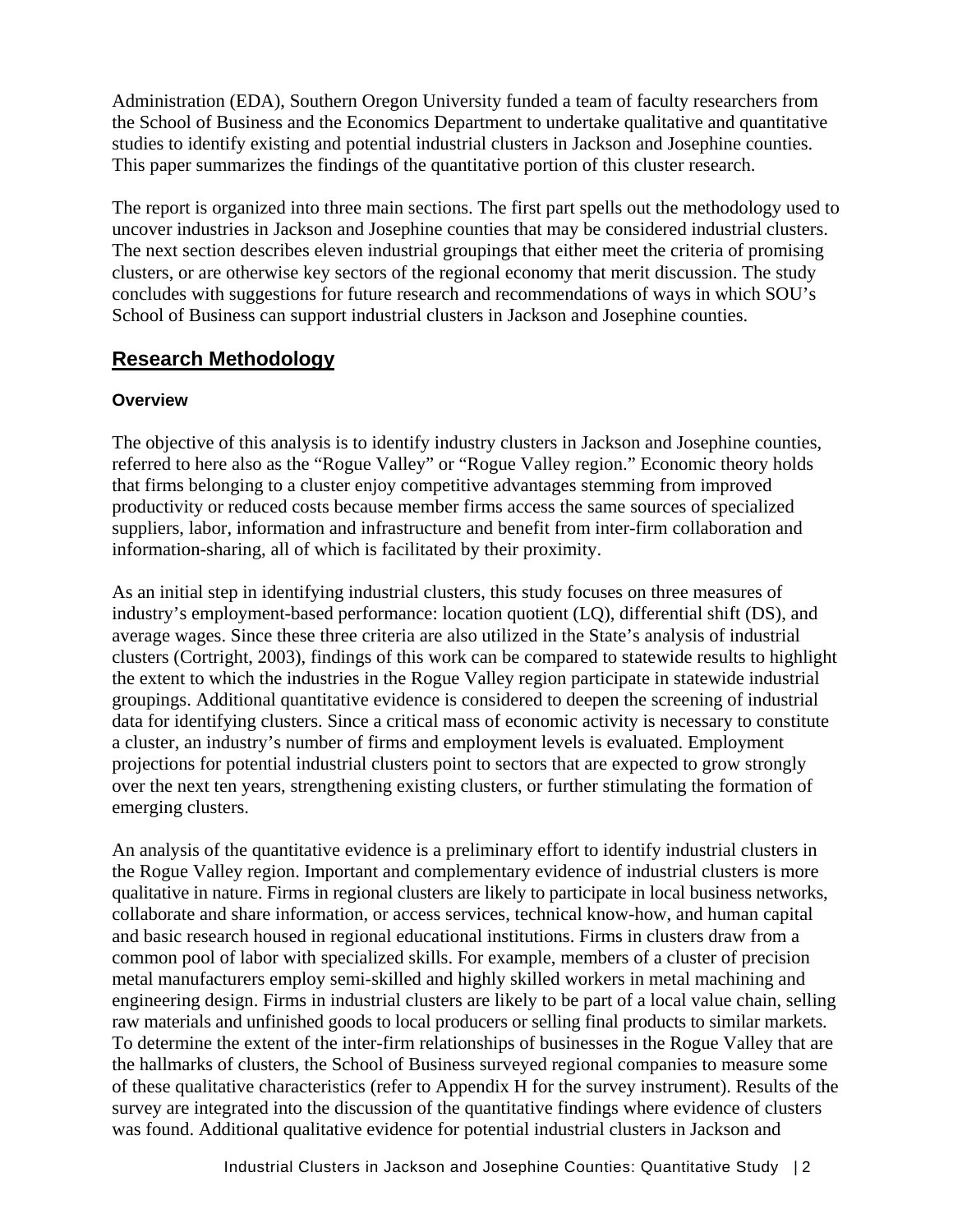Administration (EDA), Southern Oregon University funded a team of faculty researchers from the School of Business and the Economics Department to undertake qualitative and quantitative studies to identify existing and potential industrial clusters in Jackson and Josephine counties. This paper summarizes the findings of the quantitative portion of this cluster research.

The report is organized into three main sections. The first part spells out the methodology used to uncover industries in Jackson and Josephine counties that may be considered industrial clusters. The next section describes eleven industrial groupings that either meet the criteria of promising clusters, or are otherwise key sectors of the regional economy that merit discussion. The study concludes with suggestions for future research and recommendations of ways in which SOU's School of Business can support industrial clusters in Jackson and Josephine counties.

### **Research Methodology**

#### **Overview**

The objective of this analysis is to identify industry clusters in Jackson and Josephine counties, referred to here also as the "Rogue Valley" or "Rogue Valley region." Economic theory holds that firms belonging to a cluster enjoy competitive advantages stemming from improved productivity or reduced costs because member firms access the same sources of specialized suppliers, labor, information and infrastructure and benefit from inter-firm collaboration and information-sharing, all of which is facilitated by their proximity.

As an initial step in identifying industrial clusters, this study focuses on three measures of industry's employment-based performance: location quotient (LQ), differential shift (DS), and average wages. Since these three criteria are also utilized in the State's analysis of industrial clusters (Cortright, 2003), findings of this work can be compared to statewide results to highlight the extent to which the industries in the Rogue Valley region participate in statewide industrial groupings. Additional quantitative evidence is considered to deepen the screening of industrial data for identifying clusters. Since a critical mass of economic activity is necessary to constitute a cluster, an industry's number of firms and employment levels is evaluated. Employment projections for potential industrial clusters point to sectors that are expected to grow strongly over the next ten years, strengthening existing clusters, or further stimulating the formation of emerging clusters.

An analysis of the quantitative evidence is a preliminary effort to identify industrial clusters in the Rogue Valley region. Important and complementary evidence of industrial clusters is more qualitative in nature. Firms in regional clusters are likely to participate in local business networks, collaborate and share information, or access services, technical know-how, and human capital and basic research housed in regional educational institutions. Firms in clusters draw from a common pool of labor with specialized skills. For example, members of a cluster of precision metal manufacturers employ semi-skilled and highly skilled workers in metal machining and engineering design. Firms in industrial clusters are likely to be part of a local value chain, selling raw materials and unfinished goods to local producers or selling final products to similar markets. To determine the extent of the inter-firm relationships of businesses in the Rogue Valley that are the hallmarks of clusters, the School of Business surveyed regional companies to measure some of these qualitative characteristics (refer to Appendix H for the survey instrument). Results of the survey are integrated into the discussion of the quantitative findings where evidence of clusters was found. Additional qualitative evidence for potential industrial clusters in Jackson and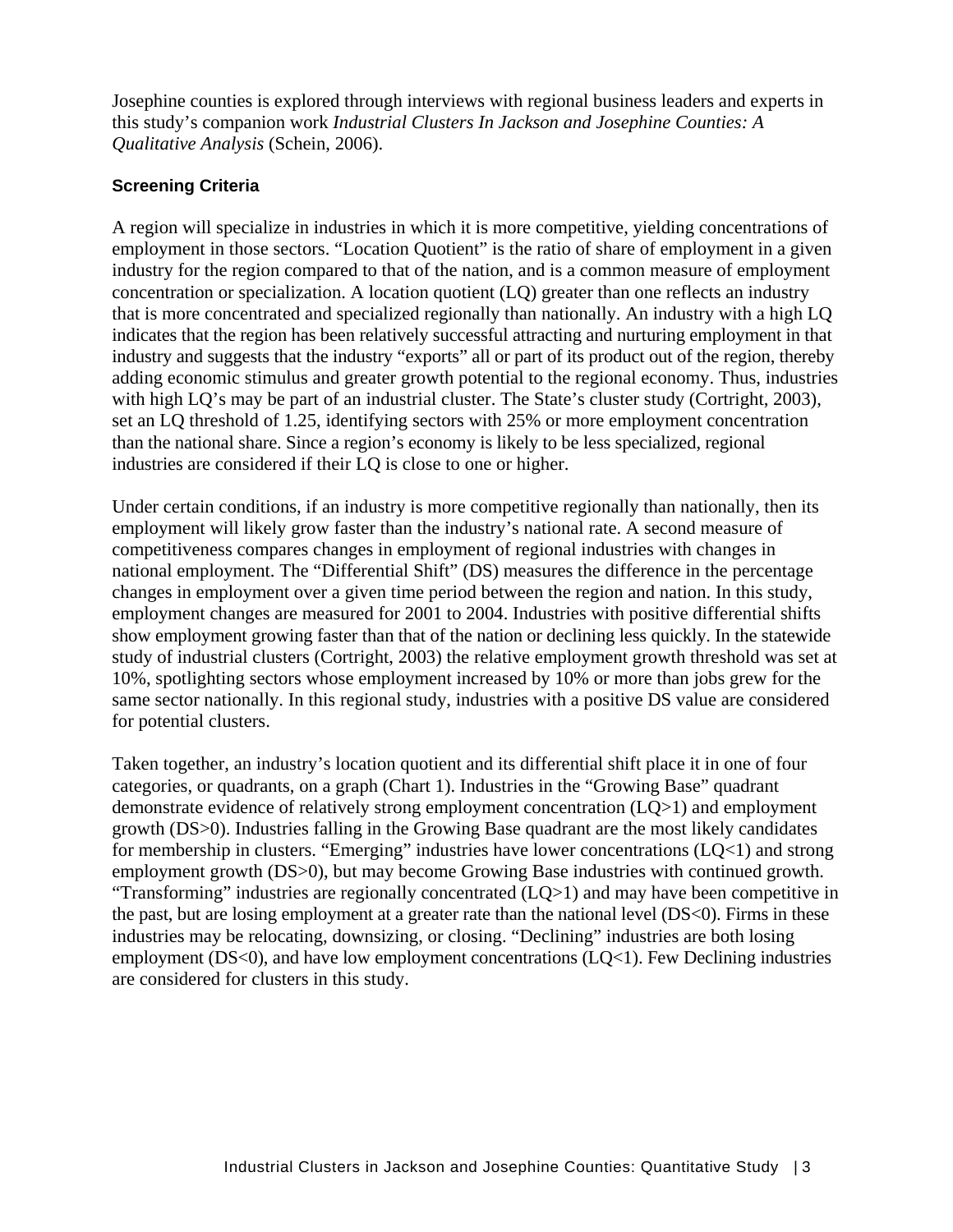Josephine counties is explored through interviews with regional business leaders and experts in this study's companion work *Industrial Clusters In Jackson and Josephine Counties: A Qualitative Analysis* (Schein, 2006).

#### **Screening Criteria**

A region will specialize in industries in which it is more competitive, yielding concentrations of employment in those sectors. "Location Quotient" is the ratio of share of employment in a given industry for the region compared to that of the nation, and is a common measure of employment concentration or specialization. A location quotient (LQ) greater than one reflects an industry that is more concentrated and specialized regionally than nationally. An industry with a high LQ indicates that the region has been relatively successful attracting and nurturing employment in that industry and suggests that the industry "exports" all or part of its product out of the region, thereby adding economic stimulus and greater growth potential to the regional economy. Thus, industries with high LQ's may be part of an industrial cluster. The State's cluster study (Cortright, 2003), set an LQ threshold of 1.25, identifying sectors with 25% or more employment concentration than the national share. Since a region's economy is likely to be less specialized, regional industries are considered if their LQ is close to one or higher.

Under certain conditions, if an industry is more competitive regionally than nationally, then its employment will likely grow faster than the industry's national rate. A second measure of competitiveness compares changes in employment of regional industries with changes in national employment. The "Differential Shift" (DS) measures the difference in the percentage changes in employment over a given time period between the region and nation. In this study, employment changes are measured for 2001 to 2004. Industries with positive differential shifts show employment growing faster than that of the nation or declining less quickly. In the statewide study of industrial clusters (Cortright, 2003) the relative employment growth threshold was set at 10%, spotlighting sectors whose employment increased by 10% or more than jobs grew for the same sector nationally. In this regional study, industries with a positive DS value are considered for potential clusters.

Taken together, an industry's location quotient and its differential shift place it in one of four categories, or quadrants, on a graph (Chart 1). Industries in the "Growing Base" quadrant demonstrate evidence of relatively strong employment concentration (LQ>1) and employment growth (DS>0). Industries falling in the Growing Base quadrant are the most likely candidates for membership in clusters. "Emerging" industries have lower concentrations (LQ<1) and strong employment growth (DS>0), but may become Growing Base industries with continued growth. "Transforming" industries are regionally concentrated (LQ>1) and may have been competitive in the past, but are losing employment at a greater rate than the national level (DS<0). Firms in these industries may be relocating, downsizing, or closing. "Declining" industries are both losing employment (DS<0), and have low employment concentrations (LQ<1). Few Declining industries are considered for clusters in this study.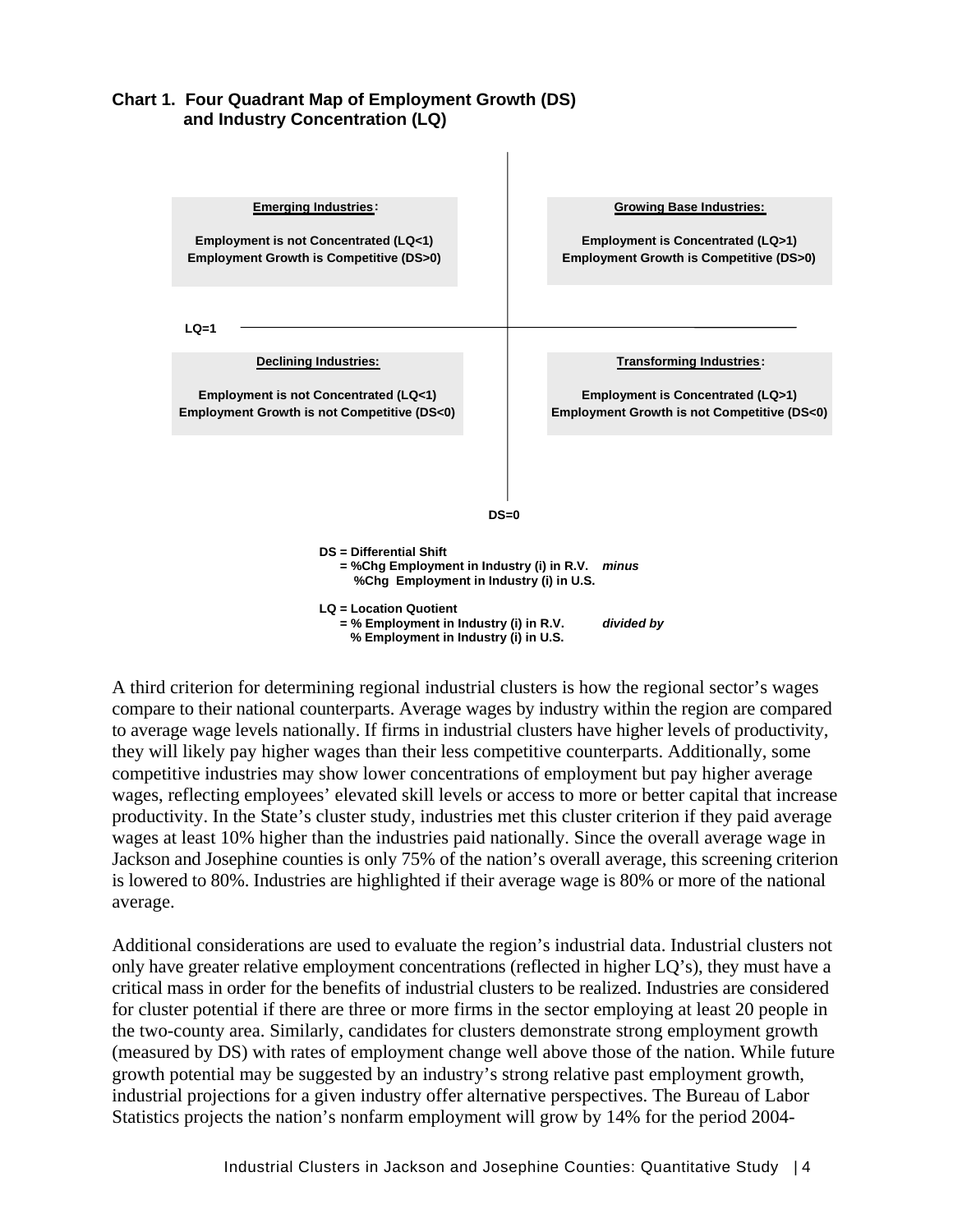**Chart 1. Four Quadrant Map of Employment Growth (DS) and Industry Concentration (LQ)** 



A third criterion for determining regional industrial clusters is how the regional sector's wages compare to their national counterparts. Average wages by industry within the region are compared to average wage levels nationally. If firms in industrial clusters have higher levels of productivity, they will likely pay higher wages than their less competitive counterparts. Additionally, some competitive industries may show lower concentrations of employment but pay higher average wages, reflecting employees' elevated skill levels or access to more or better capital that increase productivity. In the State's cluster study, industries met this cluster criterion if they paid average wages at least 10% higher than the industries paid nationally. Since the overall average wage in Jackson and Josephine counties is only 75% of the nation's overall average, this screening criterion is lowered to 80%. Industries are highlighted if their average wage is 80% or more of the national average.

Additional considerations are used to evaluate the region's industrial data. Industrial clusters not only have greater relative employment concentrations (reflected in higher LQ's), they must have a critical mass in order for the benefits of industrial clusters to be realized. Industries are considered for cluster potential if there are three or more firms in the sector employing at least 20 people in the two-county area. Similarly, candidates for clusters demonstrate strong employment growth (measured by DS) with rates of employment change well above those of the nation. While future growth potential may be suggested by an industry's strong relative past employment growth, industrial projections for a given industry offer alternative perspectives. The Bureau of Labor Statistics projects the nation's nonfarm employment will grow by 14% for the period 2004-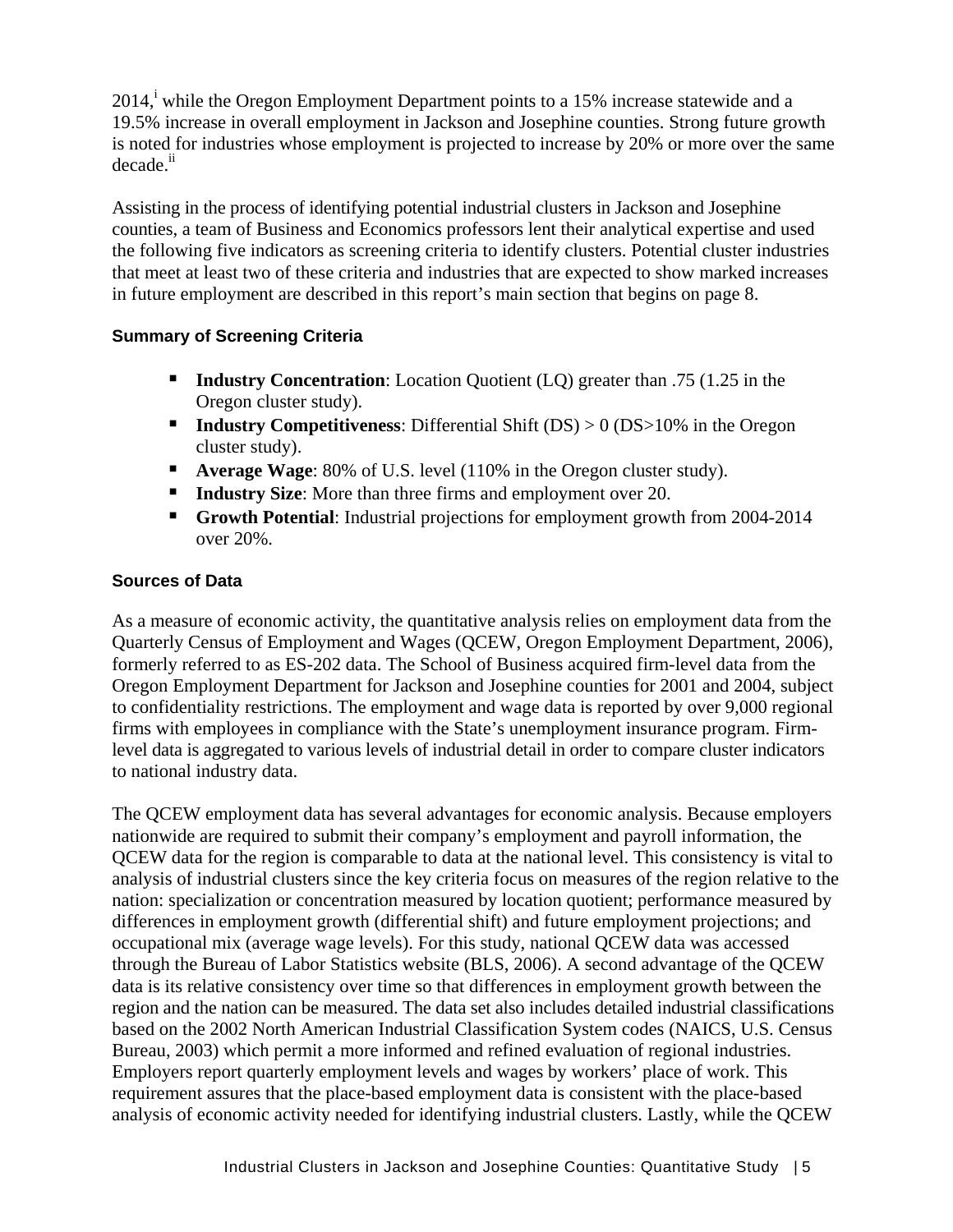$2014$ , while the Oregon Employment Department points to a 15% increase statewide and a 19.5% increase in overall employment in Jackson and Josephine counties. Strong future growth is noted for industries whose employment is projected to increase by 20% or more over the same decade.<sup>ii</sup>

Assisting in the process of identifying potential industrial clusters in Jackson and Josephine counties, a team of Business and Economics professors lent their analytical expertise and used the following five indicators as screening criteria to identify clusters. Potential cluster industries that meet at least two of these criteria and industries that are expected to show marked increases in future employment are described in this report's main section that begins on page 8.

#### **Summary of Screening Criteria**

- **Industry Concentration:** Location Quotient (LQ) greater than .75 (1.25 in the Oregon cluster study).
- **Industry Competitiveness**: Differential Shift (DS) > 0 (DS>10% in the Oregon cluster study).
- **Average Wage:** 80% of U.S. level (110% in the Oregon cluster study).
- **Industry Size:** More than three firms and employment over 20.
- **Growth Potential:** Industrial projections for employment growth from 2004-2014 over 20%.

#### **Sources of Data**

As a measure of economic activity, the quantitative analysis relies on employment data from the Quarterly Census of Employment and Wages (QCEW, Oregon Employment Department, 2006), formerly referred to as ES-202 data. The School of Business acquired firm-level data from the Oregon Employment Department for Jackson and Josephine counties for 2001 and 2004, subject to confidentiality restrictions. The employment and wage data is reported by over 9,000 regional firms with employees in compliance with the State's unemployment insurance program. Firmlevel data is aggregated to various levels of industrial detail in order to compare cluster indicators to national industry data.

The QCEW employment data has several advantages for economic analysis. Because employers nationwide are required to submit their company's employment and payroll information, the QCEW data for the region is comparable to data at the national level. This consistency is vital to analysis of industrial clusters since the key criteria focus on measures of the region relative to the nation: specialization or concentration measured by location quotient; performance measured by differences in employment growth (differential shift) and future employment projections; and occupational mix (average wage levels). For this study, national QCEW data was accessed through the Bureau of Labor Statistics website (BLS, 2006). A second advantage of the QCEW data is its relative consistency over time so that differences in employment growth between the region and the nation can be measured. The data set also includes detailed industrial classifications based on the 2002 North American Industrial Classification System codes (NAICS, U.S. Census Bureau, 2003) which permit a more informed and refined evaluation of regional industries. Employers report quarterly employment levels and wages by workers' place of work. This requirement assures that the place-based employment data is consistent with the place-based analysis of economic activity needed for identifying industrial clusters. Lastly, while the QCEW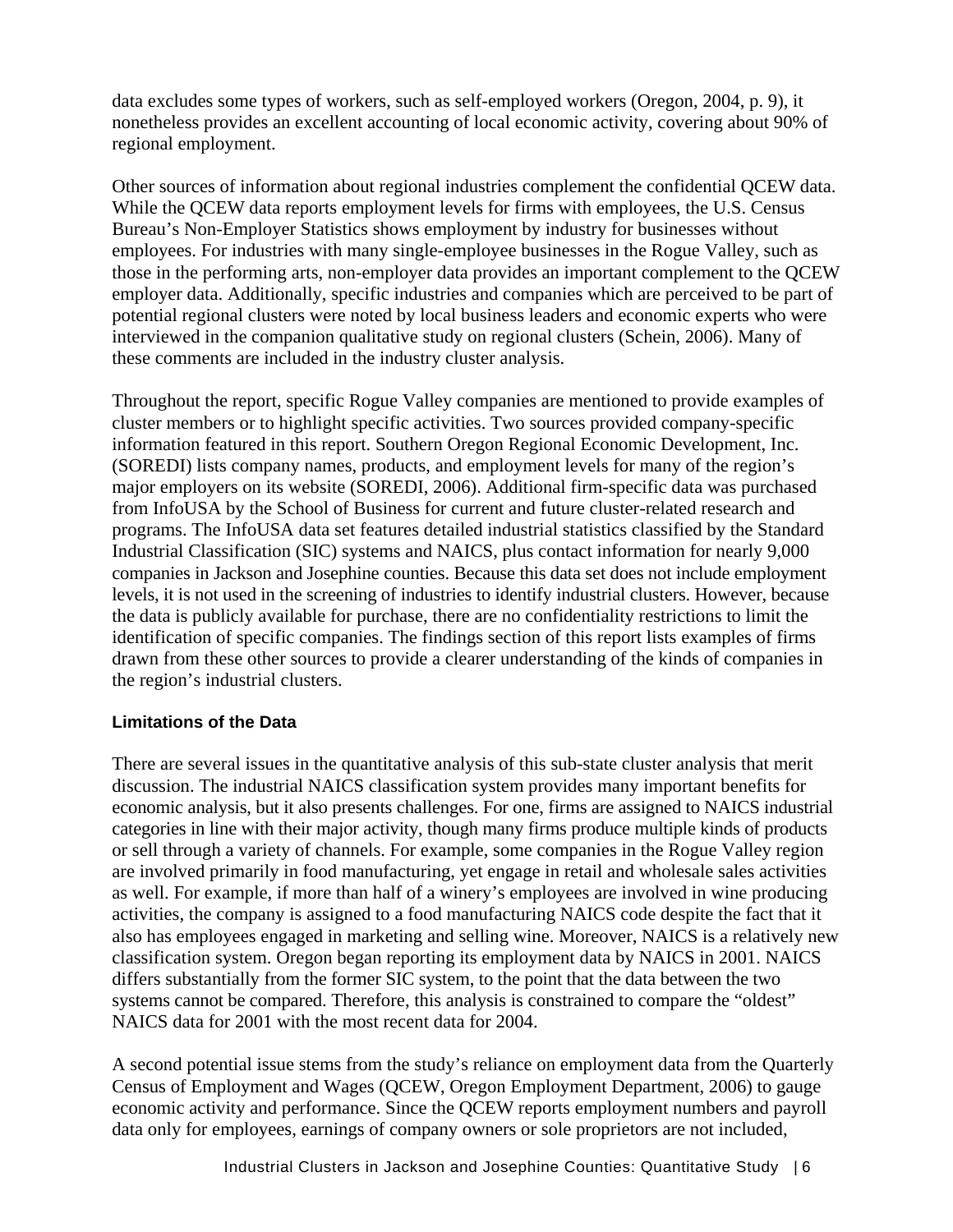data excludes some types of workers, such as self-employed workers (Oregon, 2004, p. 9), it nonetheless provides an excellent accounting of local economic activity, covering about 90% of regional employment.

Other sources of information about regional industries complement the confidential QCEW data. While the QCEW data reports employment levels for firms with employees, the U.S. Census Bureau's Non-Employer Statistics shows employment by industry for businesses without employees. For industries with many single-employee businesses in the Rogue Valley, such as those in the performing arts, non-employer data provides an important complement to the QCEW employer data. Additionally, specific industries and companies which are perceived to be part of potential regional clusters were noted by local business leaders and economic experts who were interviewed in the companion qualitative study on regional clusters (Schein, 2006). Many of these comments are included in the industry cluster analysis.

Throughout the report, specific Rogue Valley companies are mentioned to provide examples of cluster members or to highlight specific activities. Two sources provided company-specific information featured in this report. Southern Oregon Regional Economic Development, Inc. (SOREDI) lists company names, products, and employment levels for many of the region's major employers on its website (SOREDI, 2006). Additional firm-specific data was purchased from InfoUSA by the School of Business for current and future cluster-related research and programs. The InfoUSA data set features detailed industrial statistics classified by the Standard Industrial Classification (SIC) systems and NAICS, plus contact information for nearly 9,000 companies in Jackson and Josephine counties. Because this data set does not include employment levels, it is not used in the screening of industries to identify industrial clusters. However, because the data is publicly available for purchase, there are no confidentiality restrictions to limit the identification of specific companies. The findings section of this report lists examples of firms drawn from these other sources to provide a clearer understanding of the kinds of companies in the region's industrial clusters.

#### **Limitations of the Data**

There are several issues in the quantitative analysis of this sub-state cluster analysis that merit discussion. The industrial NAICS classification system provides many important benefits for economic analysis, but it also presents challenges. For one, firms are assigned to NAICS industrial categories in line with their major activity, though many firms produce multiple kinds of products or sell through a variety of channels. For example, some companies in the Rogue Valley region are involved primarily in food manufacturing, yet engage in retail and wholesale sales activities as well. For example, if more than half of a winery's employees are involved in wine producing activities, the company is assigned to a food manufacturing NAICS code despite the fact that it also has employees engaged in marketing and selling wine. Moreover, NAICS is a relatively new classification system. Oregon began reporting its employment data by NAICS in 2001. NAICS differs substantially from the former SIC system, to the point that the data between the two systems cannot be compared. Therefore, this analysis is constrained to compare the "oldest" NAICS data for 2001 with the most recent data for 2004.

A second potential issue stems from the study's reliance on employment data from the Quarterly Census of Employment and Wages (QCEW, Oregon Employment Department, 2006) to gauge economic activity and performance. Since the QCEW reports employment numbers and payroll data only for employees, earnings of company owners or sole proprietors are not included,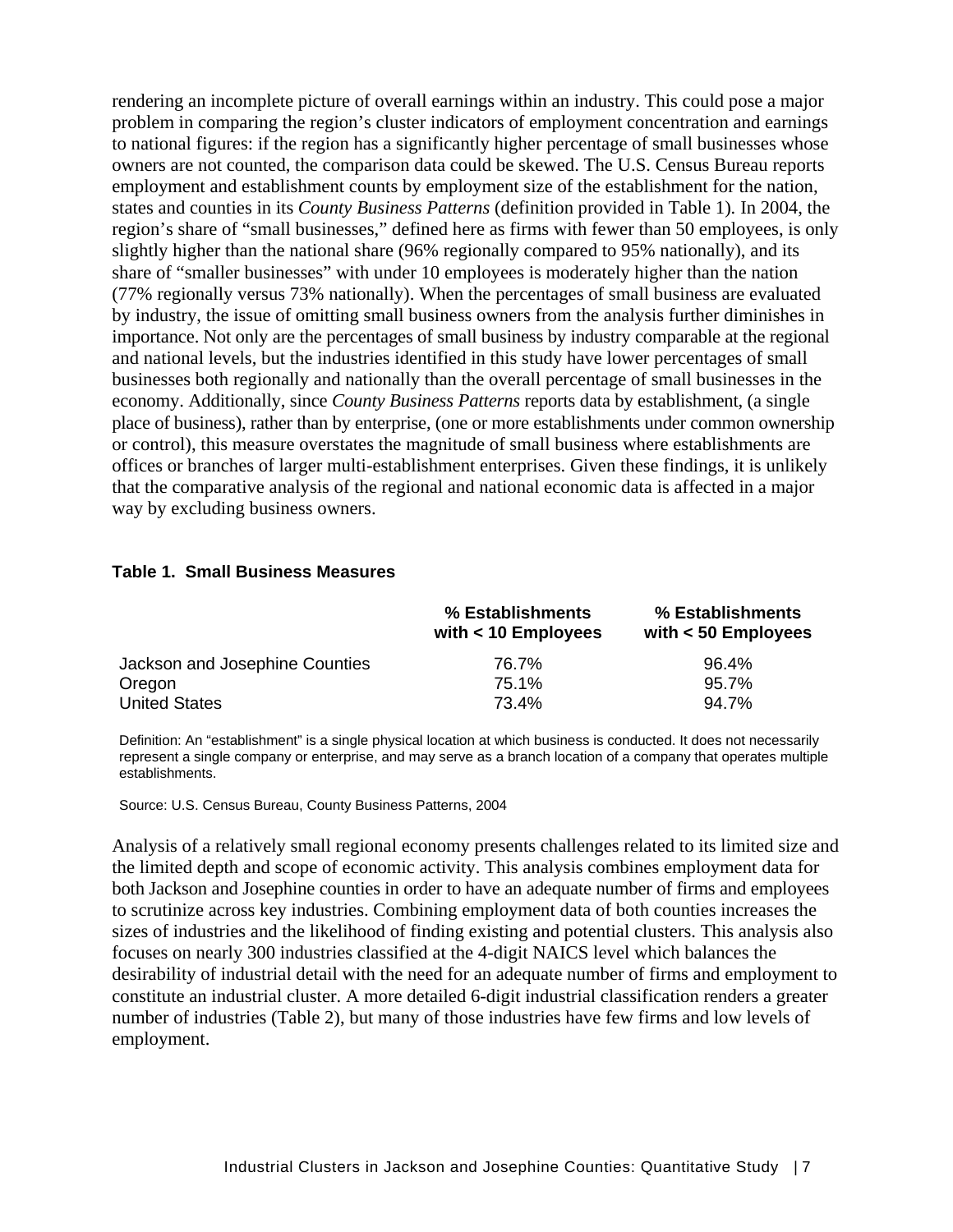rendering an incomplete picture of overall earnings within an industry. This could pose a major problem in comparing the region's cluster indicators of employment concentration and earnings to national figures: if the region has a significantly higher percentage of small businesses whose owners are not counted, the comparison data could be skewed. The U.S. Census Bureau reports employment and establishment counts by employment size of the establishment for the nation, states and counties in its *County Business Patterns* (definition provided in Table 1)*.* In 2004, the region's share of "small businesses," defined here as firms with fewer than 50 employees, is only slightly higher than the national share (96% regionally compared to 95% nationally), and its share of "smaller businesses" with under 10 employees is moderately higher than the nation (77% regionally versus 73% nationally). When the percentages of small business are evaluated by industry, the issue of omitting small business owners from the analysis further diminishes in importance. Not only are the percentages of small business by industry comparable at the regional and national levels, but the industries identified in this study have lower percentages of small businesses both regionally and nationally than the overall percentage of small businesses in the economy. Additionally, since *County Business Patterns* reports data by establishment, (a single place of business), rather than by enterprise, (one or more establishments under common ownership or control), this measure overstates the magnitude of small business where establishments are offices or branches of larger multi-establishment enterprises. Given these findings, it is unlikely that the comparative analysis of the regional and national economic data is affected in a major way by excluding business owners.

#### **Table 1. Small Business Measures**

|                                | % Establishments<br>with $<$ 10 Employees | % Establishments<br>with $<$ 50 Employees |  |  |
|--------------------------------|-------------------------------------------|-------------------------------------------|--|--|
| Jackson and Josephine Counties | 76.7%                                     | $96.4\%$                                  |  |  |
| Oregon                         | 75.1%                                     | $95.7\%$                                  |  |  |
| <b>United States</b>           | 73.4%                                     | $94.7\%$                                  |  |  |

Definition: An "establishment" is a single physical location at which business is conducted. It does not necessarily represent a single company or enterprise, and may serve as a branch location of a company that operates multiple establishments.

Source: U.S. Census Bureau, County Business Patterns, 2004

Analysis of a relatively small regional economy presents challenges related to its limited size and the limited depth and scope of economic activity. This analysis combines employment data for both Jackson and Josephine counties in order to have an adequate number of firms and employees to scrutinize across key industries. Combining employment data of both counties increases the sizes of industries and the likelihood of finding existing and potential clusters. This analysis also focuses on nearly 300 industries classified at the 4-digit NAICS level which balances the desirability of industrial detail with the need for an adequate number of firms and employment to constitute an industrial cluster. A more detailed 6-digit industrial classification renders a greater number of industries (Table 2), but many of those industries have few firms and low levels of employment.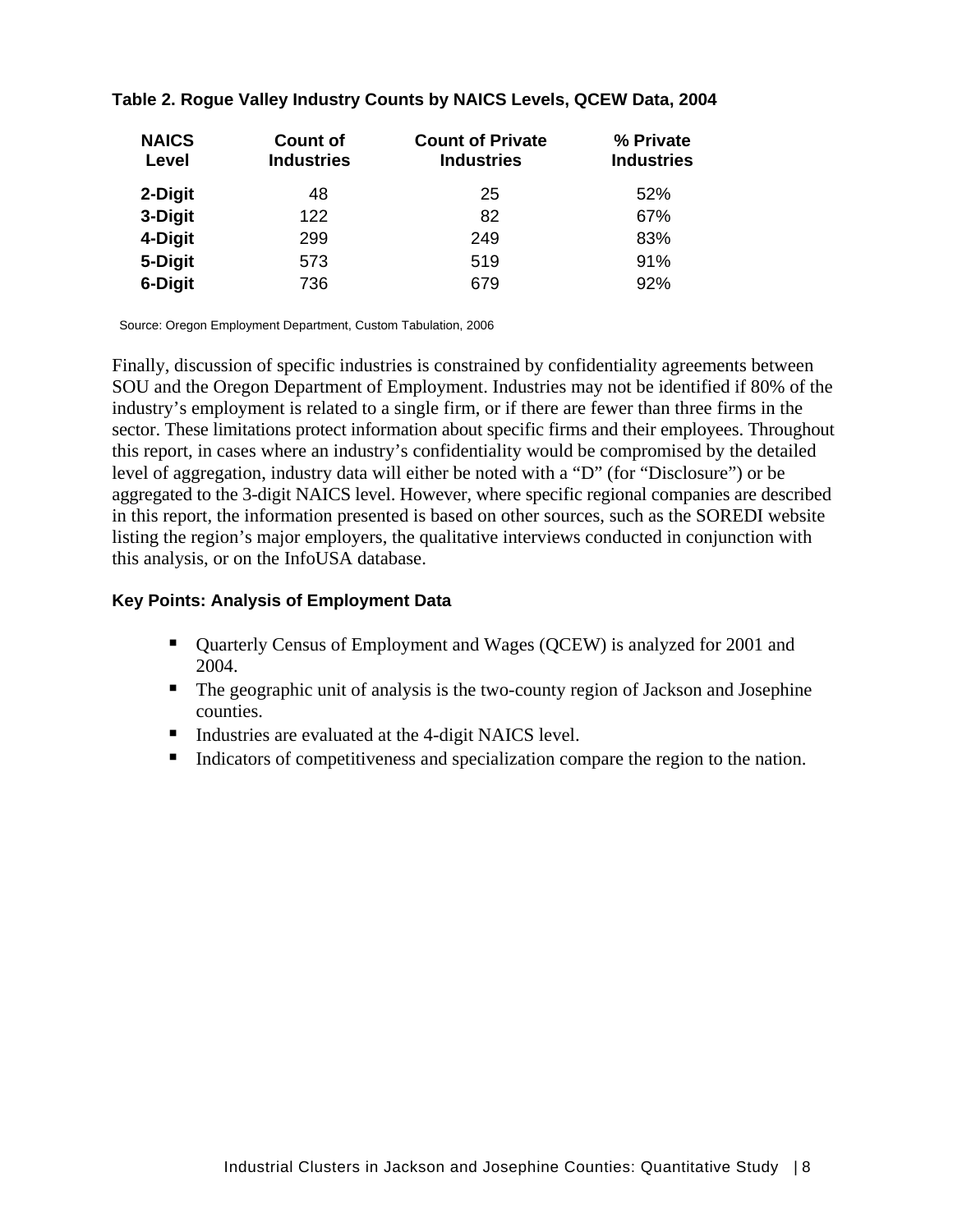| <b>NAICS</b><br>Level | <b>Count of</b><br><b>Industries</b> | <b>Count of Private</b><br><b>Industries</b> | % Private<br><b>Industries</b> |
|-----------------------|--------------------------------------|----------------------------------------------|--------------------------------|
| 2-Digit               | 48                                   | 25                                           | 52%                            |
| 3-Digit               | 122                                  | 82                                           | 67%                            |
| 4-Digit               | 299                                  | 249                                          | 83%                            |
| 5-Digit               | 573                                  | 519                                          | 91%                            |
| 6-Digit               | 736                                  | 679                                          | 92%                            |

#### **Table 2. Rogue Valley Industry Counts by NAICS Levels, QCEW Data, 2004**

Source: Oregon Employment Department, Custom Tabulation, 2006

Finally, discussion of specific industries is constrained by confidentiality agreements between SOU and the Oregon Department of Employment. Industries may not be identified if 80% of the industry's employment is related to a single firm, or if there are fewer than three firms in the sector. These limitations protect information about specific firms and their employees. Throughout this report, in cases where an industry's confidentiality would be compromised by the detailed level of aggregation, industry data will either be noted with a "D" (for "Disclosure") or be aggregated to the 3-digit NAICS level. However, where specific regional companies are described in this report, the information presented is based on other sources, such as the SOREDI website listing the region's major employers, the qualitative interviews conducted in conjunction with this analysis, or on the InfoUSA database.

#### **Key Points: Analysis of Employment Data**

- Quarterly Census of Employment and Wages (QCEW) is analyzed for 2001 and 2004.
- The geographic unit of analysis is the two-county region of Jackson and Josephine counties.
- Industries are evaluated at the 4-digit NAICS level.
- Indicators of competitiveness and specialization compare the region to the nation.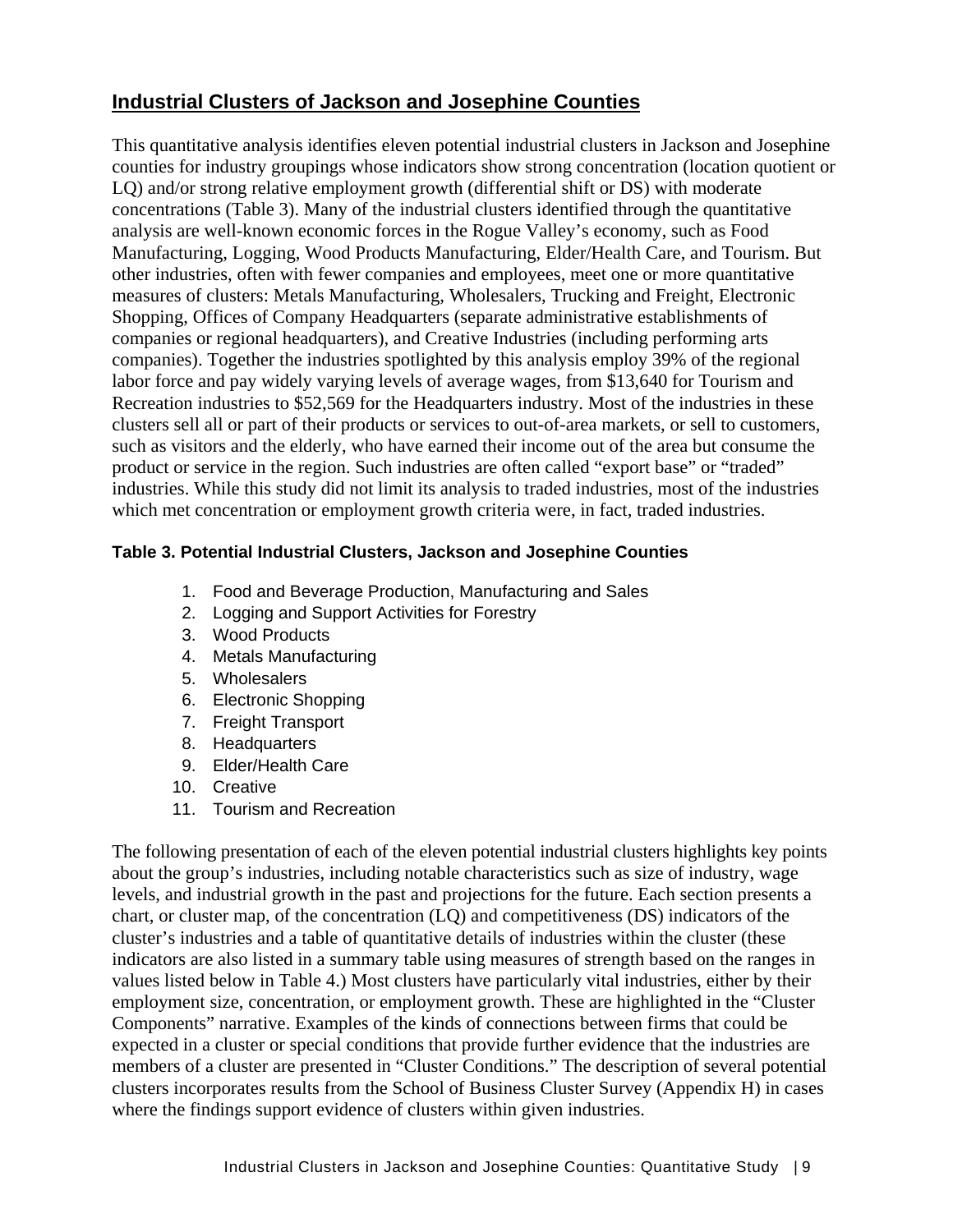## **Industrial Clusters of Jackson and Josephine Counties**

This quantitative analysis identifies eleven potential industrial clusters in Jackson and Josephine counties for industry groupings whose indicators show strong concentration (location quotient or LQ) and/or strong relative employment growth (differential shift or DS) with moderate concentrations (Table 3). Many of the industrial clusters identified through the quantitative analysis are well-known economic forces in the Rogue Valley's economy, such as Food Manufacturing, Logging, Wood Products Manufacturing, Elder/Health Care, and Tourism. But other industries, often with fewer companies and employees, meet one or more quantitative measures of clusters: Metals Manufacturing, Wholesalers, Trucking and Freight, Electronic Shopping, Offices of Company Headquarters (separate administrative establishments of companies or regional headquarters), and Creative Industries (including performing arts companies). Together the industries spotlighted by this analysis employ 39% of the regional labor force and pay widely varying levels of average wages, from \$13,640 for Tourism and Recreation industries to \$52,569 for the Headquarters industry. Most of the industries in these clusters sell all or part of their products or services to out-of-area markets, or sell to customers, such as visitors and the elderly, who have earned their income out of the area but consume the product or service in the region. Such industries are often called "export base" or "traded" industries. While this study did not limit its analysis to traded industries, most of the industries which met concentration or employment growth criteria were, in fact, traded industries.

#### **Table 3. Potential Industrial Clusters, Jackson and Josephine Counties**

- 1. Food and Beverage Production, Manufacturing and Sales
- 2. Logging and Support Activities for Forestry
- 3. Wood Products
- 4. Metals Manufacturing
- 5. Wholesalers
- 6. Electronic Shopping
- 7. Freight Transport
- 8. Headquarters
- 9. Elder/Health Care
- 10. Creative
- 11. Tourism and Recreation

The following presentation of each of the eleven potential industrial clusters highlights key points about the group's industries, including notable characteristics such as size of industry, wage levels, and industrial growth in the past and projections for the future. Each section presents a chart, or cluster map, of the concentration (LQ) and competitiveness (DS) indicators of the cluster's industries and a table of quantitative details of industries within the cluster (these indicators are also listed in a summary table using measures of strength based on the ranges in values listed below in Table 4.) Most clusters have particularly vital industries, either by their employment size, concentration, or employment growth. These are highlighted in the "Cluster Components" narrative. Examples of the kinds of connections between firms that could be expected in a cluster or special conditions that provide further evidence that the industries are members of a cluster are presented in "Cluster Conditions." The description of several potential clusters incorporates results from the School of Business Cluster Survey (Appendix H) in cases where the findings support evidence of clusters within given industries.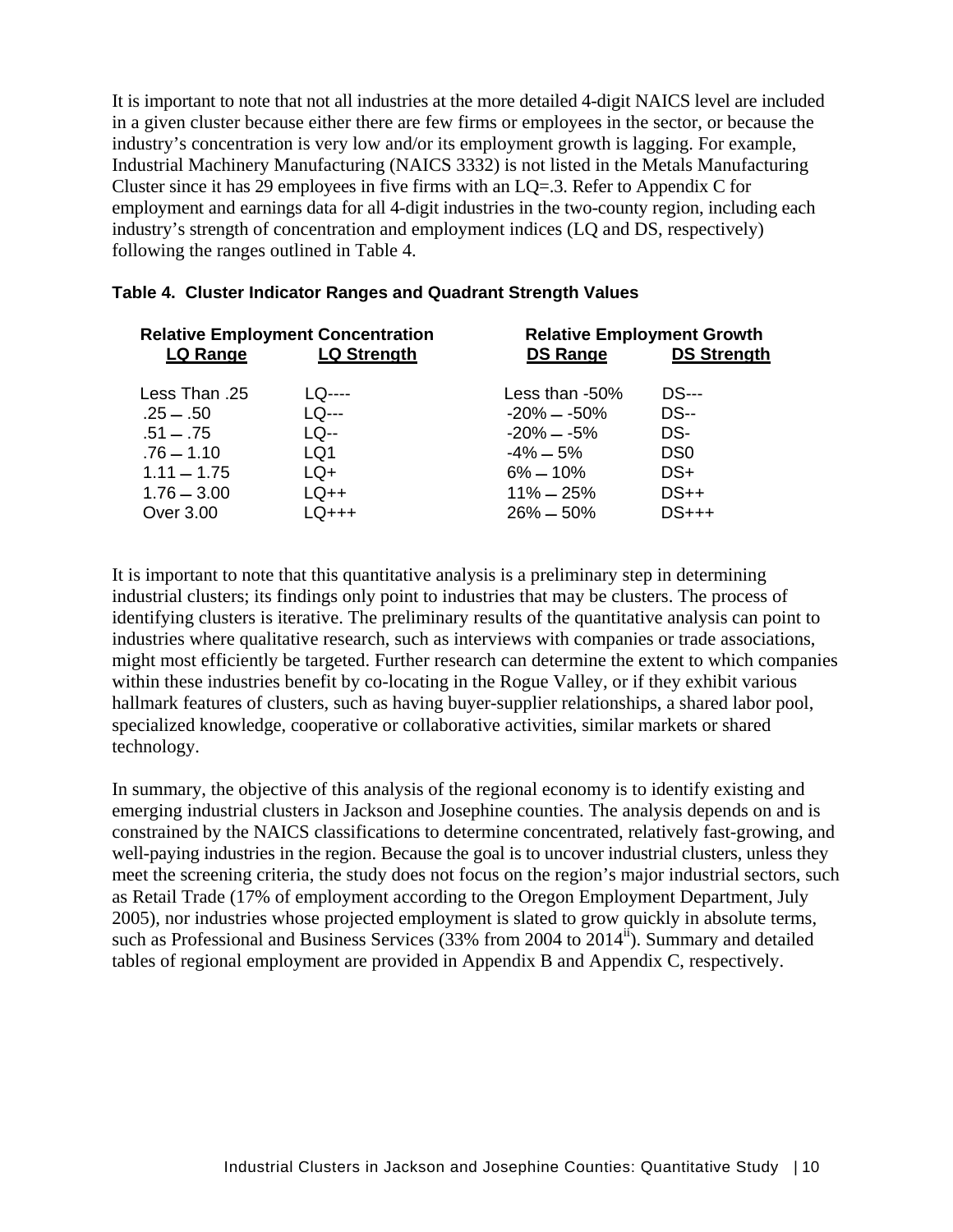It is important to note that not all industries at the more detailed 4-digit NAICS level are included in a given cluster because either there are few firms or employees in the sector, or because the industry's concentration is very low and/or its employment growth is lagging. For example, Industrial Machinery Manufacturing (NAICS 3332) is not listed in the Metals Manufacturing Cluster since it has 29 employees in five firms with an LQ=.3. Refer to Appendix C for employment and earnings data for all 4-digit industries in the two-county region, including each industry's strength of concentration and employment indices (LQ and DS, respectively) following the ranges outlined in Table 4.

| <b>Relative Employment Concentration</b> |                    | <b>Relative Employment Growth</b> |                    |  |  |
|------------------------------------------|--------------------|-----------------------------------|--------------------|--|--|
| LQ Range                                 | <b>LQ Strength</b> | <b>DS Range</b>                   | <b>DS Strength</b> |  |  |
| Less Than .25                            | LQ----             | Less than $-50\%$                 | <b>DS---</b>       |  |  |
| $.25 - .50$                              | $LQ$ ---           | $-20\% - 50\%$                    | <b>DS--</b>        |  |  |
| $.51 - .75$                              | LQ--               | $-20\% - -5\%$                    | DS-                |  |  |
| $.76 - 1.10$                             | LQ1                | $-4\% - 5\%$                      | DS <sub>0</sub>    |  |  |
| $1.11 - 1.75$                            | $LQ+$              | $6\% - 10\%$                      | DS+                |  |  |
| $1.76 - 3.00$                            | $LQ++$             | $11\% - 25\%$                     | $DS++$             |  |  |
| Over 3.00                                | $LQ+++$            | $26\% - 50\%$                     | $DS+++$            |  |  |

#### **Table 4. Cluster Indicator Ranges and Quadrant Strength Values**

It is important to note that this quantitative analysis is a preliminary step in determining industrial clusters; its findings only point to industries that may be clusters. The process of identifying clusters is iterative. The preliminary results of the quantitative analysis can point to industries where qualitative research, such as interviews with companies or trade associations, might most efficiently be targeted. Further research can determine the extent to which companies within these industries benefit by co-locating in the Rogue Valley, or if they exhibit various hallmark features of clusters, such as having buyer-supplier relationships, a shared labor pool, specialized knowledge, cooperative or collaborative activities, similar markets or shared technology.

In summary, the objective of this analysis of the regional economy is to identify existing and emerging industrial clusters in Jackson and Josephine counties. The analysis depends on and is constrained by the NAICS classifications to determine concentrated, relatively fast-growing, and well-paying industries in the region. Because the goal is to uncover industrial clusters, unless they meet the screening criteria, the study does not focus on the region's major industrial sectors, such as Retail Trade (17% of employment according to the Oregon Employment Department, July 2005), nor industries whose projected employment is slated to grow quickly in absolute terms, such as Professional and Business Services  $(33%$  from 2004 to  $2014<sup>ii</sup>$ ). Summary and detailed tables of regional employment are provided in Appendix B and Appendix C, respectively.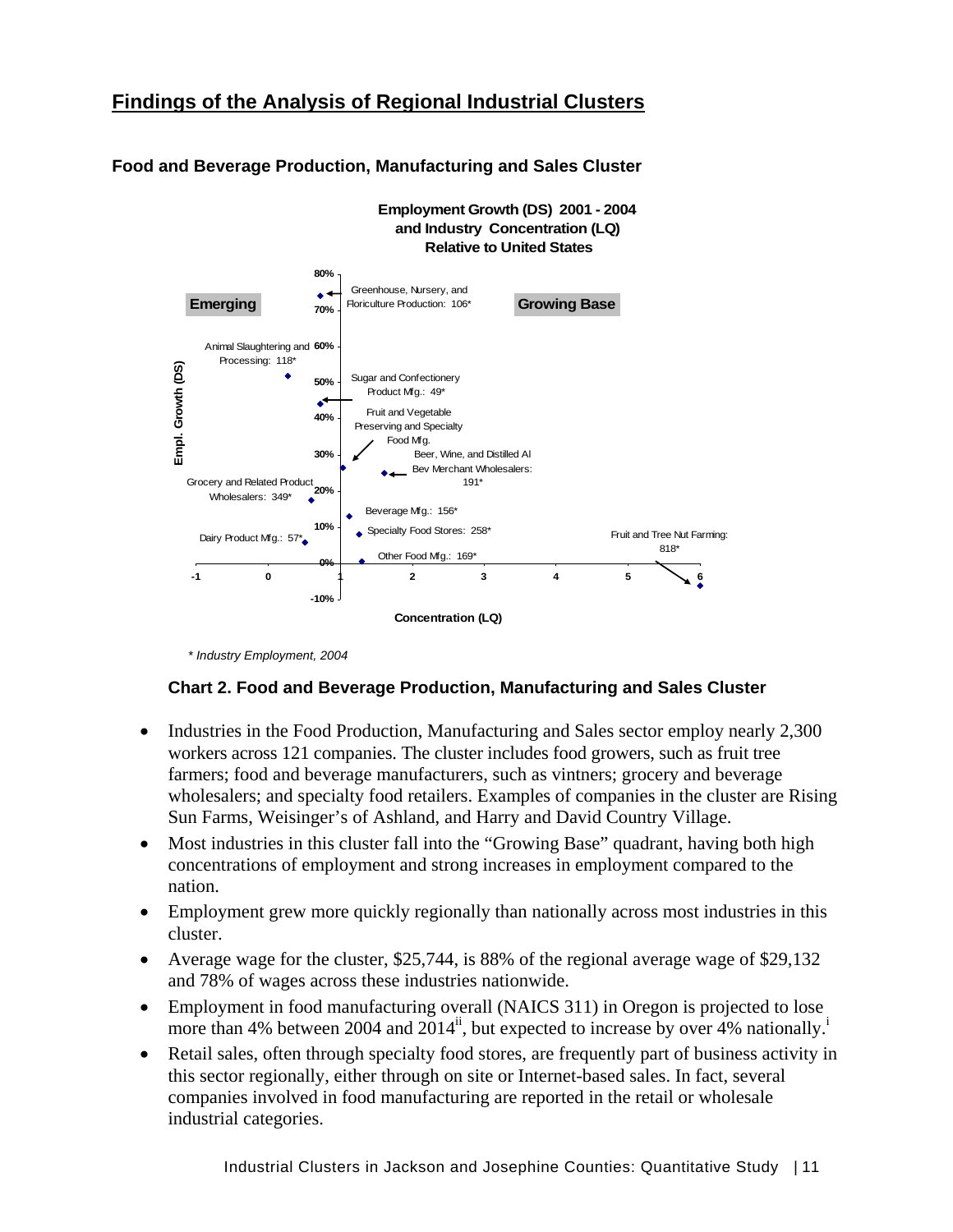## **Findings of the Analysis of Regional Industrial Clusters**



#### **Food and Beverage Production, Manufacturing and Sales Cluster**

 *\* Industry Employment, 2004* 

#### **Chart 2. Food and Beverage Production, Manufacturing and Sales Cluster**

- Industries in the Food Production, Manufacturing and Sales sector employ nearly 2,300 workers across 121 companies. The cluster includes food growers, such as fruit tree farmers; food and beverage manufacturers, such as vintners; grocery and beverage wholesalers; and specialty food retailers. Examples of companies in the cluster are Rising Sun Farms, Weisinger's of Ashland, and Harry and David Country Village.
- Most industries in this cluster fall into the "Growing Base" quadrant, having both high concentrations of employment and strong increases in employment compared to the nation.
- Employment grew more quickly regionally than nationally across most industries in this cluster.
- Average wage for the cluster, \$25,744, is 88% of the regional average wage of \$29,132 and 78% of wages across these industries nationwide.
- Employment in food manufacturing overall (NAICS 311) in Oregon is projected to lose more than 4% between 2004 and  $2014^{ii}$ , but expected to increase by over 4% nationally.<sup>i</sup>
- Retail sales, often through specialty food stores, are frequently part of business activity in this sector regionally, either through on site or Internet-based sales. In fact, several companies involved in food manufacturing are reported in the retail or wholesale industrial categories.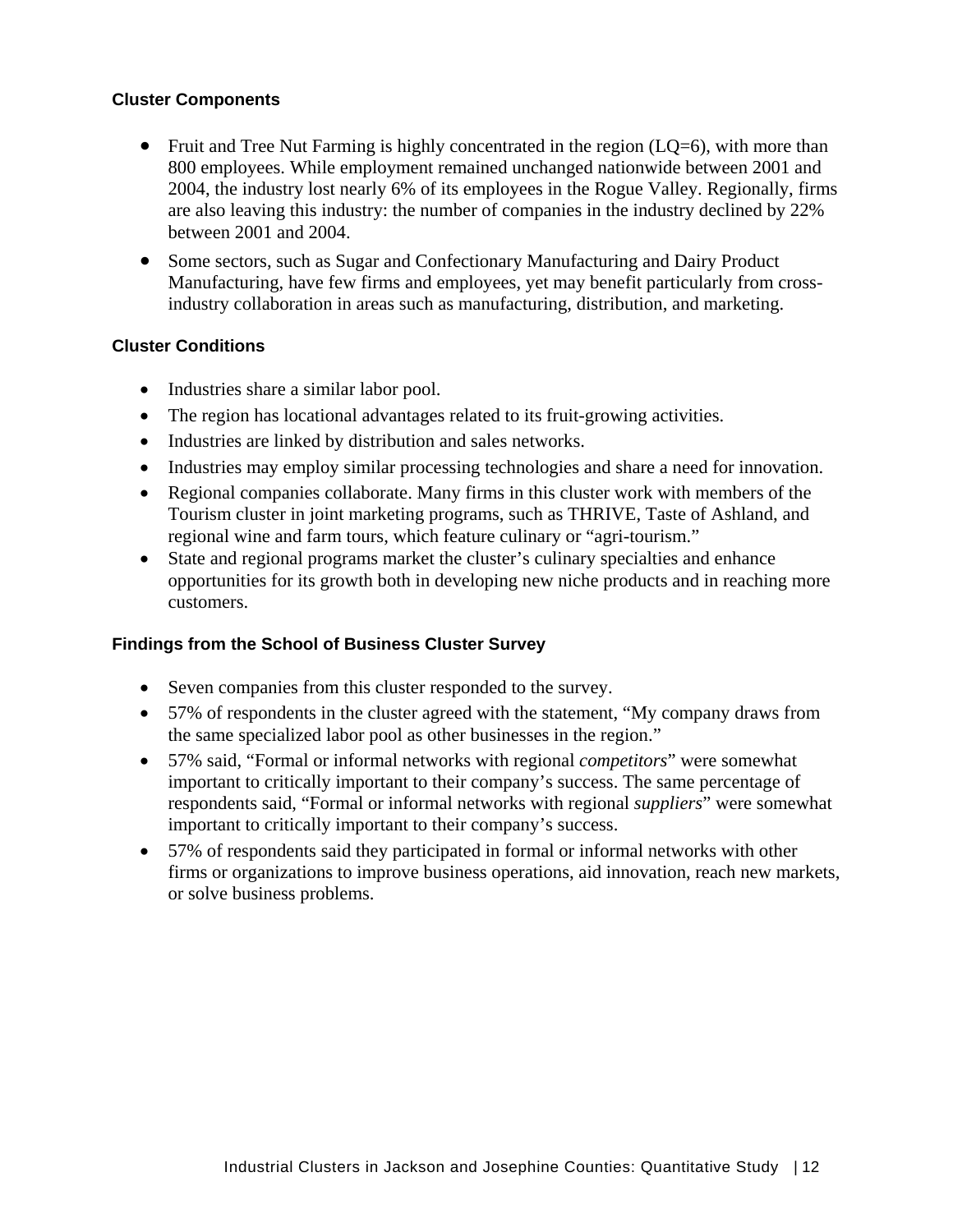#### **Cluster Components**

- Fruit and Tree Nut Farming is highly concentrated in the region  $(LO=6)$ , with more than 800 employees. While employment remained unchanged nationwide between 2001 and 2004, the industry lost nearly 6% of its employees in the Rogue Valley. Regionally, firms are also leaving this industry: the number of companies in the industry declined by 22% between 2001 and 2004.
- Some sectors, such as Sugar and Confectionary Manufacturing and Dairy Product Manufacturing, have few firms and employees, yet may benefit particularly from crossindustry collaboration in areas such as manufacturing, distribution, and marketing.

#### **Cluster Conditions**

- Industries share a similar labor pool.
- The region has locational advantages related to its fruit-growing activities.
- Industries are linked by distribution and sales networks.
- Industries may employ similar processing technologies and share a need for innovation.
- Regional companies collaborate. Many firms in this cluster work with members of the Tourism cluster in joint marketing programs, such as THRIVE, Taste of Ashland, and regional wine and farm tours, which feature culinary or "agri-tourism."
- State and regional programs market the cluster's culinary specialties and enhance opportunities for its growth both in developing new niche products and in reaching more customers.

#### **Findings from the School of Business Cluster Survey**

- Seven companies from this cluster responded to the survey.
- 57% of respondents in the cluster agreed with the statement, "My company draws from the same specialized labor pool as other businesses in the region."
- 57% said, "Formal or informal networks with regional *competitors*" were somewhat important to critically important to their company's success. The same percentage of respondents said, "Formal or informal networks with regional *suppliers*" were somewhat important to critically important to their company's success.
- 57% of respondents said they participated in formal or informal networks with other firms or organizations to improve business operations, aid innovation, reach new markets, or solve business problems.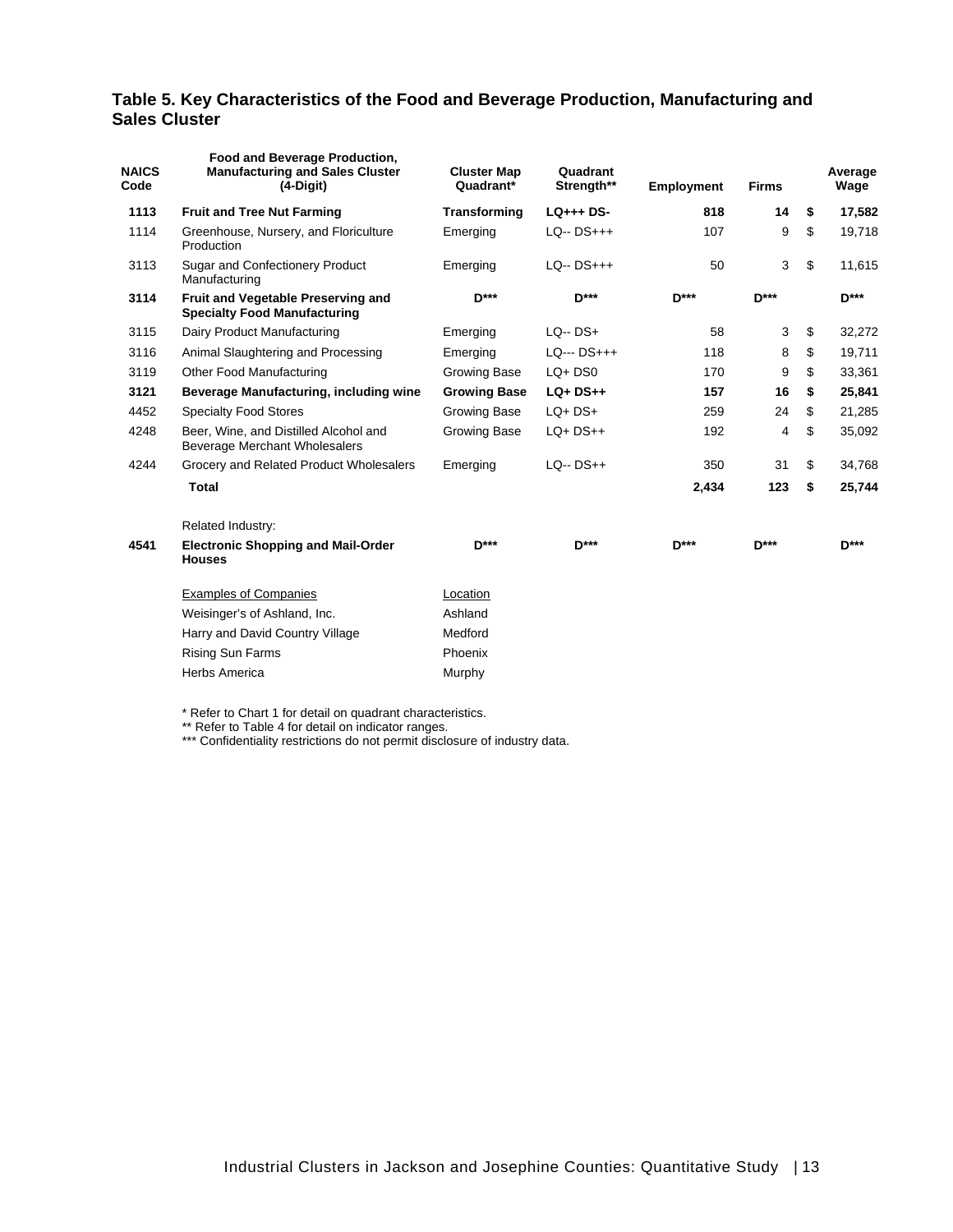#### **Table 5. Key Characteristics of the Food and Beverage Production, Manufacturing and Sales Cluster**

| <b>NAICS</b><br>Code | Food and Beverage Production,<br><b>Manufacturing and Sales Cluster</b><br>$(4-Digit)$ | <b>Cluster Map</b><br>Quadrant* | Quadrant<br>Strength** | <b>Employment</b> | <b>Firms</b> | Average<br>Wage |
|----------------------|----------------------------------------------------------------------------------------|---------------------------------|------------------------|-------------------|--------------|-----------------|
| 1113                 | <b>Fruit and Tree Nut Farming</b>                                                      | Transforming                    | $LQ_{++}$ DS-          | 818               | 14           | \$<br>17,582    |
| 1114                 | Greenhouse, Nursery, and Floriculture<br>Production                                    | Emerging                        | $LQ - DS+++$           | 107               | 9            | \$<br>19,718    |
| 3113                 | Sugar and Confectionery Product<br>Manufacturing                                       | Emerging                        | $LQ - DS+++$           | 50                | 3            | \$<br>11,615    |
| 3114                 | <b>Fruit and Vegetable Preserving and</b><br><b>Specialty Food Manufacturing</b>       | <b>D***</b>                     | <b>D***</b>            | <b>D***</b>       | <b>D***</b>  | <b>D***</b>     |
| 3115                 | Dairy Product Manufacturing                                                            | Emerging                        | $LQ - DS +$            | 58                | 3            | \$<br>32,272    |
| 3116                 | Animal Slaughtering and Processing                                                     | Emerging                        | LQ--- DS+++            | 118               | 8            | \$<br>19,711    |
| 3119                 | <b>Other Food Manufacturing</b>                                                        | Growing Base                    | $LQ + DSO$             | 170               | 9            | \$<br>33,361    |
| 3121                 | Beverage Manufacturing, including wine                                                 | <b>Growing Base</b>             | $LQ+DS++$              | 157               | 16           | \$<br>25,841    |
| 4452                 | <b>Specialty Food Stores</b>                                                           | Growing Base                    | $LQ+DS+$               | 259               | 24           | \$<br>21,285    |
| 4248                 | Beer, Wine, and Distilled Alcohol and<br>Beverage Merchant Wholesalers                 | Growing Base                    | $LQ+DS++$              | 192               | 4            | \$<br>35,092    |
| 4244                 | Grocery and Related Product Wholesalers                                                | Emerging                        | $LQ - DS++$            | 350               | 31           | \$<br>34,768    |
|                      | Total                                                                                  |                                 |                        | 2,434             | 123          | \$<br>25,744    |
|                      | Related Industry:                                                                      |                                 |                        |                   |              |                 |
| 4541                 | <b>Electronic Shopping and Mail-Order</b><br><b>Houses</b>                             | $D***$                          | <b>D</b> ***           | $D***$            | $D***$       | $D***$          |
|                      | <b>Examples of Companies</b>                                                           | Location                        |                        |                   |              |                 |
|                      | Weisinger's of Ashland, Inc.                                                           | Ashland                         |                        |                   |              |                 |
|                      | Harry and David Country Village                                                        | Medford                         |                        |                   |              |                 |
|                      | <b>Rising Sun Farms</b>                                                                | Phoenix                         |                        |                   |              |                 |
|                      | Herbs America                                                                          | Murphy                          |                        |                   |              |                 |

\* Refer to Chart 1 for detail on quadrant characteristics.

\*\* Refer to Table 4 for detail on indicator ranges.

\*\*\* Confidentiality restrictions do not permit disclosure of industry data.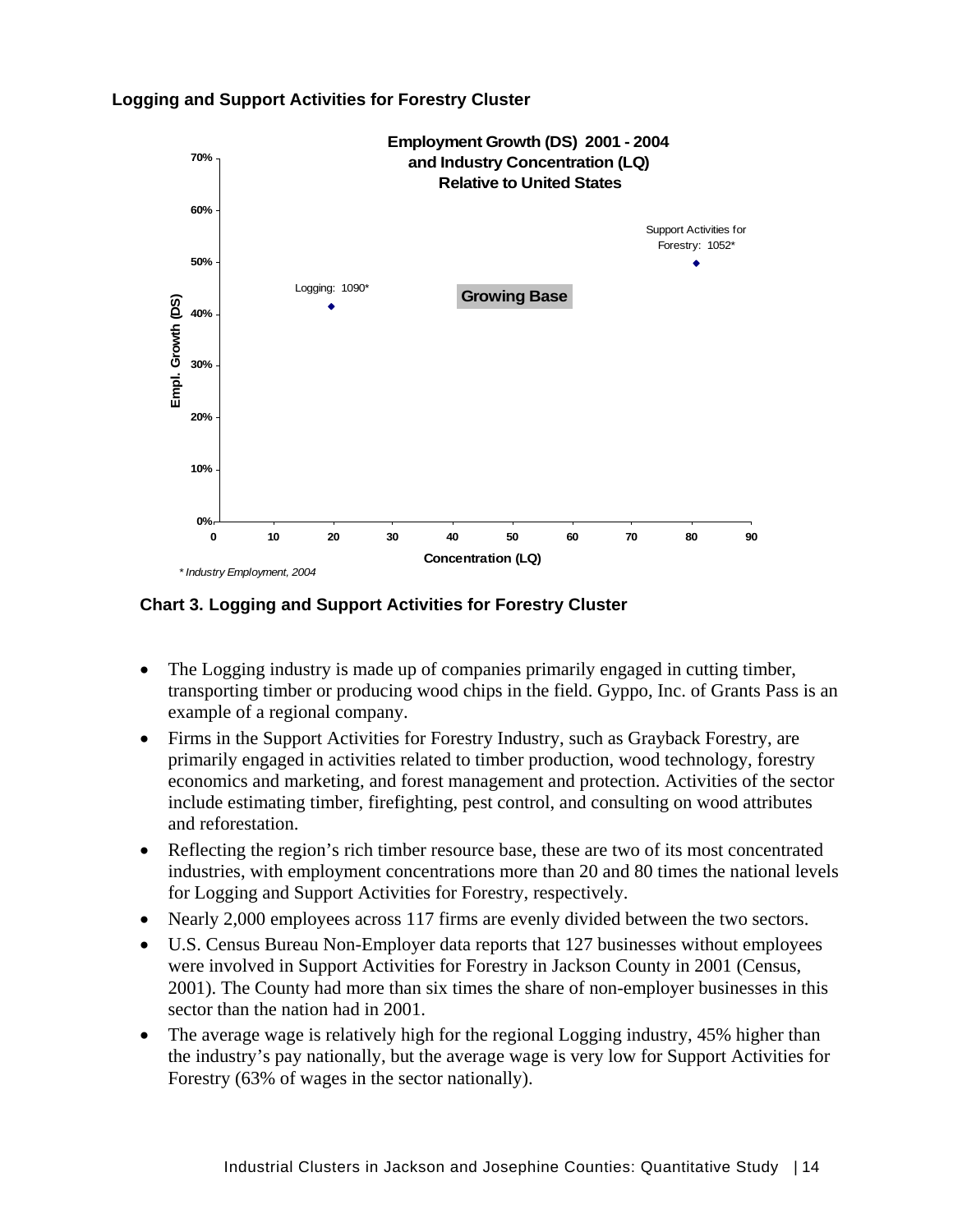



**Chart 3. Logging and Support Activities for Forestry Cluster**

- The Logging industry is made up of companies primarily engaged in cutting timber, transporting timber or producing wood chips in the field. Gyppo, Inc. of Grants Pass is an example of a regional company.
- Firms in the Support Activities for Forestry Industry, such as Grayback Forestry, are primarily engaged in activities related to timber production, wood technology, forestry economics and marketing, and forest management and protection. Activities of the sector include estimating timber, firefighting, pest control, and consulting on wood attributes and reforestation.
- Reflecting the region's rich timber resource base, these are two of its most concentrated industries, with employment concentrations more than 20 and 80 times the national levels for Logging and Support Activities for Forestry, respectively.
- Nearly 2,000 employees across 117 firms are evenly divided between the two sectors.
- U.S. Census Bureau Non-Employer data reports that 127 businesses without employees were involved in Support Activities for Forestry in Jackson County in 2001 (Census, 2001). The County had more than six times the share of non-employer businesses in this sector than the nation had in 2001.
- The average wage is relatively high for the regional Logging industry, 45% higher than the industry's pay nationally, but the average wage is very low for Support Activities for Forestry (63% of wages in the sector nationally).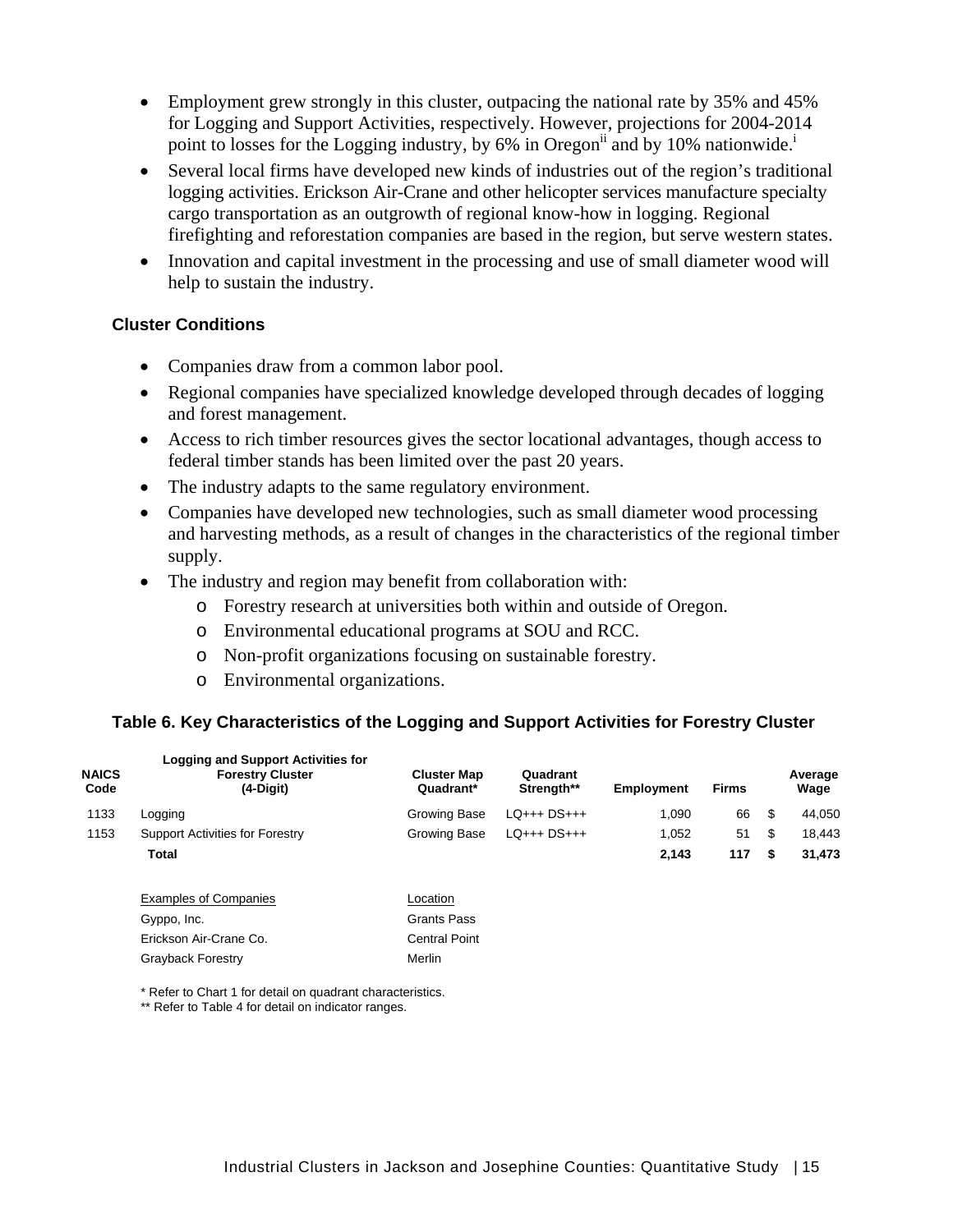- Employment grew strongly in this cluster, outpacing the national rate by 35% and 45% for Logging and Support Activities, respectively. However, projections for 2004-2014 point to losses for the Logging industry, by 6% in Oregon<sup>11</sup> and by 10% nationwide.<sup>1</sup>
- Several local firms have developed new kinds of industries out of the region's traditional logging activities. Erickson Air-Crane and other helicopter services manufacture specialty cargo transportation as an outgrowth of regional know-how in logging. Regional firefighting and reforestation companies are based in the region, but serve western states.
- Innovation and capital investment in the processing and use of small diameter wood will help to sustain the industry.

#### **Cluster Conditions**

- Companies draw from a common labor pool.
- Regional companies have specialized knowledge developed through decades of logging and forest management.
- Access to rich timber resources gives the sector locational advantages, though access to federal timber stands has been limited over the past 20 years.
- The industry adapts to the same regulatory environment.
- Companies have developed new technologies, such as small diameter wood processing and harvesting methods, as a result of changes in the characteristics of the regional timber supply.
- The industry and region may benefit from collaboration with:
	- o Forestry research at universities both within and outside of Oregon.
	- o Environmental educational programs at SOU and RCC.
	- o Non-profit organizations focusing on sustainable forestry.
	- o Environmental organizations.

#### **Table 6. Key Characteristics of the Logging and Support Activities for Forestry Cluster**

| <b>NAICS</b><br>Code | <b>Logging and Support Activities for</b><br><b>Forestry Cluster</b><br>(4-Digit) | <b>Cluster Map</b><br>Quadrant* | Quadrant<br>Strength** | <b>Employment</b> | <b>Firms</b> | Average<br>Wage |
|----------------------|-----------------------------------------------------------------------------------|---------------------------------|------------------------|-------------------|--------------|-----------------|
| 1133                 | Logging                                                                           | Growing Base                    | $LO++$ $DS++$          | 1.090             | 66           | \$<br>44,050    |
| 1153                 | <b>Support Activities for Forestry</b>                                            | Growing Base                    | $LO++$ $DS++$          | 1,052             | 51           | \$<br>18,443    |
|                      | Total                                                                             |                                 |                        | 2,143             | 117          | \$<br>31,473    |
|                      | <b>Examples of Companies</b>                                                      | Location                        |                        |                   |              |                 |
|                      | Gyppo, Inc.                                                                       | <b>Grants Pass</b>              |                        |                   |              |                 |
|                      | Erickson Air-Crane Co.                                                            | <b>Central Point</b>            |                        |                   |              |                 |
|                      | <b>Gravback Forestry</b>                                                          | Merlin                          |                        |                   |              |                 |

\* Refer to Chart 1 for detail on quadrant characteristics.

\*\* Refer to Table 4 for detail on indicator ranges.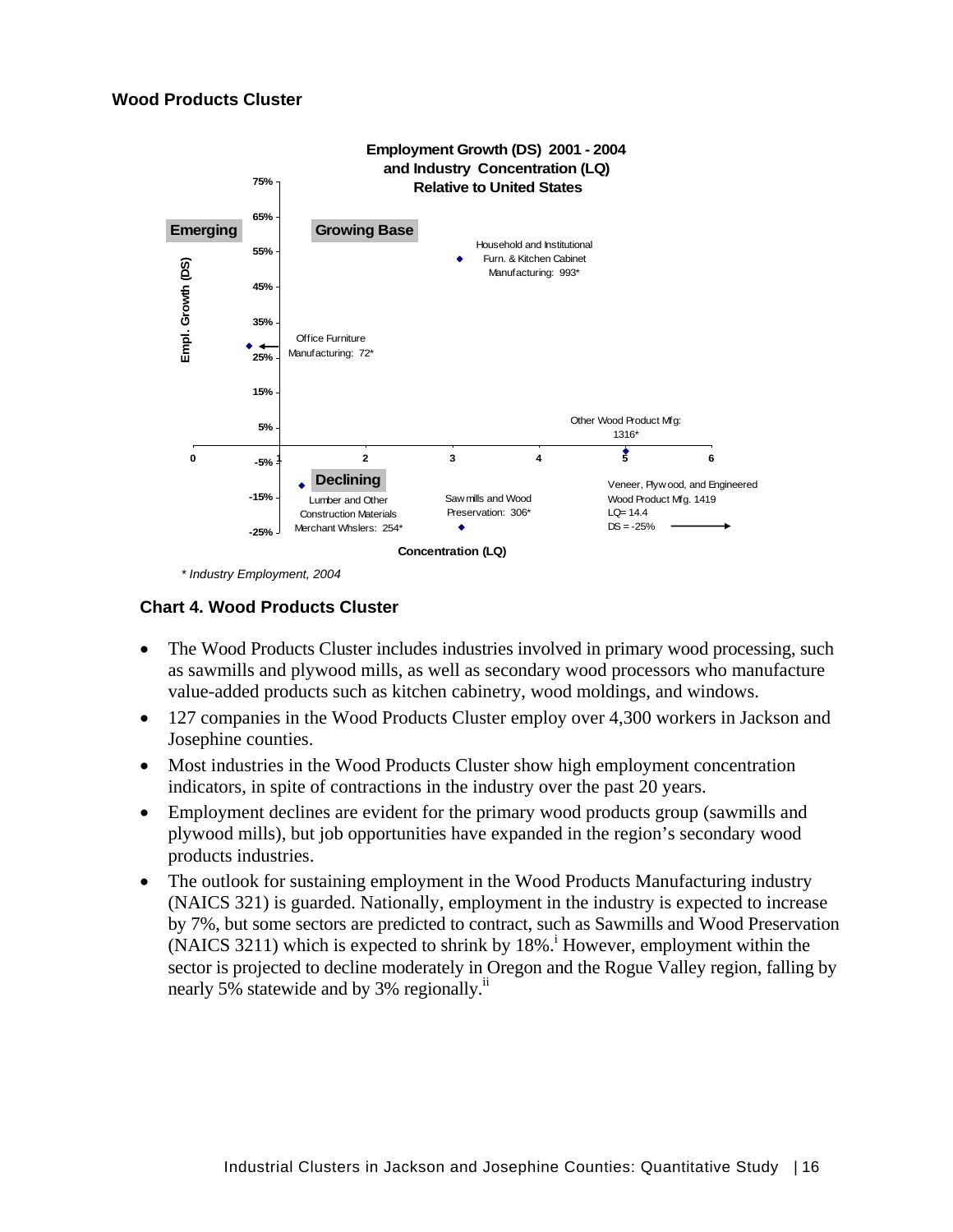

 *\* Industry Employment, 2004* 

#### **Chart 4. Wood Products Cluster**

- The Wood Products Cluster includes industries involved in primary wood processing, such as sawmills and plywood mills, as well as secondary wood processors who manufacture value-added products such as kitchen cabinetry, wood moldings, and windows.
- 127 companies in the Wood Products Cluster employ over 4,300 workers in Jackson and Josephine counties.
- Most industries in the Wood Products Cluster show high employment concentration indicators, in spite of contractions in the industry over the past 20 years.
- Employment declines are evident for the primary wood products group (sawmills and plywood mills), but job opportunities have expanded in the region's secondary wood products industries.
- The outlook for sustaining employment in the Wood Products Manufacturing industry (NAICS 321) is guarded. Nationally, employment in the industry is expected to increase by 7%, but some sectors are predicted to contract, such as Sawmills and Wood Preservation  $(NAICS 3211)$  which is expected to shrink by  $18\%$ .<sup>i</sup> However, employment within the sector is projected to decline moderately in Oregon and the Rogue Valley region, falling by nearly 5% statewide and by 3% regionally.<sup>ii</sup>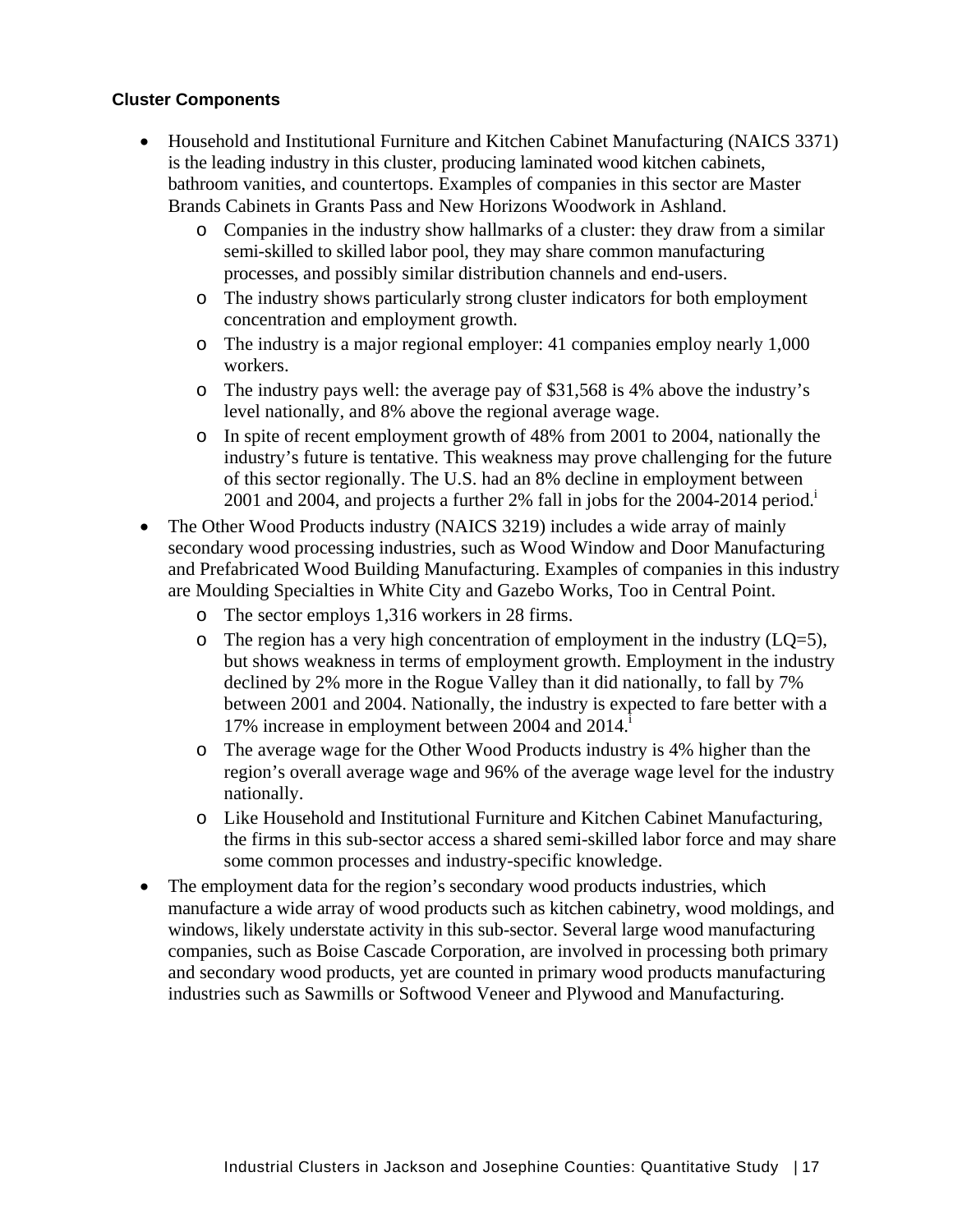#### **Cluster Components**

- Household and Institutional Furniture and Kitchen Cabinet Manufacturing (NAICS 3371) is the leading industry in this cluster, producing laminated wood kitchen cabinets, bathroom vanities, and countertops. Examples of companies in this sector are Master Brands Cabinets in Grants Pass and New Horizons Woodwork in Ashland.
	- o Companies in the industry show hallmarks of a cluster: they draw from a similar semi-skilled to skilled labor pool, they may share common manufacturing processes, and possibly similar distribution channels and end-users.
	- o The industry shows particularly strong cluster indicators for both employment concentration and employment growth.
	- o The industry is a major regional employer: 41 companies employ nearly 1,000 workers.
	- o The industry pays well: the average pay of \$31,568 is 4% above the industry's level nationally, and 8% above the regional average wage.
	- o In spite of recent employment growth of 48% from 2001 to 2004, nationally the industry's future is tentative. This weakness may prove challenging for the future of this sector regionally. The U.S. had an 8% decline in employment between 2001 and 2004, and projects a further 2% fall in jobs for the 2004-2014 period.<sup>i</sup>
- The Other Wood Products industry (NAICS 3219) includes a wide array of mainly secondary wood processing industries, such as Wood Window and Door Manufacturing and Prefabricated Wood Building Manufacturing. Examples of companies in this industry are Moulding Specialties in White City and Gazebo Works, Too in Central Point.
	- o The sector employs 1,316 workers in 28 firms.
	- $\circ$  The region has a very high concentration of employment in the industry (LQ=5), but shows weakness in terms of employment growth. Employment in the industry declined by 2% more in the Rogue Valley than it did nationally, to fall by 7% between 2001 and 2004. Nationally, the industry is expected to fare better with a 17% increase in employment between 2004 and 2014.
	- o The average wage for the Other Wood Products industry is 4% higher than the region's overall average wage and 96% of the average wage level for the industry nationally.
	- o Like Household and Institutional Furniture and Kitchen Cabinet Manufacturing, the firms in this sub-sector access a shared semi-skilled labor force and may share some common processes and industry-specific knowledge.
- The employment data for the region's secondary wood products industries, which manufacture a wide array of wood products such as kitchen cabinetry, wood moldings, and windows, likely understate activity in this sub-sector. Several large wood manufacturing companies, such as Boise Cascade Corporation, are involved in processing both primary and secondary wood products, yet are counted in primary wood products manufacturing industries such as Sawmills or Softwood Veneer and Plywood and Manufacturing.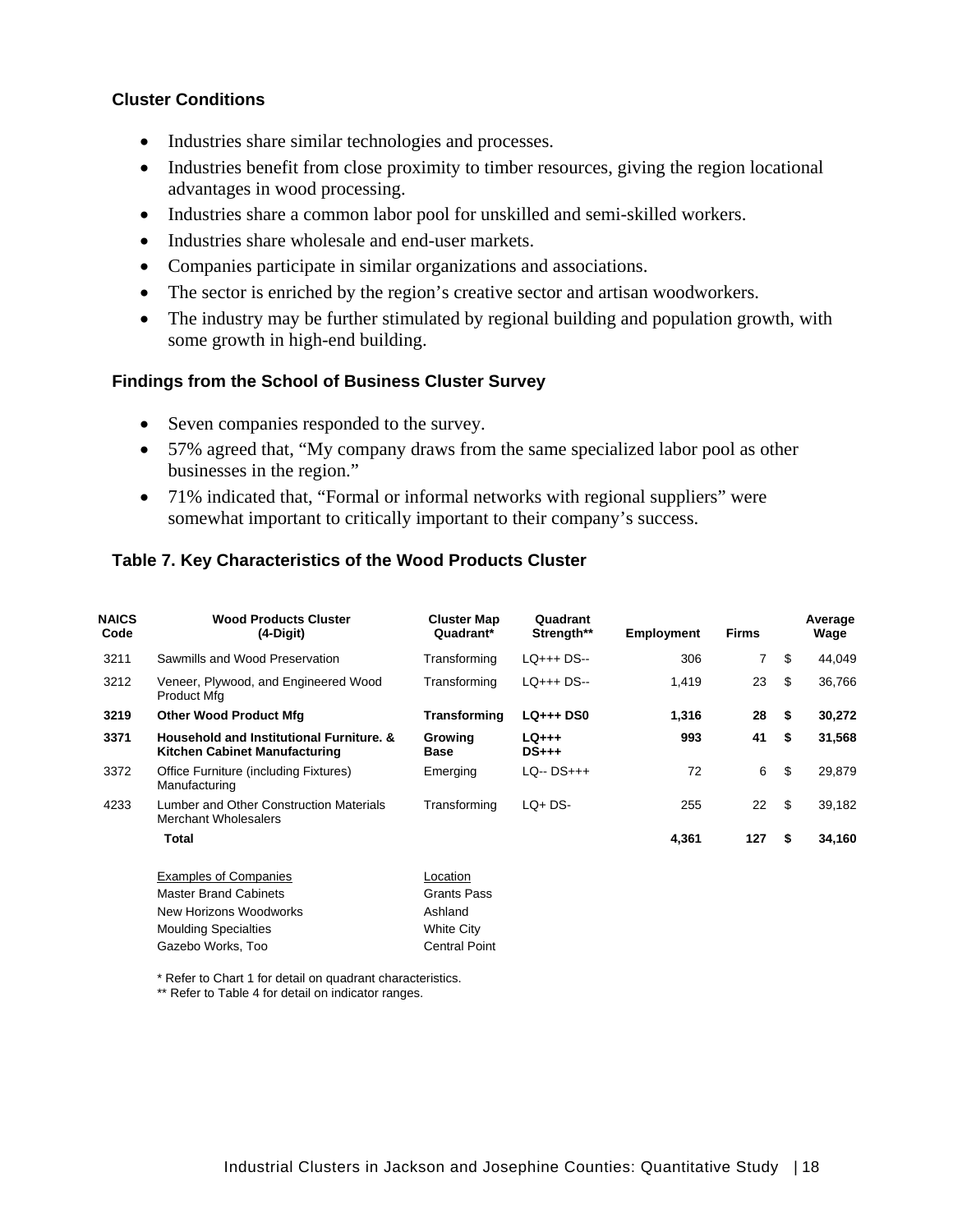#### **Cluster Conditions**

- Industries share similar technologies and processes.
- Industries benefit from close proximity to timber resources, giving the region locational advantages in wood processing.
- Industries share a common labor pool for unskilled and semi-skilled workers.
- Industries share wholesale and end-user markets.
- Companies participate in similar organizations and associations.
- The sector is enriched by the region's creative sector and artisan woodworkers.
- The industry may be further stimulated by regional building and population growth, with some growth in high-end building.

#### **Findings from the School of Business Cluster Survey**

- Seven companies responded to the survey.
- 57% agreed that, "My company draws from the same specialized labor pool as other businesses in the region."
- 71% indicated that, "Formal or informal networks with regional suppliers" were somewhat important to critically important to their company's success.

#### **Table 7. Key Characteristics of the Wood Products Cluster**

| <b>NAICS</b><br>Code | <b>Wood Products Cluster</b><br>$(4-Digit)$                               | <b>Cluster Map</b><br>Quadrant* | Quadrant<br>Strength**   | <b>Employment</b> | <b>Firms</b> |     | Average<br>Wage |
|----------------------|---------------------------------------------------------------------------|---------------------------------|--------------------------|-------------------|--------------|-----|-----------------|
| 3211                 | Sawmills and Wood Preservation                                            | Transforming                    | $LO++$ DS--              | 306               | 7            | \$  | 44,049          |
| 3212                 | Veneer, Plywood, and Engineered Wood<br>Product Mfg                       | Transforming                    | LQ+++ DS--               | 1,419             | 23           | \$  | 36,766          |
| 3219                 | <b>Other Wood Product Mfg</b>                                             | Transforming                    | <b>LQ+++ DS0</b>         | 1,316             | 28           | -\$ | 30,272          |
| 3371                 | Household and Institutional Furniture, &<br>Kitchen Cabinet Manufacturing | Growing<br><b>Base</b>          | $LQ_{+++}$<br>$DS_{+++}$ | 993               | 41           | \$  | 31,568          |
| 3372                 | Office Furniture (including Fixtures)<br>Manufacturing                    | Emerging                        | $LO - DS++$              | 72                | 6            | \$  | 29,879          |
| 4233                 | Lumber and Other Construction Materials<br><b>Merchant Wholesalers</b>    | Transforming                    | $LQ + DS$                | 255               | 22           | \$  | 39,182          |
|                      | Total                                                                     |                                 |                          | 4,361             | 127          | \$  | 34,160          |
|                      | <b>Examples of Companies</b>                                              | Location                        |                          |                   |              |     |                 |
|                      | <b>Master Brand Cabinets</b>                                              | Grants Pass                     |                          |                   |              |     |                 |
|                      | New Horizons Woodworks                                                    | Ashland                         |                          |                   |              |     |                 |
|                      | <b>Moulding Specialties</b>                                               | White City                      |                          |                   |              |     |                 |
|                      | Gazebo Works, Too                                                         | <b>Central Point</b>            |                          |                   |              |     |                 |

\* Refer to Chart 1 for detail on quadrant characteristics.

\*\* Refer to Table 4 for detail on indicator ranges.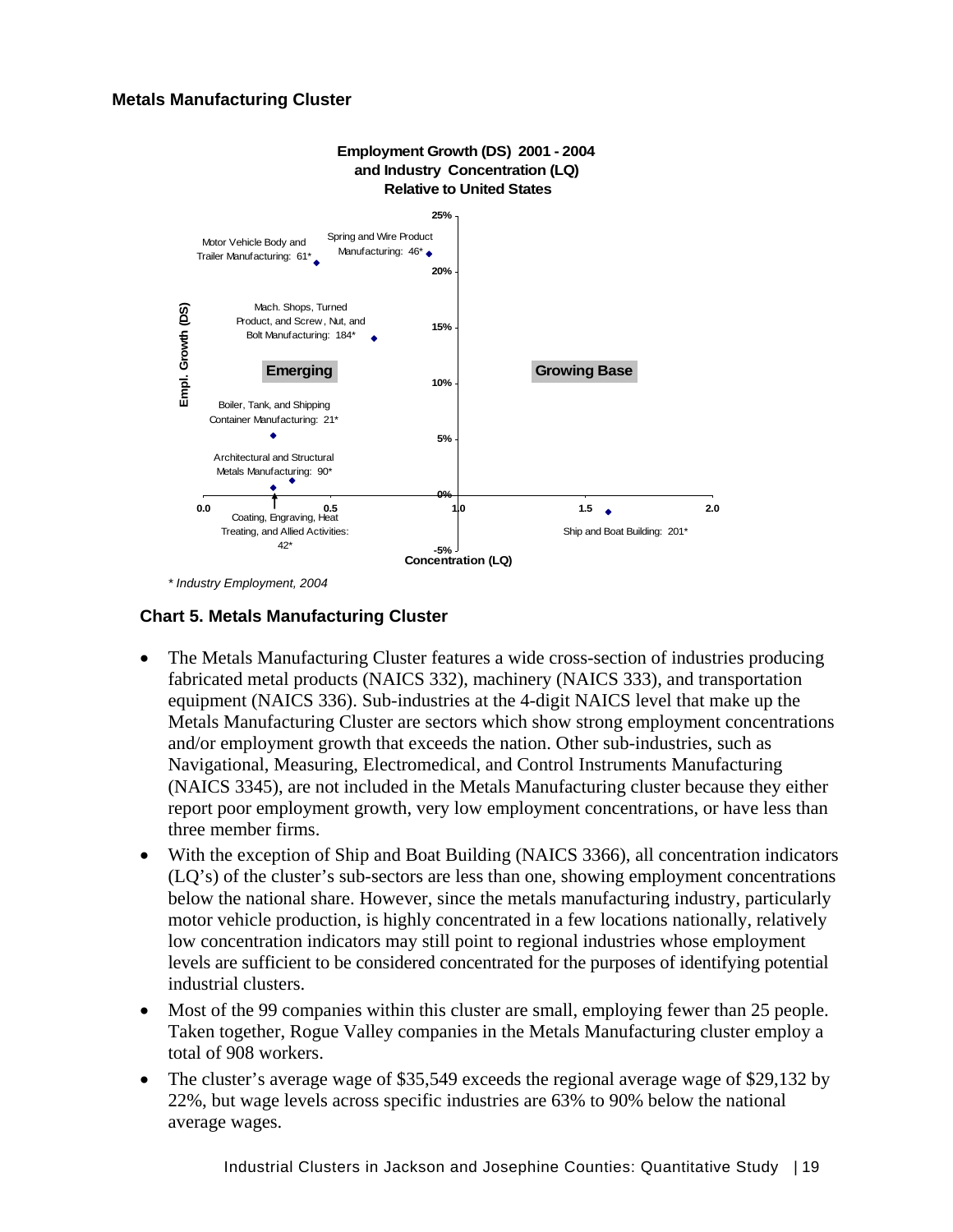#### **Metals Manufacturing Cluster**



*\* Industry Employment, 2004* 

#### **Chart 5. Metals Manufacturing Cluster**

- The Metals Manufacturing Cluster features a wide cross-section of industries producing fabricated metal products (NAICS 332), machinery (NAICS 333), and transportation equipment (NAICS 336). Sub-industries at the 4-digit NAICS level that make up the Metals Manufacturing Cluster are sectors which show strong employment concentrations and/or employment growth that exceeds the nation. Other sub-industries, such as Navigational, Measuring, Electromedical, and Control Instruments Manufacturing (NAICS 3345), are not included in the Metals Manufacturing cluster because they either report poor employment growth, very low employment concentrations, or have less than three member firms.
- With the exception of Ship and Boat Building (NAICS 3366), all concentration indicators (LQ's) of the cluster's sub-sectors are less than one, showing employment concentrations below the national share. However, since the metals manufacturing industry, particularly motor vehicle production, is highly concentrated in a few locations nationally, relatively low concentration indicators may still point to regional industries whose employment levels are sufficient to be considered concentrated for the purposes of identifying potential industrial clusters.
- Most of the 99 companies within this cluster are small, employing fewer than 25 people. Taken together, Rogue Valley companies in the Metals Manufacturing cluster employ a total of 908 workers.
- The cluster's average wage of \$35,549 exceeds the regional average wage of \$29,132 by 22%, but wage levels across specific industries are 63% to 90% below the national average wages.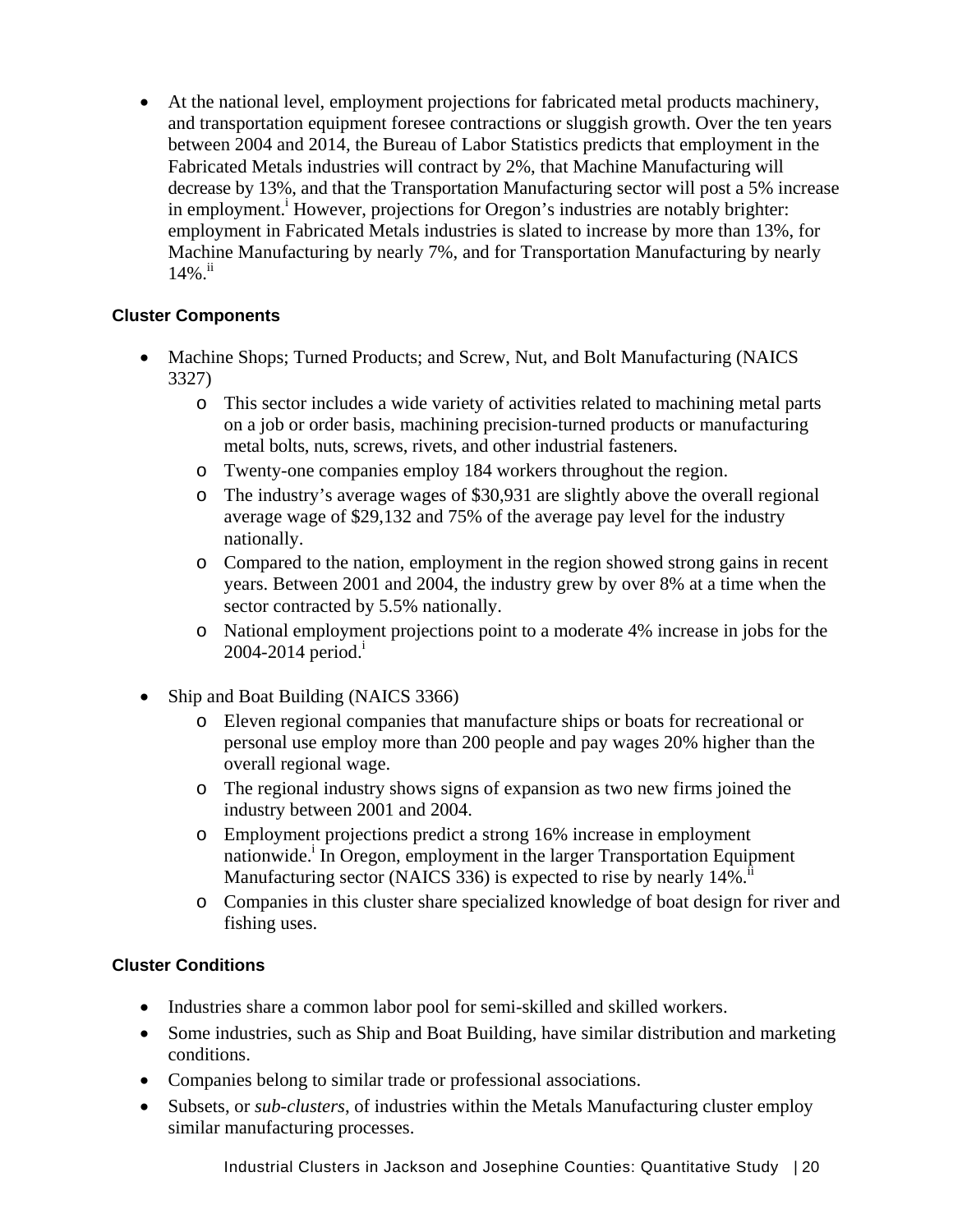• At the national level, employment projections for fabricated metal products machinery, and transportation equipment foresee contractions or sluggish growth. Over the ten years between 2004 and 2014, the Bureau of Labor Statistics predicts that employment in the Fabricated Metals industries will contract by 2%, that Machine Manufacturing will decrease by 13%, and that the Transportation Manufacturing sector will post a 5% increase in employment.<sup>i</sup> However, projections for Oregon's industries are notably brighter: employment in Fabricated Metals industries is slated to increase by more than 13%, for Machine Manufacturing by nearly 7%, and for Transportation Manufacturing by nearly  $14\%$ .

#### **Cluster Components**

- Machine Shops; Turned Products; and Screw, Nut, and Bolt Manufacturing (NAICS) 3327)
	- o This sector includes a wide variety of activities related to machining metal parts on a job or order basis, machining precision-turned products or manufacturing metal bolts, nuts, screws, rivets, and other industrial fasteners.
	- o Twenty-one companies employ 184 workers throughout the region.
	- o The industry's average wages of \$30,931 are slightly above the overall regional average wage of \$29,132 and 75% of the average pay level for the industry nationally.
	- o Compared to the nation, employment in the region showed strong gains in recent years. Between 2001 and 2004, the industry grew by over 8% at a time when the sector contracted by 5.5% nationally.
	- o National employment projections point to a moderate 4% increase in jobs for the  $2004 - 2014$  period.<sup>1</sup>
- Ship and Boat Building (NAICS 3366)
	- o Eleven regional companies that manufacture ships or boats for recreational or personal use employ more than 200 people and pay wages 20% higher than the overall regional wage.
	- o The regional industry shows signs of expansion as two new firms joined the industry between 2001 and 2004.
	- o Employment projections predict a strong 16% increase in employment nationwide.<sup>i</sup> In Oregon, employment in the larger Transportation Equipment Manufacturing sector (NAICS 336) is expected to rise by nearly 14%.<sup>ii</sup>
	- o Companies in this cluster share specialized knowledge of boat design for river and fishing uses.

#### **Cluster Conditions**

- Industries share a common labor pool for semi-skilled and skilled workers.
- Some industries, such as Ship and Boat Building, have similar distribution and marketing conditions.
- Companies belong to similar trade or professional associations.
- Subsets, or *sub-clusters*, of industries within the Metals Manufacturing cluster employ similar manufacturing processes.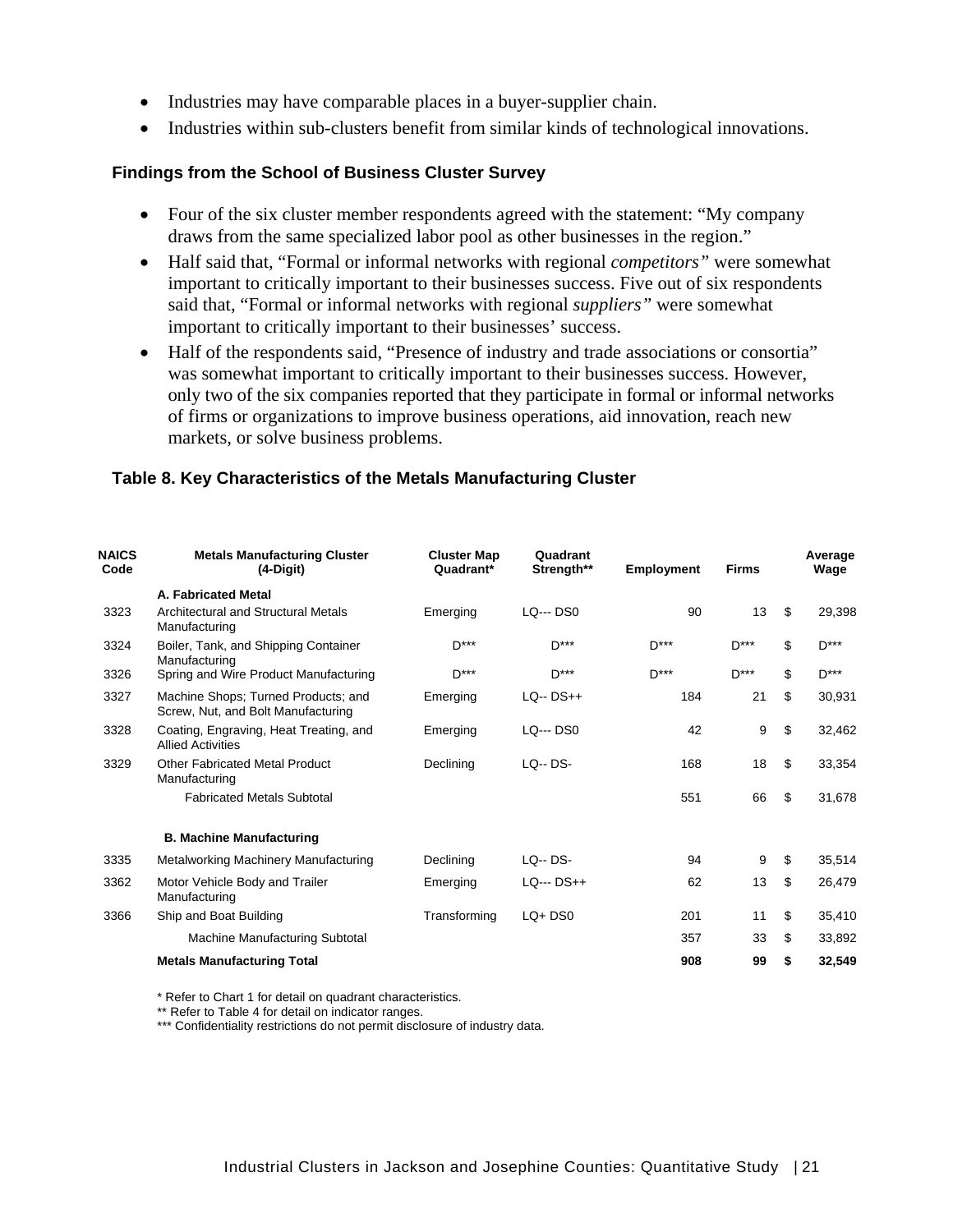- Industries may have comparable places in a buyer-supplier chain.
- Industries within sub-clusters benefit from similar kinds of technological innovations.

#### **Findings from the School of Business Cluster Survey**

- Four of the six cluster member respondents agreed with the statement: "My company" draws from the same specialized labor pool as other businesses in the region."
- Half said that, "Formal or informal networks with regional *competitors"* were somewhat important to critically important to their businesses success. Five out of six respondents said that, "Formal or informal networks with regional *suppliers"* were somewhat important to critically important to their businesses' success.
- Half of the respondents said, "Presence of industry and trade associations or consortia" was somewhat important to critically important to their businesses success. However, only two of the six companies reported that they participate in formal or informal networks of firms or organizations to improve business operations, aid innovation, reach new markets, or solve business problems.

#### **Table 8. Key Characteristics of the Metals Manufacturing Cluster**

| <b>NAICS</b><br>Code | <b>Metals Manufacturing Cluster</b><br>$(4-Digit)$                        | <b>Cluster Map</b><br>Quadrant* | Quadrant<br>Strength** | <b>Employment</b> | <b>Firms</b> | Average<br>Wage |
|----------------------|---------------------------------------------------------------------------|---------------------------------|------------------------|-------------------|--------------|-----------------|
|                      | A. Fabricated Metal                                                       |                                 |                        |                   |              |                 |
| 3323                 | Architectural and Structural Metals<br>Manufacturing                      | Emerging                        | <b>LQ--- DS0</b>       | 90                | 13           | \$<br>29,398    |
| 3324                 | Boiler, Tank, and Shipping Container<br>Manufacturing                     | D***                            | $D***$                 | $D***$            | $D***$       | \$<br>$D***$    |
| 3326                 | Spring and Wire Product Manufacturing                                     | D***                            | $D***$                 | $D***$            | $D***$       | \$<br>D***      |
| 3327                 | Machine Shops; Turned Products; and<br>Screw, Nut, and Bolt Manufacturing | Emerging                        | $LQ - DS++$            | 184               | 21           | \$<br>30,931    |
| 3328                 | Coating, Engraving, Heat Treating, and<br><b>Allied Activities</b>        | Emerging                        | <b>LQ--- DS0</b>       | 42                | 9            | \$<br>32,462    |
| 3329                 | Other Fabricated Metal Product<br>Manufacturing                           | Declining                       | $LO - DS -$            | 168               | 18           | \$<br>33,354    |
|                      | <b>Fabricated Metals Subtotal</b>                                         |                                 |                        | 551               | 66           | \$<br>31,678    |
|                      | <b>B. Machine Manufacturing</b>                                           |                                 |                        |                   |              |                 |
| 3335                 | Metalworking Machinery Manufacturing                                      | Declining                       | <b>LQ-- DS-</b>        | 94                | 9            | \$<br>35,514    |
| 3362                 | Motor Vehicle Body and Trailer<br>Manufacturing                           | Emerging                        | $LQ- DS++$             | 62                | 13           | \$<br>26,479    |
| 3366                 | Ship and Boat Building                                                    | Transforming                    | $LQ+DS0$               | 201               | 11           | \$<br>35,410    |
|                      | Machine Manufacturing Subtotal                                            |                                 |                        | 357               | 33           | \$<br>33,892    |
|                      | <b>Metals Manufacturing Total</b>                                         |                                 |                        | 908               | 99           | \$<br>32,549    |

\* Refer to Chart 1 for detail on quadrant characteristics.

\*\* Refer to Table 4 for detail on indicator ranges.

\*\*\* Confidentiality restrictions do not permit disclosure of industry data.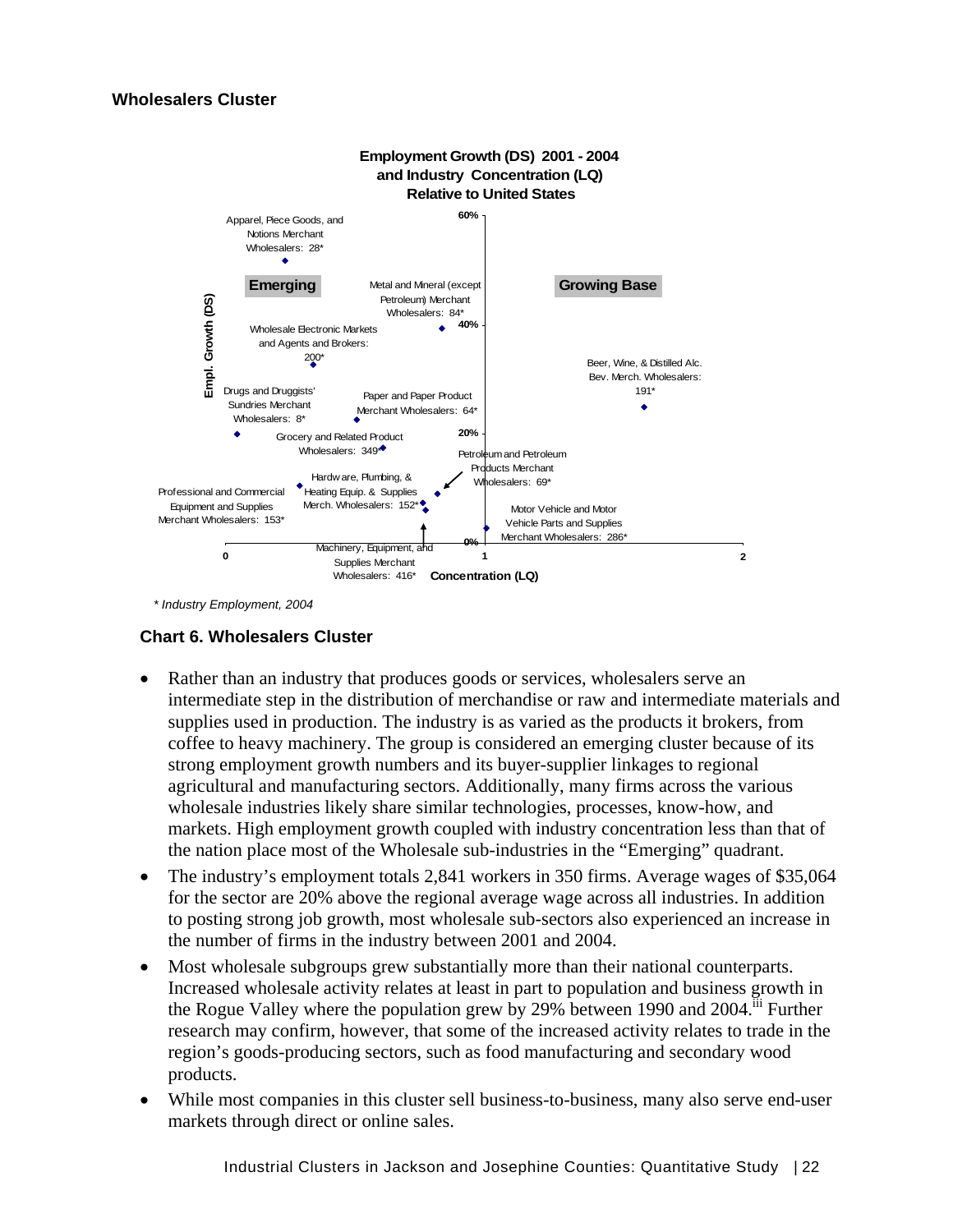#### **Wholesalers Cluster**



 *\* Industry Employment, 2004* 

#### **Chart 6. Wholesalers Cluster**

- Rather than an industry that produces goods or services, wholesalers serve an intermediate step in the distribution of merchandise or raw and intermediate materials and supplies used in production. The industry is as varied as the products it brokers, from coffee to heavy machinery. The group is considered an emerging cluster because of its strong employment growth numbers and its buyer-supplier linkages to regional agricultural and manufacturing sectors. Additionally, many firms across the various wholesale industries likely share similar technologies, processes, know-how, and markets. High employment growth coupled with industry concentration less than that of the nation place most of the Wholesale sub-industries in the "Emerging" quadrant.
- The industry's employment totals 2,841 workers in 350 firms. Average wages of \$35,064 for the sector are 20% above the regional average wage across all industries. In addition to posting strong job growth, most wholesale sub-sectors also experienced an increase in the number of firms in the industry between 2001 and 2004.
- Most wholesale subgroups grew substantially more than their national counterparts. Increased wholesale activity relates at least in part to population and business growth in the Rogue Valley where the population grew by 29% between 1990 and 2004.<sup>iii</sup> Further research may confirm, however, that some of the increased activity relates to trade in the region's goods-producing sectors, such as food manufacturing and secondary wood products.
- While most companies in this cluster sell business-to-business, many also serve end-user markets through direct or online sales.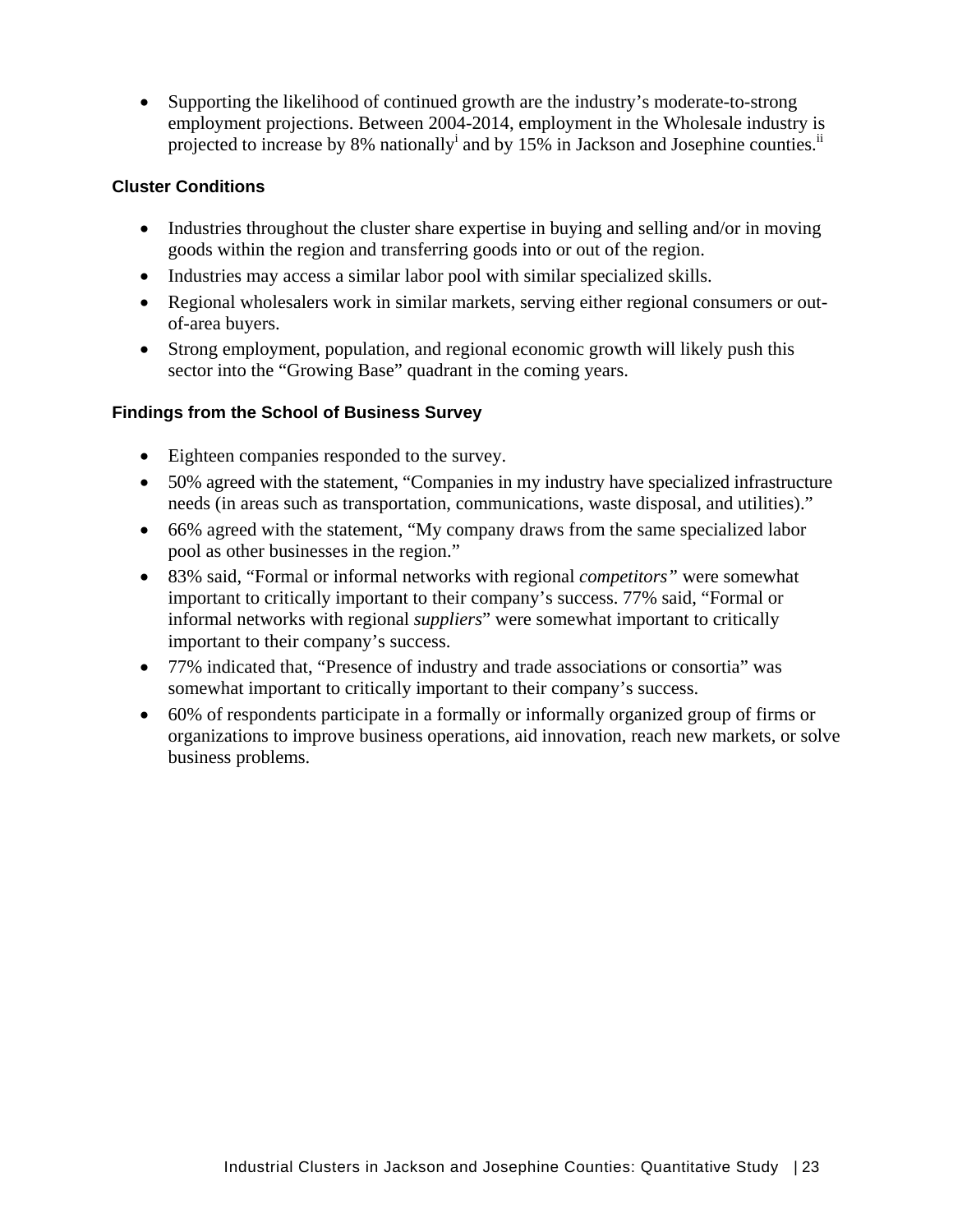• Supporting the likelihood of continued growth are the industry's moderate-to-strong employment projections. Between 2004-2014, employment in the Wholesale industry is projected to increase by 8% nationally and by 15% in Jackson and Josephine counties.<sup>ii</sup>

#### **Cluster Conditions**

- Industries throughout the cluster share expertise in buying and selling and/or in moving goods within the region and transferring goods into or out of the region.
- Industries may access a similar labor pool with similar specialized skills.
- Regional wholesalers work in similar markets, serving either regional consumers or outof-area buyers.
- Strong employment, population, and regional economic growth will likely push this sector into the "Growing Base" quadrant in the coming years.

#### **Findings from the School of Business Survey**

- Eighteen companies responded to the survey.
- 50% agreed with the statement, "Companies in my industry have specialized infrastructure needs (in areas such as transportation, communications, waste disposal, and utilities)."
- 66% agreed with the statement, "My company draws from the same specialized labor pool as other businesses in the region."
- 83% said, "Formal or informal networks with regional *competitors"* were somewhat important to critically important to their company's success. 77% said, "Formal or informal networks with regional *suppliers*" were somewhat important to critically important to their company's success.
- 77% indicated that, "Presence of industry and trade associations or consortia" was somewhat important to critically important to their company's success.
- 60% of respondents participate in a formally or informally organized group of firms or organizations to improve business operations, aid innovation, reach new markets, or solve business problems.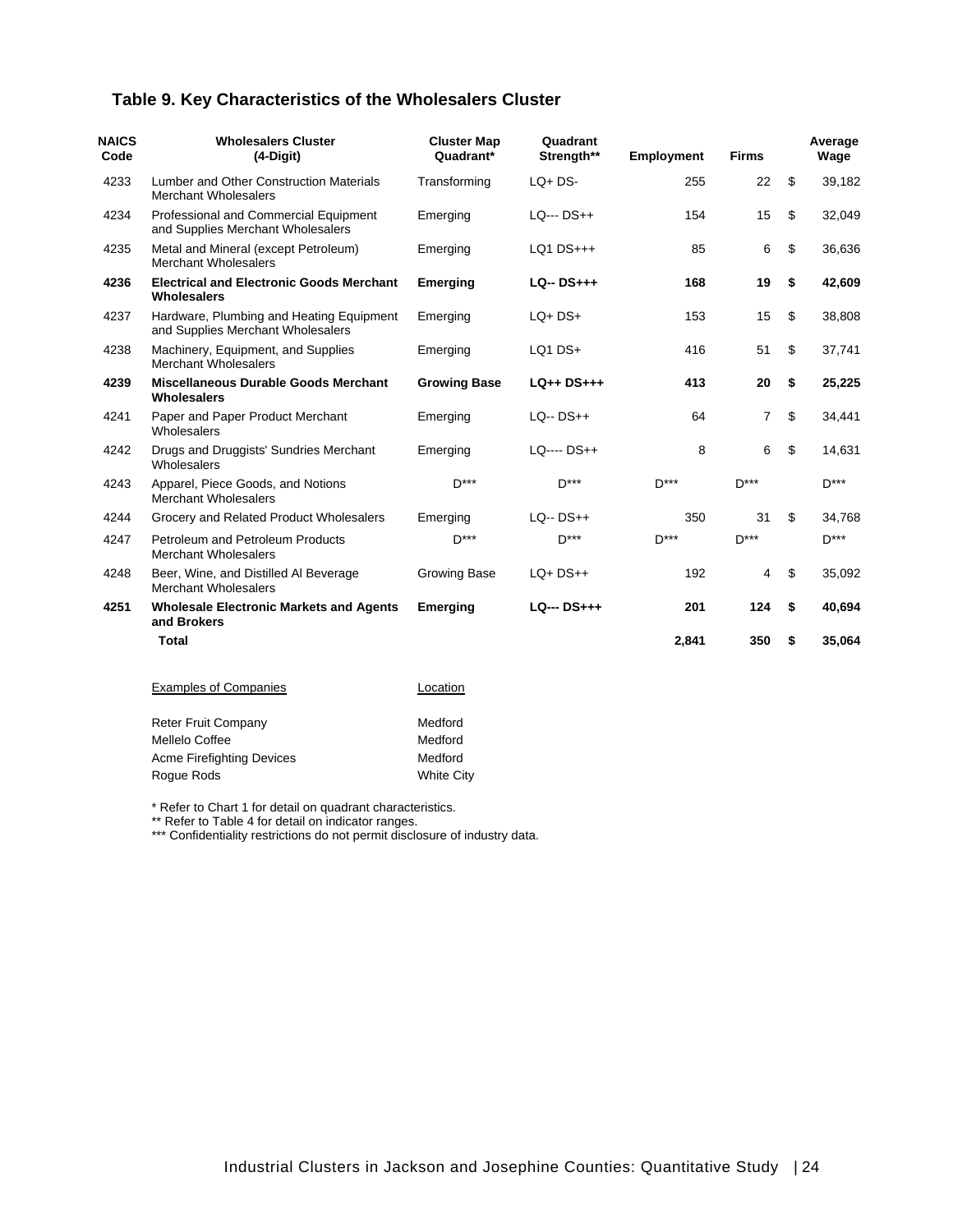#### **Table 9. Key Characteristics of the Wholesalers Cluster**

| <b>NAICS</b><br>Code | <b>Wholesalers Cluster</b><br>$(4-Digit)$                                     | <b>Cluster Map</b><br>Quadrant* | Quadrant<br>Strength** | <b>Employment</b> | Firms              | Average<br>Wage |
|----------------------|-------------------------------------------------------------------------------|---------------------------------|------------------------|-------------------|--------------------|-----------------|
| 4233                 | <b>Lumber and Other Construction Materials</b><br><b>Merchant Wholesalers</b> | Transforming                    | $LQ + DS -$            | 255               | 22                 | \$<br>39,182    |
| 4234                 | Professional and Commercial Equipment<br>and Supplies Merchant Wholesalers    | Emerging                        | $LO- DS++$             | 154               | 15                 | \$<br>32,049    |
| 4235                 | Metal and Mineral (except Petroleum)<br><b>Merchant Wholesalers</b>           | Emerging                        | $LQ1$ $DS+++$          | 85                | 6                  | \$<br>36,636    |
| 4236                 | <b>Electrical and Electronic Goods Merchant</b><br><b>Wholesalers</b>         | <b>Emerging</b>                 | $LQ - DS+++$           | 168               | 19                 | \$<br>42,609    |
| 4237                 | Hardware, Plumbing and Heating Equipment<br>and Supplies Merchant Wholesalers | Emerging                        | $LQ+DS+$               | 153               | 15                 | \$<br>38,808    |
| 4238                 | Machinery, Equipment, and Supplies<br><b>Merchant Wholesalers</b>             | Emerging                        | LQ1 DS+                | 416               | 51                 | \$<br>37,741    |
| 4239                 | <b>Miscellaneous Durable Goods Merchant</b><br><b>Wholesalers</b>             | <b>Growing Base</b>             | $LQ++DS+++$            | 413               | 20                 | \$<br>25,225    |
| 4241                 | Paper and Paper Product Merchant<br>Wholesalers                               | Emerging                        | $LQ - DS++$            | 64                | 7                  | \$<br>34,441    |
| 4242                 | Drugs and Druggists' Sundries Merchant<br>Wholesalers                         | Emerging                        | LQ---- DS++            | 8                 | 6                  | \$<br>14,631    |
| 4243                 | Apparel, Piece Goods, and Notions<br><b>Merchant Wholesalers</b>              | $D***$                          | $D***$                 | D***              | $D***$             | D***            |
| 4244                 | Grocery and Related Product Wholesalers                                       | Emerging                        | $LQ - DS++$            | 350               | 31                 | \$<br>34,768    |
| 4247                 | Petroleum and Petroleum Products<br><b>Merchant Wholesalers</b>               | $D***$                          | $D***$                 | $D***$            | $\mathsf{D}^{***}$ | $D***$          |
| 4248                 | Beer, Wine, and Distilled Al Beverage<br><b>Merchant Wholesalers</b>          | <b>Growing Base</b>             | $LQ+DS++$              | 192               | 4                  | \$<br>35,092    |
| 4251                 | <b>Wholesale Electronic Markets and Agents</b><br>and Brokers                 | <b>Emerging</b>                 | $LQ- DS+++$            | 201               | 124                | \$<br>40,694    |
|                      | <b>Total</b>                                                                  |                                 |                        | 2,841             | 350                | \$<br>35,064    |
|                      | <b>Examples of Companies</b>                                                  | Location                        |                        |                   |                    |                 |
|                      | <b>Reter Fruit Company</b><br>Mellelo Coffee                                  | Medford<br>Medford              |                        |                   |                    |                 |

\* Refer to Chart 1 for detail on quadrant characteristics.

Acme Firefighting Devices Medford Rogue Rods<br>
White City

\*\* Refer to Table 4 for detail on indicator ranges.

\*\*\* Confidentiality restrictions do not permit disclosure of industry data.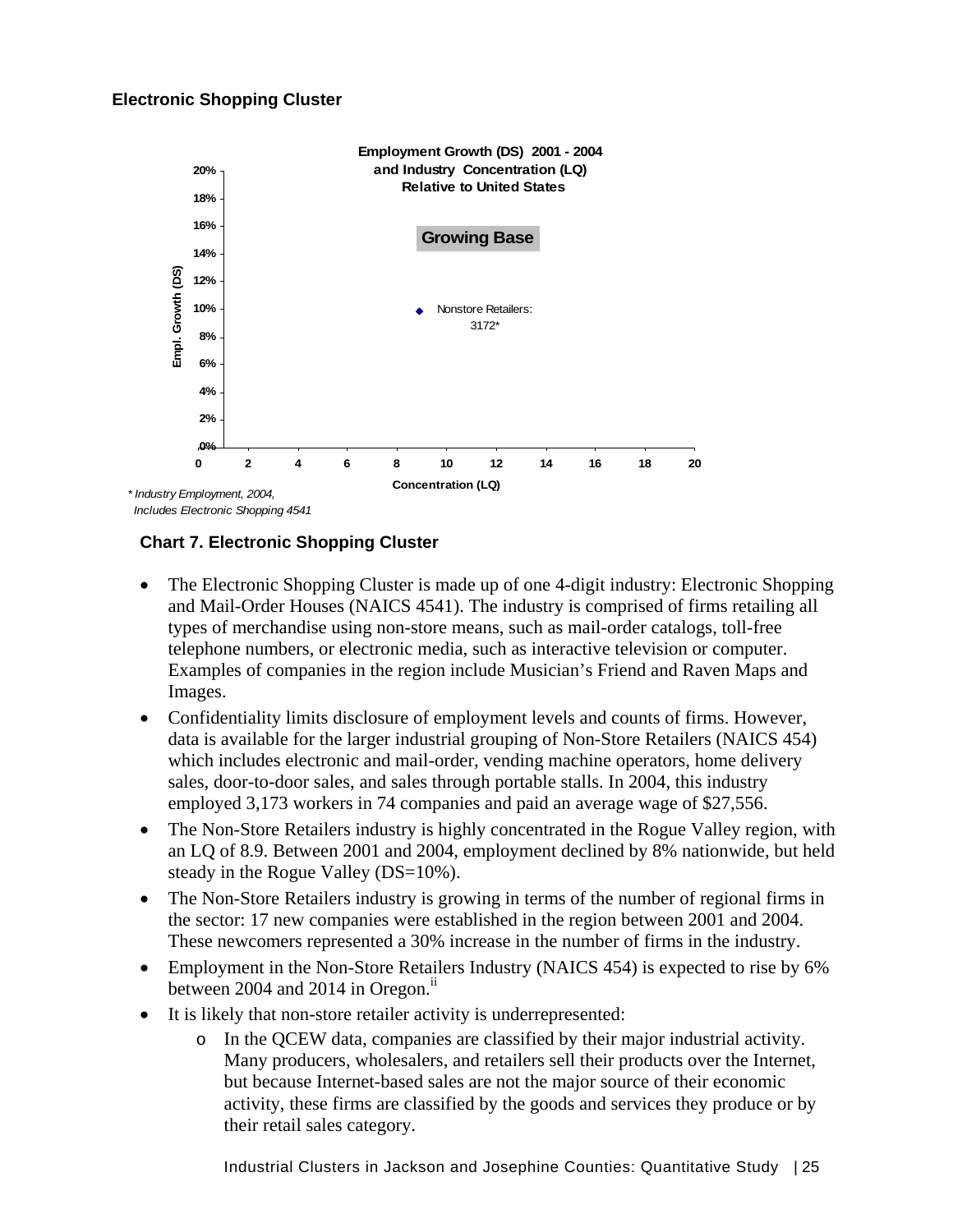#### **Electronic Shopping Cluster**



**Chart 7. Electronic Shopping Cluster** 

- The Electronic Shopping Cluster is made up of one 4-digit industry: Electronic Shopping and Mail-Order Houses (NAICS 4541). The industry is comprised of firms retailing all types of merchandise using non-store means, such as mail-order catalogs, toll-free telephone numbers, or electronic media, such as interactive television or computer. Examples of companies in the region include Musician's Friend and Raven Maps and Images.
- Confidentiality limits disclosure of employment levels and counts of firms. However, data is available for the larger industrial grouping of Non-Store Retailers (NAICS 454) which includes electronic and mail-order, vending machine operators, home delivery sales, door-to-door sales, and sales through portable stalls. In 2004, this industry employed 3,173 workers in 74 companies and paid an average wage of \$27,556.
- The Non-Store Retailers industry is highly concentrated in the Rogue Valley region, with an LQ of 8.9. Between 2001 and 2004, employment declined by 8% nationwide, but held steady in the Rogue Valley (DS=10%).
- The Non-Store Retailers industry is growing in terms of the number of regional firms in the sector: 17 new companies were established in the region between 2001 and 2004. These newcomers represented a 30% increase in the number of firms in the industry.
- Employment in the Non-Store Retailers Industry (NAICS 454) is expected to rise by 6% between 2004 and 2014 in Oregon. $i$ <sup>ii</sup>
- It is likely that non-store retailer activity is underrepresented:
	- o In the QCEW data, companies are classified by their major industrial activity. Many producers, wholesalers, and retailers sell their products over the Internet, but because Internet-based sales are not the major source of their economic activity, these firms are classified by the goods and services they produce or by their retail sales category.

Industrial Clusters in Jackson and Josephine Counties: Quantitative Study | 25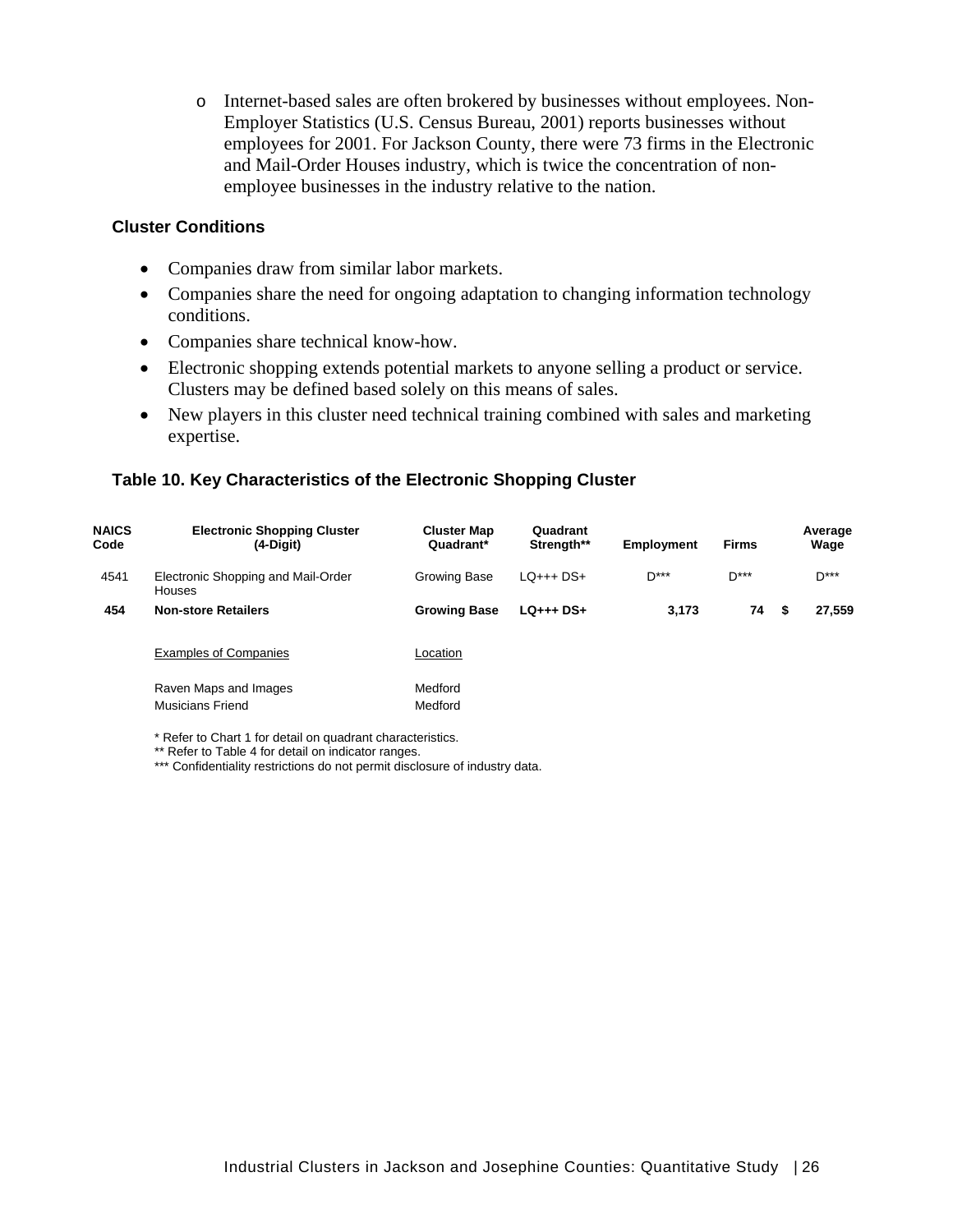o Internet-based sales are often brokered by businesses without employees. Non-Employer Statistics (U.S. Census Bureau, 2001) reports businesses without employees for 2001. For Jackson County, there were 73 firms in the Electronic and Mail-Order Houses industry, which is twice the concentration of nonemployee businesses in the industry relative to the nation.

#### **Cluster Conditions**

- Companies draw from similar labor markets.
- Companies share the need for ongoing adaptation to changing information technology conditions.
- Companies share technical know-how.
- Electronic shopping extends potential markets to anyone selling a product or service. Clusters may be defined based solely on this means of sales.
- New players in this cluster need technical training combined with sales and marketing expertise.

#### **Table 10. Key Characteristics of the Electronic Shopping Cluster**

| <b>NAICS</b><br>Code | <b>Electronic Shopping Cluster</b><br>$(4-Digit)$   | <b>Cluster Map</b><br>Quadrant* | Quadrant<br>Strength** | <b>Employment</b> | <b>Firms</b> | Average<br>Wage |
|----------------------|-----------------------------------------------------|---------------------------------|------------------------|-------------------|--------------|-----------------|
| 4541                 | Electronic Shopping and Mail-Order<br><b>Houses</b> | Growing Base                    | $LO++$ DS+             | $D***$            | $D***$       | $D***$          |
| 454                  | <b>Non-store Retailers</b>                          | <b>Growing Base</b>             | $LQ_{++}$ + DS+        | 3.173             | 74           | 27.559<br>- \$  |
|                      | <b>Examples of Companies</b>                        | Location                        |                        |                   |              |                 |
|                      | Raven Maps and Images<br>Musicians Friend           | Medford<br>Medford              |                        |                   |              |                 |

\* Refer to Chart 1 for detail on quadrant characteristics.

\*\* Refer to Table 4 for detail on indicator ranges.

\*\*\* Confidentiality restrictions do not permit disclosure of industry data.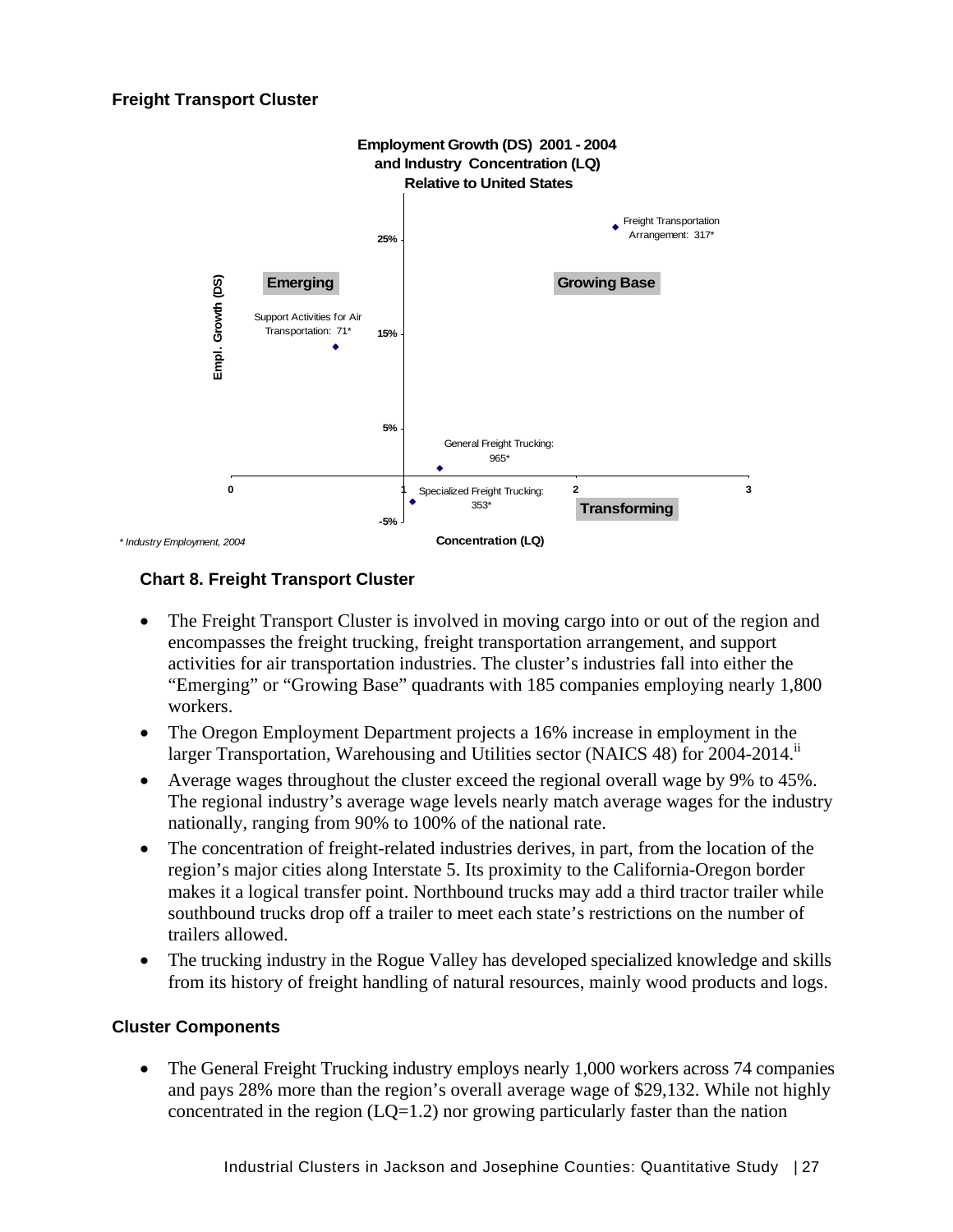

# **Chart 8. Freight Transport Cluster**

- The Freight Transport Cluster is involved in moving cargo into or out of the region and encompasses the freight trucking, freight transportation arrangement, and support activities for air transportation industries. The cluster's industries fall into either the "Emerging" or "Growing Base" quadrants with 185 companies employing nearly 1,800 workers.
- The Oregon Employment Department projects a 16% increase in employment in the larger Transportation, Warehousing and Utilities sector (NAICS 48) for 2004-2014.<sup>11</sup>
- Average wages throughout the cluster exceed the regional overall wage by 9% to 45%. The regional industry's average wage levels nearly match average wages for the industry nationally, ranging from 90% to 100% of the national rate.
- The concentration of freight-related industries derives, in part, from the location of the region's major cities along Interstate 5. Its proximity to the California-Oregon border makes it a logical transfer point. Northbound trucks may add a third tractor trailer while southbound trucks drop off a trailer to meet each state's restrictions on the number of trailers allowed.
- The trucking industry in the Rogue Valley has developed specialized knowledge and skills from its history of freight handling of natural resources, mainly wood products and logs.

# **Cluster Components**

• The General Freight Trucking industry employs nearly 1,000 workers across 74 companies and pays 28% more than the region's overall average wage of \$29,132. While not highly concentrated in the region  $(LQ=1.2)$  nor growing particularly faster than the nation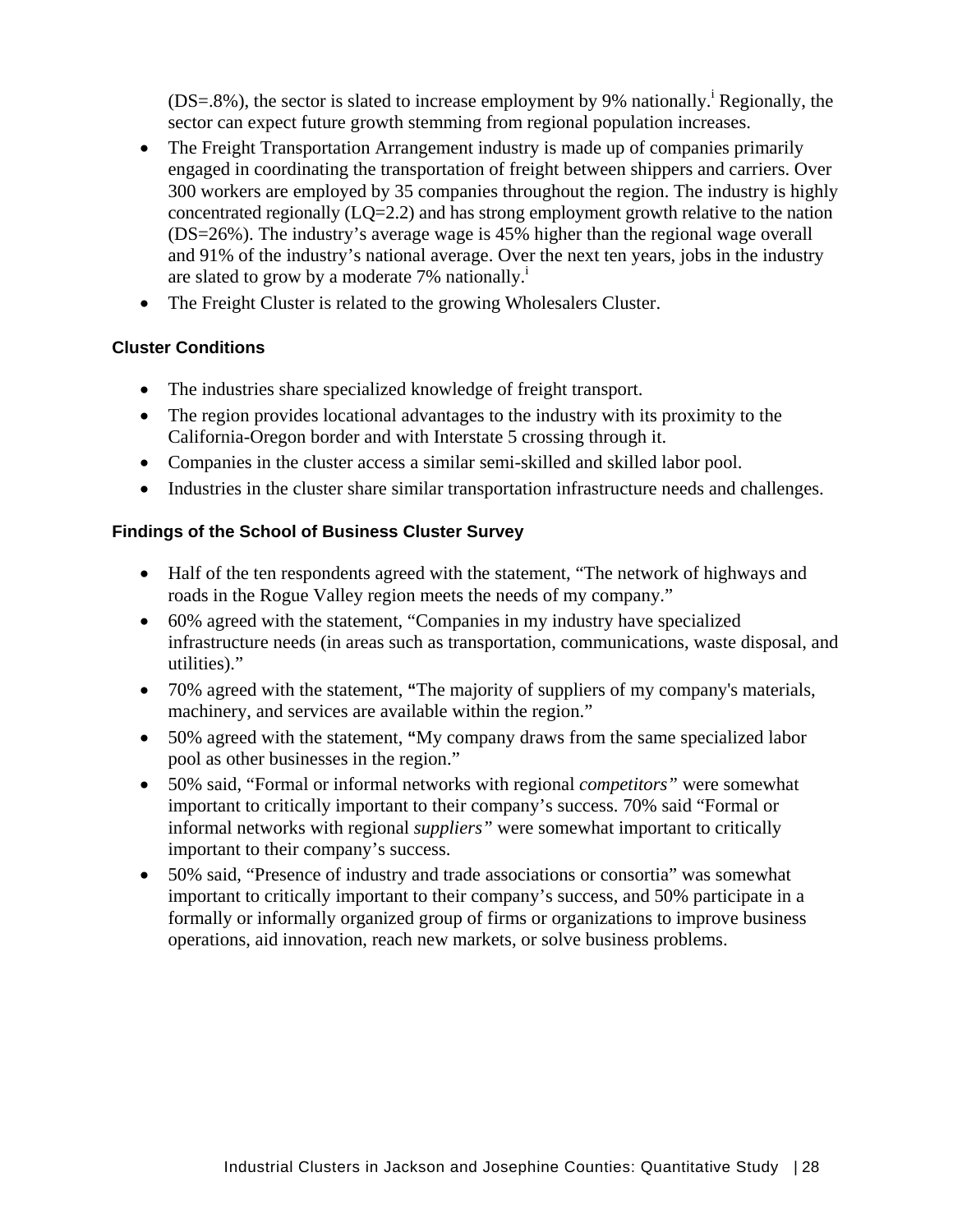$(DS=.8\%)$ , the sector is slated to increase employment by 9% nationally.<sup>i</sup> Regionally, the sector can expect future growth stemming from regional population increases.

- The Freight Transportation Arrangement industry is made up of companies primarily engaged in coordinating the transportation of freight between shippers and carriers. Over 300 workers are employed by 35 companies throughout the region. The industry is highly concentrated regionally (LQ=2.2) and has strong employment growth relative to the nation (DS=26%). The industry's average wage is 45% higher than the regional wage overall and 91% of the industry's national average. Over the next ten years, jobs in the industry are slated to grow by a moderate  $7\%$  nationally.<sup>1</sup>
- The Freight Cluster is related to the growing Wholesalers Cluster.

### **Cluster Conditions**

- The industries share specialized knowledge of freight transport.
- The region provides locational advantages to the industry with its proximity to the California-Oregon border and with Interstate 5 crossing through it.
- Companies in the cluster access a similar semi-skilled and skilled labor pool.
- Industries in the cluster share similar transportation infrastructure needs and challenges.

### **Findings of the School of Business Cluster Survey**

- Half of the ten respondents agreed with the statement, "The network of highways and roads in the Rogue Valley region meets the needs of my company."
- 60% agreed with the statement, "Companies in my industry have specialized infrastructure needs (in areas such as transportation, communications, waste disposal, and utilities)."
- 70% agreed with the statement, **"**The majority of suppliers of my company's materials, machinery, and services are available within the region."
- 50% agreed with the statement, **"**My company draws from the same specialized labor pool as other businesses in the region."
- 50% said, "Formal or informal networks with regional *competitors"* were somewhat important to critically important to their company's success. 70% said "Formal or informal networks with regional *suppliers"* were somewhat important to critically important to their company's success.
- 50% said, "Presence of industry and trade associations or consortia" was somewhat important to critically important to their company's success, and 50% participate in a formally or informally organized group of firms or organizations to improve business operations, aid innovation, reach new markets, or solve business problems.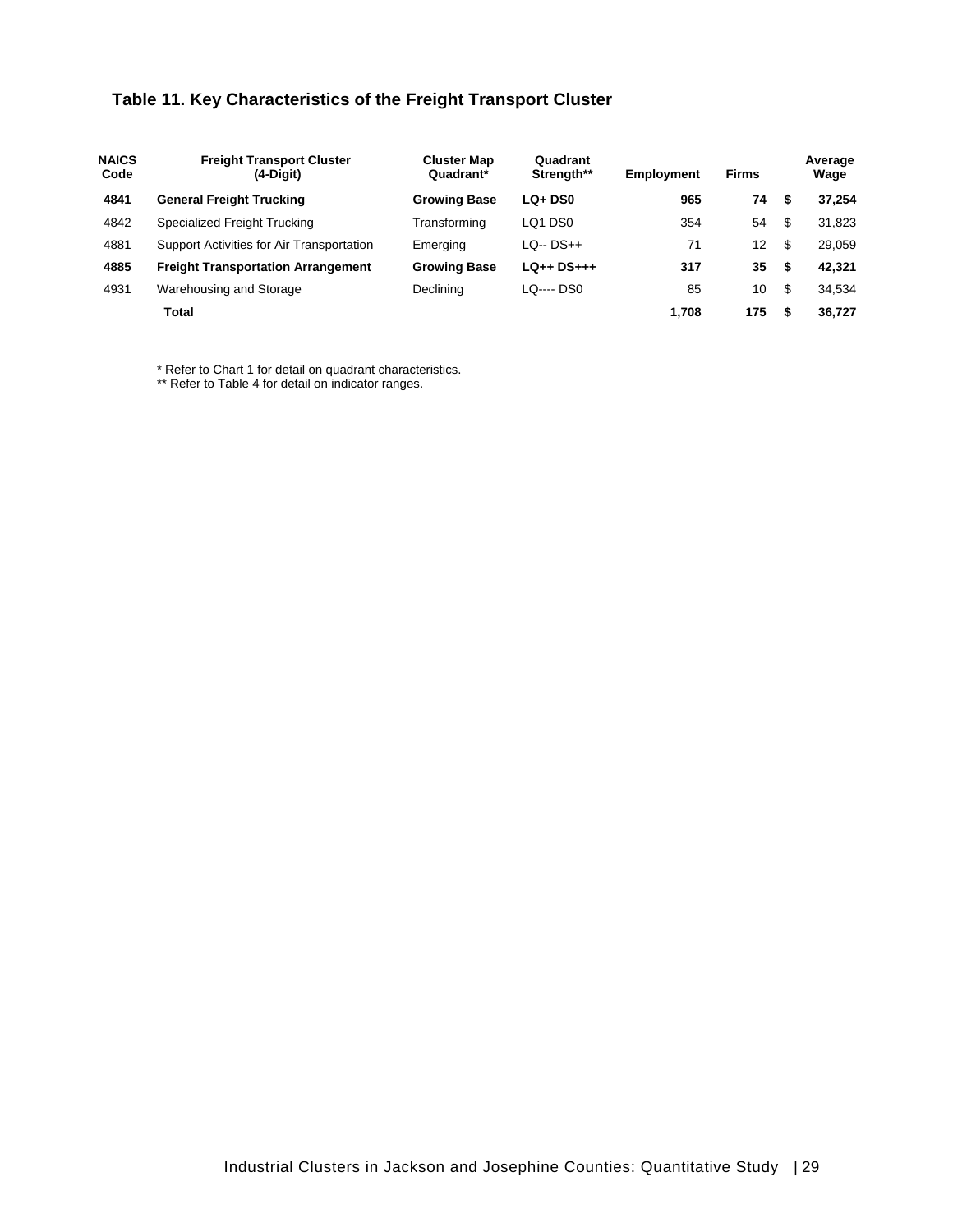# **Table 11. Key Characteristics of the Freight Transport Cluster**

| <b>NAICS</b><br>Code | <b>Freight Transport Cluster</b><br>(4-Digit) | <b>Cluster Map</b><br>Quadrant* | Quadrant<br>Strength** | <b>Employment</b> | <b>Firms</b>      |      | Average<br>Wage |
|----------------------|-----------------------------------------------|---------------------------------|------------------------|-------------------|-------------------|------|-----------------|
| 4841                 | <b>General Freight Trucking</b>               | <b>Growing Base</b>             | $LQ + DSO$             | 965               | 74                | - \$ | 37.254          |
| 4842                 | Specialized Freight Trucking                  | Transforming                    | LQ1 DS0                | 354               | 54                | -\$  | 31.823          |
| 4881                 | Support Activities for Air Transportation     | Emerging                        | LO-- DS++              | 71                | $12 \overline{ }$ | \$   | 29.059          |
| 4885                 | <b>Freight Transportation Arrangement</b>     | <b>Growing Base</b>             | $LQ++DS+++$            | 317               | 35                | -S   | 42.321          |
| 4931                 | Warehousing and Storage                       | Declining                       | LO---- DS0             | 85                | 10                | -\$  | 34.534          |
|                      | Total                                         |                                 |                        | 1.708             | 175               | £.   | 36.727          |

\* Refer to Chart 1 for detail on quadrant characteristics.

\*\* Refer to Table 4 for detail on indicator ranges.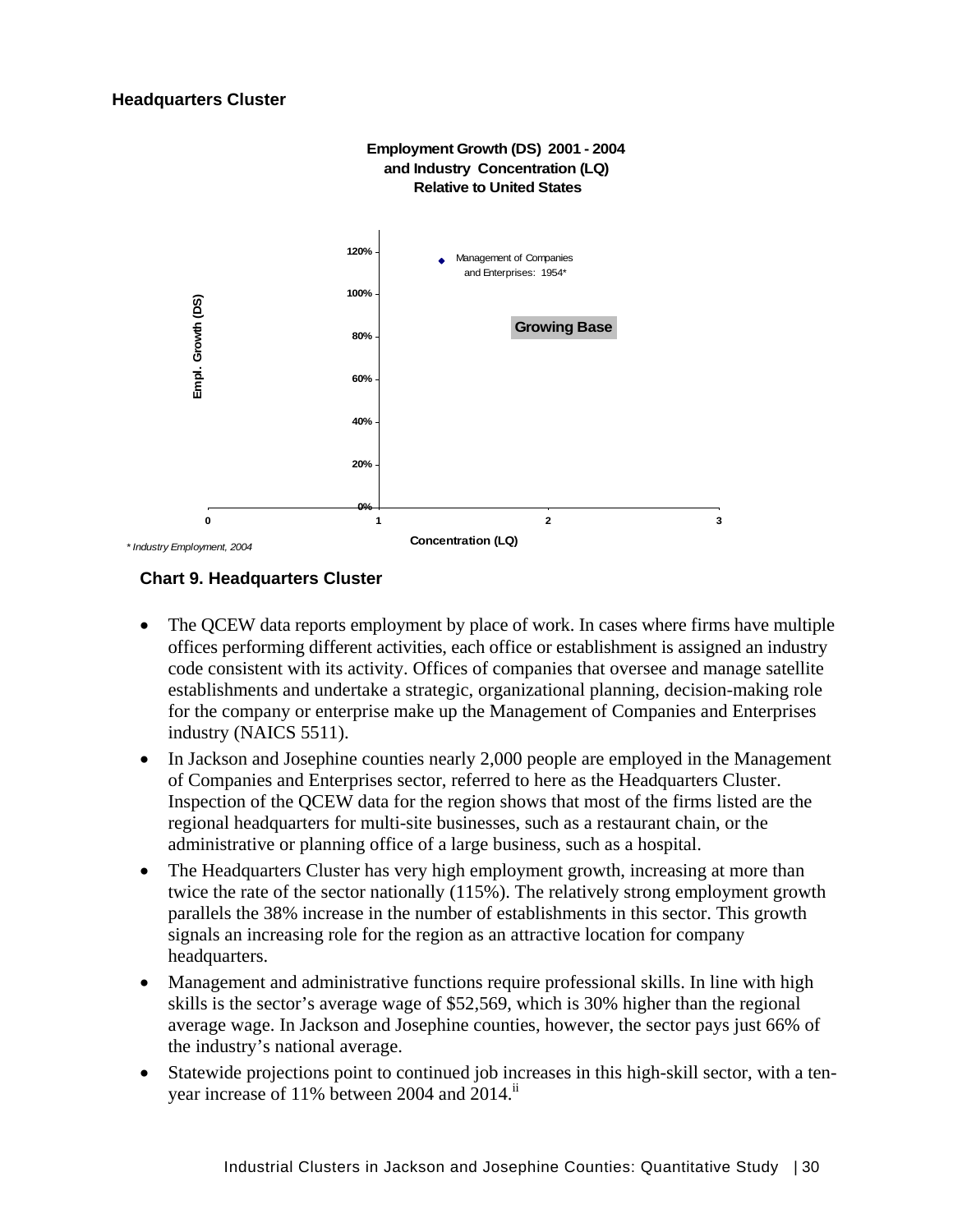

### **Chart 9. Headquarters Cluster**

- The OCEW data reports employment by place of work. In cases where firms have multiple offices performing different activities, each office or establishment is assigned an industry code consistent with its activity. Offices of companies that oversee and manage satellite establishments and undertake a strategic, organizational planning, decision-making role for the company or enterprise make up the Management of Companies and Enterprises industry (NAICS 5511).
- In Jackson and Josephine counties nearly 2,000 people are employed in the Management of Companies and Enterprises sector, referred to here as the Headquarters Cluster. Inspection of the QCEW data for the region shows that most of the firms listed are the regional headquarters for multi-site businesses, such as a restaurant chain, or the administrative or planning office of a large business, such as a hospital.
- The Headquarters Cluster has very high employment growth, increasing at more than twice the rate of the sector nationally (115%). The relatively strong employment growth parallels the 38% increase in the number of establishments in this sector. This growth signals an increasing role for the region as an attractive location for company headquarters.
- Management and administrative functions require professional skills. In line with high skills is the sector's average wage of \$52,569, which is 30% higher than the regional average wage. In Jackson and Josephine counties, however, the sector pays just 66% of the industry's national average.
- Statewide projections point to continued job increases in this high-skill sector, with a tenyear increase of 11% between 2004 and 2014.<sup>11</sup>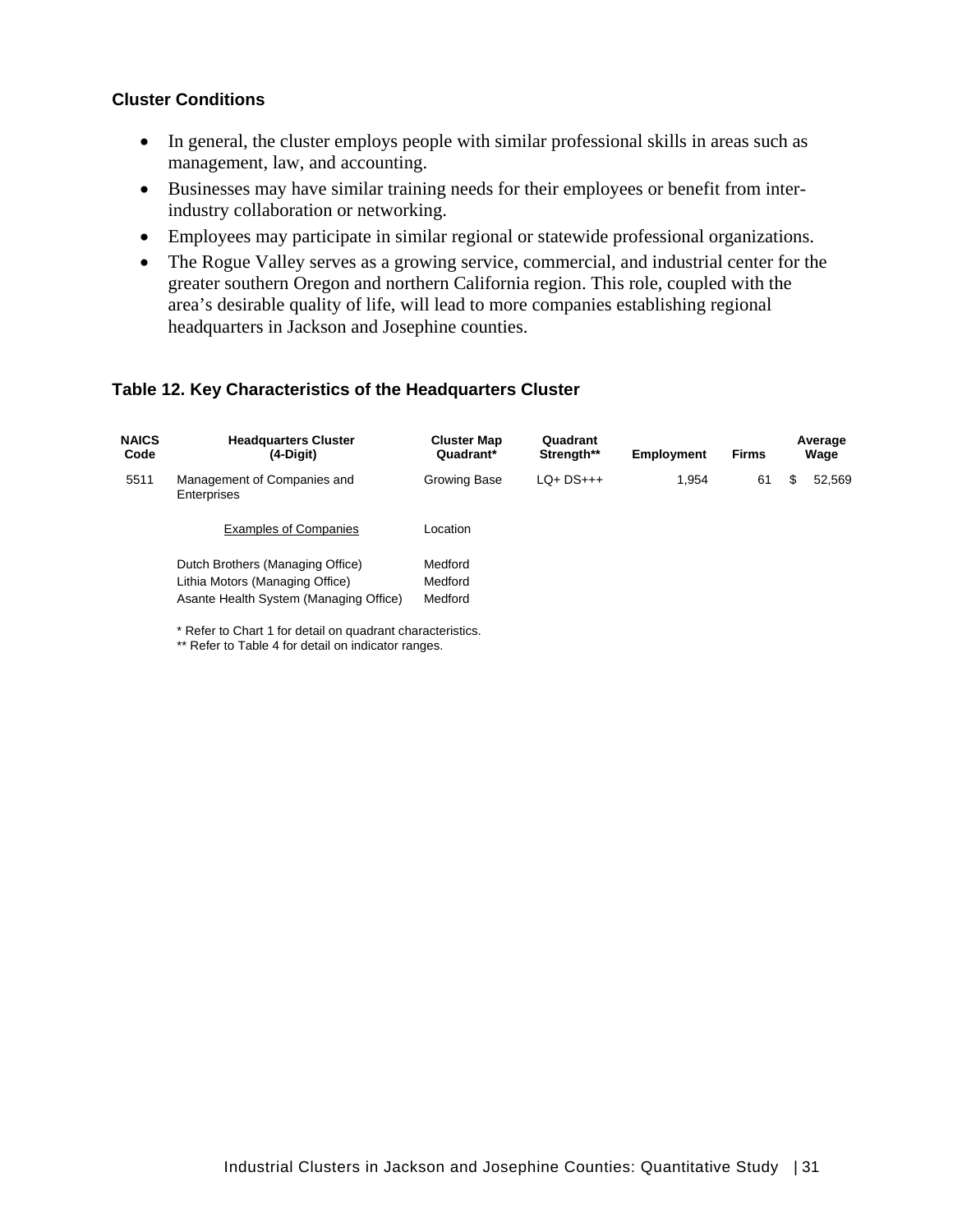#### **Cluster Conditions**

- In general, the cluster employs people with similar professional skills in areas such as management, law, and accounting.
- Businesses may have similar training needs for their employees or benefit from interindustry collaboration or networking.
- Employees may participate in similar regional or statewide professional organizations.
- The Rogue Valley serves as a growing service, commercial, and industrial center for the greater southern Oregon and northern California region. This role, coupled with the area's desirable quality of life, will lead to more companies establishing regional headquarters in Jackson and Josephine counties.

#### **Table 12. Key Characteristics of the Headquarters Cluster**

| <b>NAICS</b><br>Code | <b>Headquarters Cluster</b><br>$(4-Digit)$                                                                         | <b>Cluster Map</b><br>Quadrant* | Quadrant<br>Strength** | <b>Employment</b> | <b>Firms</b> | Average<br>Wage |
|----------------------|--------------------------------------------------------------------------------------------------------------------|---------------------------------|------------------------|-------------------|--------------|-----------------|
| 5511                 | Management of Companies and<br>Enterprises                                                                         | Growing Base                    | $LO+DS+++$             | 1,954             | 61           | 52,569<br>S     |
|                      | <b>Examples of Companies</b>                                                                                       | Location                        |                        |                   |              |                 |
|                      | Dutch Brothers (Managing Office)<br>Lithia Motors (Managing Office)<br>Asante Health System (Managing Office)<br>. | Medford<br>Medford<br>Medford   |                        |                   |              |                 |

\* Refer to Chart 1 for detail on quadrant characteristics. \*\* Refer to Table 4 for detail on indicator ranges.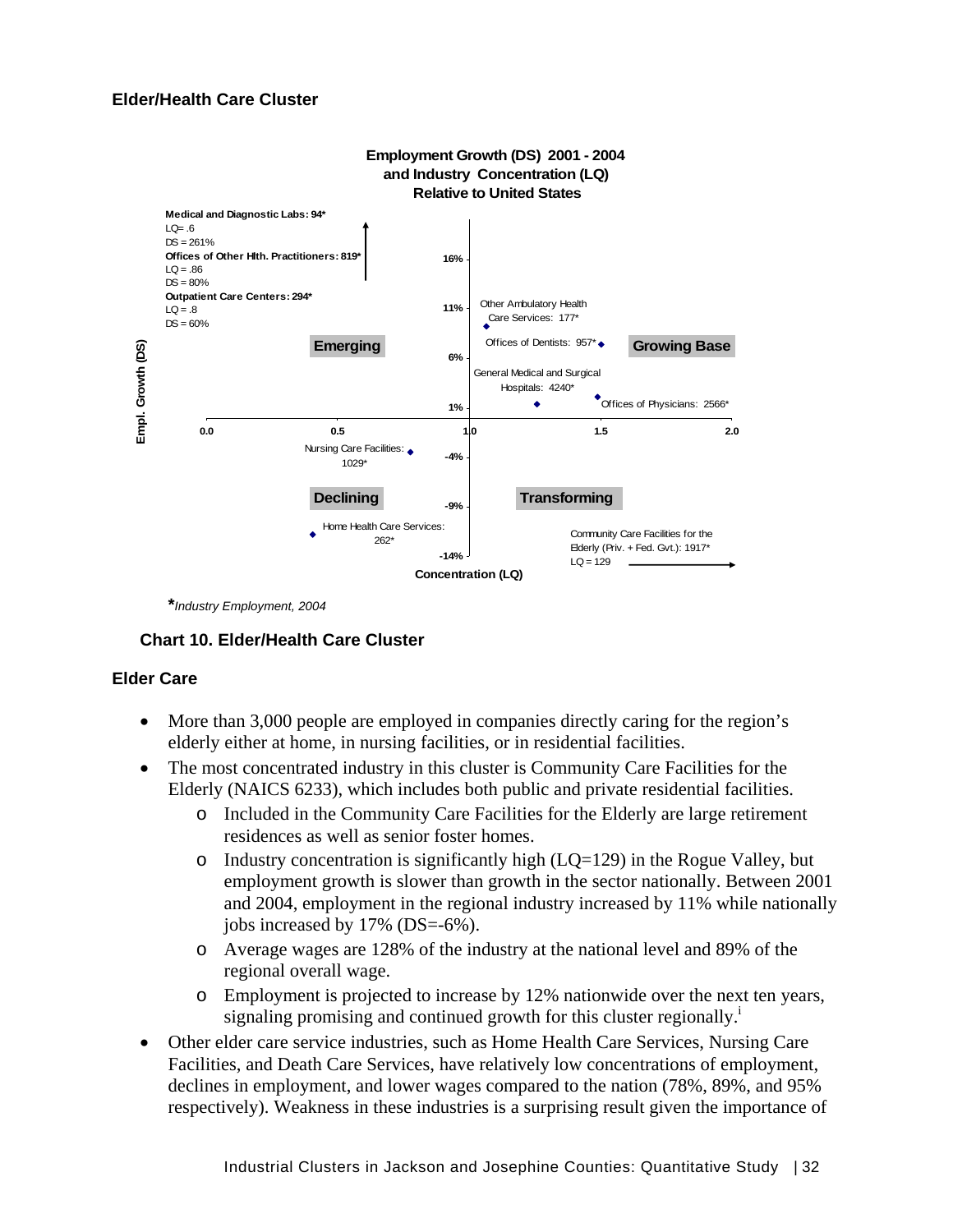### **Elder/Health Care Cluster**



 **\****Industry Employment, 2004* 

#### **Chart 10. Elder/Health Care Cluster**

#### **Elder Care**

- More than 3,000 people are employed in companies directly caring for the region's elderly either at home, in nursing facilities, or in residential facilities.
- The most concentrated industry in this cluster is Community Care Facilities for the Elderly (NAICS 6233), which includes both public and private residential facilities.
	- o Included in the Community Care Facilities for the Elderly are large retirement residences as well as senior foster homes.
	- $\circ$  Industry concentration is significantly high (LQ=129) in the Rogue Valley, but employment growth is slower than growth in the sector nationally. Between 2001 and 2004, employment in the regional industry increased by 11% while nationally jobs increased by 17% (DS=-6%).
	- o Average wages are 128% of the industry at the national level and 89% of the regional overall wage.
	- o Employment is projected to increase by 12% nationwide over the next ten years, signaling promising and continued growth for this cluster regionally.<sup>1</sup>
- Other elder care service industries, such as Home Health Care Services, Nursing Care Facilities, and Death Care Services, have relatively low concentrations of employment, declines in employment, and lower wages compared to the nation (78%, 89%, and 95% respectively). Weakness in these industries is a surprising result given the importance of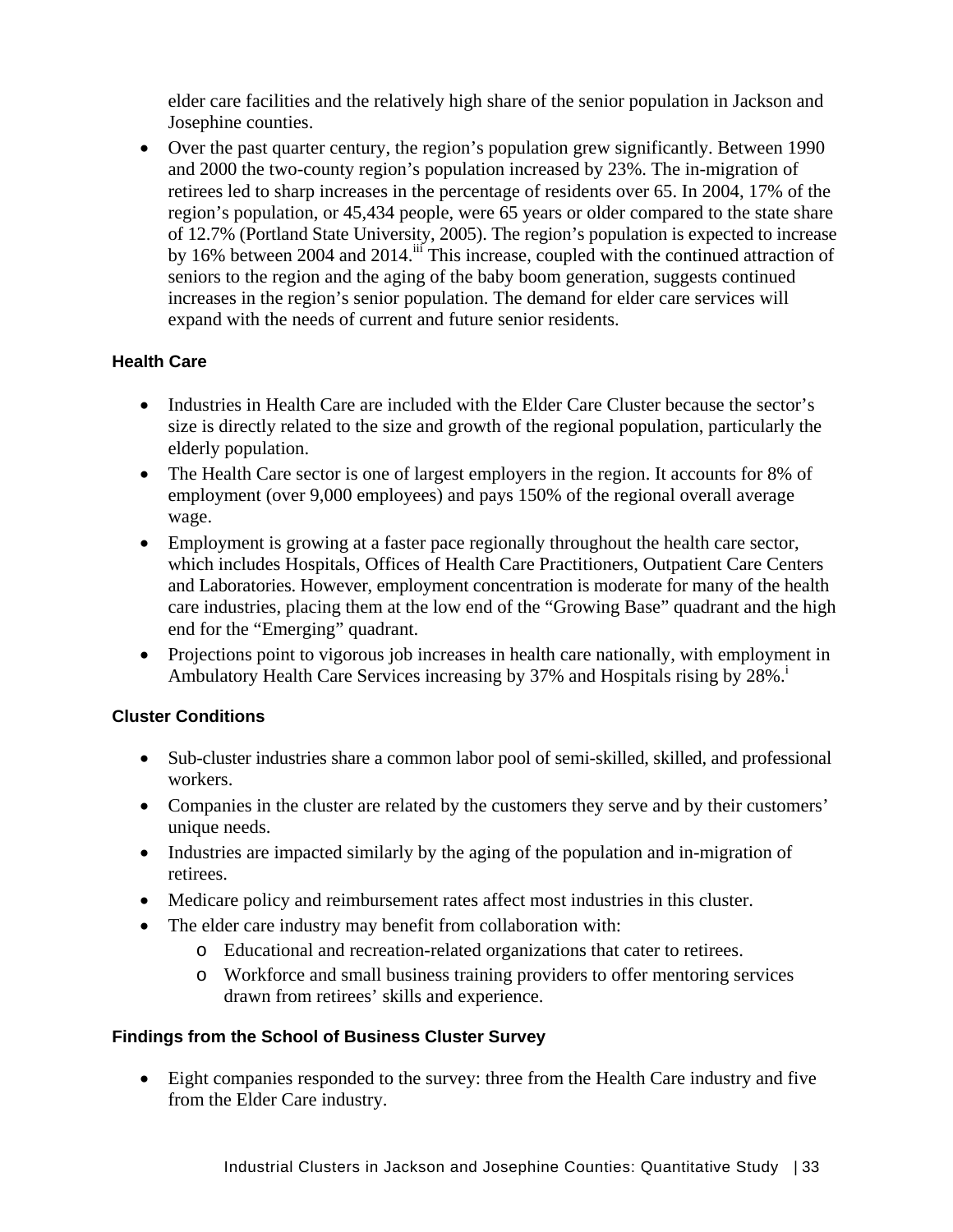elder care facilities and the relatively high share of the senior population in Jackson and Josephine counties.

• Over the past quarter century, the region's population grew significantly. Between 1990 and 2000 the two-county region's population increased by 23%. The in-migration of retirees led to sharp increases in the percentage of residents over 65. In 2004, 17% of the region's population, or 45,434 people, were 65 years or older compared to the state share of 12.7% (Portland State University, 2005). The region's population is expected to increase by 16% between 2004 and 2014.<sup>iii</sup> This increase, coupled with the continued attraction of seniors to the region and the aging of the baby boom generation, suggests continued increases in the region's senior population. The demand for elder care services will expand with the needs of current and future senior residents.

# **Health Care**

- Industries in Health Care are included with the Elder Care Cluster because the sector's size is directly related to the size and growth of the regional population, particularly the elderly population.
- The Health Care sector is one of largest employers in the region. It accounts for 8% of employment (over 9,000 employees) and pays 150% of the regional overall average wage.
- Employment is growing at a faster pace regionally throughout the health care sector, which includes Hospitals, Offices of Health Care Practitioners, Outpatient Care Centers and Laboratories. However, employment concentration is moderate for many of the health care industries, placing them at the low end of the "Growing Base" quadrant and the high end for the "Emerging" quadrant.
- Projections point to vigorous job increases in health care nationally, with employment in Ambulatory Health Care Services increasing by 37% and Hospitals rising by 28%.<sup>1</sup>

# **Cluster Conditions**

- Sub-cluster industries share a common labor pool of semi-skilled, skilled, and professional workers.
- Companies in the cluster are related by the customers they serve and by their customers' unique needs.
- Industries are impacted similarly by the aging of the population and in-migration of retirees.
- Medicare policy and reimbursement rates affect most industries in this cluster.
- The elder care industry may benefit from collaboration with:
	- o Educational and recreation-related organizations that cater to retirees.
	- o Workforce and small business training providers to offer mentoring services drawn from retirees' skills and experience.

# **Findings from the School of Business Cluster Survey**

• Eight companies responded to the survey: three from the Health Care industry and five from the Elder Care industry.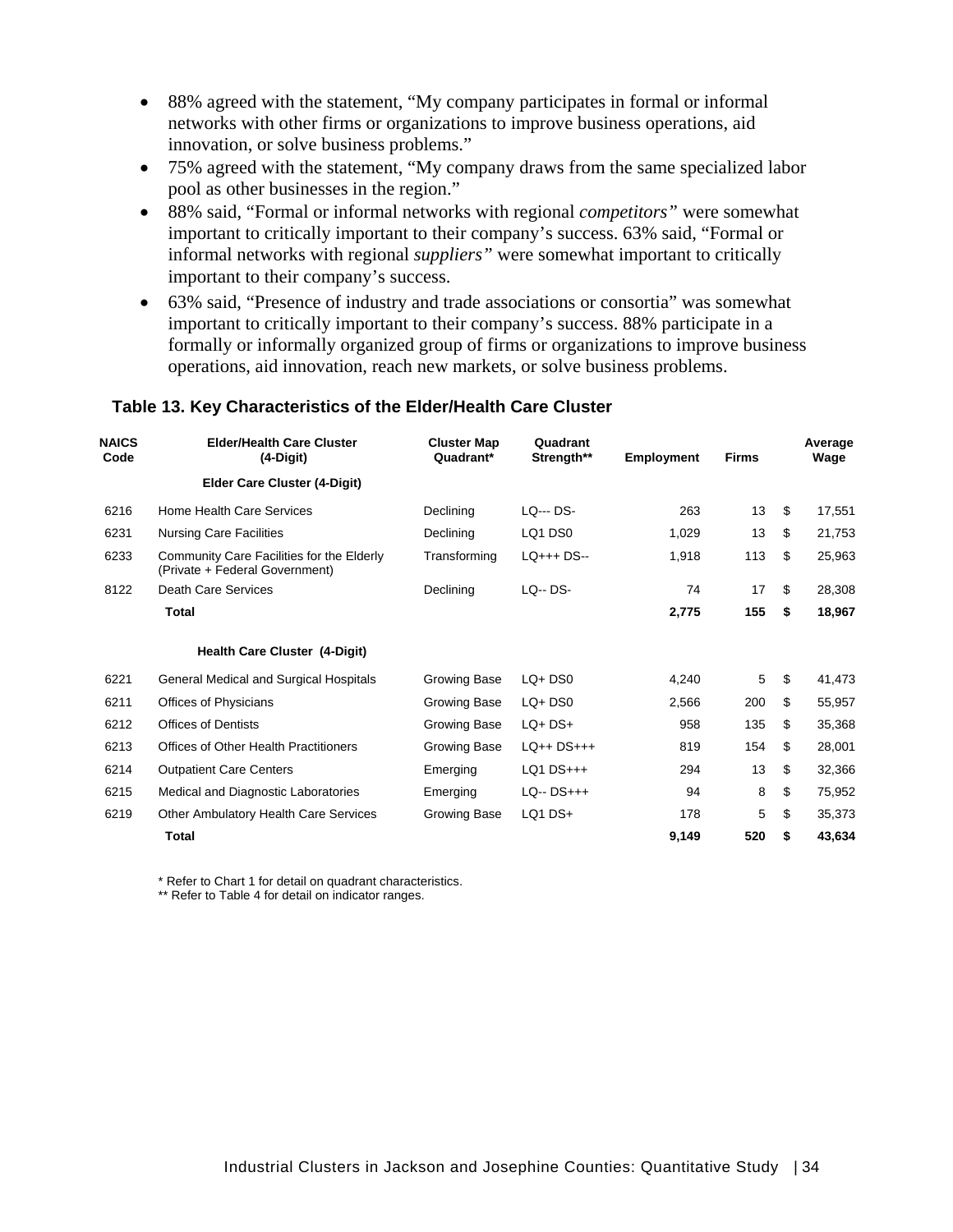- 88% agreed with the statement, "My company participates in formal or informal networks with other firms or organizations to improve business operations, aid innovation, or solve business problems."
- 75% agreed with the statement, "My company draws from the same specialized labor pool as other businesses in the region."
- 88% said, "Formal or informal networks with regional *competitors"* were somewhat important to critically important to their company's success. 63% said, "Formal or informal networks with regional *suppliers"* were somewhat important to critically important to their company's success.
- 63% said, "Presence of industry and trade associations or consortia" was somewhat important to critically important to their company's success. 88% participate in a formally or informally organized group of firms or organizations to improve business operations, aid innovation, reach new markets, or solve business problems.

| <b>NAICS</b><br>Code | <b>Elder/Health Care Cluster</b><br>$(4-Digit)$                             | <b>Cluster Map</b><br>Quadrant* | Quadrant<br>Strength** | <b>Employment</b> | <b>Firms</b> | Average<br>Wage |
|----------------------|-----------------------------------------------------------------------------|---------------------------------|------------------------|-------------------|--------------|-----------------|
|                      | <b>Elder Care Cluster (4-Digit)</b>                                         |                                 |                        |                   |              |                 |
| 6216                 | Home Health Care Services                                                   | Declining                       | LO--- DS-              | 263               | 13           | \$<br>17,551    |
| 6231                 | <b>Nursing Care Facilities</b>                                              | Declining                       | LQ1 DS0                | 1,029             | 13           | \$<br>21,753    |
| 6233                 | Community Care Facilities for the Elderly<br>(Private + Federal Government) | Transforming                    | $LO++$ DS--            | 1,918             | 113          | \$<br>25,963    |
| 8122                 | <b>Death Care Services</b>                                                  | Declining                       | $LO - DS -$            | 74                | 17           | \$<br>28,308    |
|                      | <b>Total</b>                                                                |                                 |                        | 2,775             | 155          | \$<br>18,967    |
|                      | Health Care Cluster (4-Digit)                                               |                                 |                        |                   |              |                 |
| 6221                 | General Medical and Surgical Hospitals                                      | Growing Base                    | $LQ+DS0$               | 4,240             | 5            | \$<br>41,473    |
| 6211                 | Offices of Physicians                                                       | <b>Growing Base</b>             | $LQ+DS0$               | 2,566             | 200          | \$<br>55,957    |
| 6212                 | <b>Offices of Dentists</b>                                                  | <b>Growing Base</b>             | $LQ+DS+$               | 958               | 135          | \$<br>35,368    |
| 6213                 | Offices of Other Health Practitioners                                       | <b>Growing Base</b>             | $LQ++DS+++$            | 819               | 154          | \$<br>28,001    |
| 6214                 | <b>Outpatient Care Centers</b>                                              | Emerging                        | LQ1 DS+++              | 294               | 13           | \$<br>32,366    |
| 6215                 | Medical and Diagnostic Laboratories                                         | Emerging                        | $LQ - DS++$            | 94                | 8            | \$<br>75,952    |
| 6219                 | <b>Other Ambulatory Health Care Services</b>                                | Growing Base                    | LQ1 DS+                | 178               | 5            | \$<br>35,373    |
|                      | <b>Total</b>                                                                |                                 |                        | 9,149             | 520          | \$<br>43,634    |

#### **Table 13. Key Characteristics of the Elder/Health Care Cluster**

\* Refer to Chart 1 for detail on quadrant characteristics.

\*\* Refer to Table 4 for detail on indicator ranges.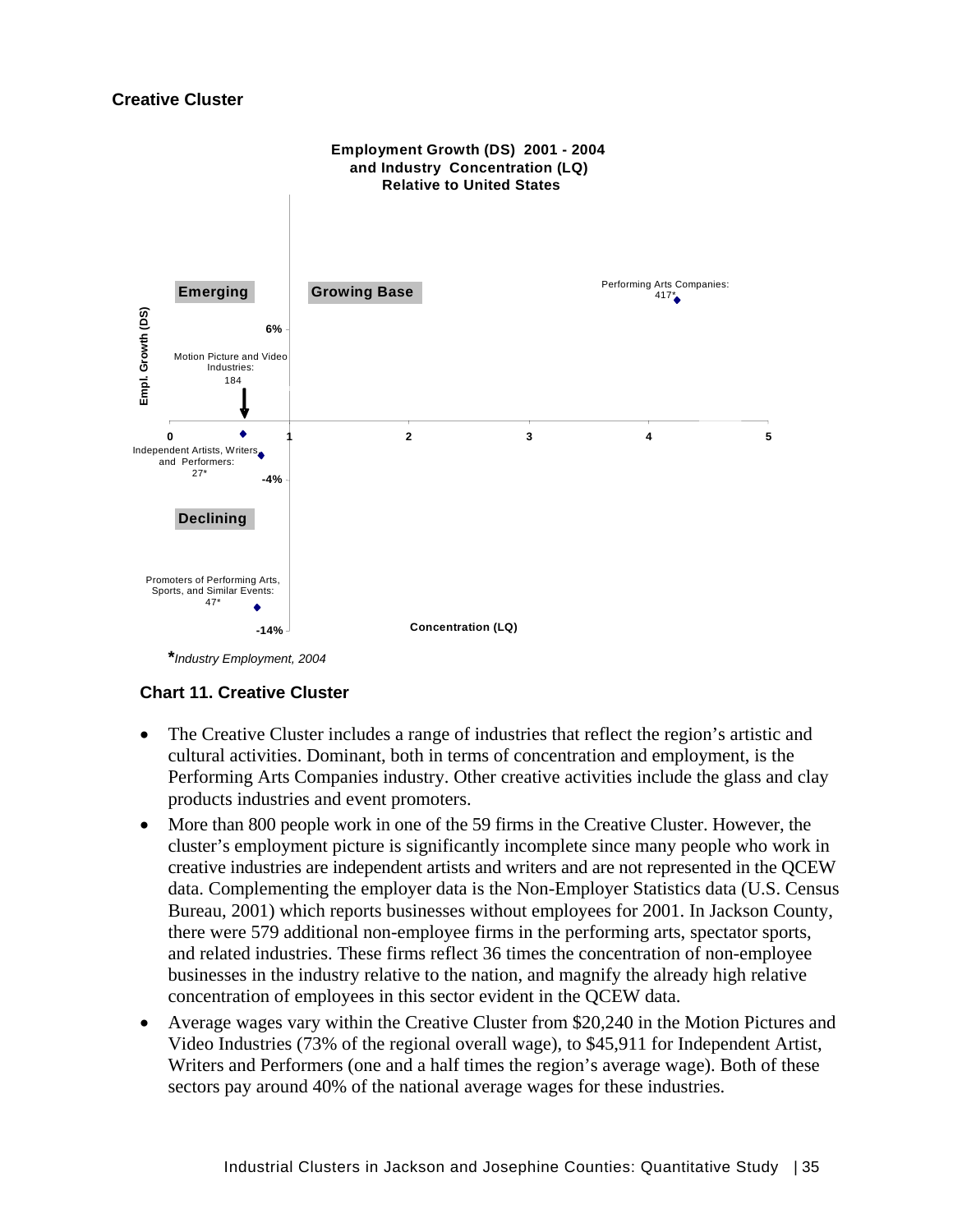### **Creative Cluster**



 **\****Industry Employment, 2004* 

# **Chart 11. Creative Cluster**

- The Creative Cluster includes a range of industries that reflect the region's artistic and cultural activities. Dominant, both in terms of concentration and employment, is the Performing Arts Companies industry. Other creative activities include the glass and clay products industries and event promoters.
- More than 800 people work in one of the 59 firms in the Creative Cluster. However, the cluster's employment picture is significantly incomplete since many people who work in creative industries are independent artists and writers and are not represented in the QCEW data. Complementing the employer data is the Non-Employer Statistics data (U.S. Census Bureau, 2001) which reports businesses without employees for 2001. In Jackson County, there were 579 additional non-employee firms in the performing arts, spectator sports, and related industries. These firms reflect 36 times the concentration of non-employee businesses in the industry relative to the nation, and magnify the already high relative concentration of employees in this sector evident in the QCEW data.
- Average wages vary within the Creative Cluster from \$20,240 in the Motion Pictures and Video Industries (73% of the regional overall wage), to \$45,911 for Independent Artist, Writers and Performers (one and a half times the region's average wage). Both of these sectors pay around 40% of the national average wages for these industries.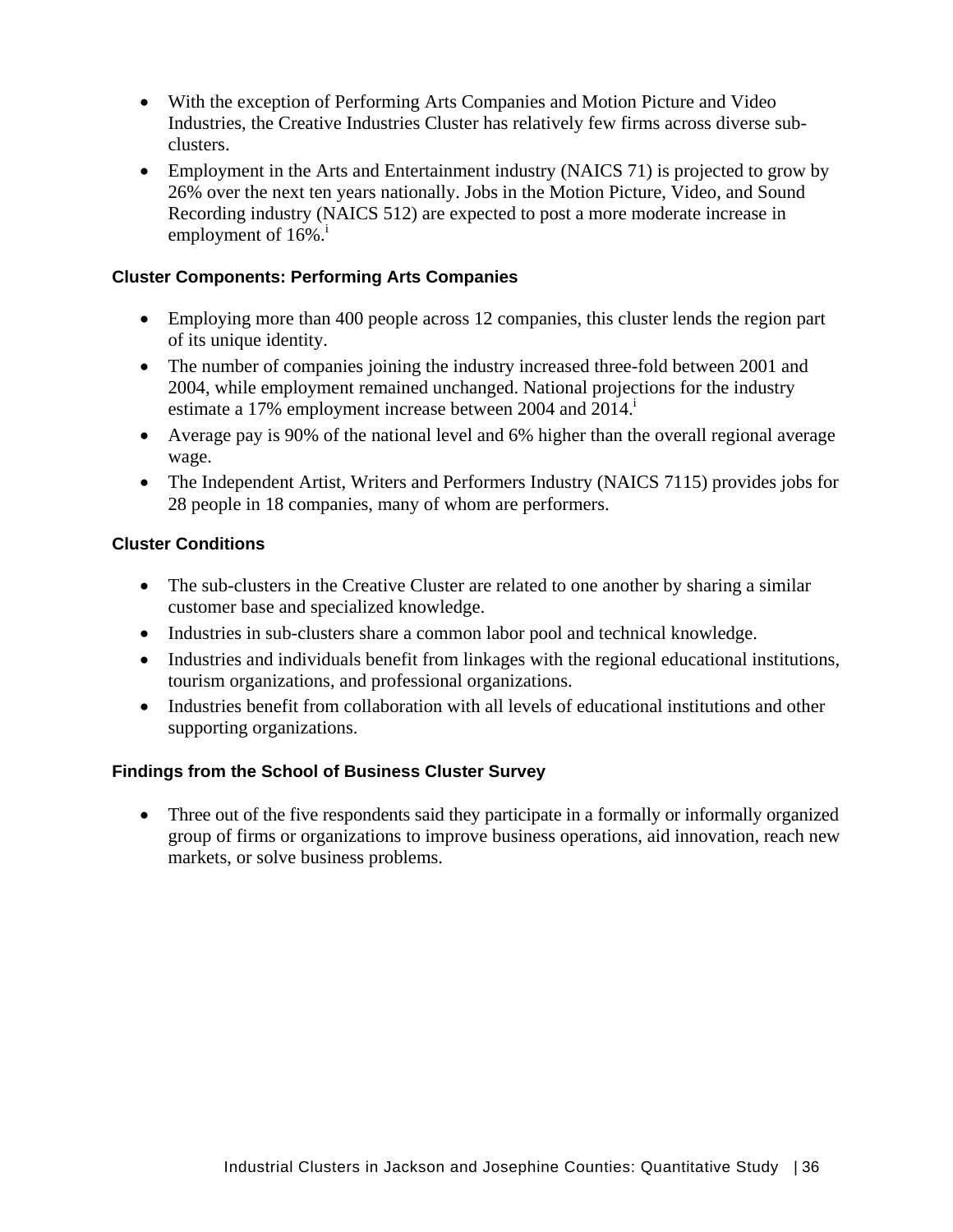- With the exception of Performing Arts Companies and Motion Picture and Video Industries, the Creative Industries Cluster has relatively few firms across diverse subclusters.
- Employment in the Arts and Entertainment industry (NAICS 71) is projected to grow by 26% over the next ten years nationally. Jobs in the Motion Picture, Video, and Sound Recording industry (NAICS 512) are expected to post a more moderate increase in employment of  $16\%$ <sup>i</sup>

### **Cluster Components: Performing Arts Companies**

- Employing more than 400 people across 12 companies, this cluster lends the region part of its unique identity.
- The number of companies joining the industry increased three-fold between 2001 and 2004, while employment remained unchanged. National projections for the industry estimate a 17% employment increase between 2004 and 2014.
- Average pay is 90% of the national level and 6% higher than the overall regional average wage.
- The Independent Artist, Writers and Performers Industry (NAICS 7115) provides jobs for 28 people in 18 companies, many of whom are performers.

# **Cluster Conditions**

- The sub-clusters in the Creative Cluster are related to one another by sharing a similar customer base and specialized knowledge.
- Industries in sub-clusters share a common labor pool and technical knowledge.
- Industries and individuals benefit from linkages with the regional educational institutions, tourism organizations, and professional organizations.
- Industries benefit from collaboration with all levels of educational institutions and other supporting organizations.

# **Findings from the School of Business Cluster Survey**

• Three out of the five respondents said they participate in a formally or informally organized group of firms or organizations to improve business operations, aid innovation, reach new markets, or solve business problems.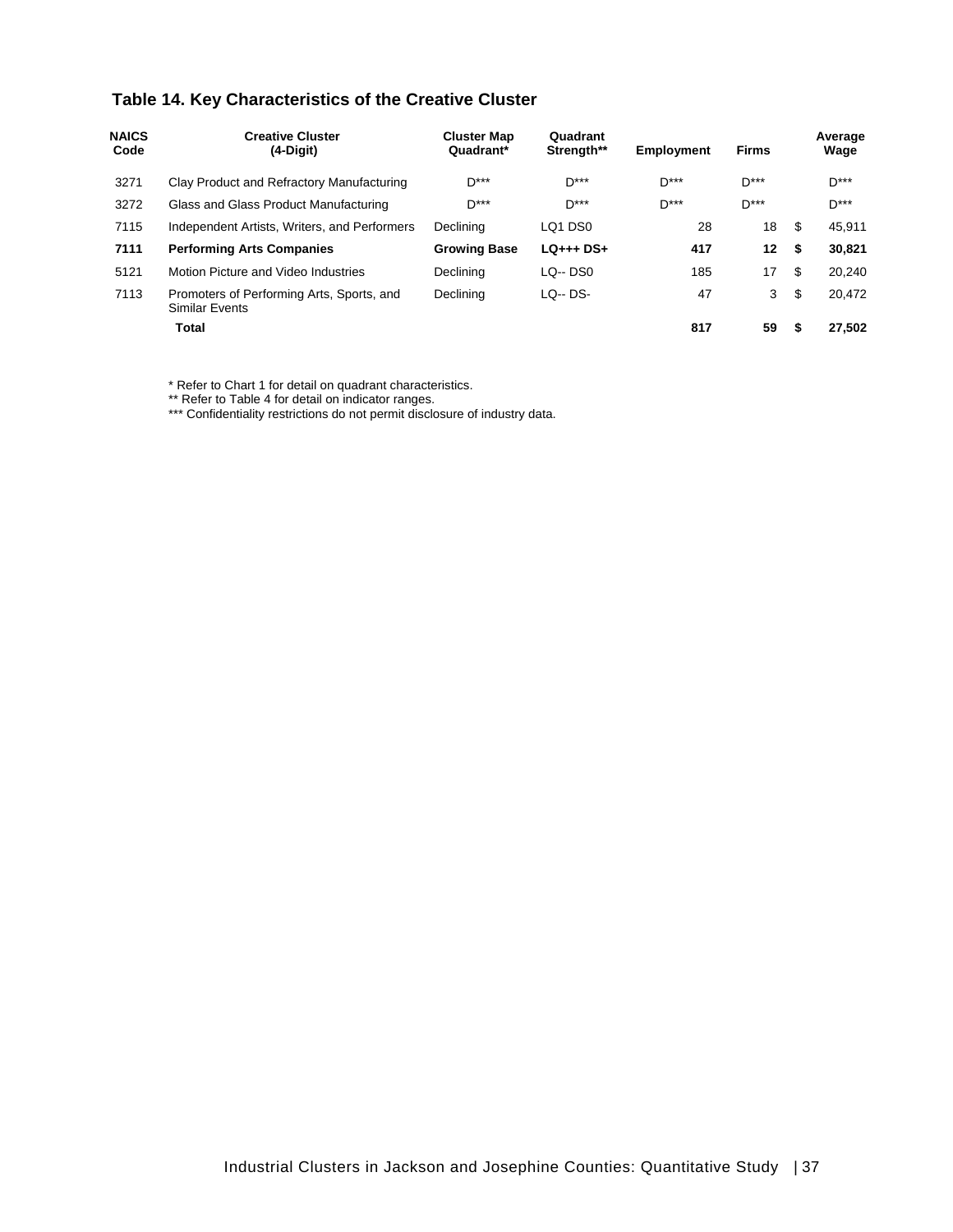# **Table 14. Key Characteristics of the Creative Cluster**

| <b>NAICS</b><br>Code | <b>Creative Cluster</b><br>$(4-Digit)$                      | <b>Cluster Map</b><br>Quadrant* | Quadrant<br>Strength**          | <b>Employment</b> | <b>Firms</b> |      | Average<br>Wage |
|----------------------|-------------------------------------------------------------|---------------------------------|---------------------------------|-------------------|--------------|------|-----------------|
| 3271                 | Clay Product and Refractory Manufacturing                   | $D***$                          | $D***$                          | $D***$            | $D***$       |      | $D***$          |
| 3272                 | Glass and Glass Product Manufacturing                       | $D***$                          | $D***$                          | $D***$            | $D***$       |      | $D***$          |
| 7115                 | Independent Artists, Writers, and Performers                | Declining                       | LO <sub>1</sub> D <sub>S0</sub> | 28                | 18           | - \$ | 45.911          |
| 7111                 | <b>Performing Arts Companies</b>                            | <b>Growing Base</b>             | $LQ_{++}$ + DS+                 | 417               | 12           | - \$ | 30.821          |
| 5121                 | Motion Picture and Video Industries                         | Declining                       | $LQ - DS0$                      | 185               | 17           | \$   | 20.240          |
| 7113                 | Promoters of Performing Arts, Sports, and<br>Similar Events | Declining                       | $LQ - DS -$                     | 47                | 3            | \$   | 20.472          |
|                      | Total                                                       |                                 |                                 | 817               | 59           | \$   | 27.502          |

\* Refer to Chart 1 for detail on quadrant characteristics.

\*\* Refer to Table 4 for detail on indicator ranges.

\*\*\* Confidentiality restrictions do not permit disclosure of industry data.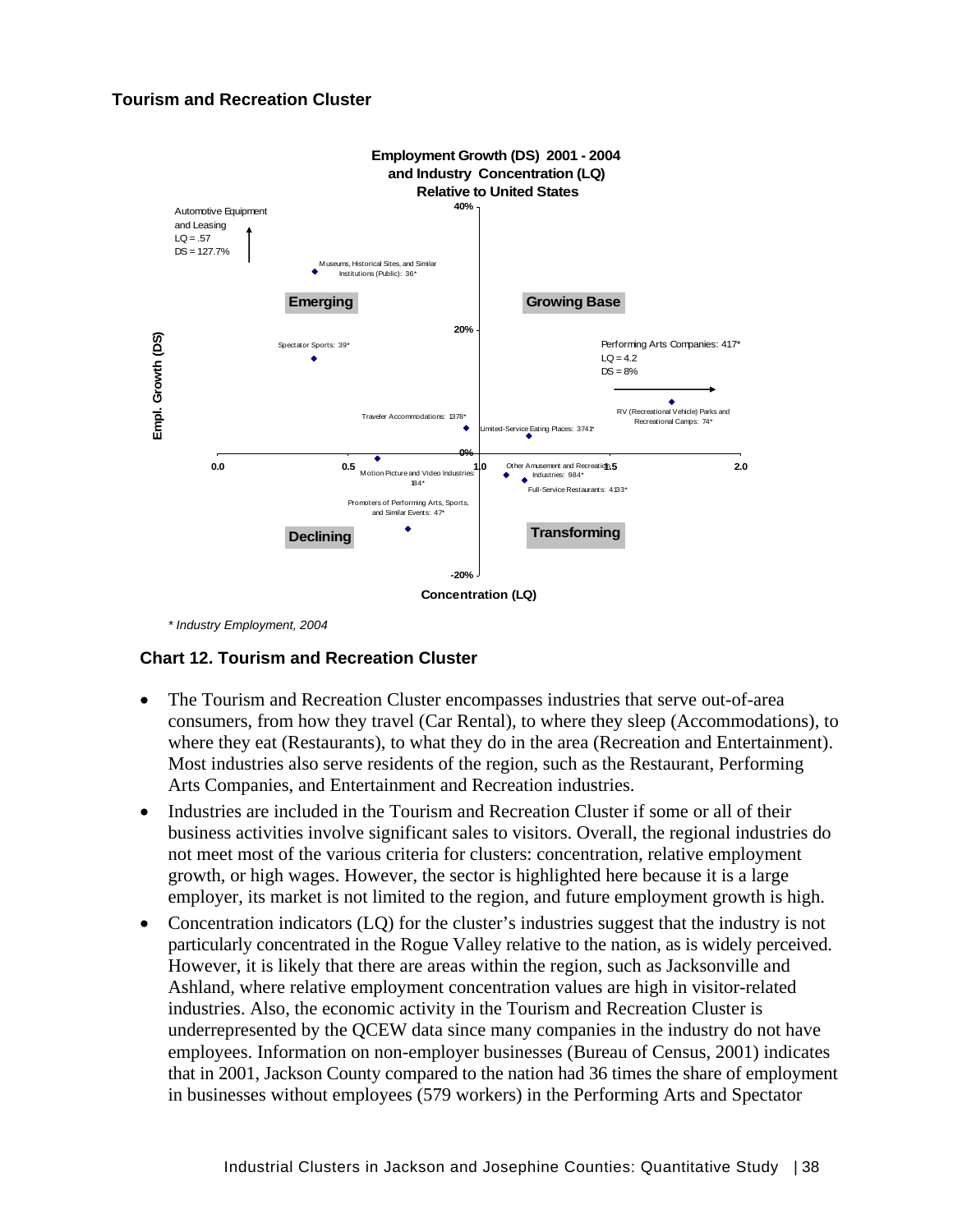#### **Tourism and Recreation Cluster**



 *\* Industry Employment, 2004* 

#### **Chart 12. Tourism and Recreation Cluster**

- The Tourism and Recreation Cluster encompasses industries that serve out-of-area consumers, from how they travel (Car Rental), to where they sleep (Accommodations), to where they eat (Restaurants), to what they do in the area (Recreation and Entertainment). Most industries also serve residents of the region, such as the Restaurant, Performing Arts Companies, and Entertainment and Recreation industries.
- Industries are included in the Tourism and Recreation Cluster if some or all of their business activities involve significant sales to visitors. Overall, the regional industries do not meet most of the various criteria for clusters: concentration, relative employment growth, or high wages. However, the sector is highlighted here because it is a large employer, its market is not limited to the region, and future employment growth is high.
- Concentration indicators (LO) for the cluster's industries suggest that the industry is not particularly concentrated in the Rogue Valley relative to the nation, as is widely perceived. However, it is likely that there are areas within the region, such as Jacksonville and Ashland, where relative employment concentration values are high in visitor-related industries. Also, the economic activity in the Tourism and Recreation Cluster is underrepresented by the QCEW data since many companies in the industry do not have employees. Information on non-employer businesses (Bureau of Census, 2001) indicates that in 2001, Jackson County compared to the nation had 36 times the share of employment in businesses without employees (579 workers) in the Performing Arts and Spectator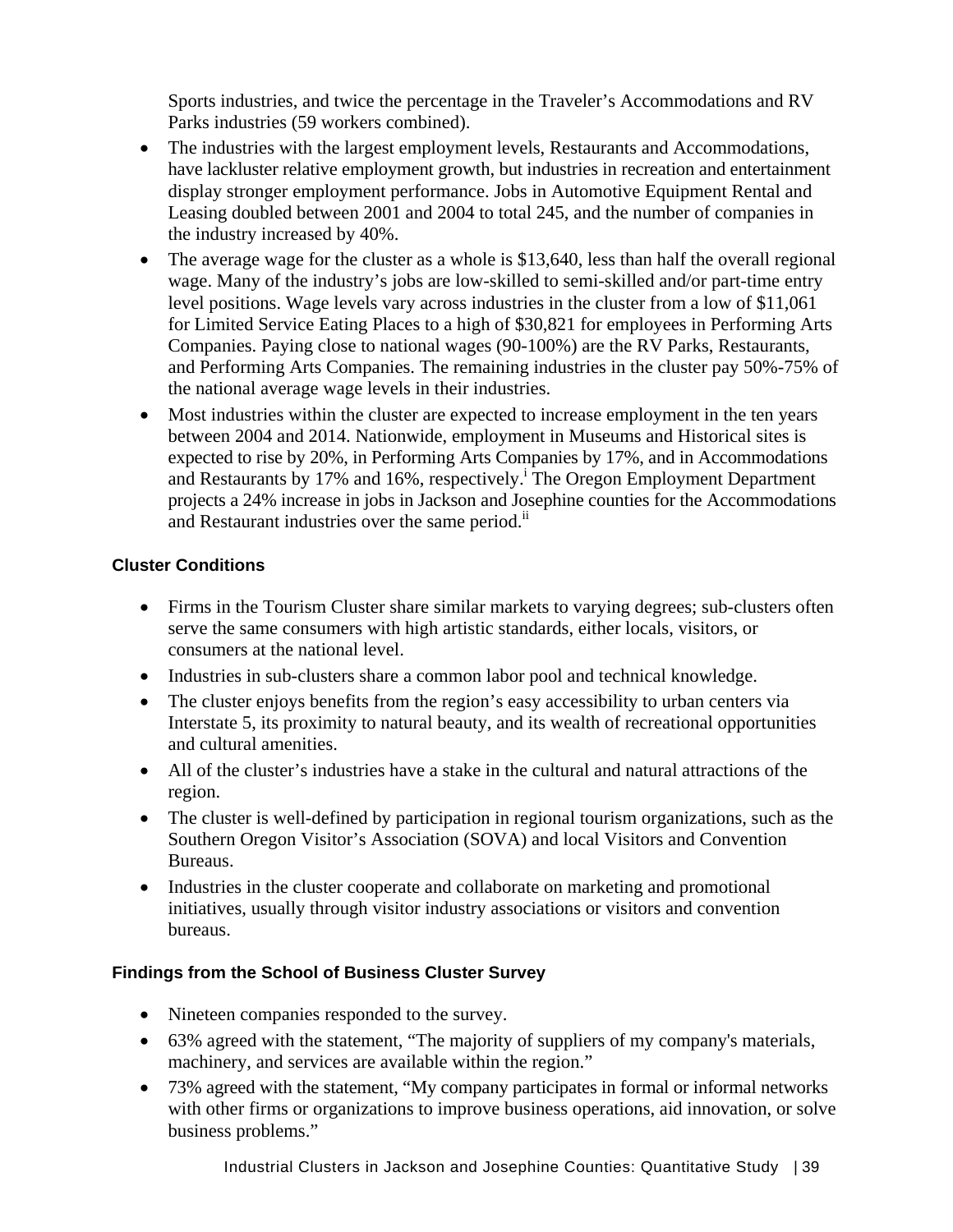Sports industries, and twice the percentage in the Traveler's Accommodations and RV Parks industries (59 workers combined).

- The industries with the largest employment levels, Restaurants and Accommodations, have lackluster relative employment growth, but industries in recreation and entertainment display stronger employment performance. Jobs in Automotive Equipment Rental and Leasing doubled between 2001 and 2004 to total 245, and the number of companies in the industry increased by 40%.
- The average wage for the cluster as a whole is \$13,640, less than half the overall regional wage. Many of the industry's jobs are low-skilled to semi-skilled and/or part-time entry level positions. Wage levels vary across industries in the cluster from a low of \$11,061 for Limited Service Eating Places to a high of \$30,821 for employees in Performing Arts Companies. Paying close to national wages (90-100%) are the RV Parks, Restaurants, and Performing Arts Companies. The remaining industries in the cluster pay 50%-75% of the national average wage levels in their industries.
- Most industries within the cluster are expected to increase employment in the ten years between 2004 and 2014. Nationwide, employment in Museums and Historical sites is expected to rise by 20%, in Performing Arts Companies by 17%, and in Accommodations and Restaurants by 17% and 16%, respectively.<sup>i</sup> The Oregon Employment Department projects a 24% increase in jobs in Jackson and Josephine counties for the Accommodations and Restaurant industries over the same period.<sup>ii</sup>

# **Cluster Conditions**

- Firms in the Tourism Cluster share similar markets to varying degrees; sub-clusters often serve the same consumers with high artistic standards, either locals, visitors, or consumers at the national level.
- Industries in sub-clusters share a common labor pool and technical knowledge.
- The cluster enjoys benefits from the region's easy accessibility to urban centers via Interstate 5, its proximity to natural beauty, and its wealth of recreational opportunities and cultural amenities.
- All of the cluster's industries have a stake in the cultural and natural attractions of the region.
- The cluster is well-defined by participation in regional tourism organizations, such as the Southern Oregon Visitor's Association (SOVA) and local Visitors and Convention Bureaus.
- Industries in the cluster cooperate and collaborate on marketing and promotional initiatives, usually through visitor industry associations or visitors and convention bureaus.

# **Findings from the School of Business Cluster Survey**

- Nineteen companies responded to the survey.
- 63% agreed with the statement, "The majority of suppliers of my company's materials, machinery, and services are available within the region."
- 73% agreed with the statement, "My company participates in formal or informal networks with other firms or organizations to improve business operations, aid innovation, or solve business problems."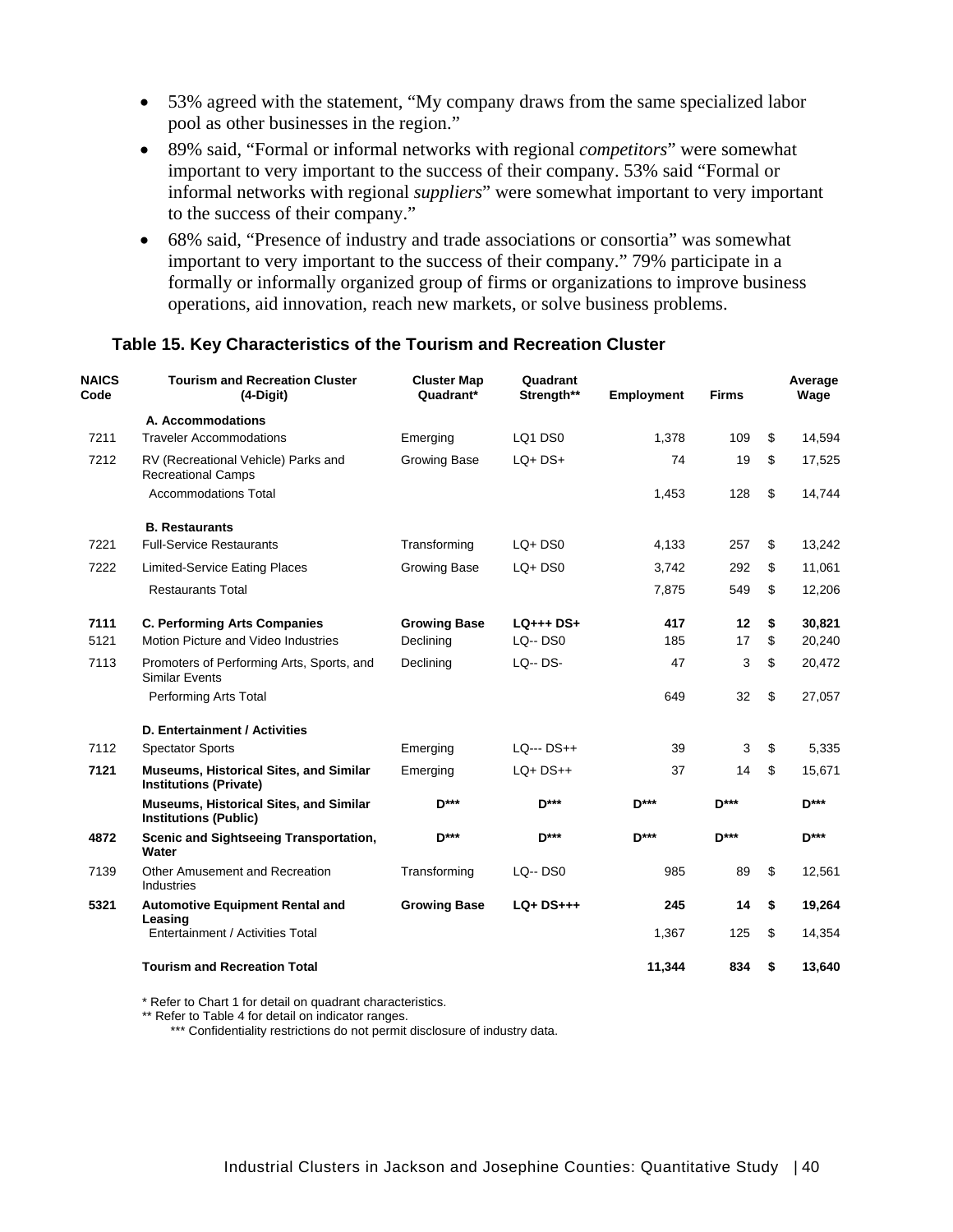- 53% agreed with the statement, "My company draws from the same specialized labor pool as other businesses in the region."
- 89% said, "Formal or informal networks with regional *competitors*" were somewhat important to very important to the success of their company. 53% said "Formal or informal networks with regional *suppliers*" were somewhat important to very important to the success of their company."
- 68% said, "Presence of industry and trade associations or consortia" was somewhat important to very important to the success of their company." 79% participate in a formally or informally organized group of firms or organizations to improve business operations, aid innovation, reach new markets, or solve business problems.

#### **Table 15. Key Characteristics of the Tourism and Recreation Cluster**

| <b>NAICS</b><br>Code | <b>Tourism and Recreation Cluster</b><br>$(4-Digit)$                           | <b>Cluster Map</b><br>Quadrant* | Quadrant<br>Strength** | <b>Employment</b> | <b>Firms</b> | Average<br>Wage |
|----------------------|--------------------------------------------------------------------------------|---------------------------------|------------------------|-------------------|--------------|-----------------|
|                      | A. Accommodations                                                              |                                 |                        |                   |              |                 |
| 7211                 | <b>Traveler Accommodations</b>                                                 | Emerging                        | LQ1 DS0                | 1,378             | 109          | \$<br>14,594    |
| 7212                 | RV (Recreational Vehicle) Parks and<br><b>Recreational Camps</b>               | Growing Base                    | $LQ+DS+$               | 74                | 19           | \$<br>17,525    |
|                      | <b>Accommodations Total</b>                                                    |                                 |                        | 1,453             | 128          | \$<br>14,744    |
|                      | <b>B. Restaurants</b>                                                          |                                 |                        |                   |              |                 |
| 7221                 | <b>Full-Service Restaurants</b>                                                | Transforming                    | $LQ + DSO$             | 4,133             | 257          | \$<br>13,242    |
| 7222                 | <b>Limited-Service Eating Places</b>                                           | <b>Growing Base</b>             | $LQ+DS0$               | 3,742             | 292          | \$<br>11,061    |
|                      | <b>Restaurants Total</b>                                                       |                                 |                        | 7,875             | 549          | \$<br>12,206    |
| 7111                 | <b>C. Performing Arts Companies</b>                                            | <b>Growing Base</b>             | $LQ_{++}$ + DS+        | 417               | 12           | \$<br>30,821    |
| 5121                 | Motion Picture and Video Industries                                            | Declining                       | <b>LQ--DS0</b>         | 185               | 17           | \$<br>20,240    |
| 7113                 | Promoters of Performing Arts, Sports, and<br><b>Similar Events</b>             | Declining                       | <b>LQ-- DS-</b>        | 47                | 3            | \$<br>20,472    |
|                      | Performing Arts Total                                                          |                                 |                        | 649               | 32           | \$<br>27,057    |
|                      | D. Entertainment / Activities                                                  |                                 |                        |                   |              |                 |
| 7112                 | <b>Spectator Sports</b>                                                        | Emerging                        | $LO- DS++$             | 39                | 3            | \$<br>5,335     |
| 7121                 | <b>Museums, Historical Sites, and Similar</b><br><b>Institutions (Private)</b> | Emerging                        | $LQ+DS++$              | 37                | 14           | \$<br>15,671    |
|                      | <b>Museums, Historical Sites, and Similar</b><br><b>Institutions (Public)</b>  | D***                            | $D***$                 | $D***$            | $D***$       | $D***$          |
| 4872                 | Scenic and Sightseeing Transportation,<br>Water                                | <b>D</b> ***                    | <b>D</b> ***           | <b>D***</b>       | $D***$       | $D***$          |
| 7139                 | Other Amusement and Recreation<br>Industries                                   | Transforming                    | $LQ - DS0$             | 985               | 89           | \$<br>12,561    |
| 5321                 | <b>Automotive Equipment Rental and</b><br>Leasing                              | <b>Growing Base</b>             | $LQ+DS+++$             | 245               | 14           | \$<br>19,264    |
|                      | Entertainment / Activities Total                                               |                                 |                        | 1,367             | 125          | \$<br>14,354    |
|                      | <b>Tourism and Recreation Total</b>                                            |                                 |                        | 11.344            | 834          | \$<br>13.640    |

\* Refer to Chart 1 for detail on quadrant characteristics.

\*\* Refer to Table 4 for detail on indicator ranges.

\*\*\* Confidentiality restrictions do not permit disclosure of industry data.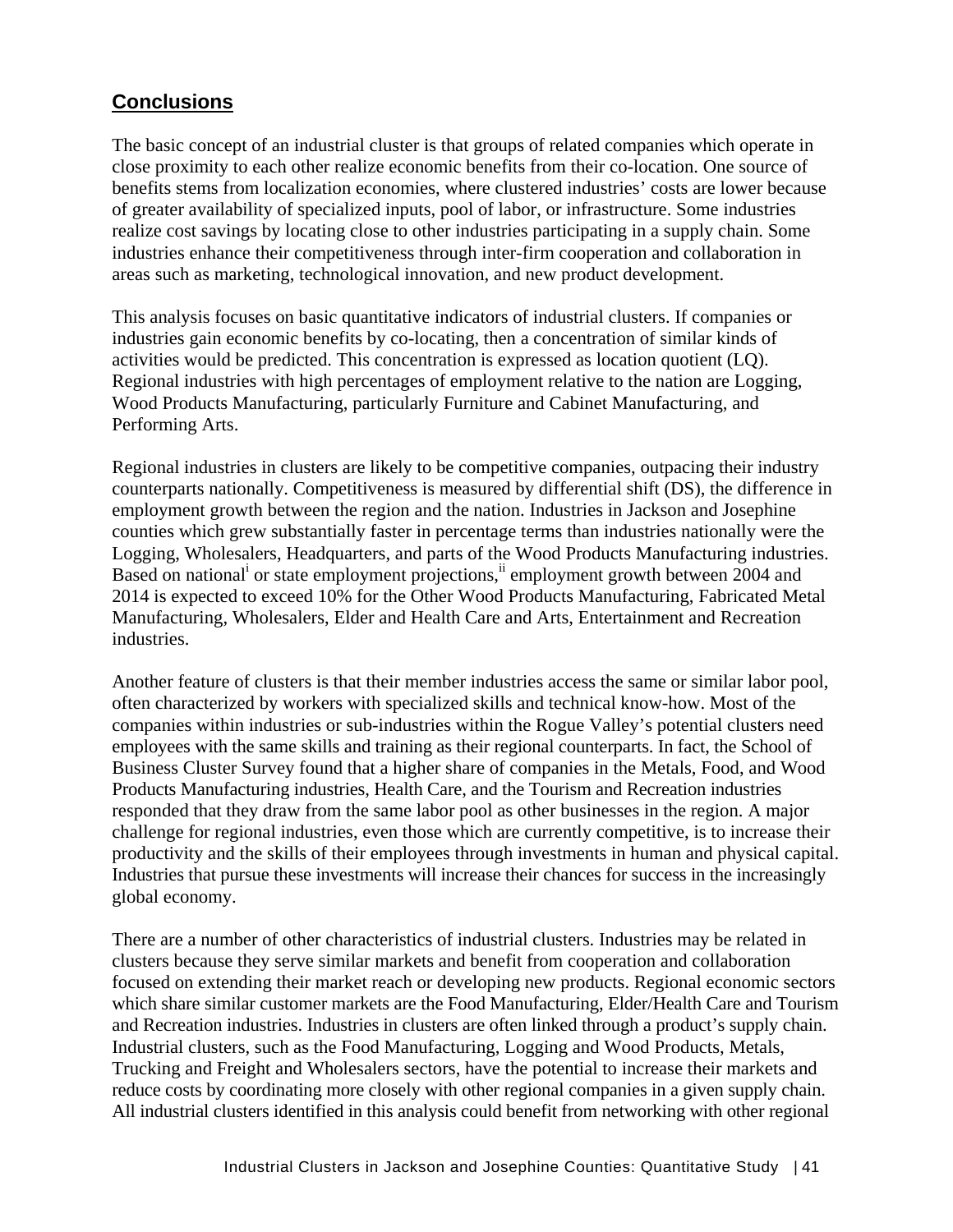# **Conclusions**

The basic concept of an industrial cluster is that groups of related companies which operate in close proximity to each other realize economic benefits from their co-location. One source of benefits stems from localization economies, where clustered industries' costs are lower because of greater availability of specialized inputs, pool of labor, or infrastructure. Some industries realize cost savings by locating close to other industries participating in a supply chain. Some industries enhance their competitiveness through inter-firm cooperation and collaboration in areas such as marketing, technological innovation, and new product development.

This analysis focuses on basic quantitative indicators of industrial clusters. If companies or industries gain economic benefits by co-locating, then a concentration of similar kinds of activities would be predicted. This concentration is expressed as location quotient (LQ). Regional industries with high percentages of employment relative to the nation are Logging, Wood Products Manufacturing, particularly Furniture and Cabinet Manufacturing, and Performing Arts.

Regional industries in clusters are likely to be competitive companies, outpacing their industry counterparts nationally. Competitiveness is measured by differential shift (DS), the difference in employment growth between the region and the nation. Industries in Jackson and Josephine counties which grew substantially faster in percentage terms than industries nationally were the Logging, Wholesalers, Headquarters, and parts of the Wood Products Manufacturing industries. Based on national<sup>i</sup> or state employment projections, i employment growth between 2004 and 2014 is expected to exceed 10% for the Other Wood Products Manufacturing, Fabricated Metal Manufacturing, Wholesalers, Elder and Health Care and Arts, Entertainment and Recreation industries.

Another feature of clusters is that their member industries access the same or similar labor pool, often characterized by workers with specialized skills and technical know-how. Most of the companies within industries or sub-industries within the Rogue Valley's potential clusters need employees with the same skills and training as their regional counterparts. In fact, the School of Business Cluster Survey found that a higher share of companies in the Metals, Food, and Wood Products Manufacturing industries, Health Care, and the Tourism and Recreation industries responded that they draw from the same labor pool as other businesses in the region. A major challenge for regional industries, even those which are currently competitive, is to increase their productivity and the skills of their employees through investments in human and physical capital. Industries that pursue these investments will increase their chances for success in the increasingly global economy.

There are a number of other characteristics of industrial clusters. Industries may be related in clusters because they serve similar markets and benefit from cooperation and collaboration focused on extending their market reach or developing new products. Regional economic sectors which share similar customer markets are the Food Manufacturing, Elder/Health Care and Tourism and Recreation industries. Industries in clusters are often linked through a product's supply chain. Industrial clusters, such as the Food Manufacturing, Logging and Wood Products, Metals, Trucking and Freight and Wholesalers sectors, have the potential to increase their markets and reduce costs by coordinating more closely with other regional companies in a given supply chain. All industrial clusters identified in this analysis could benefit from networking with other regional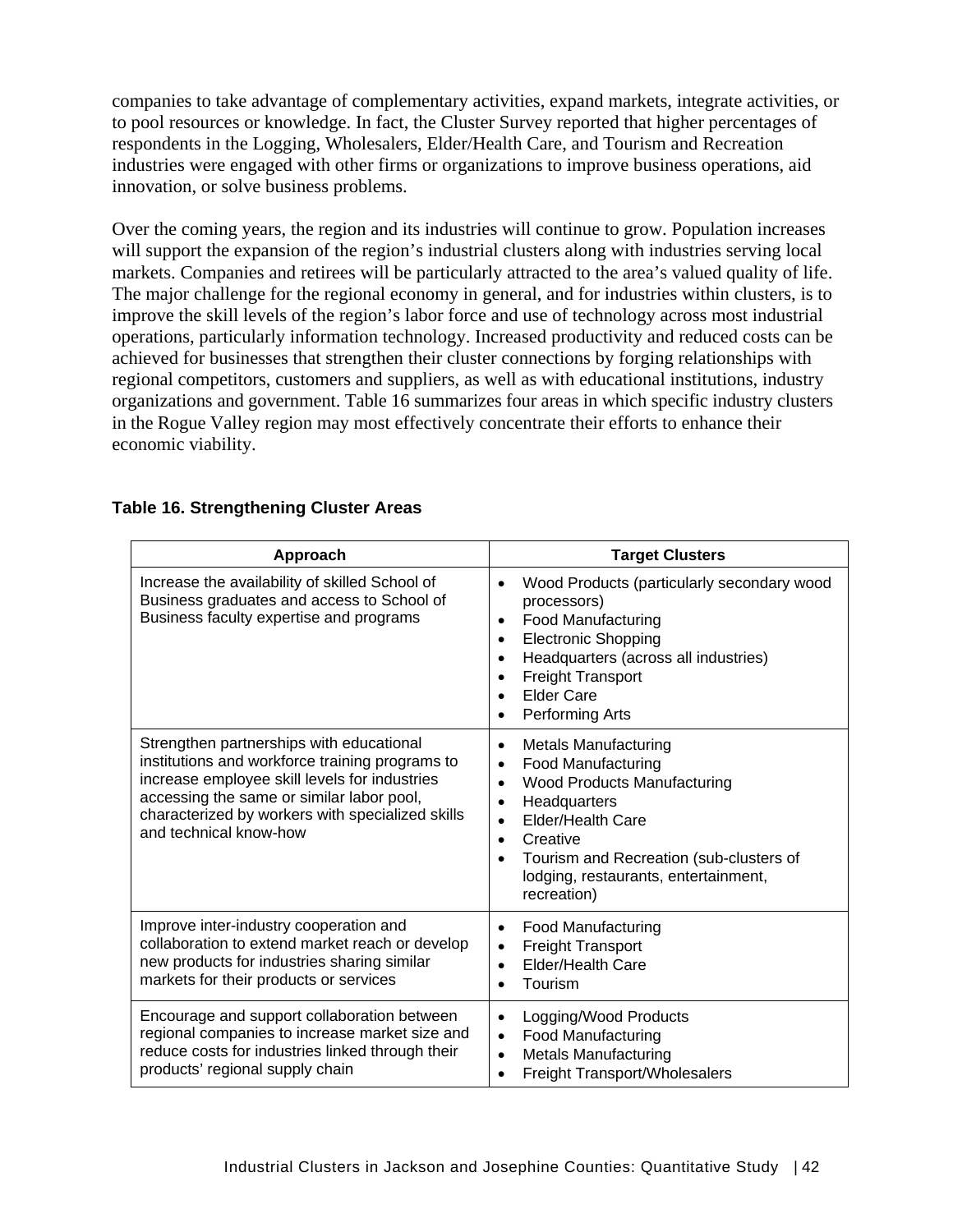companies to take advantage of complementary activities, expand markets, integrate activities, or to pool resources or knowledge. In fact, the Cluster Survey reported that higher percentages of respondents in the Logging, Wholesalers, Elder/Health Care, and Tourism and Recreation industries were engaged with other firms or organizations to improve business operations, aid innovation, or solve business problems.

Over the coming years, the region and its industries will continue to grow. Population increases will support the expansion of the region's industrial clusters along with industries serving local markets. Companies and retirees will be particularly attracted to the area's valued quality of life. The major challenge for the regional economy in general, and for industries within clusters, is to improve the skill levels of the region's labor force and use of technology across most industrial operations, particularly information technology. Increased productivity and reduced costs can be achieved for businesses that strengthen their cluster connections by forging relationships with regional competitors, customers and suppliers, as well as with educational institutions, industry organizations and government. Table 16 summarizes four areas in which specific industry clusters in the Rogue Valley region may most effectively concentrate their efforts to enhance their economic viability.

| Approach                                                                                                                                                                                                                                                                | <b>Target Clusters</b>                                                                                                                                                                                                                                                                                                                |
|-------------------------------------------------------------------------------------------------------------------------------------------------------------------------------------------------------------------------------------------------------------------------|---------------------------------------------------------------------------------------------------------------------------------------------------------------------------------------------------------------------------------------------------------------------------------------------------------------------------------------|
| Increase the availability of skilled School of<br>Business graduates and access to School of<br>Business faculty expertise and programs                                                                                                                                 | Wood Products (particularly secondary wood<br>$\bullet$<br>processors)<br>Food Manufacturing<br>$\bullet$<br><b>Electronic Shopping</b><br>$\bullet$<br>Headquarters (across all industries)<br><b>Freight Transport</b><br><b>Elder Care</b><br>Performing Arts                                                                      |
| Strengthen partnerships with educational<br>institutions and workforce training programs to<br>increase employee skill levels for industries<br>accessing the same or similar labor pool,<br>characterized by workers with specialized skills<br>and technical know-how | <b>Metals Manufacturing</b><br>$\bullet$<br>Food Manufacturing<br>$\bullet$<br><b>Wood Products Manufacturing</b><br>$\bullet$<br>Headquarters<br>$\bullet$<br>Elder/Health Care<br>$\bullet$<br>Creative<br>$\bullet$<br>Tourism and Recreation (sub-clusters of<br>$\bullet$<br>lodging, restaurants, entertainment,<br>recreation) |
| Improve inter-industry cooperation and<br>collaboration to extend market reach or develop<br>new products for industries sharing similar<br>markets for their products or services                                                                                      | <b>Food Manufacturing</b><br>$\bullet$<br><b>Freight Transport</b><br>$\bullet$<br><b>Elder/Health Care</b><br>$\bullet$<br>Tourism<br>$\bullet$                                                                                                                                                                                      |
| Encourage and support collaboration between<br>regional companies to increase market size and<br>reduce costs for industries linked through their<br>products' regional supply chain                                                                                    | Logging/Wood Products<br>$\bullet$<br>Food Manufacturing<br>$\bullet$<br><b>Metals Manufacturing</b><br>$\bullet$<br>Freight Transport/Wholesalers                                                                                                                                                                                    |

#### **Table 16. Strengthening Cluster Areas**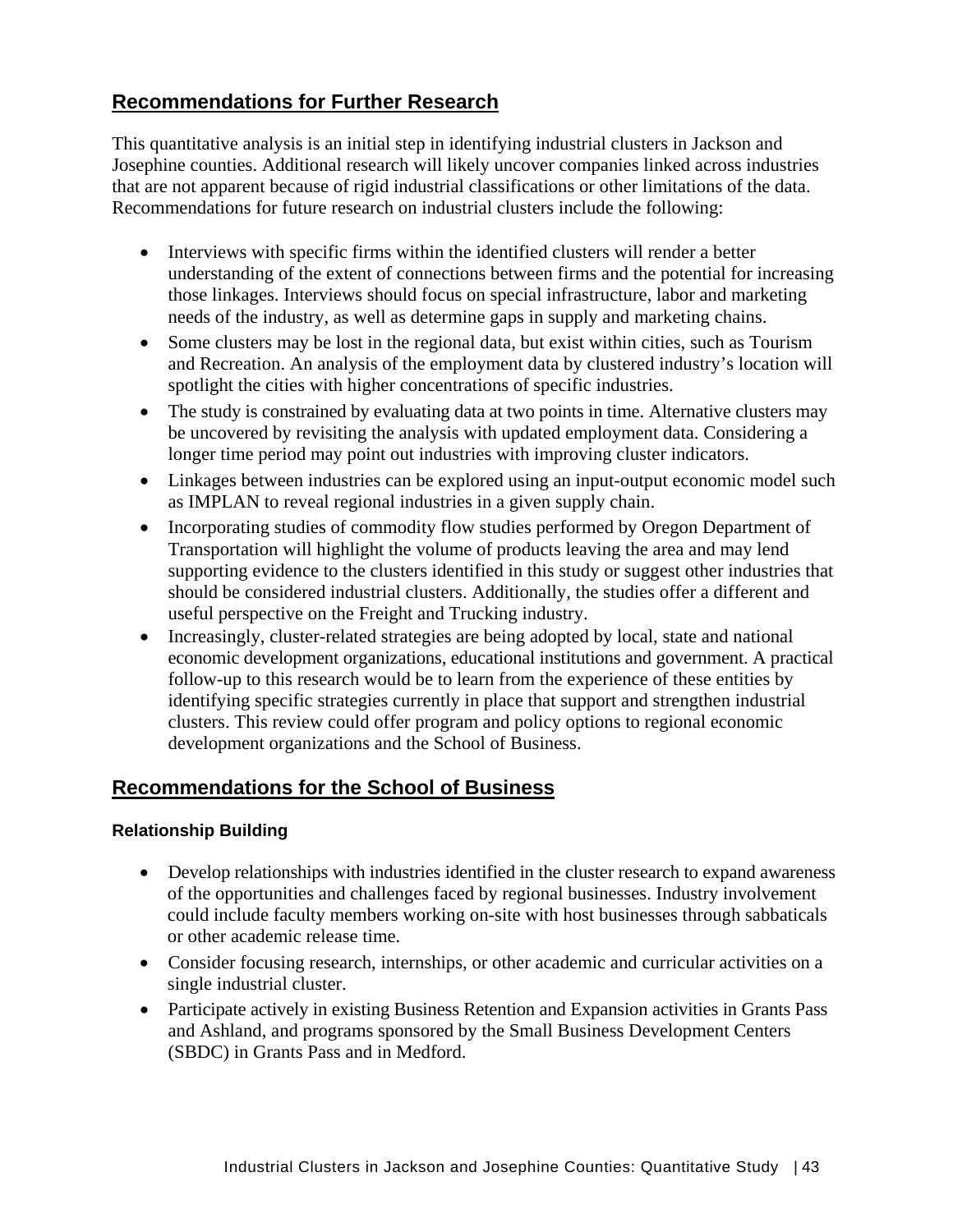# **Recommendations for Further Research**

This quantitative analysis is an initial step in identifying industrial clusters in Jackson and Josephine counties. Additional research will likely uncover companies linked across industries that are not apparent because of rigid industrial classifications or other limitations of the data. Recommendations for future research on industrial clusters include the following:

- Interviews with specific firms within the identified clusters will render a better understanding of the extent of connections between firms and the potential for increasing those linkages. Interviews should focus on special infrastructure, labor and marketing needs of the industry, as well as determine gaps in supply and marketing chains.
- Some clusters may be lost in the regional data, but exist within cities, such as Tourism and Recreation. An analysis of the employment data by clustered industry's location will spotlight the cities with higher concentrations of specific industries.
- The study is constrained by evaluating data at two points in time. Alternative clusters may be uncovered by revisiting the analysis with updated employment data. Considering a longer time period may point out industries with improving cluster indicators.
- Linkages between industries can be explored using an input-output economic model such as IMPLAN to reveal regional industries in a given supply chain.
- Incorporating studies of commodity flow studies performed by Oregon Department of Transportation will highlight the volume of products leaving the area and may lend supporting evidence to the clusters identified in this study or suggest other industries that should be considered industrial clusters. Additionally, the studies offer a different and useful perspective on the Freight and Trucking industry.
- Increasingly, cluster-related strategies are being adopted by local, state and national economic development organizations, educational institutions and government. A practical follow-up to this research would be to learn from the experience of these entities by identifying specific strategies currently in place that support and strengthen industrial clusters. This review could offer program and policy options to regional economic development organizations and the School of Business.

# **Recommendations for the School of Business**

# **Relationship Building**

- Develop relationships with industries identified in the cluster research to expand awareness of the opportunities and challenges faced by regional businesses. Industry involvement could include faculty members working on-site with host businesses through sabbaticals or other academic release time.
- Consider focusing research, internships, or other academic and curricular activities on a single industrial cluster.
- Participate actively in existing Business Retention and Expansion activities in Grants Pass and Ashland, and programs sponsored by the Small Business Development Centers (SBDC) in Grants Pass and in Medford.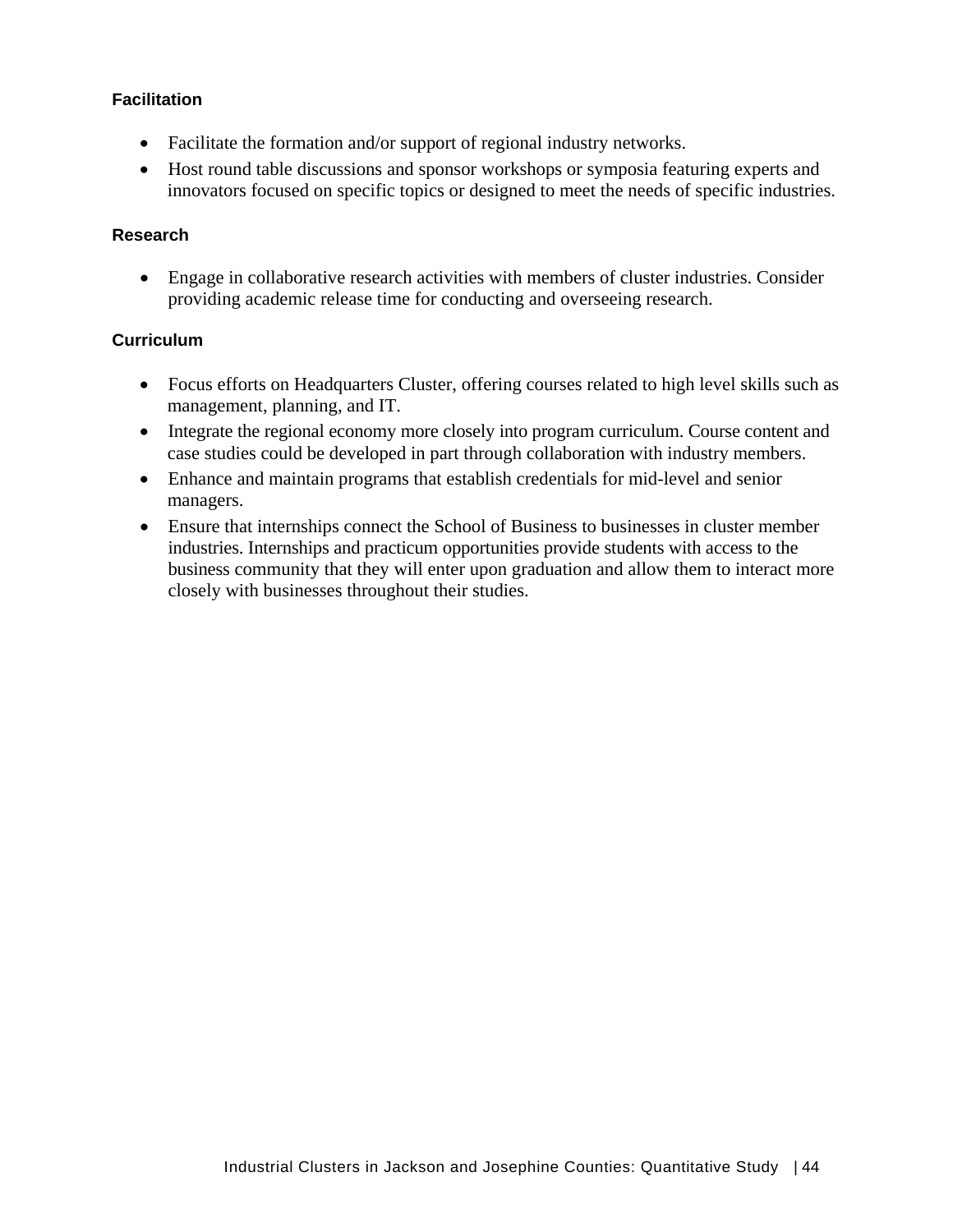# **Facilitation**

- Facilitate the formation and/or support of regional industry networks.
- Host round table discussions and sponsor workshops or symposia featuring experts and innovators focused on specific topics or designed to meet the needs of specific industries.

#### **Research**

• Engage in collaborative research activities with members of cluster industries. Consider providing academic release time for conducting and overseeing research.

#### **Curriculum**

- Focus efforts on Headquarters Cluster, offering courses related to high level skills such as management, planning, and IT.
- Integrate the regional economy more closely into program curriculum. Course content and case studies could be developed in part through collaboration with industry members.
- Enhance and maintain programs that establish credentials for mid-level and senior managers.
- Ensure that internships connect the School of Business to businesses in cluster member industries. Internships and practicum opportunities provide students with access to the business community that they will enter upon graduation and allow them to interact more closely with businesses throughout their studies.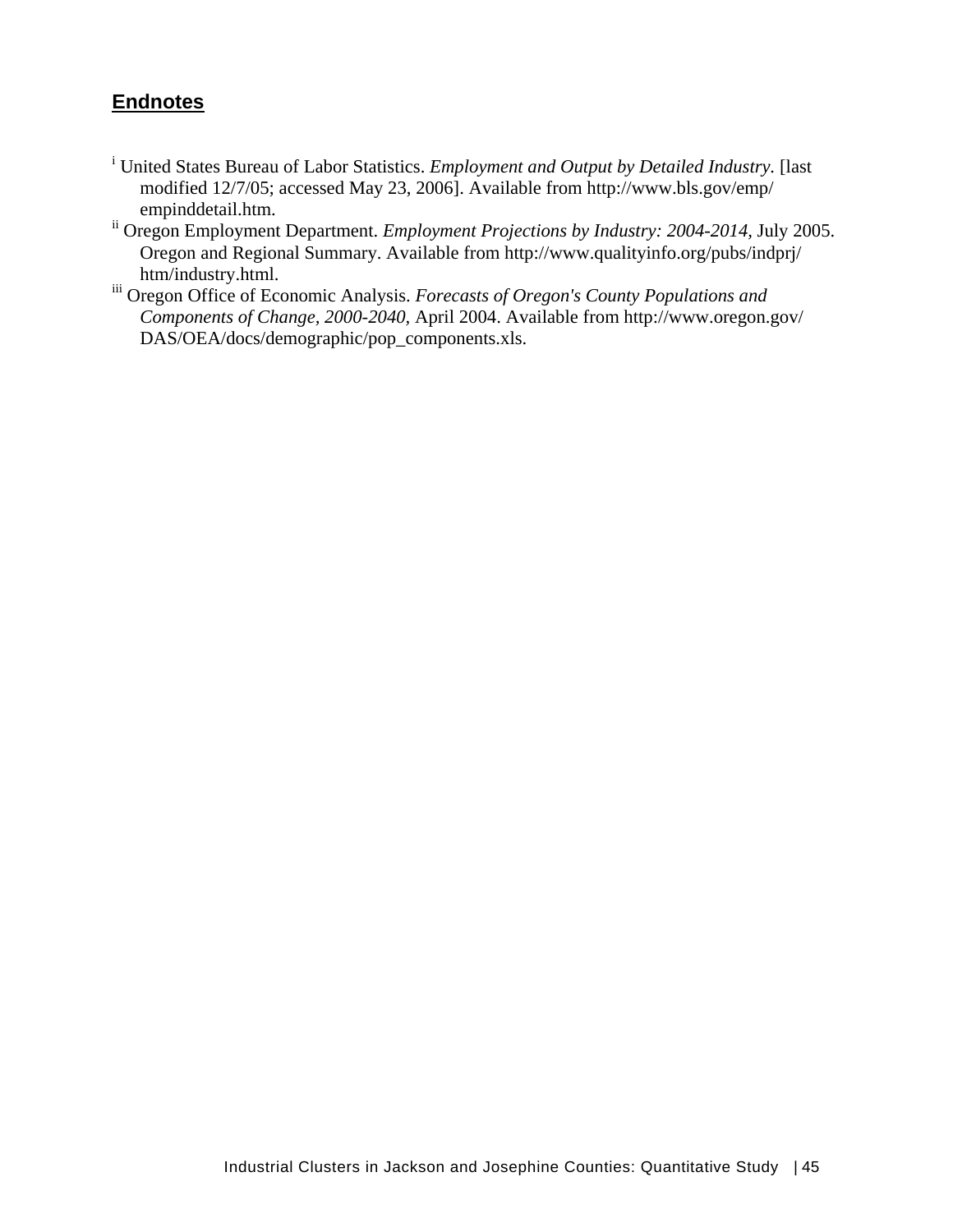# **Endnotes**

- <sup>i</sup> United States Bureau of Labor Statistics. *Employment and Output by Detailed Industry*. [last modified 12/7/05; accessed May 23, 2006]. Available from http://www.bls.gov/emp/ empinddetail.htm.
- ii Oregon Employment Department. *Employment Projections by Industry: 2004-2014,* July 2005. Oregon and Regional Summary. Available from http://www.qualityinfo.org/pubs/indprj/ htm/industry.html.
- iii Oregon Office of Economic Analysis. *Forecasts of Oregon's County Populations and Components of Change, 2000-2040,* April 2004. Available from http://www.oregon.gov/ DAS/OEA/docs/demographic/pop\_components.xls.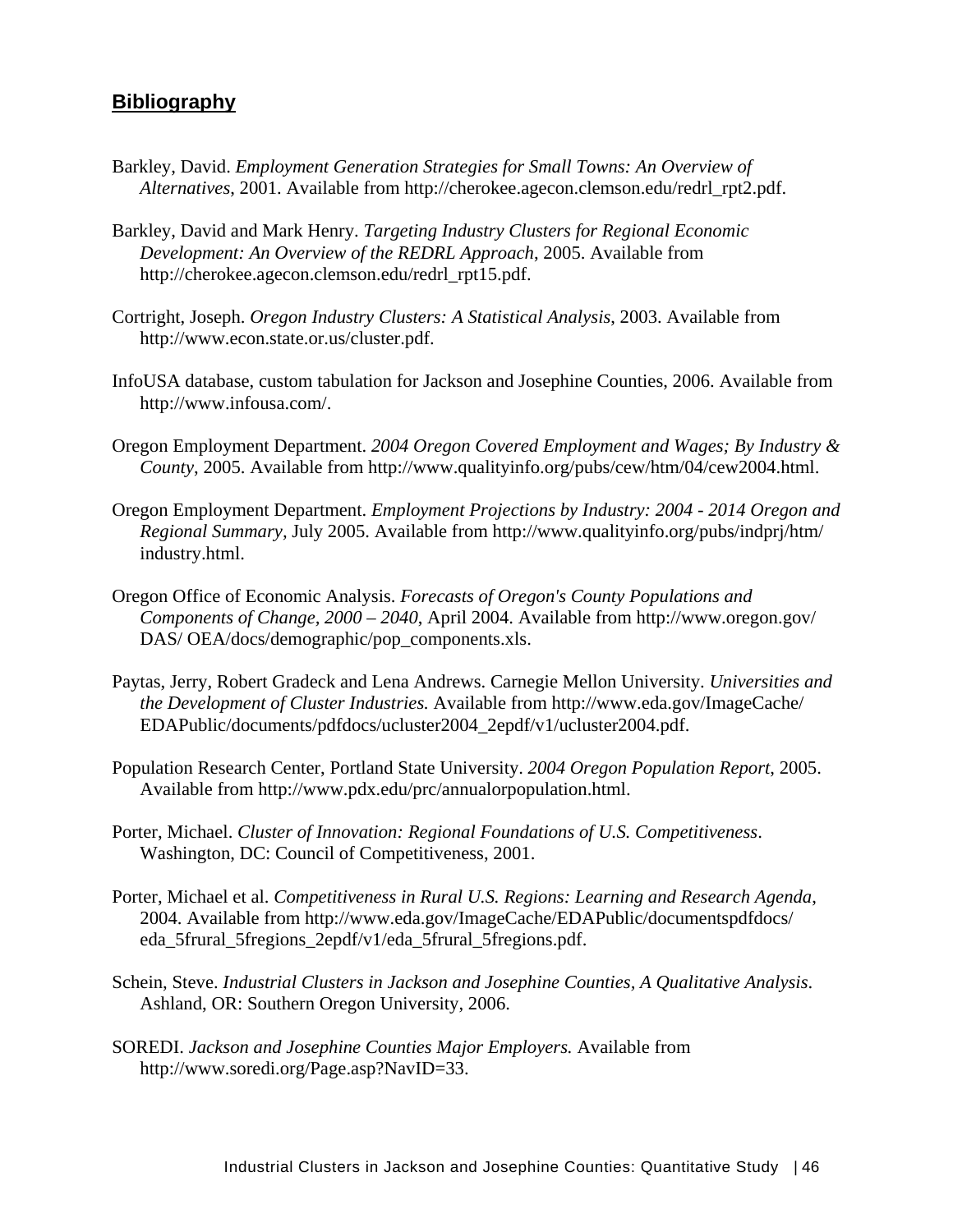# **Bibliography**

- Barkley, David. *Employment Generation Strategies for Small Towns: An Overview of Alternatives*, 2001. Available from http://cherokee.agecon.clemson.edu/redrl\_rpt2.pdf.
- Barkley, David and Mark Henry. *Targeting Industry Clusters for Regional Economic Development: An Overview of the REDRL Approach*, 2005. Available from http://cherokee.agecon.clemson.edu/redrl\_rpt15.pdf.
- Cortright, Joseph. *Oregon Industry Clusters: A Statistical Analysis*, 2003. Available from http://www.econ.state.or.us/cluster.pdf.
- InfoUSA database, custom tabulation for Jackson and Josephine Counties, 2006. Available from http://www.infousa.com/.
- Oregon Employment Department. *2004 Oregon Covered Employment and Wages; By Industry & County*, 2005. Available from http://www.qualityinfo.org/pubs/cew/htm/04/cew2004.html.
- Oregon Employment Department. *Employment Projections by Industry: 2004 2014 Oregon and Regional Summary,* July 2005. Available from http://www.qualityinfo.org/pubs/indprj/htm/ industry.html.
- Oregon Office of Economic Analysis. *Forecasts of Oregon's County Populations and Components of Change, 2000 – 2040*, April 2004. Available from http://www.oregon.gov/ DAS/ OEA/docs/demographic/pop\_components.xls.
- Paytas, Jerry, Robert Gradeck and Lena Andrews. Carnegie Mellon University. *Universities and the Development of Cluster Industries.* Available from http://www.eda.gov/ImageCache/ EDAPublic/documents/pdfdocs/ucluster2004\_2epdf/v1/ucluster2004.pdf.
- Population Research Center, Portland State University. *2004 Oregon Population Report*, 2005. Available from http://www.pdx.edu/prc/annualorpopulation.html.
- Porter, Michael. *Cluster of Innovation: Regional Foundations of U.S. Competitiveness*. Washington, DC: Council of Competitiveness, 2001.
- Porter, Michael et al. *Competitiveness in Rural U.S. Regions: Learning and Research Agenda*, 2004. Available from http://www.eda.gov/ImageCache/EDAPublic/documentspdfdocs/ eda\_5frural\_5fregions\_2epdf/v1/eda\_5frural\_5fregions.pdf.
- Schein, Steve. *Industrial Clusters in Jackson and Josephine Counties, A Qualitative Analysis*. Ashland, OR: Southern Oregon University, 2006.
- SOREDI. *Jackson and Josephine Counties Major Employers.* Available from http://www.soredi.org/Page.asp?NavID=33.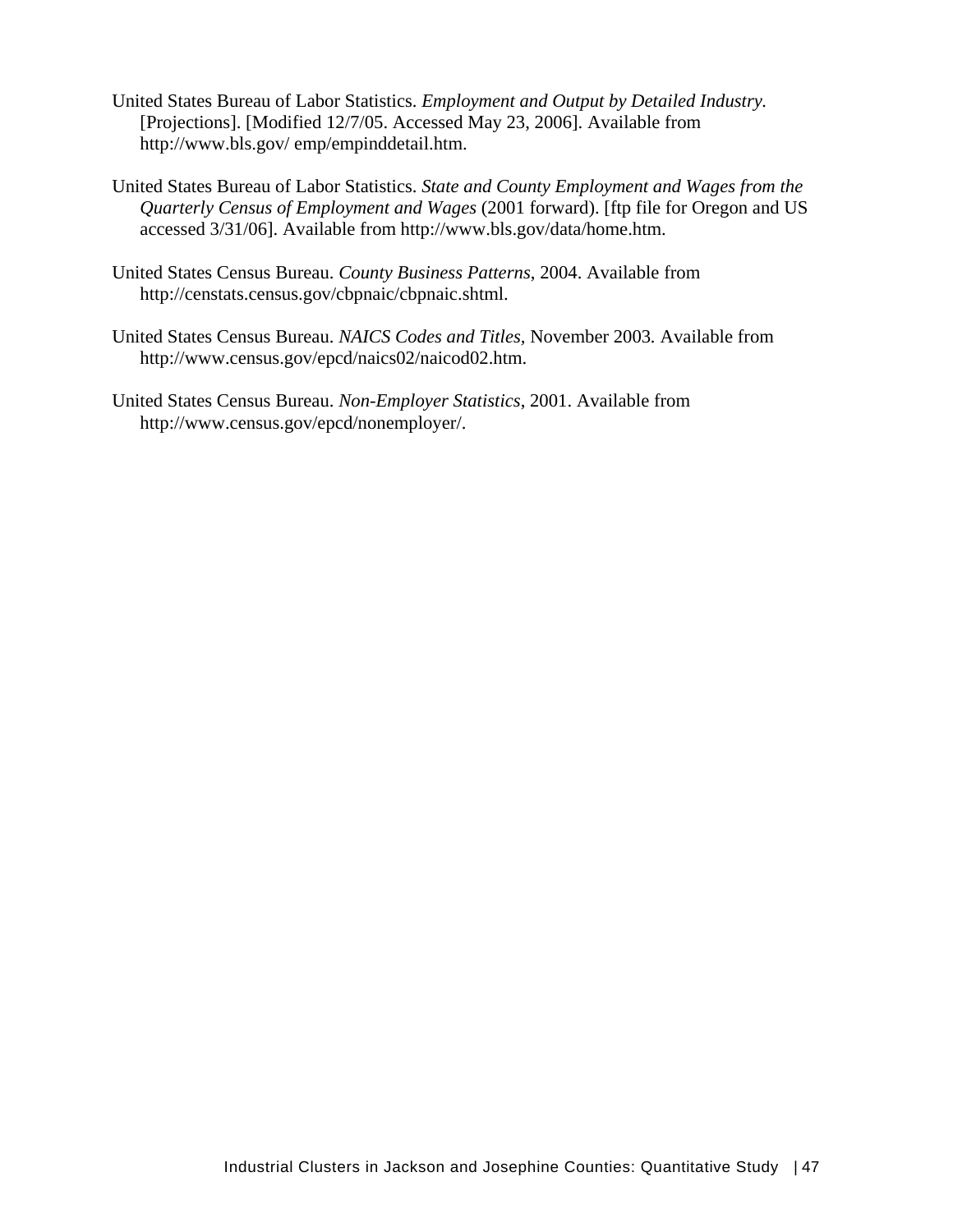- United States Bureau of Labor Statistics. *Employment and Output by Detailed Industry.* [Projections]. [Modified 12/7/05. Accessed May 23, 2006]. Available from http://www.bls.gov/ emp/empinddetail.htm.
- United States Bureau of Labor Statistics. *State and County Employment and Wages from the Quarterly Census of Employment and Wages* (2001 forward). [ftp file for Oregon and US accessed 3/31/06]. Available from http://www.bls.gov/data/home.htm.
- United States Census Bureau. *County Business Patterns*, 2004. Available from http://censtats.census.gov/cbpnaic/cbpnaic.shtml.
- United States Census Bureau. *NAICS Codes and Titles,* November 2003*.* Available from http://www.census.gov/epcd/naics02/naicod02.htm.
- United States Census Bureau. *Non-Employer Statistics*, 2001. Available from http://www.census.gov/epcd/nonemployer/.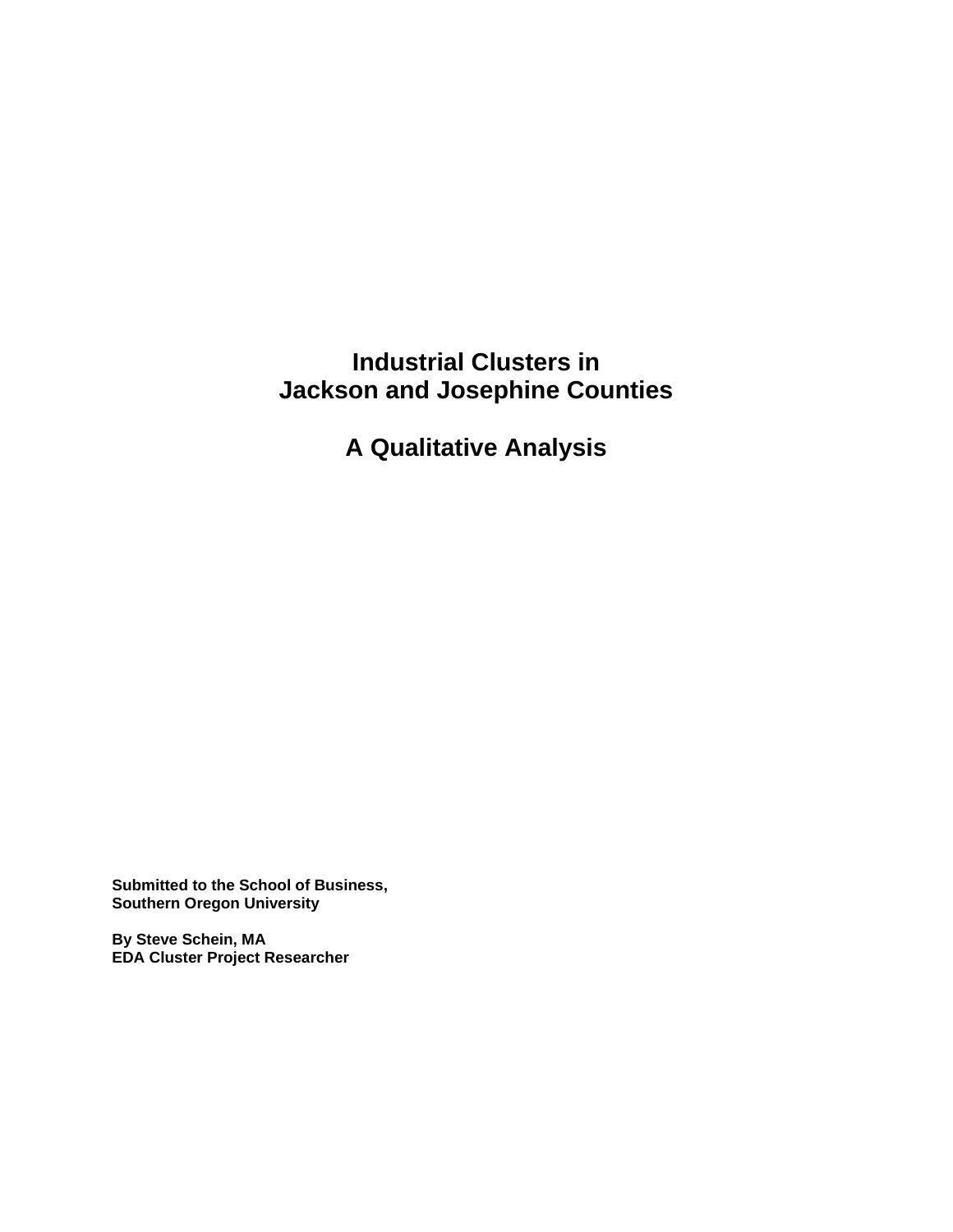# **Industrial Clusters in Jackson and Josephine Counties**

**A Qualitative Analysis** 

**Submitted to the School of Business, Southern Oregon University** 

**By Steve Schein, MA EDA Cluster Project Researcher**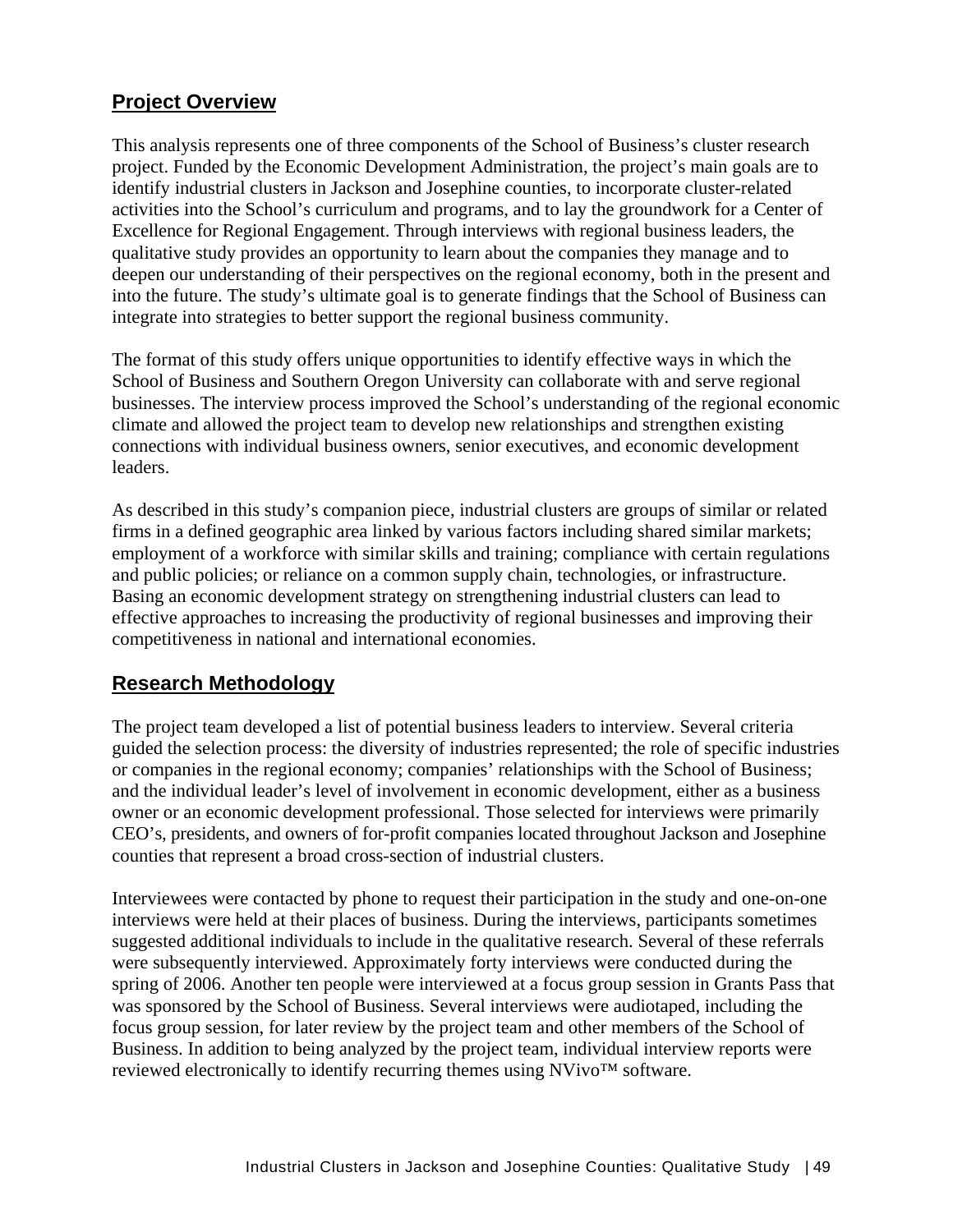# **Project Overview**

This analysis represents one of three components of the School of Business's cluster research project. Funded by the Economic Development Administration, the project's main goals are to identify industrial clusters in Jackson and Josephine counties, to incorporate cluster-related activities into the School's curriculum and programs, and to lay the groundwork for a Center of Excellence for Regional Engagement. Through interviews with regional business leaders, the qualitative study provides an opportunity to learn about the companies they manage and to deepen our understanding of their perspectives on the regional economy, both in the present and into the future. The study's ultimate goal is to generate findings that the School of Business can integrate into strategies to better support the regional business community.

The format of this study offers unique opportunities to identify effective ways in which the School of Business and Southern Oregon University can collaborate with and serve regional businesses. The interview process improved the School's understanding of the regional economic climate and allowed the project team to develop new relationships and strengthen existing connections with individual business owners, senior executives, and economic development leaders.

As described in this study's companion piece, industrial clusters are groups of similar or related firms in a defined geographic area linked by various factors including shared similar markets; employment of a workforce with similar skills and training; compliance with certain regulations and public policies; or reliance on a common supply chain, technologies, or infrastructure. Basing an economic development strategy on strengthening industrial clusters can lead to effective approaches to increasing the productivity of regional businesses and improving their competitiveness in national and international economies.

# **Research Methodology**

The project team developed a list of potential business leaders to interview. Several criteria guided the selection process: the diversity of industries represented; the role of specific industries or companies in the regional economy; companies' relationships with the School of Business; and the individual leader's level of involvement in economic development, either as a business owner or an economic development professional. Those selected for interviews were primarily CEO's, presidents, and owners of for-profit companies located throughout Jackson and Josephine counties that represent a broad cross-section of industrial clusters.

Interviewees were contacted by phone to request their participation in the study and one-on-one interviews were held at their places of business. During the interviews, participants sometimes suggested additional individuals to include in the qualitative research. Several of these referrals were subsequently interviewed. Approximately forty interviews were conducted during the spring of 2006. Another ten people were interviewed at a focus group session in Grants Pass that was sponsored by the School of Business. Several interviews were audiotaped, including the focus group session, for later review by the project team and other members of the School of Business. In addition to being analyzed by the project team, individual interview reports were reviewed electronically to identify recurring themes using NVivo™ software.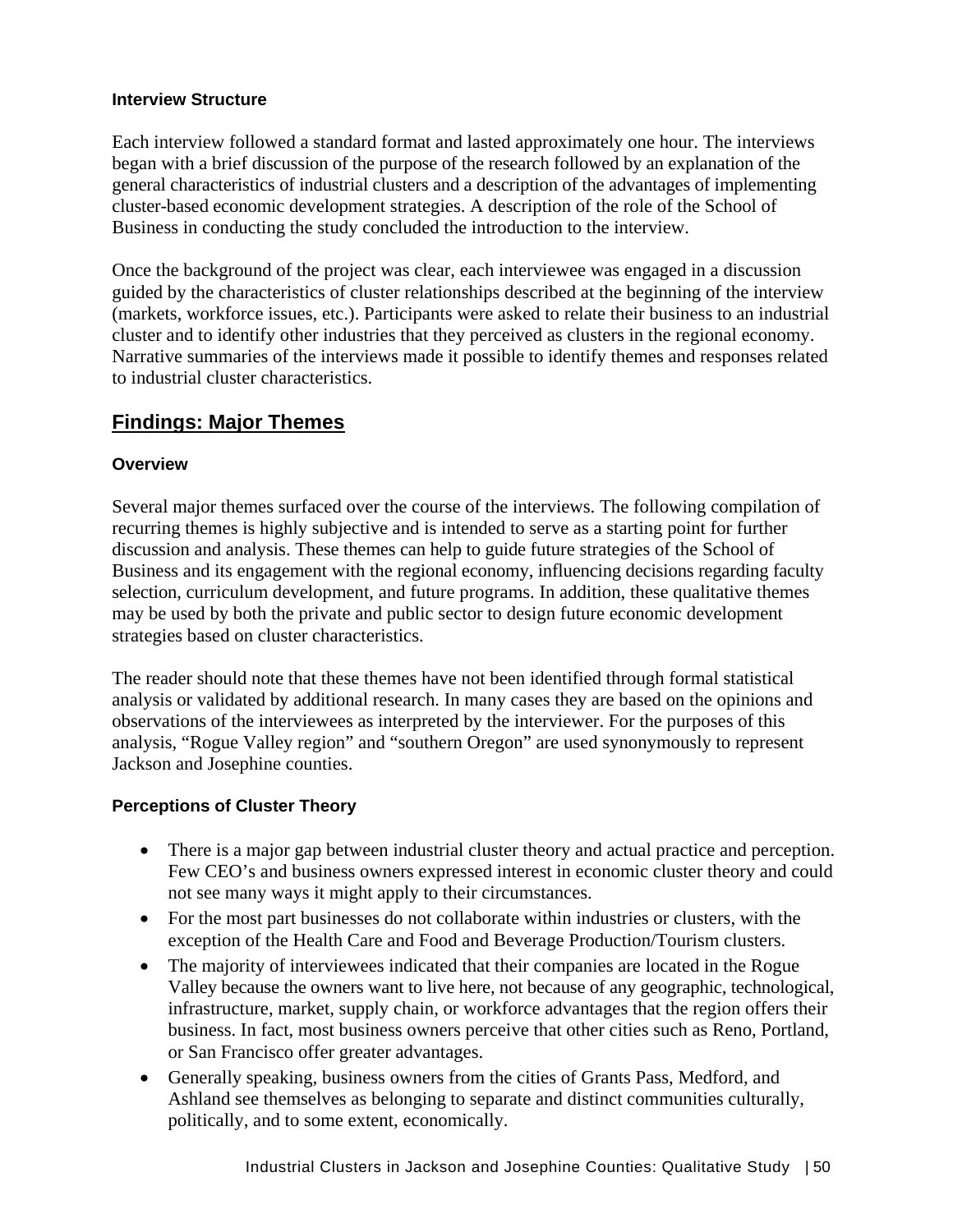### **Interview Structure**

Each interview followed a standard format and lasted approximately one hour. The interviews began with a brief discussion of the purpose of the research followed by an explanation of the general characteristics of industrial clusters and a description of the advantages of implementing cluster-based economic development strategies. A description of the role of the School of Business in conducting the study concluded the introduction to the interview.

Once the background of the project was clear, each interviewee was engaged in a discussion guided by the characteristics of cluster relationships described at the beginning of the interview (markets, workforce issues, etc.). Participants were asked to relate their business to an industrial cluster and to identify other industries that they perceived as clusters in the regional economy. Narrative summaries of the interviews made it possible to identify themes and responses related to industrial cluster characteristics.

# **Findings: Major Themes**

# **Overview**

Several major themes surfaced over the course of the interviews. The following compilation of recurring themes is highly subjective and is intended to serve as a starting point for further discussion and analysis. These themes can help to guide future strategies of the School of Business and its engagement with the regional economy, influencing decisions regarding faculty selection, curriculum development, and future programs. In addition, these qualitative themes may be used by both the private and public sector to design future economic development strategies based on cluster characteristics.

The reader should note that these themes have not been identified through formal statistical analysis or validated by additional research. In many cases they are based on the opinions and observations of the interviewees as interpreted by the interviewer. For the purposes of this analysis, "Rogue Valley region" and "southern Oregon" are used synonymously to represent Jackson and Josephine counties.

# **Perceptions of Cluster Theory**

- There is a major gap between industrial cluster theory and actual practice and perception. Few CEO's and business owners expressed interest in economic cluster theory and could not see many ways it might apply to their circumstances.
- For the most part businesses do not collaborate within industries or clusters, with the exception of the Health Care and Food and Beverage Production/Tourism clusters.
- The majority of interviewees indicated that their companies are located in the Rogue Valley because the owners want to live here, not because of any geographic, technological, infrastructure, market, supply chain, or workforce advantages that the region offers their business. In fact, most business owners perceive that other cities such as Reno, Portland, or San Francisco offer greater advantages.
- Generally speaking, business owners from the cities of Grants Pass, Medford, and Ashland see themselves as belonging to separate and distinct communities culturally, politically, and to some extent, economically.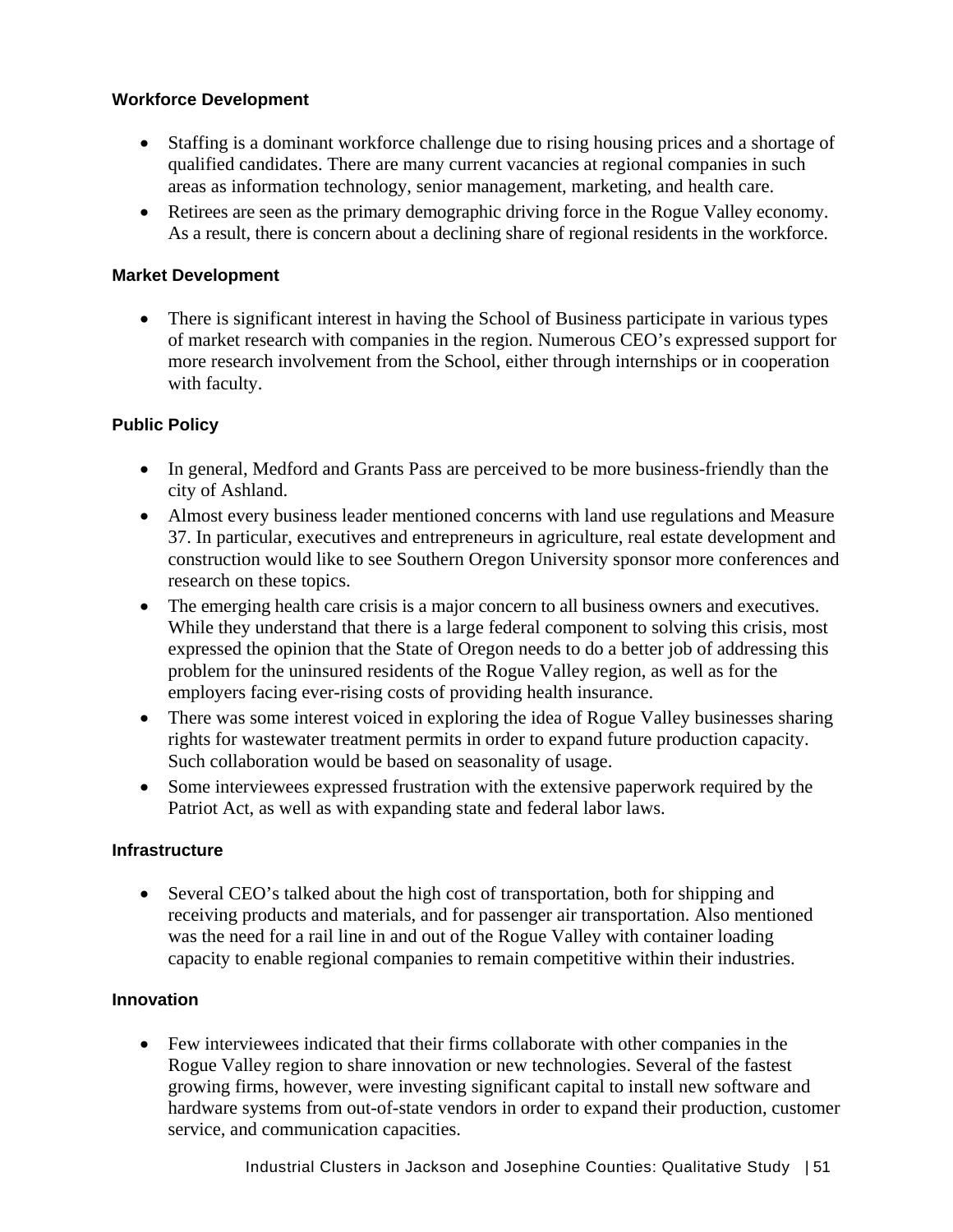### **Workforce Development**

- Staffing is a dominant workforce challenge due to rising housing prices and a shortage of qualified candidates. There are many current vacancies at regional companies in such areas as information technology, senior management, marketing, and health care.
- Retirees are seen as the primary demographic driving force in the Rogue Valley economy. As a result, there is concern about a declining share of regional residents in the workforce.

## **Market Development**

• There is significant interest in having the School of Business participate in various types of market research with companies in the region. Numerous CEO's expressed support for more research involvement from the School, either through internships or in cooperation with faculty.

### **Public Policy**

- In general, Medford and Grants Pass are perceived to be more business-friendly than the city of Ashland.
- Almost every business leader mentioned concerns with land use regulations and Measure 37. In particular, executives and entrepreneurs in agriculture, real estate development and construction would like to see Southern Oregon University sponsor more conferences and research on these topics.
- The emerging health care crisis is a major concern to all business owners and executives. While they understand that there is a large federal component to solving this crisis, most expressed the opinion that the State of Oregon needs to do a better job of addressing this problem for the uninsured residents of the Rogue Valley region, as well as for the employers facing ever-rising costs of providing health insurance.
- There was some interest voiced in exploring the idea of Rogue Valley businesses sharing rights for wastewater treatment permits in order to expand future production capacity. Such collaboration would be based on seasonality of usage.
- Some interviewees expressed frustration with the extensive paperwork required by the Patriot Act, as well as with expanding state and federal labor laws.

#### **Infrastructure**

• Several CEO's talked about the high cost of transportation, both for shipping and receiving products and materials, and for passenger air transportation. Also mentioned was the need for a rail line in and out of the Rogue Valley with container loading capacity to enable regional companies to remain competitive within their industries.

# **Innovation**

• Few interviewees indicated that their firms collaborate with other companies in the Rogue Valley region to share innovation or new technologies. Several of the fastest growing firms, however, were investing significant capital to install new software and hardware systems from out-of-state vendors in order to expand their production, customer service, and communication capacities.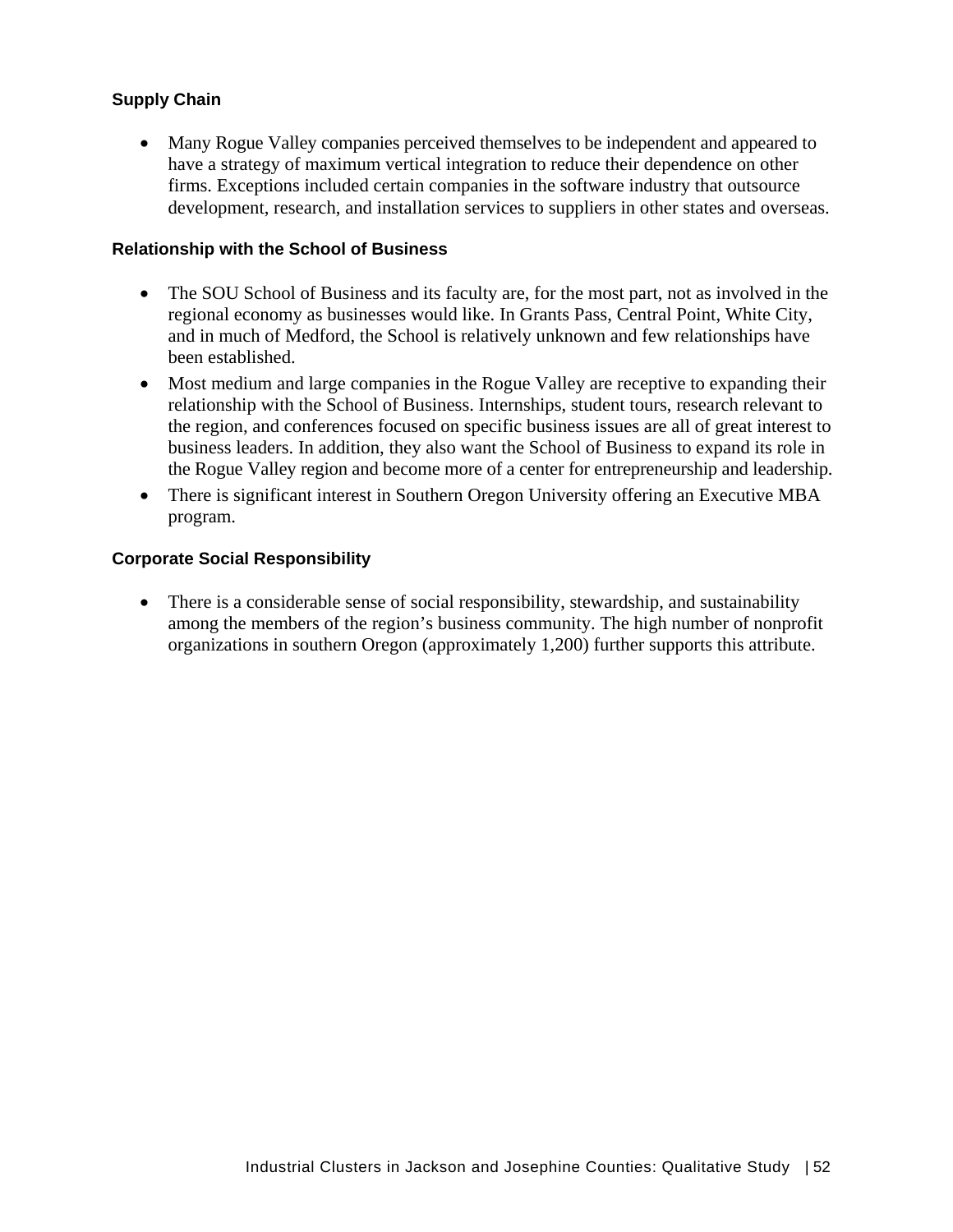## **Supply Chain**

• Many Rogue Valley companies perceived themselves to be independent and appeared to have a strategy of maximum vertical integration to reduce their dependence on other firms. Exceptions included certain companies in the software industry that outsource development, research, and installation services to suppliers in other states and overseas.

#### **Relationship with the School of Business**

- The SOU School of Business and its faculty are, for the most part, not as involved in the regional economy as businesses would like. In Grants Pass, Central Point, White City, and in much of Medford, the School is relatively unknown and few relationships have been established.
- Most medium and large companies in the Rogue Valley are receptive to expanding their relationship with the School of Business. Internships, student tours, research relevant to the region, and conferences focused on specific business issues are all of great interest to business leaders. In addition, they also want the School of Business to expand its role in the Rogue Valley region and become more of a center for entrepreneurship and leadership.
- There is significant interest in Southern Oregon University offering an Executive MBA program.

#### **Corporate Social Responsibility**

• There is a considerable sense of social responsibility, stewardship, and sustainability among the members of the region's business community. The high number of nonprofit organizations in southern Oregon (approximately 1,200) further supports this attribute.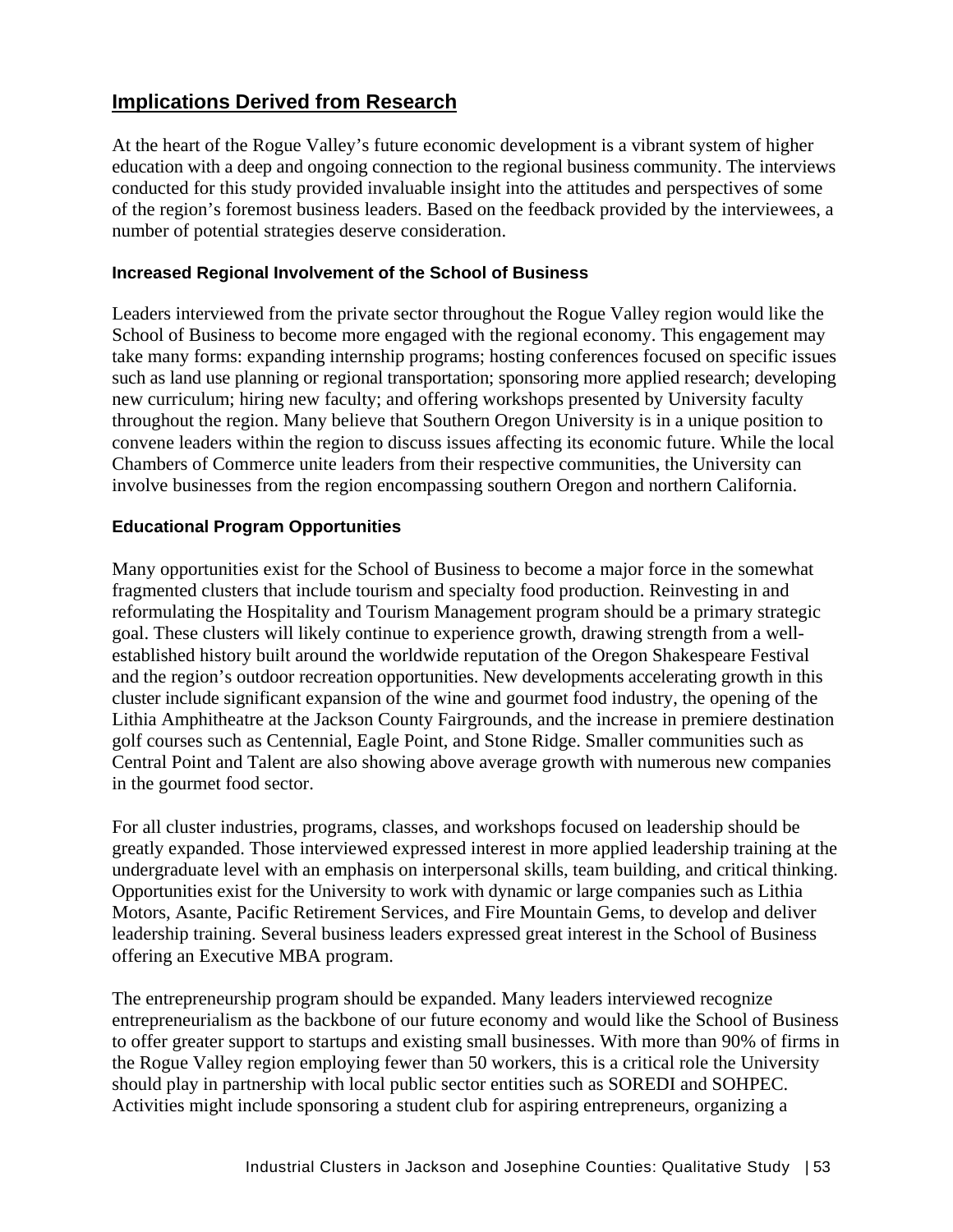# **Implications Derived from Research**

At the heart of the Rogue Valley's future economic development is a vibrant system of higher education with a deep and ongoing connection to the regional business community. The interviews conducted for this study provided invaluable insight into the attitudes and perspectives of some of the region's foremost business leaders. Based on the feedback provided by the interviewees, a number of potential strategies deserve consideration.

#### **Increased Regional Involvement of the School of Business**

Leaders interviewed from the private sector throughout the Rogue Valley region would like the School of Business to become more engaged with the regional economy. This engagement may take many forms: expanding internship programs; hosting conferences focused on specific issues such as land use planning or regional transportation; sponsoring more applied research; developing new curriculum; hiring new faculty; and offering workshops presented by University faculty throughout the region. Many believe that Southern Oregon University is in a unique position to convene leaders within the region to discuss issues affecting its economic future. While the local Chambers of Commerce unite leaders from their respective communities, the University can involve businesses from the region encompassing southern Oregon and northern California.

#### **Educational Program Opportunities**

Many opportunities exist for the School of Business to become a major force in the somewhat fragmented clusters that include tourism and specialty food production. Reinvesting in and reformulating the Hospitality and Tourism Management program should be a primary strategic goal. These clusters will likely continue to experience growth, drawing strength from a wellestablished history built around the worldwide reputation of the Oregon Shakespeare Festival and the region's outdoor recreation opportunities. New developments accelerating growth in this cluster include significant expansion of the wine and gourmet food industry, the opening of the Lithia Amphitheatre at the Jackson County Fairgrounds, and the increase in premiere destination golf courses such as Centennial, Eagle Point, and Stone Ridge. Smaller communities such as Central Point and Talent are also showing above average growth with numerous new companies in the gourmet food sector.

For all cluster industries, programs, classes, and workshops focused on leadership should be greatly expanded. Those interviewed expressed interest in more applied leadership training at the undergraduate level with an emphasis on interpersonal skills, team building, and critical thinking. Opportunities exist for the University to work with dynamic or large companies such as Lithia Motors, Asante, Pacific Retirement Services, and Fire Mountain Gems, to develop and deliver leadership training. Several business leaders expressed great interest in the School of Business offering an Executive MBA program.

The entrepreneurship program should be expanded. Many leaders interviewed recognize entrepreneurialism as the backbone of our future economy and would like the School of Business to offer greater support to startups and existing small businesses. With more than 90% of firms in the Rogue Valley region employing fewer than 50 workers, this is a critical role the University should play in partnership with local public sector entities such as SOREDI and SOHPEC. Activities might include sponsoring a student club for aspiring entrepreneurs, organizing a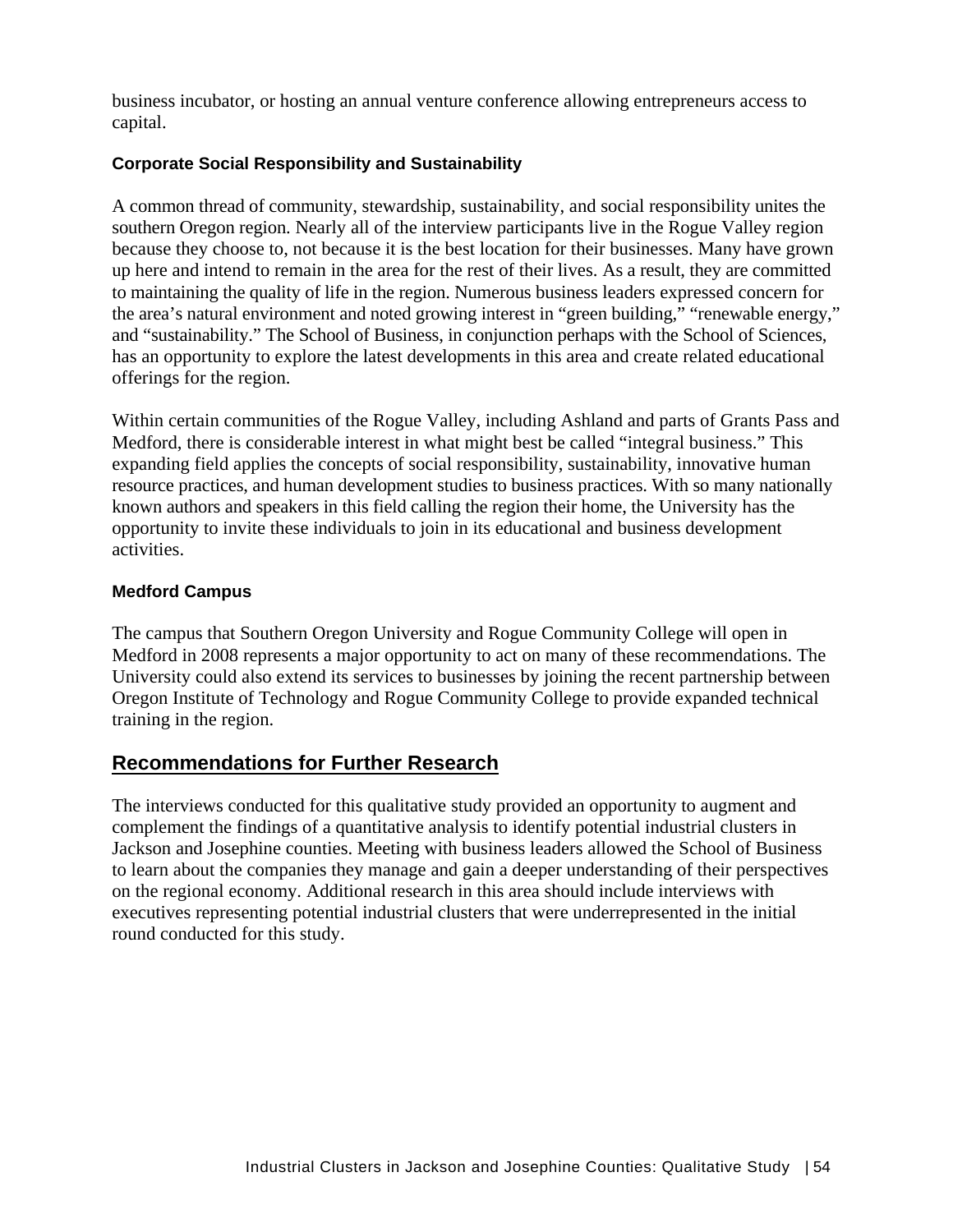business incubator, or hosting an annual venture conference allowing entrepreneurs access to capital.

### **Corporate Social Responsibility and Sustainability**

A common thread of community, stewardship, sustainability, and social responsibility unites the southern Oregon region. Nearly all of the interview participants live in the Rogue Valley region because they choose to, not because it is the best location for their businesses. Many have grown up here and intend to remain in the area for the rest of their lives. As a result, they are committed to maintaining the quality of life in the region. Numerous business leaders expressed concern for the area's natural environment and noted growing interest in "green building," "renewable energy," and "sustainability." The School of Business, in conjunction perhaps with the School of Sciences, has an opportunity to explore the latest developments in this area and create related educational offerings for the region.

Within certain communities of the Rogue Valley, including Ashland and parts of Grants Pass and Medford, there is considerable interest in what might best be called "integral business." This expanding field applies the concepts of social responsibility, sustainability, innovative human resource practices, and human development studies to business practices. With so many nationally known authors and speakers in this field calling the region their home, the University has the opportunity to invite these individuals to join in its educational and business development activities.

### **Medford Campus**

The campus that Southern Oregon University and Rogue Community College will open in Medford in 2008 represents a major opportunity to act on many of these recommendations. The University could also extend its services to businesses by joining the recent partnership between Oregon Institute of Technology and Rogue Community College to provide expanded technical training in the region.

# **Recommendations for Further Research**

The interviews conducted for this qualitative study provided an opportunity to augment and complement the findings of a quantitative analysis to identify potential industrial clusters in Jackson and Josephine counties. Meeting with business leaders allowed the School of Business to learn about the companies they manage and gain a deeper understanding of their perspectives on the regional economy. Additional research in this area should include interviews with executives representing potential industrial clusters that were underrepresented in the initial round conducted for this study.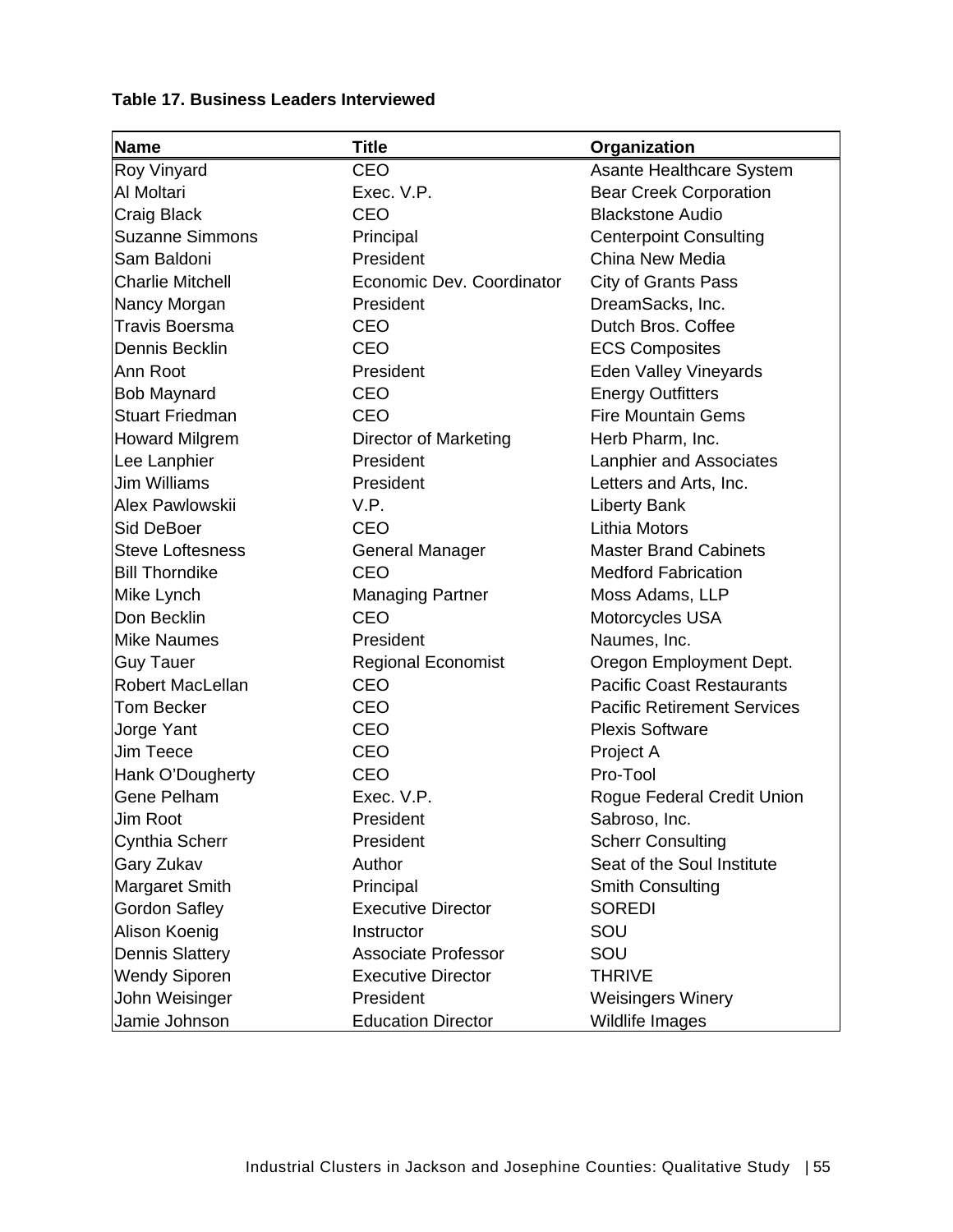# **Table 17. Business Leaders Interviewed**

| <b>Name</b>             | <b>Title</b>               | Organization                       |
|-------------------------|----------------------------|------------------------------------|
| Roy Vinyard             | CEO                        | Asante Healthcare System           |
| Al Moltari              | Exec. V.P.                 | <b>Bear Creek Corporation</b>      |
| Craig Black             | <b>CEO</b>                 | <b>Blackstone Audio</b>            |
| <b>Suzanne Simmons</b>  | Principal                  | <b>Centerpoint Consulting</b>      |
| Sam Baldoni             | President                  | China New Media                    |
| <b>Charlie Mitchell</b> | Economic Dev. Coordinator  | <b>City of Grants Pass</b>         |
| Nancy Morgan            | President                  | DreamSacks, Inc.                   |
| <b>Travis Boersma</b>   | <b>CEO</b>                 | Dutch Bros. Coffee                 |
| Dennis Becklin          | <b>CEO</b>                 | <b>ECS Composites</b>              |
| Ann Root                | President                  | Eden Valley Vineyards              |
| <b>Bob Maynard</b>      | <b>CEO</b>                 | <b>Energy Outfitters</b>           |
| <b>Stuart Friedman</b>  | CEO                        | <b>Fire Mountain Gems</b>          |
| <b>Howard Milgrem</b>   | Director of Marketing      | Herb Pharm, Inc.                   |
| Lee Lanphier            | President                  | Lanphier and Associates            |
| <b>Jim Williams</b>     | President                  | Letters and Arts, Inc.             |
| Alex Pawlowskii         | V.P.                       | <b>Liberty Bank</b>                |
| Sid DeBoer              | CEO                        | Lithia Motors                      |
| <b>Steve Loftesness</b> | <b>General Manager</b>     | <b>Master Brand Cabinets</b>       |
| <b>Bill Thorndike</b>   | <b>CEO</b>                 | <b>Medford Fabrication</b>         |
| Mike Lynch              | <b>Managing Partner</b>    | Moss Adams, LLP                    |
| Don Becklin             | CEO                        | Motorcycles USA                    |
| <b>Mike Naumes</b>      | President                  | Naumes, Inc.                       |
| <b>Guy Tauer</b>        | <b>Regional Economist</b>  | Oregon Employment Dept.            |
| <b>Robert MacLellan</b> | <b>CEO</b>                 | <b>Pacific Coast Restaurants</b>   |
| <b>Tom Becker</b>       | <b>CEO</b>                 | <b>Pacific Retirement Services</b> |
| Jorge Yant              | CEO                        | <b>Plexis Software</b>             |
| Jim Teece               | <b>CEO</b>                 | Project A                          |
| Hank O'Dougherty        | CEO                        | Pro-Tool                           |
| Gene Pelham             | Exec. V.P.                 | Rogue Federal Credit Union         |
| Jim Root                | President                  | Sabroso, Inc.                      |
| Cynthia Scherr          | President                  | <b>Scherr Consulting</b>           |
| Gary Zukav              | Author                     | Seat of the Soul Institute         |
| <b>Margaret Smith</b>   | Principal                  | <b>Smith Consulting</b>            |
| <b>Gordon Safley</b>    | <b>Executive Director</b>  | <b>SOREDI</b>                      |
| Alison Koenig           | Instructor                 | SOU                                |
| <b>Dennis Slattery</b>  | <b>Associate Professor</b> | SOU                                |
| <b>Wendy Siporen</b>    | <b>Executive Director</b>  | <b>THRIVE</b>                      |
| John Weisinger          | President                  | <b>Weisingers Winery</b>           |
| Jamie Johnson           | <b>Education Director</b>  | Wildlife Images                    |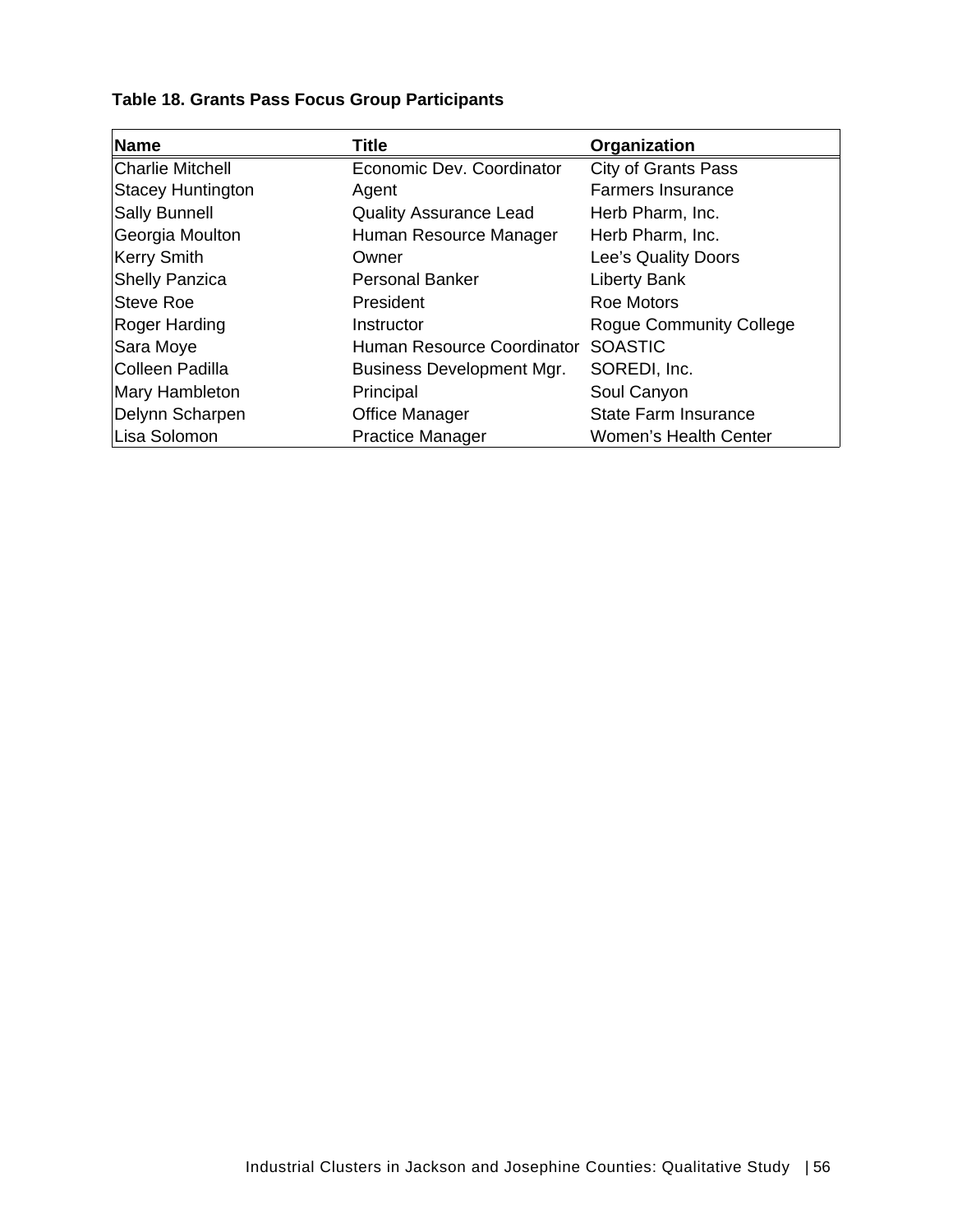# **Table 18. Grants Pass Focus Group Participants**

| <b>Name</b>              | <b>Title</b>                     | Organization                   |
|--------------------------|----------------------------------|--------------------------------|
| <b>Charlie Mitchell</b>  | Economic Dev. Coordinator        | <b>City of Grants Pass</b>     |
| <b>Stacey Huntington</b> | Agent                            | <b>Farmers Insurance</b>       |
| <b>Sally Bunnell</b>     | <b>Quality Assurance Lead</b>    | Herb Pharm, Inc.               |
| Georgia Moulton          | Human Resource Manager           | Herb Pharm, Inc.               |
| Kerry Smith              | Owner                            | Lee's Quality Doors            |
| <b>Shelly Panzica</b>    | <b>Personal Banker</b>           | Liberty Bank                   |
| <b>Steve Roe</b>         | President                        | <b>Roe Motors</b>              |
| Roger Harding            | Instructor                       | <b>Roque Community College</b> |
| Sara Moye                | Human Resource Coordinator       | <b>SOASTIC</b>                 |
| <b>Colleen Padilla</b>   | <b>Business Development Mgr.</b> | SOREDI, Inc.                   |
| Mary Hambleton           | Principal                        | Soul Canyon                    |
| Delynn Scharpen          | <b>Office Manager</b>            | State Farm Insurance           |
| Lisa Solomon             | <b>Practice Manager</b>          | <b>Women's Health Center</b>   |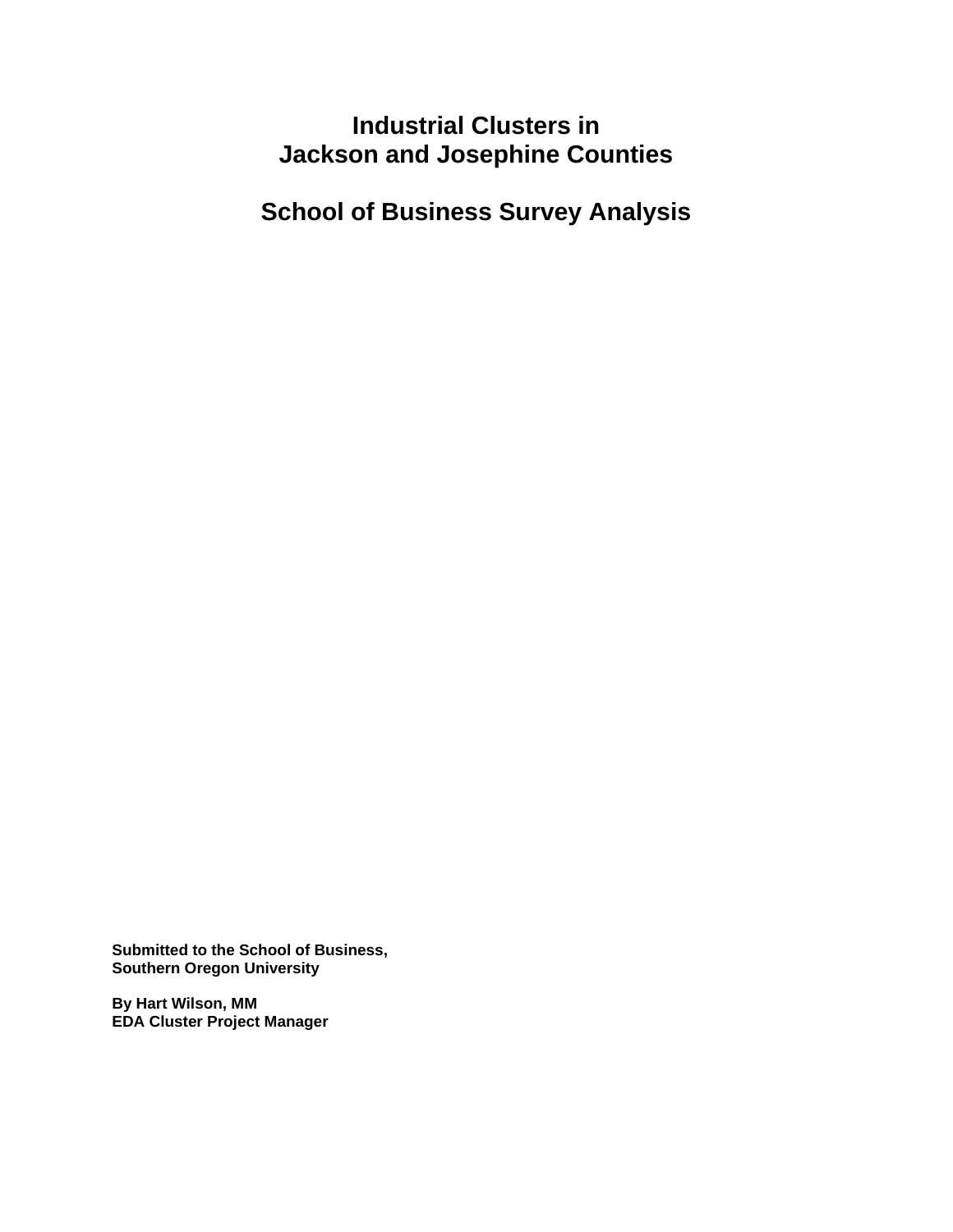# **Industrial Clusters in Jackson and Josephine Counties**

**School of Business Survey Analysis** 

**Submitted to the School of Business, Southern Oregon University** 

**By Hart Wilson, MM EDA Cluster Project Manager**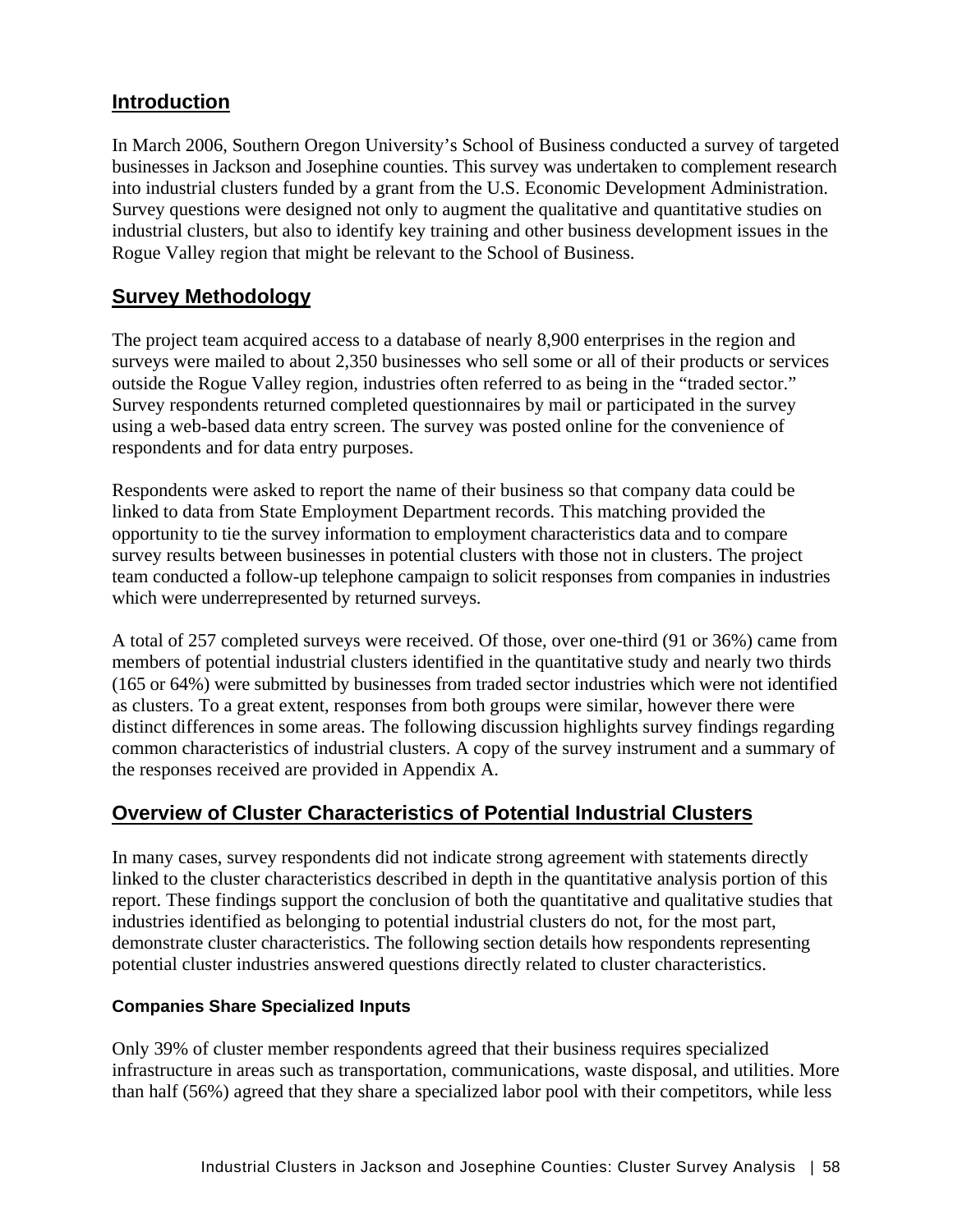# **Introduction**

In March 2006, Southern Oregon University's School of Business conducted a survey of targeted businesses in Jackson and Josephine counties. This survey was undertaken to complement research into industrial clusters funded by a grant from the U.S. Economic Development Administration. Survey questions were designed not only to augment the qualitative and quantitative studies on industrial clusters, but also to identify key training and other business development issues in the Rogue Valley region that might be relevant to the School of Business.

# **Survey Methodology**

The project team acquired access to a database of nearly 8,900 enterprises in the region and surveys were mailed to about 2,350 businesses who sell some or all of their products or services outside the Rogue Valley region, industries often referred to as being in the "traded sector." Survey respondents returned completed questionnaires by mail or participated in the survey using a web-based data entry screen. The survey was posted online for the convenience of respondents and for data entry purposes.

Respondents were asked to report the name of their business so that company data could be linked to data from State Employment Department records. This matching provided the opportunity to tie the survey information to employment characteristics data and to compare survey results between businesses in potential clusters with those not in clusters. The project team conducted a follow-up telephone campaign to solicit responses from companies in industries which were underrepresented by returned surveys.

A total of 257 completed surveys were received. Of those, over one-third (91 or 36%) came from members of potential industrial clusters identified in the quantitative study and nearly two thirds (165 or 64%) were submitted by businesses from traded sector industries which were not identified as clusters. To a great extent, responses from both groups were similar, however there were distinct differences in some areas. The following discussion highlights survey findings regarding common characteristics of industrial clusters. A copy of the survey instrument and a summary of the responses received are provided in Appendix A.

# **Overview of Cluster Characteristics of Potential Industrial Clusters**

In many cases, survey respondents did not indicate strong agreement with statements directly linked to the cluster characteristics described in depth in the quantitative analysis portion of this report. These findings support the conclusion of both the quantitative and qualitative studies that industries identified as belonging to potential industrial clusters do not, for the most part, demonstrate cluster characteristics. The following section details how respondents representing potential cluster industries answered questions directly related to cluster characteristics.

#### **Companies Share Specialized Inputs**

Only 39% of cluster member respondents agreed that their business requires specialized infrastructure in areas such as transportation, communications, waste disposal, and utilities. More than half (56%) agreed that they share a specialized labor pool with their competitors, while less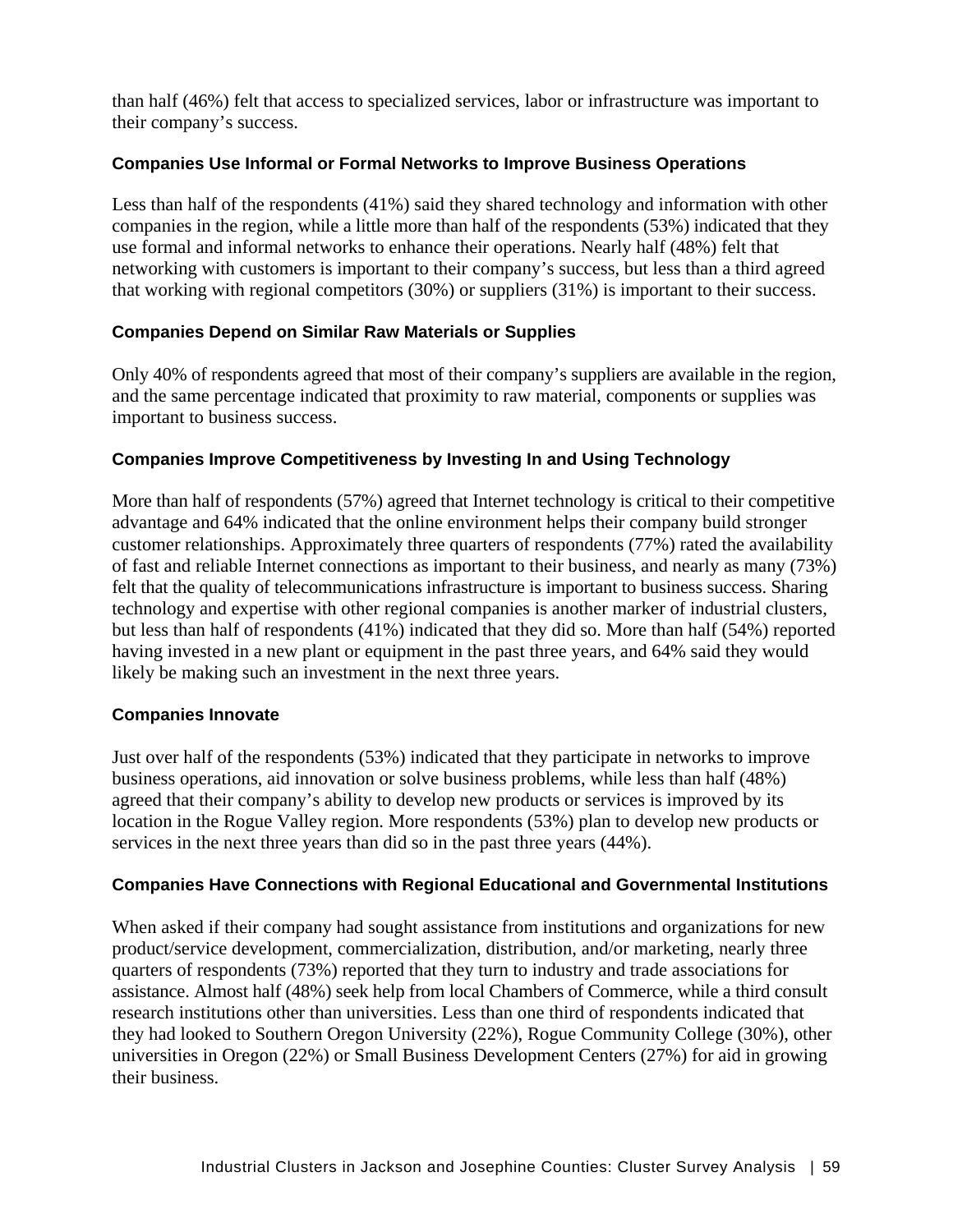than half (46%) felt that access to specialized services, labor or infrastructure was important to their company's success.

### **Companies Use Informal or Formal Networks to Improve Business Operations**

Less than half of the respondents (41%) said they shared technology and information with other companies in the region, while a little more than half of the respondents (53%) indicated that they use formal and informal networks to enhance their operations. Nearly half (48%) felt that networking with customers is important to their company's success, but less than a third agreed that working with regional competitors (30%) or suppliers (31%) is important to their success.

### **Companies Depend on Similar Raw Materials or Supplies**

Only 40% of respondents agreed that most of their company's suppliers are available in the region, and the same percentage indicated that proximity to raw material, components or supplies was important to business success.

### **Companies Improve Competitiveness by Investing In and Using Technology**

More than half of respondents (57%) agreed that Internet technology is critical to their competitive advantage and 64% indicated that the online environment helps their company build stronger customer relationships. Approximately three quarters of respondents (77%) rated the availability of fast and reliable Internet connections as important to their business, and nearly as many (73%) felt that the quality of telecommunications infrastructure is important to business success. Sharing technology and expertise with other regional companies is another marker of industrial clusters, but less than half of respondents (41%) indicated that they did so. More than half (54%) reported having invested in a new plant or equipment in the past three years, and 64% said they would likely be making such an investment in the next three years.

#### **Companies Innovate**

Just over half of the respondents (53%) indicated that they participate in networks to improve business operations, aid innovation or solve business problems, while less than half (48%) agreed that their company's ability to develop new products or services is improved by its location in the Rogue Valley region. More respondents (53%) plan to develop new products or services in the next three years than did so in the past three years (44%).

#### **Companies Have Connections with Regional Educational and Governmental Institutions**

When asked if their company had sought assistance from institutions and organizations for new product/service development, commercialization, distribution, and/or marketing, nearly three quarters of respondents (73%) reported that they turn to industry and trade associations for assistance. Almost half (48%) seek help from local Chambers of Commerce, while a third consult research institutions other than universities. Less than one third of respondents indicated that they had looked to Southern Oregon University (22%), Rogue Community College (30%), other universities in Oregon (22%) or Small Business Development Centers (27%) for aid in growing their business.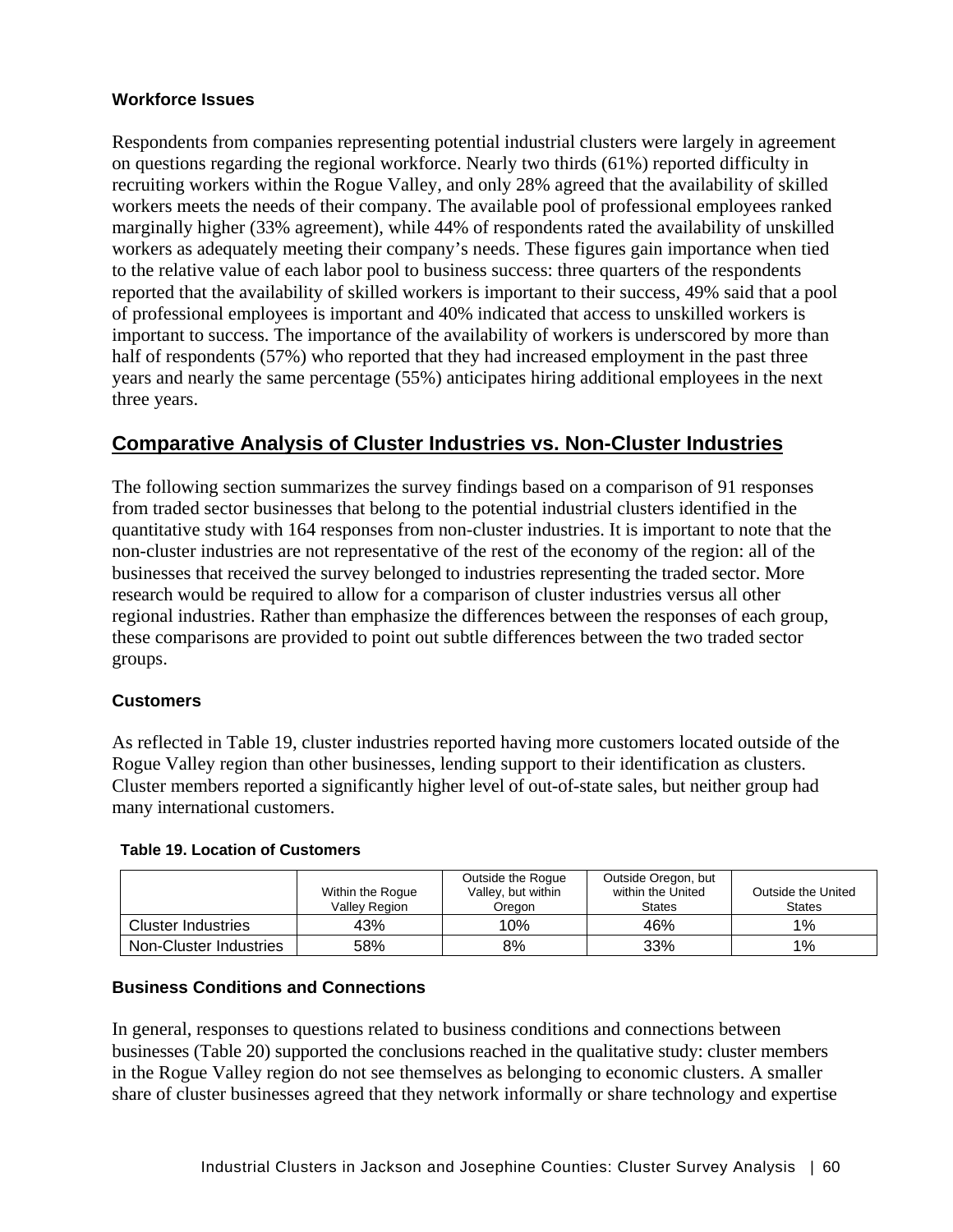#### **Workforce Issues**

Respondents from companies representing potential industrial clusters were largely in agreement on questions regarding the regional workforce. Nearly two thirds (61%) reported difficulty in recruiting workers within the Rogue Valley, and only 28% agreed that the availability of skilled workers meets the needs of their company. The available pool of professional employees ranked marginally higher (33% agreement), while 44% of respondents rated the availability of unskilled workers as adequately meeting their company's needs. These figures gain importance when tied to the relative value of each labor pool to business success: three quarters of the respondents reported that the availability of skilled workers is important to their success, 49% said that a pool of professional employees is important and 40% indicated that access to unskilled workers is important to success. The importance of the availability of workers is underscored by more than half of respondents (57%) who reported that they had increased employment in the past three years and nearly the same percentage (55%) anticipates hiring additional employees in the next three years.

# **Comparative Analysis of Cluster Industries vs. Non-Cluster Industries**

The following section summarizes the survey findings based on a comparison of 91 responses from traded sector businesses that belong to the potential industrial clusters identified in the quantitative study with 164 responses from non-cluster industries. It is important to note that the non-cluster industries are not representative of the rest of the economy of the region: all of the businesses that received the survey belonged to industries representing the traded sector. More research would be required to allow for a comparison of cluster industries versus all other regional industries. Rather than emphasize the differences between the responses of each group, these comparisons are provided to point out subtle differences between the two traded sector groups.

#### **Customers**

As reflected in Table 19, cluster industries reported having more customers located outside of the Rogue Valley region than other businesses, lending support to their identification as clusters. Cluster members reported a significantly higher level of out-of-state sales, but neither group had many international customers.

#### **Table 19. Location of Customers**

|                        | Within the Rogue<br><b>Valley Region</b> | Outside the Rogue<br>Valley, but within<br>Oreaon | Outside Oregon, but<br>within the United<br><b>States</b> | Outside the United<br><b>States</b> |
|------------------------|------------------------------------------|---------------------------------------------------|-----------------------------------------------------------|-------------------------------------|
| Cluster Industries     | 43%                                      | 10%                                               | 46%                                                       | $1\%$                               |
| Non-Cluster Industries | 58%                                      | 8%                                                | 33%                                                       | $1\%$                               |

# **Business Conditions and Connections**

In general, responses to questions related to business conditions and connections between businesses (Table 20) supported the conclusions reached in the qualitative study: cluster members in the Rogue Valley region do not see themselves as belonging to economic clusters. A smaller share of cluster businesses agreed that they network informally or share technology and expertise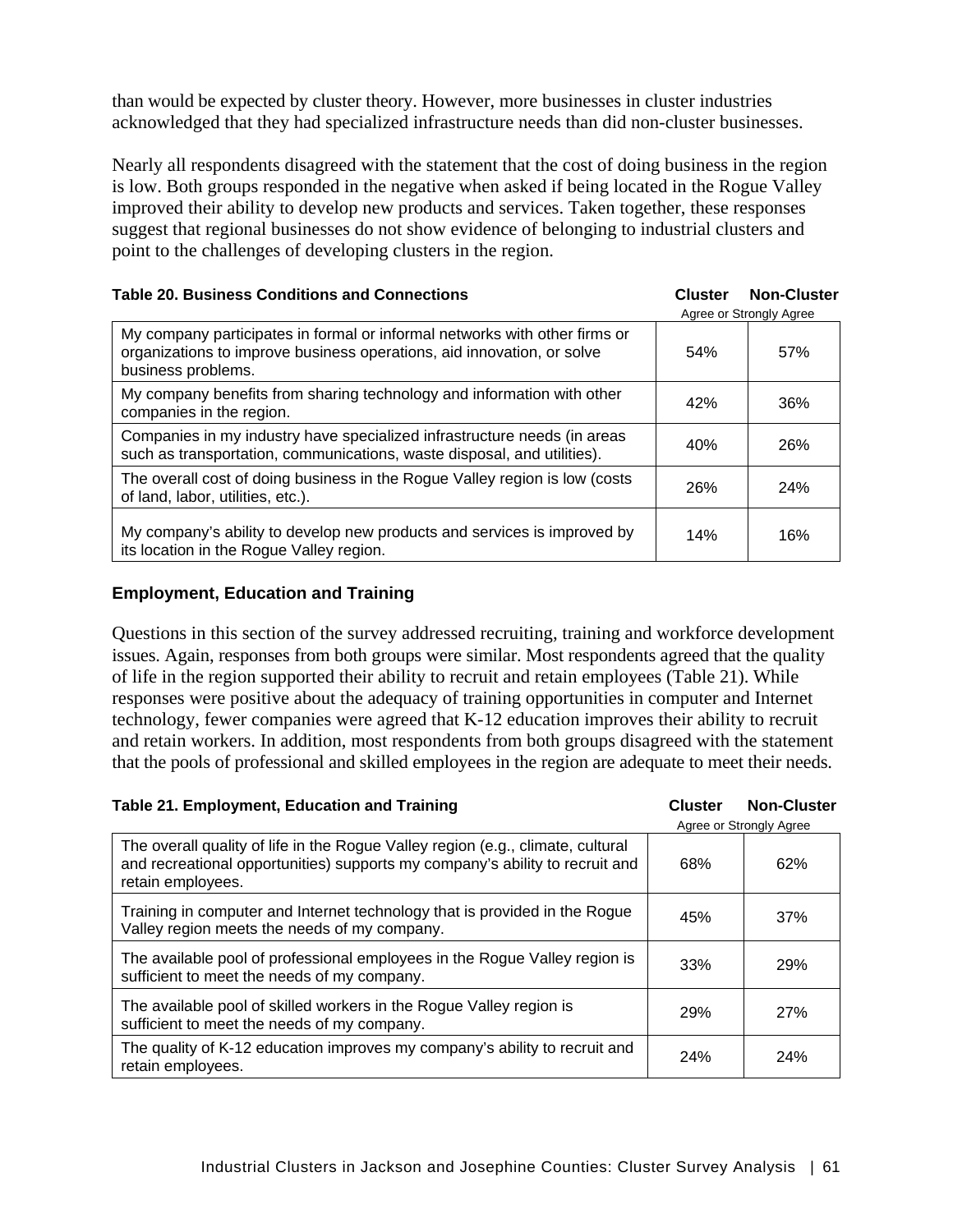than would be expected by cluster theory. However, more businesses in cluster industries acknowledged that they had specialized infrastructure needs than did non-cluster businesses.

Nearly all respondents disagreed with the statement that the cost of doing business in the region is low. Both groups responded in the negative when asked if being located in the Rogue Valley improved their ability to develop new products and services. Taken together, these responses suggest that regional businesses do not show evidence of belonging to industrial clusters and point to the challenges of developing clusters in the region.

| <b>Table 20. Business Conditions and Connections</b>                                                                                                                       | <b>Cluster</b> | <b>Non-Cluster</b><br>Agree or Strongly Agree |
|----------------------------------------------------------------------------------------------------------------------------------------------------------------------------|----------------|-----------------------------------------------|
| My company participates in formal or informal networks with other firms or<br>organizations to improve business operations, aid innovation, or solve<br>business problems. | 54%            | 57%                                           |
| My company benefits from sharing technology and information with other<br>companies in the region.                                                                         | 42%            | 36%                                           |
| Companies in my industry have specialized infrastructure needs (in areas<br>such as transportation, communications, waste disposal, and utilities).                        | 40%            | 26%                                           |
| The overall cost of doing business in the Rogue Valley region is low (costs<br>of land, labor, utilities, etc.).                                                           | 26%            | 24%                                           |
| My company's ability to develop new products and services is improved by<br>its location in the Rogue Valley region.                                                       | 14%            | 16%                                           |

### **Employment, Education and Training**

Questions in this section of the survey addressed recruiting, training and workforce development issues. Again, responses from both groups were similar. Most respondents agreed that the quality of life in the region supported their ability to recruit and retain employees (Table 21). While responses were positive about the adequacy of training opportunities in computer and Internet technology, fewer companies were agreed that K-12 education improves their ability to recruit and retain workers. In addition, most respondents from both groups disagreed with the statement that the pools of professional and skilled employees in the region are adequate to meet their needs.

| Table 21. Employment, Education and Training                                                                                                                                         | <b>Cluster</b> | <b>Non-Cluster</b><br>Agree or Strongly Agree |
|--------------------------------------------------------------------------------------------------------------------------------------------------------------------------------------|----------------|-----------------------------------------------|
| The overall quality of life in the Rogue Valley region (e.g., climate, cultural<br>and recreational opportunities) supports my company's ability to recruit and<br>retain employees. | 68%            | 62%                                           |
| Training in computer and Internet technology that is provided in the Rogue<br>Valley region meets the needs of my company.                                                           | 45%            | 37%                                           |
| The available pool of professional employees in the Rogue Valley region is<br>sufficient to meet the needs of my company.                                                            | 33%            | <b>29%</b>                                    |
| The available pool of skilled workers in the Rogue Valley region is<br>sufficient to meet the needs of my company.                                                                   | 29%            | <b>27%</b>                                    |
| The quality of K-12 education improves my company's ability to recruit and<br>retain employees.                                                                                      | 24%            | 24%                                           |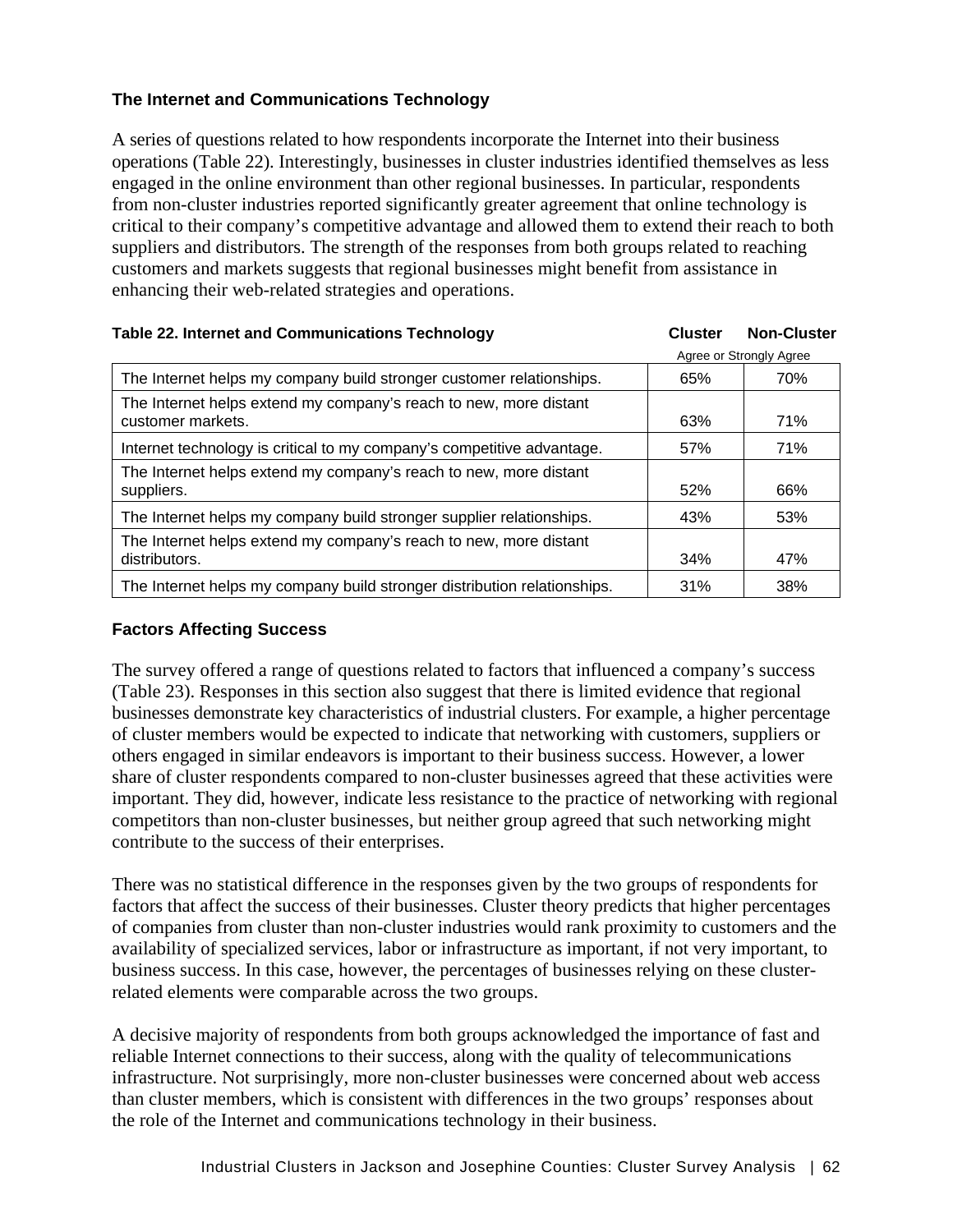# **The Internet and Communications Technology**

A series of questions related to how respondents incorporate the Internet into their business operations (Table 22). Interestingly, businesses in cluster industries identified themselves as less engaged in the online environment than other regional businesses. In particular, respondents from non-cluster industries reported significantly greater agreement that online technology is critical to their company's competitive advantage and allowed them to extend their reach to both suppliers and distributors. The strength of the responses from both groups related to reaching customers and markets suggests that regional businesses might benefit from assistance in enhancing their web-related strategies and operations.

| Table 22. Internet and Communications Technology                                       | <b>Cluster</b> | <b>Non-Cluster</b>      |
|----------------------------------------------------------------------------------------|----------------|-------------------------|
|                                                                                        |                | Agree or Strongly Agree |
| The Internet helps my company build stronger customer relationships.                   | 65%            | 70%                     |
| The Internet helps extend my company's reach to new, more distant<br>customer markets. | 63%            | 71%                     |
| Internet technology is critical to my company's competitive advantage.                 | 57%            | 71%                     |
| The Internet helps extend my company's reach to new, more distant<br>suppliers.        | 52%            | 66%                     |
| The Internet helps my company build stronger supplier relationships.                   | 43%            | 53%                     |
| The Internet helps extend my company's reach to new, more distant<br>distributors.     | 34%            | 47%                     |
| The Internet helps my company build stronger distribution relationships.               | 31%            | 38%                     |

# **Factors Affecting Success**

The survey offered a range of questions related to factors that influenced a company's success (Table 23). Responses in this section also suggest that there is limited evidence that regional businesses demonstrate key characteristics of industrial clusters. For example, a higher percentage of cluster members would be expected to indicate that networking with customers, suppliers or others engaged in similar endeavors is important to their business success. However, a lower share of cluster respondents compared to non-cluster businesses agreed that these activities were important. They did, however, indicate less resistance to the practice of networking with regional competitors than non-cluster businesses, but neither group agreed that such networking might contribute to the success of their enterprises.

There was no statistical difference in the responses given by the two groups of respondents for factors that affect the success of their businesses. Cluster theory predicts that higher percentages of companies from cluster than non-cluster industries would rank proximity to customers and the availability of specialized services, labor or infrastructure as important, if not very important, to business success. In this case, however, the percentages of businesses relying on these clusterrelated elements were comparable across the two groups.

A decisive majority of respondents from both groups acknowledged the importance of fast and reliable Internet connections to their success, along with the quality of telecommunications infrastructure. Not surprisingly, more non-cluster businesses were concerned about web access than cluster members, which is consistent with differences in the two groups' responses about the role of the Internet and communications technology in their business.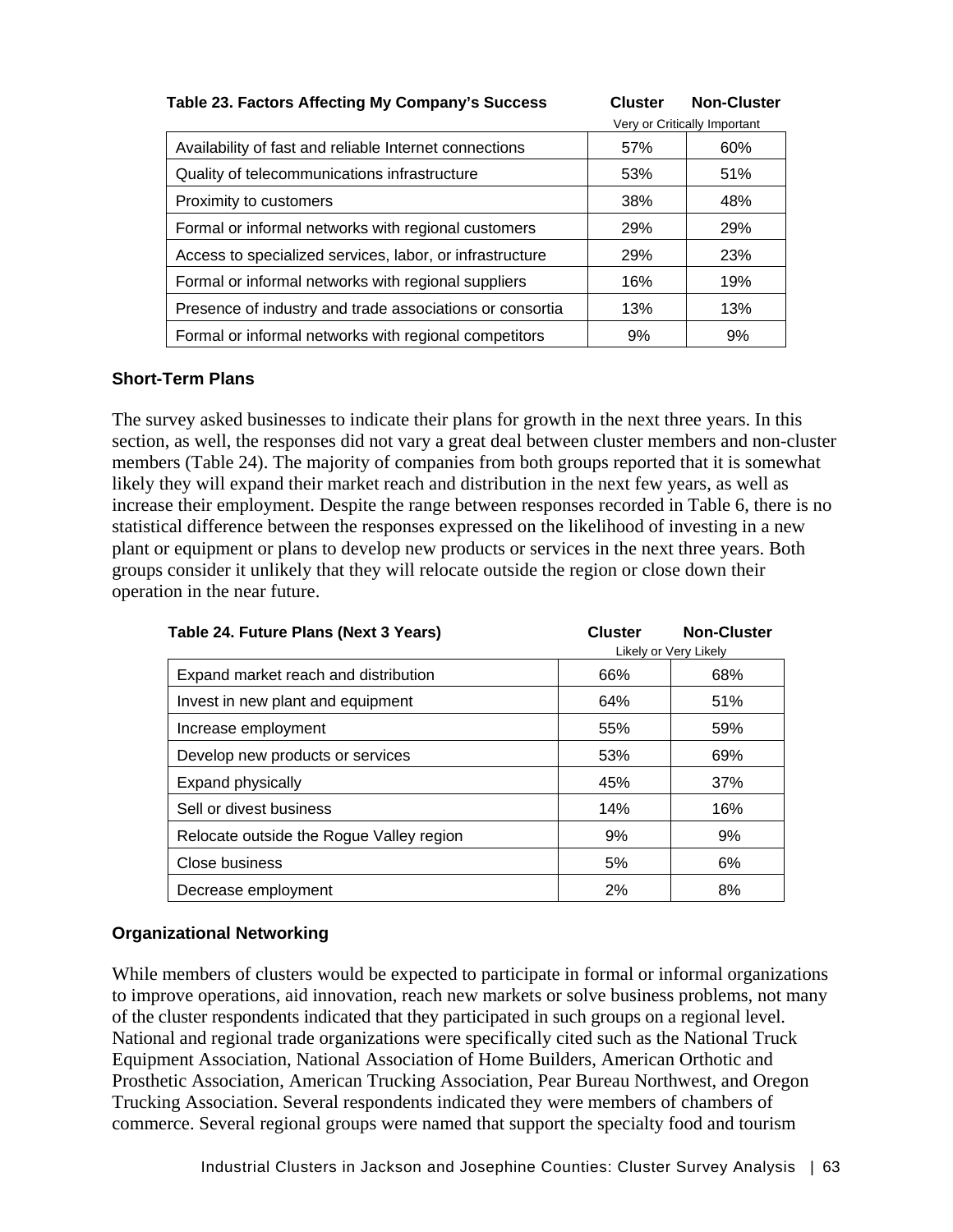#### **Table 23. Factors Affecting My Company's Success Cluster Non-Cluster**

|                                                          |            | Very or Critically Important |
|----------------------------------------------------------|------------|------------------------------|
| Availability of fast and reliable Internet connections   | 57%        | 60%                          |
| Quality of telecommunications infrastructure             | 53%        | 51%                          |
| Proximity to customers                                   | 38%        | 48%                          |
| Formal or informal networks with regional customers      | <b>29%</b> | <b>29%</b>                   |
| Access to specialized services, labor, or infrastructure | 29%        | 23%                          |
| Formal or informal networks with regional suppliers      | 16%        | 19%                          |
| Presence of industry and trade associations or consortia | 13%        | 13%                          |
| Formal or informal networks with regional competitors    | 9%         | 9%                           |

## **Short-Term Plans**

The survey asked businesses to indicate their plans for growth in the next three years. In this section, as well, the responses did not vary a great deal between cluster members and non-cluster members (Table 24). The majority of companies from both groups reported that it is somewhat likely they will expand their market reach and distribution in the next few years, as well as increase their employment. Despite the range between responses recorded in Table 6, there is no statistical difference between the responses expressed on the likelihood of investing in a new plant or equipment or plans to develop new products or services in the next three years. Both groups consider it unlikely that they will relocate outside the region or close down their operation in the near future.

| Table 24. Future Plans (Next 3 Years)    | <b>Cluster</b> | <b>Non-Cluster</b>    |
|------------------------------------------|----------------|-----------------------|
|                                          |                | Likely or Very Likely |
| Expand market reach and distribution     | 66%            | 68%                   |
| Invest in new plant and equipment        | 64%            | 51%                   |
| Increase employment                      | 55%            | 59%                   |
| Develop new products or services         | 53%            | 69%                   |
| <b>Expand physically</b>                 | 45%            | 37%                   |
| Sell or divest business                  | 14%            | 16%                   |
| Relocate outside the Rogue Valley region | 9%             | 9%                    |
| Close business                           | 5%             | 6%                    |
| Decrease employment                      | 2%             | 8%                    |

# **Organizational Networking**

While members of clusters would be expected to participate in formal or informal organizations to improve operations, aid innovation, reach new markets or solve business problems, not many of the cluster respondents indicated that they participated in such groups on a regional level. National and regional trade organizations were specifically cited such as the National Truck Equipment Association, National Association of Home Builders, American Orthotic and Prosthetic Association, American Trucking Association, Pear Bureau Northwest, and Oregon Trucking Association. Several respondents indicated they were members of chambers of commerce. Several regional groups were named that support the specialty food and tourism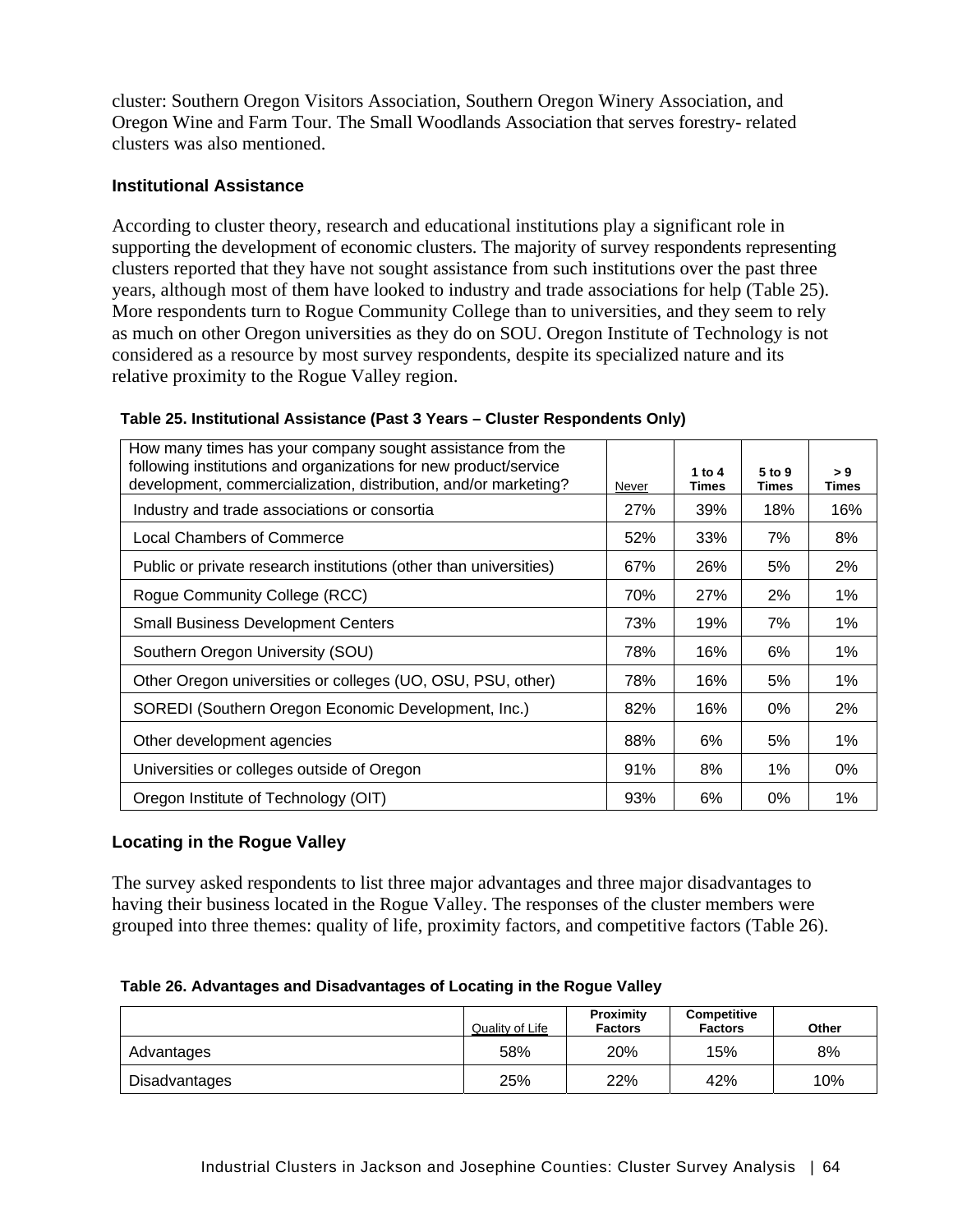cluster: Southern Oregon Visitors Association, Southern Oregon Winery Association, and Oregon Wine and Farm Tour. The Small Woodlands Association that serves forestry- related clusters was also mentioned.

## **Institutional Assistance**

According to cluster theory, research and educational institutions play a significant role in supporting the development of economic clusters. The majority of survey respondents representing clusters reported that they have not sought assistance from such institutions over the past three years, although most of them have looked to industry and trade associations for help (Table 25). More respondents turn to Rogue Community College than to universities, and they seem to rely as much on other Oregon universities as they do on SOU. Oregon Institute of Technology is not considered as a resource by most survey respondents, despite its specialized nature and its relative proximity to the Rogue Valley region.

| How many times has your company sought assistance from the<br>following institutions and organizations for new product/service<br>development, commercialization, distribution, and/or marketing? | Never      | 1 to $4$<br><b>Times</b> | 5 to 9<br>Times | > 9<br><b>Times</b> |
|---------------------------------------------------------------------------------------------------------------------------------------------------------------------------------------------------|------------|--------------------------|-----------------|---------------------|
| Industry and trade associations or consortia                                                                                                                                                      | <b>27%</b> | 39%                      | 18%             | 16%                 |
| Local Chambers of Commerce                                                                                                                                                                        | 52%        | 33%                      | 7%              | 8%                  |
| Public or private research institutions (other than universities)                                                                                                                                 | 67%        | 26%                      | 5%              | 2%                  |
| Rogue Community College (RCC)                                                                                                                                                                     | 70%        | 27%                      | 2%              | 1%                  |
| <b>Small Business Development Centers</b>                                                                                                                                                         | 73%        | 19%                      | 7%              | 1%                  |
| Southern Oregon University (SOU)                                                                                                                                                                  | 78%        | 16%                      | 6%              | 1%                  |
| Other Oregon universities or colleges (UO, OSU, PSU, other)                                                                                                                                       | 78%        | 16%                      | 5%              | 1%                  |
| SOREDI (Southern Oregon Economic Development, Inc.)                                                                                                                                               | 82%        | 16%                      | $0\%$           | 2%                  |
| Other development agencies                                                                                                                                                                        | 88%        | 6%                       | 5%              | 1%                  |
| Universities or colleges outside of Oregon                                                                                                                                                        | 91%        | 8%                       | 1%              | $0\%$               |
| Oregon Institute of Technology (OIT)                                                                                                                                                              | 93%        | 6%                       | 0%              | 1%                  |

### **Table 25. Institutional Assistance (Past 3 Years – Cluster Respondents Only)**

# **Locating in the Rogue Valley**

The survey asked respondents to list three major advantages and three major disadvantages to having their business located in the Rogue Valley. The responses of the cluster members were grouped into three themes: quality of life, proximity factors, and competitive factors (Table 26).

| Table 26. Advantages and Disadvantages of Locating in the Rogue Valley |  |  |  |
|------------------------------------------------------------------------|--|--|--|
|------------------------------------------------------------------------|--|--|--|

|               | Quality of Life | <b>Proximity</b><br><b>Factors</b> | Competitive<br><b>Factors</b> | Other |
|---------------|-----------------|------------------------------------|-------------------------------|-------|
| Advantages    | 58%             | 20%                                | 15%                           | 8%    |
| Disadvantages | 25%             | 22%                                | 42%                           | 10%   |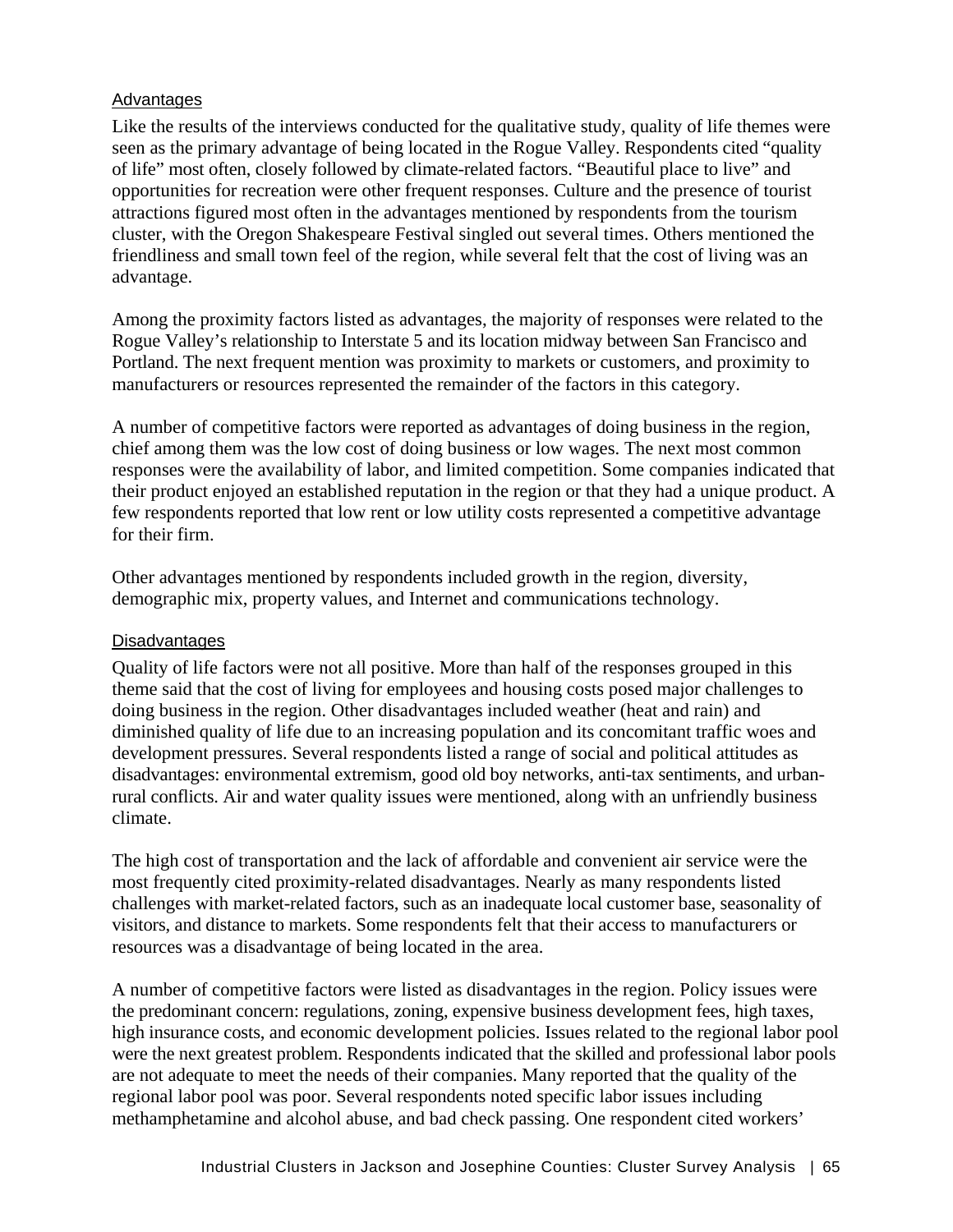## **Advantages**

Like the results of the interviews conducted for the qualitative study, quality of life themes were seen as the primary advantage of being located in the Rogue Valley. Respondents cited "quality of life" most often, closely followed by climate-related factors. "Beautiful place to live" and opportunities for recreation were other frequent responses. Culture and the presence of tourist attractions figured most often in the advantages mentioned by respondents from the tourism cluster, with the Oregon Shakespeare Festival singled out several times. Others mentioned the friendliness and small town feel of the region, while several felt that the cost of living was an advantage.

Among the proximity factors listed as advantages, the majority of responses were related to the Rogue Valley's relationship to Interstate 5 and its location midway between San Francisco and Portland. The next frequent mention was proximity to markets or customers, and proximity to manufacturers or resources represented the remainder of the factors in this category.

A number of competitive factors were reported as advantages of doing business in the region, chief among them was the low cost of doing business or low wages. The next most common responses were the availability of labor, and limited competition. Some companies indicated that their product enjoyed an established reputation in the region or that they had a unique product. A few respondents reported that low rent or low utility costs represented a competitive advantage for their firm.

Other advantages mentioned by respondents included growth in the region, diversity, demographic mix, property values, and Internet and communications technology.

## **Disadvantages**

Quality of life factors were not all positive. More than half of the responses grouped in this theme said that the cost of living for employees and housing costs posed major challenges to doing business in the region. Other disadvantages included weather (heat and rain) and diminished quality of life due to an increasing population and its concomitant traffic woes and development pressures. Several respondents listed a range of social and political attitudes as disadvantages: environmental extremism, good old boy networks, anti-tax sentiments, and urbanrural conflicts. Air and water quality issues were mentioned, along with an unfriendly business climate.

The high cost of transportation and the lack of affordable and convenient air service were the most frequently cited proximity-related disadvantages. Nearly as many respondents listed challenges with market-related factors, such as an inadequate local customer base, seasonality of visitors, and distance to markets. Some respondents felt that their access to manufacturers or resources was a disadvantage of being located in the area.

A number of competitive factors were listed as disadvantages in the region. Policy issues were the predominant concern: regulations, zoning, expensive business development fees, high taxes, high insurance costs, and economic development policies. Issues related to the regional labor pool were the next greatest problem. Respondents indicated that the skilled and professional labor pools are not adequate to meet the needs of their companies. Many reported that the quality of the regional labor pool was poor. Several respondents noted specific labor issues including methamphetamine and alcohol abuse, and bad check passing. One respondent cited workers'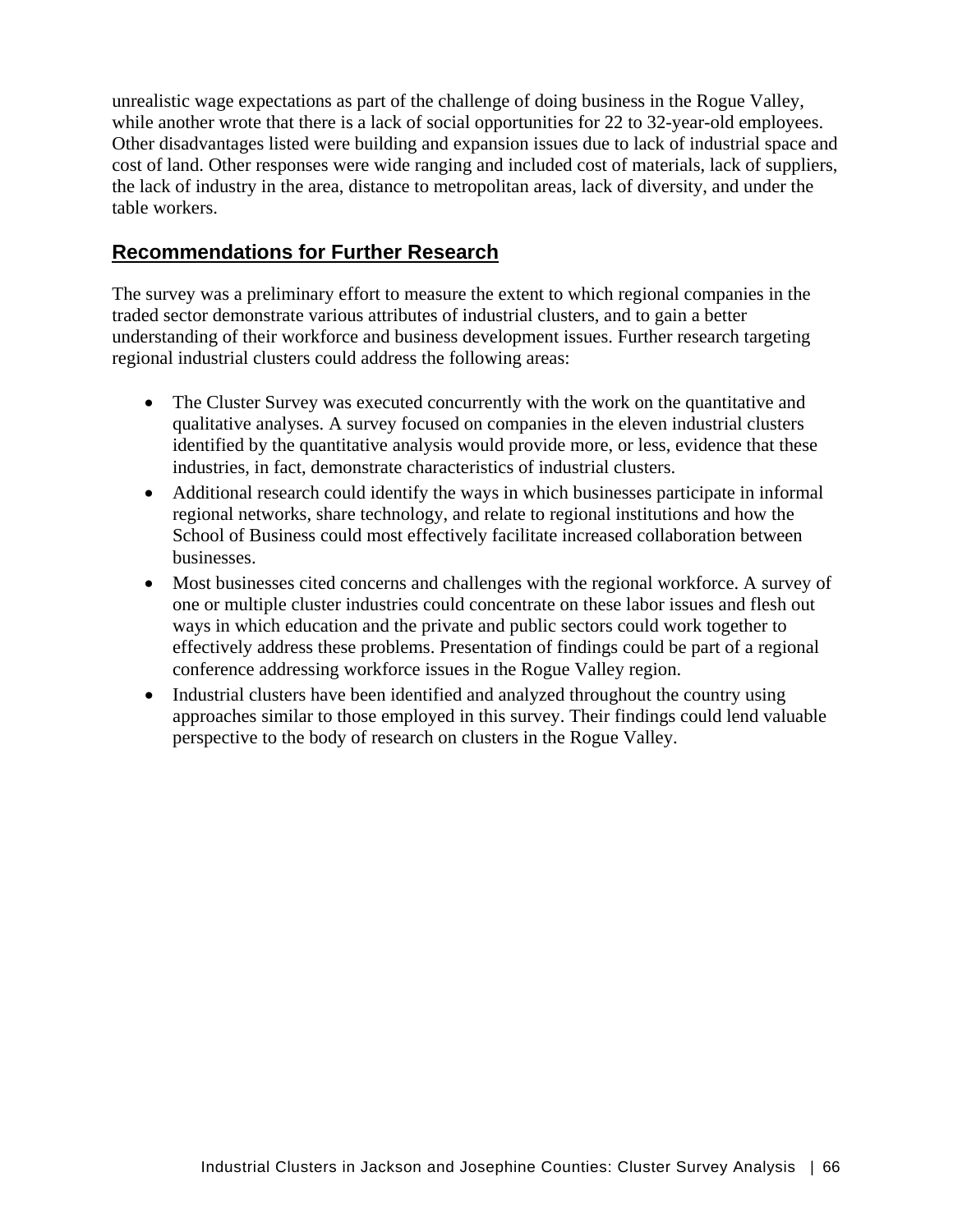unrealistic wage expectations as part of the challenge of doing business in the Rogue Valley, while another wrote that there is a lack of social opportunities for 22 to 32-year-old employees. Other disadvantages listed were building and expansion issues due to lack of industrial space and cost of land. Other responses were wide ranging and included cost of materials, lack of suppliers, the lack of industry in the area, distance to metropolitan areas, lack of diversity, and under the table workers.

# **Recommendations for Further Research**

The survey was a preliminary effort to measure the extent to which regional companies in the traded sector demonstrate various attributes of industrial clusters, and to gain a better understanding of their workforce and business development issues. Further research targeting regional industrial clusters could address the following areas:

- The Cluster Survey was executed concurrently with the work on the quantitative and qualitative analyses. A survey focused on companies in the eleven industrial clusters identified by the quantitative analysis would provide more, or less, evidence that these industries, in fact, demonstrate characteristics of industrial clusters.
- Additional research could identify the ways in which businesses participate in informal regional networks, share technology, and relate to regional institutions and how the School of Business could most effectively facilitate increased collaboration between businesses.
- Most businesses cited concerns and challenges with the regional workforce. A survey of one or multiple cluster industries could concentrate on these labor issues and flesh out ways in which education and the private and public sectors could work together to effectively address these problems. Presentation of findings could be part of a regional conference addressing workforce issues in the Rogue Valley region.
- Industrial clusters have been identified and analyzed throughout the country using approaches similar to those employed in this survey. Their findings could lend valuable perspective to the body of research on clusters in the Rogue Valley.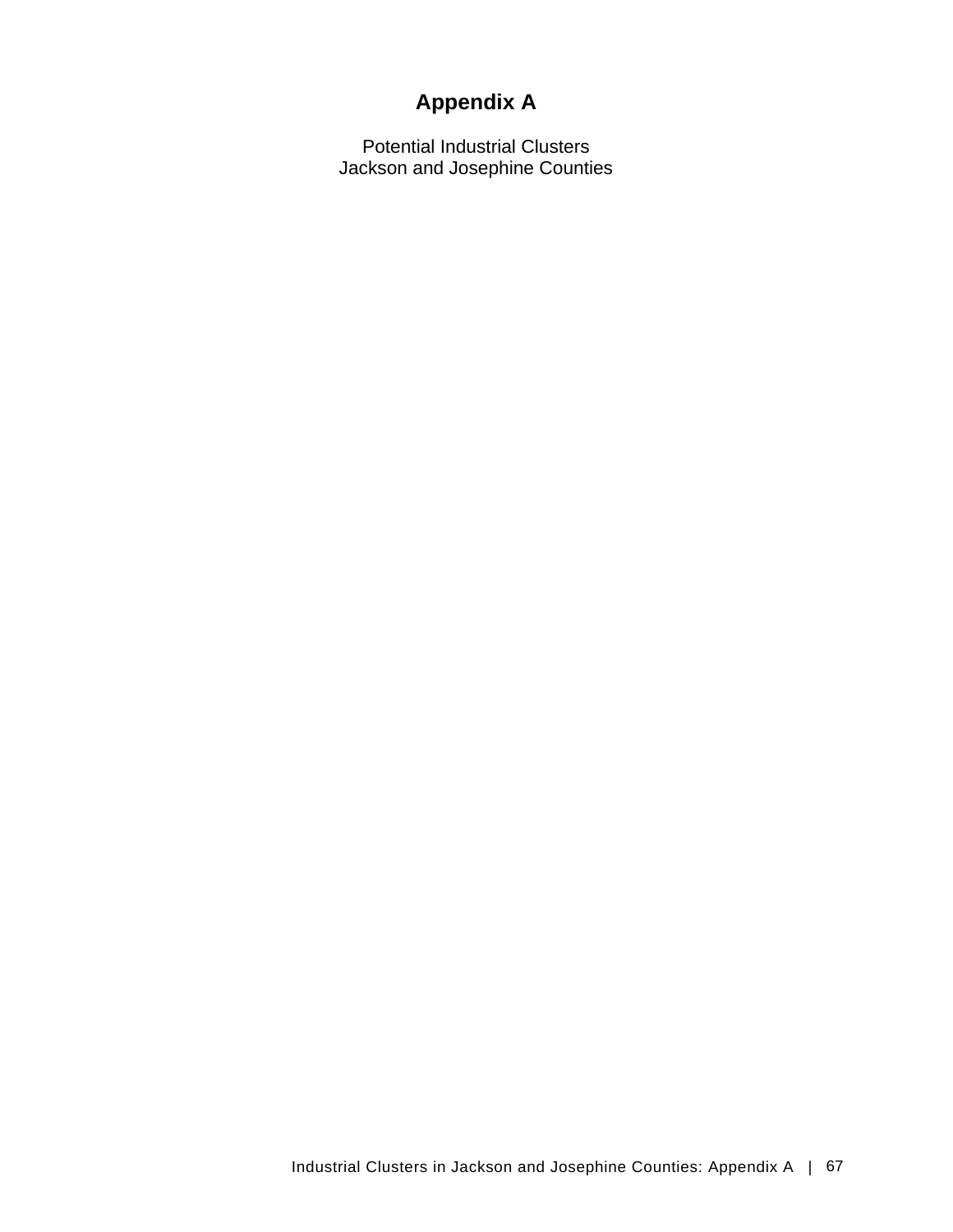# **Appendix A**

Potential Industrial Clusters Jackson and Josephine Counties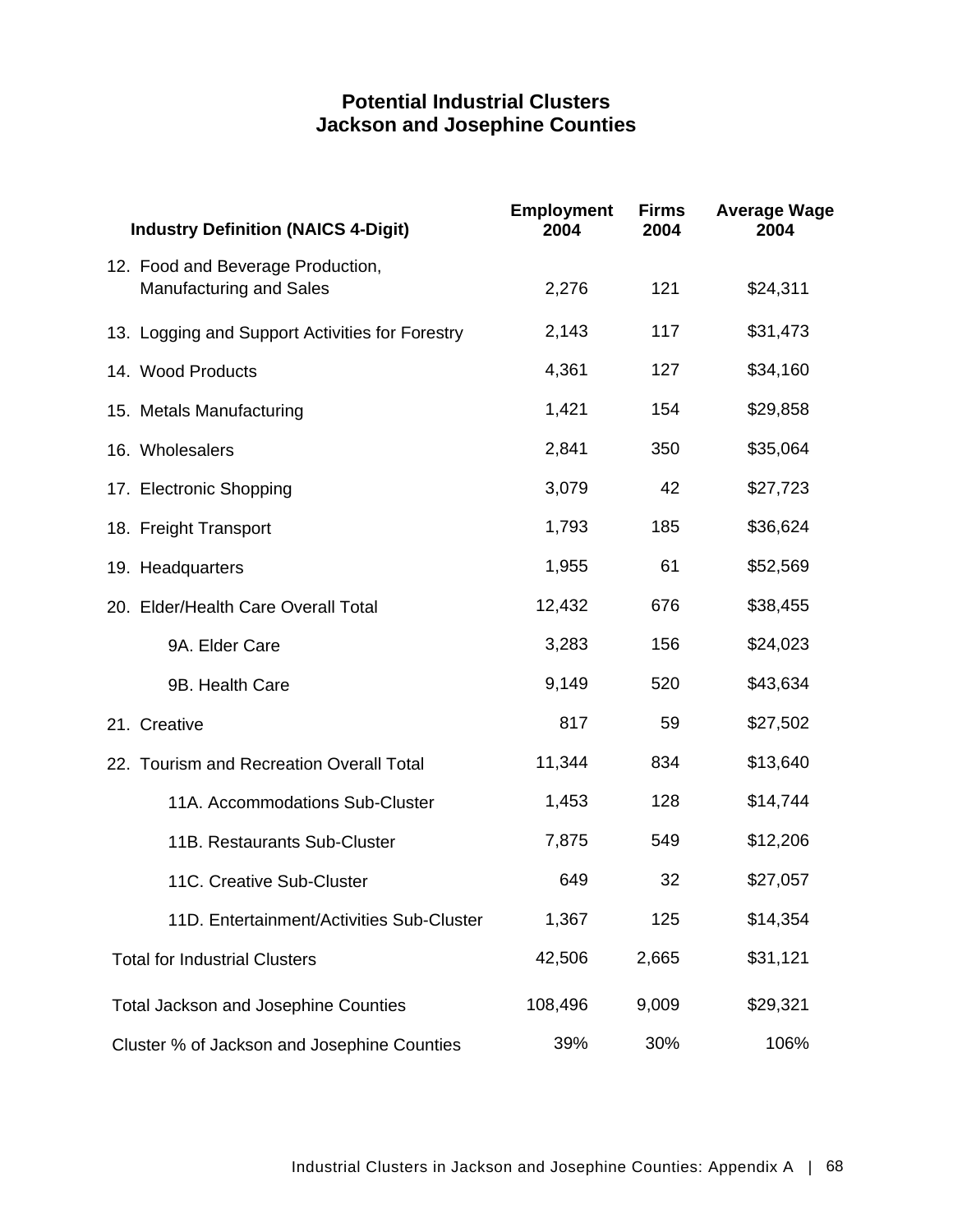# **Potential Industrial Clusters Jackson and Josephine Counties**

| <b>Industry Definition (NAICS 4-Digit)</b>                          | <b>Employment</b><br>2004 | <b>Firms</b><br>2004 | <b>Average Wage</b><br>2004 |
|---------------------------------------------------------------------|---------------------------|----------------------|-----------------------------|
| 12. Food and Beverage Production,<br><b>Manufacturing and Sales</b> | 2,276                     | 121                  | \$24,311                    |
| 13. Logging and Support Activities for Forestry                     | 2,143                     | 117                  | \$31,473                    |
| 14. Wood Products                                                   | 4,361                     | 127                  | \$34,160                    |
| 15. Metals Manufacturing                                            | 1,421                     | 154                  | \$29,858                    |
| 16. Wholesalers                                                     | 2,841                     | 350                  | \$35,064                    |
| 17. Electronic Shopping                                             | 3,079                     | 42                   | \$27,723                    |
| 18. Freight Transport                                               | 1,793                     | 185                  | \$36,624                    |
| 19. Headquarters                                                    | 1,955                     | 61                   | \$52,569                    |
| 20. Elder/Health Care Overall Total                                 | 12,432                    | 676                  | \$38,455                    |
| 9A. Elder Care                                                      | 3,283                     | 156                  | \$24,023                    |
| 9B. Health Care                                                     | 9,149                     | 520                  | \$43,634                    |
| 21. Creative                                                        | 817                       | 59                   | \$27,502                    |
| 22. Tourism and Recreation Overall Total                            | 11,344                    | 834                  | \$13,640                    |
| 11A. Accommodations Sub-Cluster                                     | 1,453                     | 128                  | \$14,744                    |
| 11B. Restaurants Sub-Cluster                                        | 7,875                     | 549                  | \$12,206                    |
| 11C. Creative Sub-Cluster                                           | 649                       | 32                   | \$27,057                    |
| 11D. Entertainment/Activities Sub-Cluster                           | 1,367                     | 125                  | \$14,354                    |
| <b>Total for Industrial Clusters</b>                                | 42,506                    | 2,665                | \$31,121                    |
| <b>Total Jackson and Josephine Counties</b>                         | 108,496                   | 9,009                | \$29,321                    |
| Cluster % of Jackson and Josephine Counties                         | 39%                       | 30%                  | 106%                        |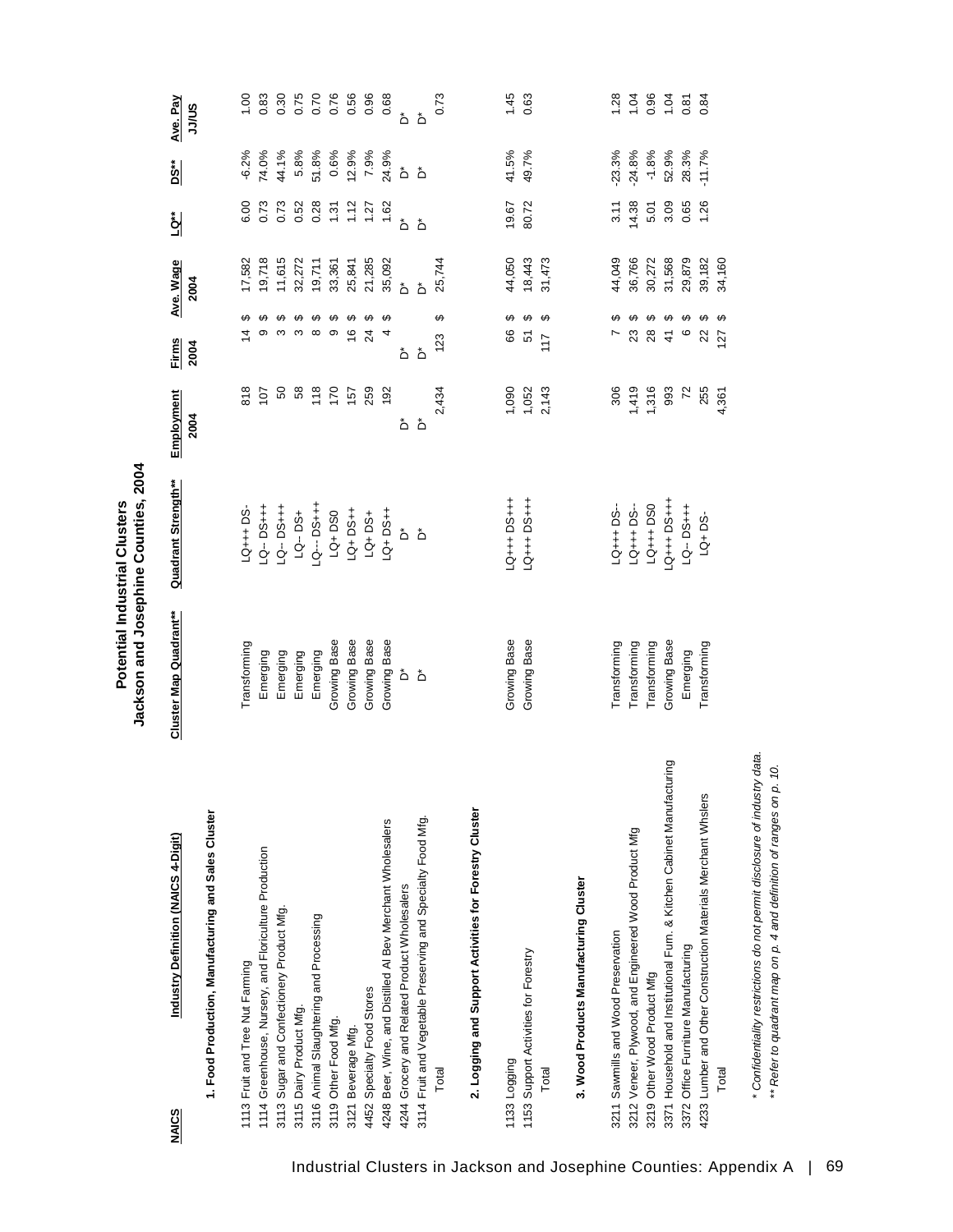|                                                                        |                        | Jackson and Josephine Counties, 2004<br>Potential Industrial Clusters |                    |                                         |                   |       |          |                   |
|------------------------------------------------------------------------|------------------------|-----------------------------------------------------------------------|--------------------|-----------------------------------------|-------------------|-------|----------|-------------------|
| Industry Definition (NAICS 4-Digit)<br><b>NAICS</b>                    | Cluster Map Quadrant** | Quadrant Strength**                                                   | Employment<br>2004 | Firms<br>2004                           | Ave. Wage<br>2004 | LQ**  | DS**     | Ave. Pay<br>SN/LC |
| 1. Food Production, Manufacturing and Sales Cluster                    |                        |                                                                       |                    |                                         |                   |       |          |                   |
| 1113 Fruit and Tree Nut Farming                                        | Transforming           | LQ+++ DS                                                              | 818                | ക<br>$\overline{4}$                     | 17,582            | 6.00  | $-6.2%$  | 00.1              |
| 1114 Greenhouse, Nursery, and Floriculture Production                  | Emerging               | LQ-DS+++                                                              | 107                | ِص<br>თ                                 | 19,718            | 0.73  | 74.0%    | 0.83              |
| 3113 Sugar and Confectionery Product Mfg.                              | Emerging               | LQ-DS+++                                                              | SO                 | ↔<br>S                                  | 11,615            | 0.73  | 44.1%    | 0.30              |
| 3115 Dairy Product Mfg.                                                | Emerging               | LQ-DS+                                                                | 58                 | ↮<br>S                                  | 32,272            | 0.52  | 5.8%     | 0.75              |
| 3116 Animal Slaughtering and Processing                                | Emerging               | <b>+++Sd</b> --- DJ                                                   | 118                | $\boldsymbol{\varphi}$<br>$\infty$      | 19,711            | 0.28  | 51.8%    | 0.70              |
| 3119 Other Food Mfg.                                                   | Growing Base           | $LA + DSO$                                                            | 170                | ↮<br>ၜ                                  | 33,361            | 1.31  | 0.6%     | 0.76              |
| 3121 Beverage Mfg.                                                     | Growing Base           | LQ+DS++                                                               | 157                | $\boldsymbol{\varphi}$<br>$\frac{6}{5}$ | 25,841            | 1.12  | 12.9%    | 0.56              |
| 4452 Specialty Food Stores                                             | Growing Base           | LQ+DS+                                                                | 259                | ↔<br>24                                 | 21,285            | 1.27  | 7.9%     | 0.96              |
| 4248 Beer, Wine, and Distilled AI Bev Merchant Wholesalers             | Growing Base           | $-9 + 20 + 1$                                                         | 192                | ↔<br>4                                  | 35,092            | 1.62  | 24.9%    | 0.68              |
| 4244 Grocery and Related Product Wholesalers                           | ەً                     | ەً                                                                    | ەً                 | ەً                                      | هٔ                | ەً    | ەً       | ٔ                 |
| 3114 Fruit and Vegetable Preserving and Specialty Food Mfg.            | ەً                     | ەً                                                                    | ڞ                  | $\mathring{\mathsf{D}}$                 | ڟ                 | ەً    | ەً       | ەً                |
| Total                                                                  |                        |                                                                       | 2,434              | ↮<br>123                                | 25,744            |       |          | 0.73              |
| 2. Logging and Support Activities for Forestry Cluster                 |                        |                                                                       |                    |                                         |                   |       |          |                   |
| 1133 Logging                                                           | Growing Base           | LQ+++DS+++                                                            | 1,090              | ↮<br>66                                 | 44,050            | 19.67 | 41.5%    | 1.45              |
| 1153 Support Activities for Forestry                                   | Growing Base           | LQ+++DS+++                                                            | 1,052              | ↮<br>5                                  | 18,443            | 80.72 | 49.7%    | 0.63              |
| Total                                                                  |                        |                                                                       | 2,143              | $\boldsymbol{\varphi}$<br>117           | 31,473            |       |          |                   |
| 3. Wood Products Manufacturing Cluster                                 |                        |                                                                       |                    |                                         |                   |       |          |                   |
| 3211 Sawmills and Wood Preservation                                    | Transforming           | LQ+++ DS-                                                             | 306                | ക                                       | 44,049            | 3.11  | $-23.3%$ | 1.28              |
| 3212 Veneer, Plywood, and Engineered Wood Product Mfg                  | Transforming           | LQ+++DS-                                                              | 1,419              | $\boldsymbol{\varphi}$<br>23            | 36,766            | 14.38 | $-24.8%$ | 1.04              |
| 3219 Other Wood Product Mfg                                            | Transforming           | LQ+++DS0                                                              | 1,316              | $\boldsymbol{\Theta}$<br>28             | 30,272            | 5.01  | $-1.8%$  | 0.96              |
| 3371 Household and Institutional Furn. & Kitchen Cabinet Manufacturing | Growing Base           | LQ+++DS+++                                                            | 993                | ↮<br>$\frac{4}{3}$                      | 31,568            | 3.09  | 52.9%    | 1.04              |
| 3372 Office Furniture Manufacturing                                    | Emerging               | LQ-DS+++                                                              | $\overline{r}$     | ↮<br>$\circ$                            | 29,879            | 0.65  | 28.3%    | 0.81              |
| 4233 Lumber and Other Construction Materials Merchant Whslers          | Transforming           | $LA + DS-$                                                            | 255                | ↔<br>22                                 | 39,182            | 1.26  | $-11.7%$ | 0.84              |
| Total                                                                  |                        |                                                                       | 4,361              | $\boldsymbol{\varphi}$<br>127           | 34,160            |       |          |                   |

*\* Confidentiality restrictions do not permit disclosure of industry data. \*\* Refer to quadrant map on p. 4 and definition of ranges on p. 10.*

\* Confidentiality restrictions do not permit disclosure of industry data. \*\* Refer to quadrant map on p. 4 and definition of ranges on p. 10.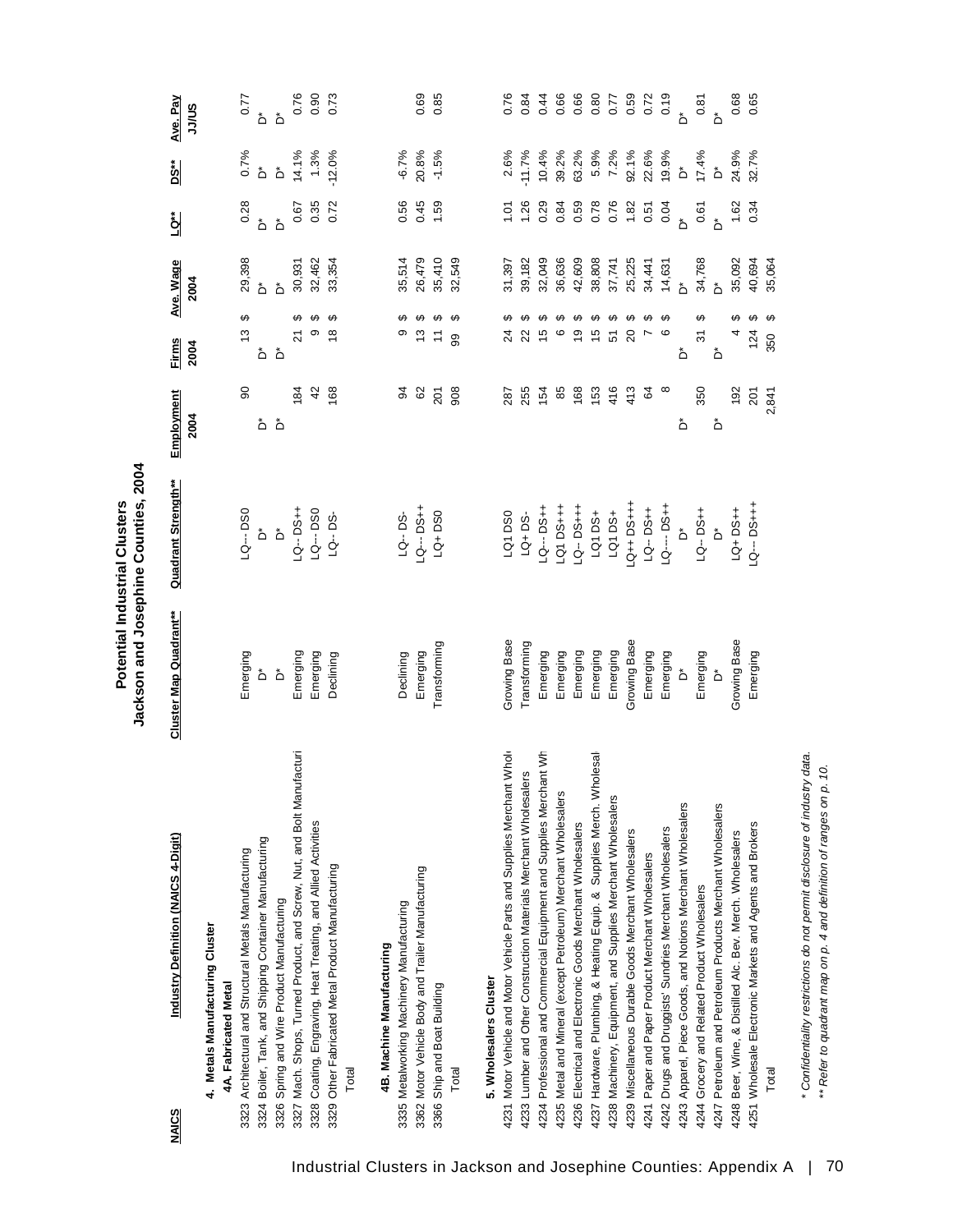Potential Industrial Clusters<br>Jackson and Josephine Counties, 2004 **Jackson and Josephine Counties, 2004 Potential Industrial Clusters**

| Industry Definition (NAICS 4-Digit)<br><b>NAICS</b>                                                                                      | Cluster Map Quadrant**  | Quadrant Strength**     | Employment<br>2004 | <b>Firms</b><br>2004          | Ave. Wage<br>2004          | اع                                   | <u>ised</u>               | Ave. Pay<br>SN/LC                                                                                                                                                          |
|------------------------------------------------------------------------------------------------------------------------------------------|-------------------------|-------------------------|--------------------|-------------------------------|----------------------------|--------------------------------------|---------------------------|----------------------------------------------------------------------------------------------------------------------------------------------------------------------------|
| 4. Metals Manufacturing Cluster<br>4A. Fabricated Metal                                                                                  |                         |                         |                    |                               |                            |                                      |                           |                                                                                                                                                                            |
| 3323 Architectural and Structural Metals Manufacturing                                                                                   | Emerging                | LQ---DS0                | 8                  | ↮<br>13                       |                            |                                      |                           | 0.77                                                                                                                                                                       |
| 3324 Boiler, Tank, and Shipping Container Manufacturing                                                                                  | ەً                      | Ő                       | ەً                 | ەً                            | 29,398<br>D*               | $0.28$<br>D $^*$                     |                           |                                                                                                                                                                            |
| 3326 Spring and Wire Product Manufacturing                                                                                               | $\mathring{\mathsf{D}}$ | $\overline{\mathsf{L}}$ | ڞ                  | $\mathring{\mathsf{D}}$       | هٔ                         |                                      |                           | هٔ هٔ                                                                                                                                                                      |
| 3327 Mach. Shops, Turned Product, and Screw, Nut, and Bolt Manufacturi                                                                   | Emerging                | $-9 - 54$               | $\frac{1}{8}$      | ↮<br>ম                        | 30,931                     | 0.67                                 | 14.1%                     |                                                                                                                                                                            |
| 3328 Coating, Engraving, Heat Treating, and Allied Activities                                                                            | Emerging                | LQ---DS0                | 42                 | თ                             | 32,462                     | 0.35                                 | 1.3%                      | 5<br>6<br>6<br>6<br>6<br>7<br>6<br>7<br>6<br>7<br>9<br>2<br>6<br>2<br>1<br>1<br>1<br>1<br><br><br><br><br><br><br><br><br><br><br><br><br><br><br><br><br><br><br><br><br> |
| 3329 Other Fabricated Metal Product Manufacturing                                                                                        | Declining               | LQ--DS-                 | 168                | မာ<br>$\frac{8}{1}$           | 33,354                     | 0.72                                 | 12.0%                     |                                                                                                                                                                            |
| Total                                                                                                                                    |                         |                         |                    |                               |                            |                                      |                           |                                                                                                                                                                            |
| 4B. Machine Manufacturing                                                                                                                |                         |                         |                    |                               |                            |                                      |                           |                                                                                                                                                                            |
| 3335 Metalworking Machinery Manufacturing                                                                                                | Declining               | $LQ - DS$               | 94                 | თ                             | 35,514                     | 0.56                                 |                           |                                                                                                                                                                            |
| 3362 Motor Vehicle Body and Trailer Manufacturing                                                                                        | Emerging                | LQ--- DS++              | $62$               | 13                            | 26,479                     | 0.45                                 | $-6.7%$<br>20.8%          | 0.69                                                                                                                                                                       |
| 3366 Ship and Boat Building                                                                                                              | Transforming            | $LQ + DSO$              | 201                | ↮                             | 35,410                     | 1.59                                 | $-1.5%$                   | 0.85                                                                                                                                                                       |
| Total                                                                                                                                    |                         |                         | 908                | ↔<br>8                        | 32,549                     |                                      |                           |                                                                                                                                                                            |
| 5. Wholesalers Cluster                                                                                                                   |                         |                         |                    |                               |                            |                                      |                           |                                                                                                                                                                            |
| 4231 Motor Vehicle and Motor Vehicle Parts and Supplies Merchant Whole                                                                   | Growing Base            | LQ1 DS0                 | 287                |                               |                            | 1.01                                 | 2.6%                      |                                                                                                                                                                            |
|                                                                                                                                          | Transforming            | $LQ + DS$               | 255                | ↮<br>22                       | 31,397<br>39,182           |                                      | 11.7%                     | 0.84                                                                                                                                                                       |
| 4233 Lumber and Other Construction Materials Merchant Wholesalers<br>4234 Professional and Commercial Equipment and Supplies Merchant Wh | Emerging                | $Q--DS++$               | 154                | ↔<br>10                       | 32,049                     | 1.26<br>0.29                         | 10.4%                     |                                                                                                                                                                            |
| 4235 Metal and Mineral (except Petroleum) Merchant Wholesalers                                                                           | Emerging                | LQ1 DS++                | 85                 | ↮<br>6                        | 36,636                     | 0.84                                 | 39.2%<br>63.2%            |                                                                                                                                                                            |
| 4236 Electrical and Electronic Goods Merchant Wholesalers                                                                                | Emerging                | $-10 - 5 + +$           | 168                | ↮<br>é,                       | 42,609                     | 0.59                                 |                           |                                                                                                                                                                            |
| 4237 Hardware, Plumbing, & Heating Equip. & Supplies Merch. Wholesal                                                                     | Emerging                | LQ1DS+                  | 153                | ↮<br>15                       | 38,808                     | 0.78                                 | 5.9%                      |                                                                                                                                                                            |
| 4238 Machinery, Equipment, and Supplies Merchant Wholesalers                                                                             | Emerging                | LQ1 DS+                 | 416                | ↔<br>5                        | 37,741                     | 0.76                                 | 7.2%                      |                                                                                                                                                                            |
| 4239 Miscellaneous Durable Goods Merchant Wholesalers                                                                                    | Growing Base            | $-4+5$                  | 413                | ↮<br>$\overline{c}$           | 25,225                     | 1.82                                 | 92.1%                     |                                                                                                                                                                            |
| 4241 Paper and Paper Product Merchant Wholesalers                                                                                        | Emerging                | $-54 - 54$              | 64                 | ↔                             | 34,441                     | 0.51                                 |                           |                                                                                                                                                                            |
| 4242 Drugs and Druggists' Sundries Merchant Wholesalers                                                                                  | Emerging                | LQ--- DS++              | $\infty$           | ↔<br>ဖ                        | $14,631$<br>D <sup>*</sup> |                                      | 22.6%<br>19.9%            |                                                                                                                                                                            |
| 4243 Apparel, Piece Goods, and Notions Merchant Wholesalers                                                                              | ڟ                       | ۀ                       | ڞ                  | ەً                            |                            |                                      | $\mathring{\mathsf{D}}$   | $\mathring{\mathsf{D}}$                                                                                                                                                    |
| 4244 Grocery and Related Product Wholesalers                                                                                             | Emerging                | $LQ - DS +$             | 350                | ↮<br>31                       | 34,768<br>D*               | $0.04$<br>$D*$ 65<br>$D*$ 62<br>1.62 | $17.4%$<br>D <sup>*</sup> | $0.81$<br>D <sup>*</sup>                                                                                                                                                   |
| 4247 Petroleum and Petroleum Products Merchant Wholesalers                                                                               | ď                       | ەً                      | ڞ                  | ەً                            |                            |                                      |                           |                                                                                                                                                                            |
| 4248 Beer, Wine, & Distilled Alc. Bev. Merch. Wholesalers                                                                                | Growing Base            | LQ+DS++                 | 192                | ക<br>4                        | 35,092                     |                                      | 24.9%<br>32.7%            | 0.68                                                                                                                                                                       |
| 4251 Wholesale Electronic Markets and Agents and Brokers                                                                                 | Emerging                | LQ--- DS+++             | 201                | 124                           | 40,694                     | 0.34                                 |                           | 0.65                                                                                                                                                                       |
| Total                                                                                                                                    |                         |                         | 2,841              | $\boldsymbol{\varphi}$<br>350 | 35,064                     |                                      |                           |                                                                                                                                                                            |

\* Confidentiality restrictions do not permit disclosure of industry data.<br>\*\* Refer to quadrant map on p. 4 and definition of ranges on p. 10. *\* Confidentiality restrictions do not permit disclosure of industry data. \*\* Refer to quadrant map on p. 4 and definition of ranges on p. 10.*

Industrial Clusters in Jackson and Josephine Counties: Appendix A | 70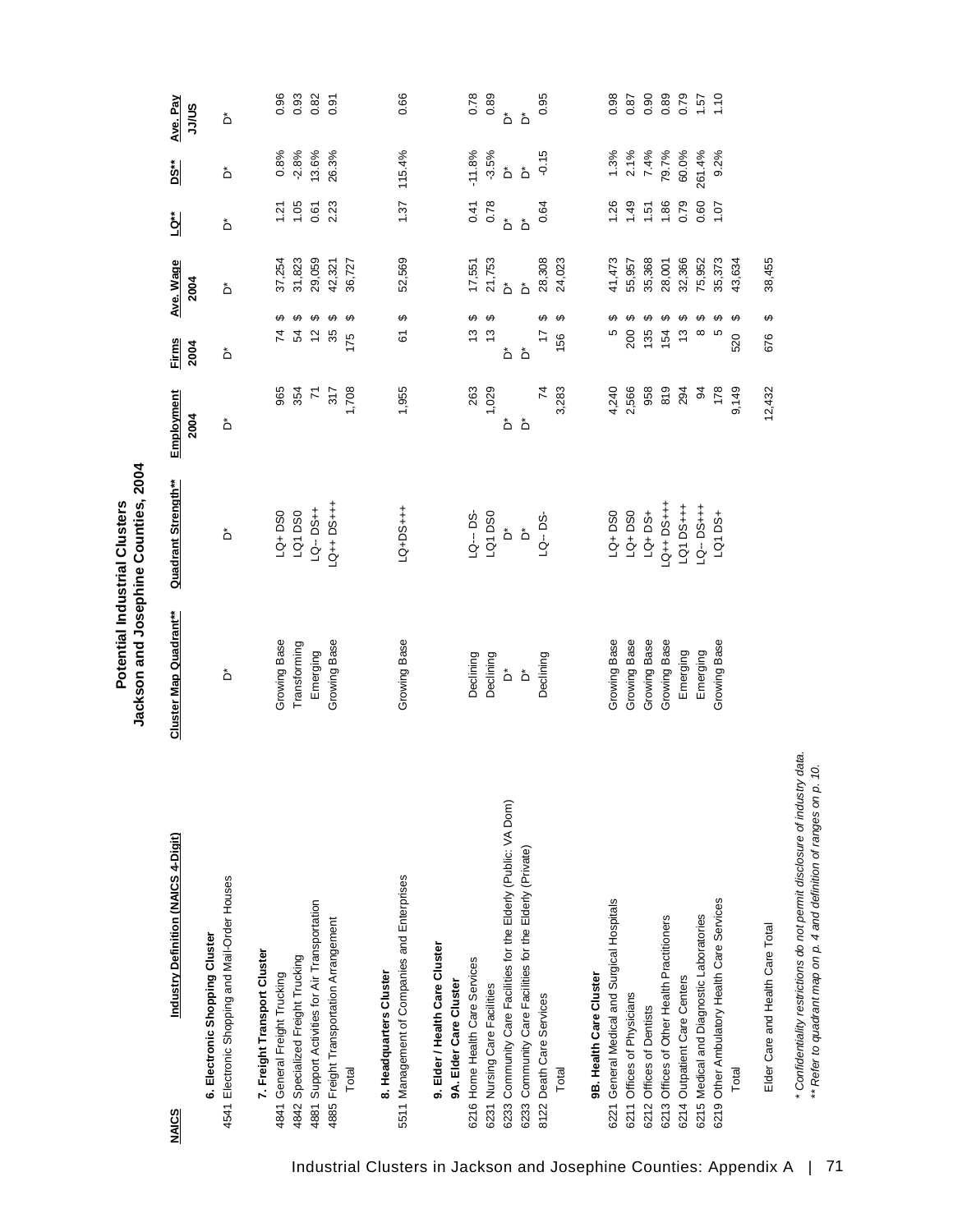| Industry Definition (NAICS 4-Digit)<br><b>NAICS</b>                              | Cluster Map Quadrant**  | Quadrant Strength**   | Employment     | <b>Firms</b>            | Ave. Wage        | <u>ta</u>     | <u>nsed</u>             | Ave. Pay    |
|----------------------------------------------------------------------------------|-------------------------|-----------------------|----------------|-------------------------|------------------|---------------|-------------------------|-------------|
| 4541 Electronic Shopping and Mail-Order Houses<br>6. Electronic Shopping Cluster | ەً                      | ەً                    | 2004<br>ەً     | 2004<br>ڞ               | 2004<br>ەً       | ڞ             | ٔ                       | SU/LL<br>ەً |
| 7. Freight Transport Cluster<br>4841 General Freight Trucking                    | Growing Base            | $LQ + DSO$            | 965            | 74                      |                  | $\frac{5}{2}$ |                         | 0.96        |
|                                                                                  |                         |                       |                | ↮                       | 37,254<br>31,823 |               | 0.8%                    |             |
| 4842 Specialized Freight Trucking                                                | Transforming            | LQ1DS0                | 354            | ↮<br>54                 |                  | 1.05          | $-2.8%$                 | 0.93        |
| 4881 Support Activities for Air Transportation                                   | Emerging                | LQ-DS++               | $\overline{r}$ | ↮<br>$\tilde{c}$        | 29,059           | 0.61          | 13.6%                   | 0.82        |
| 4885 Freight Transportation Arrangement                                          | Growing Base            | $-4 + 5G + 1G$        | 317            | ↮<br>35                 | 42,321           | 2.23          | 26.3%                   | 0.91        |
| Total                                                                            |                         |                       | 1,708          | ↔<br>175                | 36,727           |               |                         |             |
| 8. Headquarters Cluster                                                          |                         |                       |                |                         |                  |               |                         |             |
| 5511 Management of Companies and Enterprises                                     | Growing Base            | LQ+DS+++              | 1,955          | ↮<br>67                 | 52,569           | 1.37          | 115.4%                  | 0.66        |
| 9. Elder / Health Care Cluster                                                   |                         |                       |                |                         |                  |               |                         |             |
| 9A. Elder Care Cluster                                                           |                         |                       |                |                         |                  |               |                         |             |
| 6216 Home Health Care Services                                                   | Declining               | LQ--DS-               | 263            | ↮<br>13                 |                  | 0.41          | $-11.8%$                | 0.78        |
| 6231 Nursing Care Facilities                                                     | Declining               | LQ1 DS0               | 1,029          | ↔<br>$\frac{3}{2}$      | 17,551<br>21,753 | 0.78          | $-3.5%$                 | 0.89        |
| 6233 Community Care Facilities for the Elderly (Public: VA Dom)                  | $\mathring{\mathsf{D}}$ | Ő                     | ڞ              | ەً                      | ۀ                | ۀ             | $\mathring{\mathsf{D}}$ | ڟ           |
| 6233 Community Care Facilities for the Elderly (Private)                         | $\mathring{\mathsf{D}}$ | $\stackrel{*}{\circ}$ | ڞ              | $\mathring{\mathsf{D}}$ | ۀ                | ۀ             | $\mathring{\mathsf{D}}$ | ەً          |
| 8122 Death Care Services                                                         | Declining               | LQ-DS                 | $\overline{7}$ | ِص<br>$\overline{1}$    | 28,308           | 0.64          | $-0.15$                 | 0.95        |
| Total                                                                            |                         |                       | 3,283          | ↮<br>156                | 24,023           |               |                         |             |
| 9B. Health Care Cluster                                                          |                         |                       |                |                         |                  |               |                         |             |
| 6221 General Medical and Surgical Hospitals                                      | Growing Base            | $LQ + DSO$            | 4,240          | မာ<br>Ю                 | 41,473           | 1.26          |                         | 0.98        |
| 6211 Offices of Physicians                                                       | Growing Base            | $LQ + DSO$            | 2,566          | ↮<br>200                | 55,957           | 1.49          |                         | 0.87        |
| 6212 Offices of Dentists                                                         | Growing Base            | LQ+DS+                | 958            | ↮<br>135                | 35,368           | 1.51          | $1.3%$<br>2.1%<br>7.4%  | 0.90        |
| 6213 Offices of Other Health Practitioners                                       | Growing Base            | $-4 + 56 + 12$        | 819            | ↮<br>154                | 28,001           | 1.86          | 79.7%<br>60.0%          | 0.89        |
| 6214 Outpatient Care Centers                                                     | Emerging                | LQ1 DS+++             | 294            | ↮<br>مبر<br>ب           | 32,366           | 0.79          |                         | 0.79        |
| 6215 Medical and Diagnostic Laboratories                                         | Emerging                | $LQ - DS + + +$       | \$             | ↮<br>${}^{\circ}$       | 75,952           | 0.60          | 261.4%                  | 1.57        |
| 6219 Other Ambulatory Health Care Services                                       | Growing Base            | <b>LQ1 DS+</b>        | 178            | ↮<br>Ю                  | 35,373           | 107           | 9.2%                    | 1.10        |
| Total                                                                            |                         |                       | 9,149          | ↔<br>520                | 43,634           |               |                         |             |
| Elder Care and Health Care Total                                                 |                         |                       | 12,432         | ↔<br>676                | 38,455           |               |                         |             |

Potential Industrial Clusters<br>Jackson and Josephine Counties, 2004 **Jackson and Josephine Counties, 2004 Potential Industrial Clusters**

*\* Confidentiality restrictions do not permit disclosure of industry data. \*\* Refer to quadrant map on p. 4 and definition of ranges on p. 10.*

\* Confidentiality restrictions do not permit disclosure of industry data.<br>\*\* Refer to quadrant map on p. 4 and definition of ranges on p. 10.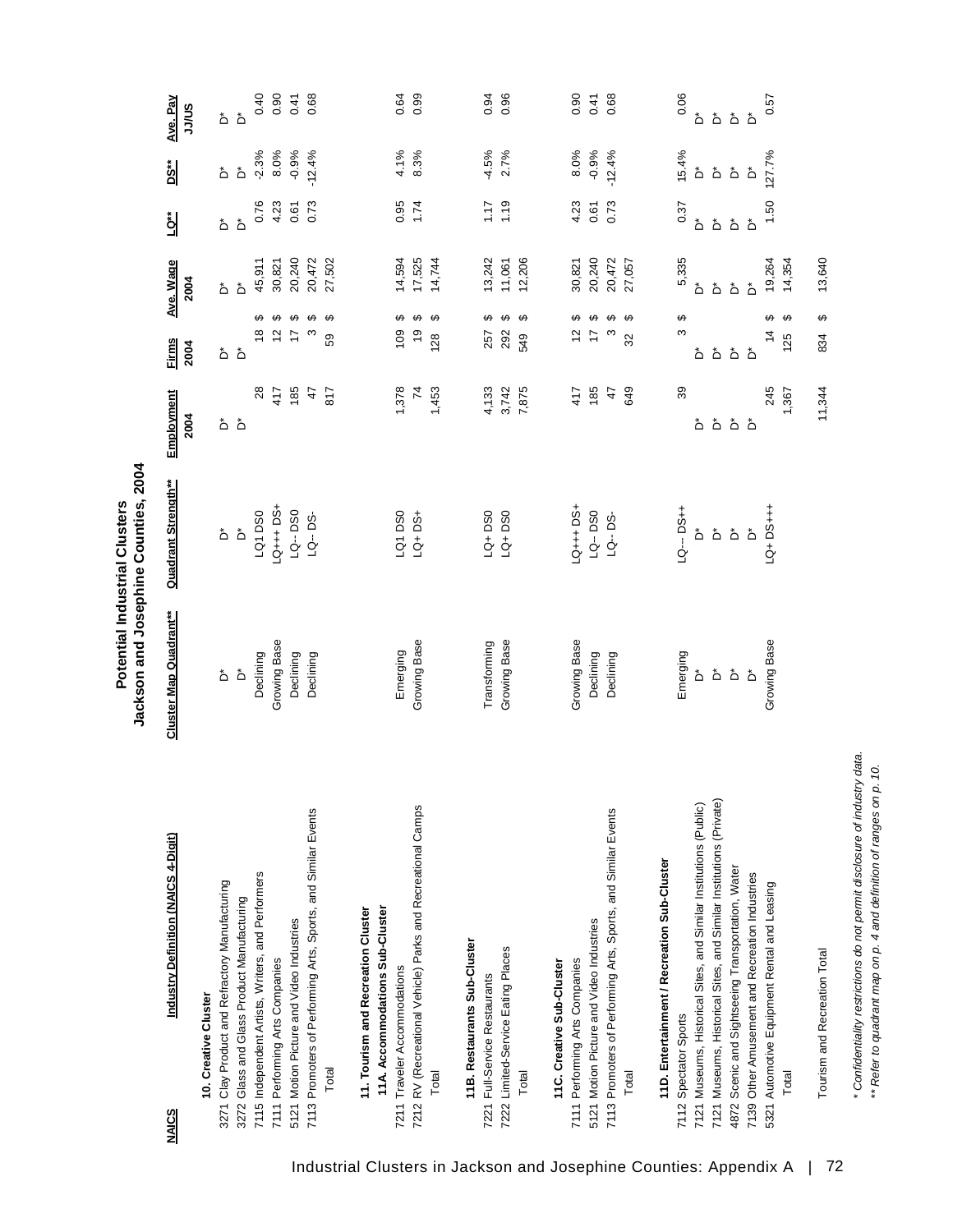|           | ā      |
|-----------|--------|
| こくしし<br>Ē | i<br>Ξ |
|           | į      |
| z         | ose    |
|           | č<br>ï |
|           | č      |

| Industry Definition (NAICS 4-Digit)<br>NAICS                                                                                                                                                                                                                                                                                                                              | Cluster Map Quadrant**                                                               | Quadrant Strength**                                                          | Employment<br>2004                     | <b>Firms</b><br>2004                                                                                                     | Ave. Wage<br>2004                                         | ig⊾                                                                            | <u>ns</u>                                                              | Ave. Pay<br>SU/LL                                                             |
|---------------------------------------------------------------------------------------------------------------------------------------------------------------------------------------------------------------------------------------------------------------------------------------------------------------------------------------------------------------------------|--------------------------------------------------------------------------------------|------------------------------------------------------------------------------|----------------------------------------|--------------------------------------------------------------------------------------------------------------------------|-----------------------------------------------------------|--------------------------------------------------------------------------------|------------------------------------------------------------------------|-------------------------------------------------------------------------------|
| 7113 Promoters of Performing Arts, Sports, and Similar Events<br>7115 Independent Artists, Writers, and Performers<br>3271 Clay Product and Refractory Manufacturing<br>3272 Glass and Glass Product Manufacturing<br>5121 Motion Picture and Video Industries<br>7111 Performing Arts Companies<br>10. Creative Cluster<br>Total                                         | Growing Base<br>Declining<br>Declining<br>Declining<br>$\mathring{\mathsf{D}}$<br>ەً | LQ+++DS+<br>$LQ - DS0$<br>LQ1 DS0<br>LQ--DS-<br>$\mathring{\mathsf{D}}$<br>ڞ | 185<br>28<br>47<br>817<br>417<br>هٔ هٔ | ↮<br><del>ဟေး ဟ</del><br>$\boldsymbol{\Theta}$<br>↮<br>$\frac{8}{1}$<br>$\overline{c}$<br>S<br>$\ddot{ }$<br>89<br>هٔ هٔ | 27,502<br>20,240<br>20,472<br>45,911<br>30,821<br>ەً<br>ڞ | 0.76<br>4.23<br>0.73<br>0.61<br>هٔ<br>ەً                                       | $-2.3%$<br>$-0.9%$<br>8.0%<br>$-12.4%$<br>$\mathring{\mathsf{d}}$<br>ڞ | 0.40<br>0.90<br>0.68<br>0.41<br>$\Delta$<br>ەً                                |
| 7212 RV (Recreational Vehicle) Parks and Recreational Camps<br>11A. Accommodations Sub-Cluster<br>11. Tourism and Recreation Cluster<br>7211 Traveler Accommodations<br>Total                                                                                                                                                                                             | Growing Base<br>Emerging                                                             | LQ+DS+<br>LQ1DS0                                                             | 1,378<br>$\overline{z}$<br>1,453       | $\boldsymbol{\varphi}$<br>↮<br>↮<br>109<br>$\frac{1}{2}$<br>128                                                          | 17,525<br>14,594<br>14,744                                | 0.95<br>1.74                                                                   | 8.3%<br>4.1%                                                           | 0.99<br>0.64                                                                  |
| 11B. Restaurants Sub-Cluster<br>7222 Limited-Service Eating Places<br>7221 Full-Service Restaurants<br>Total                                                                                                                                                                                                                                                              | Growing Base<br>Transforming                                                         | $LQ + DSO$<br>$LQ + DSO$                                                     | 3,742<br>7,875<br>4,133                | ↔<br>↮<br>↮<br>292<br>257<br>549                                                                                         | 12,206<br>13,242<br>11,061                                | 1.19<br>1.17                                                                   | $-4.5%$<br>2.7%                                                        | 0.96<br>0.94                                                                  |
| 7113 Promoters of Performing Arts, Sports, and Similar Events<br>5121 Motion Picture and Video Industries<br>7111 Performing Arts Companies<br>11C. Creative Sub-Cluster<br>Total                                                                                                                                                                                         | Growing Base<br>Declining<br>Declining                                               | $-9 + + + 50 +$<br>LQ--DS0<br>LQ-DS-                                         | 185<br>649<br>47<br>417                | ↮<br>↮<br>↮<br>↔<br>57<br>$\overline{1}$<br>ო<br>S2                                                                      | 20,240<br>20,472<br>27,057<br>30,821                      | 4.23<br>0.73<br>0.61                                                           | 8.0%<br>$-0.9%$<br>$-12.4%$                                            | 0.90<br>0.68<br>0.41                                                          |
| 7121 Museums, Historical Sites, and Similar Institutions (Private)<br>7121 Museums, Historical Sites, and Similar Institutions (Public)<br>11D. Entertainment / Recreation Sub-Cluster<br>Scenic and Sightseeing Transportation, Water<br>7139 Other Amusement and Recreation Industries<br>5321 Automotive Equipment Rental and Leasing<br>7112 Spectator Sports<br>4872 | Growing Base<br>Emerging<br>$\stackrel{*}{\textstyle\triangle}$<br>ەً<br>ڞ<br>ڞ      | LQ--- DS++<br>$-4 + 5G + F$<br>ڞ<br>ەً<br>ەً<br>ڞ                            | 245<br>39<br>هٔ هٔ<br>ڞ<br>۵           | ↮<br>↮<br>S<br>$\frac{4}{3}$<br>$\mathring{\mathsf{D}}$<br>هٔ هٔ<br>ەً                                                   | 5,335<br>19,264<br>ەً<br>ەً<br>ڞ<br>ەً                    | 1.50<br>0.37<br>$\mathring{\mathsf{D}}$<br>هٔ<br>ەً<br>$\mathring{\mathsf{D}}$ | 15.4%<br>127.7%<br>ەً<br>ەً<br>$\mathring{\mathsf{D}}$<br>ڞ            | 0.06<br>0.57<br>$\mathring{\mathsf{D}}$<br>$\mathring{\mathsf{D}}$<br>هٔ<br>ڞ |
| Tourism and Recreation Total<br>Total                                                                                                                                                                                                                                                                                                                                     |                                                                                      |                                                                              | 11,344<br>1,367                        | ↮<br>↮<br>125<br>834                                                                                                     | 13,640<br>14,354                                          |                                                                                |                                                                        |                                                                               |

*\* Confidentiality restrictions do not permit disclosure of industry data. \*\* Refer to quadrant map on p. 4 and definition of ranges on p. 10.*

\* Confidentiality restrictions do not permit disclosure of industry data.<br>\*\* Refer to quadrant map on p. 4 and definition of ranges on p. 10.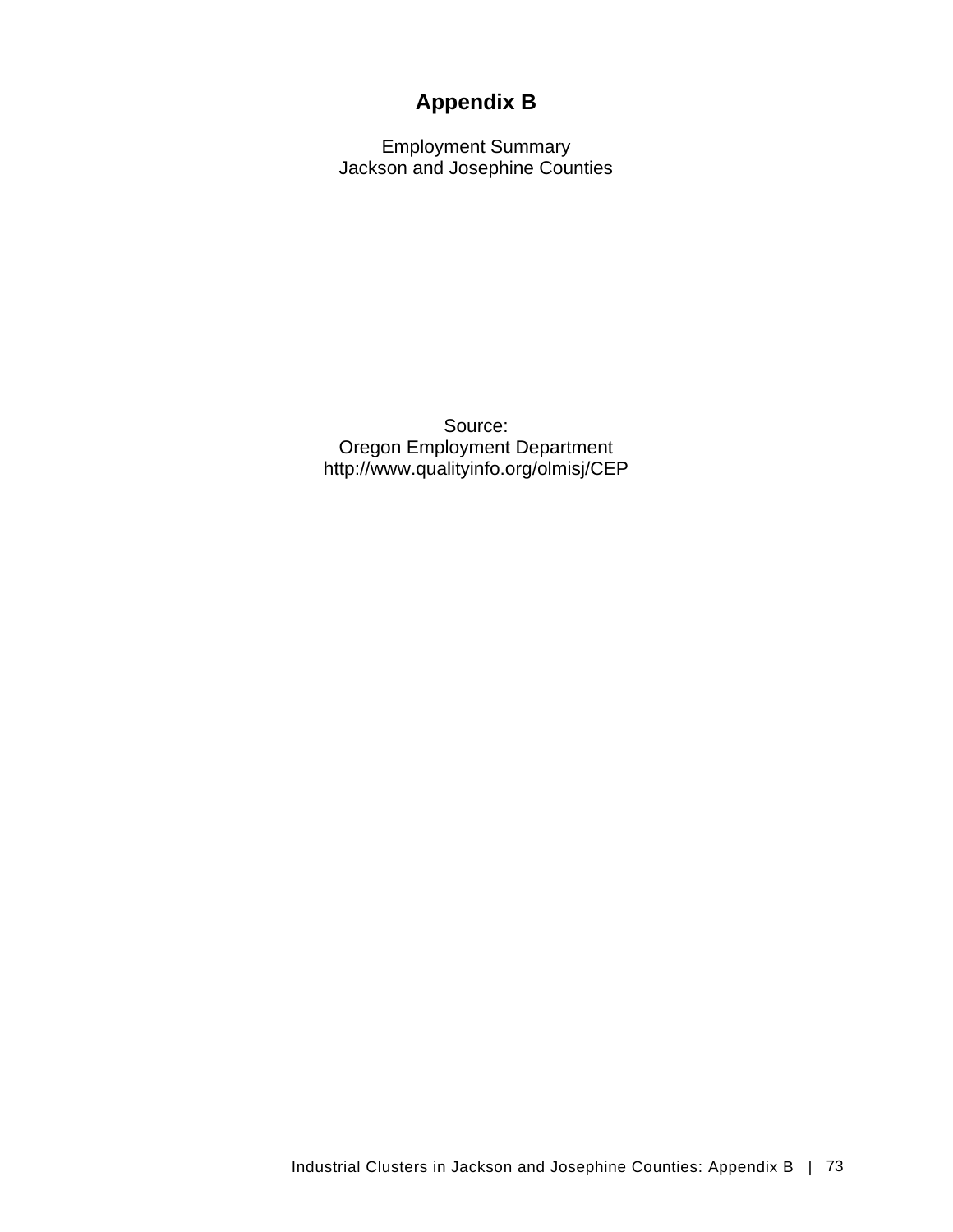# **Appendix B**

Employment Summary Jackson and Josephine Counties

Source: Oregon Employment Department http://www.qualityinfo.org/olmisj/CEP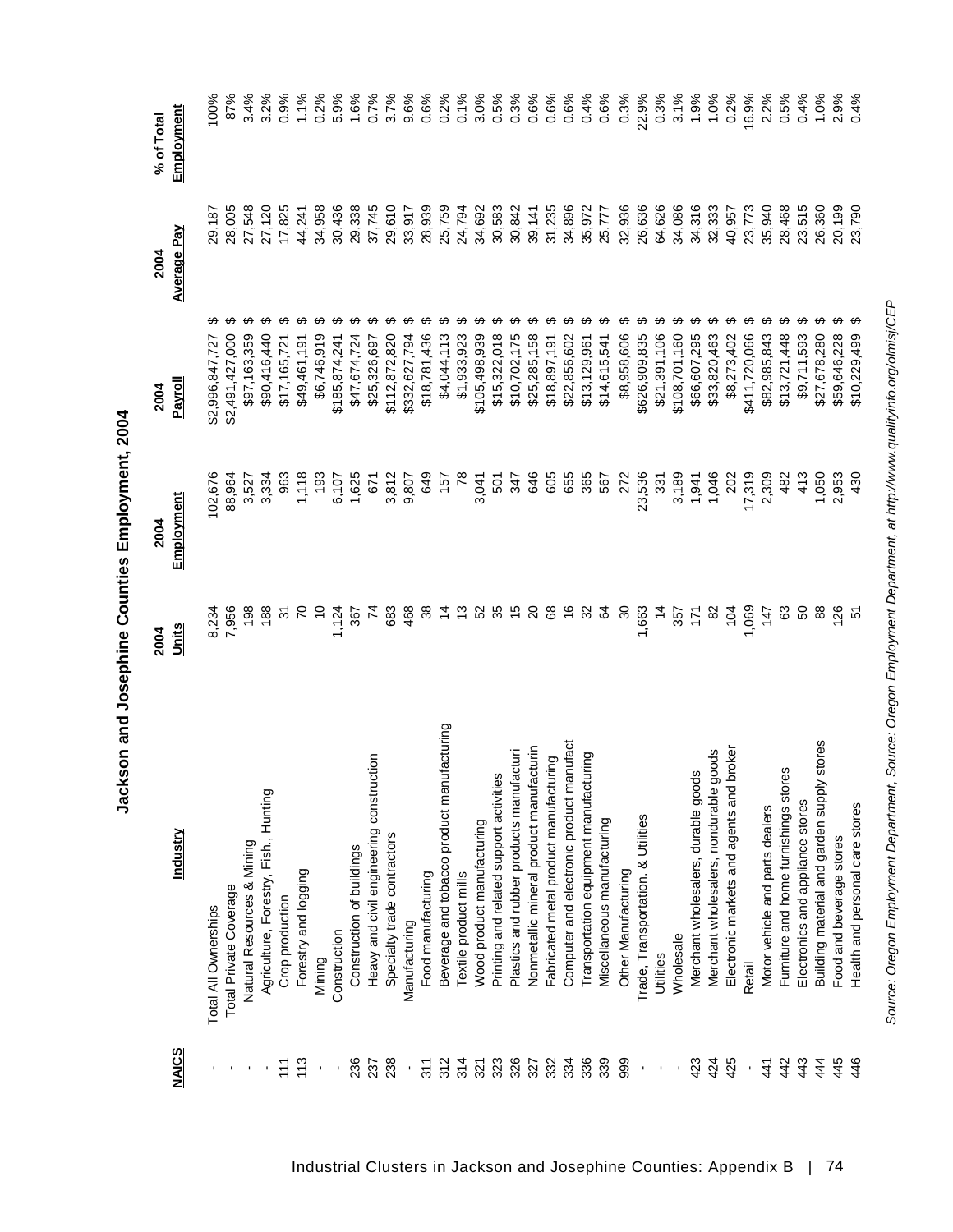|                     |                                               | 2004                     | 2004            | 2004            | 2004               | % of Total |
|---------------------|-----------------------------------------------|--------------------------|-----------------|-----------------|--------------------|------------|
| <b>NAICS</b>        | <u>Industry</u>                               | Units                    | Employment      | <u>Payroll</u>  | <b>Average Pay</b> | Employment |
| $\mathbf{r}_\perp$  | Total All Ownerships                          |                          | 102,676         | \$2,996,847,727 | 29,187             | 100%       |
|                     | Total Private Coverage                        | 8,234<br>7,956           | 88,964          | \$2,491,427,000 | 28,005             | 87%        |
|                     | Natural Resources & Mining                    | 198                      | 3,527           | \$97,163,359    | 27,548             | 3.4%       |
|                     | Agriculture, Forestry, Fish., Hunting         | 188                      | 3,334           | \$90,416,440    | 27,120             | 3.2%       |
| $\frac{1}{11}$      | Crop production                               | $\approx$                | 963             | \$17,165,721    | 17,825             | 0.9%       |
| 113                 | Forestry and logging                          |                          | 1,118           | \$49,461,191    | 44,241             | 1.1%       |
| $\blacksquare$      | Mining                                        |                          | $\frac{63}{2}$  | \$6,746,919     | 34,958             | 0.2%       |
|                     | Construction                                  | 1,124                    | 6,107           | \$185,874,241   | 30,436             | 5.9%       |
| 236                 | Construction of buildings                     | 367                      | 1,625           | \$47,674,724    | 29,338             | 1.6%       |
| 237                 | ction<br>Heavy and civil engineering constru  | 74                       | 57              | \$25,326,697    | 37,745             | 0.7%       |
| 238                 | Specialty trade contractors                   | 683                      | 3,812           | \$112,872,820   | 29,610             | 3.7%       |
| $\bar{\phantom{a}}$ | Manufacturing                                 | 468                      | 9,807           | \$332,627,794   | 33,917             | 9.6%       |
| 311                 | Food manufacturing                            | 8                        | 649             | \$18,781,436    | 28,939             | 0.6%       |
| 312                 | Beverage and tobacco product manufacturing    |                          | 157             | \$4,044,113     | 25,759             | 0.2%       |
| 314                 | Textile product mills                         | చ                        | $\overline{78}$ | \$1,933,923     | 24,794             | 0.1%       |
| 321                 | Wood product manufacturing                    | 3                        | 3,041           | \$105,498,939   | 34,692             | 3.0%       |
| 323                 | Printing and related support activities       | 35                       | 501             | \$15,322,018    | 30,583             | 0.5%       |
| 326                 | Plastics and rubber products manufacturi      | $\frac{6}{5}$            | 347             | \$10,702,175    | 30,842             | 0.3%       |
| 327                 | Nonmetallic mineral product manufacturin      | $\Omega$                 | 646             | \$25,285,158    | 39,141             | 0.6%       |
| 332                 | Fabricated metal product manufacturing        | 89                       | 605             | \$18,897,191    | 31,235             | 0.6%       |
| 334                 | Computer and electronic product manufact      | $\overset{\circ}{\cdot}$ | 655             | \$22,856,602    | 34,896             | 0.6%       |
| 336                 | Transportation equipment manufacturing        | 32                       | 365             | \$13,129,961    | 35,972             | 0.4%       |
| 339                 | Miscellaneous manufacturing                   | S4                       | 567             | \$14,615,541    | 25,777             | 0.6%       |
| 999                 | Other Manufacturing                           | న్                       | 272             | \$8,958,606     | 32,936             | 0.3%       |
| $\mathbf{r}$        | Trade, Transportation. & Utilities            | 1,663                    | 23,536          | \$626,909,835   | 26,636             | 22.9%      |
| ı                   | Utilities                                     | $\frac{4}{3}$            | 331             | \$21,391,106    | 64,626             | 0.3%       |
| ı                   | Wholesale                                     | 357                      | 3,189           | \$108,701,160   | 34,086             | 3.1%       |
| 423                 | Merchant wholesalers, durable goods           | Ź,                       | 1,941           | \$66,607,295    | 34,316             | 1.9%       |
| 424                 | goods<br>Merchant wholesalers, nondurable     | 8                        | 1,046           | \$33,820,463    | 32,333             | 1.0%       |
| 425                 | broker<br>Electronic markets and agents and   | 104                      | $\approx$       | \$8,273,402     | 40,957             | 0.2%       |
| $\blacksquare$      | Retail                                        | 1,069                    | 17,319          | \$411,720,066   | 23,773             | 16.9%      |
| 41                  | Motor vehicle and parts dealers               | 147                      | 2,309           | \$82,985,843    | 35,940             | 2.2%       |
| 442                 | 89<br>Furniture and home furnishings stor     | යි                       | 482             | \$13,721,448    | 28,468             | 0.5%       |
| 443                 | Electronics and appliance stores              | ន                        | 413             | \$9,711,593     | 23,515             | 0.4%       |
| 444                 | stores<br>Building material and garden supply | 88                       | 1,050           | \$27,678,280    | 26,360             | 1.0%       |
| 445                 | Food and beverage stores                      |                          | 2,953           | \$59,646,228    | 20,199             | 2.9%       |
| 446                 | Health and personal care stores               | F.                       | 430             | \$10,229,499    | 23,790             | 0.4%       |

*Source: Oregon Employment Department, Source: Oregon Employment Department, at http://www.qualityinfo.org/olmisj/CEP*

Source: Oregon Employment Department, Source: Oregon Employment Department, at http://www.qualityinfo.org/olmisj/CEP

Jackson and Josephine Counties Employment, 2004 **Jackson and Josephine Counties Employment, 2004**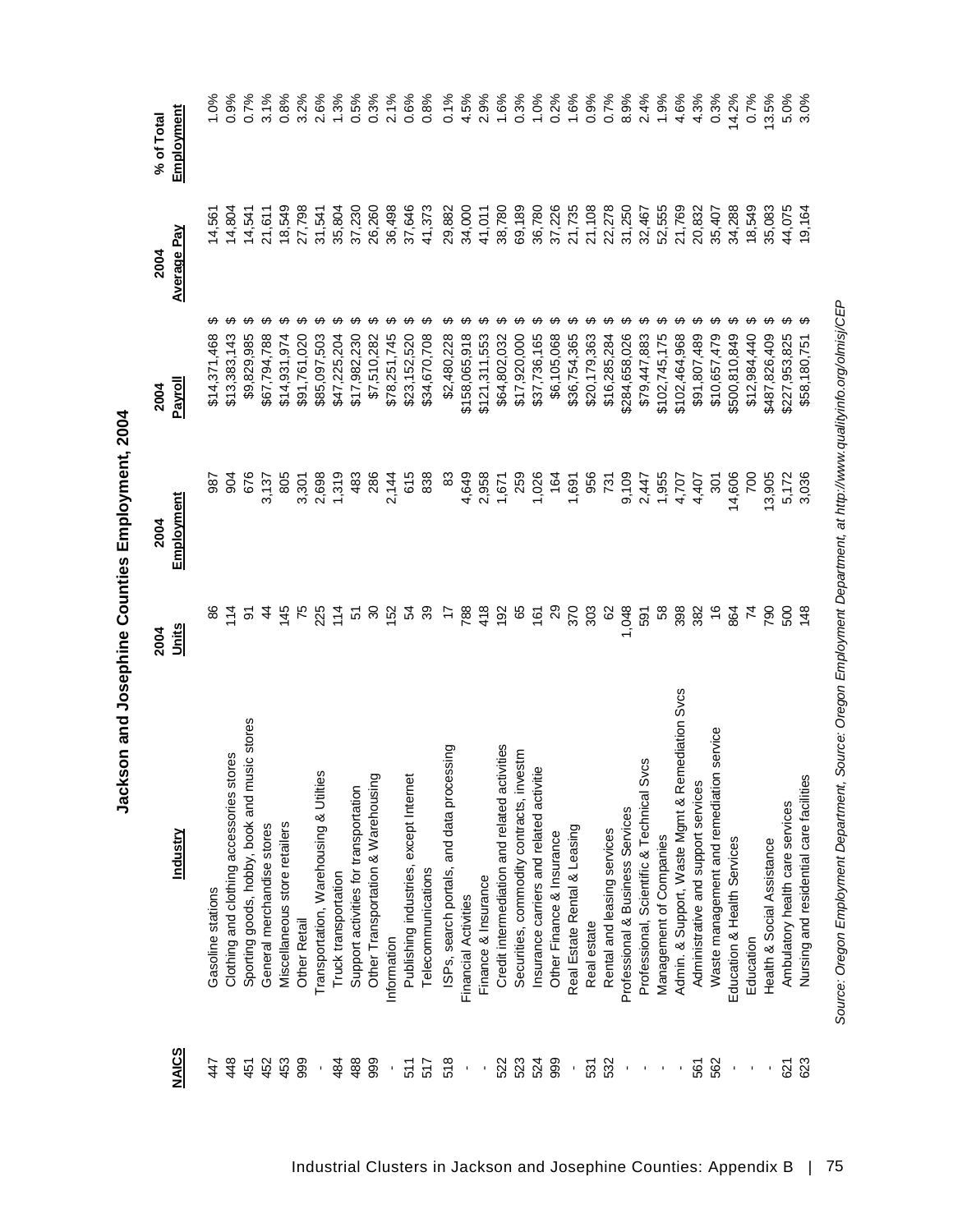|                                               |                                                 | 2004           | 2004           | 2004          | 2004               | % of Total |
|-----------------------------------------------|-------------------------------------------------|----------------|----------------|---------------|--------------------|------------|
| <b>NAICS</b>                                  | Industry                                        | Units          | Employment     | Payroll       | <b>Average Pay</b> | Employment |
| 447                                           | Gasoline stations                               |                | 987            | \$14,371,468  | 14,561             | 1.0%       |
| 448                                           | Clothing and clothing accessories stores        |                | 904            | \$13,383,143  | 14,804             | 0.9%       |
| 451                                           | Sporting goods, hobby, book and music stores    |                | <b>676</b>     | \$9,829,985   | 14,541             | 0.7%       |
| 452                                           | General merchandise stores                      | $\ddot{a}$     | 3,137          | \$67,794,788  | 21,611             | 3.1%       |
| 453                                           | Miscellaneous store retailers                   | $rac{45}{4}$   | 805            | \$14,931,974  | 18,549             | 0.8%       |
| 999                                           | Other Retail                                    | 5 <sup>7</sup> | 3,301          | \$91,761,020  | 27,798             | 3.2%       |
|                                               | Transportation, Warehousing & Utilties          | $25$<br>14     | 2,698          | \$85,097,503  | 31,541             | 2.6%       |
| 484                                           | Truck transportation                            |                | 1,319          | \$47,225,204  | 35,804             | 1.3%       |
| 488                                           | Support activities for transportation           | 5              | 483            | \$17,982,230  | 37,230             | 0.5%       |
| 999                                           | రా<br>Other Transportation & Warehousin         | ౚ              | 286            | \$7,510,282   | 26,260             | 0.3%       |
| $\bar{1}$                                     | Information                                     | 152            | 2,144          | \$78,251,745  | 36,498             | 2.1%       |
| 511                                           | Publishing industries, except Internet          | 오              | 615            | \$23,152,520  | 37,646             | 0.6%       |
| 517                                           | Telecommunications                              |                | 838            | \$34,670,708  | 41,373             | 0.8%       |
| 518                                           | ISPs, search portals, and data processing       |                | 83             | \$2,480,228   | 29,882             | 0.1%       |
| $\bar{\bar{}}$                                | Financial Activities                            | 788            | 4,649          | \$158,065,918 | 34,000             | 4.5%       |
|                                               | Finance & Insurance                             | 418            | 2,958          | \$121,311,553 | 41,011             | 2.9%       |
| 522                                           | Credit intermediation and related activities    | 192            | 1,671          | \$64,802,032  | 38,780             | 1.6%       |
| 523                                           | Securities, commodity contracts, investm        | 65             | 259            | \$17,920,000  | 69,189             | 0.3%       |
| 524                                           | Insurance carriers and related activitie        | $\frac{6}{16}$ | 1,026          | \$37,736,165  | 36,780             | 1.0%       |
| 999                                           | Other Finance & Insurance                       | 29             | 164            | \$6,105,068   | 37,226             | 0.2%       |
| $\bar{\ell}$                                  | Real Estate Rental & Leasing                    | 370            | 1,691          | \$36,754,365  | 21,735             | 1.6%       |
| 531                                           | Real estate                                     | 303            | 956<br>731     | \$20,179,363  | 21,108             | 0.9%       |
| 532                                           | Rental and leasing services                     | 8              |                | \$16,285,284  | 22,278             | 0.7%       |
|                                               | Professional & Business Services                | 1,048          | 9,109          | \$284,658,026 | 31,250             | 8.9%       |
| $\mathbf{E} = \mathbf{E} \times \mathbf{E}$ . | Professional, Scientific & Technical Svcs       | 591            | 2,447          | \$79,447,883  | 32,467             | 2.4%       |
|                                               | Management of Companies                         | 58             | 1,955          | \$102,745,175 | 52,555             | 1.9%       |
| $\bar{\phantom{a}}$                           | Admin. & Support, Waste Mgmt & Remediation Svcs | 398            | 4,707          | \$102,464,968 | 21,769             | 4.6%       |
| 561                                           | Administrative and support services             | 382            | 4,407          | \$91,807,489  | 20,832             | 4.3%       |
| 562                                           | Waste management and remediation service        | $\frac{6}{5}$  | 301            | \$10,657,479  | 35,407             | 0.3%       |
|                                               | Education & Health Services                     | 864            | 14,606         | \$500,810,849 | 34,288             | 14.2%      |
| $\epsilon \rightarrow 0$                      | Education                                       | $\overline{z}$ | $\overline{2}$ | \$12,984,440  | 18,549             | 0.7%       |
| $\cdot$                                       | Health & Social Assistance                      | <b>D6Z</b>     | 13,905         | \$487,826,409 | 35,083             | 3.5%       |
| 621                                           | Ambulatory health care services                 | 500            | 5,172          | \$227,953,825 | 44,075             | 5.0%       |
| 623                                           | Nursing and residential care facilitie          | $\frac{48}{5}$ | 3,036          | \$58,180,751  | 19,164             | 3.0%       |

Jackson and Josephine Counties Employment, 2004 **Jackson and Josephine Counties Employment, 2004**

*Source: Oregon Employment Department, Source: Oregon Employment Department, at http://www.qualityinfo.org/olmisj/CEP*

Source: Oregon Employment Department, Source: Oregon Employment Department, at http://www.qualityinfo.org/olmisj/CEP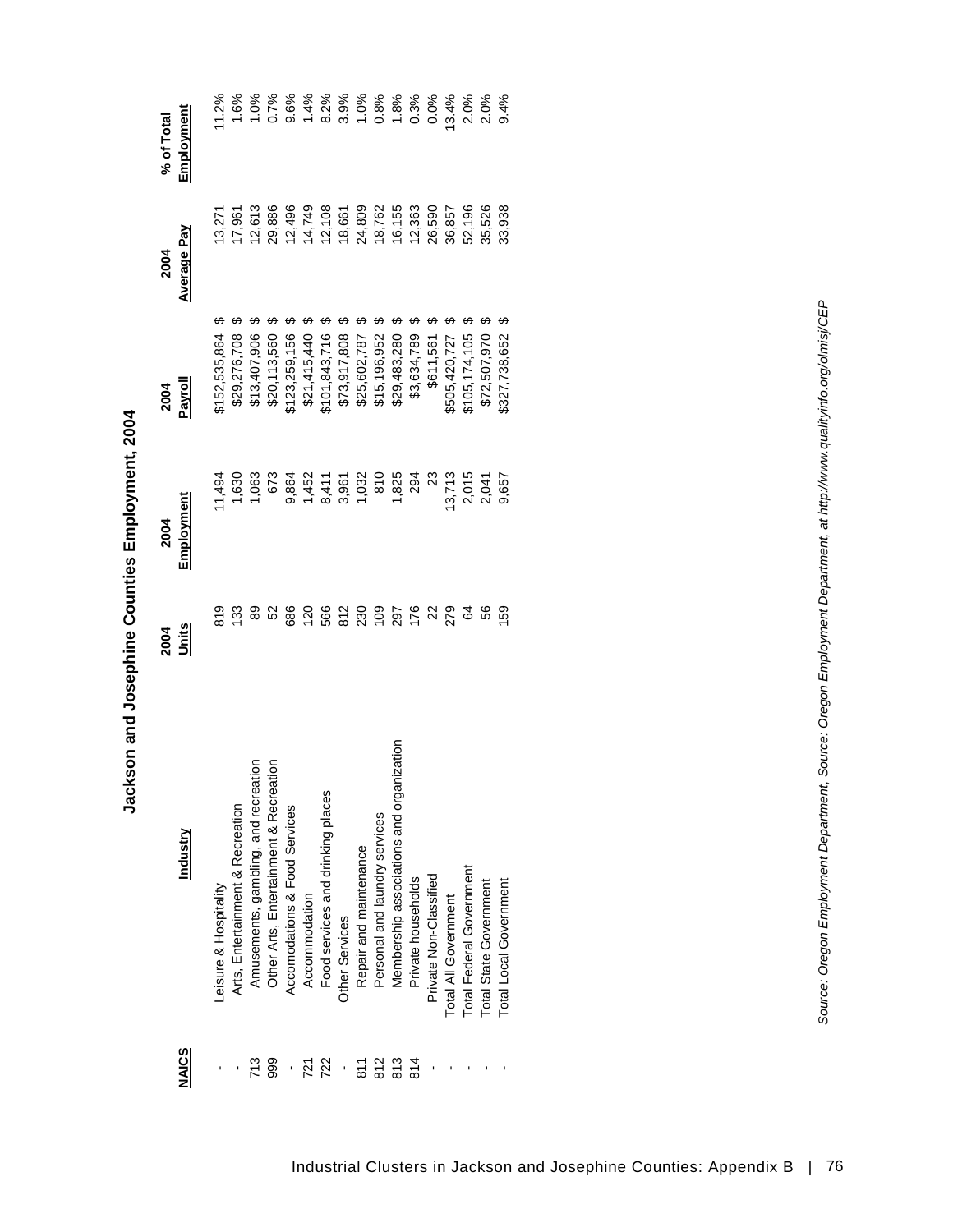| ֝֝֝֝֝֝֝֝֝֝֝֝֝֝֝<br>֧֪֧֚֚֝֝֝֝֝֝֝֬֟֓֟֓֟֓֟֝֬֝֟֝ |
|----------------------------------------------|
|                                              |
|                                              |
|                                              |
|                                              |
| $\ddot{\phantom{a}}$                         |
| ı                                            |
|                                              |
| į<br>l                                       |
|                                              |
|                                              |
|                                              |
|                                              |
|                                              |
|                                              |
|                                              |
|                                              |
| .<br>ا                                       |
|                                              |
|                                              |
|                                              |
|                                              |
|                                              |
|                                              |
|                                              |
|                                              |
|                                              |
| -<br>-<br>-<br>-<br>-<br>-<br>-              |
|                                              |
|                                              |
|                                              |
|                                              |
|                                              |
| i                                            |
|                                              |
| i                                            |
|                                              |
|                                              |
| Ì                                            |

 $\vec{r}$ 

| <b>NAICS</b>  | Industry                                                                       | 2004<br><u>Units</u> | Employment<br>2004                                               | 2004<br>Payroll              | Average Pay<br>2004                            | Employment<br>% of Total |
|---------------|--------------------------------------------------------------------------------|----------------------|------------------------------------------------------------------|------------------------------|------------------------------------------------|--------------------------|
|               | Leisure & Hospitality                                                          |                      | 11,494                                                           | 152,535,864                  | 13,27                                          | 11.2%                    |
|               | Arts, Entertainment & Recreation                                               | င္ဆ ဒ္ထ              | 1,630                                                            | \$29,276,708                 | 17,961                                         | 1.6%                     |
| 713           |                                                                                | 89                   | 1,063                                                            | \$13,407,906                 |                                                | $0.0\%$                  |
| 999           | Amusements, gambling, and recreation<br>Other Arts, Entertainment & Recreation | 52                   | <b>673</b>                                                       | \$20,113,560                 | 12,613<br>29,886                               | 0.7%                     |
|               | Accomodations & Food Services                                                  |                      |                                                                  | 123,259,156                  |                                                |                          |
| 721           | Accommodation                                                                  |                      |                                                                  | \$21,415,440                 | 12,496<br>14,749<br>12,108<br>24,809<br>24,809 |                          |
| 722           | Food services and drinking places                                              |                      |                                                                  | \$101,843,716                |                                                |                          |
|               | Other Services                                                                 |                      |                                                                  |                              |                                                |                          |
| $\frac{1}{8}$ | Repair and maintenance                                                         |                      |                                                                  | \$73,917,808<br>\$25,602,787 |                                                |                          |
| 812           | Personal and laundry services                                                  |                      |                                                                  | \$15,196,952                 |                                                |                          |
| 813           | nization<br>Membership associations and orga                                   | 297<br>176           |                                                                  | \$29,483,280                 | 18,762<br>16,155                               |                          |
| 814           | Private households                                                             |                      |                                                                  | \$3,634,789                  |                                                |                          |
|               | Private Non-Classified                                                         | 22<br>279            | $\mathbb{Z}^3$                                                   | \$611,561                    |                                                |                          |
|               | Total All Government                                                           |                      |                                                                  | \$505,420,727                | $12,363$<br>$26,590$<br>$36,857$               | 13.4%                    |
|               | Total Federal Government                                                       |                      | $\begin{array}{c} 13,713 \\ 2,015 \\ 2,041 \\ 2,657 \end{array}$ | \$105,174,105                | 52,196<br>35,526                               |                          |
|               | Total State Government                                                         | <b>s</b> s s         |                                                                  | \$72,507,970                 |                                                | 2.0%<br>2.0%<br>9.4%     |
|               | Total Local Government                                                         |                      |                                                                  | 5327,738,652                 | 33,938                                         |                          |
|               |                                                                                |                      |                                                                  |                              |                                                |                          |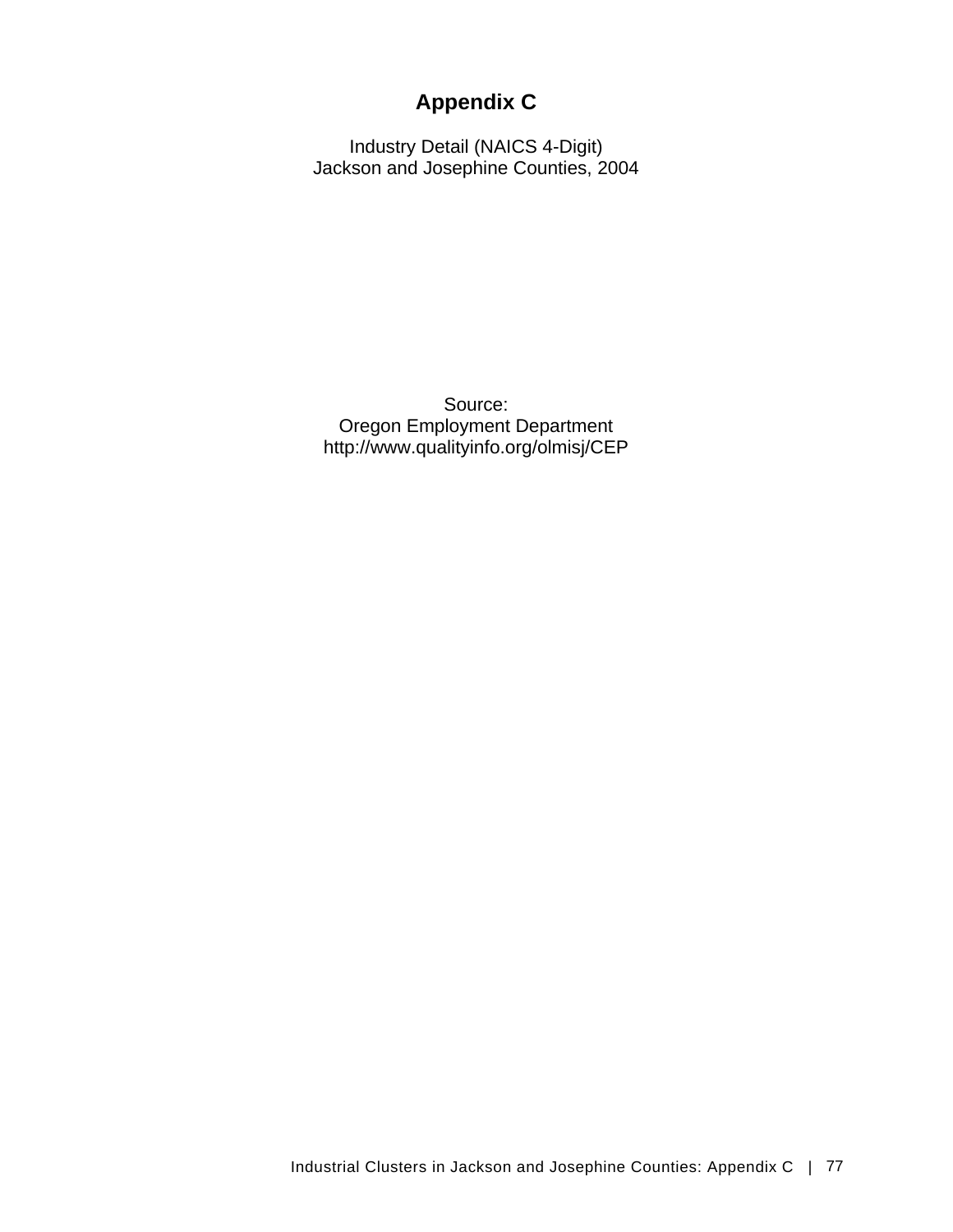# **Appendix C**

Industry Detail (NAICS 4-Digit) Jackson and Josephine Counties, 2004

Source: Oregon Employment Department http://www.qualityinfo.org/olmisj/CEP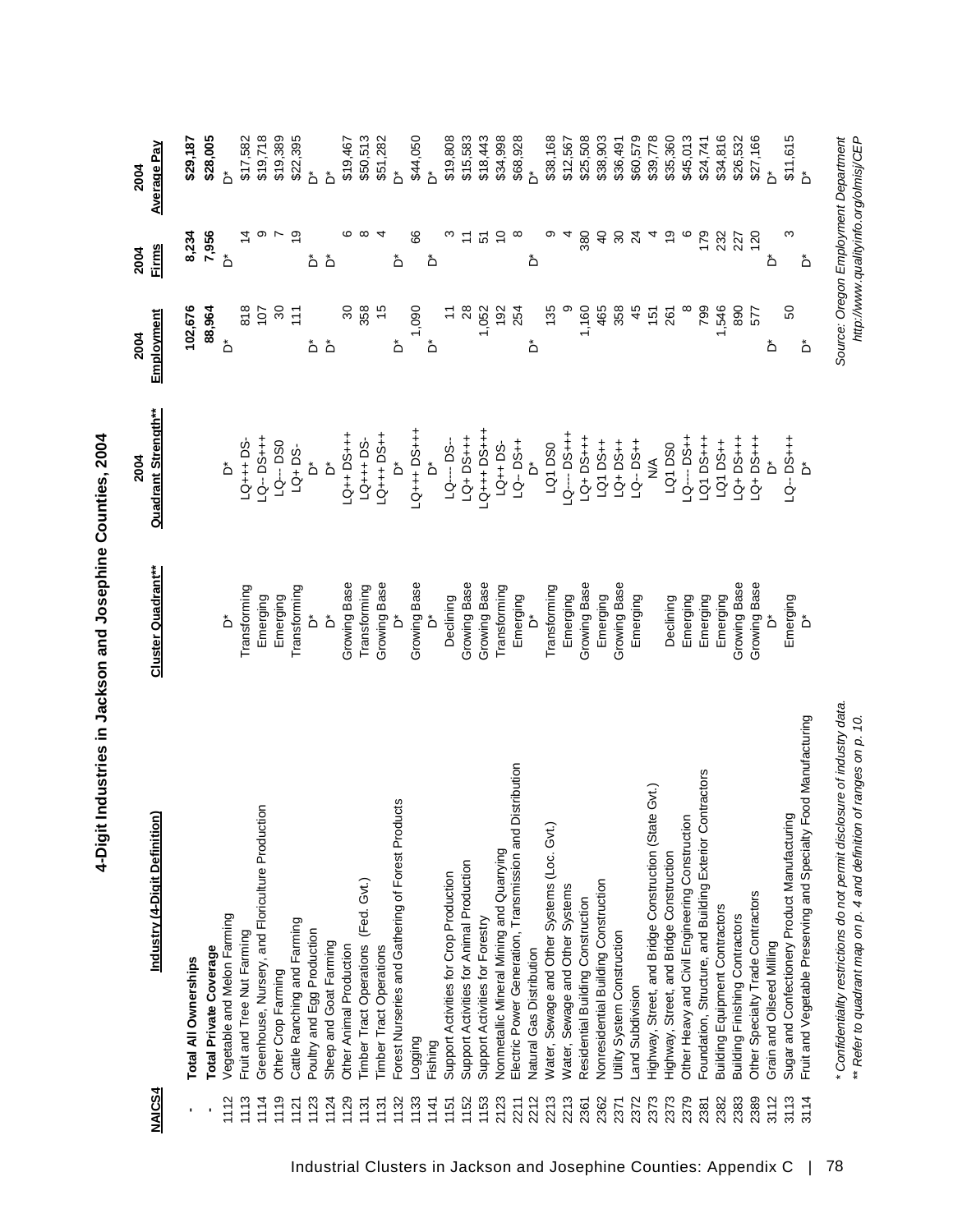| <b>NAICS4</b> | Industry (4-Digit Definition)                                             | <b>Cluster Quadrant**</b>          | <b>Quadrant Strength**</b><br>2004 | Employment<br>2004        | <b>Firms</b><br>2004 | <b>Average Pay</b><br>2004            |
|---------------|---------------------------------------------------------------------------|------------------------------------|------------------------------------|---------------------------|----------------------|---------------------------------------|
|               | <b>Total All Ownerships</b>                                               |                                    |                                    | 102,676                   | 8,234                | \$29,187                              |
|               | <b>Total Private Coverage</b>                                             |                                    |                                    | 88,964                    | 7,956                | \$28,005                              |
| 1112          | Vegetable and Melon Farming                                               | $\stackrel{*}{\circ}$              | ő                                  | $\stackrel{*}{\circ}$     | $\Delta$             | ڞ                                     |
| 1113          | Fruit and Tree Nut Farming                                                | Transforming                       | LQ+++ DS-                          | 818                       | $\overline{4}$       | \$17,582                              |
| 1114          | Greenhouse, Nursery, and Floriculture Production                          | Emerging                           | <b>LQ--DS+++</b>                   | 107                       | တ                    | \$19,718                              |
| 1119          | Other Crop Farming                                                        | Emerging                           | LQ--- DS0                          | 30                        | r                    | \$19,389                              |
| 1121          | Cattle Ranching and Farming                                               | Transforming                       | $LQ + DS$                          | 111                       | စ္                   | \$22,395                              |
| 1123          | Poultry and Egg Production                                                | ەً                                 | ەً                                 | ٔ                         | ڞ                    | ڟ                                     |
| 1124          | Sheep and Goat Farming                                                    | $\stackrel{*}{\circ}$              | $\Delta^*$                         | ەً                        | $\Delta$             | $\stackrel{*}{\circ}$                 |
| 1129          | Other Animal Production                                                   | Growing Base                       | LQ++DS+++                          | $\infty$                  | c                    | \$19,467                              |
| 1131          | Timber Tract Operations (Fed. Gvt.)                                       | Transforming                       | LQ+++ DS-                          | 358                       |                      | \$50,513                              |
| 1131          | <b>Timber Tract Operations</b>                                            | Growing Base                       | LQ+++D3++                          | $\frac{5}{2}$             |                      | \$51,282                              |
| 1132          | Forest Nurseries and Gathering of Forest Products                         | Ő                                  | ۀ                                  | ٔ                         | ڞ                    | ۀ                                     |
| 1133          | Logging                                                                   | Growing Base                       | LQ+++DS+++                         | 1,090                     | 8                    | \$44,050                              |
| 1141          | Fishing                                                                   | Ő                                  | ď                                  | $\stackrel{*}{\triangle}$ | ەً                   | $\Delta^*$                            |
| 1151          | Support Activities for Crop Production                                    | Declining                          | LQ---- DS-                         | $\tilde{t}$               | ო                    | \$19,808                              |
| 1152          | Support Activities for Animal Production                                  | Growing Base                       | LQ+DS+++                           | 28                        | $\tilde{\tau}$       | \$15,583                              |
| 1153          | Support Activities for Forestry                                           | Growing Base                       | <b>H++DO+++DJ</b>                  | 1,052                     | 5                    | \$18,443                              |
| 2123          | Nonmetallic Mineral Mining and Quarrying                                  | Transforming                       | $LQ_{++}$ DS-                      | 192                       | $\tilde{c}$          | \$34,998                              |
| 2211          | Distribution<br>Electric Power Generation, Transmission and               | Emerging<br>D*                     | LQ--DS++                           | 254                       | ∞                    | \$68,928                              |
| 2212          | Natural Gas Distribution                                                  |                                    | ەً                                 | ەً                        | ەً                   | ۀ                                     |
| 2213          | Water, Sewage and Other Systems (Loc. Gvt.)                               | Transforming                       | LQ1DS0                             | 135                       | တ                    | \$38,168                              |
| 2213          | Water, Sewage and Other Systems                                           | Emerging                           | LQ---DS+++                         |                           |                      | \$12,567                              |
| 2361          | Residential Building Construction                                         | Growing Base                       | <b>LQ+DS+++</b>                    | 1,160                     | 380                  | \$25,508                              |
| 2362          | Nonresidential Building Construction                                      | Emerging                           | LQ1 DS++                           | 465                       | $\overline{a}$       | \$38,903                              |
| 2371          | Utility System Construction                                               | Growing Base                       | LQ+DS++                            | 358                       | $\infty$             | \$36,491                              |
| 2372          | Land Subdivision                                                          | Emerging                           | LQ--DS++                           | 45                        | $\overline{2}$       | \$60,579                              |
| 2373          | Highway, Street, and Bridge Construction (State Gvt.)                     |                                    | $\frac{1}{2}$                      | 151                       |                      | \$39,778                              |
| 2373          | Highway, Street, and Bridge Construction                                  | Declining                          | LQ1DS0                             | 261                       | စ္                   | \$35,360                              |
| 2379          | Other Heavy and Civil Engineering Construction                            | Emerging                           | LQ---- DS++                        |                           | ဖ                    | \$45,013                              |
| 2381          | Foundation, Structure, and Building Exterior Contractors                  | Emerging                           | LQ1 DS+++                          | 799                       | 179                  | \$24,741                              |
| 2382          | <b>Building Equipment Contractors</b>                                     | Emerging                           | LQ1 DS++                           | 1,546                     | 232                  | \$34,816                              |
| 2383          | <b>Building Finishing Contractors</b>                                     | Growing Base                       | $-4+40$                            | 890                       | 227                  | \$26,532                              |
| 2389          | Other Specialty Trade Contractors                                         | Growing Base                       | $-4+36+17$                         | 577                       | 120                  | \$27,166                              |
| 3112          | Grain and Oilseed Milling                                                 | ەً                                 | ەً                                 | ەً                        | ەً                   | ةُ                                    |
| 3113          | Sugar and Confectionery Product Manufacturing                             | Emerging                           | LQ--DS+++                          | 50                        | ω                    | \$11,615                              |
| 3114          | Fruit and Vegetable Preserving and Specialty Food Manufacturing           | $\stackrel{*}{\textstyle\bigcirc}$ | $\stackrel{*}{\Box}$               | ەً                        | ڞ                    | $\stackrel{*}{\triangle}$             |
|               | * Confidentiality restrictions do not permit disclosure of industry data. |                                    |                                    |                           |                      | Source: Oregon Employment Department  |
|               | ** Refer to quadrant map on p. 4 and definition of ranges on p. 10.       |                                    |                                    |                           |                      | http://www.qualityinfo.org/olmisj/CEP |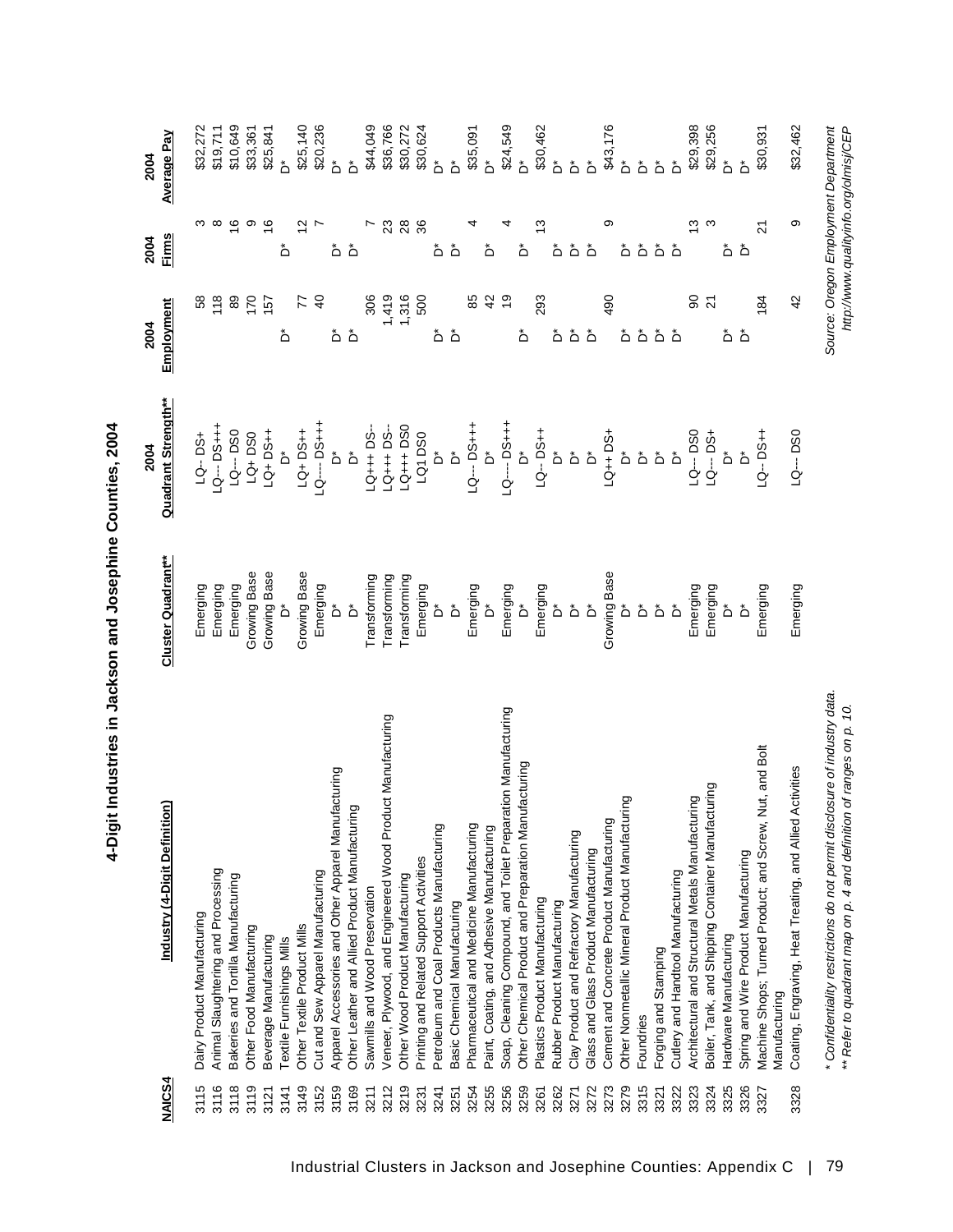| 2004<br>2004                  | Average Pay<br>Firms      | S                           | \$32,272<br>\$19,711<br>$\infty$   | \$10,649<br>$\frac{6}{5}$           | \$33,361<br>တ            | \$25,841<br>$\frac{6}{5}$ | ć<br>ڞ                    | \$25,140<br>$\overline{2}$  | \$20,236                          | ۀ<br>ڞ                                              | ۀ<br>ڞ                                         | \$44,049                       | \$36,766<br>23                                             | $\overline{28}$                  | \$30,272<br>\$30,624<br>36              | ۂ<br>ەً                                   | ۀ<br>ڞ                       | \$35,091                                  | $\stackrel{*}{\circ}$<br>ڞ                 | \$24,549                                                      | ڑ<br>ث<br>ڞ                                          | \$30,462                       | ەً<br>ڞ                      | $\mathring{\mathsf{D}}$<br>ڞ              | $\mathring{\mathsf{D}}$<br>ڞ          | \$43,176<br>တ                             | $\mathring{\mathsf{\cap}}$<br>ەً                | $\mathring{\mathsf{D}}$<br>ڞ | $\Delta^*$<br>هٔ هٔ  |                                    | \$29,398<br>ო                                     | \$29,256<br>S                                      | ڞ                         | $\Delta$                              | \$30,931<br>21                                                              | \$32,462<br>ω                                               |
|-------------------------------|---------------------------|-----------------------------|------------------------------------|-------------------------------------|--------------------------|---------------------------|---------------------------|-----------------------------|-----------------------------------|-----------------------------------------------------|------------------------------------------------|--------------------------------|------------------------------------------------------------|----------------------------------|-----------------------------------------|-------------------------------------------|------------------------------|-------------------------------------------|--------------------------------------------|---------------------------------------------------------------|------------------------------------------------------|--------------------------------|------------------------------|-------------------------------------------|---------------------------------------|-------------------------------------------|-------------------------------------------------|------------------------------|----------------------|------------------------------------|---------------------------------------------------|----------------------------------------------------|---------------------------|---------------------------------------|-----------------------------------------------------------------------------|-------------------------------------------------------------|
| 2004                          | Employment                | 58                          | 118                                | 89                                  | 170                      | 157                       | ەً                        | 77                          | $\overline{4}$                    |                                                     | هٔ هٔ                                          | 306                            | 1,419                                                      | 1,316                            | 500                                     |                                           | هٔ هٔ                        | 85                                        | $\overline{4}$                             |                                                               | ڞ                                                    | 293                            | ٔ                            | هٔ هٔ                                     |                                       | 490                                       |                                                 | هٔ هٔ هٔ هٔ                  |                      |                                    | 8                                                 | $\overline{2}$                                     |                           | هٔ هٔ                                 | 184                                                                         | $\overline{4}$                                              |
| 2004                          | Quadrant Strength**       | LQ--DS+                     | LQ-- DS+++                         | LQ--- DS0                           | $LQ + DSO$               | LQ+DS++                   |                           | LQ+DS++                     | $-0$ --- DS+++                    | Ő                                                   | ڟ                                              | $-34 + 55 -$                   | $-Q_{++} + DS$                                             | $LQ++DSO$<br>$LQ + DSO$          |                                         | ۂ<br>ف                                    |                              |                                           |                                            |                                                               |                                                      |                                |                              |                                           |                                       | LQ++DS+                                   |                                                 | هُ هُ هُ هُ                  |                      |                                    |                                                   |                                                    |                           | 10-- DSO<br>10-- DS+<br>10-- D*       | $-9 - 0.7$                                                                  | LQ---DS0                                                    |
|                               | <b>Cluster Quadrant**</b> | Emerging                    | Emerging                           | Emerging                            | Growing Base             | Growing Base              | ەً                        | Growing Base                | Emerging                          | ەً                                                  | $\mathring{\mathsf{d}}$                        | Transforming                   | Transforming                                               | Transforming                     | Emerging                                | $\mathring{\mathsf{D}}$                   | $\Delta$                     | Emerging                                  | $\mathring{\mathsf{d}}$                    | Emerging                                                      | $\Delta$                                             | Emerging                       |                              | هٔ هٔ هٔ                                  |                                       | Growing Base                              |                                                 | هٔ هٔ هٔ هٔ                  |                      |                                    | Emerging                                          | Emerging                                           | $\stackrel{*}{\triangle}$ | $\mathring{\mathsf{D}}$               | Emerging                                                                    | Emerging                                                    |
| Industry (4-Digit Definition) |                           | Dairy Product Manufacturing | Animal Slaughtering and Processing | Bakeries and Tortilla Manufacturing | Other Food Manufacturing | Beverage Manufacturing    | Textile Furnishings Mills | Other Textile Product Mills | Cut and Sew Apparel Manufacturing | Apparel Accessories and Other Apparel Manufacturing | Other Leather and Allied Product Manufacturing | Sawmills and Wood Preservation | Veneer, Plywood, and Engineered Wood Product Manufacturing | Other Wood Product Manufacturing | Printing and Related Support Activities | Petroleum and Coal Products Manufacturing | Basic Chemical Manufacturing | Pharmaceutical and Medicine Manufacturing | Paint, Coating, and Adhesive Manufacturing | Soap, Cleaning Compound, and Toilet Preparation Manufacturing | Other Chemical Product and Preparation Manufacturing | Plastics Product Manufacturing | Rubber Product Manufacturing | Clay Product and Refractory Manufacturing | Glass and Glass Product Manufacturing | Cement and Concrete Product Manufacturing | Other Nonmetallic Mineral Product Manufacturing | Foundries                    | Forging and Stamping | Cutlery and Handtool Manufacturing | Architectural and Structural Metals Manufacturing | Boiler, Tank, and Shipping Container Manufacturing | Hardware Manufacturing    | Spring and Wire Product Manufacturing | Nut, and Bolt<br>Machine Shops; Turned Product; and Screw,<br>Manufacturing | Activities<br>Coating, Engraving, Heat Treating, and Allied |
|                               | <b>NAICS4</b>             | 3115                        | 3116                               | 3118                                | 3119                     | 3121                      | 3141                      | 3149                        | 3152                              | 3159                                                | 3169                                           | 3211                           | 3212                                                       | 3219                             | 3231                                    | 3241                                      | 3251                         | 3254                                      | 3255                                       | 3256                                                          | 3259                                                 | 3261                           | 3262                         | 3271                                      | 3272                                  | 3273                                      | 3279                                            | 3315                         | 3321                 | 3322                               | 3323                                              | 3324                                               | 3325                      | 3326                                  | 3327                                                                        | 3328                                                        |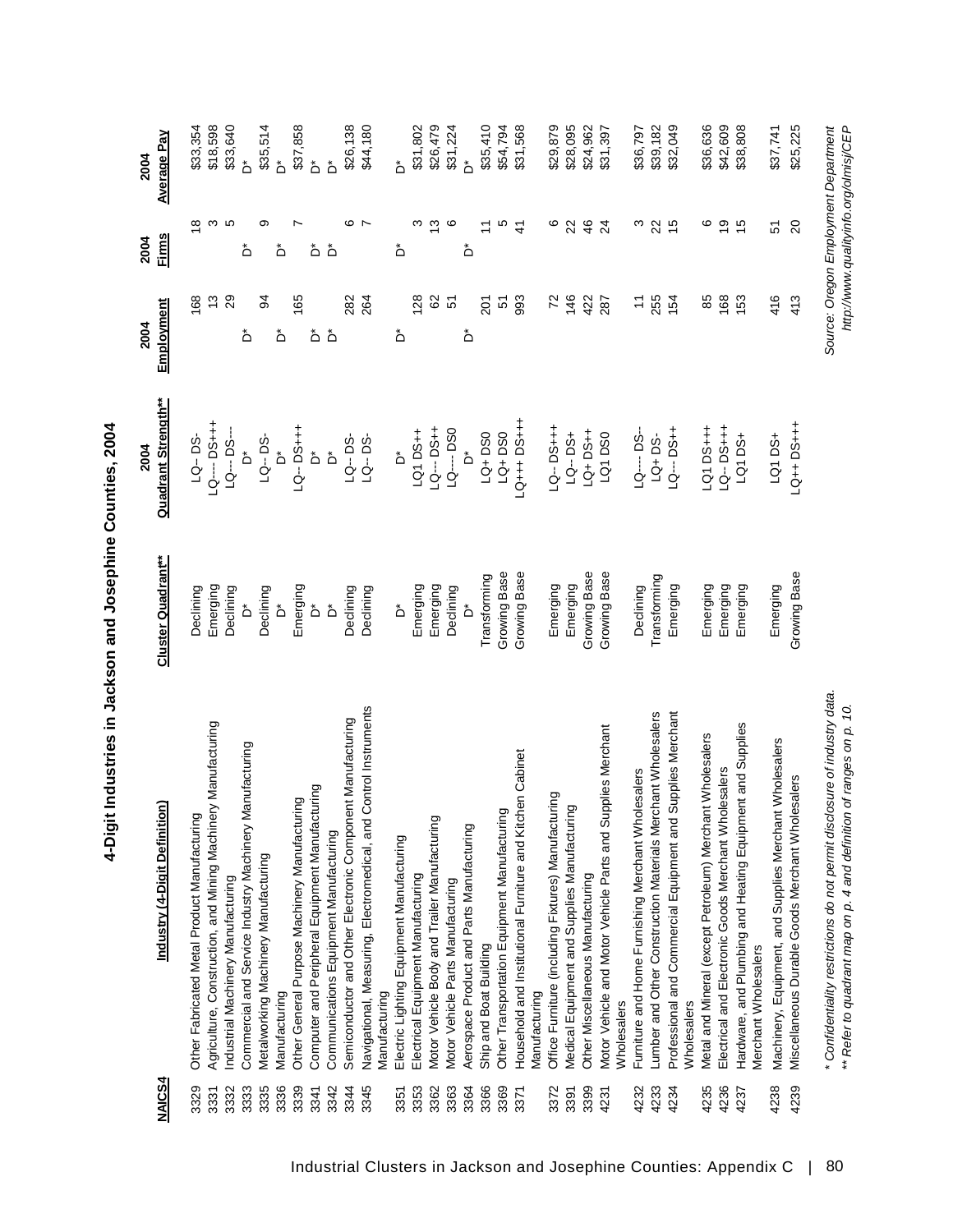| <b>NAICS4</b> | Industry (4-Digit Definition)                                                     | <b>Cluster Quadrant**</b>                | <b>Quadrant Strength**</b><br>2004 | Employment<br>2004    | <b>Firms</b><br>2004 | <b>Average Pay</b><br>2004            |
|---------------|-----------------------------------------------------------------------------------|------------------------------------------|------------------------------------|-----------------------|----------------------|---------------------------------------|
|               |                                                                                   |                                          |                                    |                       |                      |                                       |
| 3329          | Other Fabricated Metal Product Manufacturing                                      | Declining                                | LQ--DS-                            | 168                   | $\frac{8}{1}$        | \$33,354                              |
| 3331          | Agriculture, Construction, and Mining Machinery Manufacturing                     | Emerging                                 | <b>LQ----DS+++</b>                 | $\frac{3}{2}$         | S                    | \$18,598                              |
| 3332          | Industrial Machinery Manufacturing                                                | Declining                                | LQ--- DS---                        | 29                    | Ю                    | \$33,640                              |
| 3333          | Commercial and Service Industry Machinery Manufacturing                           | ەً                                       | ڞ                                  | ەً                    | ڞ                    | ڞ                                     |
| 3335          | Metalworking Machinery Manufacturing                                              | Declining                                | LQ--DS-                            | 3                     | တ                    | \$35,514                              |
| 3336          | Manufacturing                                                                     | ەً                                       | ەً                                 | ڞ                     | ڞ                    | ڞ                                     |
| 3339          | Other General Purpose Machinery Manufacturing                                     | Emerging                                 | $LQ - DSH + 1$                     | 165                   |                      | \$37,858                              |
| 3341          | Computer and Peripheral Equipment Manufacturing                                   | $\mathring{\mathsf{\scriptstyle\Delta}}$ | ەً                                 | ٔ                     | ڞ                    | ەً                                    |
| 3342          | Communications Equipment Manufacturing                                            | ەً                                       | ەً                                 | $\Delta$              | ڞ                    | ڟ                                     |
| 3344          | Semiconductor and Other Electronic Component Manufacturing                        | Declining                                | LQ--DS-                            | 282                   | ဖ                    | \$26,138                              |
| 3345          | Navigational, Measuring, Electromedical, and Control Instruments<br>Manufacturing | Declining                                | LQ-- DS-                           | 264                   | $\overline{ }$       | \$44,180                              |
| 3351          | Electric Lighting Equipment Manufacturing                                         | ەً                                       | $\mathring{\mathsf{D}}$            | ەً                    | ڞ                    | ڟ                                     |
| 3353          | Electrical Equipment Manufacturing                                                | Emerging                                 | LQ1 DS++                           | 128                   | ω                    | \$31,802                              |
| 3362          | Motor Vehicle Body and Trailer Manufacturing                                      | Emerging                                 | <b>10-DS4+</b>                     | 29                    | 13                   | \$26,479                              |
| 3363          | Motor Vehicle Parts Manufacturing                                                 | Declining                                | LQ---- DS0                         | 57                    | G                    | \$31,224                              |
| 3364          | Aerospace Product and Parts Manufacturing                                         | Ő                                        | ď                                  | ەً                    | ڞ                    | ةُ                                    |
| 3366          | Ship and Boat Building                                                            | Transforming                             | $LQ + DSO$                         | 201                   |                      | \$35,410                              |
| 3369          | Other Transportation Equipment Manufacturing                                      | Growing Base                             | $LQ + DSO$                         | 51                    | Ю                    | \$54,794                              |
| 3371          | Household and Institutional Furniture and Kitchen Cabinet                         | Growing Base                             | +++DS4<br>+++DS4                   | 993                   | $\frac{4}{3}$        | \$31,568                              |
|               | Manufacturing                                                                     |                                          |                                    |                       |                      |                                       |
| 3372          | Office Furniture (including Fixtures) Manufacturing                               | Emerging                                 | LQ--DS+++                          | $\overline{r}$        | ဖ                    | \$29,879                              |
| 3391          | Medical Equipment and Supplies Manufacturing                                      | Emerging                                 | LQ--DS+                            | 146                   | 22                   | \$28,095                              |
| 3399          | Other Miscellaneous Manufacturing                                                 | Growing Base                             | LQ+DS++                            | 422                   | $\frac{6}{5}$        | \$24,962                              |
| 4231          | Motor Vehicle and Motor Vehicle Parts and Supplies Merchant                       | Growing Base                             | LQ1DS0                             | 287                   | $\overline{2}$       | \$31,397                              |
|               | Wholesalers                                                                       |                                          |                                    |                       |                      |                                       |
| 4232          | Furniture and Home Furnishing Merchant Wholesalers                                | Declining                                | LQ---- DS-                         | $\tilde{\mathcal{L}}$ | ო                    | \$36,797                              |
| 4233          | Lumber and Other Construction Materials Merchant Wholesalers                      | Transforming                             | $LQ + DS$                          | 255                   | 22                   | \$39,182                              |
| 4234          | Professional and Commercial Equipment and Supplies Merchant                       | Emerging                                 | LQ--- DS++                         | 154                   | $\frac{5}{3}$        | \$32,049                              |
|               | Wholesalers                                                                       |                                          |                                    |                       |                      |                                       |
| 4235          | Metal and Mineral (except Petroleum) Merchant Wholesalers                         | Emerging                                 | <b>LQ1 DS+++</b>                   | 85                    | ဖ                    | \$36,636                              |
| 4236          | Electrical and Electronic Goods Merchant Wholesalers                              | Emerging                                 | LQ--DS+++                          | 168                   | $\overline{9}$       | \$42,609                              |
| 4237          | Hardware, and Plumbing and Heating Equipment and Supplies<br>Merchant Wholesalers | Emerging                                 | LQ1 DS+                            | 153                   | $\frac{5}{3}$        | \$38,808                              |
| 4238          | Machinery, Equipment, and Supplies Merchant Wholesalers                           | Emerging                                 | LQ1DS+                             | 416                   | 5                    | \$37,741                              |
| 4239          | Miscellaneous Durable Goods Merchant Wholesalers                                  | Growing Base                             | LQ++DS+++                          | 413                   | $\overline{c}$       | \$25,225                              |
|               | * Confidentiality restrictions do not permit disclosure of industry data.         |                                          |                                    |                       |                      | Source: Oregon Employment Department  |
|               | ** Refer to quadrant map on p. 4 and definition of ranges on p. 10.               |                                          |                                    |                       |                      | http://www.qualityinfo.org/olmisj/CEP |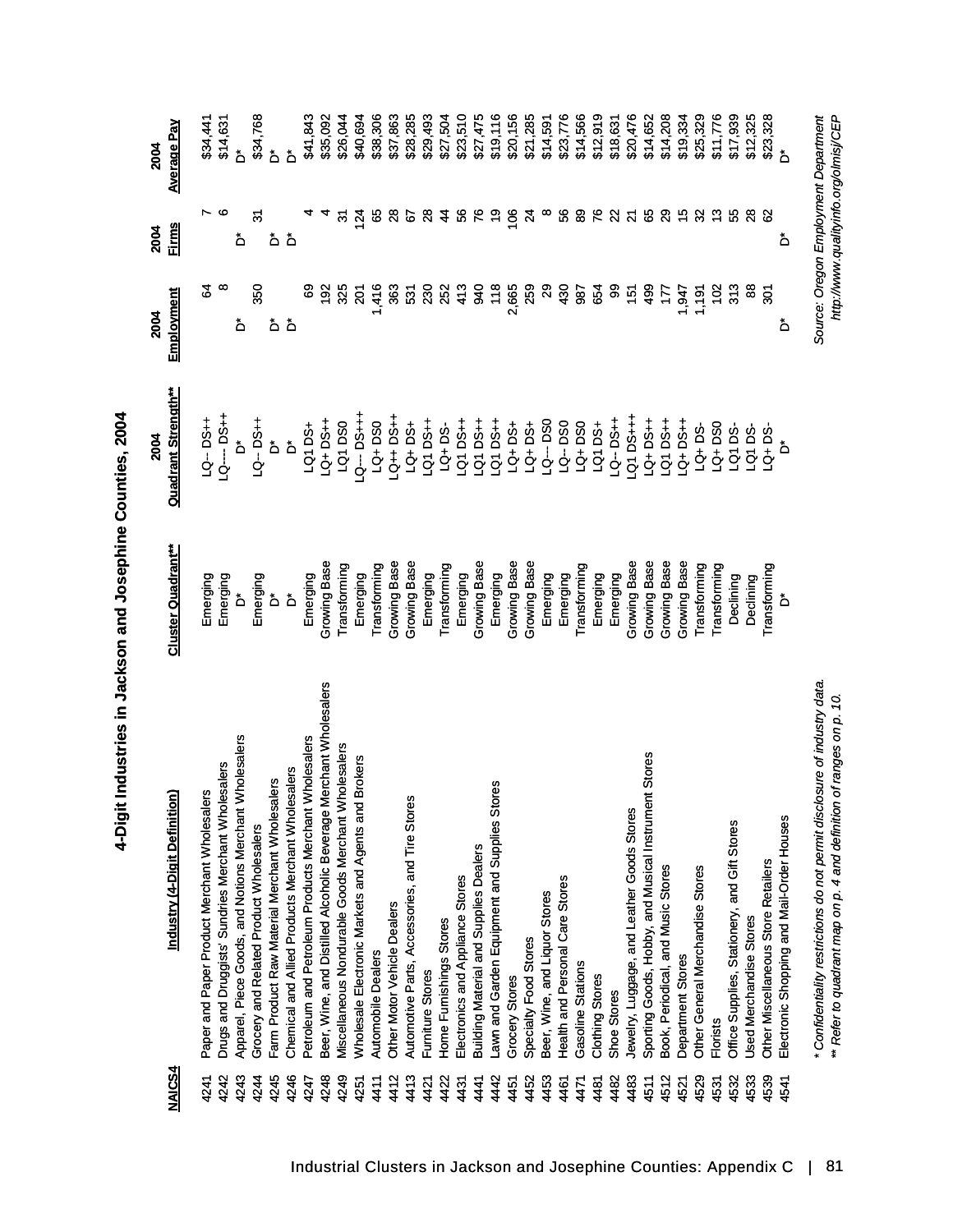| <b>NAICS4</b> | $\widehat{\mathsf{sl}}$<br>Industry (4-Digit Definitio                    | <b>Cluster Quadrant**</b> | <b>Quadrant Strength**</b><br>2004 | Employment<br>2004 | <b>Firms</b><br>2004    | Average Pay<br><b>2004</b>            |
|---------------|---------------------------------------------------------------------------|---------------------------|------------------------------------|--------------------|-------------------------|---------------------------------------|
| 4241          | ers<br>Paper and Paper Product Merchant Wholesal                          | Emerging                  | LQ--DS++                           | S,                 | r                       | \$34,441                              |
| 4242          | Drugs and Druggists' Sundries Merchant Wholesalers                        | Emerging                  | --- DS++<br>PSH                    | ∞                  | ဖ                       | \$14,631                              |
| 4243          | Apparel, Piece Goods, and Notions Merchant Wholesalers                    | ۀ                         | $\mathring{\mathsf{d}}$            | ڟ                  | ەً                      | ڟ                                     |
| 4244          | Grocery and Related Product Wholesalers                                   | Emerging                  | LQ-DS+                             | 350                | ल                       | \$34,768                              |
| 4245          | Farm Product Raw Material Merchant Wholesalers                            | ەً                        | ő                                  | ەً                 | ەً                      | ەً                                    |
| 4246          | Chemical and Allied Products Merchant Wholesalers                         | ۀ                         | ő                                  | ۀ                  | ەً                      | ەً                                    |
| 4247          | Wholesalers<br>Petroleum and Petroleum Products Merchant                  | Emerging                  | LQ1 DS+                            |                    |                         | \$41,843                              |
| 4248          | Merchant Wholesalers<br>Beer, Wine, and Distilled Alcoholic Beverage      | Growing Base              | LQ+DS++                            | $\frac{5}{2}$      |                         | \$35,092                              |
| 4249          | Miscellaneous Nondurable Goods Merchant Wholesalers                       | Transforming              | LQ1DS0                             | 325                | 9                       | \$26,044                              |
| 4251          | Wholesale Electronic Markets and Agents and Brokers                       | Emerging                  | -4+8G<br>-- DS++1                  | 201                | 124                     | \$40,694                              |
| 4411          | Automobile Dealers                                                        | Transforming              | LQ+DS0                             | 1,416              | မ္မ                     | \$38,306                              |
| 4412          | Other Motor Vehicle Dealers                                               | Growing Base              | $-3+50+7$                          | 363                | $\boldsymbol{8}$        | \$37,863                              |
| 4413          | Automotive Parts, Accessories, and Tire Stores                            | Growing Base              | LQ+DS+                             | 531                | 5                       | \$28,285                              |
| 4421          | Furniture Stores                                                          | Emerging                  | <b>HSCLOT</b>                      | 230                | న్ల                     | \$29,493                              |
| 4422          | Home Furnishings Stores                                                   | Transforming              | $LQ + DS$                          | 252                | 4                       | \$27,504                              |
| 4431          | Electronics and Appliance Stores                                          | Emerging                  | <b>HSQ1DS</b>                      | 413                | \$                      | \$23,510                              |
| 441           | <b>Building Material and Supplies Dealers</b>                             | Growing Base              | <b>HSC DOT</b>                     | 940                | ۴                       | \$27,475                              |
| 442           | Lawn and Garden Equipment and Supplies Stores                             | Emerging                  | <b>HSU D71</b>                     | 118                | ဍ                       | \$19,116                              |
| 4451          | Grocery Stores                                                            | Growing Base              | <b>LQ+DS+</b>                      | 2,665              | $\frac{8}{2}$           | \$20,156                              |
| 4452          | Specialty Food Stores                                                     | Growing Base              | LQ+DS+                             | 259                | $\overline{z}$          | \$21,285                              |
| 4453          | Beer, Wine, and Liquor Stores                                             | Emerging                  | LQ--DS0                            | $\mathbf{S}$       | $\infty$                | \$14,591                              |
| 4461          | Health and Personal Care Stores                                           | Emerging                  | LQ--DS0                            | 430                | 8                       | \$23,776                              |
| 471           | Gasoline Stations                                                         | Transforming              | LQ+DS0                             | 987                | 8                       | \$14,566                              |
| 481           | Clothing Stores                                                           | Emerging                  | <b>LQ1 DS+</b>                     | 654                | ۶                       | \$12,919                              |
| 4482          | Shoe Stores                                                               | Emerging                  | $-9 - 56 +$                        | 8                  | $\mathbf{z}$            | \$18,631                              |
| 4483          | Jewelry, Luggage, and Leather Goods Stores                                | Growing Base              | $Q1$ DS+++                         | 151                | $\overline{\mathbf{z}}$ | \$20,476                              |
| 4511          | Sporting Goods, Hobby, and Musical Instrument Stores                      | Growing Base              | <b>1-Sq</b> +DJ                    | 499                | 89                      | \$14,652                              |
| 4512          | Book, Periodical, and Music Stores                                        | Growing Base              | <b>HSd DS</b>                      | 177                | $\mathbf{S}$            | \$14,208                              |
| 4521          | Department Stores                                                         | Growing Base              | $-54 + 56 +$                       | 547                | $\frac{5}{10}$          | \$19,334                              |
| 4529          | Other General Merchandise Stores                                          | Transforming              | $LQ + DS$                          | 1,191              | 32                      | \$25,329                              |
| 4531          | <b>Florists</b>                                                           | Transforming              | LQ+DS0                             | 102                | $\frac{3}{2}$           | \$11,776                              |
| 4532          | Office Supplies, Stationery, and Gift Stores                              | Declining                 | LQ1DS-                             | 313                | ပ္ပ                     | \$17,939                              |
| 4533          | <b>Used Merchandise Stores</b>                                            | Declining                 | LQ1DS-                             | æ                  | $\frac{8}{2}$           | \$12,325                              |
| 4539          | Other Miscellaneous Store Retailers                                       | Transforming              | $LQ + DS$                          | $\tilde{5}$        | 8                       | \$23,328                              |
| 4541          | Electronic Shopping and Mail-Order Houses                                 | ۀ                         | ő                                  | ۀ                  | ۀ                       | ۀ                                     |
|               | * Confidentiality restrictions do not permit disclosure of industry data. |                           |                                    |                    |                         | Source: Oregon Employment Department  |
|               | ** Refer to quadrant map on p. 4 and definition of ranges on p. 10.       |                           |                                    |                    |                         | http://www.qualityinfo.org/olmisj/CEP |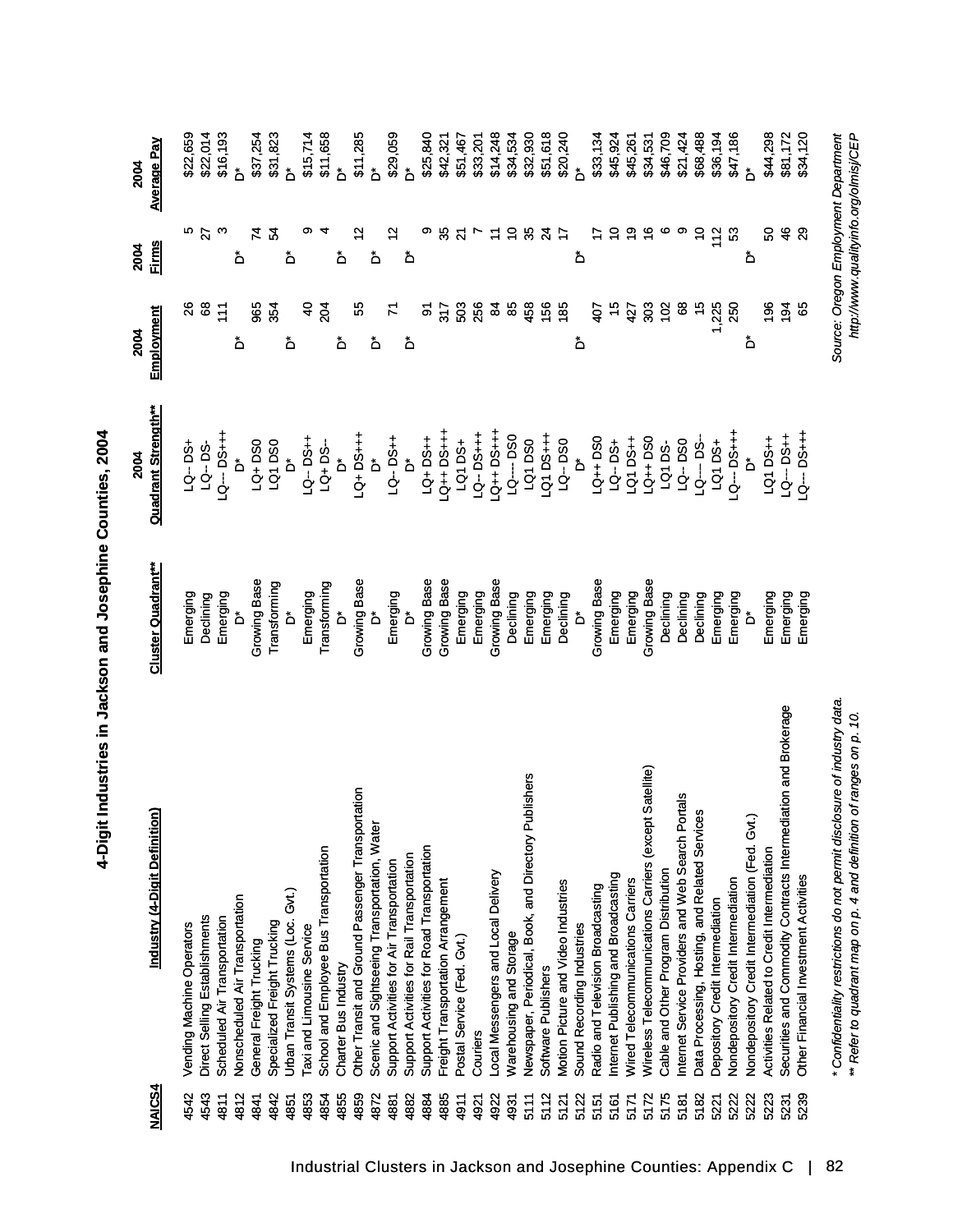| <b>NAICS4</b> | <u>ิส</u><br>Industry (4-Digit Definiti                                                                                                          | <b>Cluster Quadrant**</b> | <b>Quadrant Strength**</b><br>2004 | Employment<br>2004 | <b>Firms</b><br>2004 | <b>Average Pay</b><br>2004                                                    |
|---------------|--------------------------------------------------------------------------------------------------------------------------------------------------|---------------------------|------------------------------------|--------------------|----------------------|-------------------------------------------------------------------------------|
| 4542          | Vending Machine Operators                                                                                                                        | Emerging                  | <b>LQ-DS+</b>                      | 8                  | ю                    | \$22,659                                                                      |
| 4543          | Direct Selling Establishments                                                                                                                    | Declining                 | $1Q - DS -$                        | 8                  | $\overline{27}$      | \$22,014                                                                      |
| 4811          | Scheduled Air Transportation                                                                                                                     | Emerging                  | <b>+++Sd --- D1</b>                | 111                | ო                    | \$16,193                                                                      |
| 4812          | Nonscheduled Air Transportation                                                                                                                  | ەً                        | ەً                                 | ځ                  | ەً                   | ۀ                                                                             |
| 4841          | General Freight Trucking                                                                                                                         | Growing Base              | LQ+DS0                             | 965                | 74                   | \$37,254                                                                      |
| 4842          | Specialized Freight Trucking                                                                                                                     | Transforming              | LQ1 DS0                            | 354                | 54                   | \$31,823                                                                      |
| 4851          | Gvt.)<br>Urban Transit Systems (Loc.                                                                                                             | $\mathring{\mathsf{D}}$   | $\Delta$                           | ځ                  | ۀ                    | ۀ                                                                             |
| 4853          | Taxi and Limousine Service                                                                                                                       | Emerging                  | LQ-DS++                            | $\ddot{a}$         |                      | \$15,714                                                                      |
| 4854          | School and Employee Bus Transportation                                                                                                           | Transforming              | $-50 + 50$                         | 204                |                      | \$11,658                                                                      |
| 4855          | Charter Bus Industry                                                                                                                             | ەً                        | ەً                                 | ځ                  | ۀ                    | ۀ                                                                             |
| 4859          | Other Transit and Ground Passenger Transportation                                                                                                | Growing Base              | LQ+DS+++                           | ပ္ပ                |                      | \$11,285                                                                      |
| 4872          | Scenic and Sightseeing Transportation, Water                                                                                                     | ۀ                         | $\mathring{\mathsf{d}}$            | ځ                  | ۀ                    | ۀ                                                                             |
| 4881          | Support Activities for Air Transportation                                                                                                        | Emerging<br>D*            | LQ-DS++                            | ч                  |                      | \$29,059                                                                      |
| 4882          | Support Activities for Rail Transportation                                                                                                       |                           | $\stackrel{*}{\circ}$              | ځ                  | ڞ                    | ۀ                                                                             |
| 4884          | Support Activities for Road Transportation                                                                                                       | Growing Base              | LQ+DS++                            | ৯                  |                      | \$25,840                                                                      |
| 4885          | Freight Transportation Arrangement                                                                                                               | Growing Base              | $-155 + 105$                       | 317                | 33                   | \$42,321                                                                      |
| 4911          | Postal Service (Fed. Gvt.)                                                                                                                       | Emerging                  | LQ1 DS+                            | 503                | 24                   | \$51,467                                                                      |
| 4921          | Couriers                                                                                                                                         | Emerging                  | $-9 - 56 + +$                      | 256                |                      | \$33,201                                                                      |
| 4922          | Local Messengers and Local Delivery                                                                                                              | Growing Base              | $-1+50+1$                          | $\mathbf{z}$       |                      | \$14,248                                                                      |
| 4931          | Warehousing and Storage                                                                                                                          | Declining                 | LQ---- DS0                         | 85                 | $\tilde{c}$          | \$34,534                                                                      |
| 5111          | Newspaper, Periodical, Book, and Directory Publishers                                                                                            | Emerging                  | LQ1 DS0                            | 458                | 3                    | \$32,930                                                                      |
| 5112          | Software Publishers                                                                                                                              | Emerging                  | $-4 + 50 + 10$                     | 156                | $\mathfrak{p}$       | \$51,618                                                                      |
| 5121          | Motion Picture and Video Industries                                                                                                              | Declining                 | LQ--DS0                            | 185                | 17                   | \$20,240                                                                      |
| 5122          | Sound Recording Industries                                                                                                                       | ő                         | ć                                  | ځ                  | ەً                   | ۀ                                                                             |
| 5151          | Radio and Television Broadcasting                                                                                                                | Growing Base              | LQ++DS0                            | $\frac{1}{2}$      |                      | \$33,134                                                                      |
| 5161          | Internet Publishing and Broadcasting                                                                                                             | Emerging                  | LQ-DS+                             | 10                 | ₽                    | \$45,924                                                                      |
| 5171          | Wired Telecommunications Carriers                                                                                                                | Emerging                  | LQ1DS++                            | 427                | စ္                   | \$45,261                                                                      |
| 5172          | Wireless Telecommunications Carriers (except Satellite)                                                                                          | Growing Base              | $Q_{++}$ DSO                       | 303                | $\frac{6}{5}$        | \$34,531                                                                      |
| 5175          | Cable and Other Program Distribution                                                                                                             | Declining                 | LQ1DS-                             | 102                | ဖ                    | \$46,709                                                                      |
| 5181          | Internet Service Providers and Web Search Portals                                                                                                | Declining                 | LQ--DS0                            | 8                  |                      | \$21,424                                                                      |
| 5182          | Data Processing, Hosting, and Related Services                                                                                                   | Declining                 | LQ---- DS-                         | $\frac{1}{2}$      | $\tilde{c}$          | \$68,488                                                                      |
| 5221          | Depository Credit Intermediation                                                                                                                 | Emerging                  | LQ1 DS+                            | 1,225              | 112                  | \$36,194                                                                      |
| 5222          | Nondepository Credit Intermediation                                                                                                              | Emerging                  | $Q - DG + +$                       | 250                | ន                    | \$47,186                                                                      |
| 5222          | Nondepository Credit Intermediation (Fed. Gvt.)                                                                                                  | ő                         |                                    | ۀ                  | ۀ                    | ۀ                                                                             |
| 5223          | Activities Related to Credit Intermediation                                                                                                      | Emerging                  | LQ1 DS++                           | 196                | 8                    | \$44,298                                                                      |
| 5231          | Securities and Commodity Contracts Intermediation and Brokerage                                                                                  | Emerging                  | ++Sd --<br>++Sd                    | 194                | 46                   | \$81,172                                                                      |
| 5239          | Other Financial Investment Activities                                                                                                            | Emerging                  | $Q--DS+++$                         | မ္မ                | 29                   | \$34,120                                                                      |
|               | * Confidentiality restrictions do not permit disclosure of industry data.<br>** Refer to quadrant map on p. 4 and definition of ranges on p. 10. |                           |                                    |                    |                      | Source: Oregon Employment Department<br>http://www.qualityinfo.org/olmisj/CEP |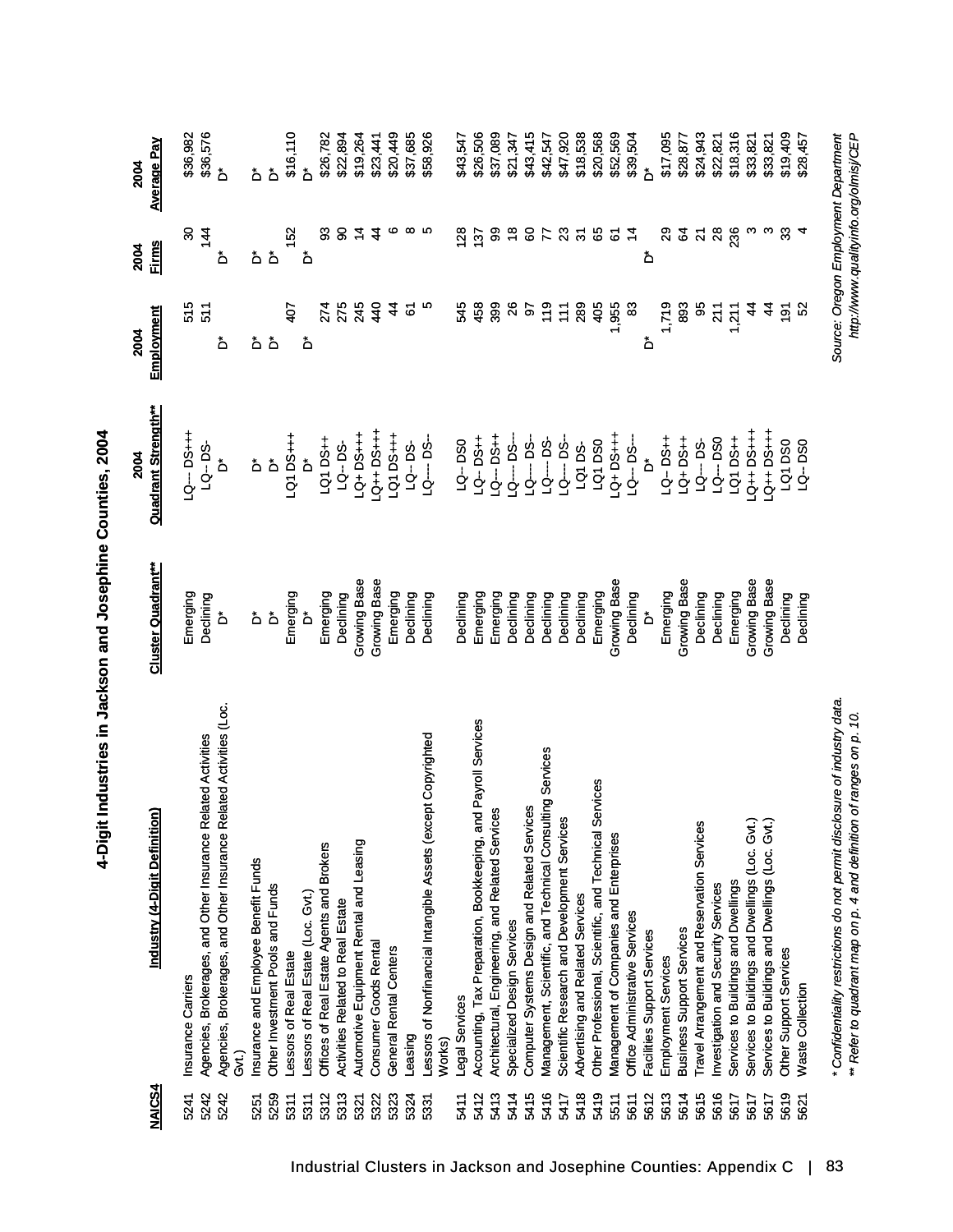| <b>NAICS4</b> | <u>ส</u><br>Industry (4-Digit Definitio                                   | <b>Cluster Quadrant**</b>    | <b>Quadrant Strength**</b><br>2004 | Employment<br>2004 | <b>Firms</b><br>2004    | <u>Average Pay</u><br>2004            |
|---------------|---------------------------------------------------------------------------|------------------------------|------------------------------------|--------------------|-------------------------|---------------------------------------|
| 5241          | Insurance Carriers                                                        | Emerging                     | <b>H-Sd-DS++1</b>                  | 515                | 30                      | \$36,982                              |
| 5242          | Agencies, Brokerages, and Other Insurance Related Activities              | Declining                    | LQ-DS-                             | 511                | 144                     | \$36,576                              |
| 5242          | Agencies, Brokerages, and Other Insurance Related Activities (Loc.<br>දි  | ۀ                            | ۀ                                  | ۀ                  | ەً                      | ۀ                                     |
| 5251          | Insurance and Employee Benefit Funds                                      | ۀ                            | ڞ                                  | ۀ                  | ۀ                       | ۀ                                     |
| 5259          | Other Investment Pools and Funds                                          | $\mathring{\mathbf{\Delta}}$ | $\Delta$                           | ۀ                  | ەً                      | هٔ                                    |
| 5311          | Lessors of Real Estate                                                    | Emerging                     | LQ1 DS+++                          | 407                | 152                     | \$16,110                              |
| 5311          | essors of Real Estate (Loc. Gvt.)                                         | ő                            | ő                                  | ۀ                  | ەً                      | ۀ                                     |
| 5312          | Offices of Real Estate Agents and Brokers                                 | Emerging                     | LQ1DS++                            | 274                | SS                      | \$26,782                              |
| 5313          | <b>Activities Related to Real Estate</b>                                  | Declining                    | LQ-DS-                             | 275                | 8                       | \$22,894                              |
| 5321          | Automotive Equipment Rental and Leasing                                   | Growing Base                 | $-15-15$                           | 245                | $\frac{4}{5}$           | \$19,264                              |
| 5322          | Consumer Goods Rental                                                     | Growing Base                 | <b>+++Sd++DS</b>                   | 440                | 4                       | \$23,441                              |
| 5323          | General Rental Centers                                                    | Emerging                     | <b>H-Sal D21</b>                   | $\frac{4}{3}$      | ဖ                       | \$20,449                              |
| 5324          | Leasing                                                                   | Declining                    | $LQ - DS$ -                        | <u>ত</u>           | $\infty$                | \$37,685                              |
| 5331          | Lessors of Nonfinancial Intangible Assets (except Copyrighted             | Declining                    | $LQ$ - $DS$ -                      | ю                  | ю                       | \$58,926                              |
|               | Works)                                                                    |                              |                                    |                    |                         |                                       |
| 5411          | Legal Services                                                            | Declining                    | LQ-DS0                             | 545                | 128                     | \$43,547                              |
| 5412          | Accounting, Tax Preparation, Bookkeeping, and Payroll Services            | Emerging                     | <b>LQ-DS++</b>                     | 458                | 137                     | \$26,506                              |
| 5413          | Architectural, Engineering, and Related Services                          | Emerging                     | $-9 - 0.1$                         | 399                | 8                       | \$37,089                              |
| 5414          | Specialized Design Services                                               | Declining                    | $Q$ --- DS--                       | $\frac{8}{2}$      | $\frac{8}{1}$           | \$21,347                              |
| 5415          | Computer Systems Design and Related Services                              | Declining                    | $Q$ ---DS-                         | 9                  | 8                       | \$43,415                              |
| 5416          | Management, Scientific, and Technical Consulting Services                 | Declining                    | $29 - 59$                          | $\frac{6}{10}$     | 77                      | \$42,547                              |
| 5417          | <b>SD</b><br>Scientific Research and Development Service                  | Declining                    | $Q$ ---DS--                        | 11                 | $\mathbf{z}$            | \$47,920                              |
| 5418          | Advertising and Related Services                                          | Declining                    | LQ1DS-                             | 289                | $\overline{5}$          | \$18,538                              |
| 5419          | Other Professional, Scientific, and Technical Services                    | Emerging                     | LQ1DS0                             | 405                | 65                      | \$20,568                              |
| 5511          | Management of Companies and Enterprises                                   | Growing Base                 | $-4+5G+1$                          | 1,955              | 6                       | \$52,569                              |
| 5611          | Office Administrative Services                                            | Declining                    | LQ--- DS---                        | 83                 | $\ddot{a}$              | \$39,504                              |
| 5612          | Facilities Support Services                                               | ۀ                            | ەً                                 | ەً                 | ۀ                       | ځ                                     |
| 5613          | Employment Services                                                       | Emerging                     | <b>LQ-DS++</b>                     | 1,719              | 29                      | \$17,095                              |
| 5614          | <b>Business Support Services</b>                                          | Growing Base                 | LQ+DS++                            | 893                | 2                       | \$28,877                              |
| 5615          | Travel Arrangement and Reservation Services                               | Declining                    | LQ--DS-                            | 95                 | $\overline{\mathbf{a}}$ | \$24,943                              |
| 5616          | Investigation and Security Services                                       | Declining                    | LQ--- DSO                          | 211                | $\frac{8}{2}$           | \$22,821                              |
| 5617          | Services to Buildings and Dwellings                                       | Emerging                     | LQ1 DS++                           | 1,211              | 236                     | \$18,316                              |
| 5617          | Services to Buildings and Dwellings (Loc. Gvt.)                           | Growing Base                 | $-1+50+10$                         | $\frac{4}{4}$      | ო                       | \$33,821                              |
| 5617          | Services to Buildings and Dwellings (Loc. Gvt.)                           | Growing Base                 | $-0+0=1+0$                         | $\frac{4}{3}$      | S                       | \$33,821                              |
| 5619          | Other Support Services                                                    | Declining                    | LQ1DS0                             | $\overline{191}$   | $\mathfrak{S}$          | \$19,409                              |
| 5621          | <b>Waste Collection</b>                                                   | Declining                    | LQ-DS0                             | S.                 | 4                       | \$28,457                              |
|               | * Confidentiality restrictions do not permit disclosure of industry data. |                              |                                    |                    |                         | Source: Oregon Employment Department  |
|               | ** Refer to quadrant map on p. 4 and definition of ranges on p. 10.       |                              |                                    |                    |                         | http://www.qualityinfo.org/olmisj/CEP |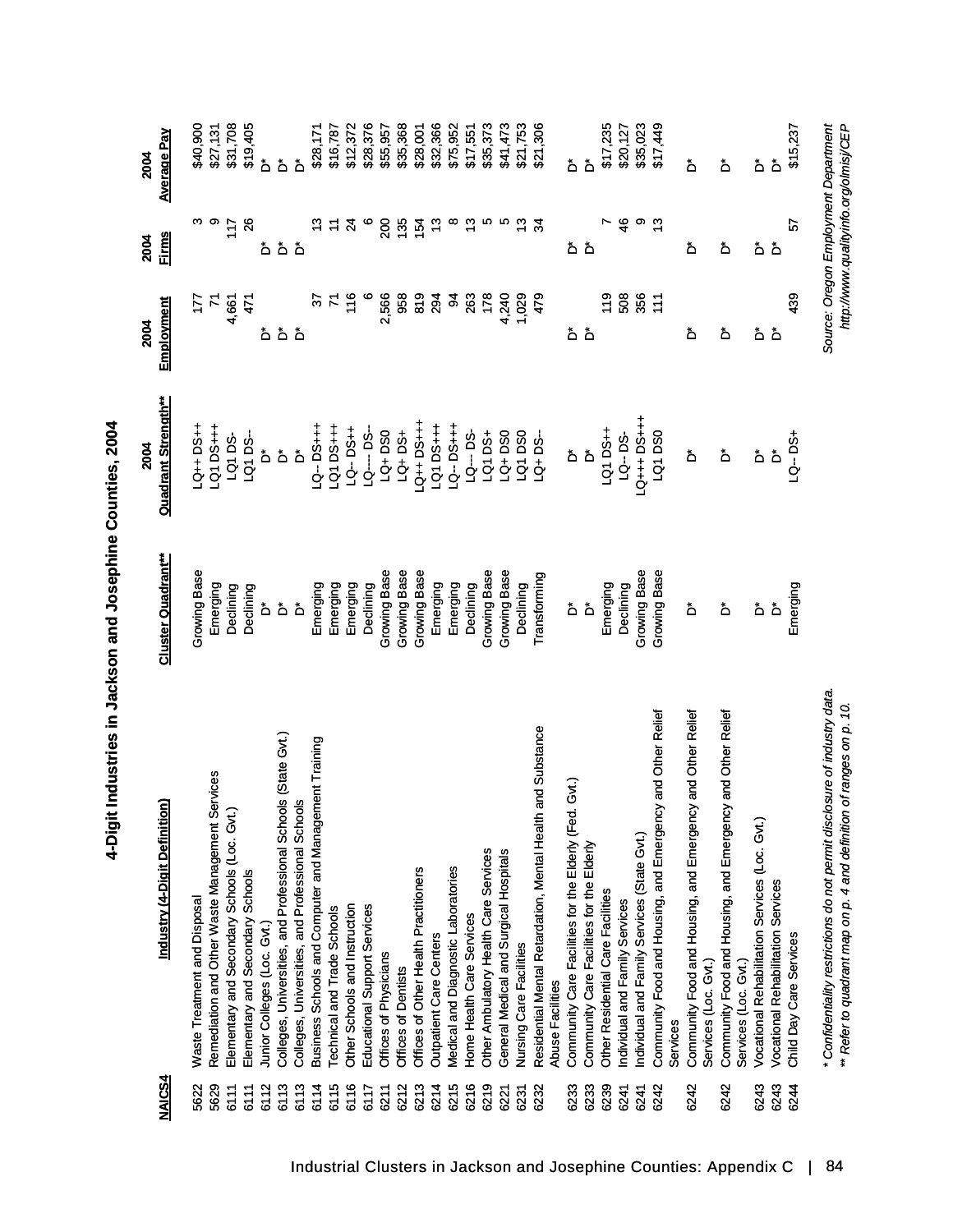| <b>NAICS4</b> | $\widehat{\mathsf{sl}}$<br>Industry (4-Digit Definiti                                                                                            | <b>Cluster Quadrant**</b> | <b>Quadrant Strength**</b><br>2004 | Employment<br>2004 | <b>Firms</b><br>2004       | <u>Average Pay</u><br>2004                                                    |
|---------------|--------------------------------------------------------------------------------------------------------------------------------------------------|---------------------------|------------------------------------|--------------------|----------------------------|-------------------------------------------------------------------------------|
| 5622          | <b>Waste Treatment and Disposal</b>                                                                                                              | Growing Base              | $-3+10+$                           | E                  | ო                          | \$40,900                                                                      |
| 5629          | Remediation and Other Waste Management Services                                                                                                  | Emerging                  | LQ1 DS+++                          | $\mathcal{L}$      | တ                          | \$27,131                                                                      |
| 6111          | Elementary and Secondary Schools (Loc. Gvt.)                                                                                                     | Declining                 | LQ1DS-                             | 4,661              | 117                        | \$31,708                                                                      |
| 6111          | Elementary and Secondary Schools                                                                                                                 | Declining                 | LQ1DS-                             | 471                | $\boldsymbol{\mathcal{S}}$ | \$19,405                                                                      |
| 6112          | Junior Colleges (Loc. Gvt.)                                                                                                                      | ەً                        | ەً                                 |                    | ەً                         | ەً                                                                            |
| 6113          | Colleges, Universities, and Professional Schools (State Gvt.)                                                                                    | $\mathring{\mathsf{d}}$   | ەً                                 | هٔ هٔ هٔ           |                            | ەً                                                                            |
| 6113          | Colleges, Universities, and Professional Schools                                                                                                 | ەً                        | ۀ                                  |                    | هٔ هٔ                      | ەً                                                                            |
| 6114          | Business Schools and Computer and Management Training                                                                                            | Emerging                  | $Q - DSH +$                        | 5                  |                            | \$28,171                                                                      |
| 6115          | Technical and Trade Schools                                                                                                                      | Emerging                  | $-20.05 + +$                       |                    |                            | \$16,787                                                                      |
| 6116          | Other Schools and Instruction                                                                                                                    | Emerging                  | $-54 - 54$                         | 116                | Z4                         | \$12,372                                                                      |
| 6117          | Educational Support Services                                                                                                                     | Declining                 | LQ---- DS-                         | $\circ$            | $\circ$                    | \$28,376                                                                      |
| 6211          | Offices of Physicians                                                                                                                            | Growing Base              | LQ+DS0                             | 2,566              | S0                         | \$55,957                                                                      |
| 6212          | Offices of Dentists                                                                                                                              | Growing Base              | LQ+DS+                             | 958                | 135                        | \$35,368                                                                      |
| 6213          | Offices of Other Health Practitioners                                                                                                            | Growing Base              | LQ++DS+++                          | 819                | 154                        | \$28,001                                                                      |
| 6214          | <b>Outpatient Care Centers</b>                                                                                                                   | Emerging                  | LQ1 DS+++                          | 294                | $\tilde{c}$                | \$32,366                                                                      |
| 6215          | Medical and Diagnostic Laboratories                                                                                                              | Emerging                  | <b>++Sd--Dd</b>                    | 2                  | $\infty$                   | \$75,952                                                                      |
| 6216          | Home Health Care Services                                                                                                                        | Declining                 | LQ--DS-                            | 263                | ဗ္                         | \$17,551                                                                      |
| 6219          | Other Ambulatory Health Care Services                                                                                                            | Growing Base              | LQ1 DS+                            | 178                | ю                          | \$35,373                                                                      |
| 6221          | General Medical and Surgical Hospitals                                                                                                           | Growing Base              | LQ+DS0                             | 4,240              | ю                          | \$41,473                                                                      |
| 6231          | Nursing Care Facilities                                                                                                                          | Declining                 | LQ1DS0                             | 1,029              | $\frac{1}{2}$              | \$21,753                                                                      |
| 6232          | Residential Mental Retardation, Mental Health and Substance                                                                                      | Transforming              | LQ+DS-                             | 479                | रू                         | \$21,306                                                                      |
|               | Abuse Facilities                                                                                                                                 |                           |                                    |                    |                            |                                                                               |
| 6233          | Community Care Facilities for the Elderly (Fed. Gvt.)                                                                                            | ۀ                         | ٔهٔ                                | ەً                 | ڞ                          | ەً                                                                            |
| 6233          | Community Care Facilities for the Elderly                                                                                                        | $\mathring{\mathsf{D}}$   | ۀ                                  | ەً                 | ەً                         | ەً                                                                            |
| 6239          | Other Residential Care Facilities                                                                                                                | Emerging                  | LQ1 DS++                           | 119                | N                          | \$17,235                                                                      |
| 6241          | Individual and Family Services                                                                                                                   | Declining                 | LQ-DS-                             | 508                | $\frac{4}{5}$              | \$20,127                                                                      |
| 6241          | Individual and Family Services (State Gvt.)                                                                                                      | Growing Base              | LQ+++DS+++                         | 356                | တ                          | \$35,023                                                                      |
| 6242          | Community Food and Housing, and Emergency and Other Relief<br><b>Services</b>                                                                    | Growing Base              | LQ1DS0                             | 111                | $\frac{3}{2}$              | \$17,449                                                                      |
| 6242          | Community Food and Housing, and Emergency and Other Relief                                                                                       | ڟ                         | ۀ                                  | ۀ                  | ۀ                          | ەً                                                                            |
|               | Services (Loc. Gvt.)                                                                                                                             |                           |                                    |                    |                            |                                                                               |
| 6242          | Community Food and Housing, and Emergency and Other Relief<br>Services (Loc. Gvt.)                                                               | ڟ                         | ۀ                                  | ڟ                  | ەً                         | ەً                                                                            |
| 6243          | Vocational Rehabilitation Services (Loc. Gvt.)                                                                                                   | ەً                        |                                    |                    | ڟ                          |                                                                               |
| 6243          | <b>Vocational Rehabilitation Services</b>                                                                                                        | $\Delta$                  | هٔ هٔ                              | هٔ هٔ              | ۀ                          | هٔ هٔ                                                                         |
| 6244          | Child Day Care Services                                                                                                                          | Emerging                  | <b>LQ-DS+</b>                      | 439                | 5                          | \$15,237                                                                      |
|               | * Confidentiality restrictions do not permit disclosure of industry data.<br>** Refer to quadrant map on p. 4 and definition of ranges on p. 10. |                           |                                    |                    |                            | Source: Oregon Employment Department<br>http://www.qualityinfo.org/olmisj/CEP |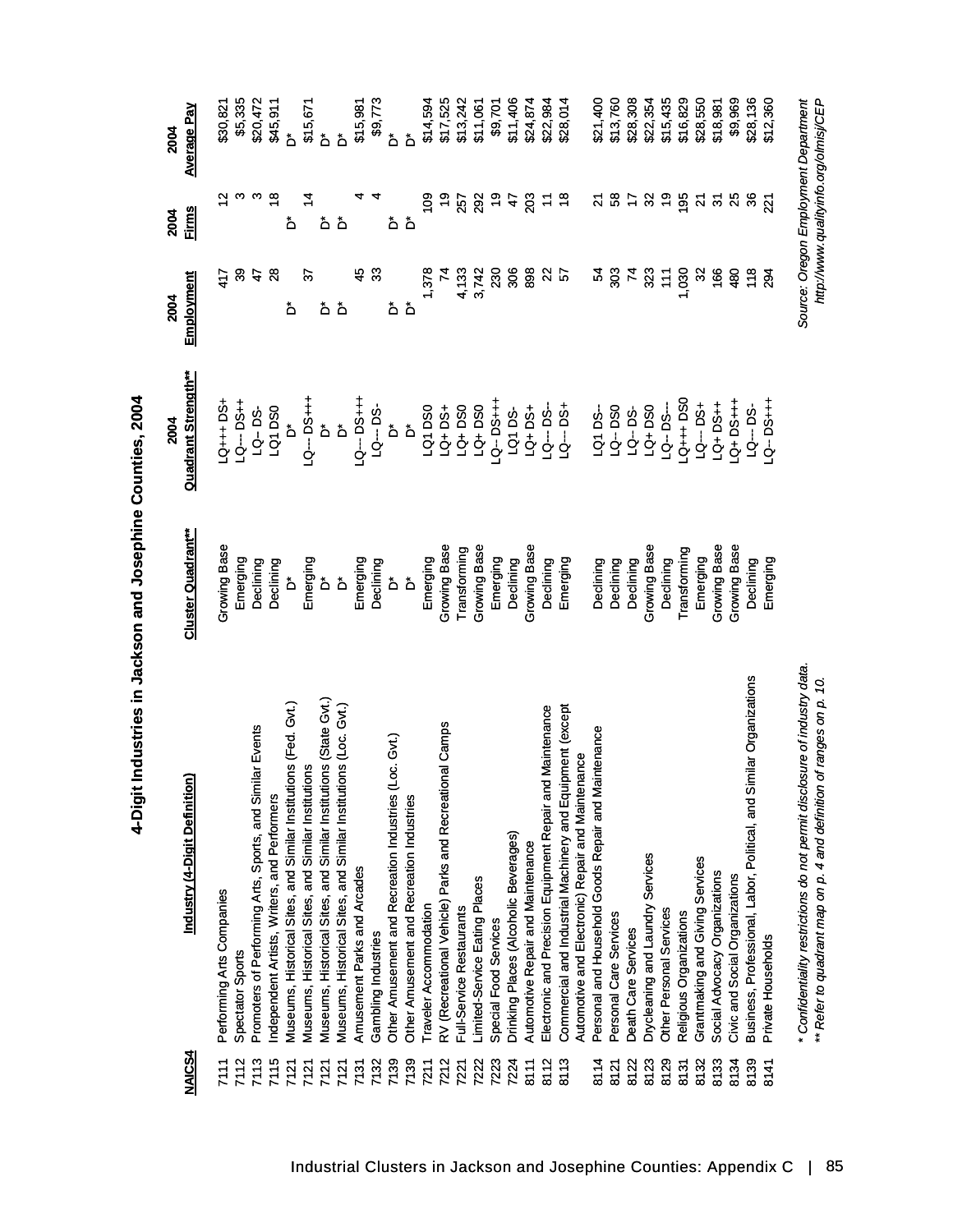|        |                                                                           |                           | 2004                    | 2004            | 2004                    | 2004                                  |
|--------|---------------------------------------------------------------------------|---------------------------|-------------------------|-----------------|-------------------------|---------------------------------------|
| NAICS4 | Industry (4-Digit Definition)                                             | <b>Cluster Quadrant**</b> | Quadrant Strength**     | Employment      | <b>Firms</b>            | <b>Average Pay</b>                    |
| 7111   | Performing Arts Companies                                                 | Growing Base              | $-54 + 55 + 55$         | 417             | $\tilde{c}$             | \$30,821                              |
| 7112   | Spectator Sports                                                          | Emerging                  | <b>++Sd--DS</b>         | 33              | ო                       | \$5,335                               |
| 7113   | Promoters of Performing Arts, Sports, and Similar Events                  | Declining                 | LQ-DS-                  | 47              | ო                       | \$20,472                              |
| 7115   | ndependent Artists, Writers, and Performers                               | Declining                 | LQ1DS0                  | $\overline{28}$ | $\frac{8}{1}$           | \$45,911                              |
| 7121   | Museums, Historical Sites, and Similar Institutions (Fed. Gvt.)           | ەً                        | ەً                      | ڟ               | ڟ                       | ۀ                                     |
| 7121   | Museums, Historical Sites, and Similar Institutions                       | Emerging                  | <b>LQ--DS+++</b>        | 5               | 4                       | \$15,671                              |
| 7121   | Museums, Historical Sites, and Similar Institutions (State Gvt.)          | ەً                        | ő                       | هٔ هٔ           | هٔ هٔ                   | ەً                                    |
| 7121   | Museums, Historical Sites, and Similar Institutions (Loc. Gvt.)           | ۀ                         | ۀ                       |                 |                         | ځ                                     |
| 7131   | Amusement Parks and Arcades                                               | Emerging                  | <b>H-Sd-D71</b>         | 49              |                         | \$15,981                              |
| 7132   | Gambling Industries                                                       | Declining                 | $1Q - DS$               | 33              |                         | \$9,773                               |
| 7139   | (Loc. Gvt.)<br>Other Amusement and Recreation Industries                  | ەً                        | ۀ                       | هٔ هٔ           | هٔ هٔ                   | ەً                                    |
| 7139   | Other Amusement and Recreation Industries                                 | $\Delta$                  | $\mathring{\mathsf{D}}$ |                 |                         | Ő                                     |
| 7211   | Traveler Accommodation                                                    | Emerging                  | LQ1DS0                  | 1,378           | $\frac{80}{2}$          | \$14,594                              |
| 7212   | onal Camps<br>RV (Recreational Vehicle) Parks and Recreati                | Growing Base              | LQ+DS+                  | 74              | $\frac{6}{5}$           | \$17,525                              |
| 7221   | Full-Service Restaurants                                                  | Transforming              | LQ+DS0                  | 4,133           | 257                     | \$13,242                              |
| 7222   | Limited-Service Eating Places                                             | <b>Growing Base</b>       | LQ+DS0                  | 3,742           | 292                     | \$11,061                              |
| 7223   | Special Food Services                                                     | Emerging                  | $Q - DSH$               | 230             | $\frac{6}{2}$           | \$9,701                               |
| 7224   | Drinking Places (Alcoholic Beverages)                                     | Declining                 | LQ1DS-                  | 306             | 47                      | \$11,406                              |
| 8111   | Automotive Repair and Maintenance                                         | Growing Base              | LQ+DS+                  | 898             | 203                     | \$24,874                              |
| 8112   | d Maintenance<br>Electronic and Precision Equipment Repair ar             | Declining                 | $-9 - 5$                | $\approx$       | $\mathbf{r}$            | \$22,984                              |
| 8113   | Commercial and Industrial Machinery and Equipment (except                 | Emerging                  | $-54 - 54$              | <u>r</u>        | $\frac{8}{1}$           | \$28,014                              |
|        | Automotive and Electronic) Repair and Maintenance                         |                           |                         |                 |                         |                                       |
| 8114   | Personal and Household Goods Repair and Maintenance                       | Declining                 | LQ1DS-                  | Ŗ               | 24                      | \$21,400                              |
| 8121   | Personal Care Services                                                    | Declining                 | LQ--DS0                 | ဒ္တ             | 3                       | \$13,760                              |
| 8122   | Death Care Services                                                       | Declining                 | $LQ - DS-$              | $\mathbf{z}$    | 17                      | \$28,308                              |
| 8123   | Drycleaning and Laundry Services                                          | Growing Base              | LQ+DS0                  | 323             | $\mathfrak{S}$          | \$22,354                              |
| 8129   | Other Personal Services                                                   | Declining                 | $-3 - 5 -$              | $\frac{1}{1}$   | စ္                      | \$15,435                              |
| 8131   | Religious Organizations                                                   | Transforming              | $Q_{1++D}$              | 1,030           | 195                     | \$16,829                              |
| 8132   | Grantmaking and Giving Services                                           | Emerging                  | <b>-Sd--DS</b>          | $\approx$       | $\overline{\mathbf{z}}$ | \$28,550                              |
| 8133   | Social Advocacy Organizations                                             | Growing Base              | $-3+50+$                | 166             | $\tilde{5}$             | \$18,981                              |
| 8134   | Civic and Social Organizations                                            | Growing Base              | $-1+50$                 | 480             | 25                      | \$9,969                               |
| 8139   | Business, Professional, Labor, Political, and Similar Organizations       | Declining                 | LQ--- DS-               | 118             | 36                      | \$28,136                              |
| 8141   | Private Households                                                        | Emerging                  | $Q - DSH +$             | 294             | $\tilde{2}$             | \$12,360                              |
|        |                                                                           |                           |                         |                 |                         |                                       |
|        | * Confidentiality restrictions do not permit disclosure of industry data. |                           |                         |                 |                         | Source: Oregon Employment Department  |
|        | ** Refer to quadrant map on p. 4 and definition of ranges on p. 10.       |                           |                         |                 |                         | http://www.qualityinfo.org/olmisj/CEP |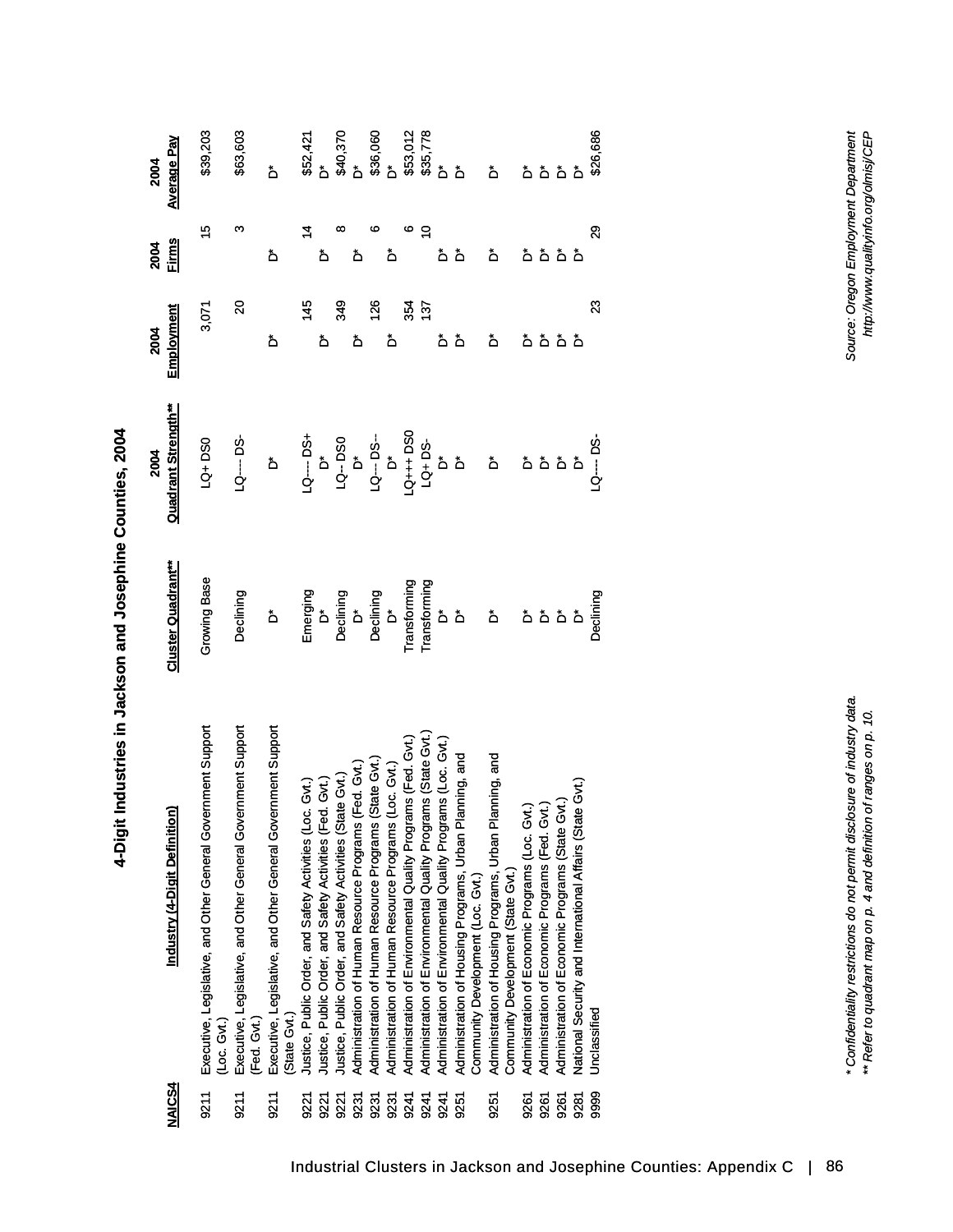| <u>NAICS4</u> | Industry (4-Digit Definition)                                                                                                                                                                                                           | Cluster Quadrant**                                                                              | <b>Quadrant Strength**</b><br>2004                                                                                                                                                                                              | Employment<br>2004        | 2004<br>Firms | <b>Average Pay</b><br>2004 |
|---------------|-----------------------------------------------------------------------------------------------------------------------------------------------------------------------------------------------------------------------------------------|-------------------------------------------------------------------------------------------------|---------------------------------------------------------------------------------------------------------------------------------------------------------------------------------------------------------------------------------|---------------------------|---------------|----------------------------|
| 9211          | Executive, Legislative, and Other General Government Support                                                                                                                                                                            | Growing Base                                                                                    | LQ+ DS0                                                                                                                                                                                                                         | 3,071                     | 15            | \$39,203                   |
|               | (Loc. Gvt.                                                                                                                                                                                                                              |                                                                                                 |                                                                                                                                                                                                                                 |                           |               |                            |
| 9211          | Executive, Legislative, and Other General Government Support<br>(Fed. Gvt.)                                                                                                                                                             | Declining                                                                                       | $\begin{array}{c}\n\Box\Box\end{array}$                                                                                                                                                                                         | $\boldsymbol{\mathsf{S}}$ | ო             | \$63,603                   |
| 9211          | Executive, Legislative, and Other General Government Support<br>(State Gvt.)                                                                                                                                                            | $\Delta$                                                                                        | $\mathring{\mathsf{d}}$                                                                                                                                                                                                         | ۀ                         | ەً            | ۀ                          |
| 9221          | Justice, Public Order, and Safety Activities (Loc. Gvt.)<br>Justice, Public Order, and Safety Activities (Fed. Gvt.)                                                                                                                    |                                                                                                 |                                                                                                                                                                                                                                 | 145                       |               | \$52,421                   |
| 9221          |                                                                                                                                                                                                                                         |                                                                                                 |                                                                                                                                                                                                                                 | ەً                        | ٔ             |                            |
| 9221          | Justice, Public Order, and Safety Activities (State Gvt.)                                                                                                                                                                               |                                                                                                 |                                                                                                                                                                                                                                 | 349                       | ∞             |                            |
| 9231          |                                                                                                                                                                                                                                         |                                                                                                 |                                                                                                                                                                                                                                 | ۀ                         | ٔ             |                            |
| 9231          | Administration of Human Resource Programs (Fed. Gvt.)<br>Administration of Human Resource Programs (State Gvt.)<br>Administration of Human Resource Programs (Loc. Gvt.)<br>Administration of Environmental Quality Programs (Fed. Gvt. |                                                                                                 |                                                                                                                                                                                                                                 | 126                       | ဖ             | \$40,370<br>D*<br>D*<br>D* |
| 9231          |                                                                                                                                                                                                                                         |                                                                                                 |                                                                                                                                                                                                                                 | ەً                        | ۀ             |                            |
| 9241          |                                                                                                                                                                                                                                         |                                                                                                 |                                                                                                                                                                                                                                 | 354                       | ဖ             | \$53,012<br>\$35,778       |
| 9241          |                                                                                                                                                                                                                                         |                                                                                                 |                                                                                                                                                                                                                                 | 137                       | Ś             |                            |
| 9241          |                                                                                                                                                                                                                                         |                                                                                                 |                                                                                                                                                                                                                                 | ەً                        | ەً            |                            |
| 9251          | Administration of Housing Programs, Urban Planning, and<br>Community Development (Loc. Gvt.)                                                                                                                                            | Emerging<br>Declining<br>Declining<br>Declining<br>Transforming<br>Transforming<br>Transforming | 95 - 105 - 105 - 105 - 105 - 105 - 105 - 105 - 105 - 105 - 105 - 105 - 105 - 105 - 105 - 105 - 105 - 105 - 10<br>105 - 105 - 105 - 105 - 105 - 105 - 105 - 105 - 105 - 105 - 105 - 105 - 105 - 105 - 105 - 105 - 105 - 105 - 10 | ەً                        | ەً            | ۀ                          |
| 9251          | Administration of Housing Programs, Urban Planning, and<br>Community Development (State Gvt.)                                                                                                                                           | $\mathring{\mathbf{D}}$                                                                         |                                                                                                                                                                                                                                 | ۀ                         | ەً            | ۀ                          |
| 9261          |                                                                                                                                                                                                                                         |                                                                                                 |                                                                                                                                                                                                                                 | ەً                        |               |                            |
| 9261          | Administration of Economic Programs (Loc. Gvt.)<br>Administration of Economic Programs (Fed. Gvt.)<br>Administration of Economic Programs (State Gvt.)                                                                                  | هٔ هٔ هٔ هٔ                                                                                     | ة<br>فقة                                                                                                                                                                                                                        | $\mathring{\mathsf{D}}$   | هٔ هٔ هٔ هٔ   | هٔ هٔ                      |
| 9261          |                                                                                                                                                                                                                                         |                                                                                                 |                                                                                                                                                                                                                                 | هٔ هٔ                     |               | ۂ ۂ                        |
| 9281          | National Security and International Affairs (State Gvt.)                                                                                                                                                                                |                                                                                                 |                                                                                                                                                                                                                                 |                           |               |                            |
| 9999          | Undassifiec                                                                                                                                                                                                                             | Declining                                                                                       | $-9 - 5$                                                                                                                                                                                                                        | 23                        | 29            | \$26,686                   |

*\* Confidentiality restrictions do not permit disclosure of industry data. Source: Oregon Employment Department* \* Confidentiality restrictions do not permit disclosure of industry data.<br>\*\* Refer to quadrant map on p. 4 and definition of ranges on p. 10. *\*\* Refer to quadrant map on p. 4 and definition of ranges on p. 10.*

Source: Oregon Employment Department<br>http://www.qualityinfo.org/olmisj/CEP *http://www.qualityinfo.org/olmisj/CEP*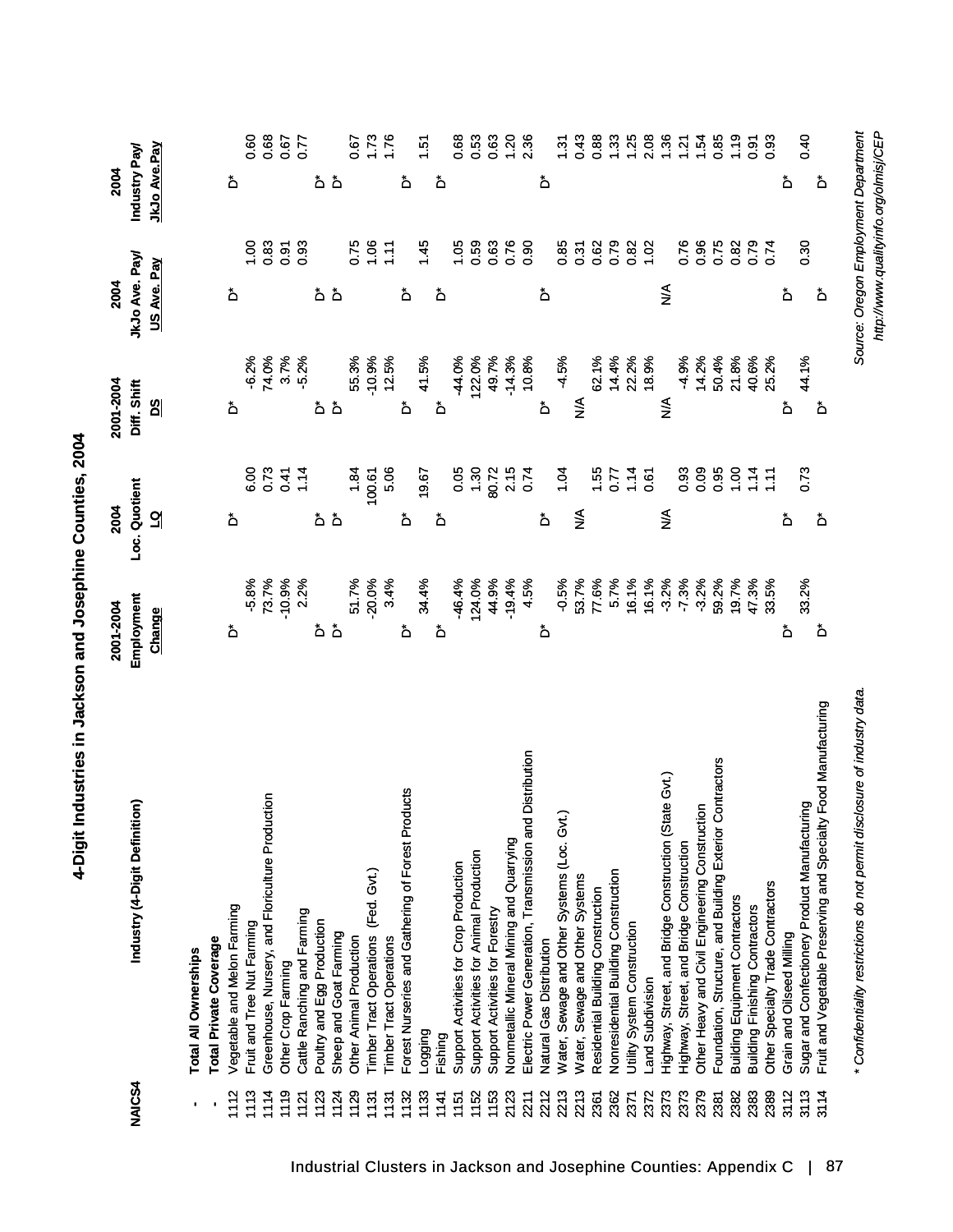| <b>NAJCS4</b>  | Industry (4-Digit Definition)                                        | Employment<br>2001-2004<br><b>Change</b> | Loc. Quotient<br>2004<br>긻              | 2001-2004<br>Diff. Shift<br><u>ଅ</u> | JkJo Ave. Pay<br>US Ave. Pay<br>2004 | JkJo Ave.Pay<br>Industry Pay<br>2004 |                  |
|----------------|----------------------------------------------------------------------|------------------------------------------|-----------------------------------------|--------------------------------------|--------------------------------------|--------------------------------------|------------------|
| $\blacksquare$ | Total Private Coverage<br><b>Total All Ownerships</b>                |                                          |                                         |                                      |                                      |                                      |                  |
|                |                                                                      |                                          |                                         |                                      |                                      |                                      |                  |
| 1112           | Vegetable and Melon Farming                                          | ۀ                                        | ځ                                       | ۀ                                    | ۀ                                    | ڞ                                    |                  |
| 1113           | Fruit and Tree Nut Farming                                           | $-5.8%$<br>73.7%                         |                                         | $-6.2%$<br>74.0%                     | $\frac{8}{1}$                        |                                      |                  |
| 1114           | Greenhouse, Nursery, and Floriculture Production                     |                                          | 6.73                                    |                                      | 0.83                                 |                                      |                  |
| 1119           | Other Crop Farming                                                   | $-10.9%$                                 | 0.41                                    | 3.7%                                 | 0.91                                 |                                      | $738880$ o o o o |
| 1121           | Cattle Ranching and Farming                                          | 2.2%                                     | 1.14                                    | 5.2%                                 | 0.93                                 |                                      |                  |
| 1123           | Poultry and Egg Production                                           | ٔ                                        | هٔ هٔ                                   | ەً                                   | هٔ هٔ                                | هٔ هٔ                                |                  |
| 1124           | Sheep and Goat Farming                                               | ۀ                                        |                                         | ۀ                                    |                                      |                                      |                  |
| 1129           | Other Animal Production                                              | 51.7%                                    | 1.84                                    |                                      | 0.75                                 |                                      | 0.67             |
| 1131           | (Fed. Gvt.)<br><b>Timber Tract Operations</b>                        | $-20.0%$                                 | 100.61                                  | 55.3%<br>-10.9%                      | 0.06                                 |                                      | 1.73             |
| 1131           | <b>Timber Tract Operations</b>                                       | 3.4%                                     | 5.06                                    | 12.5%                                | 1.11                                 |                                      |                  |
| 1132           | Forest Nurseries and Gathering of Forest Products                    | ڟ                                        | ۀ                                       | ۀ                                    | ۀ                                    | ڞ                                    |                  |
| 1133           | <b>Logging</b>                                                       | 34.4%                                    | 19.67                                   | 41.5%                                | 1.45                                 |                                      | 1.51             |
| 1141           | Fishing                                                              | ۀ                                        | ځ                                       | ەً                                   | ەً                                   | ەً                                   |                  |
| 1151           | Support Activities for Crop Production                               | $-46.4%$                                 | 0.05                                    | -44.0%                               | 1.05                                 |                                      | 0.68             |
| 1152           | Support Activities for Animal Production                             | 124.0%                                   | $1.30$<br>$-2.75$<br>$-2.74$<br>$-0.74$ | 122.0%                               | 0.59                                 |                                      | 0.53             |
| 1153           | Support Activities for Forestry                                      | 44.9%                                    |                                         | 49.7%                                | 0.63<br>0.76                         |                                      | 0.63             |
| 2123           | Nonmetallic Mineral Mining and Quarrying                             | $-19.4%$                                 |                                         | $-14.3%$                             |                                      |                                      | $1.20$<br>2.36   |
| 2211           | <b>Id Distribution</b><br>Electric Power Generation, Transmission ar | 4.5%                                     |                                         | 10.8%                                | 0.90                                 |                                      |                  |
| 2212           | Natural Gas Distribution                                             | ۀ                                        | ۀ                                       | ۀ                                    | ۀ                                    | ۀ                                    |                  |
| 2213           | Water, Sewage and Other Systems (Loc. Gvt.)                          | $-0.5%$                                  | 1.04                                    | $-4.5%$                              | $0.85$<br>$0.37$                     |                                      | 1.31             |
| 2213           | Water, Sewage and Other Systems                                      | 53.7%                                    | $\frac{1}{2}$                           | $\sum_{i=1}^{n}$                     |                                      |                                      | 0.43             |
| 2361           | Residential Building Construction                                    | 77.6%                                    | $1.55$<br>0.77                          | 62.1%                                | 0.62<br>0.79                         |                                      | 0.88             |
| 2362           | <b>Nonresidential Building Construction</b>                          | 5.7%                                     |                                         |                                      |                                      |                                      | 1.33             |
| 2371           | Utility System Construction                                          | 16.1%                                    | $1.67$<br>0.61                          | 14.4%<br>22.2%<br>18.9%              | 0.82                                 |                                      | 1.25             |
| 2372           | Land Subdivision                                                     | 16.1%                                    |                                         |                                      |                                      |                                      | 2.08             |
| 2373           | Highway, Street, and Bridge Construction (State Gvt.)                | $-3.2%$                                  | ⋚                                       | $\sum_{i=1}^{n}$                     | ⋚                                    |                                      | $1.36$<br>$1.21$ |
| 2373           | Highway, Street, and Bridge Construction                             | $-7.3%$                                  | 0.93                                    | $-4.9%$                              | 0.76                                 |                                      |                  |
| 2379           | Other Heavy and Civil Engineering Construction                       | $-3.2%$                                  | 0.09                                    | 14.2%                                |                                      |                                      | 1.54             |
| 2381           | Foundation, Structure, and Building Exterior Contractors             | 59.2%                                    | 0.95                                    | 50.4%<br>21.8%<br>40.6%              | 86<br>0.52<br>0.0                    |                                      | 0.85             |
| 2382           | <b>Building Equipment Contractors</b>                                | 19.7%                                    | 1.00                                    |                                      |                                      |                                      | 1.19             |
| 2383           | <b>Building Finishing Contractors</b>                                | 47.3%                                    | 1.14                                    |                                      | 0.79                                 |                                      | 0.91             |
| 2389           | Other Specialty Trade Contractors                                    | 33.5%                                    | $\ddot{z}$                              | 25.2%                                | 0.74                                 |                                      | 0.93             |
| 3112           | Grain and Oilseed Milling                                            | ەً                                       | ځ                                       | ەً                                   | ځ                                    | ەً                                   |                  |
| 3113           | Sugar and Confectionery Product Manufacturing                        | 33.2%                                    | 0.73                                    | 44.1%                                | 0.30                                 |                                      | 0.40             |
| 3114           | Fruit and Vegetable Preserving and Specialty Food Manufacturing      | ەً                                       | ەً                                      | ۀ                                    | ڞ                                    | ۀ                                    |                  |
|                |                                                                      |                                          |                                         |                                      |                                      |                                      |                  |

Source: Oregon Employment Department<br>http://www.qualityinto.org/olmisj/CEP *Source: Oregon Employment Department http://www.qualityinfo.org/olmisj/CEP*

\* Confidentiality restrictions do not permit disclosure of industry data. *\* Confidentiality restrictions do not permit disclosure of industry data.*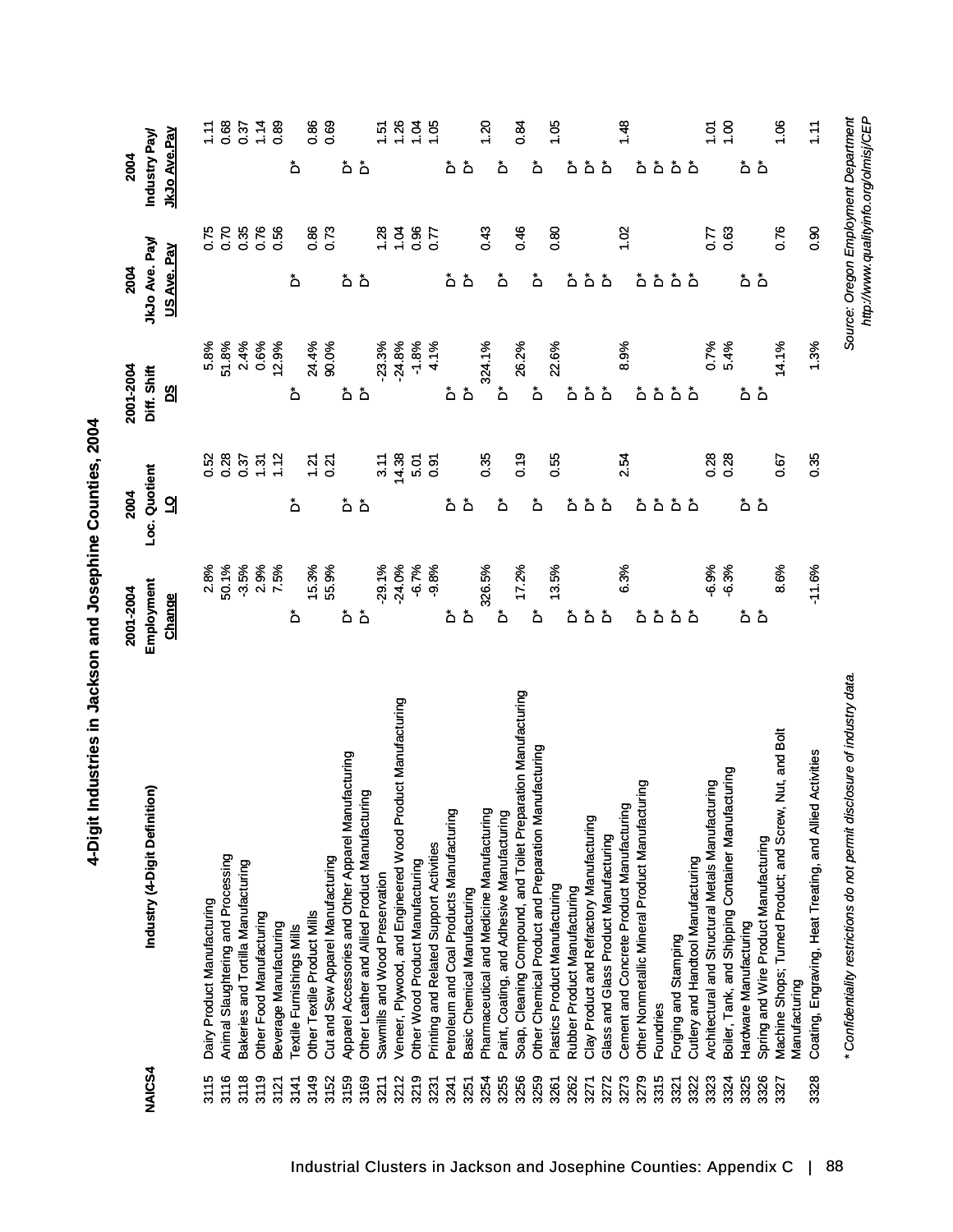| Industry (4-Digit Definition)                                             | Employment<br>2001-2004 | Loc. Quotient<br>2004 | 2001-2004<br>Diff. Shift | JkJo Ave. Pay<br>2004                 | Industry Pay<br>2004 |
|---------------------------------------------------------------------------|-------------------------|-----------------------|--------------------------|---------------------------------------|----------------------|
|                                                                           | Change                  | 긻                     | ଅ                        | US Ave. Pay                           | <u>JkJo Ave.Pay</u>  |
|                                                                           | 2.8%                    | 0.52                  | 5.8%                     | 0.75                                  | 1.11                 |
| Animal Slaughtering and Processing                                        | 50.1%                   |                       | 51.8%                    | 0.70                                  | 0.68                 |
| Bakeries and Tortilla Manufacturing                                       | $-3.5%$                 | 0.37<br>0.37<br>1.12  | 2.4%                     | 0.35                                  | 0.37                 |
|                                                                           | 2.9%                    |                       | 0.6%                     | 0.76                                  | 1.14                 |
|                                                                           | 7.5%                    |                       | 12.9%                    | 0.56                                  | <b>89</b>            |
|                                                                           | ۀ                       | ځ                     | ۀ                        | ځ                                     | ځ                    |
|                                                                           | 15.3%                   | 1.21                  | 24.4%                    | 0.86                                  | 0.86                 |
| Cut and Sew Apparel Manufacturing                                         | 55.9%                   | 0.21                  | 90.0%                    | 0.73                                  | 0.69                 |
| Apparel Accessories and Other Apparel Manufacturing                       | ەً                      | هٔ هٔ                 | ەً                       | هٔ هٔ                                 | ەً                   |
| Other Leather and Allied Product Manufacturing                            | ۀ                       |                       | ۀ                        |                                       | $\Delta$             |
| Sawmills and Wood Preservation                                            | $-29.1%$                | 3.11                  | $-23.3%$                 | 1.28                                  | $\frac{5}{2}$        |
| Veneer, Plywood, and Engineered Wood Product Manufacturing                | $-24.0%$                | 14.38                 | $-24.8%$                 | 1.04                                  | .26                  |
| Other Wood Product Manufacturing                                          | $-6.7%$                 | 5.01                  | $-1.8%$                  | 0.96                                  | $\overline{5}$       |
| Printing and Related Support Activities                                   | $-9.8%$                 | 0.91                  | 4.1%                     | 0.77                                  | $\frac{50}{100}$     |
| Petroleum and Coal Products Manufacturing                                 | ۵                       |                       |                          | ەً                                    | ەً                   |
|                                                                           | ۀ                       | هٔ هٔ                 | هٔ هٔ                    | ۀ                                     | ۀ                    |
| Pharmaceutical and Medicine Manufacturing                                 | 326.5%                  | 0.35                  | 324.1%                   | 0.43                                  | 1.20                 |
| Paint, Coating, and Adhesive Manufacturing                                | ۀ                       | ځ                     | ەً                       | ۀ                                     | ۀ                    |
| Soap, Cleaning Compound, and Toilet Preparation Manufacturing             | 17.2%                   | 0.19                  | 26.2%                    | 0.46                                  | 0.84                 |
| Other Chemical Product and Preparation Manufacturing                      | ڟ                       | ۀ                     | ۀ                        | ۀ                                     | ۀ                    |
| Plastics Product Manufacturing                                            | 13.5%                   | 0.55                  | 22.6%                    | 80                                    | 1.05                 |
|                                                                           | ځ                       | ۀ                     | ۀ                        | ەً                                    | ەً                   |
| Clay Product and Refractory Manufacturing                                 | ەً                      | هٔ هٔ                 | هٔ هٔ                    | ەً                                    | ەً                   |
| Glass and Glass Product Manufacturing                                     | ۀ                       |                       |                          | هٔ                                    | ۀ                    |
| Cement and Concrete Product Manufacturing                                 | 6.3%                    | 2.54                  | 8.9%                     | $\frac{5}{2}$                         | 1.48                 |
| turing<br>Other Nonmetallic Mineral Product Manufact                      | ڞ                       | ڟ                     | ڟ                        | ۀ                                     | ەً                   |
|                                                                           | ەً                      | هٔ هٔ هٔ              | هٔ هٔ هٔ                 | ەً                                    | ەً                   |
|                                                                           | ۀ                       |                       |                          | هٔ هٔ                                 | ەً                   |
| Cutlery and Handtool Manufacturing                                        | ۂ                       |                       |                          |                                       | $\Delta$             |
| Architectural and Structural Metals Manufacturing                         | 6.9%                    | 0.28                  | 0.7%                     | 77                                    | $\overline{5}$       |
| Boiler, Tank, and Shipping Container Manufacturing                        | $-6.3%$                 | 0.28                  | 5.4%                     | 0.63                                  | 00.1                 |
|                                                                           | ڞ                       |                       | هٔ هٔ                    | ەً                                    | ڞ                    |
| Spring and Wire Product Manufacturing                                     | ځ                       | هٔ هٔ                 |                          | ۀ                                     | ەً                   |
| Machine Shops; Turned Product; and Screw, Nut, and Bolt                   | 8.6%                    | 0.67                  | 14.1%                    | 0.76                                  | $\frac{8}{1}$        |
|                                                                           |                         |                       |                          |                                       |                      |
| Coating, Engraving, Heat Treating, and Allied Activities                  | $-11.6%$                | 0.35                  | 1.3%                     | 0.90                                  | 1.11                 |
| * Confidentiality restrictions do not permit disclosure of industry data. |                         |                       |                          | Source: Oregon Employment Department  |                      |
|                                                                           |                         |                       |                          | http://www.qualityinfo.org/olmisj/CEP |                      |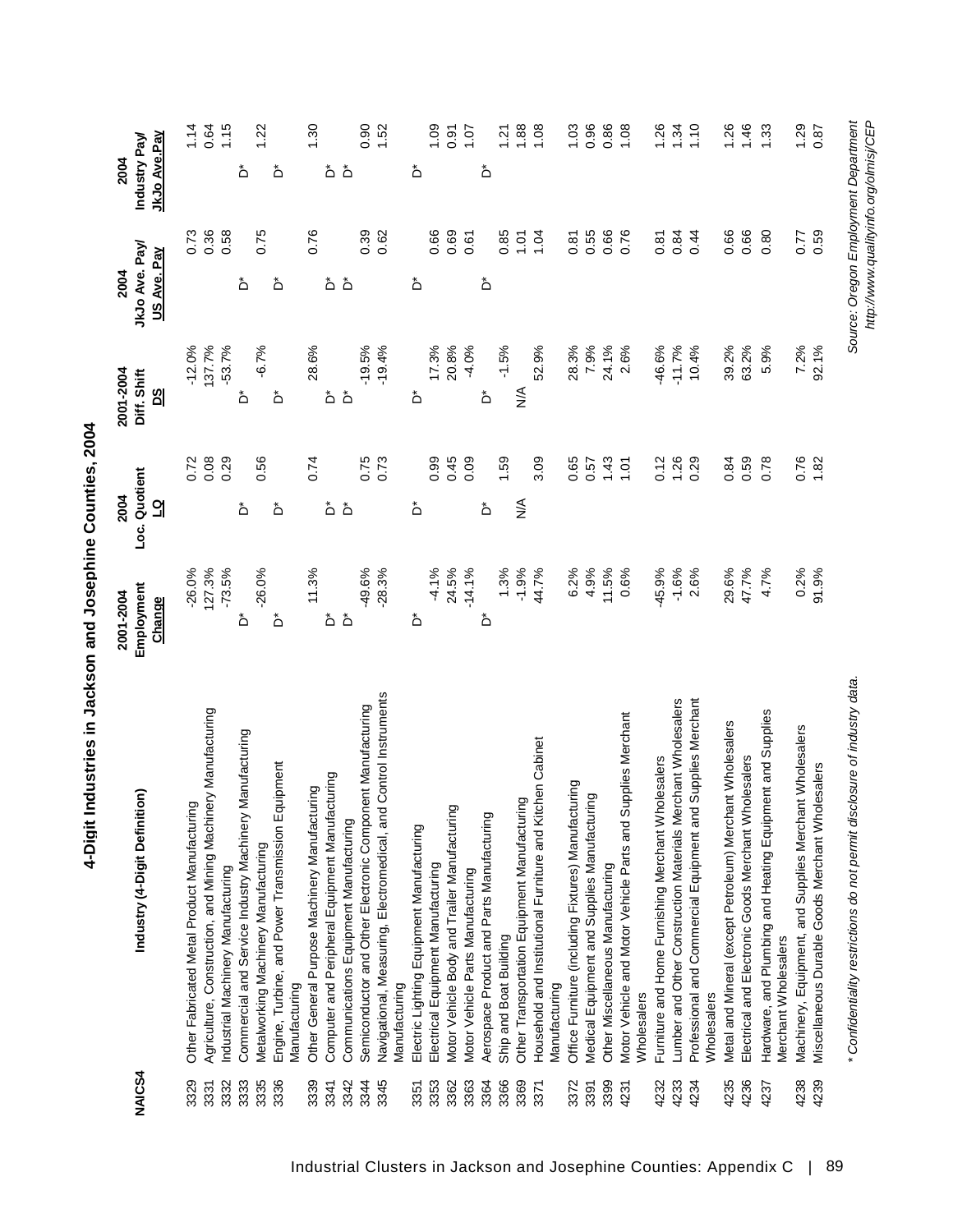| NAIC <sub>S4</sub> |                                                                                   | 2001-2004  | 2004          | 2001-2004     | 2004               | 2004         |                 |
|--------------------|-----------------------------------------------------------------------------------|------------|---------------|---------------|--------------------|--------------|-----------------|
|                    | Industry (4-Digit Definition)                                                     | Employment | Loc. Quotient | Diff. Shift   | JkJo Ave. Pay/     | Industry Pay |                 |
|                    |                                                                                   | Change     |               | <u>නු</u>     | <u>US Ave. Pay</u> | JkJo Ave.Pay |                 |
| 3329               | Other Fabricated Metal Product Manufacturing                                      | $-26.0%$   | 0.72          | $-12.0%$      | 0.73               |              | 1.14            |
| 3331               | nery Manufacturing<br>Agriculture, Construction, and Mining Machi                 | 127.3%     | 0.08          | 137.7%        | 0.36               |              | 0.64            |
| 3332               | Industrial Machinery Manufacturing                                                | $-73.5%$   | 0.29          | $-53.7%$      | 0.58               |              | 1.15            |
| 3333               | Commercial and Service Industry Machinery Manufacturing                           | ڞ          | ڞ             | ڞ             | ڞ                  | ڞ            |                 |
| 3335               | Metalworking Machinery Manufacturing                                              | $-26.0%$   | 0.56          | $-6.7%$       | 0.75               |              | 1.22            |
| 3336               | Engine, Turbine, and Power Transmission Equipment<br>Manufacturing                | ڞ          | ڞ             | ڞ             | ڞ                  | ڞ            |                 |
| 3339               | Other General Purpose Machinery Manufacturing                                     | 11.3%      | 0.74          | 28.6%         | 0.76               |              | 1.30            |
| 3341               | Computer and Peripheral Equipment Manufacturing                                   | ڞ          | ڞ             | ڞ             | ڞ                  | ڞ            |                 |
| 3342               | Communications Equipment Manufacturing                                            | $\Delta^*$ | ڞ             | ەً            | ڞ                  | هٔ           |                 |
| 3344               | Semiconductor and Other Electronic Component Manufacturing                        | $-49.6%$   | 0.75          | $-19.5%$      | 0.39               |              | 0.90            |
| 3345               | Navigational, Measuring, Electromedical, and Control Instruments<br>Manufacturing | $-28.3%$   | 0.73          | $-19.4%$      | 0.62               |              | 1.52            |
| 3351               | Electric Lighting Equipment Manufacturing                                         | ڞ          | ڞ             | ڞ             | ڞ                  | ڞ            |                 |
| 3353               | Electrical Equipment Manufacturing                                                | $-4.1%$    | 0.99          | 17.3%         | 0.66               |              | 1.09            |
| 3362               | Motor Vehicle Body and Trailer Manufacturing                                      | 24.5%      | 0.45          | 20.8%         | 0.69               |              | 0.91            |
| 3363               | Motor Vehicle Parts Manufacturing                                                 | $-14.1%$   | 0.09          | $-4.0%$       | 0.61               |              | 10.1            |
| 3364               | Aerospace Product and Parts Manufacturing                                         | ڞ          | ڞ             | ڞ             | ەً                 | ڞ            |                 |
| 3366               | Ship and Boat Building                                                            | 1.3%       | 1.59          | $-1.5%$       | 0.85               |              | $\overline{21}$ |
| 3369               | Other Transportation Equipment Manufacturing                                      | $-1.9%$    | ≸             | $\frac{4}{2}$ | 1.01               |              | 1.88            |
| 3371               | Household and Institutional Furniture and Kitchen Cabinet                         | 44.7%      | 3.09          | 52.9%         | 1.04               |              | 1.08            |
|                    | Manufacturing                                                                     |            |               |               |                    |              |                 |
| 3372               | Office Furniture (including Fixtures) Manufacturing                               | 6.2%       | 0.65          | 28.3%         | 0.87               |              | 1.03            |
| 3391               | Medical Equipment and Supplies Manufacturing                                      | 4.9%       | 0.57          | 7.9%          | 0.55               |              | 0.96            |
| 3399               | Other Miscellaneous Manufacturing                                                 | 11.5%      | 1.43          | 24.1%         | 0.66               |              | 0.86            |
| 4231               | Supplies Merchant<br>Motor Vehicle and Motor Vehicle Parts and<br>Wholesalers     | 0.6%       | 1.01          | 2.6%          | 0.76               |              | 1.08            |
| 4232               | Furniture and Home Furnishing Merchant Wholesalers                                | $-45.9%$   | 0.12          | -46.6%        | 0.81               |              | 1.26            |
| 4233               | Lumber and Other Construction Materials Merchant Wholesalers                      | $-1.6%$    | 1.26          | $-11.7%$      | 0.84               |              | 1.34            |
| 4234               | Professional and Commercial Equipment and Supplies Merchant<br>Wholesalers        | 2.6%       | 0.29          | 10.4%         | 0.44               |              | 1.10            |
| 4235               | Metal and Mineral (except Petroleum) Merchant Wholesalers                         | 29.6%      | 0.84          | 39.2%         | 0.66               |              | 1.26            |
| 4236               | Electrical and Electronic Goods Merchant Wholesalers                              | 47.7%      | 0.59          | 63.2%         | 0.66               |              | 1.46            |
| 4237               | Hardware, and Plumbing and Heating Equipment and Supplies                         | 4.7%       | 0.78          | 5.9%          | 0.80               |              | 1.33            |
|                    | Merchant Wholesalers                                                              |            |               |               |                    |              |                 |
| 4238               | Machinery, Equipment, and Supplies Merchant Wholesalers                           | 0.2%       | 0.76          | 7.2%          | 0.77               |              | 1.29            |
| 4239               | Miscellaneous Durable Goods Merchant Wholesalers                                  | 91.9%      | 1.82          | 92.1%         | 0.59               |              | 0.87            |

Source: Oregon Employment Department<br>http://www.qualityinfo.org/olmisj/CEP

*\* Confidentiality restrictions do not permit disclosure of industry data. Source: Oregon Employment Department*

\* Confidentiality restrictions do not permit disclosure of industry data.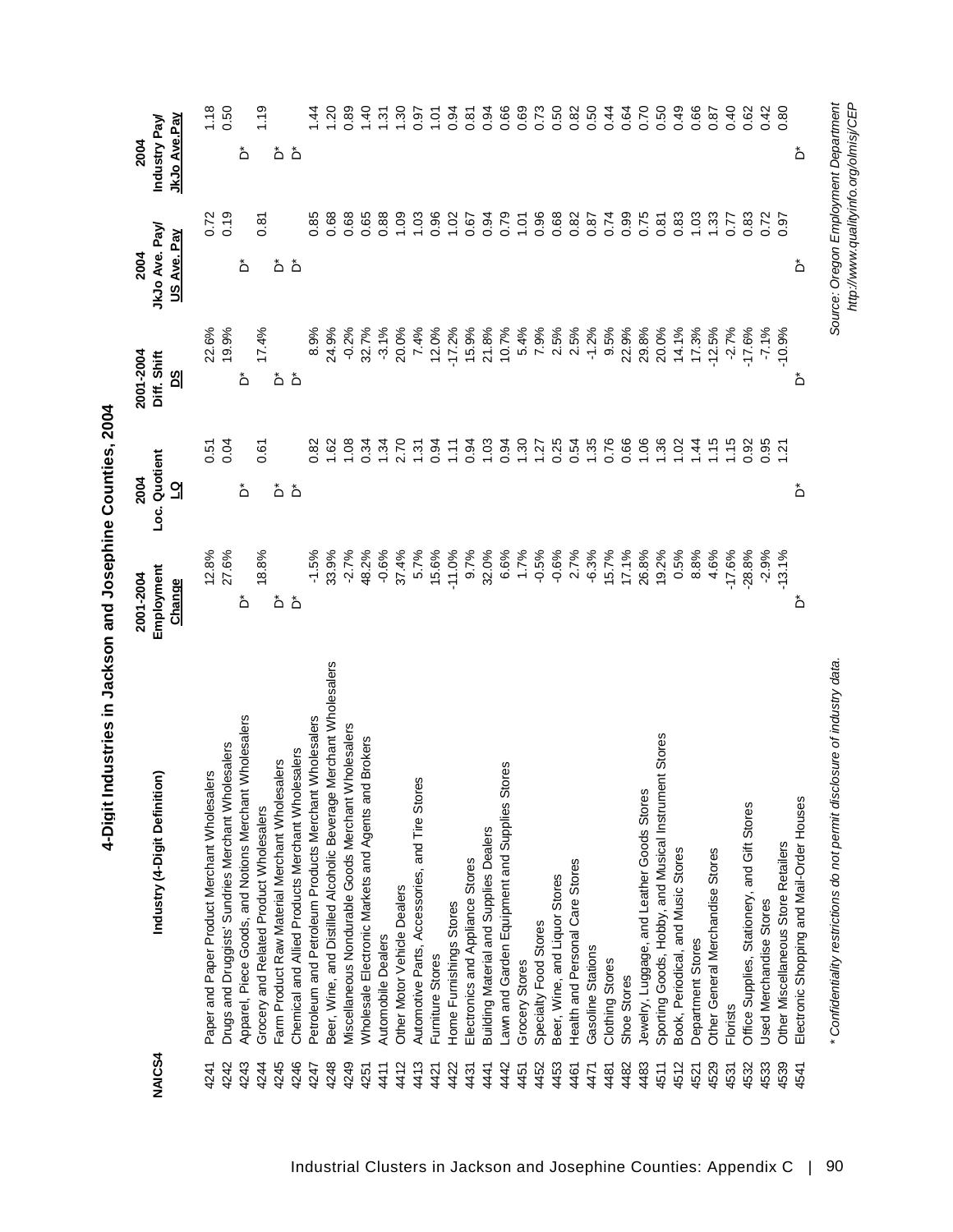|                    |                                                                   | 2001-2004            | 2004                     | 2001-2004                          | 2004                         | 2004                         |
|--------------------|-------------------------------------------------------------------|----------------------|--------------------------|------------------------------------|------------------------------|------------------------------|
| NAIC <sub>S4</sub> | Industry (4-Digit Definition)                                     | Employment<br>Change | Loc. Quotient<br>긻       | Diff. Shift<br>മ്                  | JkJo Ave. Pay<br>US Ave. Pay | JkJo Ave.Pay<br>Industry Pay |
| 4241               | Paper and Paper Product Merchant Wholesalers                      | 12.8%                | 0.51<br>0.04             | 22.6%                              | 0.72                         | $1.18$<br>0.50               |
| 4242               | Drugs and Druggists' Sundries Merchant Wholesalers                | 27.6%                |                          | 19.9%                              | 0.19                         |                              |
| 4243               | Apparel, Piece Goods, and Notions Merchant Wholesalers            | ڞ                    | ڞ                        | ڞ                                  | ڞ                            | ڞ                            |
| 4244               | Grocery and Related Product Wholesalers                           | 18.8%                | 0.61                     | 17.4%                              | 0.87                         | $\frac{9}{1}$                |
| 4245               | Farm Product Raw Material Merchant Wholesalers                    | ەً                   | ڞ                        | ۵                                  | هٔ هٔ                        | هٔ هٔ                        |
| 4246               | Chemical and Allied Products Merchant Wholesalers                 | $\Delta^*$           | ڞ                        | $\Delta$                           |                              |                              |
| 4247               | Petroleum and Petroleum Products Merchant Wholesalers             | $-1.5\%$             | 0.82                     | 8.9%                               | 0.85                         | $\frac{4}{4}$                |
| 4248               | Beer, Wine, and Distilled Alcoholic Beverage Merchant Wholesalers | 33.9%                | 1.62                     | 24.9%                              | 0.68                         | 1.20                         |
| 4249               | Miscellaneous Nondurable Goods Merchant Wholesalers               | $-2.7%$              | 1.08                     | $-0.2%$                            | 0.68                         | 0.89                         |
| 4251               | Wholesale Electronic Markets and Agents and Brokers               | 48.2%                | 0.34                     |                                    | 0.65                         | 1.40                         |
| 4411               | Automobile Dealers                                                | $-0.6%$              |                          | 32.7%<br>-3.1%                     | 0.88                         | $\overline{3}$               |
| 4412               | Other Motor Vehicle Dealers                                       | 37.4%                |                          |                                    | 00.1                         | 1.30                         |
| 4413               | Automotive Parts, Accessories, and Tire Stores                    | 5.7%                 | $1370$<br>$259$<br>$409$ | 20.0%<br>7.4%<br>12.0%<br>-17.2%   | 1.03                         | 0.97                         |
| 4421               | Furniture Stores                                                  | 15.6%                |                          |                                    | 0.96                         | $\frac{5}{1}$                |
| 4422               | Home Furnishings Stores                                           | $-11.0%$             | $\tilde{t}$              |                                    | 1.02                         | 0.94                         |
| 4431               | Electronics and Appliance Stores                                  | 9.7%                 | 0.94                     | 15.9%                              | 0.67                         | 0.87                         |
| 4441               | <b>Building Material and Supplies Dealers</b>                     | 32.0%                | 1.03                     | 21.8%                              | 0.94                         | 0.94                         |
| 4442               | awn and Garden Equipment and Supplies Stores                      | 6.6%                 | $30000000000000$         | 10.7%                              | 0.79                         | 0.66                         |
| 4451               | Grocery Stores                                                    | 1.7%                 |                          | 5.4%                               | 1.01                         | 0.69                         |
| 4452               | Specialty Food Stores                                             | $-0.5%$              |                          | 7.9%                               | 0.96                         |                              |
| 4453               | Beer, Wine, and Liquor Stores                                     | $-0.6%$              |                          | $2.5\%$<br>$2.5\%$                 | 0.68                         | 0.73<br>0.62<br>0.0          |
| 4461               | Health and Personal Care Stores                                   | 2.7%                 |                          |                                    | 0.82                         |                              |
| 4471               | Gasoline Stations                                                 | $-6.3%$              |                          | $-1.2%$                            | 0.87                         | 0.50                         |
| 4481               | Clothing Stores                                                   | 15.7%                | 0.76                     | 9.5%                               | 0.74                         | 0.44                         |
| 4482               | Shoe Stores                                                       | 17.1%                | 0.66                     | 22.9%                              | 0.99                         | 0.64                         |
| 4483               | S<br>Jewelry, Luggage, and Leather Goods Store                    | 26.8%                | 1.06                     | 29.8%                              | 0.75                         | 0.70                         |
| 4511               | Sporting Goods, Hobby, and Musical Instrument Stores              | 19.2%                | 1.36                     | 20.0%                              | 0.87                         | 0.50                         |
| 4512               | Book, Periodical, and Music Stores                                | 0.5%                 | 1.02                     |                                    | 0.83                         | 0.49                         |
| 4521               | Department Stores                                                 | 8.8%                 | $\frac{4}{4}$            | 14.1%<br>17.3%                     | 1.03                         | 0.66                         |
| 4529               | Other General Merchandise Stores                                  | 4.6%                 | $\frac{4}{15}$           |                                    | 1.33                         | 0.87                         |
| 4531               | Florists                                                          | $-17.6%$             | 1.15                     | $-12.5\%$<br>$-2.7\%$<br>$-17.6\%$ | 0.77                         | 0.40                         |
| 4532               | Office Supplies, Stationery, and Gift Stores                      | $-28.8%$             | 0.92                     |                                    | 0.83                         | 0.62                         |
| 4533               | Used Merchandise Stores                                           | $-2.9%$              | 0.95                     | $-7.1%$                            |                              | 0.42                         |
| 4539               | Other Miscellaneous Store Retailers                               | $-13.1%$             | $\frac{1}{2}$            | $-10.9%$                           | 0.97                         | 0.80                         |
| 4541               | Electronic Shopping and Mail-Order Houses                         | ڞ                    | ڞ                        | ڞ                                  | ڞ                            | ڞ                            |

*\* Confidentiality restrictions do not permit disclosure of industry data. Source: Oregon Employment Department*

\* Confidentiality restrictions do not permit disclosure of industry data.

*http://www.qualityinfo.org/olmisj/CEP*

Source: Oregon Employment Department<br>http://www.qualityinfo.org/olmisj/CEP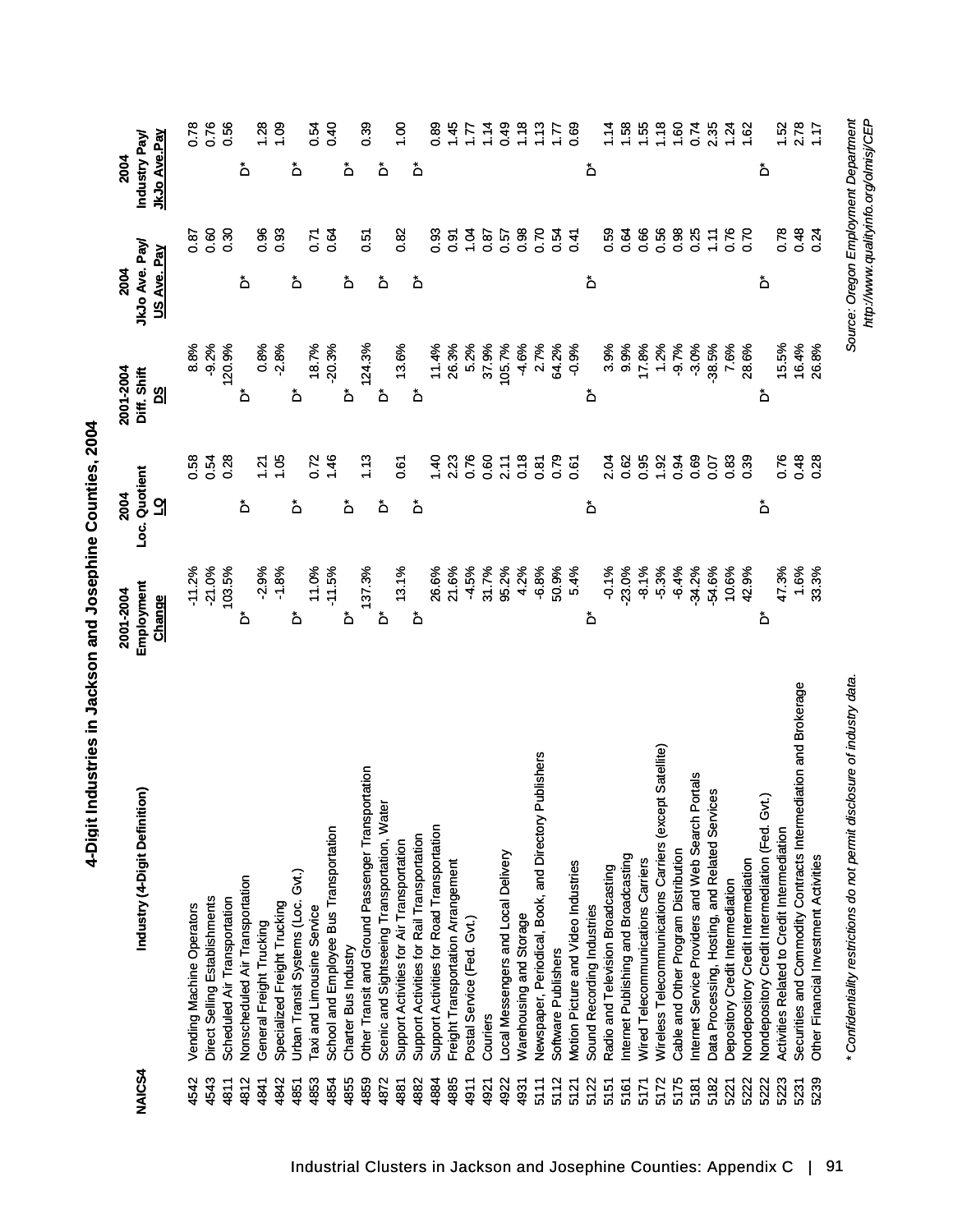| ׇ֧֧֧֦֧ׅ֧֧֪ׅ֧ׅ֧֪֧֪֧֪֧֪֪ׅ֦֧֚֚֚֚֚֚֚֚֚֚֚֚֚֚֚֚֚֚֚֚֚֚֚֡֝֓֝֓֡֬֜֓֝֓֓֜֓֝֬֝֬֝֬ |
|----------------------------------------------------------------------|
| .<br>.                                                               |
|                                                                      |
|                                                                      |
|                                                                      |

 $\ddot{\phantom{0}}$ 

| Industry (4-Digit Definition)<br><b>NAICS4</b>                            | Employment<br>2001-2004 | Loc. Quotient<br>2004 | 2001-2004<br>Diff. Shift | JkJo Ave. Pay<br>2004                 | Industry Pay<br>2004 |
|---------------------------------------------------------------------------|-------------------------|-----------------------|--------------------------|---------------------------------------|----------------------|
|                                                                           | Change                  | <u>ପ</u>              | <u>ଅ</u>                 | US Ave. Pay                           | JkJo Ave.Pay         |
| Vending Machine Operators<br>4542                                         | $-11.2%$                | 0.58                  | 8.8%                     | 0.87                                  | 0.78                 |
| Direct Selling Establishments<br>4543                                     | $-21.0%$                | 0.54                  | $-9.2%$                  | 0.60                                  | 0.76                 |
| Scheduled Air Transportation<br>4811                                      | 103.5%                  | 0.28                  | 120.9%                   | 0.30                                  | 0.56                 |
| Nonscheduled Air Transportation<br>4812                                   | ۀ                       | ځ                     | ۀ                        | ۀ                                     | ۀ                    |
| General Freight Trucking<br>4841                                          | $-2.9%$                 | 1.21                  | 0.8%                     | 0.96                                  | 1.28                 |
| Specialized Freight Trucking<br>4842                                      | $-1.8%$                 | 1.05                  | $-2.8%$                  | 0.93                                  | 0.09                 |
| Gvt.)<br>Urban Transit Systems (Loc.<br>4851                              | ەً                      | ۀ                     | ەً                       | ځ                                     | ۀ                    |
| Taxi and Limousine Service<br>4853                                        | 11.0%                   | 0.72                  | 18.7%                    | 0.71                                  | 0.54                 |
| School and Employee Bus Transportation<br>4854                            | $-11.5%$                | 1.46                  | $-20.3%$                 | 0.64                                  | 0.40                 |
| Charter Bus Industry<br>4855                                              | ەً                      | ۀ                     | ځ                        | ة                                     | ۀ                    |
| Other Transit and Ground Passenger Transportation<br>4859                 | 137.3%                  | 1.13                  | 124.3%                   | 0.51                                  | 0.39                 |
| Scenic and Sightseeing Transportation, Water<br>4872                      | ۀ                       | ڞ                     | ۀ                        | ۀ                                     | ڞ                    |
| Support Activities for Air Transportation<br>4881                         | 13.1%                   | 0.67                  | 13.6%                    | 0.82                                  | $\frac{8}{1}$        |
| Support Activities for Rail Transportation<br>4882                        | ەً                      | ۀ                     | ۀ                        | ۀ                                     | ۀ                    |
| Support Activities for Road Transportation<br>4884                        | 26.6%                   | 01,40                 | 11.4%                    | 0.93                                  | 0.89                 |
| Freight Transportation Arrangement<br>4885                                | 21.6%                   | 2.23                  | 26.3%                    | 0.91                                  | 1.45                 |
| Postal Service (Fed. Gvt.)<br>4911                                        | $-4.5%$                 | 0.76                  | 5.2%                     | 1.04                                  | $\mathcal{L}$        |
| Couriers<br>4921                                                          | 31.7%                   | 0.60                  | 37.9%                    | 0.87                                  | 1.14                 |
| Local Messengers and Local Delivery<br>4922                               | 95.2%                   | 2.11                  | 105.7%                   | 0.57                                  | 0.49                 |
| Warehousing and Storage<br>4931                                           | 4.2%                    | 0.18                  | $-4.6%$                  | 0.98                                  | 1.18                 |
| Publishers<br>Newspaper, Periodical, Book, and Directory<br>5111          | $-6.8%$                 | 0.87                  | 2.7%                     | 0.70                                  | 1.13                 |
| Software Publishers<br>5112                                               | 50.9%                   | 0.79                  | 64.2%                    | 0.54                                  | 1.77                 |
| Motion Picture and Video Industries<br>5121                               | 5.4%                    | 0.61                  | $-0.9%$                  | 0.41                                  | 0.69                 |
| Sound Recording Industries<br>5122                                        | ەً                      | ەً                    | ۀ                        | ۀ                                     | ەً                   |
| Radio and Television Broadcasting<br>5151                                 | $-0.1%$                 | 2.04                  | 3.9%                     | 0.59                                  | 1.14                 |
| Internet Publishing and Broadcasting<br>5161                              | $-23.0%$                | 0.62                  | 9.9%                     | 0.64                                  | 1.58                 |
| Wired Telecommunications Carriers<br>5171                                 | $-8.1%$                 | 0.95                  | 17.8%                    | 0.66                                  | 1.55                 |
| Wireless Telecommunications Carriers (except Satellite)<br>5172           | $-5.3%$                 | 1.92                  | 1.2%                     | 0.56                                  | 1.18                 |
| Cable and Other Program Distribution<br>5175                              | $-6.4%$                 | 0.94                  | $-9.7%$                  | 0.98                                  | 1.60                 |
| Internet Service Providers and Web Search Portals<br>5181                 | $-34.2%$                | 0.69                  | $-3.0%$                  | 0.25                                  | 0.74                 |
| Data Processing, Hosting, and Related Services<br>5182                    | -54.6%                  | 0.07                  | $-38.5%$                 | 1.11                                  | 2.35                 |
| Depository Credit Intermediation<br>5221                                  | 10.6%                   | 0.83                  | 7.6%                     | 0.76                                  | 1.24                 |
| Nondepository Credit Intermediation<br>5222                               | 42.9%                   | 0.39                  | 28.6%                    | 0.70                                  | 1.62                 |
| Nondepository Credit Intermediation (Fed. Gvt.)<br>5222                   | ڞ                       | ەً                    | ۀ                        | ۀ                                     | ۀ                    |
| Activities Related to Credit Intermediation<br>5223                       | 47.3%                   | 0.76                  | 15.5%                    | 0.78                                  | 1.52                 |
| Securities and Commodity Contracts Intermediation and Brokerage<br>5231   | 1.6%                    | 0.48                  | 16.4%                    | 0.48                                  | 2.78                 |
| Other Financial Investment Activities<br>5239                             | 33.3%                   | 0.28                  | 26.8%                    | 0.24                                  | 1.17                 |
| * Confidentiality restrictions do not permit disclosure of industry data. |                         |                       |                          | Source: Oregon Employment Department  |                      |
|                                                                           |                         |                       |                          | http://www.qualityinfo.org/olmisj/CEP |                      |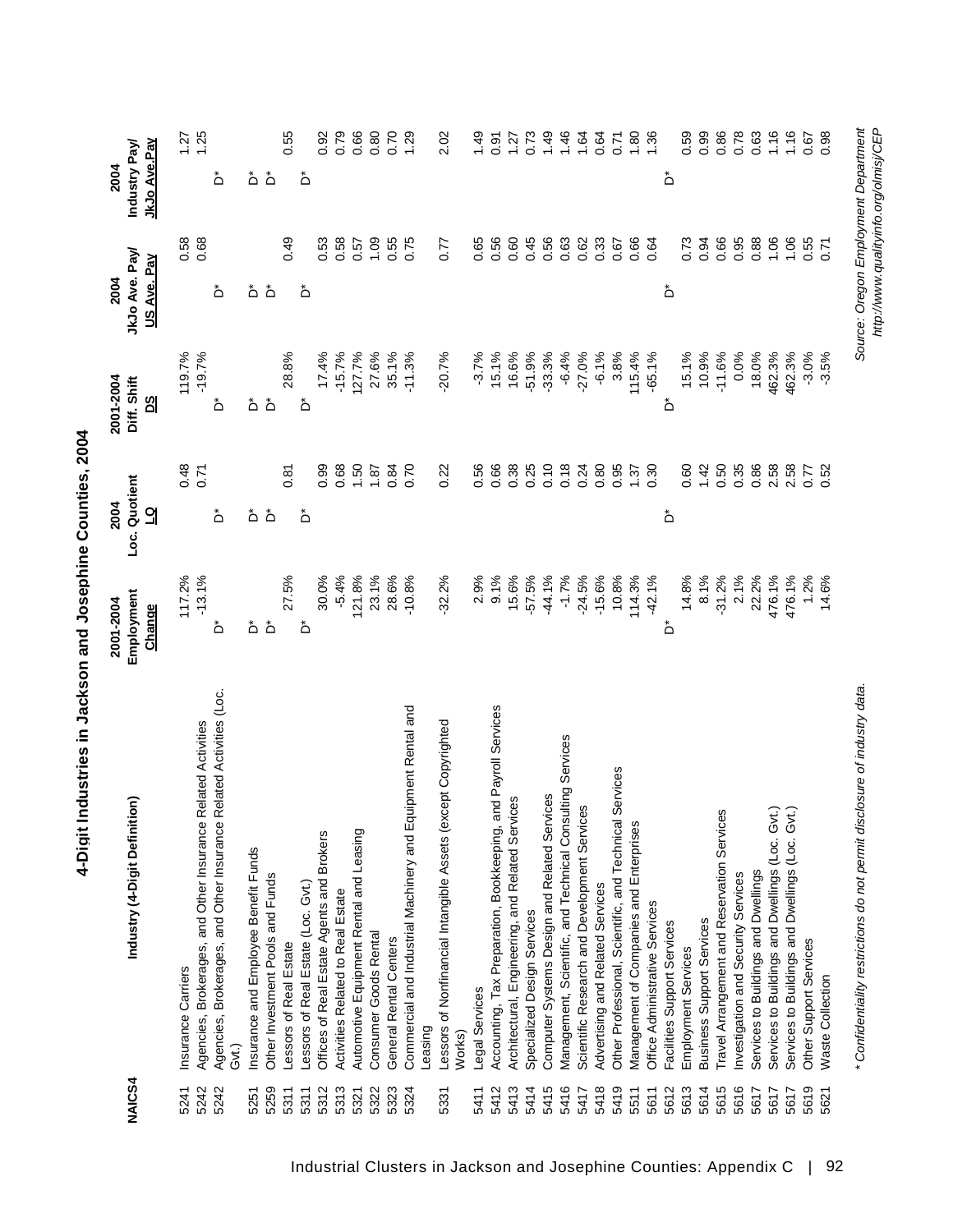| NAICS4       | $\widehat{\mathsf{sn}}$<br>Industry (4-Digit Definiti                                              | Employment<br>2001-2004<br>Change | Loc. Quotient<br>2004<br>₫ | 2001-2004<br>Diff. Shift<br><u>80</u> | JkJo Ave. Pay<br>US Ave. Pay<br>2004 | <b>JkJo Ave.Pay</b><br>Industry Pay<br>2004 |
|--------------|----------------------------------------------------------------------------------------------------|-----------------------------------|----------------------------|---------------------------------------|--------------------------------------|---------------------------------------------|
| 5242<br>5241 | Related Activities<br>Agencies, Brokerages, and Other Insurance<br>Insurance Carriers              | 117.2%<br>$-13.1%$                | 0.48<br>0.71               | 119.7%<br>$-19.7%$                    | 0.58<br>0.68                         | 1.25<br>1.27                                |
| 5242         | Related Activities (Loc.<br>Agencies, Brokerages, and Other Insurance<br>Gvt.)                     | ڞ                                 | ڞ                          | ڞ                                     | ڞ                                    | ڞ                                           |
| 5251         | Insurance and Employee Benefit Funds                                                               |                                   |                            |                                       |                                      | هٔ هٔ                                       |
| 5259         | Other Investment Pools and Funds                                                                   | هٔ هٔ                             | هٔ هٔ                      | هٔ هٔ                                 | هٔ هٔ                                |                                             |
| 5311         | Lessors of Real Estate                                                                             | 27.5%                             | 0.87                       | 28.8%                                 | 0.49                                 | 0.55                                        |
| 5311         | Lessors of Real Estate (Loc. Gvt.)                                                                 | ەً                                | ڞ                          | ڞ                                     | ڞ                                    | ڞ                                           |
| 5312         | Offices of Real Estate Agents and Brokers                                                          | 30.0%                             | 0.99                       | 17.4%                                 | 0.53                                 | 0.92                                        |
| 5313         | Activities Related to Real Estate                                                                  | $-5.4%$                           | 0.68                       | $-15.7%$                              | 0.58                                 | 0.79                                        |
| 5321         | Automotive Equipment Rental and Leasing                                                            | 121.8%                            | 1.50                       | 127.7%                                | 0.57                                 | 0.66                                        |
| 5322         | Consumer Goods Rental                                                                              | 23.1%                             | 1.87                       | 27.6%                                 | 1.09                                 |                                             |
| 5323         | General Rental Centers                                                                             | 28.6%                             | 0.84                       | 35.1%                                 | 0.55                                 | 0.70                                        |
| 5324         | Commercial and Industrial Machinery and Equipment Rental and<br>Leasing                            | $-10.8%$                          | 0.70                       | $-11.3%$                              | 0.75                                 | 1.29                                        |
|              |                                                                                                    |                                   |                            |                                       |                                      |                                             |
| 5331         | Lessors of Nonfinancial Intangible Assets (except Copyrighted<br>Works)                            | $-32.2%$                          | 0.22                       | $-20.7%$                              | 0.77                                 | 2.02                                        |
| 5411         | Legal Services                                                                                     | 2.9%                              | 0.56                       | $-3.7%$                               | 0.65                                 | 4.49                                        |
| 5412         | Accounting, Tax Preparation, Bookkeeping, and Payroll Services                                     | 9.1%                              | 0.66                       | 15.1%                                 | 0.56                                 | 0.91                                        |
| 5413         | Architectural, Engineering, and Related Services                                                   | 15.6%                             | 0.38                       | 16.6%                                 | 0.60                                 | 127                                         |
| 5414         | Specialized Design Services                                                                        | $-57.5%$                          | 0.25                       | $-51.9%$                              | 0.45                                 | 0.73                                        |
| 5415         | Computer Systems Design and Related Services                                                       | $-44.1%$                          | 0.10                       | $-33.3%$                              | 0.56                                 | 1.49                                        |
| 5416         | Management, Scientific, and Technical Consulting Services                                          | $-1.7%$                           | 0.18                       | $-6.4%$                               | 0.63                                 | 1.46                                        |
| 5417         | Scientific Research and Development Services                                                       | $-24.5%$                          | 0.24                       | $-27.0%$                              | 0.62                                 | 1.64                                        |
| 5418         | Advertising and Related Services                                                                   | $-15.6%$                          | 0.80                       | $-6.1%$                               | 0.33                                 | 0.64                                        |
| 5419         | Services<br>Other Professional, Scientific, and Technical                                          | 10.8%                             | 0.95                       | 3.8%                                  | 0.67                                 | 0.71                                        |
| 5511         | Management of Companies and Enterprises                                                            | 114.3%                            | 1.37                       | 115.4%                                | 0.66                                 | 1.80                                        |
| 5611         | Office Administrative Services                                                                     | $-42.1%$                          | 0.30                       | $-65.1%$                              | 0.64                                 | 1.36                                        |
| 5612         | Facilities Support Services                                                                        | ڞ                                 | ڞ                          | ڞ                                     | ەً                                   | ڞ                                           |
| 5613         | Employment Services                                                                                | 14.8%                             | 0.60                       | 15.1%                                 | 0.73                                 | 0.59                                        |
| 5614         | <b>Business Support Services</b>                                                                   | 8.1%                              | 1.42                       | 10.9%                                 | 0.94                                 | 0.99                                        |
| 5615         | ā.<br>Travel Arrangement and Reservation Service                                                   | $-31.2%$                          | 0.50                       | $-11.6%$                              | 0.66                                 | 0.86                                        |
| 5616         | Investigation and Security Services                                                                | 2.1%                              | 0.35                       | 0.0%                                  | 0.95                                 | 0.78                                        |
| 5617         | Services to Buildings and Dwellings                                                                | 22.2%                             | 0.86                       | 18.0%                                 | 0.88                                 | 0.63                                        |
| 5617         |                                                                                                    | 476.1%                            | 2.58                       | 462.3%                                | 1.06                                 | 1.16                                        |
| 5617         | Services to Buildings and Dwellings (Loc. Gvt.)<br>Services to Buildings and Dwellings (Loc. Gvt.) | 476.1%                            | 2.58                       | 462.3%                                | 1.06                                 | 1.16                                        |
| 5619         | Other Support Services                                                                             | 1.2%                              | 0.77                       | $-3.0%$                               | 0.55                                 | 0.67                                        |
| 5621         | Waste Collection                                                                                   | 14.6%                             | 0.52                       | $-3.5%$                               | 0.71                                 | 0.98                                        |

Source: Oregon Employment Department<br>http://www.qualityinfo.org/olmisj/CEP

*\* Confidentiality restrictions do not permit disclosure of industry data. Source: Oregon Employment Department*

\* Confidentiality restrictions do not permit disclosure of industry data.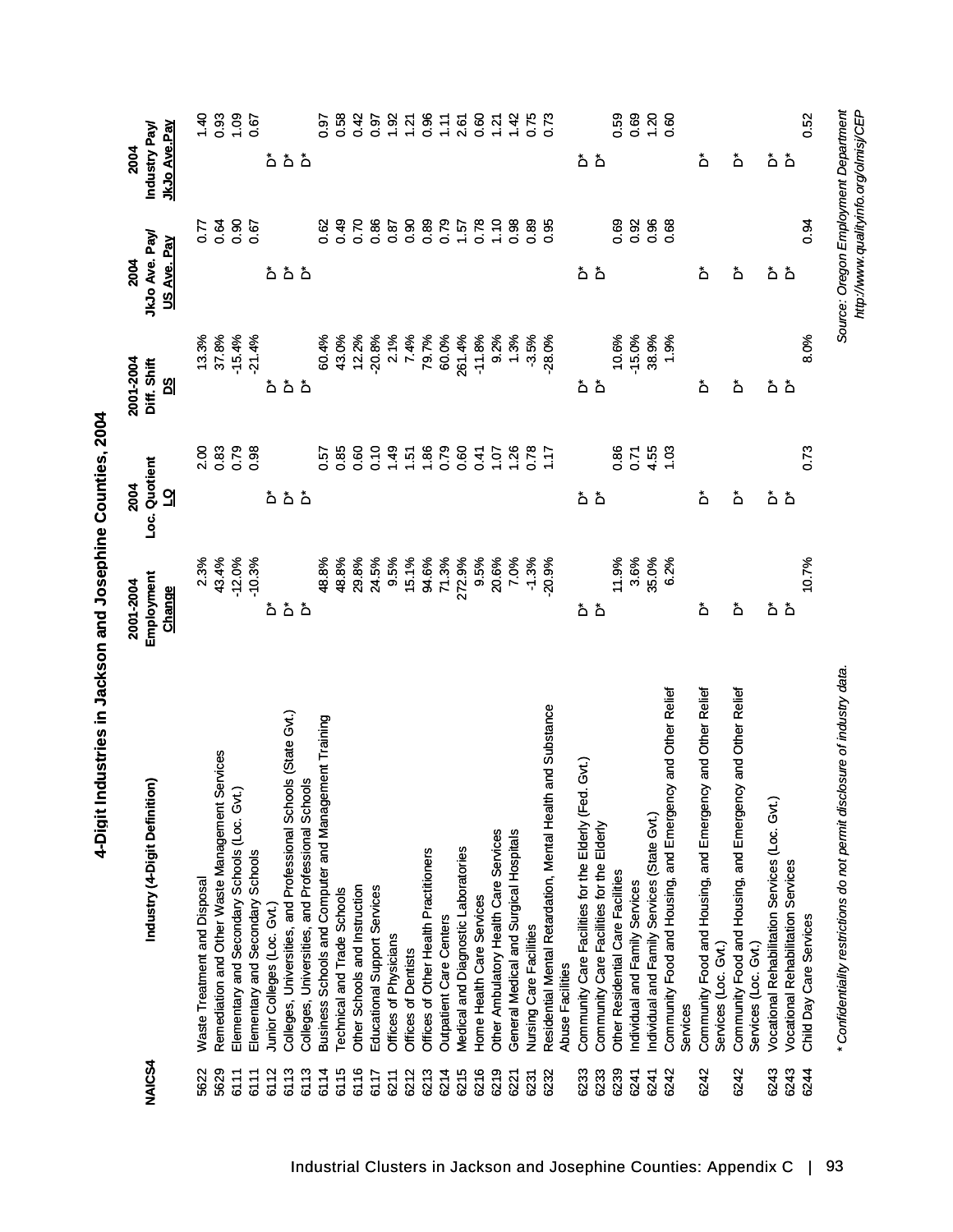| <b>NAJCS4</b> | Industry (4-Digit Definition)                                                             | Employment<br>2001-2004<br>Change | Loc. Quotient<br>2004<br>리                     | 2001-2004<br>Diff. Shift<br><u>ଅ</u> | JkJo Ave. Pay<br>US Ave. Pay<br>2004  | JkJo Ave.Pay<br>Industry Pay<br>2004 |
|---------------|-------------------------------------------------------------------------------------------|-----------------------------------|------------------------------------------------|--------------------------------------|---------------------------------------|--------------------------------------|
|               |                                                                                           |                                   |                                                |                                      |                                       |                                      |
| 5622          | Waste Treatment and Disposal                                                              | 2.3%                              | 2.00                                           | 13.3%                                | 77                                    | 1.40                                 |
| 5629          | Services<br>Remediation and Other Waste Management                                        | 43.4%                             | 0.83                                           | 37.8%                                | 0.64                                  | 0.93                                 |
| 6111          | Elementary and Secondary Schools (Loc. Gvt.)                                              | $-12.0%$                          | 0.79                                           | $-15.4%$                             | 0.90                                  | 1.09                                 |
| 6111          | Elementary and Secondary Schools                                                          | $-10.3%$                          | 0.98                                           | $-21.4%$                             | 0.67                                  | 0.67                                 |
| 6112          | Junior Colleges (Loc. Gvt.)                                                               | ة                                 |                                                |                                      |                                       | ڞ                                    |
| 6113          | Colleges, Universities, and Professional Schools (State Gvt.)                             |                                   | هٔ هٔ هٔ                                       | هٔ هٔ هٔ                             | هٔ هٔ هٔ                              |                                      |
| 6113          | Colleges, Universities, and Professional Schools                                          | هٔ هٔ                             |                                                |                                      |                                       | هٔ هٔ                                |
| 6114          | Business Schools and Computer and Management Training                                     | 48.8%                             | 0.57                                           | 60.4%                                | 0.62                                  | 0.97                                 |
| 6115          | Technical and Trade Schools                                                               | 48.8%                             | 0.85                                           | 43.0%                                | 0.49                                  | 0.58                                 |
| 6116          | Other Schools and Instruction                                                             | 29.8%                             | 0.60                                           | 12.2%                                | 0.70                                  | 0.42                                 |
| 6117          | Educational Support Services                                                              | 24.5%                             | 0.10                                           | $-20.8%$                             | 0.86                                  | 0.97                                 |
| 6211          | Offices of Physicians                                                                     | 9.5%                              |                                                | 2.1%                                 | 0.87                                  |                                      |
| 6212          | Offices of Dentists                                                                       | 15.1%                             |                                                | 7.4%                                 | 0.90                                  | $1.92$<br>$1.21$                     |
| 6213          | Offices of Other Health Practitioners                                                     | 94.6%                             |                                                | 79.7%                                | 0.89                                  | 0.96                                 |
| 6214          | Outpatient Care Centers                                                                   | 71.3%                             |                                                | 60.0%                                | 0.79                                  | 1.11                                 |
| 6215          | Medical and Diagnostic Laboratories                                                       | 272.9%                            | $1.57$<br>$1.56$<br>$1.56$<br>$0.50$<br>$0.60$ | 261.4%                               | 1.57                                  | 2.61                                 |
| 6216          | Home Health Care Services                                                                 | 9.5%                              | 0.41                                           | $-11.8%$                             | 0.78                                  | 0.60                                 |
| 6219          | Other Ambulatory Health Care Services                                                     | 20.6%                             |                                                | 9.2%                                 | 1.10                                  | 1.21                                 |
| 6221          | General Medical and Surgical Hospitals                                                    | 7.0%                              |                                                | 1.3%                                 | 0.98                                  | 1.42                                 |
| 6231          | Nursing Care Facilities                                                                   | $-1.3%$                           | $7.28$<br>$7.28$<br>$7.5$<br>$7.7$             | $-3.5%$                              | 0.89                                  | 0.75                                 |
| 6232          | Residential Mental Retardation, Mental Health and Substance                               | 20.9%                             |                                                | $-28.0%$                             | 0.95                                  | 0.73                                 |
|               | <b>Abuse Facilities</b>                                                                   |                                   |                                                |                                      |                                       |                                      |
| 6233          | ed. Gvt.)                                                                                 |                                   |                                                |                                      |                                       |                                      |
| 6233          | Community Care Facilities for the Elderly (F<br>Community Care Facilities for the Elderly | هٔ هٔ                             | هٔ هٔ                                          | هٔ هٔ                                | هٔ هٔ                                 | هٔ هٔ                                |
| 6239          | Other Residential Care Facilities                                                         | 11.9%                             | 0.86                                           | 10.6%                                | 0.69                                  | 0.59                                 |
| 6241          | Individual and Family Services                                                            | 3.6%                              | 0.71                                           | $-15.0%$                             | 0.92                                  | 0.69                                 |
| 6241          | Individual and Family Services (State Gvt.)                                               | 35.0%                             | 4.55                                           | 38.9%                                | 0.96                                  | 1.20                                 |
| 6242          | Community Food and Housing, and Emergency and Other Relief<br>Services                    | 6.2%                              | 1.03                                           | 1.9%                                 | 0.68                                  | 0.60                                 |
|               |                                                                                           |                                   |                                                |                                      |                                       |                                      |
| 6242          | Community Food and Housing, and Emergency and Other Relief<br>Services (Loc. Gvt.)        | ڟ                                 | ۀ                                              | ۀ                                    | ۀ                                     | ڟ                                    |
| 6242          | Community Food and Housing, and Emergency and Other Relief<br>Services (Loc. Gvt.)        | ڟ                                 | ڞ                                              | ەً                                   | ڞ                                     | ڟ                                    |
| 6243          | Vocational Rehabilitation Services (Loc. Gvt.                                             |                                   |                                                |                                      | ەً                                    | ەً                                   |
| 6243          | Vocational Rehabilitation Services                                                        | هٔ هٔ                             | هٔ هٔ                                          | هٔ هٔ                                | ۀ                                     | ۀ                                    |
| 6244          |                                                                                           | 10.7%                             | 0.73                                           |                                      |                                       | 0.52                                 |
|               | Child Day Care Services                                                                   |                                   |                                                | 8.0%                                 | 0.94                                  |                                      |
|               | * Confidentiality restrictions do not permit disclosure of industry data.                 |                                   |                                                |                                      | Source: Oregon Employment Department  |                                      |
|               |                                                                                           |                                   |                                                |                                      |                                       |                                      |
|               |                                                                                           |                                   |                                                |                                      | http://www.qualityinfo.org/olmisj/CEP |                                      |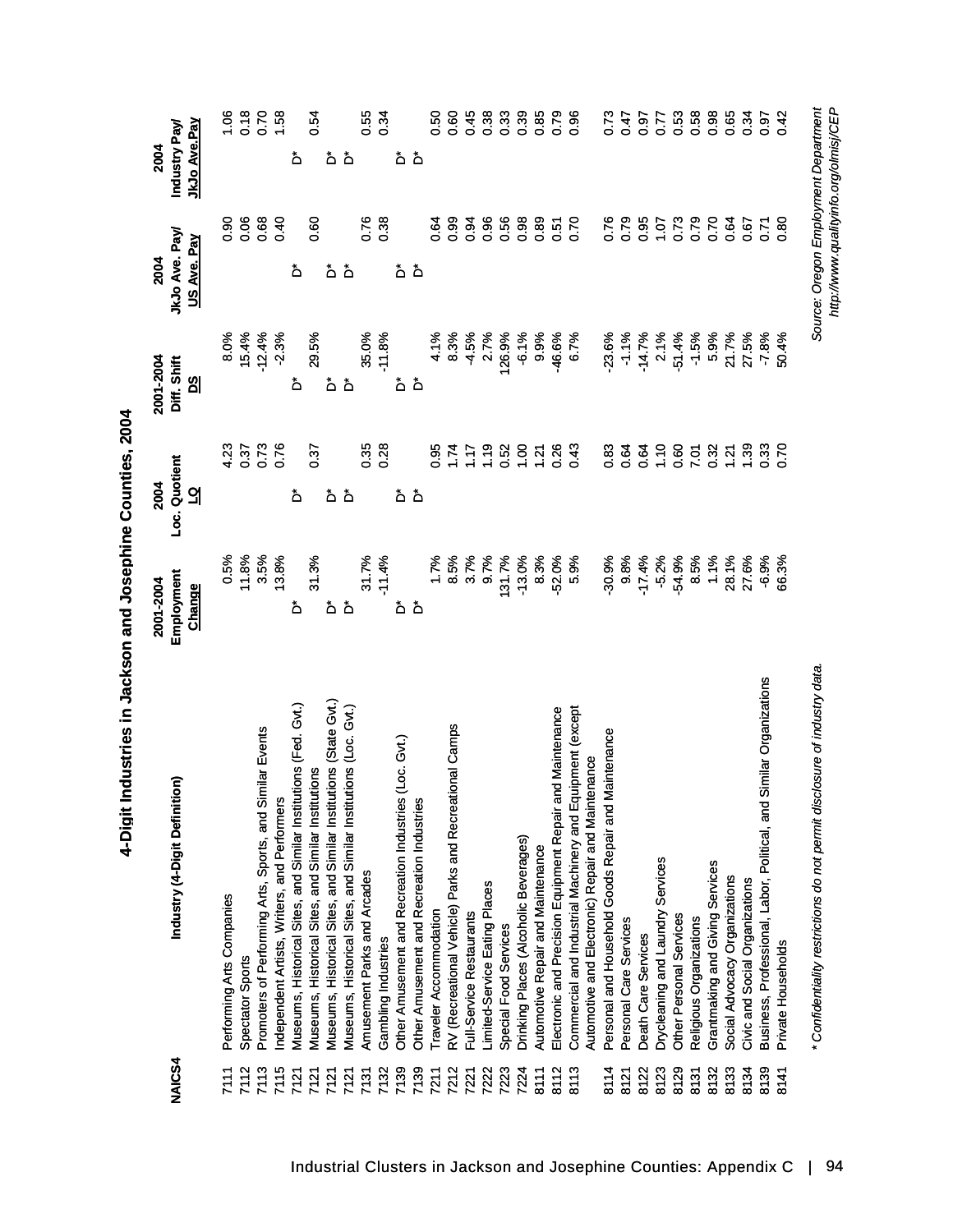| NAIC <sub>S4</sub> | Industry (4-Digit Definition)                                                                                  | Employment<br>2001-2004<br><b>Change</b> | Loc. Quotient<br>2004<br>긦           | 2001-2004<br>Diff. Shift<br><u>ଅ</u> | JkJo Ave. Pay<br>US Ave. Pay<br>2004                                          | Industry Pay/<br>JkJo Ave.Pay<br>2004 |
|--------------------|----------------------------------------------------------------------------------------------------------------|------------------------------------------|--------------------------------------|--------------------------------------|-------------------------------------------------------------------------------|---------------------------------------|
| 7111               | Performing Arts Companies                                                                                      | 0.5%                                     | 4.23                                 | 8.0%                                 | 0.90                                                                          | 1.06                                  |
| 7112               | Spectator Sports                                                                                               | 11.8%                                    | 0.37                                 | 15.4%                                | 80.0                                                                          | 0.18                                  |
| 7113               | Promoters of Performing Arts, Sports, and Similar Events                                                       | 3.5%                                     | 0.73                                 | $-12.4%$                             | 0.68                                                                          | 0.70                                  |
| 7115               | Independent Artists, Writers, and Performers                                                                   | 13.8%                                    |                                      | $-2.3%$                              | 0.40                                                                          | 1.58                                  |
| 7121               | Museums, Historical Sites, and Similar Institutions (Fed. Gvt.)                                                | ۀ                                        | ۀ                                    | ۀ                                    | ځ                                                                             | ځ                                     |
| 7121               | Museums, Historical Sites, and Similar Institutions                                                            | 31.3%                                    | 0.37                                 | 29.5%                                | <b>80</b>                                                                     | 0.54                                  |
| 7121               | Museums, Historical Sites, and Similar Institutions (State Gvt.)                                               | ة                                        | ة                                    | ة                                    | ۀ                                                                             | ۀ                                     |
| 7121               | Museums, Historical Sites, and Similar Institutions (Loc. Gvt.)                                                | ۀ                                        | ۀ                                    | ۀ                                    | ۀ                                                                             | ۀ                                     |
| 7131               | Amusement Parks and Arcades                                                                                    | 31.7%                                    | 0.35                                 | 35.0%                                | 0.76                                                                          | 0.55                                  |
| 7132               | Gambling Industries                                                                                            | $-11.4%$                                 | 0.28                                 | $-11.8%$                             | 0.38                                                                          | 0.34                                  |
| 7139               | Other Amusement and Recreation Industries (Loc. Gvt.)                                                          | ۀ                                        | ەً                                   | ۀ                                    | ەً                                                                            | ەً                                    |
| 7139               | Other Amusement and Recreation Industries                                                                      | ۀ                                        | $\Delta$                             | ۀ                                    | ځ                                                                             | ò                                     |
| 7211               | Traveler Accommodation                                                                                         | 1.7%                                     | 0.95                                 | 4.1%                                 | 0.64                                                                          | 0.50                                  |
| 7212               | RV (Recreational Vehicle) Parks and Recreational Camps                                                         | 8.5%                                     |                                      | 8.3%                                 | 0.99                                                                          | 0.60                                  |
| 7221               | Full-Service Restaurants                                                                                       | 3.7%                                     | $1.17$<br>1.17                       | $-4.5%$                              | 0.94                                                                          | 0.45                                  |
| 7222               | Limited-Service Eating Places                                                                                  | 9.7%                                     |                                      | 2.7%                                 | 0.96                                                                          | 0.38                                  |
| 7223               | Special Food Services                                                                                          | 131.7%                                   |                                      | 126.9%                               | 0.56                                                                          | 0.33                                  |
| 7224               | Drinking Places (Alcoholic Beverages)                                                                          | $-13.0%$                                 |                                      | $-6.1%$                              | 0.98                                                                          | 0.39                                  |
| 8111               | Automotive Repair and Maintenance                                                                              | 8.3%                                     | $7.88$<br>$7.89$<br>$7.88$<br>$7.88$ | 9.9%                                 | 0.89                                                                          | 0.85                                  |
| 8112               | Electronic and Precision Equipment Repair and Maintenance                                                      | $-52.0%$                                 |                                      | -46.6%                               | 0.51                                                                          | 0.79                                  |
| 8113               | Commercial and Industrial Machinery and Equipment (except<br>Automotive and Electronic) Repair and Maintenance | 5.9%                                     | 0.43                                 | 6.7%                                 | 0.70                                                                          | 0.96                                  |
| 8114               | Maintenance<br>Personal and Household Goods Repair and                                                         | $-30.9%$                                 | 0.83                                 | 23.6%                                | 0.76                                                                          | 0.73                                  |
| 8121               | Personal Care Services                                                                                         | 9.8%                                     | 0.64                                 | $-1.1%$                              | 0.79                                                                          | 6.47                                  |
| 8122               | Death Care Services                                                                                            | $-17.4%$                                 | $0.56$<br>$0.56$                     | $-14.7%$                             | 0.95                                                                          | 0.97                                  |
| 8123               | Drycleaning and Laundry Services                                                                               | $-5.2%$                                  |                                      | 2.1%                                 | 1.07                                                                          | 0.77                                  |
| 8129               | Other Personal Services                                                                                        | -54.9%                                   |                                      | $-51.4%$                             | 0.73                                                                          | 0.53                                  |
| 8131               | Religious Organizations                                                                                        | 8.5%                                     | 7.01                                 | $-1.5%$                              | 0.79                                                                          | 0.58                                  |
| 8132               | Grantmaking and Giving Services                                                                                | 1.1%                                     | 0.32                                 | 5.9%                                 | 0.70                                                                          | 0.98                                  |
| 8133               | Social Advocacy Organizations                                                                                  | 28.1%                                    | 1.21                                 | 21.7%                                | 0.64                                                                          | 0.65                                  |
| 8134               | Civic and Social Organizations                                                                                 | 27.6%                                    | $1.39$<br>0.33                       | 27.5%                                | 0.67                                                                          | 0.34                                  |
| 8139               | Similar Organizations<br>Business, Professional, Labor, Political, and                                         | $-6.9%$                                  |                                      | -7.8%                                | $\overline{C}$                                                                | 0.97                                  |
| 8141               | Private Households                                                                                             | 66.3%                                    | $\frac{5}{2}$                        | 50.4%                                | $\frac{80}{2}$                                                                | 342                                   |
|                    | * Confidentiality restrictions do not permit disclosure of industry data                                       |                                          |                                      |                                      | Source: Oregon Employment Department<br>http://www.qualityinfo.org/olmisj/CEP |                                       |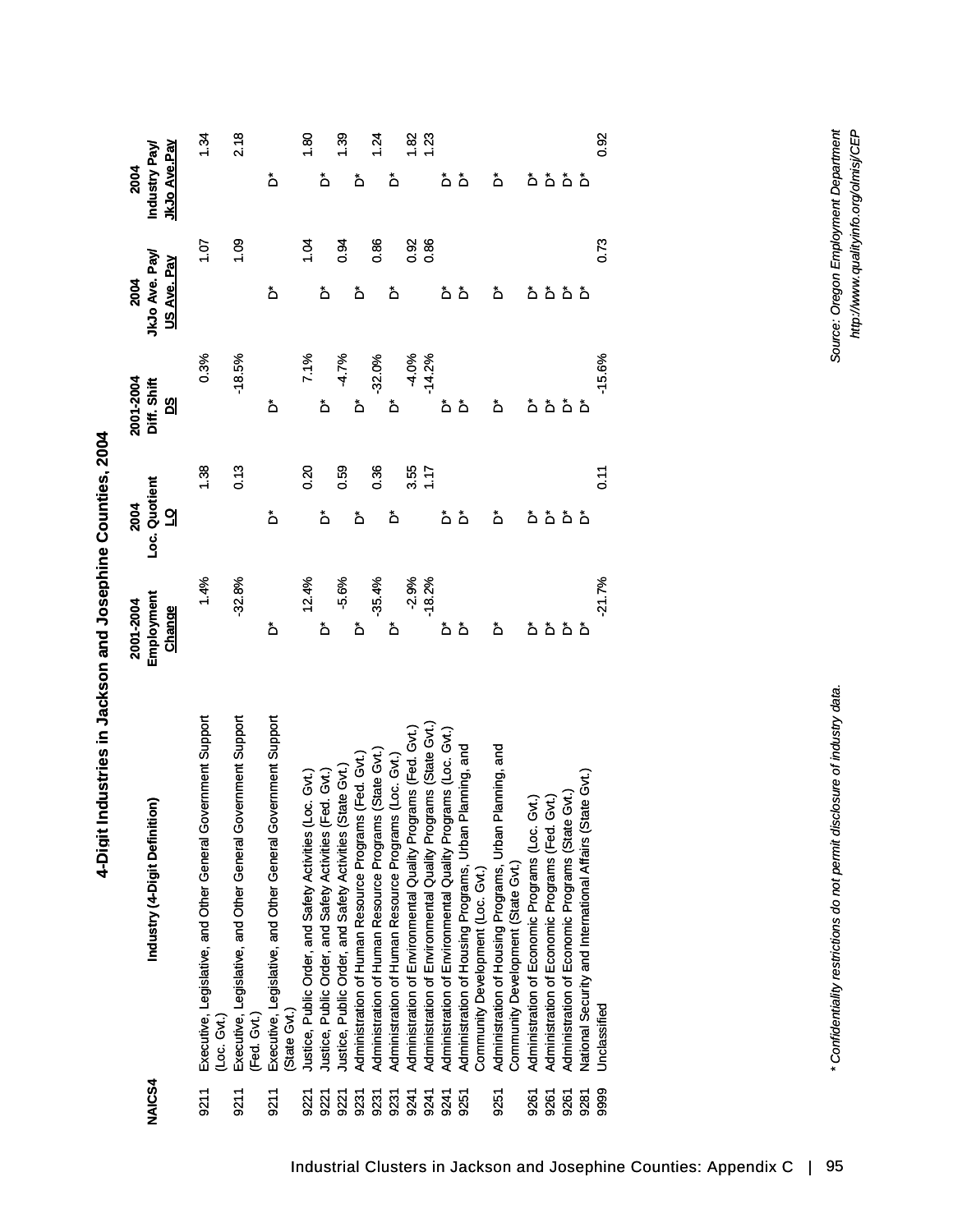| $\ddot{\bm{z}}$  |
|------------------|
| <b>.</b><br>יינו |
|                  |
|                  |

| <b>NAICS4</b> | Industry (4-Digit Definition)                                                                                        | Employment<br>2001-2004<br>Change | Loc. Quotient<br>2004<br>긦 | 2001-2004<br>Diff. Shift<br><u>ဗ</u> ျ | JkJo Ave. Pay<br>US Ave. Pay<br>2004 | <u>JkJo Ave.Pay</u><br>Industry Pay<br>2004 |
|---------------|----------------------------------------------------------------------------------------------------------------------|-----------------------------------|----------------------------|----------------------------------------|--------------------------------------|---------------------------------------------|
| 9211          | Executive, Legislative, and Other General Government Support<br>(Loc. Gvt.)                                          | 1.4%                              | 1.38                       | 0.3%                                   | 1.07                                 | 1.34                                        |
| 9211          | Executive, Legislative, and Other General Government Support<br>(Fed. Gvt.)                                          | $-32.8%$                          | 0.13                       | $-18.5%$                               | 0.09                                 | 2.18                                        |
| 9211          | Executive, Legislative, and Other General Government Support<br>State Gvt.)                                          | ڞ                                 | ڞ                          | ڞ                                      | ڞ                                    | ەً                                          |
| 9221          |                                                                                                                      | 12.4%                             | 0.20                       | 7.1%                                   | 1.04                                 | $\frac{8}{3}$                               |
| 9221          | Justice, Public Order, and Safety Activities (Loc. Gvt.)<br>Justice, Public Order, and Safety Activities (Fed. Gvt.) | ۀ                                 | ەً                         | ەً                                     | ڞ                                    | ڞ                                           |
| 922'          | Justice, Public Order, and Safety Activities (State Gvt.)                                                            | $-5.6%$                           | 0.59                       | $-4.7%$                                | 0.94                                 | $\frac{39}{2}$                              |
| 9231          | Administration of Human Resource Programs (Fed. Gvt.)                                                                | ۀ                                 | ۀ                          | ەً                                     | ڟ                                    | ځ                                           |
| 9231          | Administration of Human Resource Programs (State Gvt.                                                                | $-35.4%$                          | 0.36                       | $-32.0%$                               | 0.86                                 | 1.24                                        |
| 9231          | Administration of Human Resource Programs (Loc. Gvt.)                                                                | ەً                                | ۀ                          | ۀ                                      | ڞ                                    | ڟ                                           |
| 9241          | Administration of Environmental Quality Programs (Fed. Gvt.                                                          | $-2.9%$                           | $3.55$<br>1.17             | $-4.0\%$<br>$-14.2\%$                  | 0.92                                 | $\frac{82}{5}$                              |
| 9241          | Administration of Environmental Quality Programs (State Gvt.                                                         | $-18.2%$                          |                            |                                        | 0.86                                 | <u>ี 23</u>                                 |
| 9241          | Administration of Environmental Quality Programs (Loc. Gvt.)                                                         | ۀ                                 | ڞ                          | ەً                                     | ۀ                                    | ۀ                                           |
| 9251          | Planning, and<br>Administration of Housing Programs, Urban<br>Community Development (Loc. Gvt.)                      | ځ                                 | ۀ                          | $\mathring{\mathsf{D}}$                | ۀ                                    | ۀ                                           |
| 9251          | Administration of Housing Programs, Urban Planning, and<br>Community Development (State Gvt.)                        | ڞ                                 | ځ                          | ڞ                                      | ۀ                                    | ۀ                                           |
| 9261          | Administration of Economic Programs (Loc.                                                                            | ۀ                                 | ۀ                          | ۵                                      | ەً                                   | ۀ                                           |
| 9261          | ઉત્તે.)<br>ઉત્ત <i>ે</i><br>Administration of Economic Programs (Fed.                                                |                                   |                            |                                        |                                      |                                             |
| 9261          | Administration of Economic Programs (State Gvt.)                                                                     | هٔ هٔ هٔ                          | هٔ هٔ هٔ                   | هٔ هٔ هٔ                               | هٔ هٔ هٔ                             | هٔ هٔ هٔ                                    |
| 9281          | National Security and International Affairs (State Gvt.                                                              |                                   |                            |                                        |                                      |                                             |
| 9999          | Unclassified                                                                                                         | $-21.7%$                          | $\frac{1}{2}$              | $-15.6%$                               | 0.73                                 | 0.92                                        |

*\* Confidentiality restrictions do not permit disclosure of industry data. Source: Oregon Employment Department* \* Confidentiality restrictions do not permit disclosure of industry data.

Source: Oregon Employment Department<br>http://www.qualityinfo.org/olmisj/CEP *http://www.qualityinfo.org/olmisj/CEP*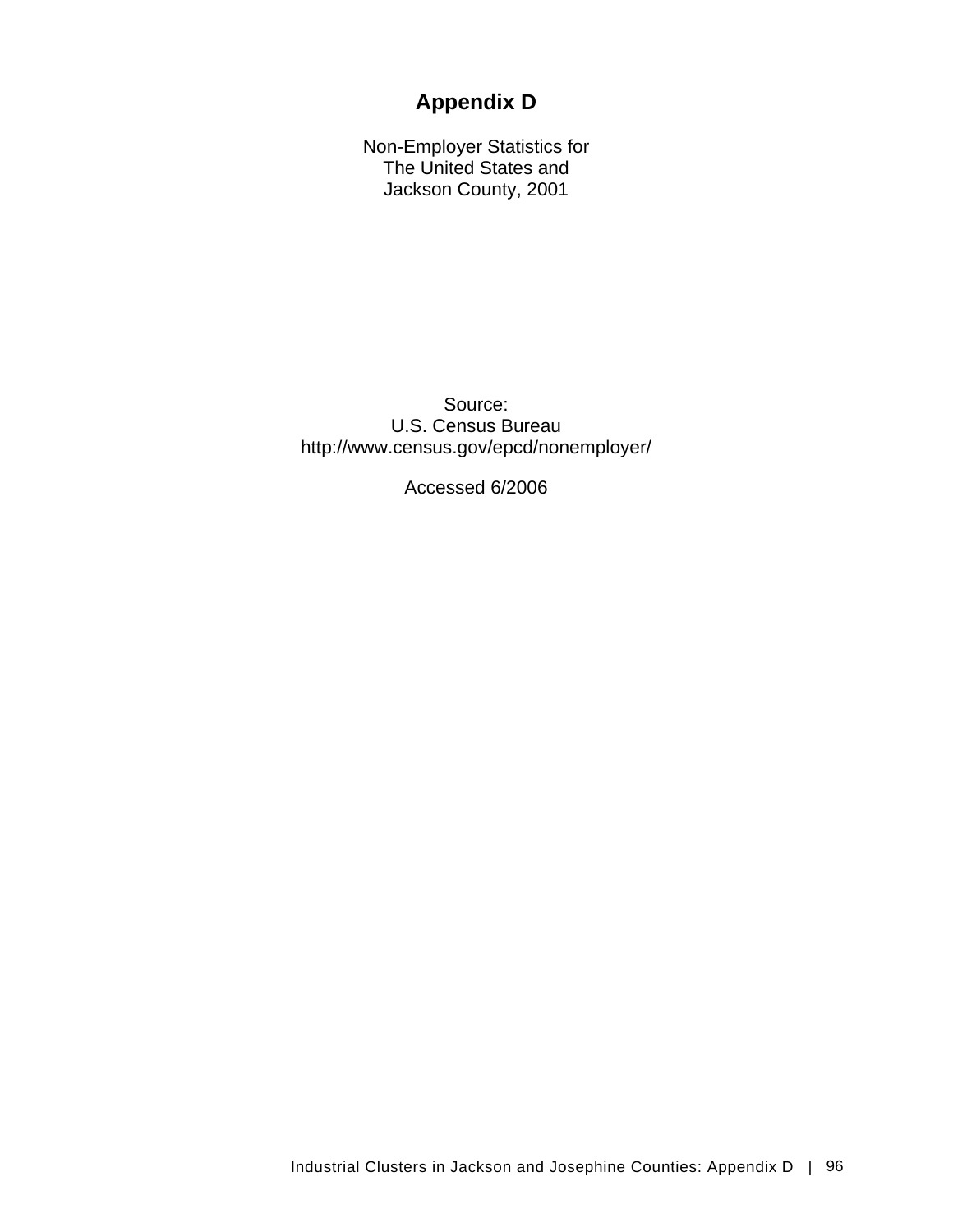# **Appendix D**

Non-Employer Statistics for The United States and Jackson County, 2001

Source: U.S. Census Bureau http://www.census.gov/epcd/nonemployer/

Accessed 6/2006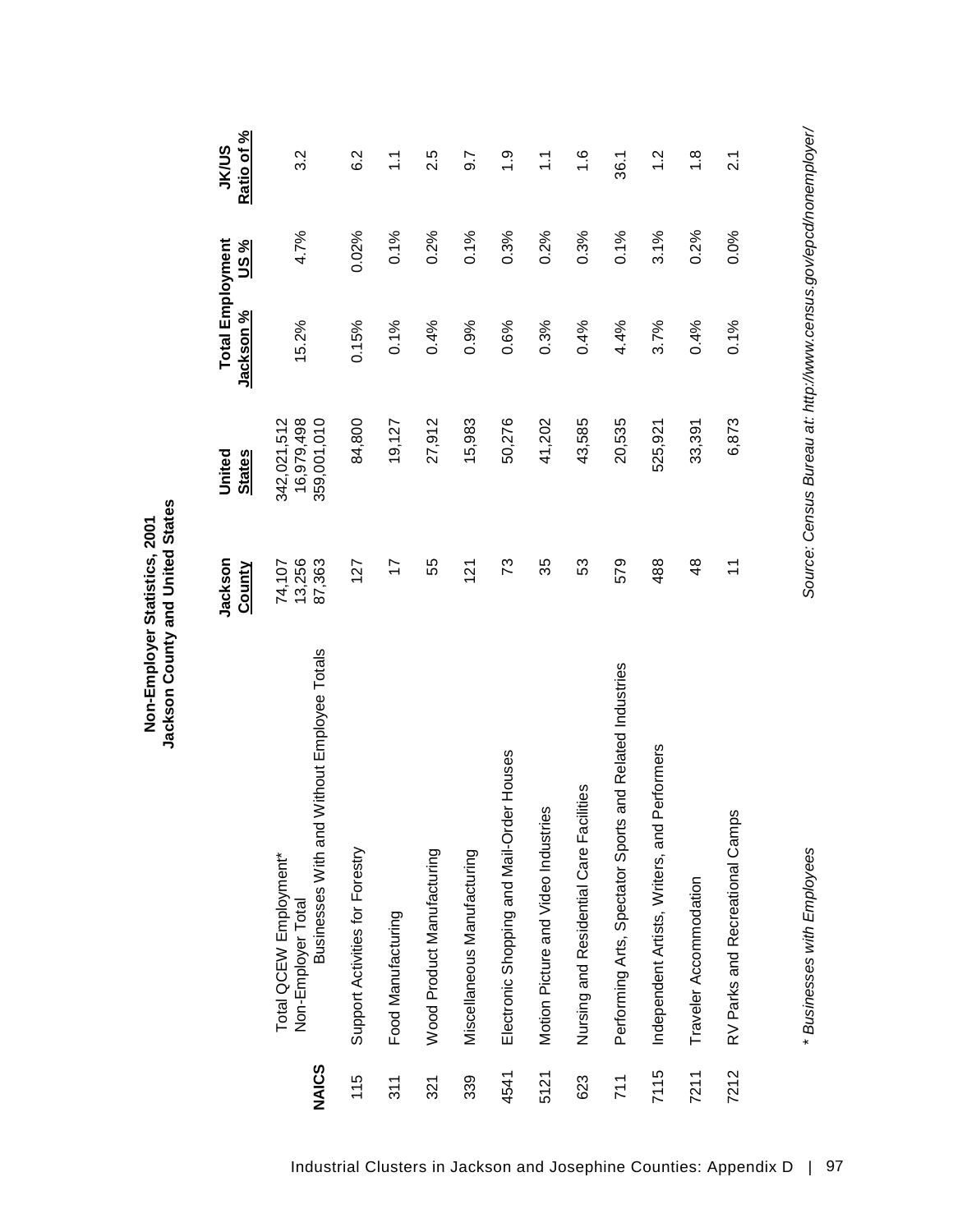|              |                                                                                             | Jackson<br><b>County</b>   | <b>States</b><br>United                  | <b>Total Employment</b><br><u>Jackson %</u> | <u>us%</u> | Ratio of %<br><b>JK/US</b> |
|--------------|---------------------------------------------------------------------------------------------|----------------------------|------------------------------------------|---------------------------------------------|------------|----------------------------|
| <b>NAICS</b> | Businesses With and Without Employee Totals<br>Total QCEW Employment*<br>Non-Employer Total | 13,256<br>87,363<br>74,107 | 16,979,498<br>359,001,010<br>342,021,512 | 15.2%                                       | 4.7%       | $3.\overline{2}$           |
| 115          | Support Activities for Forestry                                                             | 127                        | 84,800                                   | 0.15%                                       | 0.02%      | 6.2                        |
| 311          | Food Manufacturing                                                                          | 17                         | 19,127                                   | 0.1%                                        | 0.1%       | Ξ                          |
| 321          | Wood Product Manufacturing                                                                  | 55                         | 27,912                                   | 0.4%                                        | 0.2%       | 2.5                        |
| 339          | Miscellaneous Manufacturing                                                                 | 121                        | 15,983                                   | 0.9%                                        | 0.1%       | 9.7                        |
| 4541         | ler Houses<br>Electronic Shopping and Mail-Ord                                              | 73                         | 50,276                                   | 0.6%                                        | 0.3%       | $\frac{0}{1}$              |
| 5121         | Motion Picture and Video Industries                                                         | 35                         | 41,202                                   | 0.3%                                        | 0.2%       | $\tilde{\mathcal{L}}$      |
| 623          | Nursing and Residential Care Facilities                                                     | 53                         | 43,585                                   | 0.4%                                        | 0.3%       | $\frac{6}{1}$              |
| 711          | and Related Industries<br>Performing Arts, Spectator Sports                                 | 579                        | 20,535                                   | 4.4%                                        | 0.1%       | 36.1                       |
| 7115         | Performers<br>Independent Artists, Writers, and                                             | 488                        | 525,921                                  | 3.7%                                        | 3.1%       | $\frac{2}{1}$              |
| 7211         | Traveler Accommodation                                                                      | $\frac{8}{4}$              | 33,391                                   | 0.4%                                        | 0.2%       | $\frac{8}{1}$              |
| 7212         | RV Parks and Recreational Camps                                                             | $\tilde{\mathcal{L}}$      | 6,873                                    | 0.1%                                        | 0.0%       | $\overline{2.1}$           |
|              |                                                                                             |                            |                                          |                                             |            |                            |

Non-Employer Statistics, 2001<br>Jackson County and United States **Jackson County and United States Non-Employer Statistics, 2001**

Source: Census Bureau at: http://www.census.gov/epcd/nonemployer/ *\* Businesses with Employees Source: Census Bureau at: http://www.census.gov/epcd/nonemployer/*

\* Businesses with Employees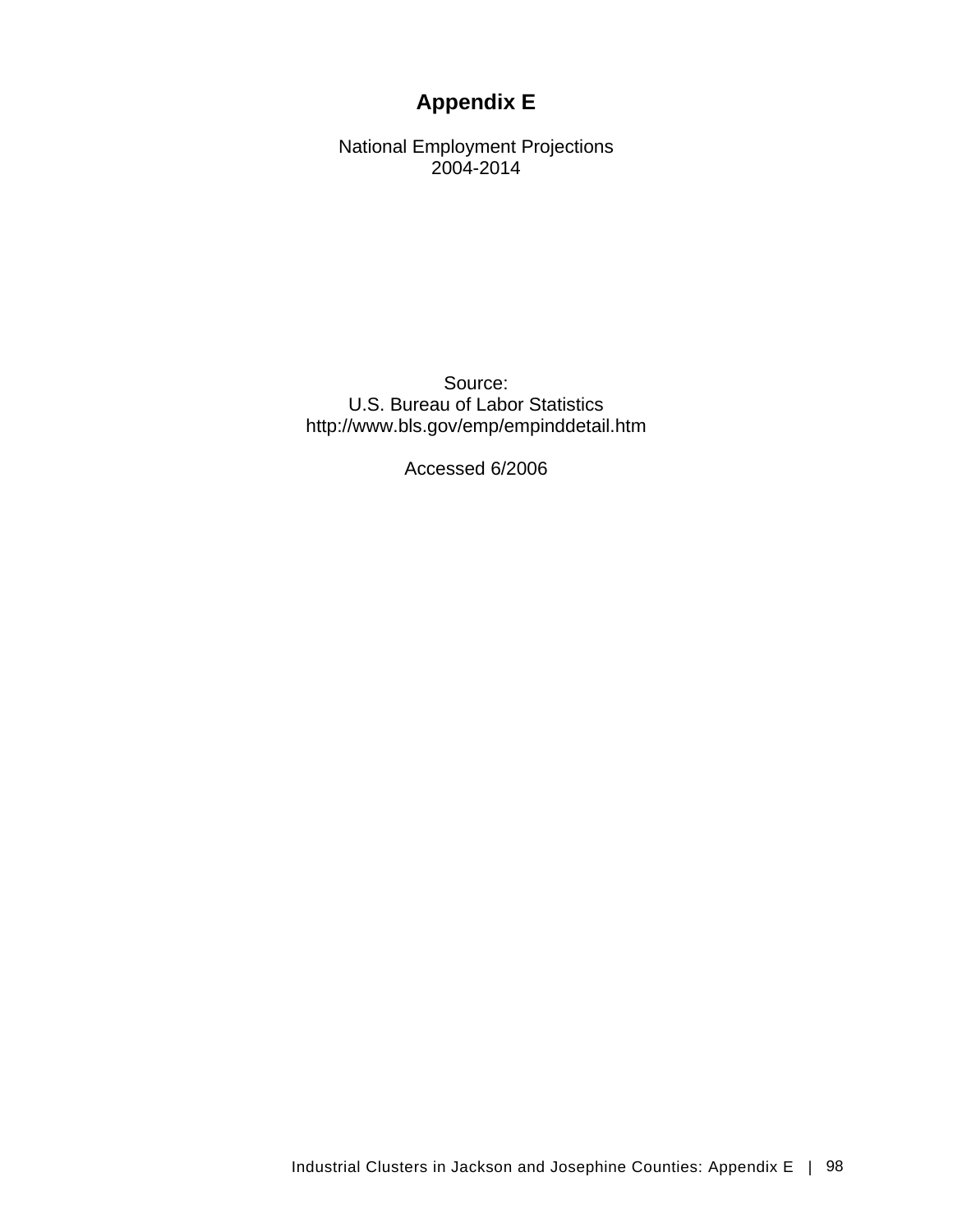# **Appendix E**

National Employment Projections 2004-2014

Source: U.S. Bureau of Labor Statistics http://www.bls.gov/emp/empinddetail.htm

Accessed 6/2006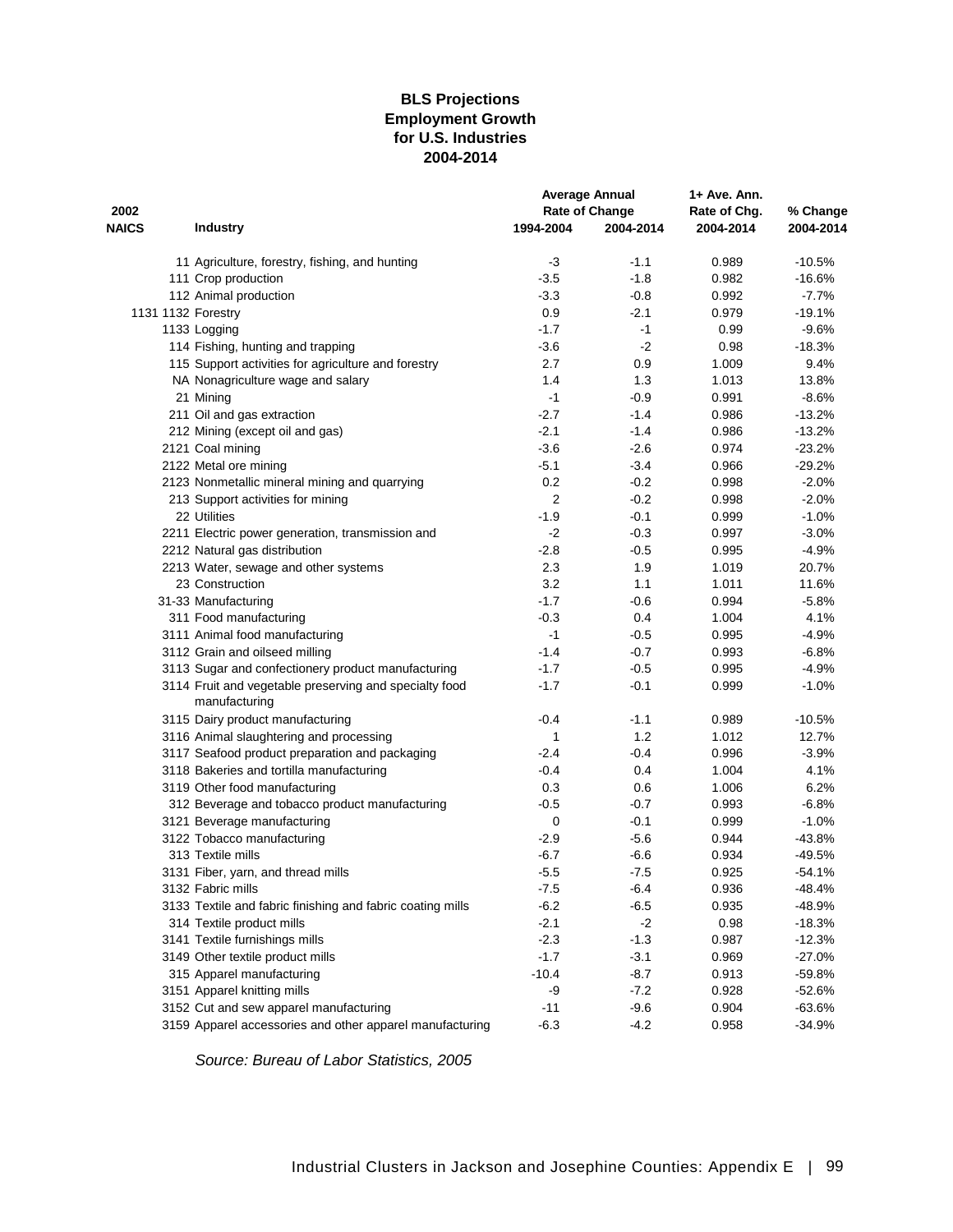### **BLS Projections Employment Growth for U.S. Industries 2004-2014**

|                    |                                                                         |           | <b>Average Annual</b> | 1+ Ave. Ann. |           |
|--------------------|-------------------------------------------------------------------------|-----------|-----------------------|--------------|-----------|
| 2002               |                                                                         |           | Rate of Change        | Rate of Chg. | % Change  |
| <b>NAICS</b>       | <b>Industry</b>                                                         | 1994-2004 | 2004-2014             | 2004-2014    | 2004-2014 |
|                    | 11 Agriculture, forestry, fishing, and hunting                          | -3        | $-1.1$                | 0.989        | $-10.5%$  |
|                    | 111 Crop production                                                     | $-3.5$    | $-1.8$                | 0.982        | $-16.6%$  |
|                    | 112 Animal production                                                   | $-3.3$    | $-0.8$                | 0.992        | $-7.7%$   |
| 1131 1132 Forestry |                                                                         | 0.9       | $-2.1$                | 0.979        | $-19.1%$  |
|                    | 1133 Logging                                                            | $-1.7$    | -1                    | 0.99         | $-9.6%$   |
|                    | 114 Fishing, hunting and trapping                                       | $-3.6$    | $-2$                  | 0.98         | $-18.3%$  |
|                    | 115 Support activities for agriculture and forestry                     | 2.7       | 0.9                   | 1.009        | 9.4%      |
|                    | NA Nonagriculture wage and salary                                       | 1.4       | 1.3                   | 1.013        | 13.8%     |
|                    | 21 Mining                                                               | $-1$      | $-0.9$                | 0.991        | $-8.6%$   |
|                    | 211 Oil and gas extraction                                              | $-2.7$    | $-1.4$                | 0.986        | $-13.2%$  |
|                    | 212 Mining (except oil and gas)                                         | $-2.1$    | $-1.4$                | 0.986        | $-13.2%$  |
|                    | 2121 Coal mining                                                        | $-3.6$    | $-2.6$                | 0.974        | $-23.2%$  |
|                    | 2122 Metal ore mining                                                   | $-5.1$    | $-3.4$                | 0.966        | $-29.2%$  |
|                    | 2123 Nonmetallic mineral mining and quarrying                           | 0.2       | $-0.2$                | 0.998        | $-2.0%$   |
|                    | 213 Support activities for mining                                       | 2         | $-0.2$                | 0.998        | $-2.0%$   |
|                    | 22 Utilities                                                            | $-1.9$    | $-0.1$                | 0.999        | $-1.0%$   |
|                    | 2211 Electric power generation, transmission and                        | $-2$      | $-0.3$                | 0.997        | $-3.0%$   |
|                    | 2212 Natural gas distribution                                           | $-2.8$    | $-0.5$                | 0.995        | $-4.9%$   |
|                    | 2213 Water, sewage and other systems                                    | 2.3       | 1.9                   | 1.019        | 20.7%     |
|                    | 23 Construction                                                         | 3.2       | 1.1                   | 1.011        | 11.6%     |
|                    | 31-33 Manufacturing                                                     | $-1.7$    | $-0.6$                | 0.994        | $-5.8%$   |
|                    | 311 Food manufacturing                                                  | $-0.3$    | 0.4                   | 1.004        | 4.1%      |
|                    | 3111 Animal food manufacturing                                          | $-1$      | $-0.5$                | 0.995        | $-4.9%$   |
|                    | 3112 Grain and oilseed milling                                          | $-1.4$    | $-0.7$                | 0.993        | $-6.8%$   |
|                    | 3113 Sugar and confectionery product manufacturing                      | $-1.7$    | $-0.5$                | 0.995        | $-4.9%$   |
|                    | 3114 Fruit and vegetable preserving and specialty food<br>manufacturing | $-1.7$    | $-0.1$                | 0.999        | $-1.0%$   |
|                    | 3115 Dairy product manufacturing                                        | $-0.4$    | $-1.1$                | 0.989        | $-10.5%$  |
|                    | 3116 Animal slaughtering and processing                                 | 1         | 1.2                   | 1.012        | 12.7%     |
|                    | 3117 Seafood product preparation and packaging                          | $-2.4$    | $-0.4$                | 0.996        | $-3.9%$   |
|                    | 3118 Bakeries and tortilla manufacturing                                | $-0.4$    | 0.4                   | 1.004        | 4.1%      |
|                    | 3119 Other food manufacturing                                           | 0.3       | 0.6                   | 1.006        | 6.2%      |
|                    | 312 Beverage and tobacco product manufacturing                          | $-0.5$    | $-0.7$                | 0.993        | $-6.8%$   |
|                    | 3121 Beverage manufacturing                                             | 0         | $-0.1$                | 0.999        | $-1.0%$   |
|                    | 3122 Tobacco manufacturing                                              | $-2.9$    | $-5.6$                | 0.944        | $-43.8%$  |
|                    | 313 Textile mills                                                       | $-6.7$    | -6.6                  | 0.934        | $-49.5%$  |
|                    | 3131 Fiber, yarn, and thread mills                                      | $-5.5$    | $-7.5$                | 0.925        | $-54.1%$  |
|                    | 3132 Fabric mills                                                       | -7.5      | -6.4                  | 0.936        | $-48.4%$  |
|                    | 3133 Textile and fabric finishing and fabric coating mills              | $-6.2$    | $-6.5$                | 0.935        | $-48.9%$  |
|                    | 314 Textile product mills                                               | $-2.1$    | $-2$                  | 0.98         | $-18.3%$  |
|                    | 3141 Textile furnishings mills                                          | $-2.3$    | $-1.3$                | 0.987        | $-12.3%$  |
|                    | 3149 Other textile product mills                                        | $-1.7$    | $-3.1$                | 0.969        | $-27.0%$  |
|                    | 315 Apparel manufacturing                                               | $-10.4$   | $-8.7$                | 0.913        | $-59.8%$  |
|                    | 3151 Apparel knitting mills                                             | -9        | $-7.2$                | 0.928        | $-52.6%$  |
|                    | 3152 Cut and sew apparel manufacturing                                  | $-11$     | $-9.6$                | 0.904        | $-63.6%$  |
|                    | 3159 Apparel accessories and other apparel manufacturing                | $-6.3$    | $-4.2$                | 0.958        | $-34.9%$  |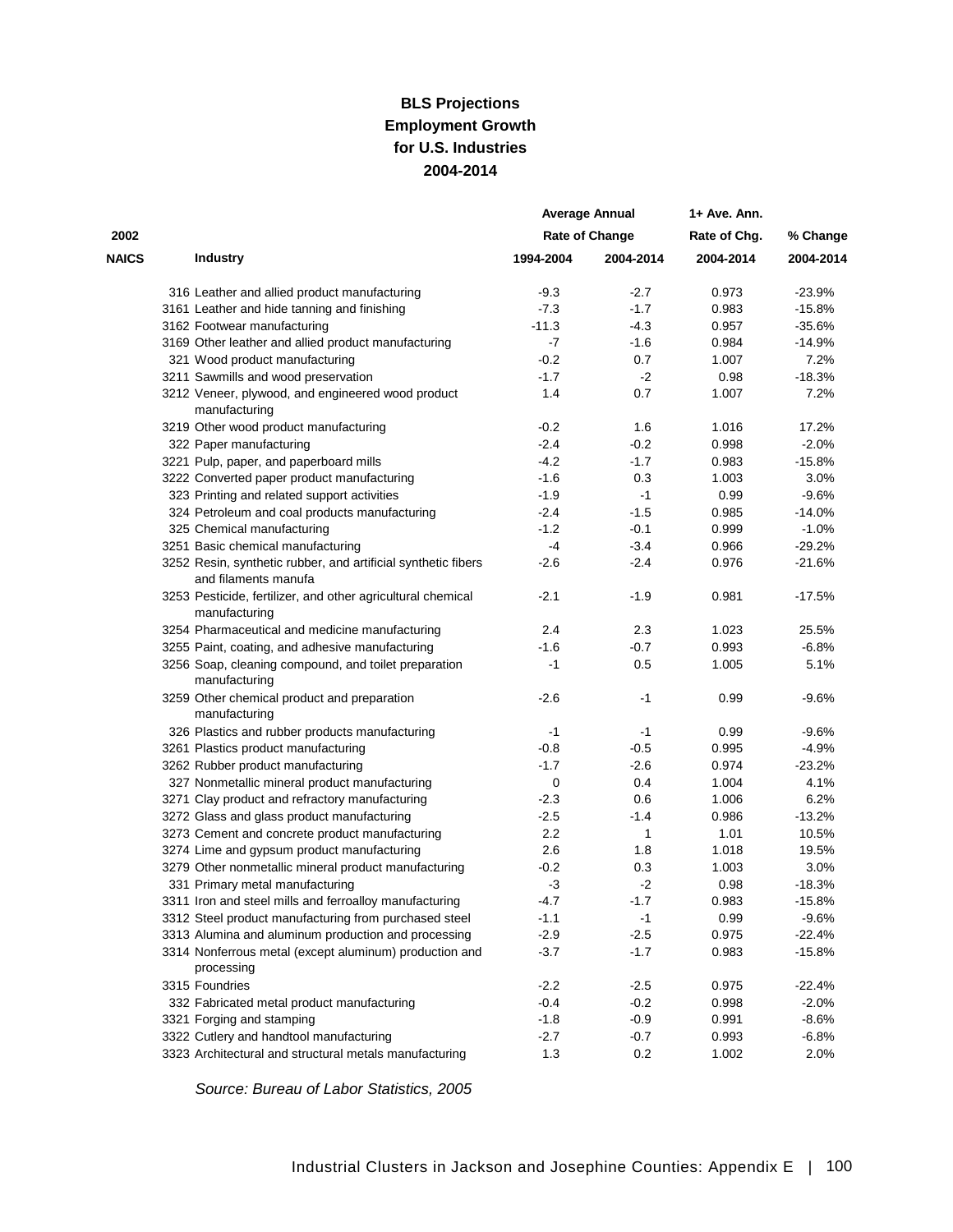### **for U.S. Industries 2004-2014 BLS Projections Employment Growth**

|              |                                                                                       |           | <b>Average Annual</b> | 1+ Ave. Ann. |           |
|--------------|---------------------------------------------------------------------------------------|-----------|-----------------------|--------------|-----------|
| 2002         |                                                                                       |           | <b>Rate of Change</b> | Rate of Chg. | % Change  |
| <b>NAICS</b> | <b>Industry</b>                                                                       | 1994-2004 | 2004-2014             | 2004-2014    | 2004-2014 |
|              | 316 Leather and allied product manufacturing                                          | $-9.3$    | $-2.7$                | 0.973        | $-23.9%$  |
|              | 3161 Leather and hide tanning and finishing                                           | $-7.3$    | $-1.7$                | 0.983        | $-15.8%$  |
|              | 3162 Footwear manufacturing                                                           | $-11.3$   | $-4.3$                | 0.957        | $-35.6%$  |
|              | 3169 Other leather and allied product manufacturing                                   | -7        | $-1.6$                | 0.984        | $-14.9%$  |
|              | 321 Wood product manufacturing                                                        | $-0.2$    | 0.7                   | 1.007        | 7.2%      |
|              | 3211 Sawmills and wood preservation                                                   | $-1.7$    | $-2$                  | 0.98         | $-18.3%$  |
|              | 3212 Veneer, plywood, and engineered wood product<br>manufacturing                    | 1.4       | 0.7                   | 1.007        | 7.2%      |
|              | 3219 Other wood product manufacturing                                                 | $-0.2$    | 1.6                   | 1.016        | 17.2%     |
|              | 322 Paper manufacturing                                                               | $-2.4$    | -0.2                  | 0.998        | $-2.0%$   |
|              | 3221 Pulp, paper, and paperboard mills                                                | $-4.2$    | $-1.7$                | 0.983        | $-15.8%$  |
|              | 3222 Converted paper product manufacturing                                            | $-1.6$    | 0.3                   | 1.003        | 3.0%      |
|              | 323 Printing and related support activities                                           | $-1.9$    | $-1$                  | 0.99         | $-9.6%$   |
|              | 324 Petroleum and coal products manufacturing                                         | $-2.4$    | $-1.5$                | 0.985        | $-14.0%$  |
|              | 325 Chemical manufacturing                                                            | $-1.2$    | $-0.1$                | 0.999        | $-1.0%$   |
|              | 3251 Basic chemical manufacturing                                                     | -4        | $-3.4$                | 0.966        | $-29.2%$  |
|              | 3252 Resin, synthetic rubber, and artificial synthetic fibers<br>and filaments manufa | $-2.6$    | -2.4                  | 0.976        | $-21.6%$  |
|              | 3253 Pesticide, fertilizer, and other agricultural chemical<br>manufacturing          | $-2.1$    | $-1.9$                | 0.981        | $-17.5%$  |
|              | 3254 Pharmaceutical and medicine manufacturing                                        | 2.4       | 2.3                   | 1.023        | 25.5%     |
|              | 3255 Paint, coating, and adhesive manufacturing                                       | $-1.6$    | $-0.7$                | 0.993        | $-6.8%$   |
|              | 3256 Soap, cleaning compound, and toilet preparation<br>manufacturing                 | $-1$      | 0.5                   | 1.005        | 5.1%      |
|              | 3259 Other chemical product and preparation<br>manufacturing                          | $-2.6$    | -1                    | 0.99         | $-9.6%$   |
|              | 326 Plastics and rubber products manufacturing                                        | -1        | $-1$                  | 0.99         | $-9.6%$   |
|              | 3261 Plastics product manufacturing                                                   | $-0.8$    | $-0.5$                | 0.995        | $-4.9%$   |
|              | 3262 Rubber product manufacturing                                                     | $-1.7$    | $-2.6$                | 0.974        | $-23.2%$  |
|              | 327 Nonmetallic mineral product manufacturing                                         | 0         | 0.4                   | 1.004        | 4.1%      |
|              | 3271 Clay product and refractory manufacturing                                        | $-2.3$    | 0.6                   | 1.006        | 6.2%      |
|              | 3272 Glass and glass product manufacturing                                            | $-2.5$    | -1.4                  | 0.986        | $-13.2%$  |
|              | 3273 Cement and concrete product manufacturing                                        | 2.2       | 1                     | 1.01         | 10.5%     |
|              | 3274 Lime and gypsum product manufacturing                                            | 2.6       | 1.8                   | 1.018        | 19.5%     |
|              | 3279 Other nonmetallic mineral product manufacturing                                  | $-0.2$    | 0.3                   | 1.003        | 3.0%      |
|              | 331 Primary metal manufacturing                                                       | $-3$      | -2                    | 0.98         | $-18.3%$  |
|              | 3311 Iron and steel mills and ferroalloy manufacturing                                | $-4.7$    | $-1.7$                | 0.983        | $-15.8%$  |
|              | 3312 Steel product manufacturing from purchased steel                                 | $-1.1$    | $-1$                  | 0.99         | $-9.6%$   |
|              | 3313 Alumina and aluminum production and processing                                   | $-2.9$    | $-2.5$                | 0.975        | $-22.4%$  |
|              | 3314 Nonferrous metal (except aluminum) production and<br>processing                  | $-3.7$    | $-1.7$                | 0.983        | $-15.8%$  |
|              | 3315 Foundries                                                                        | $-2.2$    | $-2.5$                | 0.975        | $-22.4%$  |
|              | 332 Fabricated metal product manufacturing                                            | $-0.4$    | $-0.2$                | 0.998        | $-2.0%$   |
|              | 3321 Forging and stamping                                                             | $-1.8$    | $-0.9$                | 0.991        | $-8.6%$   |
|              | 3322 Cutlery and handtool manufacturing                                               | $-2.7$    | $-0.7$                | 0.993        | $-6.8%$   |
|              | 3323 Architectural and structural metals manufacturing                                | 1.3       | 0.2                   | 1.002        | 2.0%      |
|              |                                                                                       |           |                       |              |           |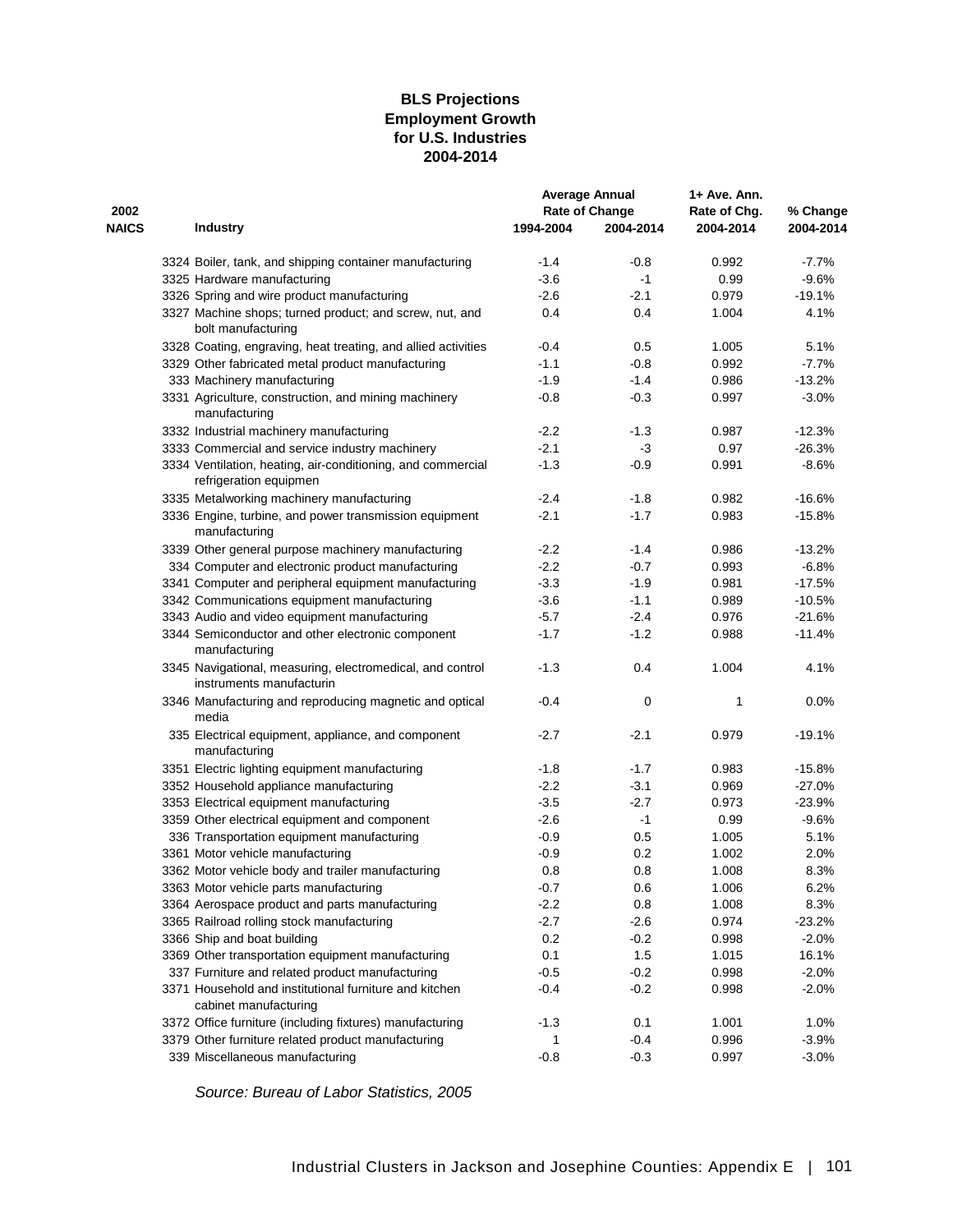### **BLS Projections Employment Growth for U.S. Industries 2004-2014**

|              |                                                                                       |           | <b>Average Annual</b> | 1+ Ave. Ann. |           |
|--------------|---------------------------------------------------------------------------------------|-----------|-----------------------|--------------|-----------|
| 2002         |                                                                                       |           | <b>Rate of Change</b> | Rate of Chg. | % Change  |
| <b>NAICS</b> | <b>Industry</b>                                                                       | 1994-2004 | 2004-2014             | 2004-2014    | 2004-2014 |
|              | 3324 Boiler, tank, and shipping container manufacturing                               | $-1.4$    | $-0.8$                | 0.992        | $-7.7%$   |
|              | 3325 Hardware manufacturing                                                           | $-3.6$    | $-1$                  | 0.99         | $-9.6%$   |
|              | 3326 Spring and wire product manufacturing                                            | $-2.6$    | -2.1                  | 0.979        | $-19.1%$  |
|              | 3327 Machine shops; turned product; and screw, nut, and<br>bolt manufacturing         | 0.4       | 0.4                   | 1.004        | 4.1%      |
|              | 3328 Coating, engraving, heat treating, and allied activities                         | $-0.4$    | 0.5                   | 1.005        | 5.1%      |
|              | 3329 Other fabricated metal product manufacturing                                     | $-1.1$    | $-0.8$                | 0.992        | $-7.7%$   |
|              | 333 Machinery manufacturing                                                           | $-1.9$    | $-1.4$                | 0.986        | $-13.2%$  |
|              | 3331 Agriculture, construction, and mining machinery<br>manufacturing                 | $-0.8$    | $-0.3$                | 0.997        | $-3.0%$   |
|              | 3332 Industrial machinery manufacturing                                               | $-2.2$    | $-1.3$                | 0.987        | $-12.3%$  |
|              | 3333 Commercial and service industry machinery                                        | $-2.1$    | $-3$                  | 0.97         | $-26.3%$  |
|              | 3334 Ventilation, heating, air-conditioning, and commercial<br>refrigeration equipmen | $-1.3$    | $-0.9$                | 0.991        | $-8.6%$   |
|              | 3335 Metalworking machinery manufacturing                                             | $-2.4$    | $-1.8$                | 0.982        | $-16.6%$  |
|              | 3336 Engine, turbine, and power transmission equipment<br>manufacturing               | $-2.1$    | $-1.7$                | 0.983        | $-15.8%$  |
|              | 3339 Other general purpose machinery manufacturing                                    | $-2.2$    | $-1.4$                | 0.986        | $-13.2%$  |
|              | 334 Computer and electronic product manufacturing                                     | $-2.2$    | $-0.7$                | 0.993        | $-6.8%$   |
|              | 3341 Computer and peripheral equipment manufacturing                                  | $-3.3$    | $-1.9$                | 0.981        | $-17.5%$  |
|              | 3342 Communications equipment manufacturing                                           | $-3.6$    | $-1.1$                | 0.989        | $-10.5%$  |
|              | 3343 Audio and video equipment manufacturing                                          | $-5.7$    | $-2.4$                | 0.976        | $-21.6%$  |
|              | 3344 Semiconductor and other electronic component<br>manufacturing                    | $-1.7$    | $-1.2$                | 0.988        | $-11.4%$  |
|              | 3345 Navigational, measuring, electromedical, and control<br>instruments manufacturin | $-1.3$    | 0.4                   | 1.004        | 4.1%      |
|              | 3346 Manufacturing and reproducing magnetic and optical<br>media                      | $-0.4$    | 0                     | 1            | 0.0%      |
|              | 335 Electrical equipment, appliance, and component<br>manufacturing                   | $-2.7$    | $-2.1$                | 0.979        | $-19.1%$  |
|              | 3351 Electric lighting equipment manufacturing                                        | $-1.8$    | $-1.7$                | 0.983        | $-15.8%$  |
|              | 3352 Household appliance manufacturing                                                | $-2.2$    | $-3.1$                | 0.969        | $-27.0%$  |
|              | 3353 Electrical equipment manufacturing                                               | $-3.5$    | $-2.7$                | 0.973        | $-23.9%$  |
|              | 3359 Other electrical equipment and component                                         | $-2.6$    | $-1$                  | 0.99         | $-9.6%$   |
|              | 336 Transportation equipment manufacturing                                            | $-0.9$    | 0.5                   | 1.005        | 5.1%      |
|              | 3361 Motor vehicle manufacturing                                                      | $-0.9$    | 0.2                   | 1.002        | 2.0%      |
|              | 3362 Motor vehicle body and trailer manufacturing                                     | 0.8       | 0.8                   | 1.008        | 8.3%      |
|              | 3363 Motor vehicle parts manufacturing                                                | $-0.7$    | 0.6                   | 1.006        | 6.2%      |
|              | 3364 Aerospace product and parts manufacturing                                        | $-2.2$    | 0.8                   | 1.008        | 8.3%      |
|              | 3365 Railroad rolling stock manufacturing                                             | $-2.7$    | $-2.6$                | 0.974        | $-23.2%$  |
|              | 3366 Ship and boat building                                                           | 0.2       | $-0.2$                | 0.998        | $-2.0%$   |
|              | 3369 Other transportation equipment manufacturing                                     | 0.1       | 1.5                   | 1.015        | 16.1%     |
|              | 337 Furniture and related product manufacturing                                       | $-0.5$    | $-0.2$                | 0.998        | $-2.0%$   |
|              | 3371 Household and institutional furniture and kitchen<br>cabinet manufacturing       | $-0.4$    | $-0.2$                | 0.998        | $-2.0%$   |
|              | 3372 Office furniture (including fixtures) manufacturing                              | $-1.3$    | 0.1                   | 1.001        | 1.0%      |
|              | 3379 Other furniture related product manufacturing                                    | 1         | $-0.4$                | 0.996        | $-3.9%$   |
|              | 339 Miscellaneous manufacturing                                                       | $-0.8$    | $-0.3$                | 0.997        | $-3.0%$   |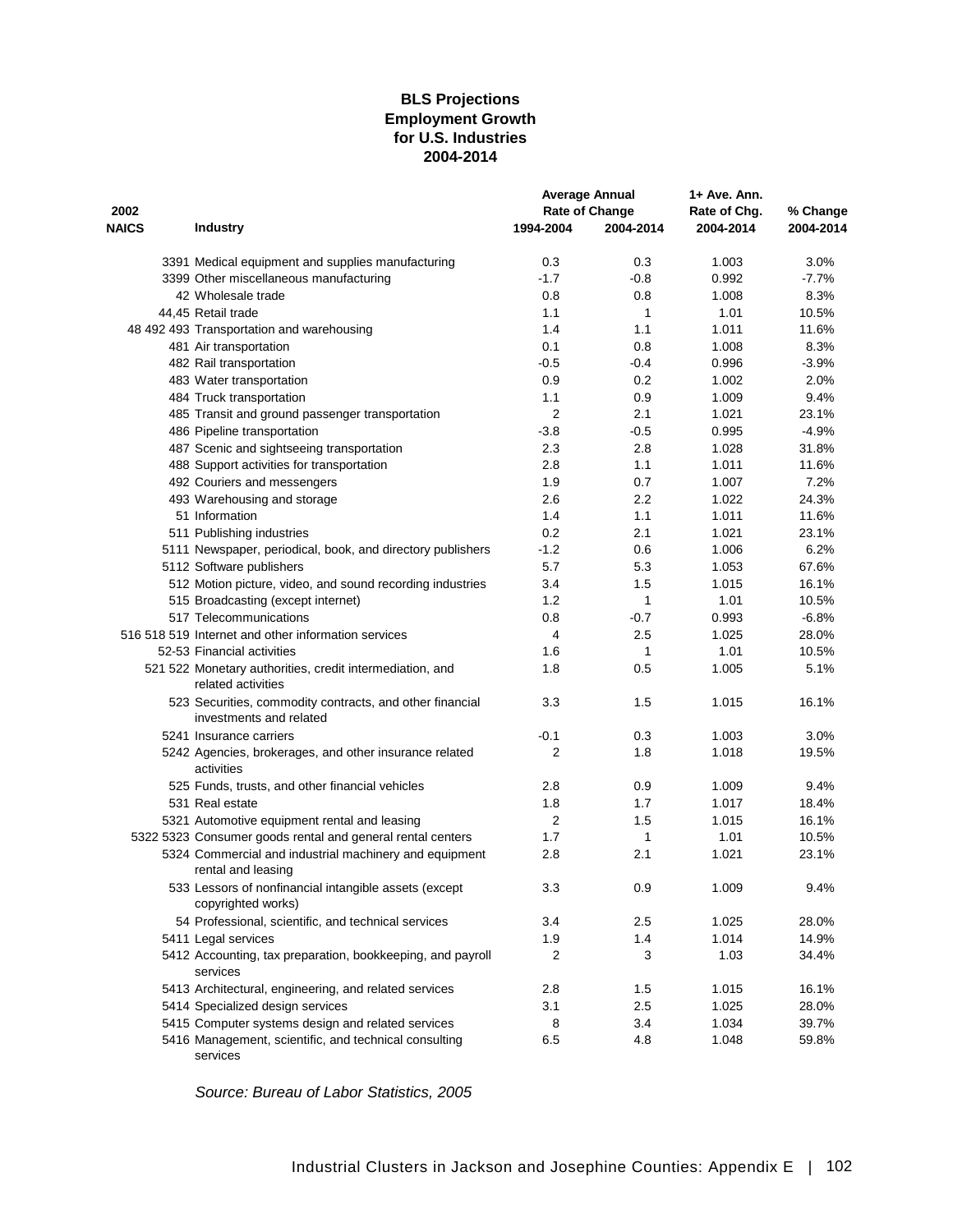### **BLS Projections Employment Growth for U.S. Industries 2004-2014**

|              |                                                                                     |                | <b>Average Annual</b> | 1+ Ave. Ann. |           |
|--------------|-------------------------------------------------------------------------------------|----------------|-----------------------|--------------|-----------|
| 2002         |                                                                                     |                | Rate of Change        | Rate of Chg. | % Change  |
| <b>NAICS</b> | <b>Industry</b>                                                                     | 1994-2004      | 2004-2014             | 2004-2014    | 2004-2014 |
|              | 3391 Medical equipment and supplies manufacturing                                   | 0.3            | 0.3                   | 1.003        | 3.0%      |
|              | 3399 Other miscellaneous manufacturing                                              | $-1.7$         | $-0.8$                | 0.992        | $-7.7%$   |
|              | 42 Wholesale trade                                                                  | 0.8            | 0.8                   | 1.008        | 8.3%      |
|              | 44,45 Retail trade                                                                  | 1.1            | 1                     | 1.01         | 10.5%     |
|              | 48 492 493 Transportation and warehousing                                           | 1.4            | 1.1                   | 1.011        | 11.6%     |
|              | 481 Air transportation                                                              | 0.1            | 0.8                   | 1.008        | 8.3%      |
|              | 482 Rail transportation                                                             | $-0.5$         | $-0.4$                | 0.996        | $-3.9%$   |
|              | 483 Water transportation                                                            | 0.9            | 0.2                   | 1.002        | 2.0%      |
|              | 484 Truck transportation                                                            | 1.1            | 0.9                   | 1.009        | 9.4%      |
|              | 485 Transit and ground passenger transportation                                     | $\overline{2}$ | 2.1                   | 1.021        | 23.1%     |
|              | 486 Pipeline transportation                                                         | $-3.8$         | $-0.5$                | 0.995        | $-4.9%$   |
|              | 487 Scenic and sightseeing transportation                                           | 2.3            | 2.8                   | 1.028        | 31.8%     |
|              | 488 Support activities for transportation                                           | 2.8            | 1.1                   | 1.011        | 11.6%     |
|              | 492 Couriers and messengers                                                         | 1.9            | 0.7                   | 1.007        | 7.2%      |
|              |                                                                                     |                |                       |              | 24.3%     |
|              | 493 Warehousing and storage<br>51 Information                                       | 2.6            | 2.2                   | 1.022        |           |
|              |                                                                                     | 1.4            | 1.1                   | 1.011        | 11.6%     |
|              | 511 Publishing industries                                                           | 0.2            | 2.1                   | 1.021        | 23.1%     |
|              | 5111 Newspaper, periodical, book, and directory publishers                          | $-1.2$         | 0.6                   | 1.006        | 6.2%      |
|              | 5112 Software publishers                                                            | 5.7            | 5.3                   | 1.053        | 67.6%     |
|              | 512 Motion picture, video, and sound recording industries                           | 3.4            | 1.5                   | 1.015        | 16.1%     |
|              | 515 Broadcasting (except internet)                                                  | 1.2            | 1                     | 1.01         | 10.5%     |
|              | 517 Telecommunications                                                              | 0.8            | $-0.7$                | 0.993        | $-6.8%$   |
|              | 516 518 519 Internet and other information services                                 | 4              | 2.5                   | 1.025        | 28.0%     |
|              | 52-53 Financial activities                                                          | 1.6            | 1                     | 1.01         | 10.5%     |
|              | 521 522 Monetary authorities, credit intermediation, and<br>related activities      | 1.8            | 0.5                   | 1.005        | 5.1%      |
|              | 523 Securities, commodity contracts, and other financial<br>investments and related | 3.3            | 1.5                   | 1.015        | 16.1%     |
|              | 5241 Insurance carriers                                                             | $-0.1$         | 0.3                   | 1.003        | 3.0%      |
|              | 5242 Agencies, brokerages, and other insurance related<br>activities                | 2              | 1.8                   | 1.018        | 19.5%     |
|              | 525 Funds, trusts, and other financial vehicles                                     | 2.8            | 0.9                   | 1.009        | 9.4%      |
|              | 531 Real estate                                                                     | 1.8            | 1.7                   | 1.017        | 18.4%     |
|              | 5321 Automotive equipment rental and leasing                                        | 2              | 1.5                   | 1.015        | 16.1%     |
|              | 5322 5323 Consumer goods rental and general rental centers                          | 1.7            | 1                     | 1.01         | 10.5%     |
|              | 5324 Commercial and industrial machinery and equipment<br>rental and leasing        | 2.8            | 2.1                   | 1.021        | 23.1%     |
|              | 533 Lessors of nonfinancial intangible assets (except<br>copyrighted works)         | 3.3            | 0.9                   | 1.009        | 9.4%      |
|              | 54 Professional, scientific, and technical services                                 | 3.4            | 2.5                   | 1.025        | 28.0%     |
|              | 5411 Legal services                                                                 | 1.9            | 1.4                   | 1.014        | 14.9%     |
|              | 5412 Accounting, tax preparation, bookkeeping, and payroll                          | $\overline{2}$ | 3                     | 1.03         | 34.4%     |
|              | services                                                                            |                |                       |              |           |
|              | 5413 Architectural, engineering, and related services                               | 2.8            | 1.5                   | 1.015        | 16.1%     |
|              | 5414 Specialized design services                                                    | 3.1            | 2.5                   | 1.025        | 28.0%     |
|              | 5415 Computer systems design and related services                                   | 8              | 3.4                   | 1.034        | 39.7%     |
|              | 5416 Management, scientific, and technical consulting<br>services                   | 6.5            | 4.8                   | 1.048        | 59.8%     |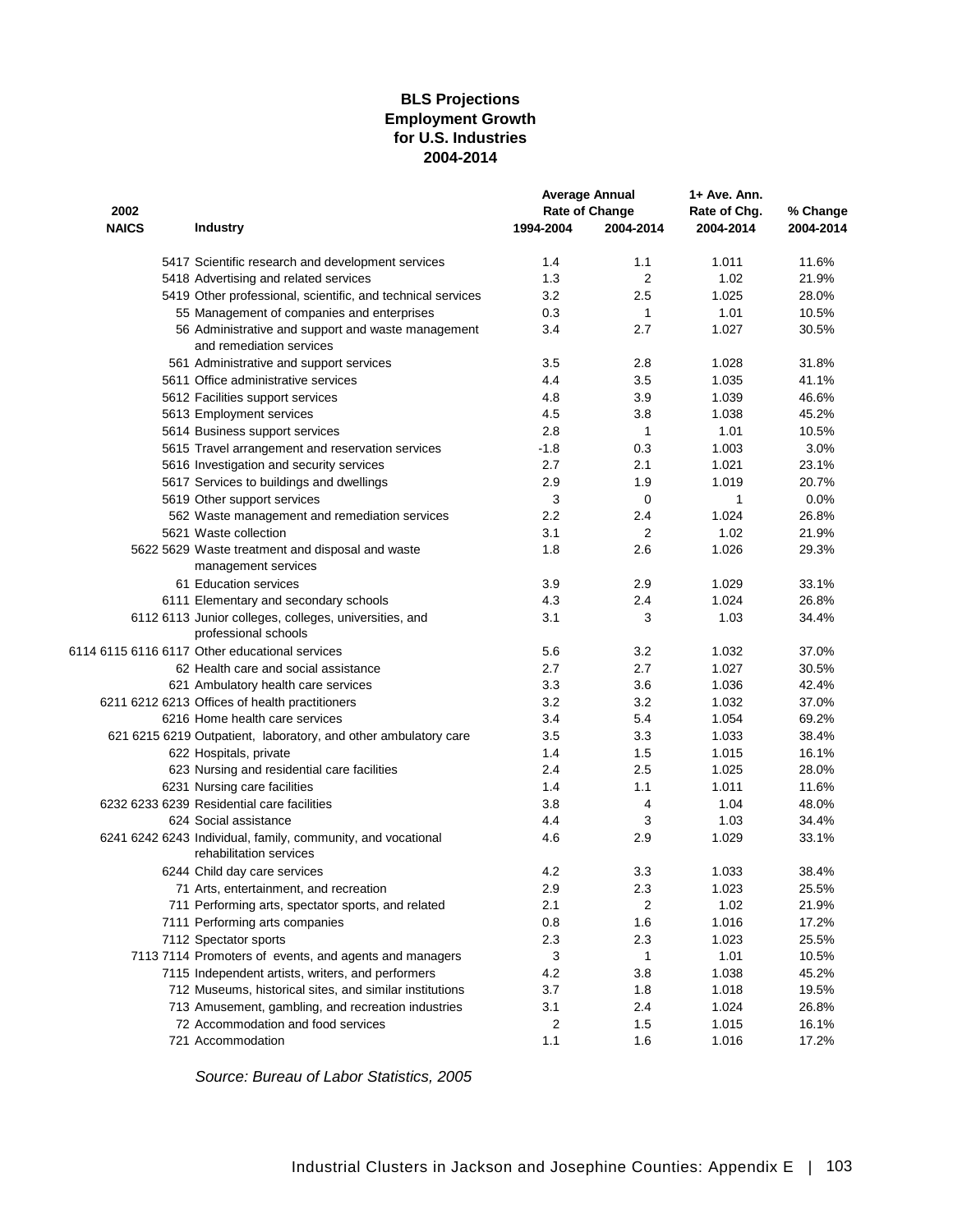### **Employment Growth for U.S. Industries 2004-2014 BLS Projections**

|              |                                                                                         |           | <b>Average Annual</b> | 1+ Ave. Ann. |           |  |
|--------------|-----------------------------------------------------------------------------------------|-----------|-----------------------|--------------|-----------|--|
| 2002         |                                                                                         |           | <b>Rate of Change</b> | Rate of Chq. | % Change  |  |
| <b>NAICS</b> | <b>Industry</b>                                                                         | 1994-2004 | 2004-2014             | 2004-2014    | 2004-2014 |  |
|              | 5417 Scientific research and development services                                       | 1.4       | 1.1                   | 1.011        | 11.6%     |  |
|              | 5418 Advertising and related services                                                   | 1.3       | 2                     | 1.02         | 21.9%     |  |
|              | 5419 Other professional, scientific, and technical services                             | 3.2       | 2.5                   | 1.025        | 28.0%     |  |
|              | 55 Management of companies and enterprises                                              | 0.3       | $\mathbf{1}$          | 1.01         | 10.5%     |  |
|              | 56 Administrative and support and waste management<br>and remediation services          | 3.4       | 2.7                   | 1.027        | 30.5%     |  |
|              | 561 Administrative and support services                                                 | 3.5       | 2.8                   | 1.028        | 31.8%     |  |
|              | 5611 Office administrative services                                                     | 4.4       | 3.5                   | 1.035        | 41.1%     |  |
|              | 5612 Facilities support services                                                        | 4.8       | 3.9                   | 1.039        | 46.6%     |  |
|              | 5613 Employment services                                                                | 4.5       | 3.8                   | 1.038        | 45.2%     |  |
|              | 5614 Business support services                                                          | 2.8       | 1                     | 1.01         | 10.5%     |  |
|              | 5615 Travel arrangement and reservation services                                        | $-1.8$    | 0.3                   | 1.003        | 3.0%      |  |
|              | 5616 Investigation and security services                                                | 2.7       | 2.1                   | 1.021        | 23.1%     |  |
|              | 5617 Services to buildings and dwellings                                                | 2.9       | 1.9                   | 1.019        | 20.7%     |  |
|              | 5619 Other support services                                                             | 3         | 0                     | 1            | 0.0%      |  |
|              | 562 Waste management and remediation services                                           | $2.2\,$   | 2.4                   | 1.024        | 26.8%     |  |
|              | 5621 Waste collection                                                                   | 3.1       | 2                     | 1.02         | 21.9%     |  |
|              | 5622 5629 Waste treatment and disposal and waste                                        | 1.8       | 2.6                   | 1.026        | 29.3%     |  |
|              | management services                                                                     |           |                       |              |           |  |
|              | 61 Education services                                                                   | 3.9       | 2.9                   | 1.029        | 33.1%     |  |
|              | 6111 Elementary and secondary schools                                                   | 4.3       | 2.4                   | 1.024        | 26.8%     |  |
|              | 6112 6113 Junior colleges, colleges, universities, and                                  | 3.1       | 3                     | 1.03         | 34.4%     |  |
|              | professional schools                                                                    |           |                       |              |           |  |
|              | 6114 6115 6116 6117 Other educational services                                          | 5.6       | 3.2                   | 1.032        | 37.0%     |  |
|              | 62 Health care and social assistance                                                    | 2.7       | 2.7                   | 1.027        | 30.5%     |  |
|              | 621 Ambulatory health care services                                                     | 3.3       | 3.6                   | 1.036        | 42.4%     |  |
|              | 6211 6212 6213 Offices of health practitioners                                          | 3.2       | 3.2                   | 1.032        | 37.0%     |  |
|              | 6216 Home health care services                                                          | 3.4       | 5.4                   | 1.054        | 69.2%     |  |
|              |                                                                                         | 3.5       | 3.3                   | 1.033        | 38.4%     |  |
|              | 621 6215 6219 Outpatient, laboratory, and other ambulatory care                         | 1.4       | 1.5                   | 1.015        | 16.1%     |  |
|              | 622 Hospitals, private                                                                  |           |                       |              |           |  |
|              | 623 Nursing and residential care facilities                                             | 2.4       | 2.5                   | 1.025        | 28.0%     |  |
|              | 6231 Nursing care facilities                                                            | 1.4       | 1.1                   | 1.011        | 11.6%     |  |
|              | 6232 6233 6239 Residential care facilities                                              | 3.8       | 4                     | 1.04         | 48.0%     |  |
|              | 624 Social assistance                                                                   | 4.4       | 3                     | 1.03         | 34.4%     |  |
|              | 6241 6242 6243 Individual, family, community, and vocational<br>rehabilitation services | 4.6       | 2.9                   | 1.029        | 33.1%     |  |
|              | 6244 Child day care services                                                            | 4.2       | 3.3                   | 1.033        | 38.4%     |  |
|              | 71 Arts, entertainment, and recreation                                                  | 2.9       | 2.3                   | 1.023        | 25.5%     |  |
|              | 711 Performing arts, spectator sports, and related                                      | 2.1       | $\overline{c}$        | 1.02         | 21.9%     |  |
|              | 7111 Performing arts companies                                                          | 0.8       | 1.6                   | 1.016        | 17.2%     |  |
|              | 7112 Spectator sports                                                                   | 2.3       | 2.3                   | 1.023        | 25.5%     |  |
|              | 7113 7114 Promoters of events, and agents and managers                                  | 3         | 1                     | 1.01         | 10.5%     |  |
|              | 7115 Independent artists, writers, and performers                                       | 4.2       | 3.8                   | 1.038        | 45.2%     |  |
|              | 712 Museums, historical sites, and similar institutions                                 | 3.7       | 1.8                   | 1.018        | 19.5%     |  |
|              | 713 Amusement, gambling, and recreation industries                                      | 3.1       | 2.4                   | 1.024        | 26.8%     |  |
|              | 72 Accommodation and food services                                                      | 2         | 1.5                   | 1.015        | 16.1%     |  |
|              | 721 Accommodation                                                                       | 1.1       | 1.6                   | 1.016        | 17.2%     |  |
|              |                                                                                         |           |                       |              |           |  |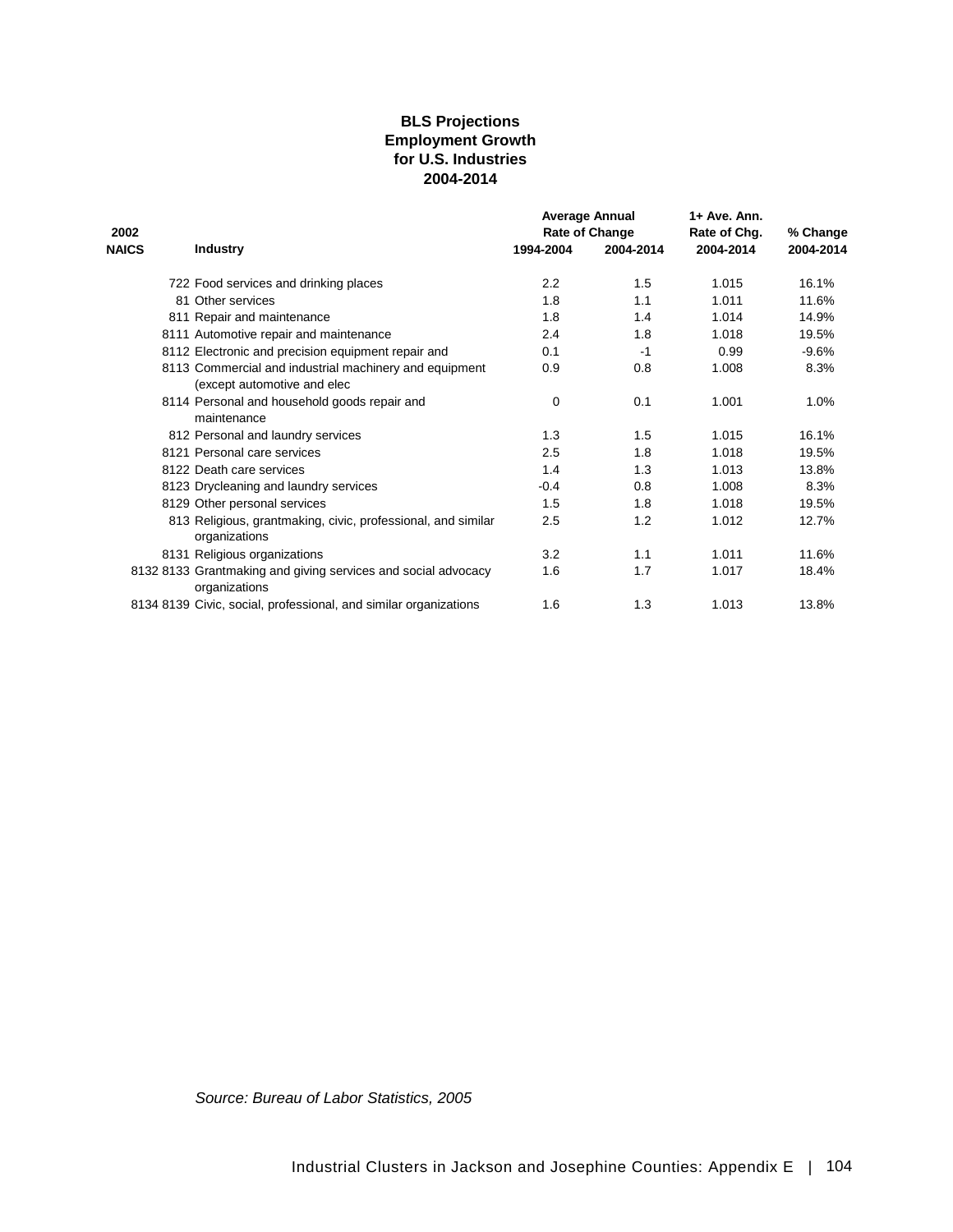### **for U.S. Industries 2004-2014 BLS Projections Employment Growth**

|              |                                                                                       |           | <b>Average Annual</b> | 1+ Ave. Ann. |           |
|--------------|---------------------------------------------------------------------------------------|-----------|-----------------------|--------------|-----------|
| 2002         |                                                                                       |           | Rate of Change        | Rate of Chg. | % Change  |
| <b>NAICS</b> | <b>Industry</b>                                                                       | 1994-2004 | 2004-2014             | 2004-2014    | 2004-2014 |
|              | 722 Food services and drinking places                                                 | 2.2       | 1.5                   | 1.015        | 16.1%     |
|              | 81 Other services                                                                     | 1.8       | 1.1                   | 1.011        | 11.6%     |
|              | 811 Repair and maintenance                                                            | 1.8       | 1.4                   | 1.014        | 14.9%     |
|              | 8111 Automotive repair and maintenance                                                | 2.4       | 1.8                   | 1.018        | 19.5%     |
|              | 8112 Electronic and precision equipment repair and                                    | 0.1       | $-1$                  | 0.99         | $-9.6%$   |
|              | 8113 Commercial and industrial machinery and equipment<br>(except automotive and elec | 0.9       | 0.8                   | 1.008        | 8.3%      |
|              | 8114 Personal and household goods repair and<br>maintenance                           | 0         | 0.1                   | 1.001        | 1.0%      |
|              | 812 Personal and laundry services                                                     | 1.3       | 1.5                   | 1.015        | 16.1%     |
|              | 8121 Personal care services                                                           | 2.5       | 1.8                   | 1.018        | 19.5%     |
|              | 8122 Death care services                                                              | 1.4       | 1.3                   | 1.013        | 13.8%     |
|              | 8123 Drycleaning and laundry services                                                 | $-0.4$    | 0.8                   | 1.008        | 8.3%      |
|              | 8129 Other personal services                                                          | 1.5       | 1.8                   | 1.018        | 19.5%     |
|              | 813 Religious, grantmaking, civic, professional, and similar<br>organizations         | 2.5       | 1.2                   | 1.012        | 12.7%     |
|              | 8131 Religious organizations                                                          | 3.2       | 1.1                   | 1.011        | 11.6%     |
|              | 8132 8133 Grantmaking and giving services and social advocacy<br>organizations        | 1.6       | 1.7                   | 1.017        | 18.4%     |
|              | 8134 8139 Civic, social, professional, and similar organizations                      | 1.6       | 1.3                   | 1.013        | 13.8%     |
|              |                                                                                       |           |                       |              |           |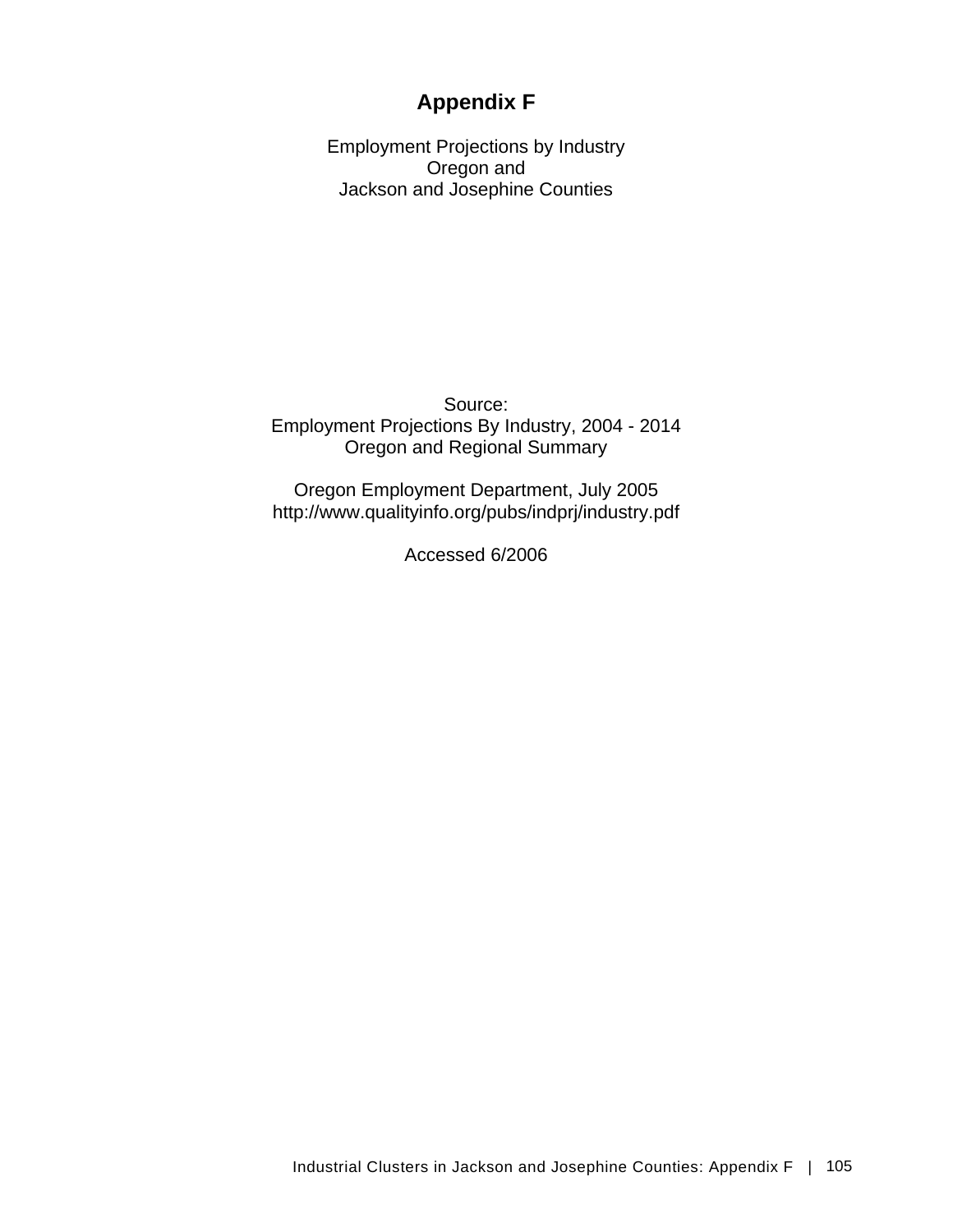## **Appendix F**

Employment Projections by Industry Oregon and Jackson and Josephine Counties

Source: Employment Projections By Industry, 2004 - 2014 Oregon and Regional Summary

Oregon Employment Department, July 2005 http://www.qualityinfo.org/pubs/indprj/industry.pdf

Accessed 6/2006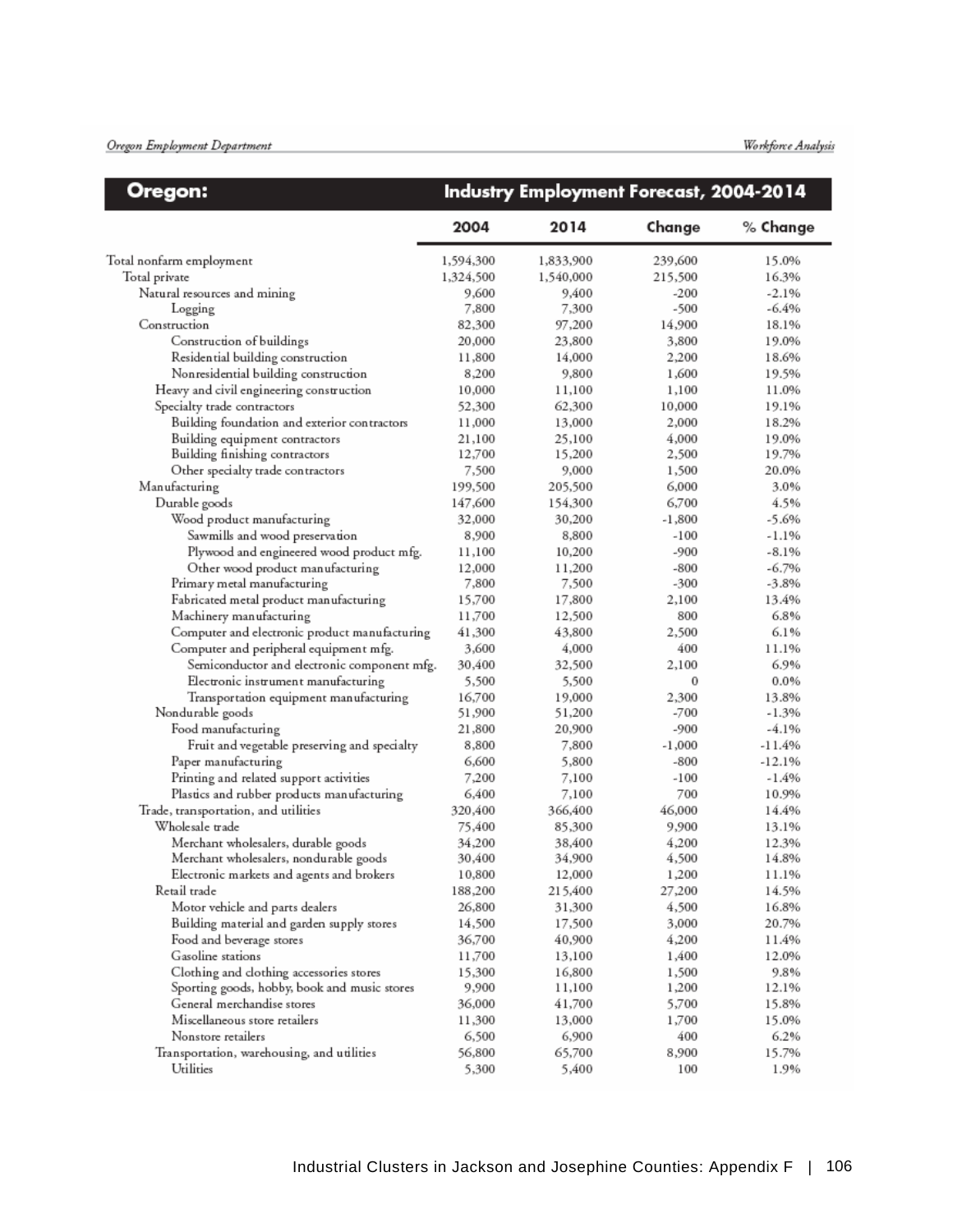### Oregon Employment Department

| Oregon:                                       |                 | Industry Employment Forecast, 2004-2014 |                |               |
|-----------------------------------------------|-----------------|-----------------------------------------|----------------|---------------|
|                                               | 2004            | 2014                                    | Change         | % Change      |
| Total nonfarm employment                      | 1,594,300       | 1,833,900                               | 239,600        | 15.0%         |
| Total private                                 | 1,324,500       | 1,540,000                               | 215,500        | 16.3%         |
| Natural resources and mining                  | 9,600           | 9,400                                   | $-200$         | $-2.1%$       |
| Logging                                       | 7,800           | 7,300                                   | -500           | -6.4%         |
| Construction                                  | 82,300          | 97,200                                  | 14,900         | 18.1%         |
| Construction of buildings                     | 20,000          | 23,800                                  | 3,800          | 19.0%         |
| Residential building construction             | 11,800          | 14,000                                  | 2,200          | 18.6%         |
| Nonresidential building construction          | 8,200           | 9,800                                   | 1,600          | 19.5%         |
| Heavy and civil engineering construction      | 10,000          | 11,100                                  | 1,100          | 11.0%         |
| Specialty trade contractors                   | 52,300          | 62,300                                  | 10,000         | 19.1%         |
| Building foundation and exterior contractors  | 11,000          | 13,000                                  | 2,000          | 18.2%         |
| Building equipment contractors                | 21,100          | 25,100                                  | 4,000          | 19.0%         |
| Building finishing contractors                | 12,700          | 15,200                                  | 2,500          | 19.7%         |
| Other specialty trade contractors             | 7,500           | 9,000                                   | 1,500          | 20.0%         |
| Manufacturing                                 | 199,500         | 205,500                                 | 6,000          | 3.0%          |
| Durable goods                                 | 147,600         | 154,300                                 | 6,700          | 4.5%          |
| Wood product manufacturing                    | 32,000          | 30,200                                  | $-1,800$       | $-5.6%$       |
| Sawmills and wood preservation                | 8,900           | 8,800                                   | $-100$         | -1.1%         |
|                                               |                 | 10,200                                  | -900           | -8.1%         |
| Plywood and engineered wood product mfg.      | 11,100          |                                         |                | $-6.7%$       |
| Other wood product manufacturing              | 12,000          | 11,200<br>7,500                         | $-800$<br>-300 | $-3.8%$       |
| Primary metal manufacturing                   | 7,800<br>15,700 |                                         |                |               |
| Fabricated metal product manufacturing        |                 | 17,800                                  | 2,100<br>800   | 13.4%<br>6.8% |
| Machinery manufacturing                       | 11,700          | 12,500                                  |                | 6.1%          |
| Computer and electronic product manufacturing | 41,300          | 43,800                                  | 2,500          |               |
| Computer and peripheral equipment mfg.        | 3,600           | 4,000                                   | 400            | 11.1%         |
| Semiconductor and electronic component mfg.   | 30,400          | 32,500                                  | 2,100          | 6.9%          |
| Electronic instrument manufacturing           | 5,500           | 5,500                                   | 0              | 0.0%          |
| Transportation equipment manufacturing        | 16,700          | 19,000                                  | 2,300          | 13.8%         |
| Nondurable goods                              | 51,900          | 51,200                                  | $-700$         | $-1.3%$       |
| Food manufacturing                            | 21,800          | 20,900                                  | -900           | $-4.1%$       |
| Fruit and vegetable preserving and specialty  | 8,800           | 7,800                                   | $-1,000$       | -11.4%        |
| Paper manufacturing                           | 6,600           | 5,800                                   | -800           | -12.1%        |
| Printing and related support activities       | 7,200           | 7,100                                   | $-100$         | -1.4%         |
| Plastics and rubber products manufacturing    | 6,400           | 7,100                                   | 700            | 10.9%         |
| Trade, transportation, and utilities          | 320,400         | 366,400                                 | 46,000         | 14.4%         |
| Wholesale trade                               | 75,400          | 85,300                                  | 9,900          | 13.1%         |
| Merchant wholesalers, durable goods           | 34,200          | 38,400                                  | 4,200          | 12.3%         |
| Merchant wholesalers, nondurable goods        | 30,400          | 34,900                                  | 4,500          | 14.8%         |
| Electronic markets and agents and brokers     | 10,800          | 12,000                                  | 1,200          | 11.1%         |
| Retail trade                                  | 188,200         | 215,400                                 | 27,200         | 14.5%         |
| Motor vehicle and parts dealers               | 26,800          | 31,300                                  | 4,500          | 16.8%         |
| Building material and garden supply stores    | 14,500          | 17,500                                  | 3,000          | 20.7%         |
| Food and beverage stores                      | 36,700          | 40,900                                  | 4,200          | 11.4%         |
| Gasoline stations                             | 11,700          | 13,100                                  | 1,400          | 12.0%         |
| Clothing and clothing accessories stores      | 15,300          | 16,800                                  | 1,500          | 9.8%          |
| Sporting goods, hobby, book and music stores  | 9,900           | 11,100                                  | 1,200          | 12.1%         |
| General merchandise stores                    | 36,000          | 41,700                                  | 5,700          | 15.8%         |
| Miscellaneous store retailers                 | 11,300          | 13,000                                  | 1,700          | 15.0%         |
| Nonstore retailers                            | 6,500           | 6,900                                   | 400            | 6.2%          |
| Transportation, warehousing, and utilities    | 56,800          | 65,700                                  | 8,900          | 15.7%         |
| Utilities                                     | 5,300           | 5,400                                   | 100            | 1.9%          |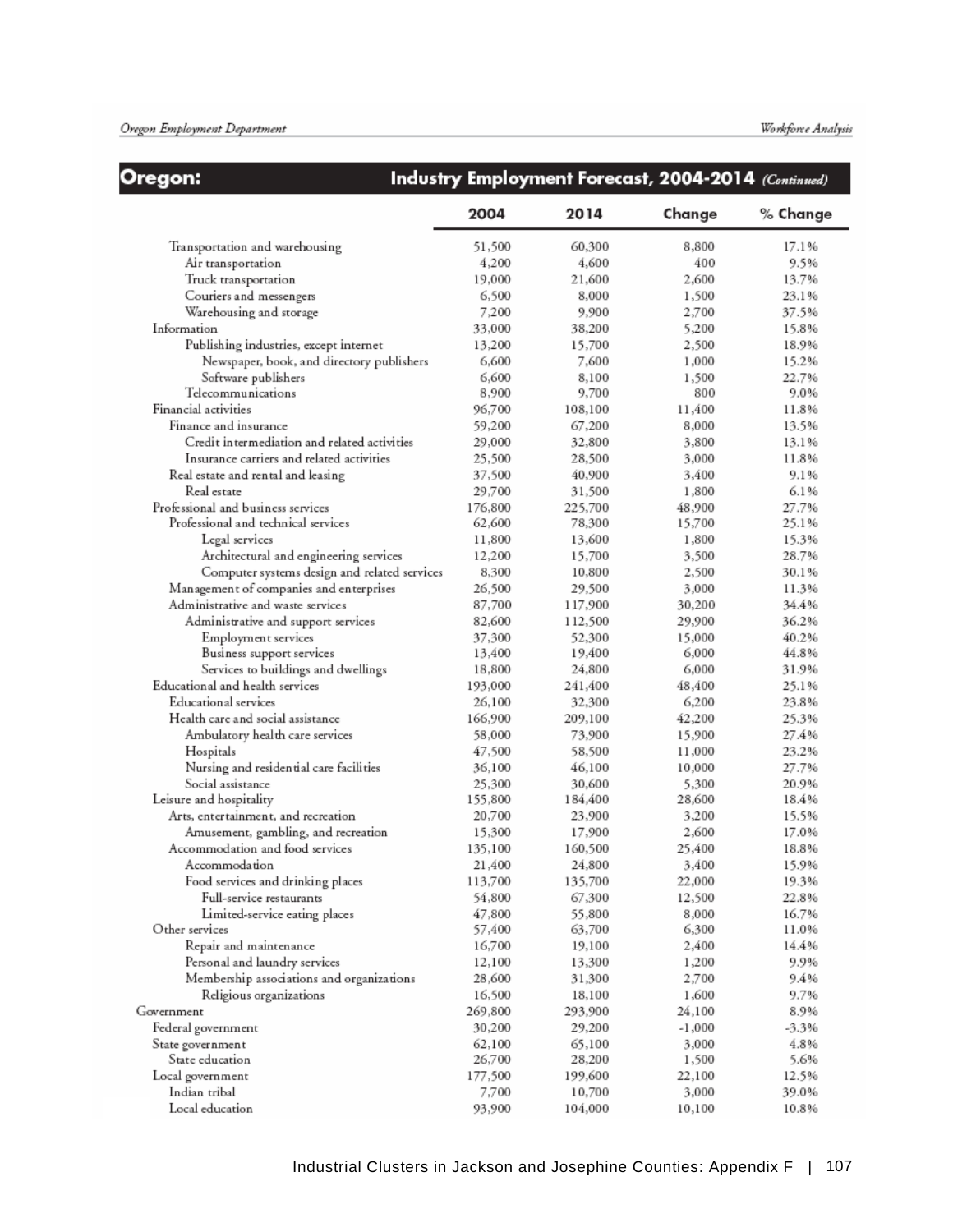## Oregon:

## Industry Employment Forecast, 2004-2014 (Continued)

|                                              | 2004    | 2014    | Change   | % Change |
|----------------------------------------------|---------|---------|----------|----------|
| Transportation and warehousing               | 51,500  | 60,300  | 8,800    | 17.1%    |
| Air transportation                           | 4,200   | 4,600   | 400      | 9.5%     |
| Truck transportation                         | 19,000  | 21,600  | 2,600    | 13.7%    |
| Couriers and messengers                      | 6,500   | 8,000   | 1,500    | 23.1%    |
| Warehousing and storage                      | 7,200   | 9,900   | 2,700    | 37.5%    |
| Information                                  | 33,000  | 38,200  | 5,200    | 15.8%    |
| Publishing industries, except internet       | 13,200  | 15,700  | 2,500    | 18.9%    |
| Newspaper, book, and directory publishers    | 6,600   | 7,600   | 1,000    | 15.2%    |
| Software publishers                          | 6,600   | 8,100   | 1,500    | 22.7%    |
| Telecommunications                           | 8,900   | 9,700   | 800      | 9.0%     |
| Financial activities                         | 96,700  | 108,100 | 11,400   | 11.8%    |
| Finance and insurance                        | 59,200  | 67,200  | 8,000    | 13.5%    |
| Credit intermediation and related activities | 29,000  | 32,800  | 3,800    | 13.1%    |
| Insurance carriers and related activities    | 25,500  | 28,500  | 3,000    | 11.8%    |
| Real estate and rental and leasing           | 37,500  | 40,900  | 3,400    | 9.1%     |
| Real estate                                  | 29,700  | 31,500  | 1,800    | 6.1%     |
| Professional and business services           | 176,800 | 225,700 | 48,900   | 27.7%    |
| Professional and technical services          | 62,600  | 78,300  | 15,700   | 25.1%    |
| Legal services                               | 11,800  | 13,600  | 1,800    | 15.3%    |
| Architectural and engineering services       | 12,200  | 15,700  | 3,500    | 28.7%    |
| Computer systems design and related services | 8,300   | 10,800  | 2,500    | 30.1%    |
| Management of companies and enterprises      | 26,500  | 29,500  | 3,000    | 11.3%    |
| Administrative and waste services            | 87,700  | 117,900 | 30,200   | 34.4%    |
| Administrative and support services          | 82,600  | 112,500 | 29,900   | 36.2%    |
| Employment services                          | 37,300  | 52,300  | 15,000   | 40.2%    |
| Business support services                    | 13,400  | 19,400  | 6,000    | 44.8%    |
| Services to buildings and dwellings          | 18,800  | 24,800  | 6,000    | 31.9%    |
| Educational and health services              | 193,000 | 241,400 | 48,400   | 25.1%    |
| <b>Educational services</b>                  | 26,100  | 32,300  | 6,200    | 23.8%    |
| Health care and social assistance            | 166,900 | 209,100 | 42,200   | 25.3%    |
| Ambulatory health care services              | 58,000  | 73,900  | 15,900   | 27.4%    |
| Hospitals                                    | 47,500  | 58,500  | 11,000   | 23.2%    |
| Nursing and residential care facilities      | 36,100  | 46,100  | 10,000   | 27.7%    |
| Social assistance                            | 25,300  | 30,600  | 5,300    | 20.9%    |
| Leisure and hospitality                      | 155,800 | 184,400 | 28,600   | 18.4%    |
| Arts, entertainment, and recreation          | 20,700  | 23,900  | 3,200    | 15.5%    |
| Amusement, gambling, and recreation          | 15,300  | 17,900  | 2,600    | 17.0%    |
| Accommodation and food services              | 135,100 | 160,500 | 25,400   | 18.8%    |
| Accommodation                                | 21,400  | 24,800  | 3,400    | 15.9%    |
| Food services and drinking places            | 113,700 | 135,700 | 22,000   | 19.3%    |
| Full-service restaurants                     | 54,800  | 67,300  | 12,500   | 22.8%    |
| Limited-service eating places                | 47,800  | 55,800  | 8,000    | 16.7%    |
| Other services                               | 57,400  | 63,700  | 6,300    | 11.0%    |
| Repair and maintenance                       | 16,700  | 19,100  | 2,400    | 14.4%    |
| Personal and laundry services                | 12,100  | 13,300  | 1,200    | 9.9%     |
| Membership associations and organizations    | 28,600  | 31,300  | 2,700    | 9.4%     |
| Religious organizations                      | 16,500  | 18,100  | 1,600    | 9.7%     |
| Government                                   | 269,800 | 293,900 | 24,100   | 8.9%     |
| Federal government                           | 30,200  | 29,200  | $-1,000$ | $-3.3%$  |
| State government                             | 62,100  | 65,100  | 3,000    | 4.8%     |
| State education                              | 26,700  | 28,200  | 1,500    | 5.6%     |
| Local government                             | 177,500 | 199,600 | 22,100   | 12.5%    |
| Indian tribal                                | 7,700   | 10,700  | 3,000    | 39.0%    |
| Local education                              | 93,900  | 104,000 | 10,100   | 10.8%    |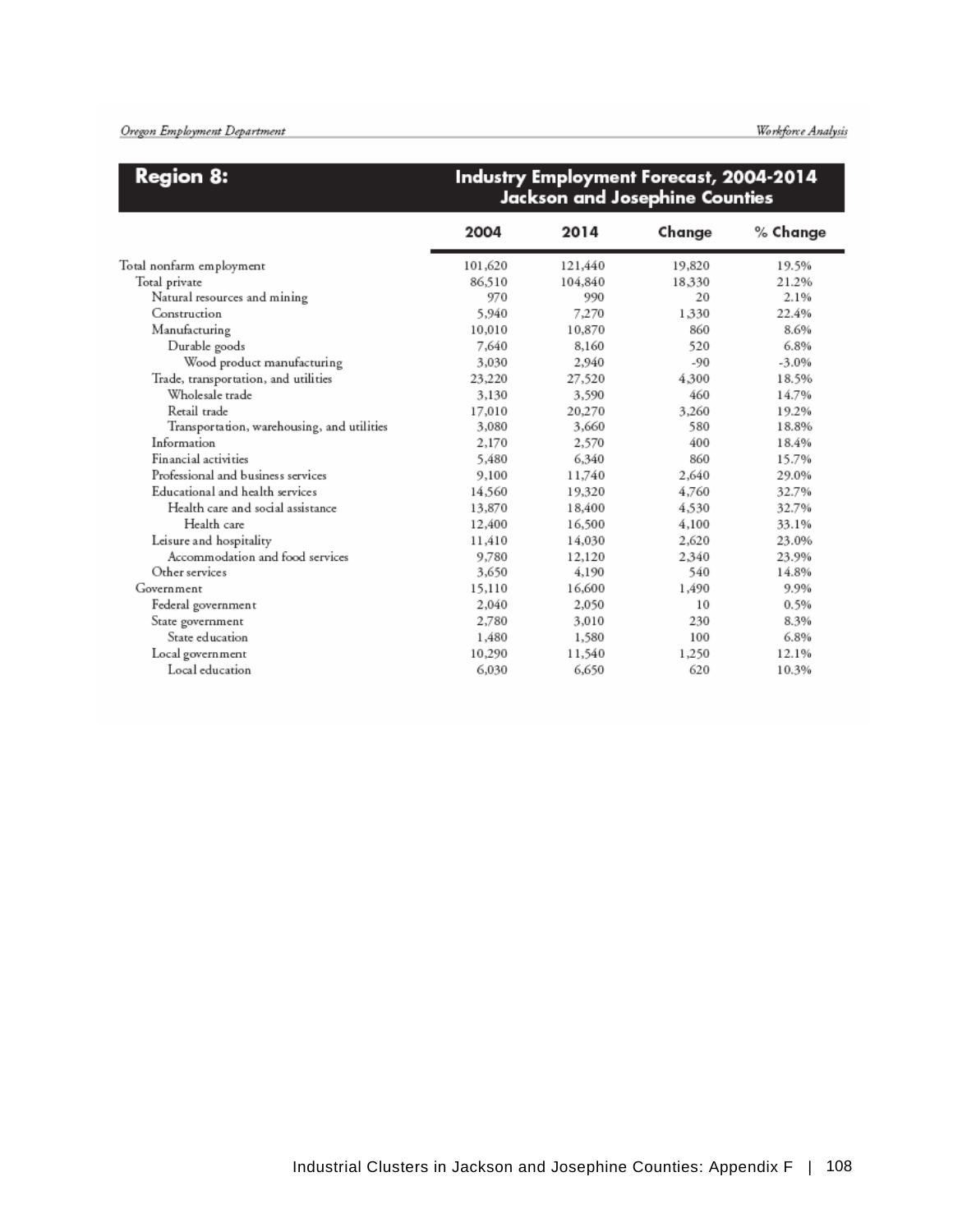| <b>Region 8:</b>                           |         |         | Industry Employment Forecast, 2004-2014<br>Jackson and Josephine Counties |          |
|--------------------------------------------|---------|---------|---------------------------------------------------------------------------|----------|
|                                            | 2004    | 2014    | Change                                                                    | % Change |
| Total nonfarm employment                   | 101,620 | 121,440 | 19,820                                                                    | 19.5%    |
| Total private                              | 86,510  | 104,840 | 18.330                                                                    | 21.2%    |
| Natural resources and mining               | 970     | 990     | 20                                                                        | 2.1%     |
| Construction                               | 5,940   | 7,270   | 1,330                                                                     | 22.4%    |
| Manufacturing                              | 10,010  | 10,870  | 860                                                                       | 8.6%     |
| Durable goods                              | 7.640   | 8,160   | 520                                                                       | 6.8%     |
| Wood product manufacturing                 | 3,030   | 2,940   | $-90$                                                                     | $-3.0%$  |
| Trade, transportation, and utilities       | 23,220  | 27,520  | 4.300                                                                     | 18.5%    |
| Wholesale trade                            | 3,130   | 3,590   | 460                                                                       | 14.7%    |
| Retail trade                               | 17,010  | 20,270  | 3.260                                                                     | 19.2%    |
| Transportation, warehousing, and utilities | 3,080   | 3,660   | 580                                                                       | 18.8%    |
| Information                                | 2,170   | 2,570   | 400                                                                       | 18.4%    |
| Financial activities.                      | 5.480   | 6,340   | 860                                                                       | 15.7%    |
| Professional and business services         | 9,100   | 11,740  | 2.640                                                                     | 29.0%    |
| Educational and health services            | 14,560  | 19,320  | 4.760                                                                     | 32.7%    |
| Health care and social assistance          | 13,870  | 18,400  | 4,530                                                                     | 32.7%    |
| Health care                                | 12,400  | 16,500  | 4,100                                                                     | 33.1%    |
| Leisure and hospitality                    | 11.410  | 14,030  | 2.620                                                                     | 23.0%    |
| Accommodation and food services            | 9,780   | 12,120  | 2.340                                                                     | 23.9%    |
| Other services                             | 3,650   | 4,190   | 540                                                                       | 14.8%    |
| Government                                 | 15,110  | 16,600  | 1.490                                                                     | 9.9%     |
| Federal government                         | 2,040   | 2,050   | 10                                                                        | 0.5%     |
| State government                           | 2,780   | 3,010   | 230                                                                       | 8.3%     |
| State education                            | 1,480   | 1,580   | 100                                                                       | 6.8%     |
| Local government                           | 10,290  | 11,540  | 1,250                                                                     | 12.1%    |
| Local education                            | 6,030   | 6,650   | 620                                                                       | 10.3%    |

### $\sqrt{2000000}$ <u>and the second second</u>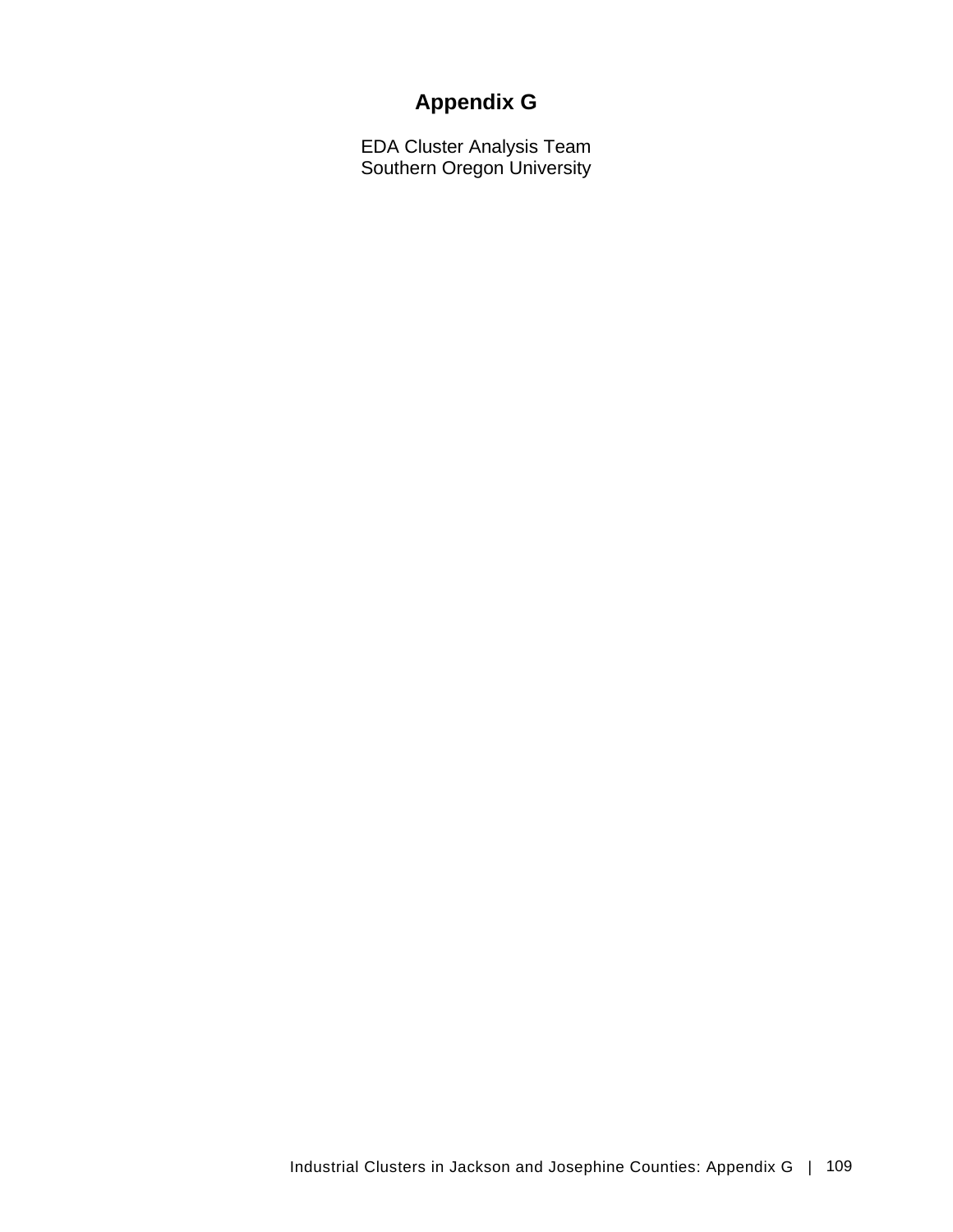# **Appendix G**

EDA Cluster Analysis Team Southern Oregon University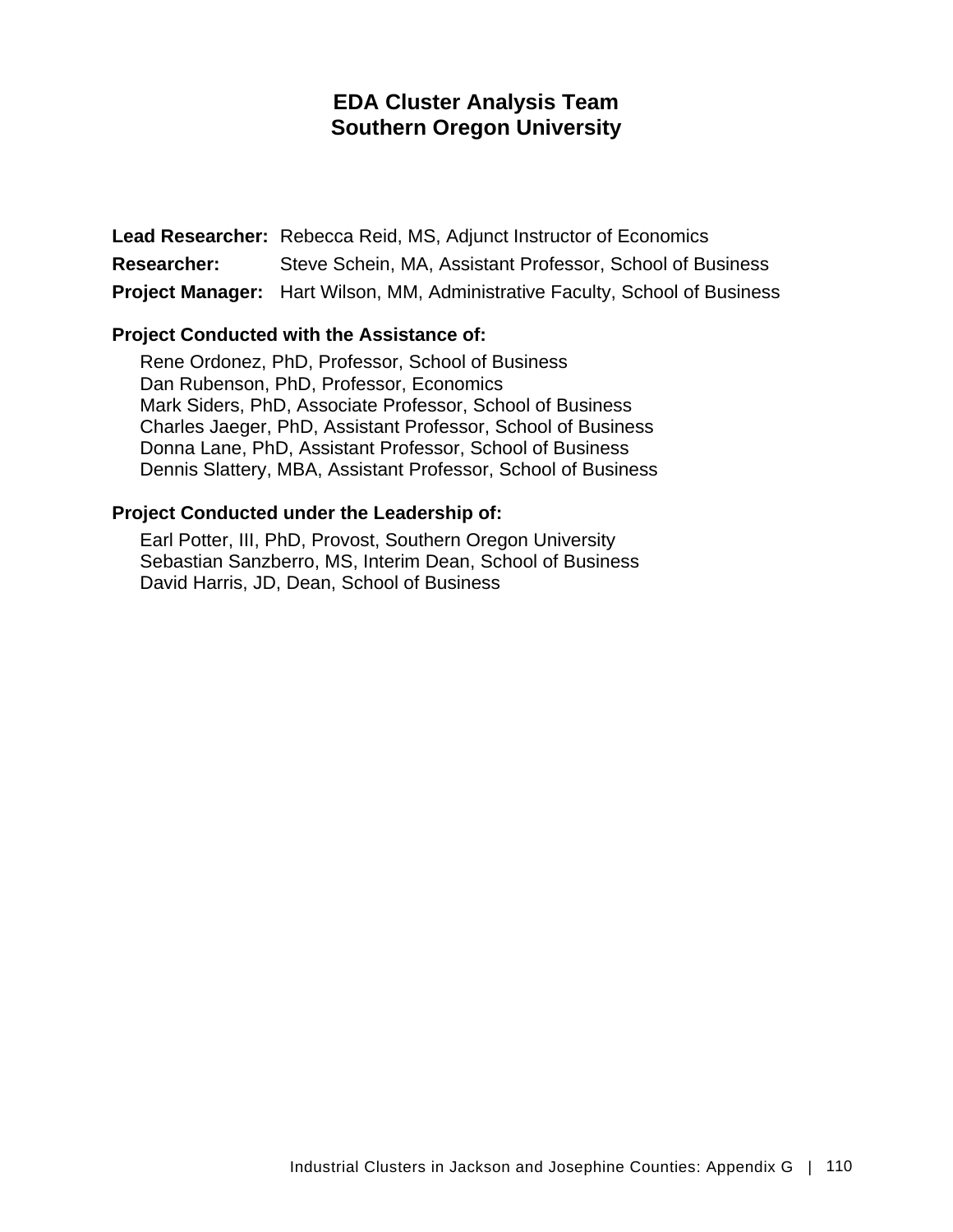## **EDA Cluster Analysis Team Southern Oregon University**

**Lead Researcher:** Rebecca Reid, MS, Adjunct Instructor of Economics **Researcher:** Steve Schein, MA, Assistant Professor, School of Business **Project Manager:** Hart Wilson, MM, Administrative Faculty, School of Business

### **Project Conducted with the Assistance of:**

Rene Ordonez, PhD, Professor, School of Business Dan Rubenson, PhD, Professor, Economics Mark Siders, PhD, Associate Professor, School of Business Charles Jaeger, PhD, Assistant Professor, School of Business Donna Lane, PhD, Assistant Professor, School of Business Dennis Slattery, MBA, Assistant Professor, School of Business

### **Project Conducted under the Leadership of:**

Earl Potter, III, PhD, Provost, Southern Oregon University Sebastian Sanzberro, MS, Interim Dean, School of Business David Harris, JD, Dean, School of Business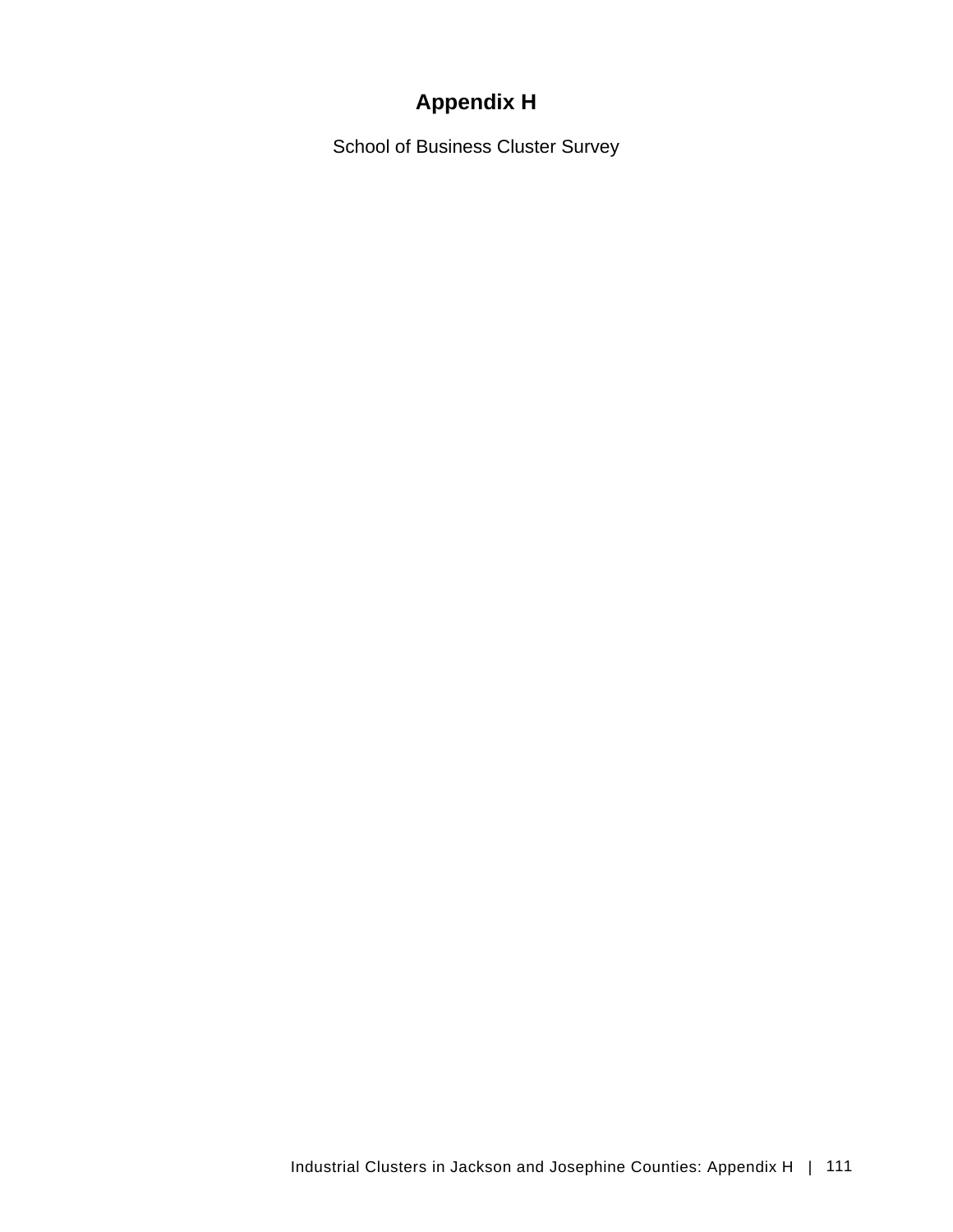# **Appendix H**

School of Business Cluster Survey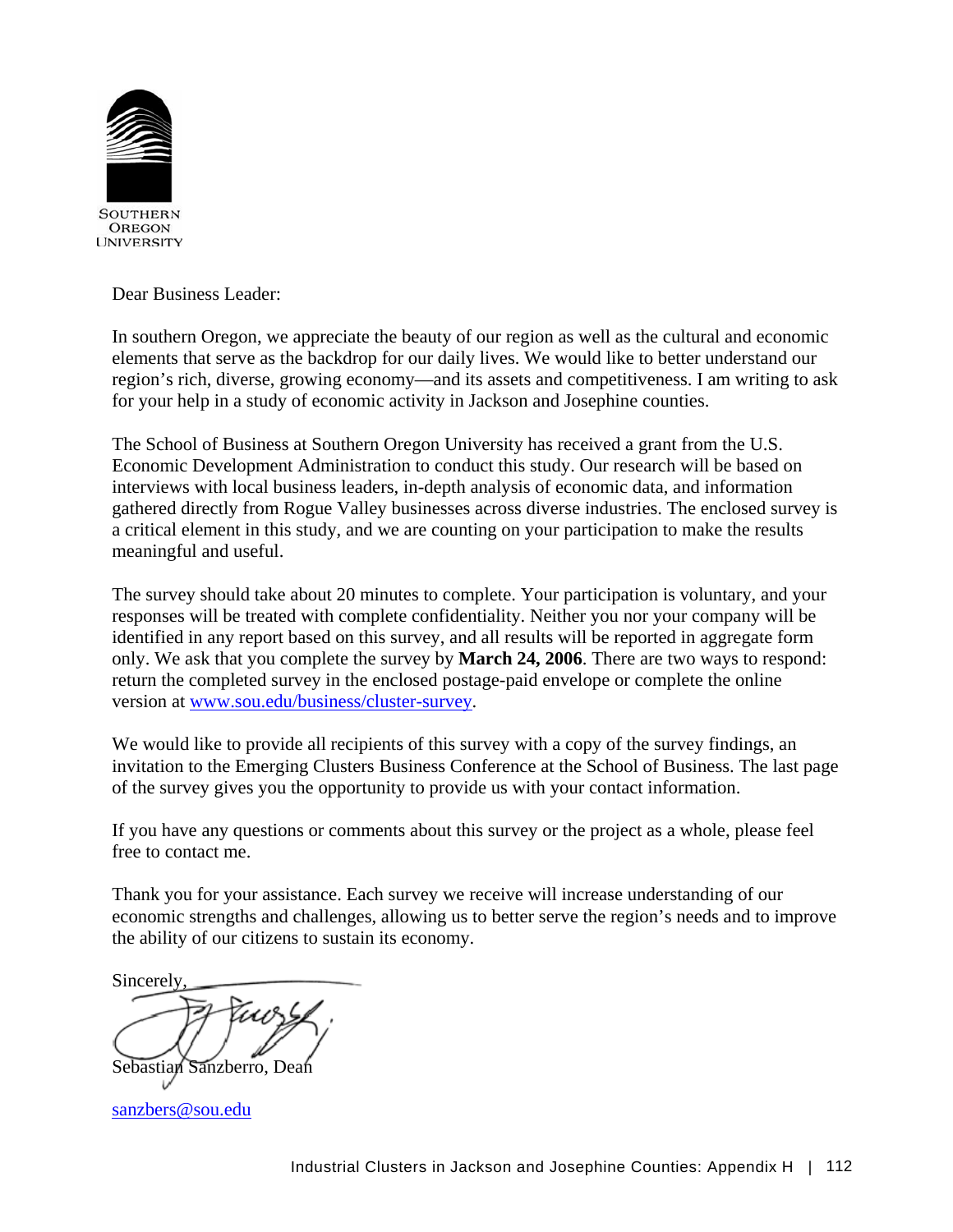

Dear Business Leader:

In southern Oregon, we appreciate the beauty of our region as well as the cultural and economic elements that serve as the backdrop for our daily lives. We would like to better understand our region's rich, diverse, growing economy—and its assets and competitiveness. I am writing to ask for your help in a study of economic activity in Jackson and Josephine counties.

The School of Business at Southern Oregon University has received a grant from the U.S. Economic Development Administration to conduct this study. Our research will be based on interviews with local business leaders, in-depth analysis of economic data, and information gathered directly from Rogue Valley businesses across diverse industries. The enclosed survey is a critical element in this study, and we are counting on your participation to make the results meaningful and useful.

The survey should take about 20 minutes to complete. Your participation is voluntary, and your responses will be treated with complete confidentiality. Neither you nor your company will be identified in any report based on this survey, and all results will be reported in aggregate form only. We ask that you complete the survey by **March 24, 2006**. There are two ways to respond: return the completed survey in the enclosed postage-paid envelope or complete the online version at [www.sou.edu/business/cluster-survey](http://www.sou.edu/business/cluster-survey).

We would like to provide all recipients of this survey with a copy of the survey findings, an invitation to the Emerging Clusters Business Conference at the School of Business. The last page of the survey gives you the opportunity to provide us with your contact information.

If you have any questions or comments about this survey or the project as a whole, please feel free to contact me.

Thank you for your assistance. Each survey we receive will increase understanding of our economic strengths and challenges, allowing us to better serve the region's needs and to improve the ability of our citizens to sustain its economy.

Sincerely,

Sebastian Sanzberro, Dean

[sanzbers@sou.edu](mailto:sanzbers@sou.edu)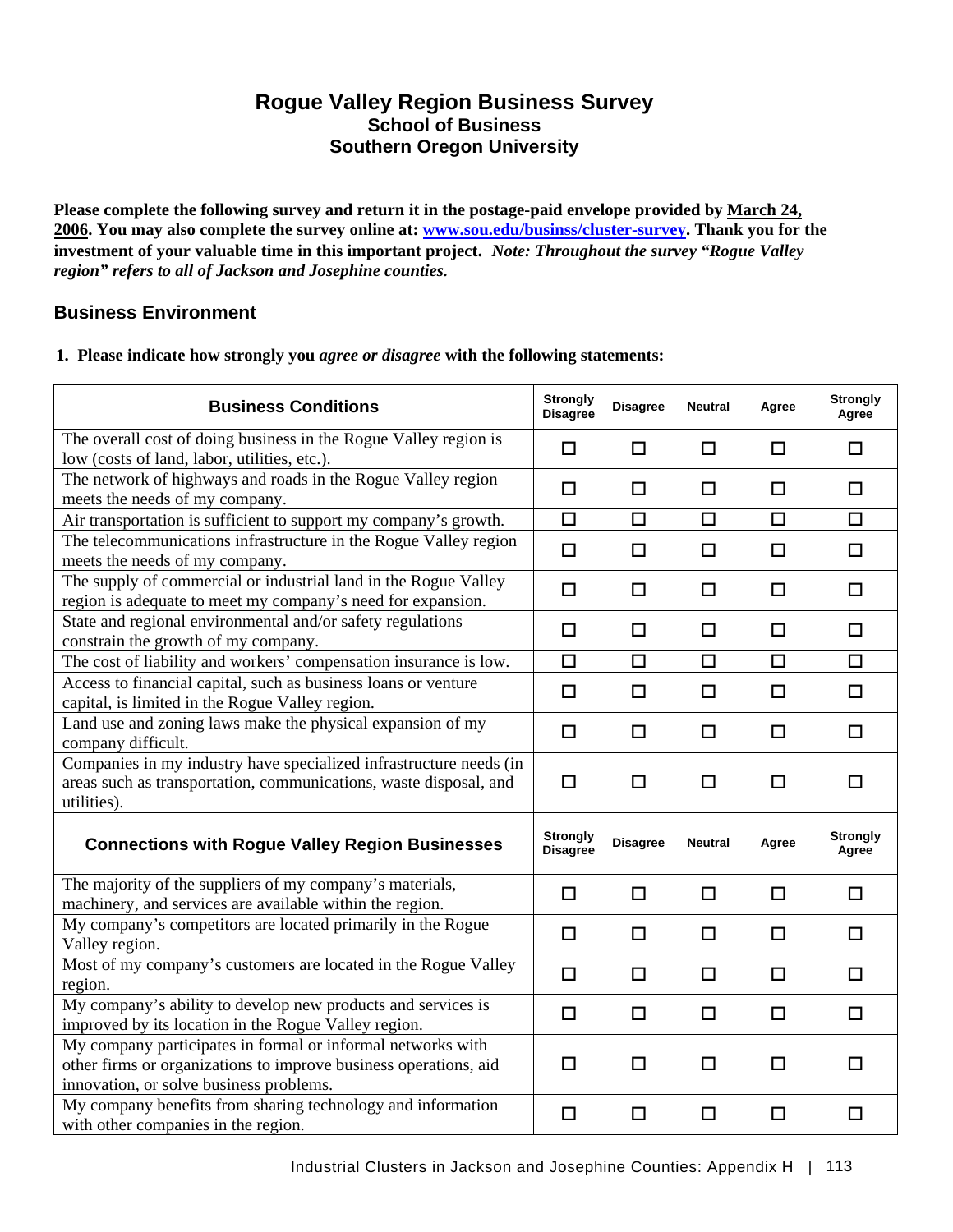### **Rogue Valley Region Business Survey School of Business Southern Oregon University**

**Please complete the following survey and return it in the postage-paid envelope provided by March 24, 2006. You may also complete the survey online at: [www.sou.edu/businss/cluster-survey.](http://www.sou.edu/businss/cluster-survey) Thank you for the investment of your valuable time in this important project.** *Note: Throughout the survey "Rogue Valley region" refers to all of Jackson and Josephine counties.* 

### **Business Environment**

### **1. Please indicate how strongly you** *agree or disagree* **with the following statements:**

| <b>Business Conditions</b>                                                                                                                                                 | <b>Strongly</b><br><b>Disagree</b> | <b>Disagree</b> | <b>Neutral</b> | Agree  | <b>Strongly</b><br>Agree |
|----------------------------------------------------------------------------------------------------------------------------------------------------------------------------|------------------------------------|-----------------|----------------|--------|--------------------------|
| The overall cost of doing business in the Rogue Valley region is<br>low (costs of land, labor, utilities, etc.).                                                           | $\Box$                             | $\Box$          | $\Box$         | $\Box$ | $\Box$                   |
| The network of highways and roads in the Rogue Valley region<br>meets the needs of my company.                                                                             | $\Box$                             | □               | $\Box$         | $\Box$ | $\Box$                   |
| Air transportation is sufficient to support my company's growth.                                                                                                           | $\Box$                             | $\Box$          | $\Box$         | $\Box$ | $\Box$                   |
| The telecommunications infrastructure in the Rogue Valley region<br>meets the needs of my company.                                                                         | $\Box$                             | $\Box$          | $\Box$         | □      | □                        |
| The supply of commercial or industrial land in the Rogue Valley<br>region is adequate to meet my company's need for expansion.                                             | $\Box$                             | $\Box$          | $\Box$         | $\Box$ | $\Box$                   |
| State and regional environmental and/or safety regulations<br>constrain the growth of my company.                                                                          | $\Box$                             | $\Box$          | $\Box$         | $\Box$ | □                        |
| The cost of liability and workers' compensation insurance is low.                                                                                                          | $\Box$                             | $\Box$          | $\Box$         | $\Box$ | $\Box$                   |
| Access to financial capital, such as business loans or venture<br>capital, is limited in the Rogue Valley region.                                                          | $\Box$                             | □               | $\Box$         | □      | П                        |
| Land use and zoning laws make the physical expansion of my<br>company difficult.                                                                                           | □                                  | □               | □              | □      | П                        |
| Companies in my industry have specialized infrastructure needs (in<br>areas such as transportation, communications, waste disposal, and<br>utilities).                     | $\Box$                             | □               | $\Box$         | □      | П                        |
| <b>Connections with Rogue Valley Region Businesses</b>                                                                                                                     | <b>Strongly</b><br><b>Disagree</b> | <b>Disagree</b> | <b>Neutral</b> | Agree  | <b>Strongly</b><br>Agree |
| The majority of the suppliers of my company's materials,<br>machinery, and services are available within the region.                                                       | □                                  | □               | $\Box$         | □      | $\Box$                   |
| My company's competitors are located primarily in the Rogue<br>Valley region.                                                                                              | □                                  | □               | □              | □      | П                        |
| Most of my company's customers are located in the Rogue Valley<br>region.                                                                                                  | $\Box$                             | $\Box$          | $\Box$         | $\Box$ | $\Box$                   |
| My company's ability to develop new products and services is<br>improved by its location in the Rogue Valley region.                                                       | $\Box$                             | $\Box$          | $\Box$         | $\Box$ | п                        |
| My company participates in formal or informal networks with<br>other firms or organizations to improve business operations, aid<br>innovation, or solve business problems. | □                                  | П               | □              | П      | П                        |
| My company benefits from sharing technology and information<br>with other companies in the region.                                                                         | $\Box$                             | □               | □              | □      | $\Box$                   |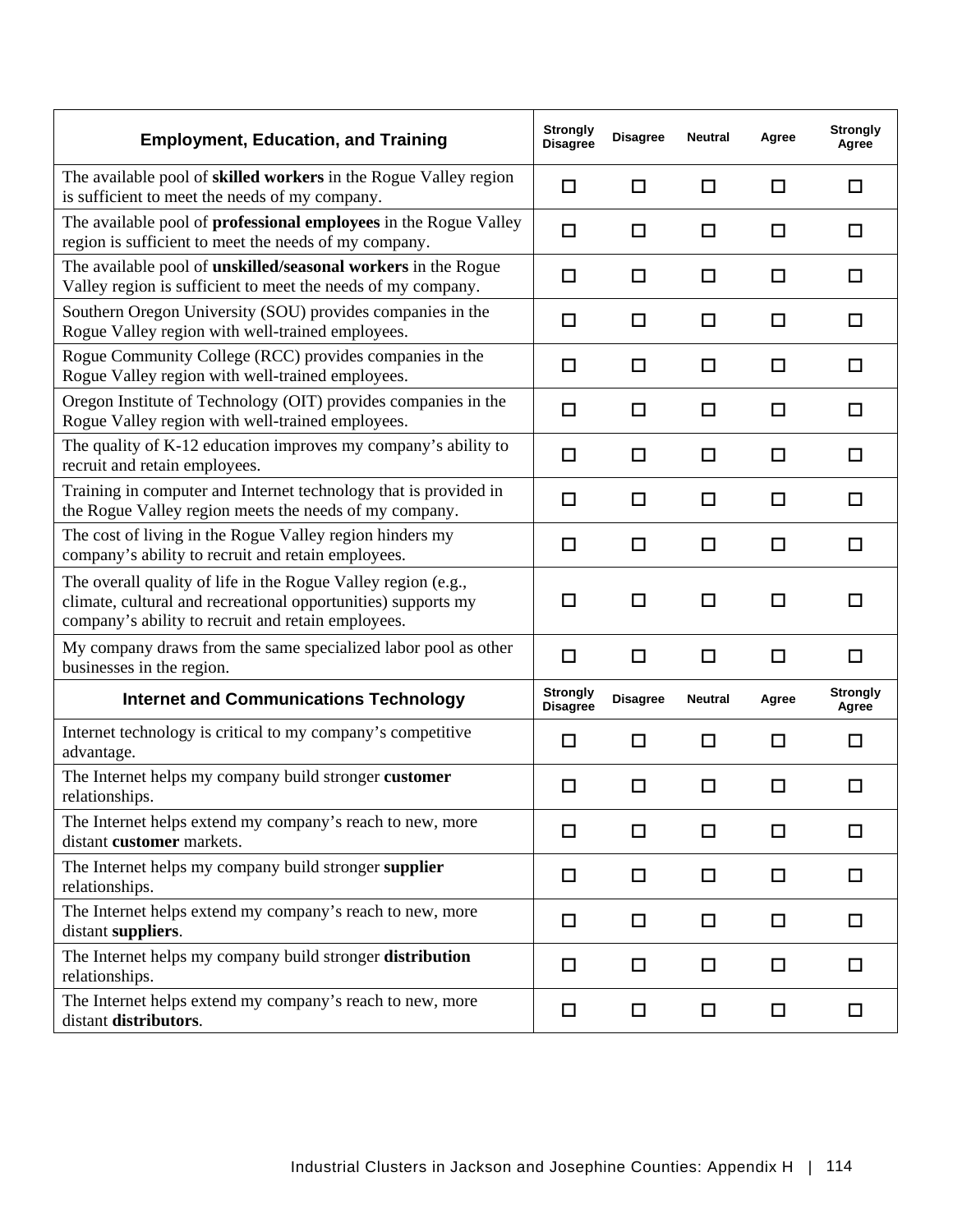| <b>Employment, Education, and Training</b>                                                                                                                                           | <b>Strongly</b><br><b>Disagree</b> | <b>Disagree</b> | <b>Neutral</b> | Agree | <b>Strongly</b><br>Agree |
|--------------------------------------------------------------------------------------------------------------------------------------------------------------------------------------|------------------------------------|-----------------|----------------|-------|--------------------------|
| The available pool of skilled workers in the Rogue Valley region<br>is sufficient to meet the needs of my company.                                                                   | $\Box$                             | $\Box$          | □              | □     | □                        |
| The available pool of professional employees in the Rogue Valley<br>region is sufficient to meet the needs of my company.                                                            | $\Box$                             | □               | □              | □     | □                        |
| The available pool of unskilled/seasonal workers in the Rogue<br>Valley region is sufficient to meet the needs of my company.                                                        | □                                  | □               | $\Box$         | □     | П                        |
| Southern Oregon University (SOU) provides companies in the<br>Rogue Valley region with well-trained employees.                                                                       | □                                  | □               | □              | □     | П                        |
| Rogue Community College (RCC) provides companies in the<br>Rogue Valley region with well-trained employees.                                                                          | □                                  | □               | □              | □     | ப                        |
| Oregon Institute of Technology (OIT) provides companies in the<br>Rogue Valley region with well-trained employees.                                                                   | $\Box$                             | $\Box$          | □              | □     | □                        |
| The quality of K-12 education improves my company's ability to<br>recruit and retain employees.                                                                                      | □                                  | □               | □              | □     | П                        |
| Training in computer and Internet technology that is provided in<br>the Rogue Valley region meets the needs of my company.                                                           | $\Box$                             | □               | □              | □     | П                        |
| The cost of living in the Rogue Valley region hinders my<br>company's ability to recruit and retain employees.                                                                       | $\Box$                             | □               | □              | □     | П                        |
| The overall quality of life in the Rogue Valley region (e.g.,<br>climate, cultural and recreational opportunities) supports my<br>company's ability to recruit and retain employees. | □                                  | □               | □              | □     | П                        |
| My company draws from the same specialized labor pool as other<br>businesses in the region.                                                                                          | $\Box$                             | $\Box$          | □              | □     | $\Box$                   |
| <b>Internet and Communications Technology</b>                                                                                                                                        | <b>Strongly</b><br><b>Disagree</b> | <b>Disagree</b> | <b>Neutral</b> | Agree | <b>Strongly</b><br>Agree |
| Internet technology is critical to my company's competitive<br>advantage.                                                                                                            | □                                  | $\Box$          | □              | □     | □                        |
| The Internet helps my company build stronger customer<br>relationships.                                                                                                              | $\Box$                             | □               | □              | □     | □                        |
| The Internet helps extend my company's reach to new, more<br>distant customer markets.                                                                                               | $\Box$                             | $\Box$          | $\Box$         | □     | □                        |
| The Internet helps my company build stronger supplier<br>relationships.                                                                                                              | $\Box$                             | □               | □              | □     | □                        |
| The Internet helps extend my company's reach to new, more<br>distant suppliers.                                                                                                      | $\Box$                             | □               | □              | □     | П                        |
| The Internet helps my company build stronger distribution<br>relationships.                                                                                                          | $\Box$                             | $\Box$          | □              | □     | П                        |
| The Internet helps extend my company's reach to new, more<br>distant distributors.                                                                                                   | $\Box$                             | $\Box$          | $\Box$         | □     | $\Box$                   |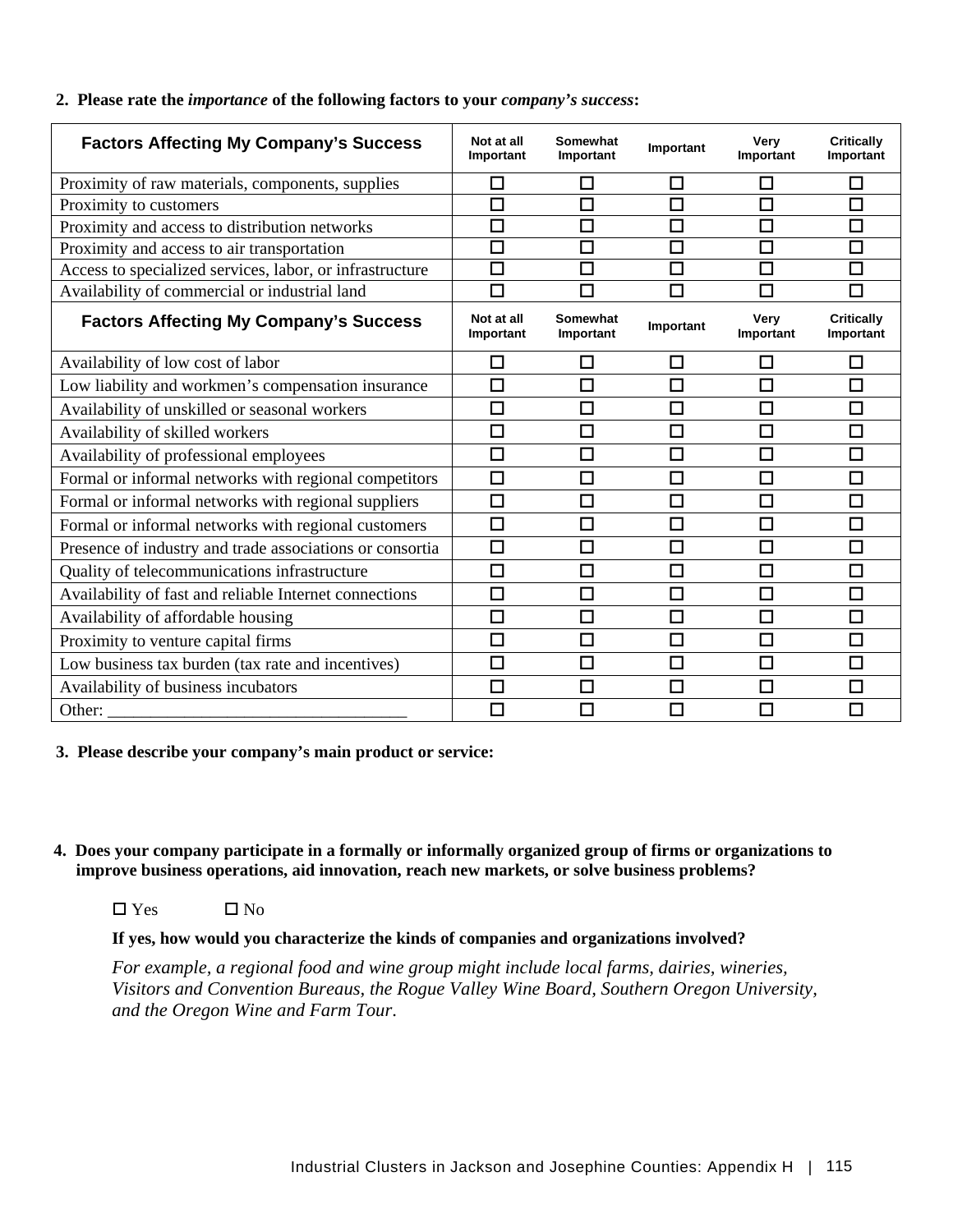### **2. Please rate the** *importance* **of the following factors to your** *company's success***:**

| <b>Factors Affecting My Company's Success</b>            | Not at all<br>Important | Somewhat<br>Important       | Important | Very<br>Important | <b>Critically</b><br>Important |
|----------------------------------------------------------|-------------------------|-----------------------------|-----------|-------------------|--------------------------------|
| Proximity of raw materials, components, supplies         | □                       | $\mathcal{L}_{\mathcal{A}}$ | П         | П                 | П                              |
| Proximity to customers                                   | П                       | П                           | П         | $\Box$            | □                              |
| Proximity and access to distribution networks            | $\Box$                  | $\Box$                      | $\Box$    | $\Box$            | $\Box$                         |
| Proximity and access to air transportation               | □                       | $\Box$                      | □         | $\Box$            | $\Box$                         |
| Access to specialized services, labor, or infrastructure | П                       | П                           | П         | П                 | $\Box$                         |
| Availability of commercial or industrial land            | П                       | П                           | П         |                   | П                              |
| <b>Factors Affecting My Company's Success</b>            | Not at all<br>Important | Somewhat<br>Important       | Important | Very<br>Important | <b>Critically</b><br>Important |
| Availability of low cost of labor                        | □                       | □                           | □         | $\Box$            | □                              |
| Low liability and workmen's compensation insurance       | П                       | □                           | П         | П                 | □                              |
| Availability of unskilled or seasonal workers            | □                       | □                           | $\Box$    | $\Box$            | □                              |
| Availability of skilled workers                          | □                       | $\Box$                      | П         | $\Box$            | $\Box$                         |
| Availability of professional employees                   | □                       | □                           | □         | $\Box$            | □                              |
| Formal or informal networks with regional competitors    | $\Box$                  | $\Box$                      | $\Box$    | $\Box$            | $\Box$                         |
| Formal or informal networks with regional suppliers      | □                       | □                           | □         | $\Box$            | $\Box$                         |
| Formal or informal networks with regional customers      | $\Box$                  | $\Box$                      | $\Box$    | 口                 | $\Box$                         |
| Presence of industry and trade associations or consortia | □                       | □                           | $\Box$    | 口                 | $\Box$                         |
| Quality of telecommunications infrastructure             | □                       | □                           | $\Box$    | □                 | □                              |
| Availability of fast and reliable Internet connections   | П                       | □                           | $\Box$    | П                 | $\Box$                         |
| Availability of affordable housing                       | □                       | □                           | П         | $\Box$            | $\Box$                         |
| Proximity to venture capital firms                       | □                       | $\Box$                      | П         | П                 | □                              |
| Low business tax burden (tax rate and incentives)        | $\Box$                  | $\Box$                      | $\Box$    | $\Box$            | $\Box$                         |
| Availability of business incubators                      | П                       | □                           | $\Box$    | $\Box$            | $\Box$                         |
| Other:                                                   | П                       | П                           | П         |                   | $\Box$                         |

### **3. Please describe your company's main product or service:**

- **4. Does your company participate in a formally or informally organized group of firms or organizations to improve business operations, aid innovation, reach new markets, or solve business problems?** 
	- $\Box$  Yes  $\Box$  No

### **If yes, how would you characterize the kinds of companies and organizations involved?**

*For example, a regional food and wine group might include local farms, dairies, wineries, Visitors and Convention Bureaus, the Rogue Valley Wine Board, Southern Oregon University, and the Oregon Wine and Farm Tour*.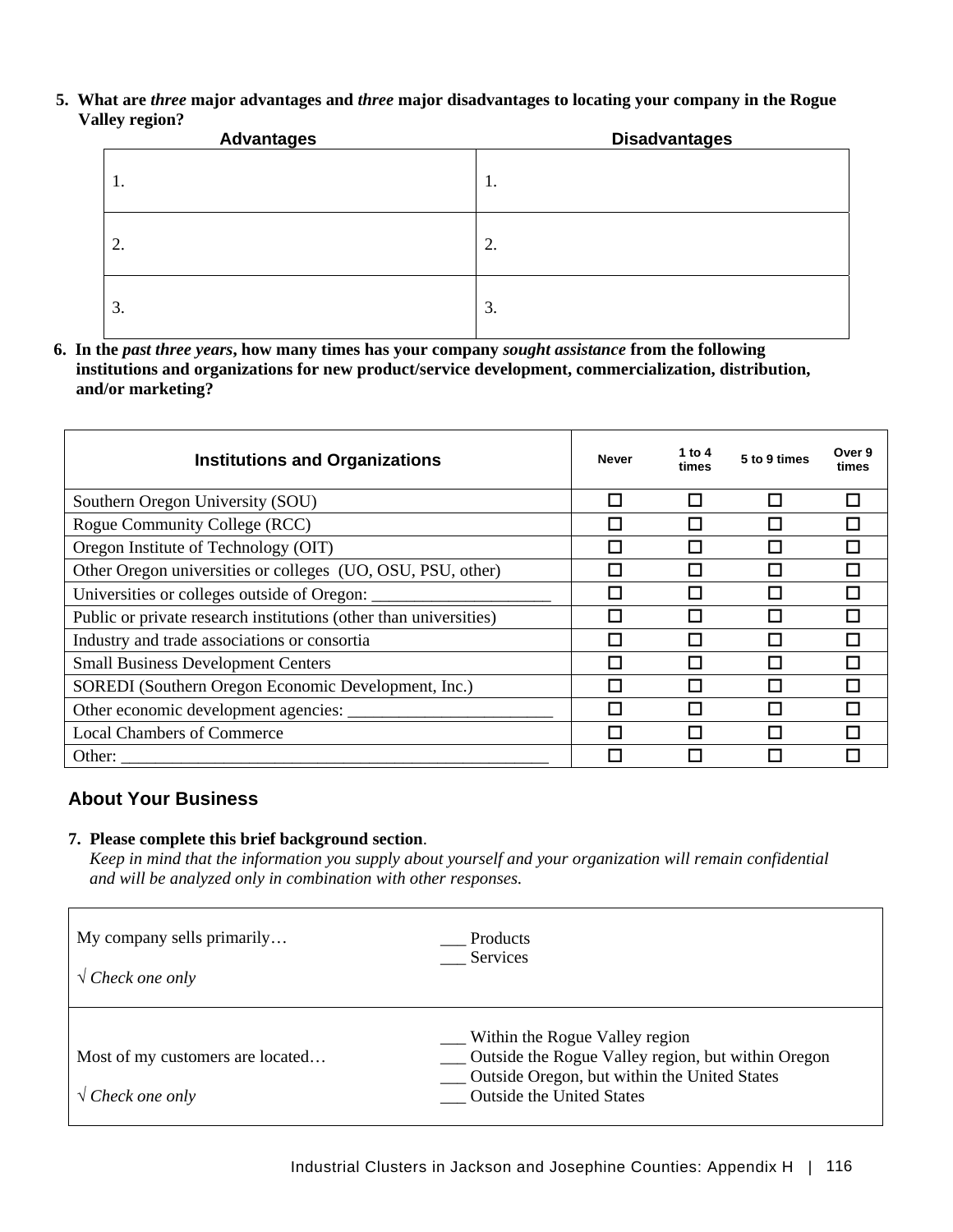**5. What are** *three* **major advantages and** *three* **major disadvantages to locating your company in the Rogue Valley region?** 

| $\sim$ $\sigma$ $\sim$<br><b>Advantages</b> | <b>Disadvantages</b> |
|---------------------------------------------|----------------------|
| 1.                                          | ι.                   |
| 2.                                          | 2.                   |
| 3.                                          | 3.                   |

**6. In the** *past three years***, how many times has your company** *sought assistance* **from the following institutions and organizations for new product/service development, commercialization, distribution, and/or marketing?** 

| <b>Institutions and Organizations</b>                             | <b>Never</b> | 1 to 4<br>times | 5 to 9 times | Over 9<br>times |
|-------------------------------------------------------------------|--------------|-----------------|--------------|-----------------|
| Southern Oregon University (SOU)                                  |              |                 | H            |                 |
| Rogue Community College (RCC)                                     |              |                 | n.           |                 |
| Oregon Institute of Technology (OIT)                              |              |                 |              |                 |
| Other Oregon universities or colleges (UO, OSU, PSU, other)       |              |                 | Π            |                 |
| Universities or colleges outside of Oregon: _                     |              |                 |              |                 |
| Public or private research institutions (other than universities) |              |                 |              |                 |
| Industry and trade associations or consortia                      |              |                 |              |                 |
| <b>Small Business Development Centers</b>                         |              |                 |              |                 |
| SOREDI (Southern Oregon Economic Development, Inc.)               |              |                 | П            |                 |
| Other economic development agencies:                              |              |                 |              |                 |
| <b>Local Chambers of Commerce</b>                                 | П            |                 | П            |                 |
| Other:                                                            |              |                 |              |                 |

### **About Your Business**

### **7. Please complete this brief background section**.

*Keep in mind that the information you supply about yourself and your organization will remain confidential and will be analyzed only in combination with other responses.* 

| My company sells primarily                                    | Products                                                                                                                                                                 |
|---------------------------------------------------------------|--------------------------------------------------------------------------------------------------------------------------------------------------------------------------|
| $\sqrt{C}$ Check one only                                     | Services                                                                                                                                                                 |
| Most of my customers are located<br>$\sqrt{C}$ Check one only | Within the Rogue Valley region<br>Outside the Rogue Valley region, but within Oregon<br>Outside Oregon, but within the United States<br><b>Outside the United States</b> |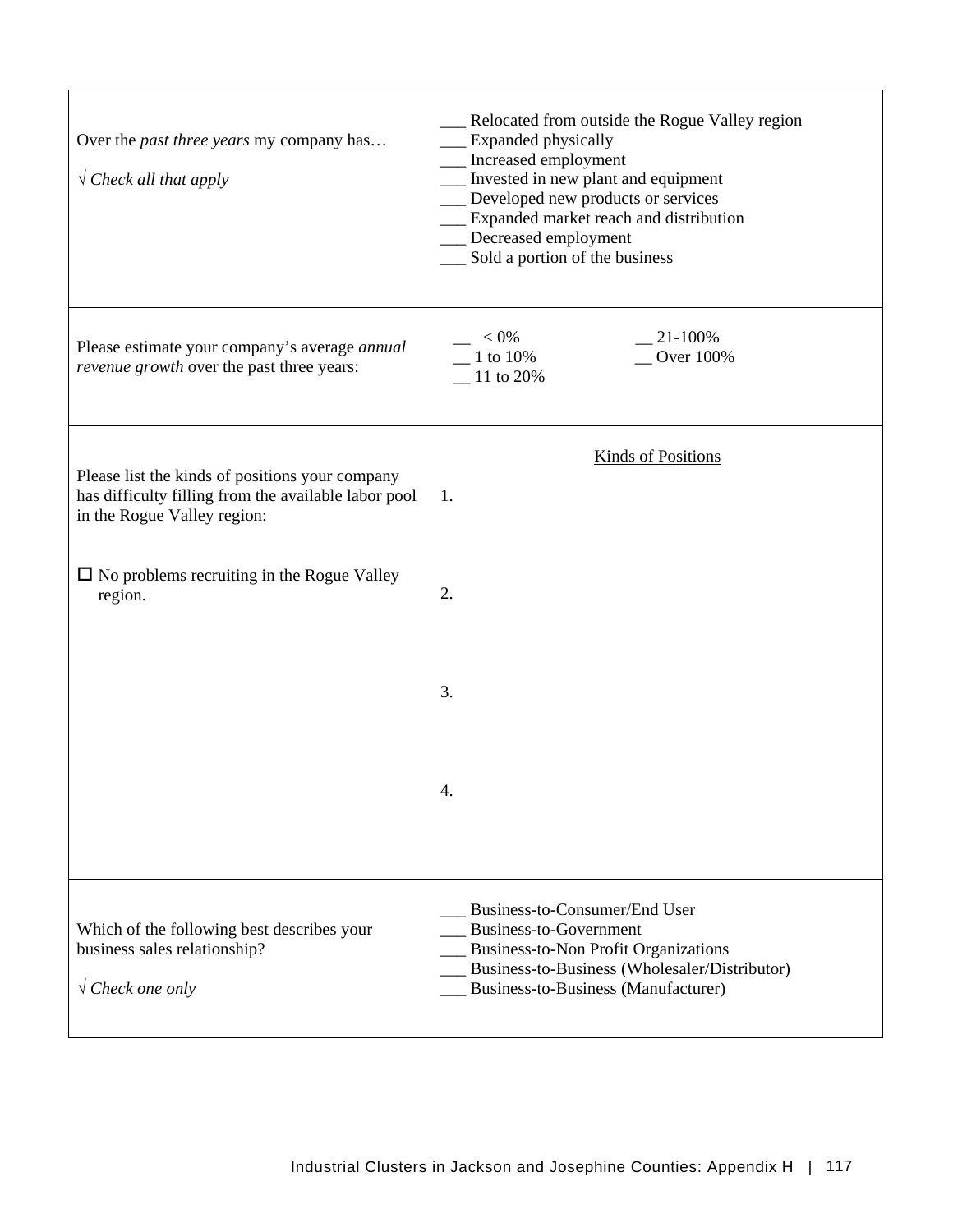| Over the <i>past three years</i> my company has<br>$\sqrt{C}$ Check all that apply                                                     | Relocated from outside the Rogue Valley region<br>__ Expanded physically<br>__ Increased employment<br>Invested in new plant and equipment<br>Developed new products or services<br>Expanded market reach and distribution<br>Decreased employment<br>Sold a portion of the business |
|----------------------------------------------------------------------------------------------------------------------------------------|--------------------------------------------------------------------------------------------------------------------------------------------------------------------------------------------------------------------------------------------------------------------------------------|
| Please estimate your company's average annual<br>revenue growth over the past three years:                                             | $< 0\%$<br>$21-100%$<br>$\sim$ Over 100%<br>1 to 10%<br>$-11$ to 20%                                                                                                                                                                                                                 |
|                                                                                                                                        | <b>Kinds of Positions</b>                                                                                                                                                                                                                                                            |
| Please list the kinds of positions your company<br>has difficulty filling from the available labor pool<br>in the Rogue Valley region: | 1.                                                                                                                                                                                                                                                                                   |
| $\Box$ No problems recruiting in the Rogue Valley<br>region.                                                                           | 2.                                                                                                                                                                                                                                                                                   |
|                                                                                                                                        | 3.                                                                                                                                                                                                                                                                                   |
|                                                                                                                                        | 4.                                                                                                                                                                                                                                                                                   |
| Which of the following best describes your<br>business sales relationship?<br>$\sqrt{C}$ Check one only                                | Business-to-Consumer/End User<br>Business-to-Government<br>Business-to-Non Profit Organizations<br>Business-to-Business (Wholesaler/Distributor)<br>Business-to-Business (Manufacturer)                                                                                              |

٦

 $\overline{1}$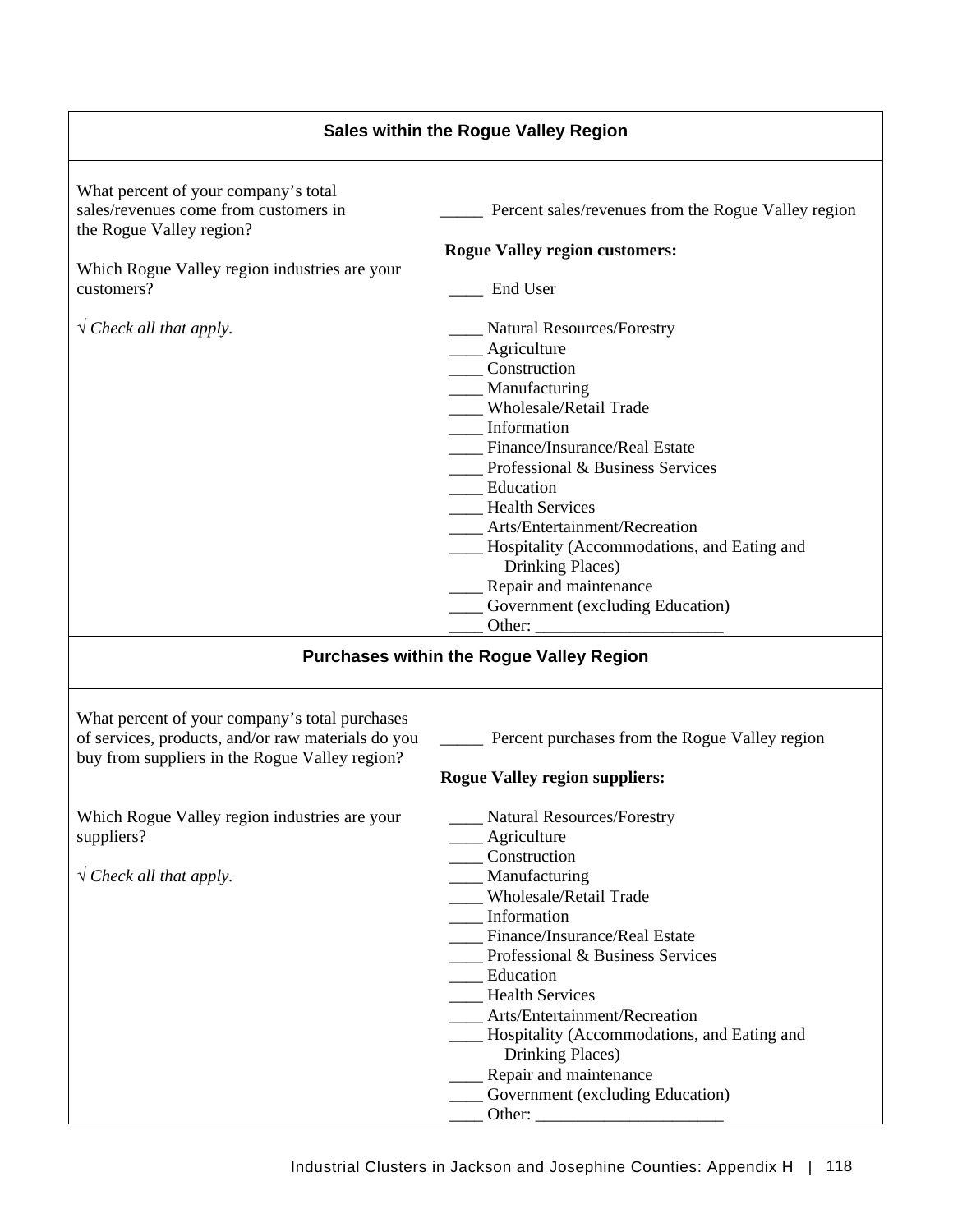|                                                                                                                                                        | <b>Sales within the Rogue Valley Region</b>                                                                                                                                                                                                                                                                                                                                                                                                                                   |
|--------------------------------------------------------------------------------------------------------------------------------------------------------|-------------------------------------------------------------------------------------------------------------------------------------------------------------------------------------------------------------------------------------------------------------------------------------------------------------------------------------------------------------------------------------------------------------------------------------------------------------------------------|
| What percent of your company's total<br>sales/revenues come from customers in<br>the Rogue Valley region?                                              | Percent sales/revenues from the Rogue Valley region                                                                                                                                                                                                                                                                                                                                                                                                                           |
|                                                                                                                                                        | <b>Rogue Valley region customers:</b>                                                                                                                                                                                                                                                                                                                                                                                                                                         |
| Which Rogue Valley region industries are your<br>customers?                                                                                            | End User                                                                                                                                                                                                                                                                                                                                                                                                                                                                      |
| $\sqrt{\text{Check all that apply}}$ .                                                                                                                 | __ Natural Resources/Forestry<br>___ Agriculture<br>____ Construction<br>___ Manufacturing<br>____ Wholesale/Retail Trade<br>___ Information<br>Finance/Insurance/Real Estate<br>Professional & Business Services<br>__ Education<br>__ Health Services<br><b>Arts/Entertainment/Recreation</b><br>____ Hospitality (Accommodations, and Eating and<br>Drinking Places)<br>____ Repair and maintenance<br>___ Government (excluding Education)                                |
|                                                                                                                                                        | <b>Purchases within the Rogue Valley Region</b>                                                                                                                                                                                                                                                                                                                                                                                                                               |
| What percent of your company's total purchases<br>of services, products, and/or raw materials do you<br>buy from suppliers in the Rogue Valley region? | Percent purchases from the Rogue Valley region<br><b>Rogue Valley region suppliers:</b>                                                                                                                                                                                                                                                                                                                                                                                       |
| Which Rogue Valley region industries are your<br>suppliers?<br>$\sqrt{C}$ Check all that apply.                                                        | Natural Resources/Forestry<br>____ Agriculture<br>_____ Construction<br>____ Manufacturing<br>Wholesale/Retail Trade<br>__ Information<br>Finance/Insurance/Real Estate<br>$\frac{1}{2}$ Professional & Business Services<br>___ Education<br><b>Health Services</b><br>Arts/Entertainment/Recreation<br>___ Hospitality (Accommodations, and Eating and<br>Drinking Places)<br>Repair and maintenance<br>Government (excluding Education)<br>Other: $\overline{\phantom{a}}$ |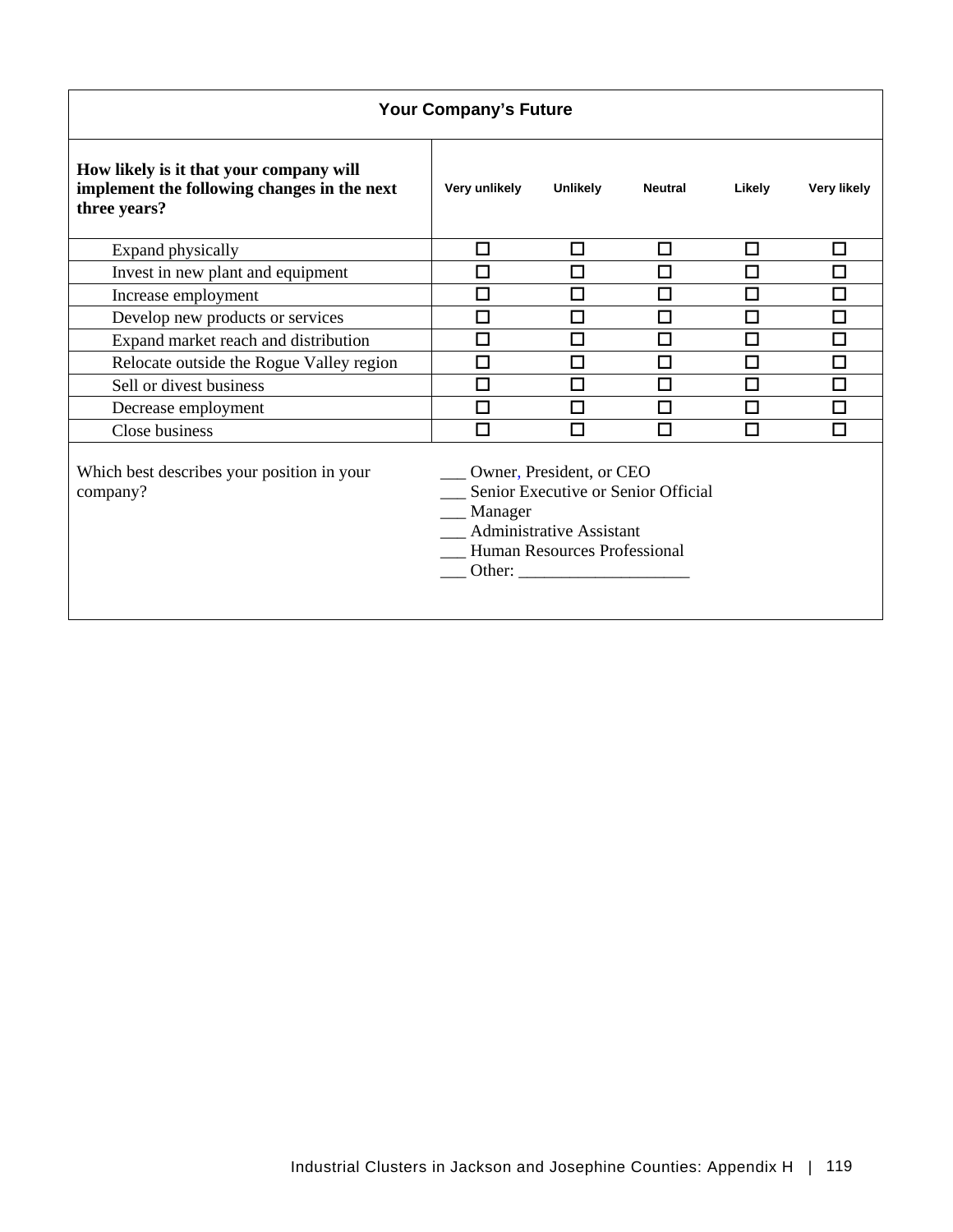|                                                                                                        | <b>Your Company's Future</b> |                                                                                      |                                     |        |                    |
|--------------------------------------------------------------------------------------------------------|------------------------------|--------------------------------------------------------------------------------------|-------------------------------------|--------|--------------------|
| How likely is it that your company will<br>implement the following changes in the next<br>three years? | Very unlikely                | <b>Unlikely</b>                                                                      | <b>Neutral</b>                      | Likely | <b>Very likely</b> |
| Expand physically                                                                                      | □                            | □                                                                                    | □                                   | □      | □                  |
| Invest in new plant and equipment                                                                      | □                            | □                                                                                    | □                                   | □      | □                  |
| Increase employment                                                                                    | $\Box$                       | П                                                                                    | П                                   | П      | $\Box$             |
| Develop new products or services                                                                       | П                            | $\Box$                                                                               | □                                   | □      | $\Box$             |
| Expand market reach and distribution                                                                   | □                            | П                                                                                    | П                                   | П      | □                  |
| Relocate outside the Rogue Valley region                                                               | □                            | П                                                                                    | П                                   | П      | $\Box$             |
| Sell or divest business                                                                                | □                            | □                                                                                    | П                                   | П      | □                  |
| Decrease employment                                                                                    | □                            | П                                                                                    | П                                   | П      | $\Box$             |
| Close business                                                                                         | П                            |                                                                                      |                                     | П      | П                  |
| Which best describes your position in your<br>company?                                                 | Manager                      | Owner, President, or CEO<br>Administrative Assistant<br>Human Resources Professional | Senior Executive or Senior Official |        |                    |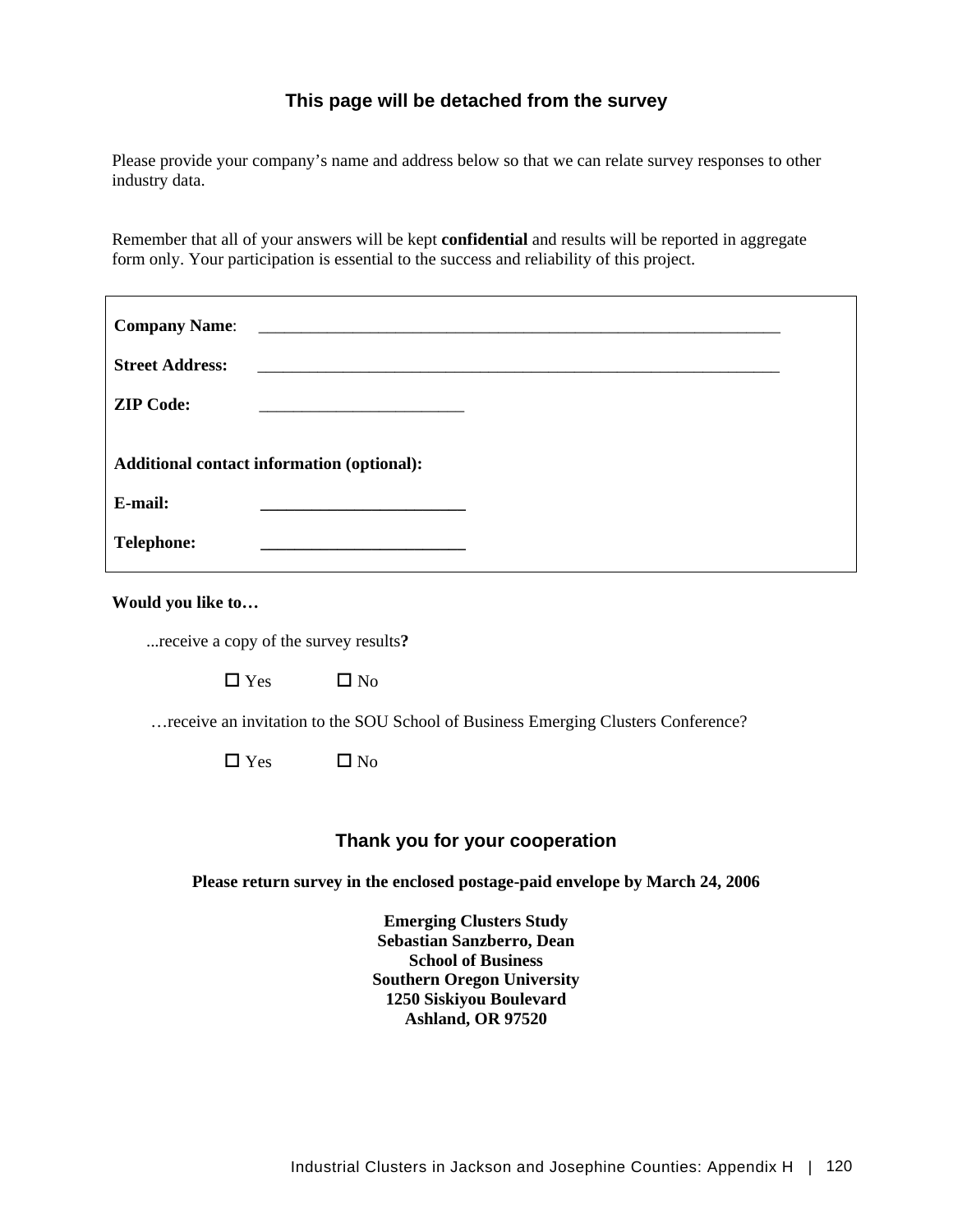### **This page will be detached from the survey**

Please provide your company's name and address below so that we can relate survey responses to other industry data.

Remember that all of your answers will be kept **confidential** and results will be reported in aggregate form only. Your participation is essential to the success and reliability of this project.

| <b>Company Name:</b><br><b>Street Address:</b><br><b>ZIP Code:</b><br>Additional contact information (optional): | <u> 1980 - John Stein, Amerikaansk politiker (</u> † 1920)                                                                                                                    |  |
|------------------------------------------------------------------------------------------------------------------|-------------------------------------------------------------------------------------------------------------------------------------------------------------------------------|--|
| E-mail:<br><b>Telephone:</b>                                                                                     |                                                                                                                                                                               |  |
|                                                                                                                  |                                                                                                                                                                               |  |
| Would you like to                                                                                                |                                                                                                                                                                               |  |
| receive a copy of the survey results?                                                                            |                                                                                                                                                                               |  |
| $\Box$ Yes                                                                                                       | $\Box$ No                                                                                                                                                                     |  |
|                                                                                                                  | receive an invitation to the SOU School of Business Emerging Clusters Conference?                                                                                             |  |
| $\Box$ Yes                                                                                                       | $\square$ No                                                                                                                                                                  |  |
|                                                                                                                  |                                                                                                                                                                               |  |
|                                                                                                                  | Thank you for your cooperation                                                                                                                                                |  |
|                                                                                                                  | Please return survey in the enclosed postage-paid envelope by March 24, 2006                                                                                                  |  |
|                                                                                                                  | <b>Emerging Clusters Study</b><br>Sebastian Sanzberro, Dean<br><b>School of Business</b><br><b>Southern Oregon University</b><br>1250 Siskiyou Boulevard<br>Ashland, OR 97520 |  |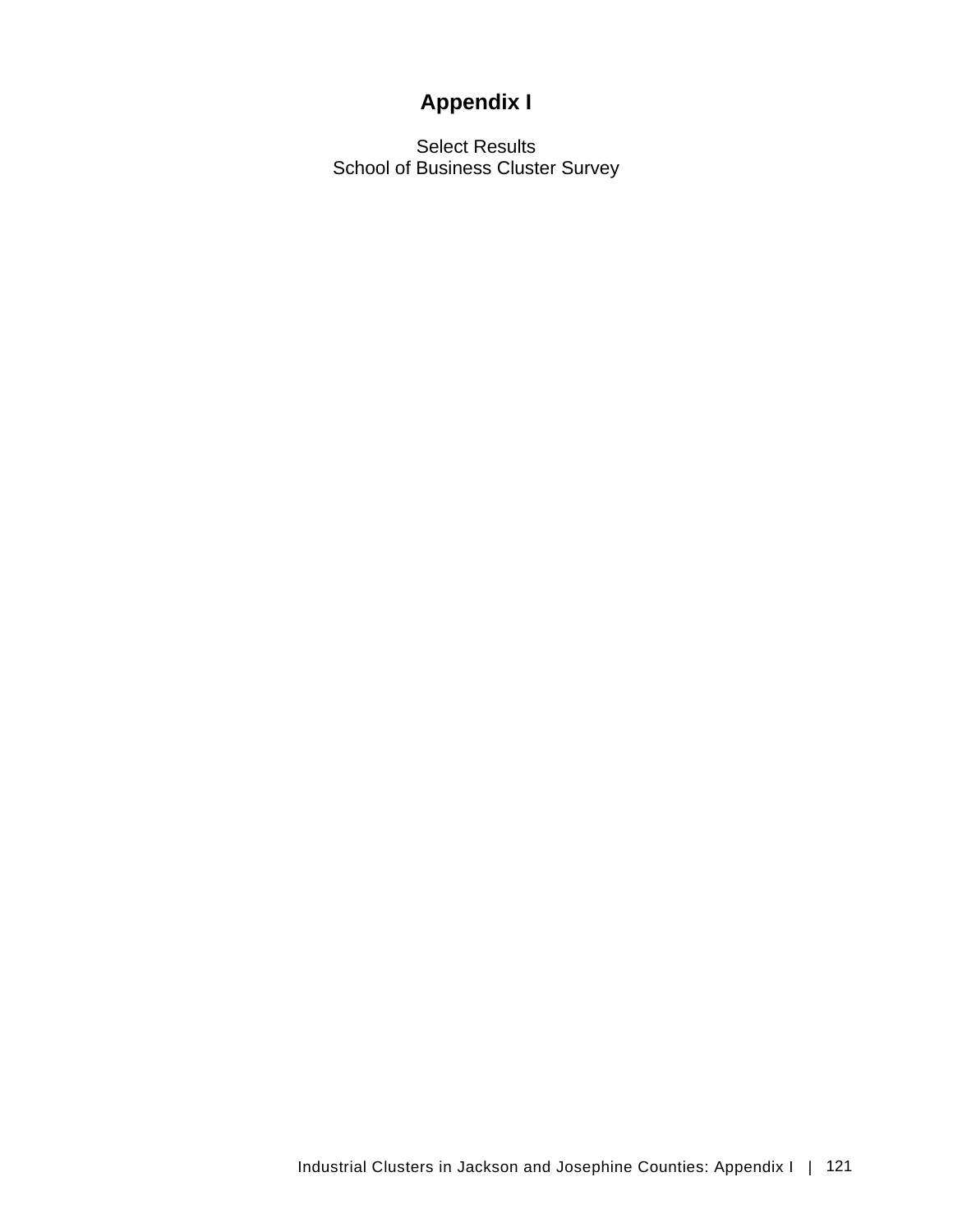# **Appendix I**

Select Results School of Business Cluster Survey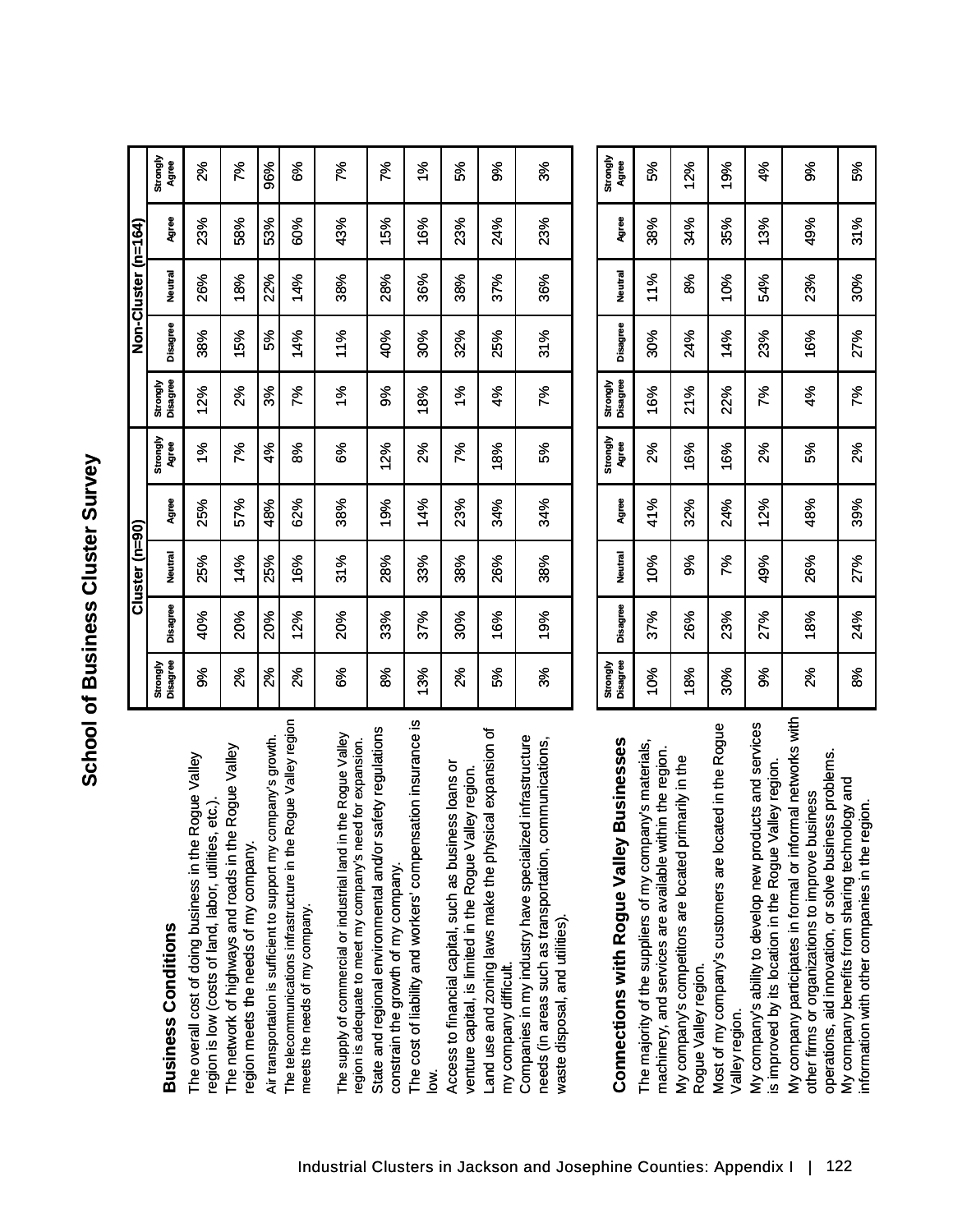# **Business Conditions**

# **Connections with Rogue Valley Businesses**

|                                                                                                                                                           |                      |            | Cluster (n=90) |       |                   |                      |          | Non-Cluster (n=164) |              |                   |
|-----------------------------------------------------------------------------------------------------------------------------------------------------------|----------------------|------------|----------------|-------|-------------------|----------------------|----------|---------------------|--------------|-------------------|
| <b>Business Conditions</b>                                                                                                                                | Disagree<br>Strongly | Disagree   | Neutral        | Agree | Strongly<br>Agree | Disagree<br>Strongly | Disagree | Neutral             | <b>Agree</b> | Strongly<br>Agree |
| The overall cost of doing business in the Rogue Valley<br>etc.).<br>region is low (costs of land, labor, utilities,                                       | ళ్ల                  | 40%        | 25%            | 25%   | 1%                | 12%                  | 38%      | 26%                 | 23%          | 2%                |
| Rogue Valley<br>The network of highways and roads in the<br>region meets the needs of my company.                                                         | ಸಿ                   | 20%        | 14%            | 57%   | 7%                | 2%                   | 15%      | 18%                 | 58%          | 7%                |
| Air transportation is sufficient to support my company's growth.                                                                                          | 2%                   | <b>20%</b> | 25%            | 48%   | 4%                | శిశ                  | 5%       | 22%                 | 53%          | 96%               |
| noipen Valley region<br>The telecommunications infrastructure in the Ro<br>meets the needs of my company.                                                 | నీ                   | 12%        | 16%            | 62%   | జ్                | 7%                   | 14%      | 14%                 | 60%          | కిశ               |
| e Rogue Valley<br>for expansion.<br>The supply of commercial or industrial land in th<br>region is adequate to meet my company's need                     | కిశ                  | <b>20%</b> | 31%            | 38%   | కి                | $\frac{8}{3}$        | 11%      | 38%                 | 43%          | 7%                |
| State and regional environmental and/or safety regulations<br>constrain the growth of my company.                                                         | జి                   | 33%        | 28%            | 19%   | 12%               | శ                    | 40%      | 28%                 | 15%          | 7%                |
| The cost of liability and workers' compensation insurance is                                                                                              | 13%                  | 37%        | 33%            | 14%   | న్య               | 18%                  | 30%      | 36%                 | 16%          | <u>se</u>         |
| Access to financial capital, such as business loans or<br>ey region.<br>venture capital, is limited in the Rogue Vall                                     | న్                   | 30%        | 38%            | 23%   | గ్గ               | $\frac{5}{6}$        | 32%      | 38%                 | 23%          | వ్య               |
| Land use and zoning laws make the physical expansion of<br>my company difficult.                                                                          | 5%                   | 16%        | 26%            | 34%   | 18%               | 4%                   | 25%      | 37%                 | 24%          | ళ్ల               |
| infrastructure<br>needs (in areas such as transportation, communications,<br>Companies in my industry have specialized<br>waste disposal, and utilities). | ૹ૾                   | 19%        | 38%            | 34%   | వ్య               | 7%                   | 31%      | 36%                 | 23%          | ૹ૾                |

| <b>Businesses</b><br>Connections with Rogue Valley                                                                                                                             | Disagree<br>Strongly | Disagree | <b>Neutral</b> | Agree | Strongly<br>Agree | Disagree<br>Strongly | Disagree | Neutral | Agree | <b>Strongly</b><br>Agree |  |
|--------------------------------------------------------------------------------------------------------------------------------------------------------------------------------|----------------------|----------|----------------|-------|-------------------|----------------------|----------|---------|-------|--------------------------|--|
| The majority of the suppliers of my company's materials,<br>machinery, and services are available within the region.                                                           | 10%                  | 37%      | 10%            | 41%   | ಸ್ಥೆ              | 16%                  | 30%      | 11%     | 38%   | వ్గ                      |  |
| My company's competitors are located primarily in the<br>Rogue Valley region.                                                                                                  | 18%                  | 26%      | ೫              | 32%   | 16%               | 21%                  | 24%      | జి      | 34%   | 12%                      |  |
| Most of my company's customers are located in the Rogue<br>Valley region.                                                                                                      | 30%                  | 23%      | p%             | 24%   | 16%               | 22%                  | 14%      | 10%     | 35%   | 19%                      |  |
| My company's ability to develop new products and services<br>valley region<br>is improved by its location in the Rogue \                                                       | శ్ల                  | 27%      | 49%            | 12%   | ಸ್ಥೆ              | శ్                   | 23%      | 54%     | 13%   | ई                        |  |
| My company participates in formal or informal networks with<br>ess problems.<br>other firms or organizations to improve business<br>operations, aid innovation, or solve busin | నీ                   | 18%      | 26%            | 48%   | ళ్య               | $4\%$                | 16%      | 23%     | 49%   | శ                        |  |
| My company benefits from sharing technology and<br>region.<br>information with other companies in the r                                                                        | 8%                   | 24%      | 27%            | 39%   | 2%                | Z%                   | 27%      | 30%     | 31%   | వ్గ                      |  |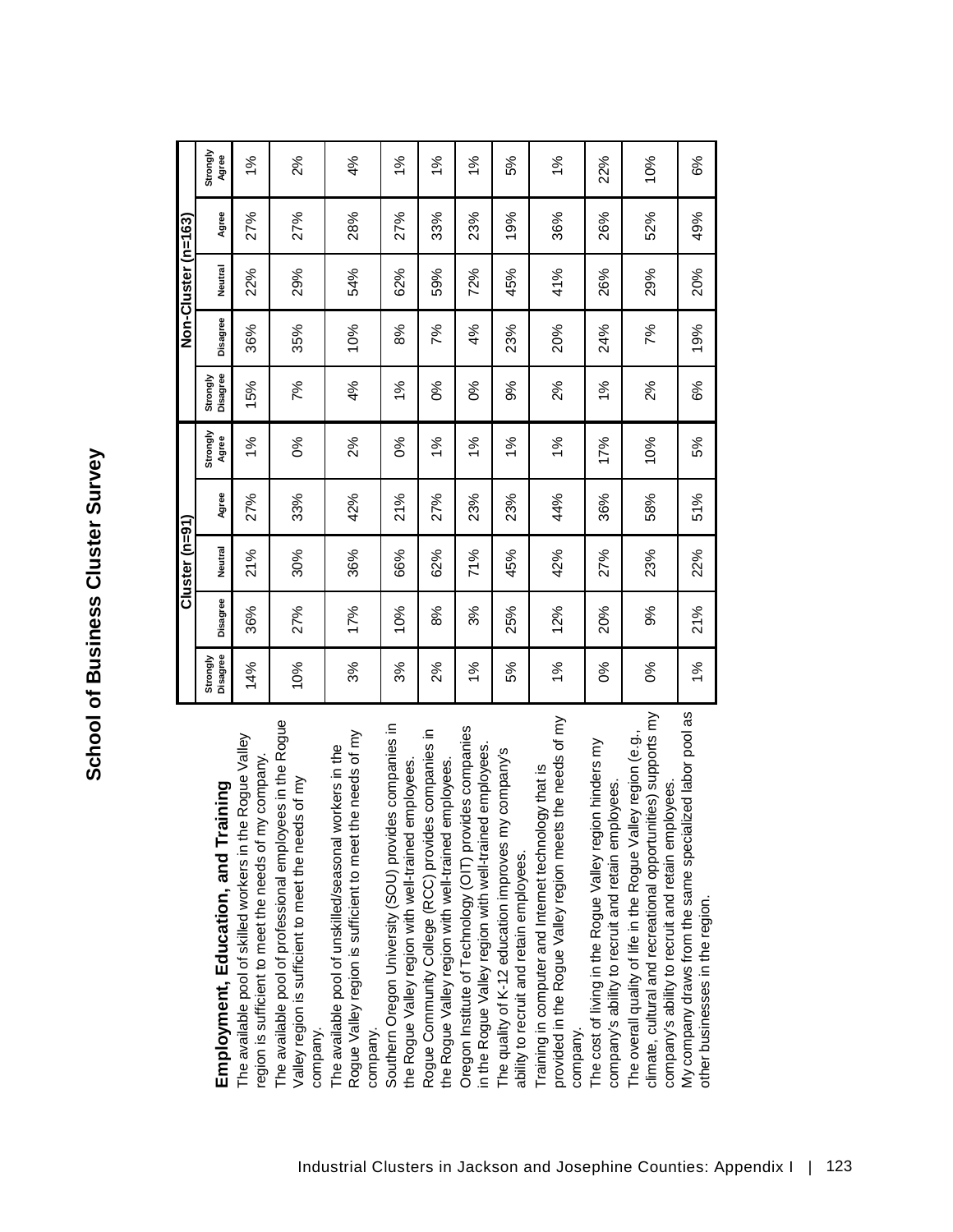|                                                                                                                                                                                      |                      |          | $Cluster(n=91)$ |       |                   |                      |          | Non-Cluster (n=163) |       |                   |
|--------------------------------------------------------------------------------------------------------------------------------------------------------------------------------------|----------------------|----------|-----------------|-------|-------------------|----------------------|----------|---------------------|-------|-------------------|
| Employment, Education, and Training                                                                                                                                                  | Disagree<br>Strongly | Disagree | <b>Neutral</b>  | Agree | Strongly<br>Agree | Disagree<br>Strongly | Disagree | Neutral             | Agree | Strongly<br>Agree |
| the Rogue Valley<br>region is sufficient to meet the needs of my company.<br>The available pool of skilled workers in                                                                | 14%                  | 36%      | 21%             | 27%   | 1%                | 15%                  | 36%      | 22%                 | 27%   | 1%                |
| The available pool of professional employees in the Rogue<br>Valley region is sufficient to meet the needs of my<br>company.                                                         | 10%                  | 27%      | 30%             | 33%   | $\delta$          | 7%                   | 35%      | 29%                 | 27%   | 2%                |
| the needs of my<br>workers in the<br>The available pool of unskilled/seasonal<br>Rogue Valley region is sufficient to meet<br>company.                                               | 3%                   | 17%      | 36%             | 42%   | $2\%$             | 4%                   | 10%      | 54%                 | 28%   | 4%                |
| Southern Oregon University (SOU) provides companies in<br>the Rogue Valley region with well-trained employees.                                                                       | 3%                   | 10%      | 66%             | 21%   | 0%                | $1\%$                | 8%       | 62%                 | 27%   | 1%                |
| Rogue Community College (RCC) provides companies in<br>the Rogue Valley region with well-trained employees.                                                                          | 2%                   | 8%       | 62%             | 27%   | 1%                | 0%                   | 7%       | 59%                 | 33%   | 1%                |
| Oregon Institute of Technology (OIT) provides companies<br>in the Rogue Valley region with well-trained employees.                                                                   | 1%                   | 3%       | 71%             | 23%   | 1%                | ಶೇ                   | 4%       | 72%                 | 23%   | 1%                |
| The quality of K-12 education improves my company's<br>ability to recruit and retain employees.                                                                                      | 5%                   | 25%      | 45%             | 23%   | $\frac{5}{6}$     | 9%                   | 23%      | 45%                 | 19%   | 5%                |
| provided in the Rogue Valley region meets the needs of my<br>Training in computer and Internet technology that is<br>company.                                                        | 1%                   | 12%      | 42%             | 44%   | 1%                | 2%                   | 20%      | 41%                 | 36%   | 1%                |
| The cost of living in the Rogue Valley region hinders my<br>company's ability to recruit and retain employees.                                                                       | ೦%                   | 20%      | 27%             | 36%   | 17%               | $1\%$                | 24%      | 26%                 | 26%   | 22%               |
| climate, cultural and recreational opportunities) supports my<br>The overall quality of life in the Rogue Valley region (e.g.,<br>company's ability to recruit and retain employees. | 0%                   | 9%       | 23%             | 58%   | 10%               | $2\%$                | 7%       | 29%                 | 52%   | 10%               |
| ialized labor pool as<br>My company draws from the same spec<br>other businesses in the region.                                                                                      | $1\%$                | 21%      | 22%             | 51%   | 5%                | 6%                   | 19%      | 20%                 | 49%   | 6%                |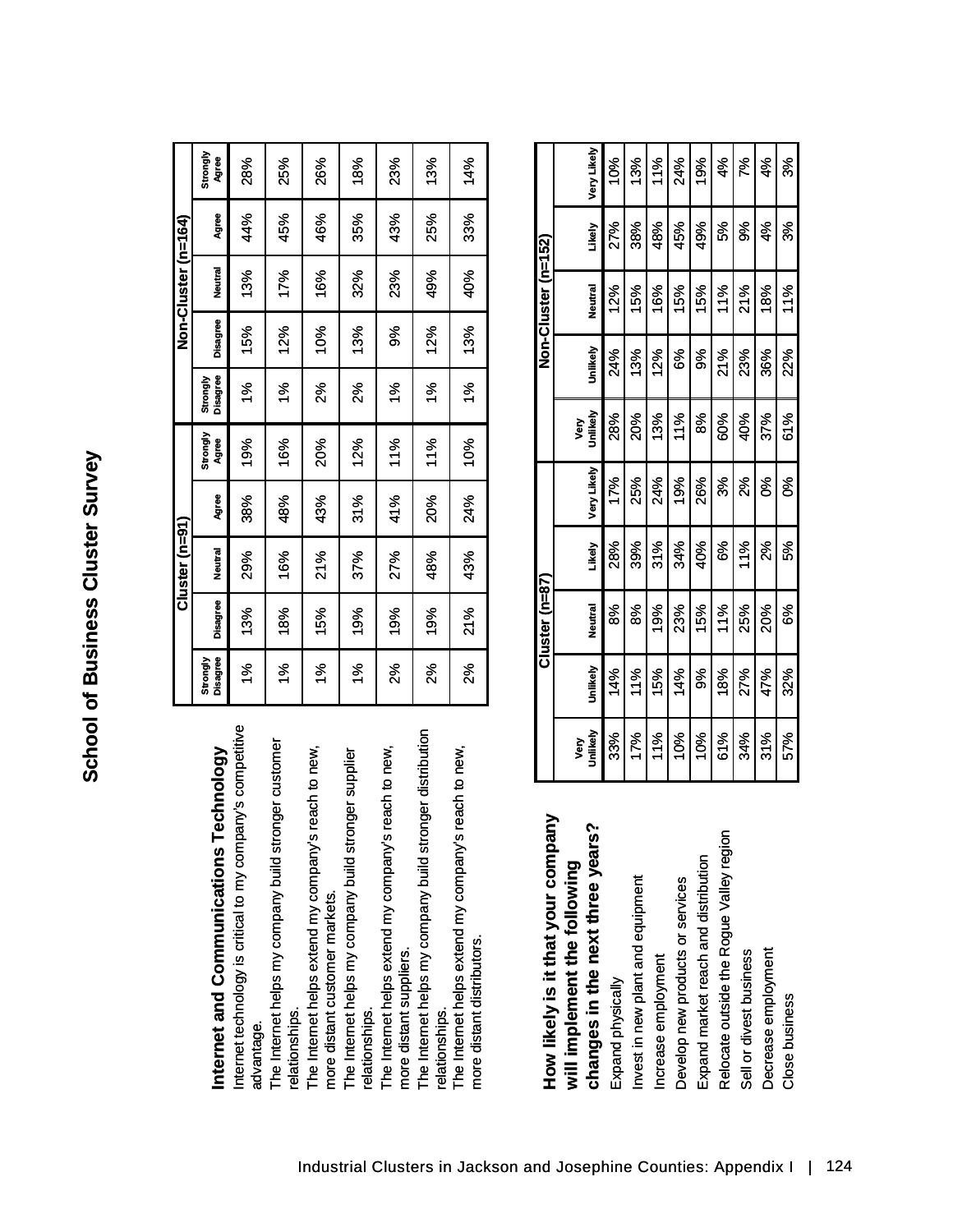| İ                   |
|---------------------|
| J<br>$\overline{ }$ |
| $\frac{1}{2}$       |
| c<br>C<br>ľ<br>i    |

|                                                                                       |          |                 | $Cluster(n=91)$ |       |            |          |          | Non-Cluster (n=164) |       |          |
|---------------------------------------------------------------------------------------|----------|-----------------|-----------------|-------|------------|----------|----------|---------------------|-------|----------|
|                                                                                       | Strongly |                 |                 |       | Strongly   | Strongly |          |                     |       | Strongly |
| Technology<br>nternet and Communications                                              | Disagree | <b>Disagree</b> | Neutral         | Agree | Agree      | Disagree | Disagree | Neutral             | Agree | Agree    |
| pany's competitive<br>Internet technology is critical to my comp<br>advantage.        | ళ్లీ     | 13%             | 29%             | 38%   | 19%        | ళ్లీ     | 15%      | 13%                 | 44%   | 28%      |
| onger customer<br>The Internet helps my company build str<br>relationships.           | ళ్ల      | 18%             | 16%             | 48%   | 16%        | ళ్ల      | 12%      | 17%                 | 45%   | 25%      |
| The Internet helps extend my company's reach to new<br>more distant customer markets. | १%       | 15%             | 21%             | 43%   | <b>20%</b> | ಸ್ಥೆ     | 10%      | 16%                 | 46%   | 26%      |
| onger supplier<br>The Internet helps my company build str<br>elationships.            | १%       | 19%             | 37%             | 31%   | 12%        | ಸ್ಥೆ     | 13%      | 32%                 | 35%   | 18%      |
| The Internet helps extend my company's reach to new<br>more distant suppliers.        | ಸಿ       | 19%             | 27%             | 41%   | 11%        | ళ్ల      | శ        | 23%                 | 43%   | 23%      |
| ronger distribution<br>The Internet helps my company build str<br>relationships.      | న్ల      | 19%             | 48%             | 20%   | 11%        | ళ్ల      | 12%      | 49%                 | 25%   | 13%      |
| The Internet helps extend my company's reach to new<br>more distant distributors.     | ష్ట      | 21%             | 43%             | 24%   | 10%        | ३%       | 13%      | 40%                 | 33%   | 14%      |

| How likely is it that your company       |
|------------------------------------------|
| will implement the following             |
| changes in the next three years?         |
| Expand physically                        |
| Invest in new plant and equipment        |
| Increase employment                      |
| Develop new products or services         |
| Expand market reach and distribution     |
| Relocate outside the Rogue Valley region |
| Sell or divest business                  |
| Decrease employment                      |

| How likely is it that your company       |          |          | Cluster (n=87) |        |             |          |          | Non-Cluster (n=152) |        |             |
|------------------------------------------|----------|----------|----------------|--------|-------------|----------|----------|---------------------|--------|-------------|
| will implement the following             | Very     |          |                |        |             | yery     |          |                     |        |             |
| ွ်<br>changes in the next three year     | Jnlikely | Unlikely | Neutral        | Likely | Very Likely | Jnlikely | Jniikely | Neutral             | Likely | Very Likely |
| Expand physically                        | 33%      | 14%      | జ్             | 28%    | 17%         | 28%      | 24%      | 12%                 | 27%    | 10%         |
| nvest in new plant and equipment         | 17%      | 11%      | జ్             | 39%    | 25%         | 20%      | 13%      | 15%                 | 38%    | 13%         |
| ncrease employment                       | 11%      | 15%      | $rac{8}{5}$    | 31%    | 24%         | 13%      | 12%      | 16%                 | 48%    | 11%         |
| Develop new products or services         | 10%      | 14%      | 23%            | 34%    | 19%         | 11%      | కి       | 15%                 | 45%    | 24%         |
| Expand market reach and distribution     | 10%      | శ        | 15%            | 40%    | 26%         | ౙ        | ళ్ల      | 15%                 | 49%    | 19%         |
| Relocate outside the Rogue Valley region | 61%      | 18%      | 11%            | ఠి     | ళ్ల         | 60%      | 21%      | 11%                 | 5%     | ళ           |
| Sell or divest business                  | 34%      | 27%      | 25%            | 11%    | ಸ್ಥೆ        | 40%      | 23%      | 21%                 | శ్ల    | గ్గ         |
| Decrease employment                      | 31%      | 47%      | 20%            | ಸ್ಥೆ   | క           | 37%      | 36%      | 18%                 | 4%     | ई           |
| Close business                           | 57%      | 32%      | కి             | వ్య    | క           | 61%      | 2%       | 11%                 | శి     | ళ్ల         |